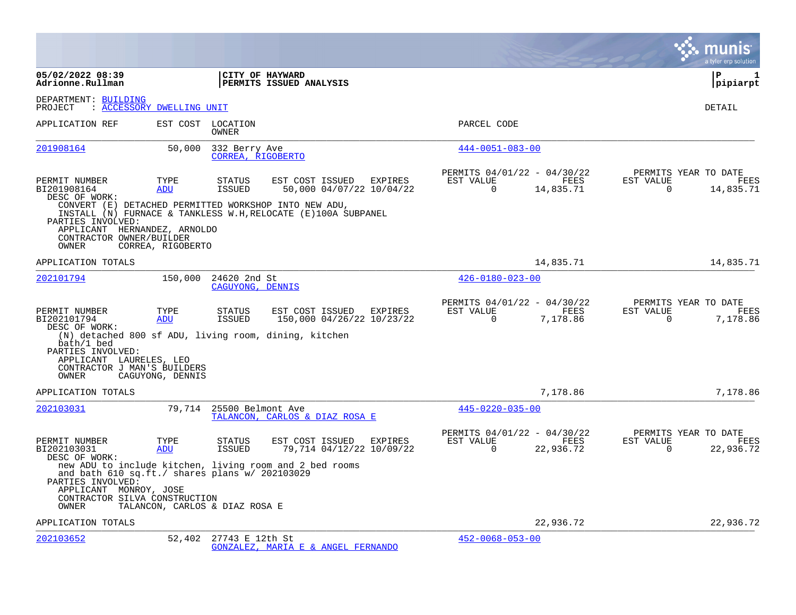|                                                                                                                                                                      |                                |                                    |                                                                                                                        |                                                      |                   |                       | a tyler erp solution                      |
|----------------------------------------------------------------------------------------------------------------------------------------------------------------------|--------------------------------|------------------------------------|------------------------------------------------------------------------------------------------------------------------|------------------------------------------------------|-------------------|-----------------------|-------------------------------------------|
| 05/02/2022 08:39<br>Adrionne.Rullman                                                                                                                                 |                                |                                    | CITY OF HAYWARD<br>PERMITS ISSUED ANALYSIS                                                                             |                                                      |                   |                       | l P<br>1<br> pipiarpt                     |
| DEPARTMENT: BUILDING<br>PROJECT                                                                                                                                      | : ACCESSORY DWELLING UNIT      |                                    |                                                                                                                        |                                                      |                   |                       | DETAIL                                    |
| APPLICATION REF                                                                                                                                                      |                                | EST COST LOCATION<br>OWNER         |                                                                                                                        | PARCEL CODE                                          |                   |                       |                                           |
| 201908164                                                                                                                                                            | 50,000                         | 332 Berry Ave<br>CORREA, RIGOBERTO |                                                                                                                        | $444 - 0051 - 083 - 00$                              |                   |                       |                                           |
| PERMIT NUMBER<br>BI201908164<br>DESC OF WORK:<br>CONVERT (E) DETACHED PERMITTED WORKSHOP INTO NEW ADU,<br>PARTIES INVOLVED:                                          | TYPE<br>ADU                    | <b>STATUS</b><br>ISSUED            | EST COST ISSUED<br>EXPIRES<br>50,000 04/07/22 10/04/22<br>INSTALL (N) FURNACE & TANKLESS W.H.RELOCATE (E)100A SUBPANEL | PERMITS 04/01/22 - 04/30/22<br>EST VALUE<br>$\Omega$ | FEES<br>14,835.71 | EST VALUE<br>$\Omega$ | PERMITS YEAR TO DATE<br>FEES<br>14,835.71 |
| APPLICANT HERNANDEZ, ARNOLDO<br>CONTRACTOR OWNER/BUILDER<br>OWNER                                                                                                    | CORREA, RIGOBERTO              |                                    |                                                                                                                        |                                                      |                   |                       |                                           |
| APPLICATION TOTALS                                                                                                                                                   |                                |                                    |                                                                                                                        |                                                      | 14,835.71         |                       | 14,835.71                                 |
| 202101794                                                                                                                                                            | 150,000                        | 24620 2nd St<br>CAGUYONG, DENNIS   |                                                                                                                        | $426 - 0180 - 023 - 00$                              |                   |                       |                                           |
| PERMIT NUMBER<br>BI202101794<br>DESC OF WORK:<br>(N) detached 800 sf ADU, living room, dining, kitchen<br>bath/1 bed<br>PARTIES INVOLVED:<br>APPLICANT LAURELES, LEO | TYPE<br><b>ADU</b>             | <b>STATUS</b><br><b>ISSUED</b>     | EST COST ISSUED<br>EXPIRES<br>150,000 04/26/22 10/23/22                                                                | PERMITS 04/01/22 - 04/30/22<br>EST VALUE<br>$\Omega$ | FEES<br>7,178.86  | EST VALUE<br>$\Omega$ | PERMITS YEAR TO DATE<br>FEES<br>7,178.86  |
| CONTRACTOR J MAN'S BUILDERS<br>OWNER                                                                                                                                 | CAGUYONG, DENNIS               |                                    |                                                                                                                        |                                                      |                   |                       |                                           |
| APPLICATION TOTALS                                                                                                                                                   |                                |                                    |                                                                                                                        |                                                      | 7,178.86          |                       | 7,178.86                                  |
| 202103031                                                                                                                                                            |                                | 79,714 25500 Belmont Ave           | TALANCON, CARLOS & DIAZ ROSA E                                                                                         | $445 - 0220 - 035 - 00$                              |                   |                       |                                           |
| PERMIT NUMBER<br>BI202103031<br>DESC OF WORK:                                                                                                                        | TYPE<br><b>ADU</b>             | <b>STATUS</b><br><b>ISSUED</b>     | EST COST ISSUED<br>EXPIRES<br>79,714 04/12/22 10/09/22                                                                 | PERMITS 04/01/22 - 04/30/22<br>EST VALUE<br>$\Omega$ | FEES<br>22,936.72 | EST VALUE<br>$\Omega$ | PERMITS YEAR TO DATE<br>FEES<br>22,936.72 |
| and bath 610 sq.ft./ shares plans w/ 202103029<br>PARTIES INVOLVED:<br>APPLICANT MONROY, JOSE<br>CONTRACTOR SILVA CONSTRUCTION<br>OWNER                              | TALANCON, CARLOS & DIAZ ROSA E |                                    | new ADU to include kitchen, living room and 2 bed rooms                                                                |                                                      |                   |                       |                                           |
| APPLICATION TOTALS                                                                                                                                                   |                                |                                    |                                                                                                                        |                                                      | 22,936.72         |                       | 22,936.72                                 |
| 202103652                                                                                                                                                            | 52,402                         | 27743 E 12th St                    | GONZALEZ, MARIA E & ANGEL FERNANDO                                                                                     | $452 - 0068 - 053 - 00$                              |                   |                       |                                           |

**College**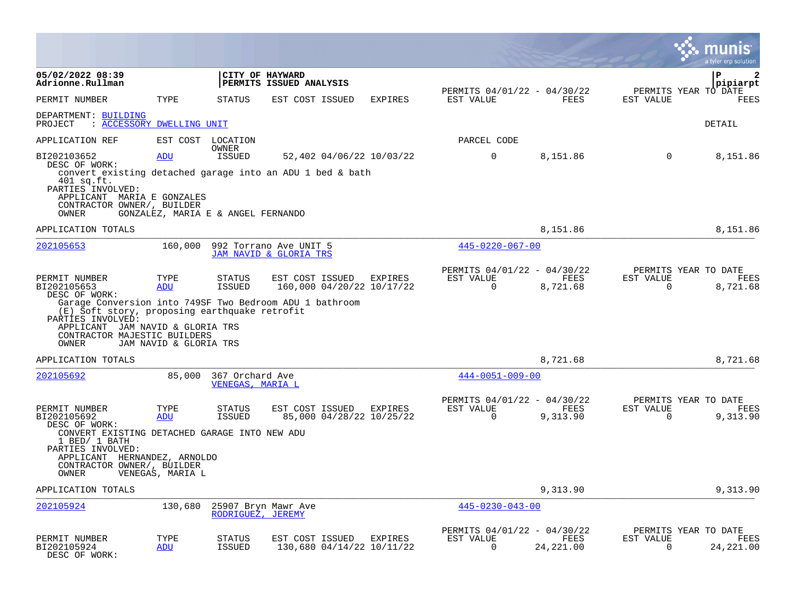|                                                                                                                                                                   |                        |                                                  |                         |                                             |                                                      |                    |                       | a tyler erp solution                                   |
|-------------------------------------------------------------------------------------------------------------------------------------------------------------------|------------------------|--------------------------------------------------|-------------------------|---------------------------------------------|------------------------------------------------------|--------------------|-----------------------|--------------------------------------------------------|
| 05/02/2022 08:39<br>Adrionne.Rullman                                                                                                                              |                        | CITY OF HAYWARD                                  | PERMITS ISSUED ANALYSIS |                                             | PERMITS 04/01/22 - 04/30/22                          |                    |                       | ΙP<br>$\mathbf{2}$<br>pipiarpt<br>PERMITS YEAR TO DATE |
| PERMIT NUMBER                                                                                                                                                     | TYPE                   | STATUS                                           | EST COST ISSUED         | EXPIRES                                     | EST VALUE                                            | FEES               | EST VALUE             | FEES                                                   |
| DEPARTMENT: BUILDING<br>: ACCESSORY DWELLING UNIT<br>PROJECT                                                                                                      |                        |                                                  |                         |                                             |                                                      |                    |                       | <b>DETAIL</b>                                          |
| APPLICATION REF                                                                                                                                                   | EST COST LOCATION      | OWNER                                            |                         |                                             | PARCEL CODE                                          |                    |                       |                                                        |
| BI202103652<br>DESC OF WORK:                                                                                                                                      | ADU                    | ISSUED                                           |                         | 52,402 04/06/22 10/03/22                    | $\mathbf 0$                                          | 8,151.86           | $\mathbf 0$           | 8,151.86                                               |
| convert existing detached garage into an ADU 1 bed & bath<br>401 sq.ft.<br>PARTIES INVOLVED:<br>APPLICANT MARIA E GONZALES<br>CONTRACTOR OWNER/, BUILDER<br>OWNER |                        | GONZALEZ, MARIA E & ANGEL FERNANDO               |                         |                                             |                                                      |                    |                       |                                                        |
| APPLICATION TOTALS                                                                                                                                                |                        |                                                  |                         |                                             |                                                      | 8,151.86           |                       | 8,151.86                                               |
| 202105653                                                                                                                                                         | 160,000                | 992 Torrano Ave UNIT 5<br>JAM NAVID & GLORIA TRS |                         |                                             | $445 - 0220 - 067 - 00$                              |                    |                       |                                                        |
| PERMIT NUMBER<br>BI202105653<br>DESC OF WORK:<br>Garage Conversion into 749SF Two Bedroom ADU 1 bathroom<br>(E) Soft story, proposing earthquake retrofit         | TYPE<br>ADU            | <b>STATUS</b><br>ISSUED                          | EST COST ISSUED         | <b>EXPIRES</b><br>160,000 04/20/22 10/17/22 | PERMITS 04/01/22 - 04/30/22<br>EST VALUE<br>$\Omega$ | FEES<br>8,721.68   | EST VALUE<br>$\Omega$ | PERMITS YEAR TO DATE<br>FEES<br>8,721.68               |
| PARTIES INVOLVED:<br>APPLICANT JAM NAVID & GLORIA TRS<br>CONTRACTOR MAJESTIC BUILDERS<br>OWNER                                                                    | JAM NAVID & GLORIA TRS |                                                  |                         |                                             |                                                      |                    |                       |                                                        |
| APPLICATION TOTALS                                                                                                                                                |                        |                                                  |                         |                                             |                                                      | 8,721.68           |                       | 8,721.68                                               |
| 202105692                                                                                                                                                         | 85,000                 | 367 Orchard Ave<br>VENEGAS, MARIA L              |                         |                                             | $444 - 0051 - 009 - 00$                              |                    |                       |                                                        |
| PERMIT NUMBER<br>BI202105692<br>DESC OF WORK:                                                                                                                     | TYPE<br>ADU            | <b>STATUS</b><br><b>ISSUED</b>                   | EST COST ISSUED         | EXPIRES<br>85,000 04/28/22 10/25/22         | PERMITS 04/01/22 - 04/30/22<br>EST VALUE<br>$\Omega$ | FEES<br>9,313.90   | EST VALUE<br>$\Omega$ | PERMITS YEAR TO DATE<br>FEES<br>9,313.90               |
| CONVERT EXISTING DETACHED GARAGE INTO NEW ADU<br>1 BED/ 1 BATH<br>PARTIES INVOLVED:<br>APPLICANT HERNANDEZ, ARNOLDO<br>CONTRACTOR OWNER/, BUILDER<br>OWNER        | VENEGAS, MARIA L       |                                                  |                         |                                             |                                                      |                    |                       |                                                        |
| APPLICATION TOTALS                                                                                                                                                |                        |                                                  |                         |                                             |                                                      | 9,313.90           |                       | 9,313.90                                               |
| 202105924                                                                                                                                                         | 130,680                | 25907 Bryn Mawr Ave<br>RODRIGUEZ, JEREMY         |                         |                                             | $445 - 0230 - 043 - 00$                              |                    |                       |                                                        |
| PERMIT NUMBER<br>BI202105924<br>DESC OF WORK:                                                                                                                     | TYPE<br>ADU            | STATUS<br>ISSUED                                 | EST COST ISSUED EXPIRES | 130,680 04/14/22 10/11/22                   | PERMITS 04/01/22 - 04/30/22<br>EST VALUE<br>$\Omega$ | FEES<br>24, 221.00 | EST VALUE<br>$\Omega$ | PERMITS YEAR TO DATE<br>FEES<br>24, 221.00             |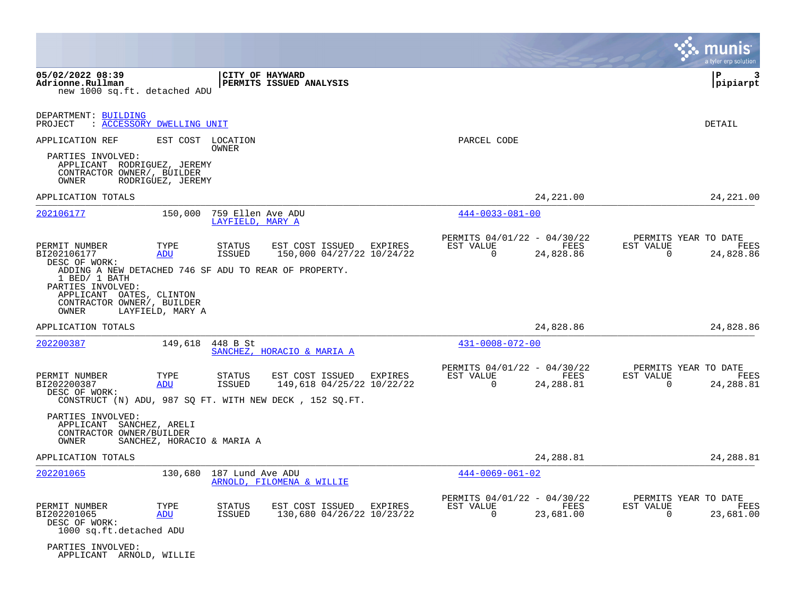|                                                                                                                                                                |                                        |                                       |                                                                                                                    |                                                            |                   | munis<br>a tyler erp solution                                            |
|----------------------------------------------------------------------------------------------------------------------------------------------------------------|----------------------------------------|---------------------------------------|--------------------------------------------------------------------------------------------------------------------|------------------------------------------------------------|-------------------|--------------------------------------------------------------------------|
| 05/02/2022 08:39<br>Adrionne.Rullman<br>new 1000 sq.ft. detached ADU                                                                                           |                                        | <b>CITY OF HAYWARD</b>                | PERMITS ISSUED ANALYSIS                                                                                            |                                                            |                   | l P<br>3<br> pipiarpt                                                    |
| DEPARTMENT: BUILDING<br>: ACCESSORY DWELLING UNIT<br>PROJECT                                                                                                   |                                        |                                       |                                                                                                                    |                                                            |                   | DETAIL                                                                   |
| APPLICATION REF<br>PARTIES INVOLVED:<br>APPLICANT RODRIGUEZ, JEREMY<br>CONTRACTOR OWNER/, BUILDER<br>OWNER                                                     | EST COST LOCATION<br>RODRIGUEZ, JEREMY | OWNER                                 |                                                                                                                    | PARCEL CODE                                                |                   |                                                                          |
| APPLICATION TOTALS                                                                                                                                             |                                        |                                       |                                                                                                                    |                                                            | 24, 221.00        | 24, 221.00                                                               |
| 202106177                                                                                                                                                      | 150,000                                | 759 Ellen Ave ADU<br>LAYFIELD, MARY A |                                                                                                                    | $444 - 0033 - 081 - 00$                                    |                   |                                                                          |
| PERMIT NUMBER<br>BI202106177<br>DESC OF WORK:                                                                                                                  | TYPE<br>ADU                            | STATUS<br><b>ISSUED</b>               | EST COST ISSUED EXPIRES<br>150,000 04/27/22 10/24/22                                                               | PERMITS 04/01/22 - 04/30/22<br>EST VALUE<br>$\Omega$       | FEES<br>24,828.86 | PERMITS YEAR TO DATE<br>EST VALUE<br>FEES<br>$\Omega$<br>24,828.86       |
| ADDING A NEW DETACHED 746 SF ADU TO REAR OF PROPERTY.<br>1 BED/ 1 BATH<br>PARTIES INVOLVED:<br>APPLICANT OATES, CLINTON<br>CONTRACTOR OWNER/, BUILDER<br>OWNER | LAYFIELD, MARY A                       |                                       |                                                                                                                    |                                                            |                   |                                                                          |
| APPLICATION TOTALS                                                                                                                                             |                                        |                                       |                                                                                                                    |                                                            | 24,828.86         | 24,828.86                                                                |
| 202200387                                                                                                                                                      |                                        | 149,618 448 B St                      | SANCHEZ, HORACIO & MARIA A                                                                                         | $431 - 0008 - 072 - 00$                                    |                   |                                                                          |
| PERMIT NUMBER<br>BI202200387<br>DESC OF WORK:                                                                                                                  | TYPE<br>ADU                            | STATUS<br>ISSUED                      | EST COST ISSUED<br>EXPIRES<br>149,618 04/25/22 10/22/22<br>CONSTRUCT (N) ADU, 987 SQ FT. WITH NEW DECK, 152 SQ.FT. | PERMITS 04/01/22 - 04/30/22<br>EST VALUE<br>$\Omega$       | FEES<br>24,288.81 | PERMITS YEAR TO DATE<br>EST VALUE<br>FEES<br>24,288.81<br>0              |
| PARTIES INVOLVED:<br>APPLICANT SANCHEZ, ARELI<br>CONTRACTOR OWNER/BUILDER<br>OWNER                                                                             | SANCHEZ, HORACIO & MARIA A             |                                       |                                                                                                                    |                                                            |                   |                                                                          |
| APPLICATION TOTALS                                                                                                                                             |                                        |                                       |                                                                                                                    |                                                            | 24, 288.81        | 24, 288.81                                                               |
| 202201065                                                                                                                                                      |                                        | 130,680 187 Lund Ave ADU              | ARNOLD, FILOMENA & WILLIE                                                                                          | $444 - 0069 - 061 - 02$                                    |                   |                                                                          |
| PERMIT NUMBER<br>BI202201065<br>DESC OF WORK:<br>1000 sq.ft.detached ADU                                                                                       | TYPE<br>ADU                            | <b>STATUS</b><br>ISSUED               | EST COST ISSUED<br>EXPIRES<br>130,680 04/26/22 10/23/22                                                            | PERMITS 04/01/22 - 04/30/22<br>EST VALUE<br>$\overline{0}$ | FEES<br>23,681.00 | PERMITS YEAR TO DATE<br>EST VALUE<br>FEES<br>$\overline{0}$<br>23,681.00 |
| PARTIES INVOLVED:<br>APPLICANT ARNOLD, WILLIE                                                                                                                  |                                        |                                       |                                                                                                                    |                                                            |                   |                                                                          |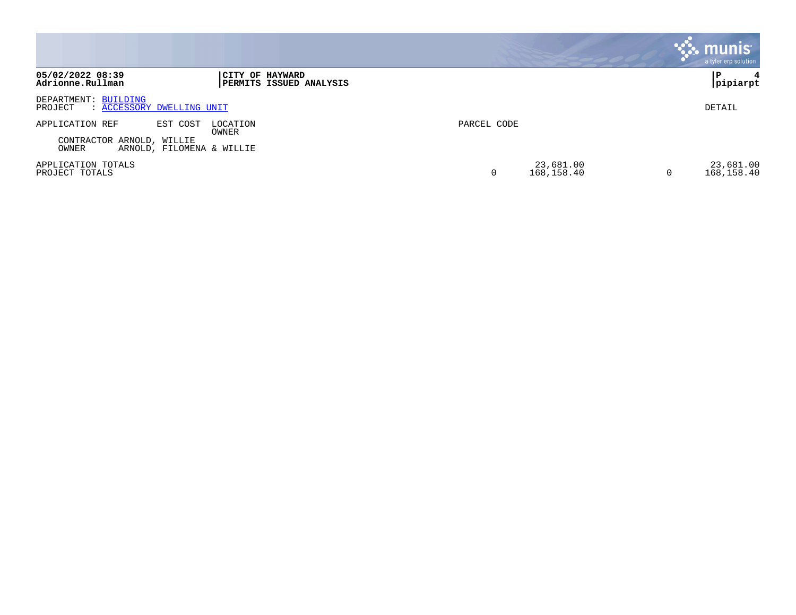|                                                                                                                     | $\ddot{\ddot{\phantom{a}}\mathbf{.}}$ munis<br>a tyler erp solution |                         |
|---------------------------------------------------------------------------------------------------------------------|---------------------------------------------------------------------|-------------------------|
| 05/02/2022 08:39<br>CITY OF HAYWARD<br>Adrionne.Rullman<br>PERMITS ISSUED ANALYSIS                                  | P                                                                   | 4<br> pipiarpt          |
| DEPARTMENT: BUILDING<br>: ACCESSORY DWELLING UNIT<br>PROJECT                                                        | DETAIL                                                              |                         |
| APPLICATION REF<br>EST COST<br>LOCATION<br>OWNER<br>CONTRACTOR ARNOLD, WILLIE<br>OWNER<br>ARNOLD, FILOMENA & WILLIE | PARCEL CODE                                                         |                         |
| APPLICATION TOTALS<br>PROJECT TOTALS                                                                                | 23,681.00<br>168, 158.40                                            | 23,681.00<br>168,158.40 |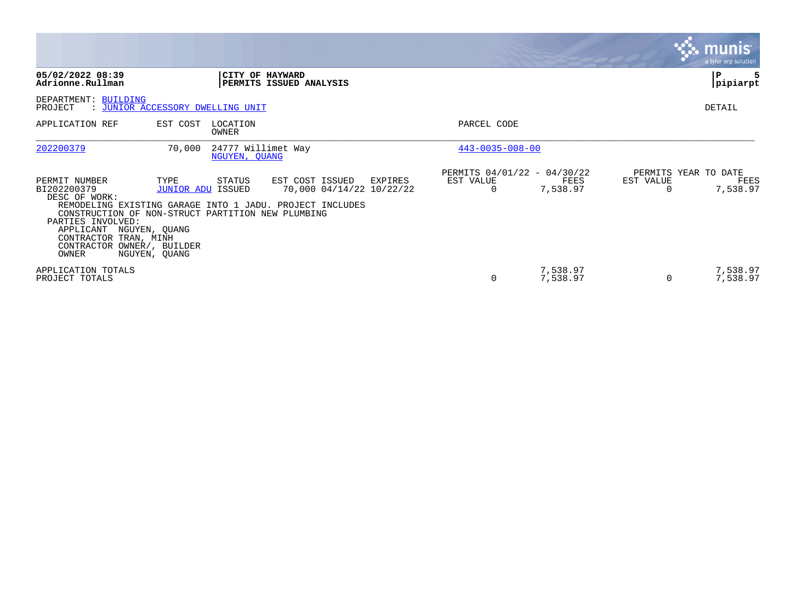|                                                                                                                                                               |                                                                                                                                                                              |                                                        |                                          |                      |           | <b>munis</b><br>a tyler erp solution     |
|---------------------------------------------------------------------------------------------------------------------------------------------------------------|------------------------------------------------------------------------------------------------------------------------------------------------------------------------------|--------------------------------------------------------|------------------------------------------|----------------------|-----------|------------------------------------------|
| 05/02/2022 08:39<br>Adrionne.Rullman                                                                                                                          |                                                                                                                                                                              | CITY OF HAYWARD<br>PERMITS ISSUED ANALYSIS             |                                          |                      |           | P<br> pipiarpt                           |
| DEPARTMENT: BUILDING<br>PROJECT                                                                                                                               | : JUNIOR ACCESSORY DWELLING UNIT                                                                                                                                             |                                                        |                                          |                      |           | DETAIL                                   |
| APPLICATION REF                                                                                                                                               | LOCATION<br>EST COST<br><b>OWNER</b>                                                                                                                                         |                                                        | PARCEL CODE                              |                      |           |                                          |
| 202200379                                                                                                                                                     | 70,000<br>NGUYEN, QUANG                                                                                                                                                      | 24777 Willimet Way                                     | $443 - 0035 - 008 - 00$                  |                      |           |                                          |
| PERMIT NUMBER<br>BI202200379<br>DESC OF WORK:<br>PARTIES INVOLVED:<br>APPLICANT NGUYEN, QUANG<br>CONTRACTOR TRAN, MINH<br>CONTRACTOR OWNER/, BUILDER<br>OWNER | TYPE<br>STATUS<br><b>JUNIOR ADU ISSUED</b><br>REMODELING EXISTING GARAGE INTO 1 JADU. PROJECT INCLUDES<br>CONSTRUCTION OF NON-STRUCT PARTITION NEW PLUMBING<br>NGUYEN, QUANG | EST COST ISSUED<br>EXPIRES<br>70,000 04/14/22 10/22/22 | PERMITS 04/01/22 - 04/30/22<br>EST VALUE | FEES<br>7,538.97     | EST VALUE | PERMITS YEAR TO DATE<br>FEES<br>7,538.97 |
| APPLICATION TOTALS<br>PROJECT TOTALS                                                                                                                          |                                                                                                                                                                              |                                                        | <sup>0</sup>                             | 7,538.97<br>7,538.97 | 0         | 7,538.97<br>7,538.97                     |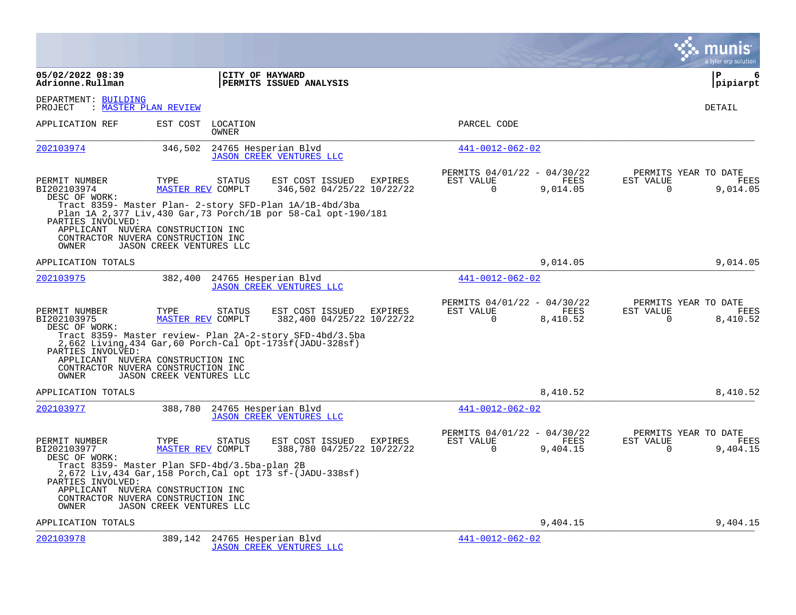|                                                                                                                                               |                                  |                          |                                                                                                                                                                           |                |                                                      |                  |                                               | a tyler erp solution  |
|-----------------------------------------------------------------------------------------------------------------------------------------------|----------------------------------|--------------------------|---------------------------------------------------------------------------------------------------------------------------------------------------------------------------|----------------|------------------------------------------------------|------------------|-----------------------------------------------|-----------------------|
| 05/02/2022 08:39<br>Adrionne.Rullman                                                                                                          |                                  |                          | CITY OF HAYWARD<br>PERMITS ISSUED ANALYSIS                                                                                                                                |                |                                                      |                  |                                               | l P<br>6<br> pipiarpt |
| DEPARTMENT: BUILDING<br>: MASTER PLAN REVIEW<br>PROJECT                                                                                       |                                  |                          |                                                                                                                                                                           |                |                                                      |                  |                                               | <b>DETAIL</b>         |
| APPLICATION REF                                                                                                                               | EST COST                         | LOCATION<br><b>OWNER</b> |                                                                                                                                                                           |                | PARCEL CODE                                          |                  |                                               |                       |
| 202103974                                                                                                                                     | 346,502                          |                          | 24765 Hesperian Blvd<br><b>JASON CREEK VENTURES LLC</b>                                                                                                                   |                | $441 - 0012 - 062 - 02$                              |                  |                                               |                       |
| PERMIT NUMBER<br>BI202103974<br>DESC OF WORK:                                                                                                 | TYPE<br><b>MASTER REV COMPLT</b> | <b>STATUS</b>            | EST COST ISSUED<br>346,502 04/25/22 10/22/22<br>Tract 8359- Master Plan- 2-story SFD-Plan 1A/1B-4bd/3ba<br>Plan 1A 2,377 Liv, 430 Gar, 73 Porch/1B por 58-Cal opt-190/181 | <b>EXPIRES</b> | PERMITS 04/01/22 - 04/30/22<br>EST VALUE<br>$\Omega$ | FEES<br>9,014.05 | PERMITS YEAR TO DATE<br>EST VALUE<br>0        | FEES<br>9,014.05      |
| PARTIES INVOLVED:<br>APPLICANT NUVERA CONSTRUCTION INC<br>CONTRACTOR NUVERA CONSTRUCTION INC<br>OWNER                                         | JASON CREEK VENTURES LLC         |                          |                                                                                                                                                                           |                |                                                      |                  |                                               |                       |
| APPLICATION TOTALS                                                                                                                            |                                  |                          |                                                                                                                                                                           |                |                                                      | 9,014.05         |                                               | 9,014.05              |
| 202103975                                                                                                                                     | 382,400                          |                          | 24765 Hesperian Blvd<br><b>JASON CREEK VENTURES LLC</b>                                                                                                                   |                | $441 - 0012 - 062 - 02$                              |                  |                                               |                       |
| PERMIT NUMBER<br>BI202103975<br>DESC OF WORK:<br>PARTIES INVOLVED:<br>APPLICANT NUVERA CONSTRUCTION INC<br>CONTRACTOR NUVERA CONSTRUCTION INC | TYPE<br><b>MASTER REV COMPLT</b> | <b>STATUS</b>            | EST COST ISSUED<br>382,400 04/25/22 10/22/22<br>Tract 8359- Master review- Plan 2A-2-story SFD-4bd/3.5ba<br>2,662 Living, 434 Gar, 60 Porch-Cal Opt-173sf(JADU-328sf)     | EXPIRES        | PERMITS 04/01/22 - 04/30/22<br>EST VALUE<br>$\Omega$ | FEES<br>8,410.52 | PERMITS YEAR TO DATE<br>EST VALUE<br>$\Omega$ | FEES<br>8,410.52      |
| OWNER<br>APPLICATION TOTALS                                                                                                                   | JASON CREEK VENTURES LLC         |                          |                                                                                                                                                                           |                |                                                      | 8,410.52         |                                               | 8,410.52              |
| 202103977                                                                                                                                     | 388,780                          |                          | 24765 Hesperian Blvd<br><b>JASON CREEK VENTURES LLC</b>                                                                                                                   |                | $441 - 0012 - 062 - 02$                              |                  |                                               |                       |
| PERMIT NUMBER<br>BI202103977<br>DESC OF WORK:<br>Tract 8359- Master Plan SFD-4bd/3.5ba-plan 2B                                                | TYPE<br><b>MASTER REV COMPLT</b> | <b>STATUS</b>            | EST COST ISSUED<br>388,780 04/25/22 10/22/22                                                                                                                              | <b>EXPIRES</b> | PERMITS 04/01/22 - 04/30/22<br>EST VALUE<br>$\Omega$ | FEES<br>9,404.15 | PERMITS YEAR TO DATE<br>EST VALUE<br>$\Omega$ | FEES<br>9,404.15      |
| PARTIES INVOLVED:<br>APPLICANT NUVERA CONSTRUCTION INC<br>CONTRACTOR NUVERA CONSTRUCTION INC<br>OWNER                                         | JASON CREEK VENTURES LLC         |                          | 2,672 Liv,434 Gar,158 Porch,Cal opt 173 sf-(JADU-338sf)                                                                                                                   |                |                                                      |                  |                                               |                       |
| APPLICATION TOTALS                                                                                                                            |                                  |                          |                                                                                                                                                                           |                |                                                      | 9,404.15         |                                               | 9,404.15              |
| 202103978                                                                                                                                     | 389,142                          |                          | 24765 Hesperian Blvd<br><b>JASON CREEK VENTURES LLC</b>                                                                                                                   |                | $441 - 0012 - 062 - 02$                              |                  |                                               |                       |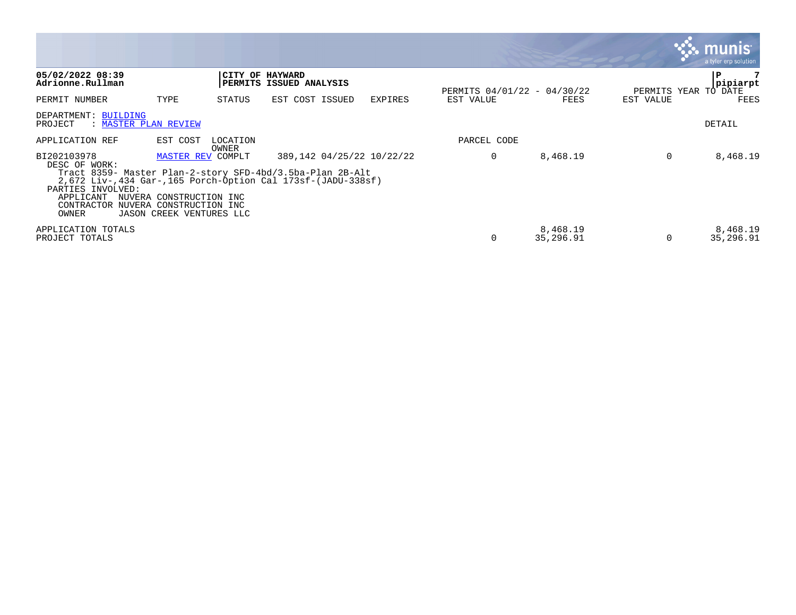|                                                                                                                                                                                                                   |                                                                                                     |                   |                           |                |                             |                       |           | a tyler erp solution                  |
|-------------------------------------------------------------------------------------------------------------------------------------------------------------------------------------------------------------------|-----------------------------------------------------------------------------------------------------|-------------------|---------------------------|----------------|-----------------------------|-----------------------|-----------|---------------------------------------|
| 05/02/2022 08:39<br>Adrionne.Rullman                                                                                                                                                                              |                                                                                                     | CITY OF HAYWARD   | PERMITS ISSUED ANALYSIS   |                | PERMITS 04/01/22 - 04/30/22 |                       |           | P<br>pipiarpt<br>PERMITS YEAR TO DATE |
| PERMIT NUMBER                                                                                                                                                                                                     | TYPE                                                                                                | STATUS            | EST COST ISSUED           | <b>EXPIRES</b> | EST VALUE                   | FEES                  | EST VALUE | FEES                                  |
| DEPARTMENT: BUILDING<br>PROJECT<br>: MASTER PLAN REVIEW                                                                                                                                                           |                                                                                                     |                   |                           |                |                             |                       |           | DETAIL                                |
| APPLICATION REF                                                                                                                                                                                                   | EST COST                                                                                            | LOCATION<br>OWNER |                           |                | PARCEL CODE                 |                       |           |                                       |
| BI202103978<br>DESC OF WORK:<br>Tract 8359- Master Plan-2-story SFD-4bd/3.5ba-Plan 2B-Alt<br>2,672 Liv-,434 Gar-,165 Porch-Option Cal 173sf-(JADU-338sf)<br>PARTIES INVOLVED:<br>APPLICANT<br>CONTRACTOR<br>OWNER | MASTER REV COMPLT<br>NUVERA CONSTRUCTION INC<br>NUVERA CONSTRUCTION INC<br>JASON CREEK VENTURES LLC |                   | 389,142 04/25/22 10/22/22 |                | 0                           | 8,468.19              | 0         | 8,468.19                              |
| APPLICATION TOTALS<br>PROJECT TOTALS                                                                                                                                                                              |                                                                                                     |                   |                           |                | 0                           | 8,468.19<br>35,296.91 | 0         | 8,468.19<br>35,296.91                 |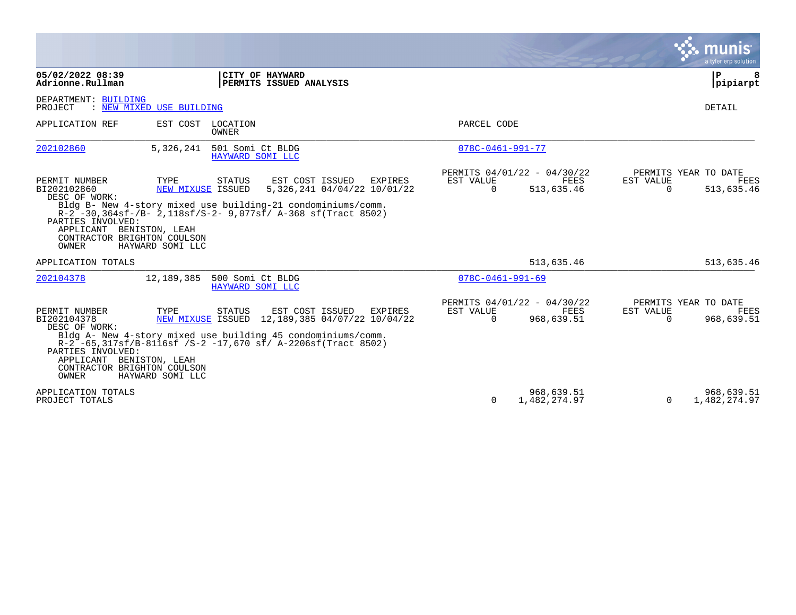|                                                                                                                                        |                                               |                                      |                                                                                                                                                                                              |                          |                                                   |                                               | a tyler erp solution       |
|----------------------------------------------------------------------------------------------------------------------------------------|-----------------------------------------------|--------------------------------------|----------------------------------------------------------------------------------------------------------------------------------------------------------------------------------------------|--------------------------|---------------------------------------------------|-----------------------------------------------|----------------------------|
| 05/02/2022 08:39<br>Adrionne.Rullman                                                                                                   |                                               |                                      | CITY OF HAYWARD<br>PERMITS ISSUED ANALYSIS                                                                                                                                                   |                          |                                                   |                                               | ${\bf P}$<br>8<br>pipiarpt |
| DEPARTMENT: BUILDING<br>PROJECT                                                                                                        | : NEW MIXED USE BUILDING                      |                                      |                                                                                                                                                                                              |                          |                                                   |                                               | DETAIL                     |
| APPLICATION REF                                                                                                                        | EST COST                                      | LOCATION<br><b>OWNER</b>             |                                                                                                                                                                                              | PARCEL CODE              |                                                   |                                               |                            |
| 202102860                                                                                                                              | 5,326,241                                     | 501 Somi Ct BLDG<br>HAYWARD SOMI LLC |                                                                                                                                                                                              | 078C-0461-991-77         |                                                   |                                               |                            |
| PERMIT NUMBER<br>BI202102860<br>DESC OF WORK:<br>PARTIES INVOLVED:<br>APPLICANT BENISTON, LEAH<br>CONTRACTOR BRIGHTON COULSON<br>OWNER | TYPE<br>NEW MIXUSE ISSUED<br>HAYWARD SOMI LLC | STATUS                               | EST COST ISSUED<br>EXPIRES<br>5,326,241 04/04/22 10/01/22<br>Bldg B- New 4-story mixed use building-21 condominiums/comm.<br>R-2 -30,364sf-/B- 2,118sf/S-2- 9,077sf/ A-368 sf(Tract 8502)    | EST VALUE<br>$\Omega$    | PERMITS 04/01/22 - 04/30/22<br>FEES<br>513,635.46 | PERMITS YEAR TO DATE<br>EST VALUE<br>$\Omega$ | FEES<br>513,635.46         |
| APPLICATION TOTALS                                                                                                                     |                                               |                                      |                                                                                                                                                                                              |                          | 513,635.46                                        |                                               | 513,635.46                 |
| 202104378                                                                                                                              | 12,189,385                                    | 500 Somi Ct BLDG<br>HAYWARD SOMI LLC |                                                                                                                                                                                              | $078C - 0461 - 991 - 69$ |                                                   |                                               |                            |
| PERMIT NUMBER<br>BI202104378<br>DESC OF WORK:<br>PARTIES INVOLVED:<br>APPLICANT BENISTON, LEAH<br>CONTRACTOR BRIGHTON COULSON<br>OWNER | TYPE<br>NEW MIXUSE ISSUED<br>HAYWARD SOMI LLC | <b>STATUS</b>                        | EST COST ISSUED<br>EXPIRES<br>12,189,385 04/07/22 10/04/22<br>Bldg A- New 4-story mixed use building 45 condominiums/comm.<br>$R-2$ -65,317sf/B-8116sf /S-2 -17,670 sf/ A-2206sf(Tract 8502) | EST VALUE<br>$\mathbf 0$ | PERMITS 04/01/22 - 04/30/22<br>FEES<br>968,639.51 | PERMITS YEAR TO DATE<br>EST VALUE<br>$\Omega$ | FEES<br>968,639.51         |
| APPLICATION TOTALS<br>PROJECT TOTALS                                                                                                   |                                               |                                      |                                                                                                                                                                                              | $\Omega$                 | 968,639.51<br>1,482,274.97                        | $\Omega$                                      | 968,639.51<br>1,482,274.97 |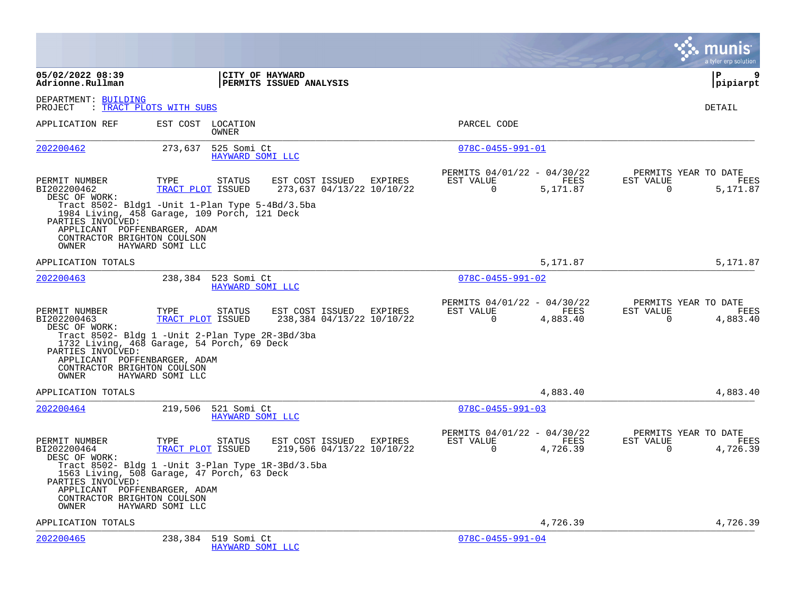|                                                                                                                                            |                                                                                                                                                                   |                                                         |                                                      |                  |                       | a tyler erp solution                     |
|--------------------------------------------------------------------------------------------------------------------------------------------|-------------------------------------------------------------------------------------------------------------------------------------------------------------------|---------------------------------------------------------|------------------------------------------------------|------------------|-----------------------|------------------------------------------|
| 05/02/2022 08:39<br>Adrionne.Rullman                                                                                                       |                                                                                                                                                                   | CITY OF HAYWARD<br>PERMITS ISSUED ANALYSIS              |                                                      |                  |                       | l P<br>9<br> pipiarpt                    |
| DEPARTMENT: BUILDING<br>PROJECT                                                                                                            | : TRACT PLOTS WITH SUBS                                                                                                                                           |                                                         |                                                      |                  |                       | DETAIL                                   |
| APPLICATION REF                                                                                                                            | EST COST LOCATION<br><b>OWNER</b>                                                                                                                                 |                                                         | PARCEL CODE                                          |                  |                       |                                          |
| 202200462                                                                                                                                  | 273,637<br>525 Somi Ct<br>HAYWARD SOMI LLC                                                                                                                        |                                                         | $078C - 0455 - 991 - 01$                             |                  |                       |                                          |
| PERMIT NUMBER<br>BI202200462<br>DESC OF WORK:<br>PARTIES INVOLVED:<br>APPLICANT POFFENBARGER, ADAM<br>CONTRACTOR BRIGHTON COULSON<br>OWNER | TYPE<br><b>STATUS</b><br>TRACT PLOT ISSUED<br>Tract 8502- Bldg1 -Unit 1-Plan Type 5-4Bd/3.5ba<br>1984 Living, 458 Garage, 109 Porch, 121 Deck<br>HAYWARD SOMI LLC | EST COST ISSUED EXPIRES<br>273,637 04/13/22 10/10/22    | PERMITS 04/01/22 - 04/30/22<br>EST VALUE<br>$\Omega$ | FEES<br>5,171.87 | EST VALUE<br>$\Omega$ | PERMITS YEAR TO DATE<br>FEES<br>5,171.87 |
| APPLICATION TOTALS                                                                                                                         |                                                                                                                                                                   |                                                         |                                                      | 5,171.87         |                       | 5,171.87                                 |
| 202200463                                                                                                                                  | 238,384 523 Somi Ct<br>HAYWARD SOMI LLC                                                                                                                           |                                                         | $078C - 0455 - 991 - 02$                             |                  |                       |                                          |
| PERMIT NUMBER<br>BI202200463<br>DESC OF WORK:<br>PARTIES INVOLVED:<br>APPLICANT POFFENBARGER, ADAM<br>CONTRACTOR BRIGHTON COULSON<br>OWNER | TYPE<br><b>STATUS</b><br>TRACT PLOT ISSUED<br>Tract 8502- Bldg 1 -Unit 2-Plan Type 2R-3Bd/3ba<br>1732 Living, 468 Garage, 54 Porch, 69 Deck<br>HAYWARD SOMI LLC   | EST COST ISSUED<br>EXPIRES<br>238,384 04/13/22 10/10/22 | PERMITS 04/01/22 - 04/30/22<br>EST VALUE<br>$\Omega$ | FEES<br>4,883.40 | EST VALUE<br>$\Omega$ | PERMITS YEAR TO DATE<br>FEES<br>4,883.40 |
| APPLICATION TOTALS                                                                                                                         |                                                                                                                                                                   |                                                         |                                                      | 4,883.40         |                       | 4,883.40                                 |
| 202200464                                                                                                                                  | 219,506<br>521 Somi Ct<br>HAYWARD SOMI LLC                                                                                                                        |                                                         | $078C - 0455 - 991 - 03$                             |                  |                       |                                          |
| PERMIT NUMBER<br>BI202200464<br>DESC OF WORK:<br>PARTIES INVOLVED:<br>APPLICANT POFFENBARGER, ADAM<br>CONTRACTOR BRIGHTON COULSON          | TYPE<br><b>STATUS</b><br>TRACT PLOT ISSUED<br>Tract 8502- Bldg 1 -Unit 3-Plan Type 1R-3Bd/3.5ba<br>1563 Living, 508 Garage, 47 Porch, 63 Deck                     | EST COST ISSUED EXPIRES<br>219,506 04/13/22 10/10/22    | PERMITS 04/01/22 - 04/30/22<br>EST VALUE<br>$\Omega$ | FEES<br>4,726.39 | EST VALUE<br>$\Omega$ | PERMITS YEAR TO DATE<br>FEES<br>4,726.39 |
| OWNER                                                                                                                                      | HAYWARD SOMI LLC                                                                                                                                                  |                                                         |                                                      |                  |                       |                                          |
| APPLICATION TOTALS<br>202200465                                                                                                            | 238,384<br>519 Somi Ct                                                                                                                                            |                                                         | $078C - 0455 - 991 - 04$                             | 4,726.39         |                       | 4,726.39                                 |
|                                                                                                                                            | HAYWARD SOMI LLC                                                                                                                                                  |                                                         |                                                      |                  |                       |                                          |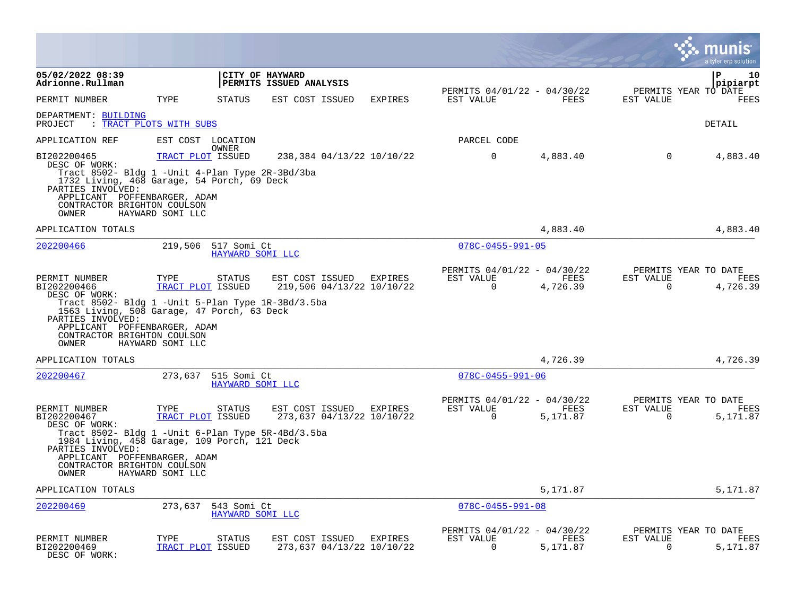|                                                                                                                                                                                                                                               |                                               |                                         |                                            |                                      |                                                      |                  |                          | <b>IS</b><br>a tyler erp solution |             |
|-----------------------------------------------------------------------------------------------------------------------------------------------------------------------------------------------------------------------------------------------|-----------------------------------------------|-----------------------------------------|--------------------------------------------|--------------------------------------|------------------------------------------------------|------------------|--------------------------|-----------------------------------|-------------|
| 05/02/2022 08:39<br>Adrionne.Rullman                                                                                                                                                                                                          |                                               |                                         | CITY OF HAYWARD<br>PERMITS ISSUED ANALYSIS |                                      | PERMITS 04/01/22 - 04/30/22                          |                  |                          | P<br>pipiarpt                     | 10          |
| PERMIT NUMBER                                                                                                                                                                                                                                 | TYPE                                          | <b>STATUS</b>                           | EST COST ISSUED                            | <b>EXPIRES</b>                       | EST VALUE                                            | FEES             | EST VALUE                | PERMITS YEAR TO DATE              | <b>FEES</b> |
| DEPARTMENT: BUILDING<br>: TRACT PLOTS WITH SUBS<br>PROJECT                                                                                                                                                                                    |                                               |                                         |                                            |                                      |                                                      |                  |                          | DETAIL                            |             |
| APPLICATION REF                                                                                                                                                                                                                               | EST COST LOCATION                             |                                         |                                            |                                      | PARCEL CODE                                          |                  |                          |                                   |             |
| BI202200465<br>DESC OF WORK:<br>Tract 8502- Bldg 1 -Unit 4-Plan Type 2R-3Bd/3ba<br>1732 Living, 468 Garage, 54 Porch, 69 Deck<br>PARTIES INVOLVED:<br>APPLICANT POFFENBARGER, ADAM<br>CONTRACTOR BRIGHTON COULSON<br>OWNER                    | TRACT PLOT ISSUED<br>HAYWARD SOMI LLC         | OWNER                                   |                                            | 238,384 04/13/22 10/10/22            | $\Omega$                                             | 4,883.40         | $\Omega$                 | 4,883.40                          |             |
| APPLICATION TOTALS                                                                                                                                                                                                                            |                                               |                                         |                                            |                                      |                                                      | 4,883.40         |                          | 4,883.40                          |             |
| 202200466                                                                                                                                                                                                                                     | 219,506                                       | 517 Somi Ct<br>HAYWARD SOMI LLC         |                                            |                                      | $078C - 0455 - 991 - 05$                             |                  |                          |                                   |             |
| PERMIT NUMBER<br>BI202200466<br>DESC OF WORK:<br>Tract 8502- Bldg 1 -Unit 5-Plan Type 1R-3Bd/3.5ba<br>1563 Living, 508 Garage, 47 Porch, 63 Deck<br>PARTIES INVOLVED:<br>APPLICANT POFFENBARGER, ADAM<br>CONTRACTOR BRIGHTON COULSON<br>OWNER | TYPE<br>TRACT PLOT ISSUED<br>HAYWARD SOMI LLC | STATUS                                  | EST COST ISSUED                            | EXPIRES<br>219,506 04/13/22 10/10/22 | PERMITS 04/01/22 - 04/30/22<br>EST VALUE<br>$\Omega$ | FEES<br>4,726.39 | EST VALUE<br>$\Omega$    | PERMITS YEAR TO DATE<br>4,726.39  | FEES        |
| APPLICATION TOTALS                                                                                                                                                                                                                            |                                               |                                         |                                            |                                      |                                                      | 4,726.39         |                          | 4,726.39                          |             |
| 202200467                                                                                                                                                                                                                                     |                                               | 273,637 515 Somi Ct<br>HAYWARD SOMI LLC |                                            |                                      | $078C - 0455 - 991 - 06$                             |                  |                          |                                   |             |
| PERMIT NUMBER<br>BI202200467<br>DESC OF WORK:<br>Tract 8502- Bldg 1 -Unit 6-Plan Type 5R-4Bd/3.5ba<br>1984 Living, 458 Garage, 109 Porch, 121 Deck<br>PARTIES INVOLVED:<br>APPLICANT POFFENBARGER, ADAM<br>CONTRACTOR BRIGHTON COULSON        | TYPE<br>TRACT PLOT ISSUED                     | <b>STATUS</b>                           | EST COST ISSUED                            | EXPIRES<br>273,637 04/13/22 10/10/22 | PERMITS 04/01/22 - 04/30/22<br>EST VALUE<br>$\Omega$ | FEES<br>5,171.87 | EST VALUE<br>$\mathbf 0$ | PERMITS YEAR TO DATE<br>5,171.87  | FEES        |
| OWNER                                                                                                                                                                                                                                         | HAYWARD SOMI LLC                              |                                         |                                            |                                      |                                                      |                  |                          |                                   |             |
| APPLICATION TOTALS                                                                                                                                                                                                                            |                                               |                                         |                                            |                                      |                                                      | 5,171.87         |                          | 5,171.87                          |             |
| 202200469                                                                                                                                                                                                                                     |                                               | 273,637 543 Somi Ct<br>HAYWARD SOMI LLC |                                            |                                      | $078C - 0455 - 991 - 08$                             |                  |                          |                                   |             |
| PERMIT NUMBER<br>BI202200469<br>DESC OF WORK:                                                                                                                                                                                                 | TYPE<br>TRACT PLOT ISSUED                     | STATUS                                  | EST COST ISSUED EXPIRES                    | 273,637 04/13/22 10/10/22            | PERMITS 04/01/22 - 04/30/22<br>EST VALUE<br>$\Omega$ | FEES<br>5,171.87 | EST VALUE<br>$\Omega$    | PERMITS YEAR TO DATE<br>5,171.87  | FEES        |

 $\bullet$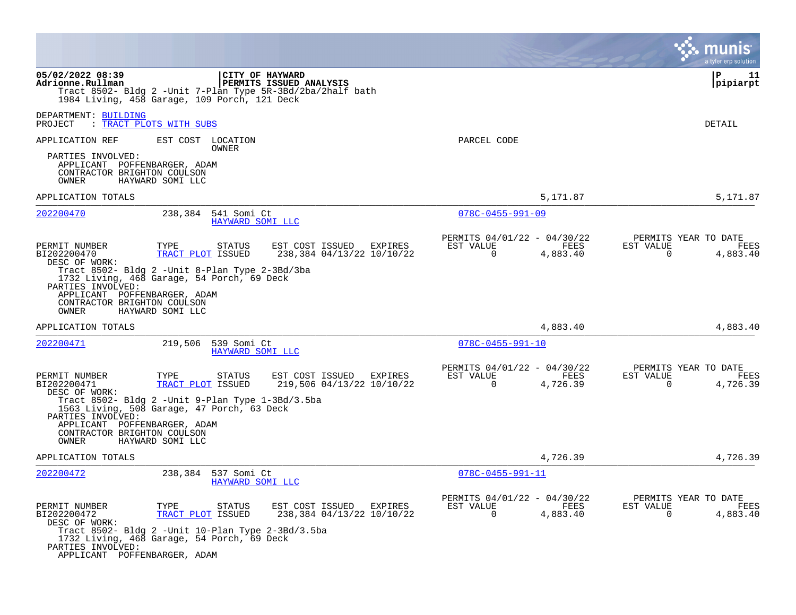|                                                                                                                                            |                                                                                                                                                                  |                                                                                                                 |                                                            |                  | a tyler erp solution                                                 |
|--------------------------------------------------------------------------------------------------------------------------------------------|------------------------------------------------------------------------------------------------------------------------------------------------------------------|-----------------------------------------------------------------------------------------------------------------|------------------------------------------------------------|------------------|----------------------------------------------------------------------|
| 05/02/2022 08:39<br>Adrionne.Rullman                                                                                                       | 1984 Living, 458 Garage, 109 Porch, 121 Deck                                                                                                                     | CITY OF HAYWARD<br><b>PERMITS ISSUED ANALYSIS</b><br>Tract 8502- Bldg 2 -Unit 7-Plan Type 5R-3Bd/2ba/2half bath |                                                            |                  | ΙP<br>11<br> pipiarpt                                                |
| DEPARTMENT: BUILDING<br>PROJECT                                                                                                            | : TRACT PLOTS WITH SUBS                                                                                                                                          |                                                                                                                 |                                                            |                  | <b>DETAIL</b>                                                        |
| APPLICATION REF<br>PARTIES INVOLVED:<br>APPLICANT POFFENBARGER, ADAM<br>CONTRACTOR BRIGHTON COULSON<br>OWNER                               | EST COST LOCATION<br>OWNER<br>HAYWARD SOMI LLC                                                                                                                   |                                                                                                                 | PARCEL CODE                                                |                  |                                                                      |
| APPLICATION TOTALS                                                                                                                         |                                                                                                                                                                  |                                                                                                                 |                                                            | 5,171.87         | 5,171.87                                                             |
| 202200470                                                                                                                                  | 238,384 541 Somi Ct<br>HAYWARD SOMI LLC                                                                                                                          |                                                                                                                 | $078C - 0455 - 991 - 09$                                   |                  |                                                                      |
| PERMIT NUMBER<br>BI202200470<br>DESC OF WORK:<br>PARTIES INVOLVED:<br>APPLICANT POFFENBARGER, ADAM<br>CONTRACTOR BRIGHTON COULSON<br>OWNER | TYPE<br><b>STATUS</b><br>TRACT PLOT ISSUED<br>Tract 8502- Bldg 2 -Unit 8-Plan Type 2-3Bd/3ba<br>1732 Living, 468 Garage, 54 Porch, 69 Deck<br>HAYWARD SOMI LLC   | EST COST ISSUED<br>EXPIRES<br>238,384 04/13/22 10/10/22                                                         | PERMITS 04/01/22 - 04/30/22<br>EST VALUE<br>$\Omega$       | FEES<br>4,883.40 | PERMITS YEAR TO DATE<br>EST VALUE<br>FEES<br>$\Omega$<br>4,883.40    |
| APPLICATION TOTALS                                                                                                                         |                                                                                                                                                                  |                                                                                                                 |                                                            | 4,883.40         | 4,883.40                                                             |
| 202200471                                                                                                                                  | 219,506 539 Somi Ct<br>HAYWARD SOMI LLC                                                                                                                          |                                                                                                                 | $078C - 0455 - 991 - 10$                                   |                  |                                                                      |
| PERMIT NUMBER<br>BI202200471<br>DESC OF WORK:<br>PARTIES INVOLVED:<br>APPLICANT POFFENBARGER, ADAM<br>CONTRACTOR BRIGHTON COULSON<br>OWNER | <b>STATUS</b><br>TYPE<br>TRACT PLOT ISSUED<br>Tract 8502- Bldg 2 -Unit 9-Plan Type 1-3Bd/3.5ba<br>1563 Living, 508 Garage, 47 Porch, 63 Deck<br>HAYWARD SOMI LLC | EST COST ISSUED<br>EXPIRES<br>219,506 04/13/22 10/10/22                                                         | PERMITS 04/01/22 - 04/30/22<br>EST VALUE<br>$\mathbf 0$    | FEES<br>4,726.39 | PERMITS YEAR TO DATE<br>EST VALUE<br>FEES<br>$\mathbf 0$<br>4,726.39 |
| APPLICATION TOTALS                                                                                                                         |                                                                                                                                                                  |                                                                                                                 |                                                            | 4,726.39         | 4,726.39                                                             |
| 202200472                                                                                                                                  | 238,384<br>537 Somi Ct<br>HAYWARD SOMI LLC                                                                                                                       |                                                                                                                 | 078C-0455-991-11                                           |                  |                                                                      |
| PERMIT NUMBER<br>BI202200472<br>DESC OF WORK:<br>PARTIES INVOLVED:<br>APPLICANT POFFENBARGER, ADAM                                         | <b>STATUS</b><br>TYPE<br>TRACT PLOT ISSUED<br>Tract 8502- Bldg 2 -Unit 10-Plan Type 2-3Bd/3.5ba<br>1732 Living, 468 Garage, 54 Porch, 69 Deck                    | EST COST ISSUED EXPIRES<br>238,384 04/13/22 10/10/22                                                            | PERMITS 04/01/22 - 04/30/22<br>EST VALUE<br>$\overline{0}$ | FEES<br>4,883.40 | PERMITS YEAR TO DATE<br>EST VALUE<br>FEES<br>$\mathbf 0$<br>4,883.40 |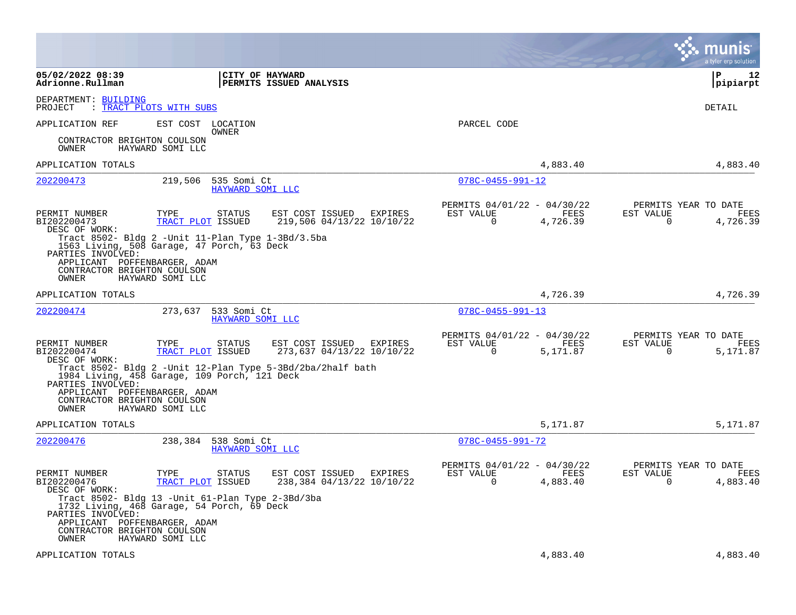|                                                                                           |                                                                                                                     |                                                            |                                                                             | munis<br>a tyler erp solution                                        |
|-------------------------------------------------------------------------------------------|---------------------------------------------------------------------------------------------------------------------|------------------------------------------------------------|-----------------------------------------------------------------------------|----------------------------------------------------------------------|
| 05/02/2022 08:39<br>Adrionne.Rullman                                                      |                                                                                                                     | <b>CITY OF HAYWARD</b><br><b>PERMITS ISSUED ANALYSIS</b>   |                                                                             | ΙP<br>12<br> pipiarpt                                                |
| DEPARTMENT: BUILDING<br>PROJECT                                                           | : TRACT PLOTS WITH SUBS                                                                                             |                                                            |                                                                             | DETAIL                                                               |
| APPLICATION REF                                                                           | EST COST LOCATION<br>OWNER                                                                                          |                                                            | PARCEL CODE                                                                 |                                                                      |
| CONTRACTOR BRIGHTON COULSON<br>OWNER                                                      | HAYWARD SOMI LLC                                                                                                    |                                                            |                                                                             |                                                                      |
| APPLICATION TOTALS                                                                        |                                                                                                                     |                                                            | 4,883.40                                                                    | 4,883.40                                                             |
| 202200473                                                                                 | 219,506<br>535 Somi Ct<br>HAYWARD SOMI LLC                                                                          |                                                            | $078C - 0455 - 991 - 12$                                                    |                                                                      |
| PERMIT NUMBER<br>BI202200473<br>DESC OF WORK:                                             | TYPE<br><b>STATUS</b><br>TRACT PLOT ISSUED                                                                          | EST COST ISSUED EXPIRES<br>219,506 04/13/22 10/10/22       | PERMITS 04/01/22 - 04/30/22<br>EST VALUE<br>FEES<br>$\mathbf 0$<br>4,726.39 | PERMITS YEAR TO DATE<br>EST VALUE<br>FEES<br>$\mathbf 0$<br>4,726.39 |
| PARTIES INVOLVED:<br>APPLICANT POFFENBARGER, ADAM<br>CONTRACTOR BRIGHTON COULSON<br>OWNER | Tract 8502- Bldg 2 -Unit 11-Plan Type 1-3Bd/3.5ba<br>1563 Living, 508 Garage, 47 Porch, 63 Deck<br>HAYWARD SOMI LLC |                                                            |                                                                             |                                                                      |
| APPLICATION TOTALS                                                                        |                                                                                                                     |                                                            | 4,726.39                                                                    | 4,726.39                                                             |
| 202200474                                                                                 | 273,637<br>533 Somi Ct<br>HAYWARD SOMI LLC                                                                          |                                                            | $078C - 0455 - 991 - 13$                                                    |                                                                      |
| PERMIT NUMBER<br>BI202200474<br>DESC OF WORK:                                             | TYPE<br><b>STATUS</b><br>TRACT PLOT ISSUED                                                                          | EST COST ISSUED EXPIRES<br>273,637 04/13/22 10/10/22       | PERMITS 04/01/22 - 04/30/22<br>EST VALUE<br>FEES<br>$\Omega$<br>5,171.87    | PERMITS YEAR TO DATE<br>EST VALUE<br>FEES<br>$\Omega$<br>5,171.87    |
| PARTIES INVOLVED:<br>APPLICANT POFFENBARGER, ADAM<br>CONTRACTOR BRIGHTON COULSON<br>OWNER | 1984 Living, 458 Garage, 109 Porch, 121 Deck<br>HAYWARD SOMI LLC                                                    | Tract 8502- Bldg 2 -Unit 12-Plan Type 5-3Bd/2ba/2half bath |                                                                             |                                                                      |
| APPLICATION TOTALS                                                                        |                                                                                                                     |                                                            | 5,171.87                                                                    | 5,171.87                                                             |
| 202200476                                                                                 | 238,384<br>538 Somi Ct<br>HAYWARD SOMI LLC                                                                          |                                                            | 078C-0455-991-72                                                            |                                                                      |
| PERMIT NUMBER<br>BI202200476<br>DESC OF WORK:                                             | TYPE<br>STATUS<br>TRACT PLOT ISSUED                                                                                 | EST COST ISSUED EXPIRES<br>238,384 04/13/22 10/10/22       | PERMITS 04/01/22 - 04/30/22<br>EST VALUE<br>FEES<br>0<br>4,883.40           | PERMITS YEAR TO DATE<br>EST VALUE<br>FEES<br>0<br>4,883.40           |
| PARTIES INVOLVED:<br>APPLICANT POFFENBARGER, ADAM                                         | Tract 8502- Bldg 13 -Unit 61-Plan Type 2-3Bd/3ba<br>1732 Living, 468 Garage, 54 Porch, 69 Deck                      |                                                            |                                                                             |                                                                      |
| CONTRACTOR BRIGHTON COULSON<br>OWNER                                                      | HAYWARD SOMI LLC                                                                                                    |                                                            |                                                                             |                                                                      |
| APPLICATION TOTALS                                                                        |                                                                                                                     |                                                            | 4,883.40                                                                    | 4,883.40                                                             |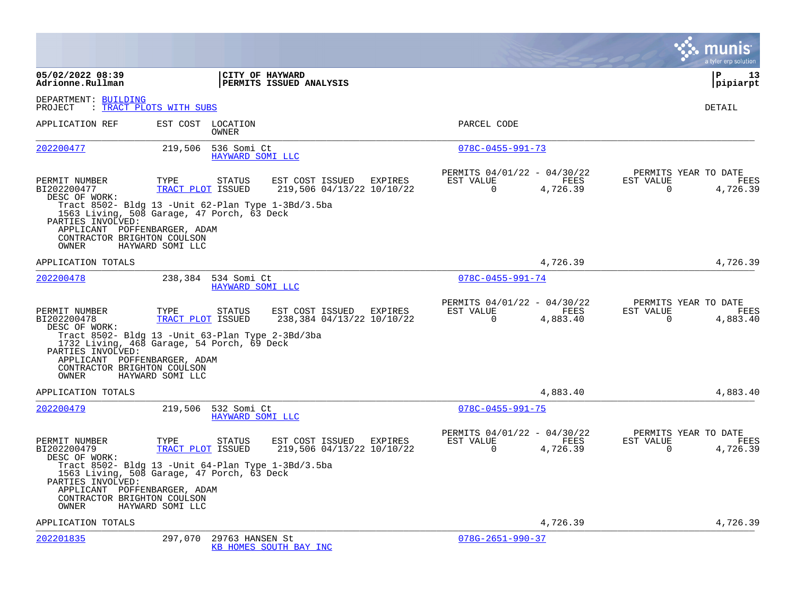|                                                                                                    |                                                                                                                                                |                                                      |                                                      |                  |                       | a tyler erp solution                     |
|----------------------------------------------------------------------------------------------------|------------------------------------------------------------------------------------------------------------------------------------------------|------------------------------------------------------|------------------------------------------------------|------------------|-----------------------|------------------------------------------|
| 05/02/2022 08:39<br>Adrionne.Rullman                                                               |                                                                                                                                                | CITY OF HAYWARD<br>PERMITS ISSUED ANALYSIS           |                                                      |                  |                       | l P<br>13<br> pipiarpt                   |
| DEPARTMENT: BUILDING<br>PROJECT                                                                    | : TRACT PLOTS WITH SUBS                                                                                                                        |                                                      |                                                      |                  |                       | DETAIL                                   |
| APPLICATION REF                                                                                    | EST COST LOCATION<br>OWNER                                                                                                                     |                                                      | PARCEL CODE                                          |                  |                       |                                          |
| 202200477                                                                                          | 219,506<br>536 Somi Ct<br>HAYWARD SOMI LLC                                                                                                     |                                                      | $078C - 0455 - 991 - 73$                             |                  |                       |                                          |
| PERMIT NUMBER<br>BI202200477<br>DESC OF WORK:<br>PARTIES INVOLVED:<br>APPLICANT POFFENBARGER, ADAM | TYPE<br><b>STATUS</b><br>TRACT PLOT ISSUED<br>Tract 8502- Bldg 13 -Unit 62-Plan Type 1-3Bd/3.5ba<br>1563 Living, 508 Garage, 47 Porch, 63 Deck | EST COST ISSUED EXPIRES<br>219,506 04/13/22 10/10/22 | PERMITS 04/01/22 - 04/30/22<br>EST VALUE<br>$\Omega$ | FEES<br>4,726.39 | EST VALUE<br>0        | PERMITS YEAR TO DATE<br>FEES<br>4,726.39 |
| CONTRACTOR BRIGHTON COULSON<br>OWNER                                                               | HAYWARD SOMI LLC                                                                                                                               |                                                      |                                                      |                  |                       |                                          |
| APPLICATION TOTALS                                                                                 |                                                                                                                                                |                                                      |                                                      | 4,726.39         |                       | 4,726.39                                 |
| 202200478                                                                                          | 238,384 534 Somi Ct<br>HAYWARD SOMI LLC                                                                                                        |                                                      | 078C-0455-991-74                                     |                  |                       |                                          |
| PERMIT NUMBER<br>BI202200478<br>DESC OF WORK:<br>PARTIES INVOLVED:<br>APPLICANT POFFENBARGER, ADAM | TYPE<br><b>STATUS</b><br>TRACT PLOT ISSUED<br>Tract 8502- Bldg 13 - Unit 63-Plan Type 2-3Bd/3ba<br>1732 Living, 468 Garage, 54 Porch, 69 Deck  | EST COST ISSUED EXPIRES<br>238,384 04/13/22 10/10/22 | PERMITS 04/01/22 - 04/30/22<br>EST VALUE<br>$\Omega$ | FEES<br>4,883.40 | EST VALUE<br>$\Omega$ | PERMITS YEAR TO DATE<br>FEES<br>4,883.40 |
| CONTRACTOR BRIGHTON COULSON<br>OWNER                                                               | HAYWARD SOMI LLC                                                                                                                               |                                                      |                                                      |                  |                       |                                          |
| APPLICATION TOTALS                                                                                 |                                                                                                                                                |                                                      |                                                      | 4,883.40         |                       | 4,883.40                                 |
| 202200479                                                                                          | 219,506<br>532 Somi Ct<br>HAYWARD SOMI LLC                                                                                                     |                                                      | 078C-0455-991-75                                     |                  |                       |                                          |
| PERMIT NUMBER<br>BI202200479<br>DESC OF WORK:                                                      | TYPE<br><b>STATUS</b><br>TRACT PLOT ISSUED                                                                                                     | EST COST ISSUED EXPIRES<br>219,506 04/13/22 10/10/22 | PERMITS 04/01/22 - 04/30/22<br>EST VALUE<br>$\Omega$ | FEES<br>4,726.39 | EST VALUE<br>$\Omega$ | PERMITS YEAR TO DATE<br>FEES<br>4,726.39 |
| PARTIES INVOLVED:<br>APPLICANT POFFENBARGER, ADAM<br>CONTRACTOR BRIGHTON COULSON<br>OWNER          | Tract 8502- Bldg 13 -Unit 64-Plan Type 1-3Bd/3.5ba<br>1563 Living, 508 Garage, 47 Porch, 63 Deck<br>HAYWARD SOMI LLC                           |                                                      |                                                      |                  |                       |                                          |
| APPLICATION TOTALS                                                                                 |                                                                                                                                                |                                                      |                                                      | 4,726.39         |                       | 4,726.39                                 |
| 202201835                                                                                          | 297,070<br>29763 HANSEN St                                                                                                                     | KB HOMES SOUTH BAY INC                               | $078G - 2651 - 990 - 37$                             |                  |                       |                                          |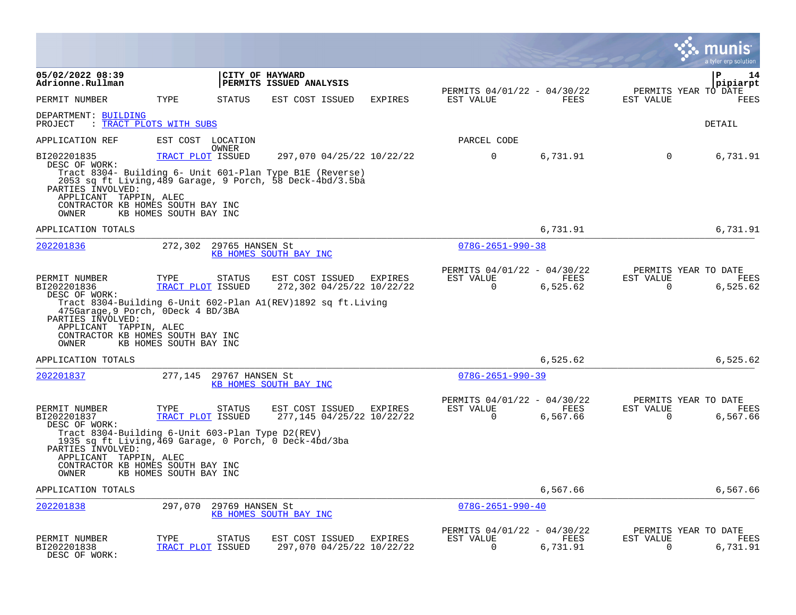|                                                                                                                                                                                                                                                          |                                                     |                 |                                              |                |                                                         |                  |                          |                      | INIS<br>a tyler erp solution |
|----------------------------------------------------------------------------------------------------------------------------------------------------------------------------------------------------------------------------------------------------------|-----------------------------------------------------|-----------------|----------------------------------------------|----------------|---------------------------------------------------------|------------------|--------------------------|----------------------|------------------------------|
| 05/02/2022 08:39<br>Adrionne.Rullman                                                                                                                                                                                                                     |                                                     | CITY OF HAYWARD | PERMITS ISSUED ANALYSIS                      |                |                                                         |                  |                          | $\mathbf{P}$         | 14<br>pipiarpt               |
| PERMIT NUMBER                                                                                                                                                                                                                                            | TYPE                                                | <b>STATUS</b>   | EST COST ISSUED                              | <b>EXPIRES</b> | PERMITS 04/01/22 - 04/30/22<br>EST VALUE                | FEES             | EST VALUE                | PERMITS YEAR TO DATE | FEES                         |
| DEPARTMENT: BUILDING<br>: TRACT PLOTS WITH SUBS<br>PROJECT                                                                                                                                                                                               |                                                     |                 |                                              |                |                                                         |                  |                          | DETAIL               |                              |
| APPLICATION REF                                                                                                                                                                                                                                          | EST COST LOCATION                                   | OWNER           |                                              |                | PARCEL CODE                                             |                  |                          |                      |                              |
| BI202201835<br>DESC OF WORK:<br>Tract 8304- Building 6- Unit 601-Plan Type B1E (Reverse)<br>2053 sq ft Living, 489 Garage, 9 Porch, 58 Deck-4bd/3.5ba<br>PARTIES INVOLVED:<br>APPLICANT TAPPIN, ALEC<br>CONTRACTOR KB HOMES SOUTH BAY INC<br>OWNER       | TRACT PLOT ISSUED<br>KB HOMES SOUTH BAY INC         |                 | 297,070 04/25/22 10/22/22                    |                | $\mathbf 0$                                             | 6,731.91         | 0                        |                      | 6,731.91                     |
| APPLICATION TOTALS                                                                                                                                                                                                                                       |                                                     |                 |                                              |                |                                                         | 6,731.91         |                          |                      | 6,731.91                     |
| 202201836                                                                                                                                                                                                                                                | 272,302                                             | 29765 HANSEN St | KB HOMES SOUTH BAY INC                       |                | $078G - 2651 - 990 - 38$                                |                  |                          |                      |                              |
| PERMIT NUMBER<br>BI202201836<br>DESC OF WORK:<br>Tract 8304-Building 6-Unit 602-Plan A1(REV)1892 sq ft.Living<br>475Garage, 9 Porch, ODeck 4 BD/3BA<br>PARTIES INVOLVED:<br>APPLICANT TAPPIN, ALEC<br>CONTRACTOR KB HOMES SOUTH BAY INC<br>OWNER         | TYPE<br>TRACT PLOT ISSUED<br>KB HOMES SOUTH BAY INC | <b>STATUS</b>   | EST COST ISSUED<br>272,302 04/25/22 10/22/22 | EXPIRES        | PERMITS 04/01/22 - 04/30/22<br>EST VALUE<br>$\mathbf 0$ | FEES<br>6,525.62 | EST VALUE<br>$\mathbf 0$ | PERMITS YEAR TO DATE | FEES<br>6,525.62             |
| APPLICATION TOTALS                                                                                                                                                                                                                                       |                                                     |                 |                                              |                |                                                         | 6,525.62         |                          |                      | 6,525.62                     |
| 202201837                                                                                                                                                                                                                                                | 277,145                                             | 29767 HANSEN St | KB HOMES SOUTH BAY INC                       |                | $078G - 2651 - 990 - 39$                                |                  |                          |                      |                              |
| PERMIT NUMBER<br>BI202201837<br>DESC OF WORK:<br>Tract 8304-Building 6-Unit 603-Plan Type D2(REV)<br>1935 sq ft Living, 469 Garage, 0 Porch, 0 Deck-4bd/3ba<br>PARTIES INVOLVED:<br>APPLICANT TAPPIN, ALEC<br>CONTRACTOR KB HOMES SOUTH BAY INC<br>OWNER | TYPE<br>TRACT PLOT ISSUED<br>KB HOMES SOUTH BAY INC | STATUS          | EST COST ISSUED<br>277,145 04/25/22 10/22/22 | EXPIRES        | PERMITS 04/01/22 - 04/30/22<br>EST VALUE<br>$\Omega$    | FEES<br>6,567.66 | EST VALUE<br>0           | PERMITS YEAR TO DATE | FEES<br>6,567.66             |
| APPLICATION TOTALS                                                                                                                                                                                                                                       |                                                     |                 |                                              |                |                                                         | 6,567.66         |                          |                      | 6,567.66                     |
| 202201838                                                                                                                                                                                                                                                | 297,070                                             | 29769 HANSEN St | KB HOMES SOUTH BAY INC                       |                | $078G - 2651 - 990 - 40$                                |                  |                          |                      |                              |
| PERMIT NUMBER<br>BI202201838<br>DESC OF WORK:                                                                                                                                                                                                            | TYPE<br>TRACT PLOT ISSUED                           | STATUS          | EST COST ISSUED<br>297,070 04/25/22 10/22/22 | EXPIRES        | PERMITS 04/01/22 - 04/30/22<br>EST VALUE<br>$\Omega$    | FEES<br>6,731.91 | EST VALUE<br>$\Omega$    | PERMITS YEAR TO DATE | FEES<br>6,731.91             |

**COL**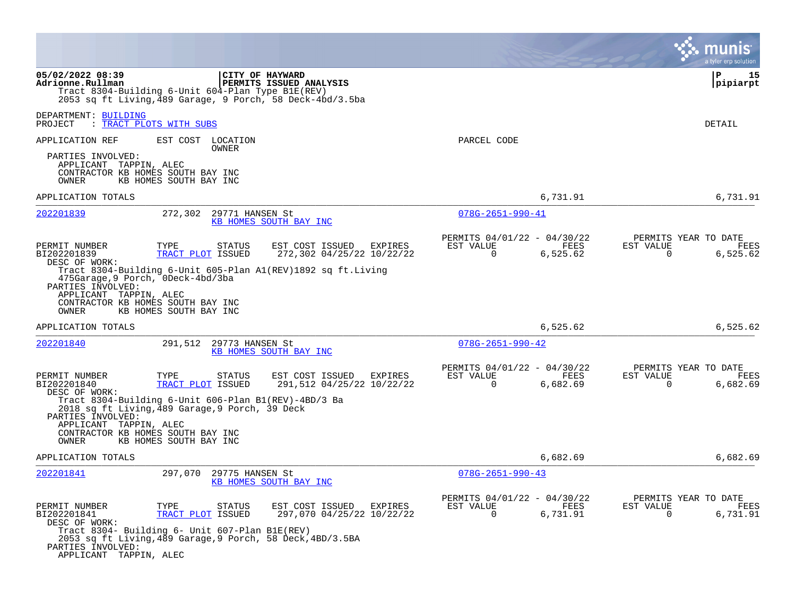|                                                                                                                                                                                                                                                                                                                                                                                          |                                                                             | munis<br>a tyler erp solution                                        |
|------------------------------------------------------------------------------------------------------------------------------------------------------------------------------------------------------------------------------------------------------------------------------------------------------------------------------------------------------------------------------------------|-----------------------------------------------------------------------------|----------------------------------------------------------------------|
| 05/02/2022 08:39<br>CITY OF HAYWARD<br>PERMITS ISSUED ANALYSIS<br>Adrionne.Rullman<br>Tract 8304-Building 6-Unit 604-Plan Type B1E(REV)<br>2053 sq ft Living, 489 Garage, 9 Porch, 58 Deck-4bd/3.5ba                                                                                                                                                                                     |                                                                             | ΙP<br>15<br> pipiarpt                                                |
| DEPARTMENT: BUILDING<br>PROJECT<br>: TRACT PLOTS WITH SUBS                                                                                                                                                                                                                                                                                                                               |                                                                             | DETAIL                                                               |
| APPLICATION REF<br>EST COST LOCATION                                                                                                                                                                                                                                                                                                                                                     | PARCEL CODE                                                                 |                                                                      |
| OWNER<br>PARTIES INVOLVED:<br>APPLICANT TAPPIN, ALEC<br>CONTRACTOR KB HOMES SOUTH BAY INC<br>KB HOMES SOUTH BAY INC<br>OWNER                                                                                                                                                                                                                                                             |                                                                             |                                                                      |
| APPLICATION TOTALS                                                                                                                                                                                                                                                                                                                                                                       | 6,731.91                                                                    | 6,731.91                                                             |
| 202201839<br>272,302<br>29771 HANSEN St<br>KB HOMES SOUTH BAY INC                                                                                                                                                                                                                                                                                                                        | $078G - 2651 - 990 - 41$                                                    |                                                                      |
| PERMIT NUMBER<br>TYPE<br>EST COST ISSUED<br>EXPIRES<br><b>STATUS</b><br>BI202201839<br>TRACT PLOT ISSUED<br>272,302 04/25/22 10/22/22<br>DESC OF WORK:<br>Tract 8304-Building 6-Unit 605-Plan A1(REV)1892 sq ft.Living<br>475Garage, 9 Porch, ODeck-4bd/3ba<br>PARTIES INVOLVED:<br>APPLICANT TAPPIN, ALEC<br>CONTRACTOR KB HOMES SOUTH BAY INC                                          | PERMITS 04/01/22 - 04/30/22<br>EST VALUE<br>FEES<br>$\mathbf 0$<br>6,525.62 | PERMITS YEAR TO DATE<br>EST VALUE<br>FEES<br>$\Omega$<br>6,525.62    |
| OWNER<br>KB HOMES SOUTH BAY INC<br>APPLICATION TOTALS                                                                                                                                                                                                                                                                                                                                    |                                                                             | 6,525.62                                                             |
| 202201840<br>291,512<br>29773 HANSEN St                                                                                                                                                                                                                                                                                                                                                  | 6,525.62<br>$078G - 2651 - 990 - 42$                                        |                                                                      |
| KB HOMES SOUTH BAY INC                                                                                                                                                                                                                                                                                                                                                                   |                                                                             |                                                                      |
| PERMIT NUMBER<br>TYPE<br><b>STATUS</b><br>EST COST ISSUED<br>EXPIRES<br>291,512 04/25/22 10/22/22<br>BI202201840<br>TRACT PLOT ISSUED<br>DESC OF WORK:<br>Tract 8304-Building 6-Unit 606-Plan B1(REV)-4BD/3 Ba<br>2018 sq ft Living, 489 Garage, 9 Porch, 39 Deck<br>PARTIES INVOLVED:<br>APPLICANT TAPPIN, ALEC<br>CONTRACTOR KB HOMES SOUTH BAY INC<br>OWNER<br>KB HOMES SOUTH BAY INC | PERMITS 04/01/22 - 04/30/22<br>EST VALUE<br>FEES<br>$\Omega$<br>6,682.69    | PERMITS YEAR TO DATE<br>EST VALUE<br>FEES<br>$\Omega$<br>6,682.69    |
| APPLICATION TOTALS                                                                                                                                                                                                                                                                                                                                                                       | 6,682.69                                                                    | 6,682.69                                                             |
| 202201841<br>297,070<br>29775 HANSEN St<br>KB HOMES SOUTH BAY INC                                                                                                                                                                                                                                                                                                                        | $078G - 2651 - 990 - 43$                                                    |                                                                      |
| EST COST ISSUED<br>PERMIT NUMBER<br>TYPE<br>STATUS<br>EXPIRES<br>BI202201841<br>TRACT PLOT ISSUED<br>297,070 04/25/22 10/22/22<br>DESC OF WORK:<br>Tract 8304- Building 6- Unit 607-Plan B1E(REV)<br>2053 sq ft Living, 489 Garage, 9 Porch, 58 Deck, 4BD/3.5BA<br>PARTIES INVOLVED:<br>APPLICANT TAPPIN, ALEC                                                                           | PERMITS 04/01/22 - 04/30/22<br>EST VALUE<br>FEES<br>$\mathbf 0$<br>6,731.91 | PERMITS YEAR TO DATE<br>FEES<br>EST VALUE<br>$\mathbf 0$<br>6,731.91 |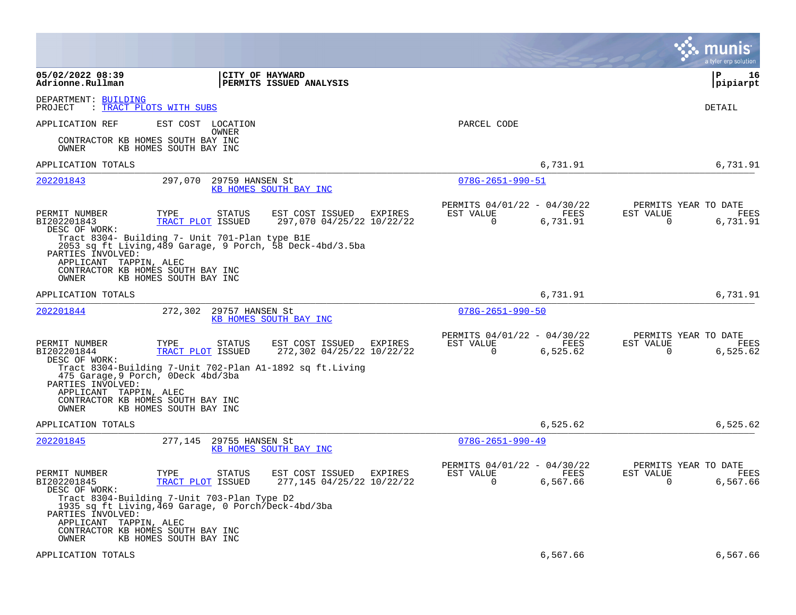|                                                      |                                                                                                                                                                            |                                              |         |                                                      |                  | munis<br>a tyler erp solution                                        |
|------------------------------------------------------|----------------------------------------------------------------------------------------------------------------------------------------------------------------------------|----------------------------------------------|---------|------------------------------------------------------|------------------|----------------------------------------------------------------------|
| 05/02/2022 08:39<br>Adrionne.Rullman                 |                                                                                                                                                                            | CITY OF HAYWARD<br>PERMITS ISSUED ANALYSIS   |         |                                                      |                  | l P<br>16<br> pipiarpt                                               |
| DEPARTMENT: BUILDING<br>PROJECT                      | : TRACT PLOTS WITH SUBS                                                                                                                                                    |                                              |         |                                                      |                  | DETAIL                                                               |
| APPLICATION REF                                      | EST COST LOCATION<br>OWNER                                                                                                                                                 |                                              |         | PARCEL CODE                                          |                  |                                                                      |
| OWNER                                                | CONTRACTOR KB HOMES SOUTH BAY INC<br>KB HOMES SOUTH BAY INC                                                                                                                |                                              |         |                                                      |                  |                                                                      |
| APPLICATION TOTALS                                   |                                                                                                                                                                            |                                              |         |                                                      | 6,731.91         | 6,731.91                                                             |
| 202201843                                            | 297,070<br>29759 HANSEN St                                                                                                                                                 | KB HOMES SOUTH BAY INC                       |         | $078G - 2651 - 990 - 51$                             |                  |                                                                      |
| PERMIT NUMBER<br>BI202201843<br>DESC OF WORK:        | <b>STATUS</b><br>TYPE<br>TRACT PLOT ISSUED                                                                                                                                 | EST COST ISSUED<br>297,070 04/25/22 10/22/22 | EXPIRES | PERMITS 04/01/22 - 04/30/22<br>EST VALUE<br>0        | FEES<br>6,731.91 | PERMITS YEAR TO DATE<br>EST VALUE<br>FEES<br>$\mathbf 0$<br>6,731.91 |
| PARTIES INVOLVED:<br>APPLICANT TAPPIN, ALEC<br>OWNER | Tract 8304- Building 7- Unit 701-Plan type B1E<br>2053 sq ft Living, 489 Garage, 9 Porch, 58 Deck-4bd/3.5ba<br>CONTRACTOR KB HOMES SOUTH BAY INC<br>KB HOMES SOUTH BAY INC |                                              |         |                                                      |                  |                                                                      |
| APPLICATION TOTALS                                   |                                                                                                                                                                            |                                              |         |                                                      | 6,731.91         | 6,731.91                                                             |
| 202201844                                            | 272,302<br>29757 HANSEN St                                                                                                                                                 | KB HOMES SOUTH BAY INC                       |         | $078G - 2651 - 990 - 50$                             |                  |                                                                      |
| PERMIT NUMBER<br>BI202201844<br>DESC OF WORK:        | TYPE<br><b>STATUS</b><br>TRACT PLOT ISSUED                                                                                                                                 | EST COST ISSUED<br>272,302 04/25/22 10/22/22 | EXPIRES | PERMITS 04/01/22 - 04/30/22<br>EST VALUE<br>$\Omega$ | FEES<br>6,525.62 | PERMITS YEAR TO DATE<br>FEES<br>EST VALUE<br>$\Omega$<br>6,525.62    |
| PARTIES INVOLVED:                                    | Tract 8304-Building 7-Unit 702-Plan A1-1892 sq ft.Living<br>475 Garage, 9 Porch, ODeck 4bd/3ba                                                                             |                                              |         |                                                      |                  |                                                                      |
| APPLICANT TAPPIN, ALEC<br>OWNER                      | CONTRACTOR KB HOMES SOUTH BAY INC<br>KB HOMES SOUTH BAY INC                                                                                                                |                                              |         |                                                      |                  |                                                                      |
| APPLICATION TOTALS                                   |                                                                                                                                                                            |                                              |         |                                                      | 6,525.62         | 6,525.62                                                             |
| 202201845                                            | 277,145<br>29755 HANSEN St                                                                                                                                                 | KB HOMES SOUTH BAY INC                       |         | $078G - 2651 - 990 - 49$                             |                  |                                                                      |
| PERMIT NUMBER<br>BI202201845<br>DESC OF WORK:        | TYPE<br>STATUS<br>TRACT PLOT ISSUED                                                                                                                                        | EST COST ISSUED<br>277,145 04/25/22 10/22/22 | EXPIRES | PERMITS 04/01/22 - 04/30/22<br>EST VALUE<br>0        | FEES<br>6,567.66 | PERMITS YEAR TO DATE<br>EST VALUE<br>FEES<br>0<br>6,567.66           |
| PARTIES INVOLVED:<br>APPLICANT TAPPIN, ALEC          | Tract 8304-Building 7-Unit 703-Plan Type D2<br>1935 sq ft Living,469 Garage, 0 Porch/Deck-4bd/3ba<br>CONTRACTOR KB HOMES SOUTH BAY INC                                     |                                              |         |                                                      |                  |                                                                      |
| OWNER<br>APPLICATION TOTALS                          | KB HOMES SOUTH BAY INC                                                                                                                                                     |                                              |         |                                                      | 6,567.66         | 6,567.66                                                             |
|                                                      |                                                                                                                                                                            |                                              |         |                                                      |                  |                                                                      |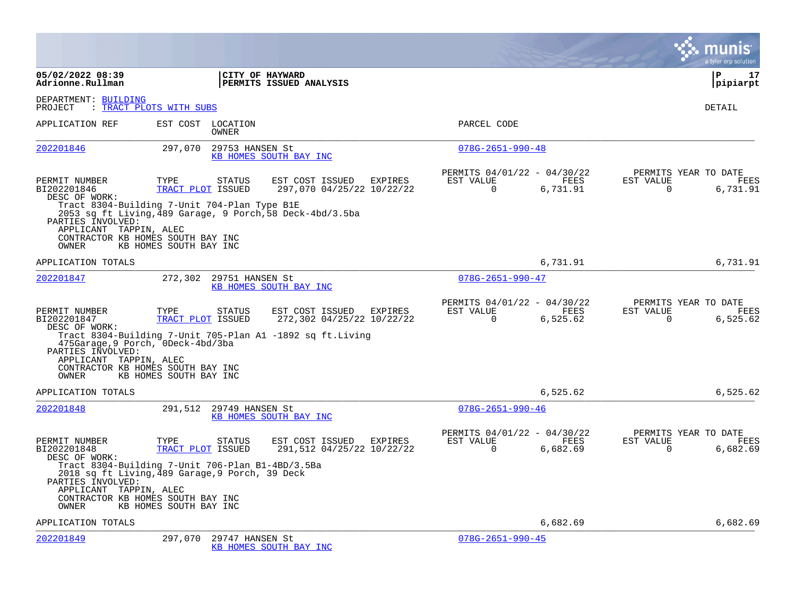|                                                                                                       |                                                                                                                                                                                                                 |                                                         |                                                      |                  |                       | a tyler erp solution                     |
|-------------------------------------------------------------------------------------------------------|-----------------------------------------------------------------------------------------------------------------------------------------------------------------------------------------------------------------|---------------------------------------------------------|------------------------------------------------------|------------------|-----------------------|------------------------------------------|
| 05/02/2022 08:39<br>Adrionne.Rullman                                                                  | CITY OF HAYWARD                                                                                                                                                                                                 | PERMITS ISSUED ANALYSIS                                 |                                                      |                  |                       | ΙP<br>17<br> pipiarpt                    |
| DEPARTMENT: BUILDING<br>PROJECT                                                                       | : TRACT PLOTS WITH SUBS                                                                                                                                                                                         |                                                         |                                                      |                  |                       | DETAIL                                   |
| APPLICATION REF                                                                                       | EST COST LOCATION<br>OWNER                                                                                                                                                                                      |                                                         | PARCEL CODE                                          |                  |                       |                                          |
| 202201846                                                                                             | 297,070<br>29753 HANSEN St                                                                                                                                                                                      | KB HOMES SOUTH BAY INC                                  | $078G - 2651 - 990 - 48$                             |                  |                       |                                          |
| PERMIT NUMBER<br>BI202201846<br>DESC OF WORK:<br>PARTIES INVOLVED:<br>APPLICANT TAPPIN, ALEC<br>OWNER | TYPE<br>STATUS<br>TRACT PLOT ISSUED<br>Tract 8304-Building 7-Unit 704-Plan Type B1E<br>2053 sq ft Living, 489 Garage, 9 Porch, 58 Deck-4bd/3.5ba<br>CONTRACTOR KB HOMES SOUTH BAY INC<br>KB HOMES SOUTH BAY INC | EST COST ISSUED<br>EXPIRES<br>297,070 04/25/22 10/22/22 | PERMITS 04/01/22 - 04/30/22<br>EST VALUE<br>$\Omega$ | FEES<br>6,731.91 | EST VALUE<br>0        | PERMITS YEAR TO DATE<br>FEES<br>6,731.91 |
| APPLICATION TOTALS                                                                                    |                                                                                                                                                                                                                 |                                                         |                                                      | 6,731.91         |                       | 6,731.91                                 |
| 202201847                                                                                             | 272,302<br>29751 HANSEN St                                                                                                                                                                                      | KB HOMES SOUTH BAY INC                                  | $078G - 2651 - 990 - 47$                             |                  |                       |                                          |
| PERMIT NUMBER<br>BI202201847<br>DESC OF WORK:<br>PARTIES INVOLVED:<br>APPLICANT TAPPIN, ALEC<br>OWNER | TYPE<br><b>STATUS</b><br>TRACT PLOT ISSUED<br>Tract 8304-Building 7-Unit 705-Plan A1 -1892 sq ft.Living<br>475Garage, 9 Porch, 0Deck-4bd/3ba<br>CONTRACTOR KB HOMES SOUTH BAY INC<br>KB HOMES SOUTH BAY INC     | EST COST ISSUED<br>EXPIRES<br>272,302 04/25/22 10/22/22 | PERMITS 04/01/22 - 04/30/22<br>EST VALUE<br>$\Omega$ | FEES<br>6,525.62 | EST VALUE<br>$\Omega$ | PERMITS YEAR TO DATE<br>FEES<br>6,525.62 |
| APPLICATION TOTALS                                                                                    |                                                                                                                                                                                                                 |                                                         |                                                      | 6,525.62         |                       | 6,525.62                                 |
| 202201848                                                                                             | 291,512<br>29749 HANSEN St                                                                                                                                                                                      | KB HOMES SOUTH BAY INC                                  | $078G - 2651 - 990 - 46$                             |                  |                       |                                          |
| PERMIT NUMBER<br>BI202201848<br>DESC OF WORK:<br>PARTIES INVOLVED:<br>APPLICANT TAPPIN, ALEC          | TYPE<br><b>STATUS</b><br>TRACT PLOT ISSUED<br>Tract 8304-Building 7-Unit 706-Plan B1-4BD/3.5Ba<br>2018 sq ft Living, 489 Garage, 9 Porch, 39 Deck<br>CONTRACTOR KB HOMES SOUTH BAY INC                          | EST COST ISSUED<br>EXPIRES<br>291,512 04/25/22 10/22/22 | PERMITS 04/01/22 - 04/30/22<br>EST VALUE<br>$\Omega$ | FEES<br>6,682.69 | EST VALUE<br>$\Omega$ | PERMITS YEAR TO DATE<br>FEES<br>6,682.69 |
| OWNER<br>APPLICATION TOTALS                                                                           | KB HOMES SOUTH BAY INC                                                                                                                                                                                          |                                                         |                                                      | 6,682.69         |                       | 6,682.69                                 |
| 202201849                                                                                             | 297,070<br>29747 HANSEN St                                                                                                                                                                                      | KB HOMES SOUTH BAY INC                                  | $078G - 2651 - 990 - 45$                             |                  |                       |                                          |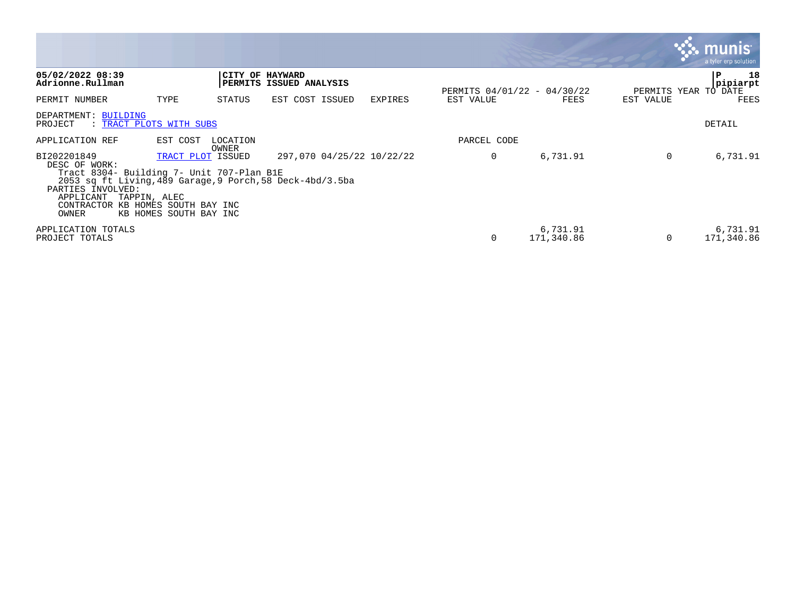|                                                                                                                                                                                                                 |                                                                       |                   |                           |                |                                          |                        |           | munis<br>a tyler erp solution |
|-----------------------------------------------------------------------------------------------------------------------------------------------------------------------------------------------------------------|-----------------------------------------------------------------------|-------------------|---------------------------|----------------|------------------------------------------|------------------------|-----------|-------------------------------|
| 05/02/2022 08:39<br>Adrionne.Rullman                                                                                                                                                                            |                                                                       | CITY OF HAYWARD   | PERMITS ISSUED ANALYSIS   |                |                                          |                        |           | 18<br>P<br>pipiarpt           |
| PERMIT NUMBER                                                                                                                                                                                                   | TYPE                                                                  | STATUS            | EST COST ISSUED           | <b>EXPIRES</b> | PERMITS 04/01/22 - 04/30/22<br>EST VALUE | FEES                   | EST VALUE | PERMITS YEAR TO DATE<br>FEES  |
| DEPARTMENT: BUILDING<br>PROJECT<br>: TRACT PLOTS WITH SUBS                                                                                                                                                      |                                                                       |                   |                           |                |                                          |                        |           | DETAIL                        |
| APPLICATION REF                                                                                                                                                                                                 | EST COST                                                              | LOCATION<br>OWNER |                           |                | PARCEL CODE                              |                        |           |                               |
| BI202201849<br>DESC OF WORK:<br>Tract 8304- Building 7- Unit 707-Plan B1E<br>2053 sq ft Living, 489 Garage, 9 Porch, 58 Deck-4bd/3.5ba<br>PARTIES INVOLVED:<br>APPLICANT<br>TAPPIN, ALEC<br>CONTRACTOR<br>OWNER | TRACT PLOT ISSUED<br>KB HOMES SOUTH BAY INC<br>KB HOMES SOUTH BAY INC |                   | 297,070 04/25/22 10/22/22 |                | 0                                        | 6,731.91               | 0         | 6,731.91                      |
| APPLICATION TOTALS<br>PROJECT TOTALS                                                                                                                                                                            |                                                                       |                   |                           |                | 0                                        | 6,731.91<br>171,340.86 | $\Omega$  | 6,731.91<br>171,340.86        |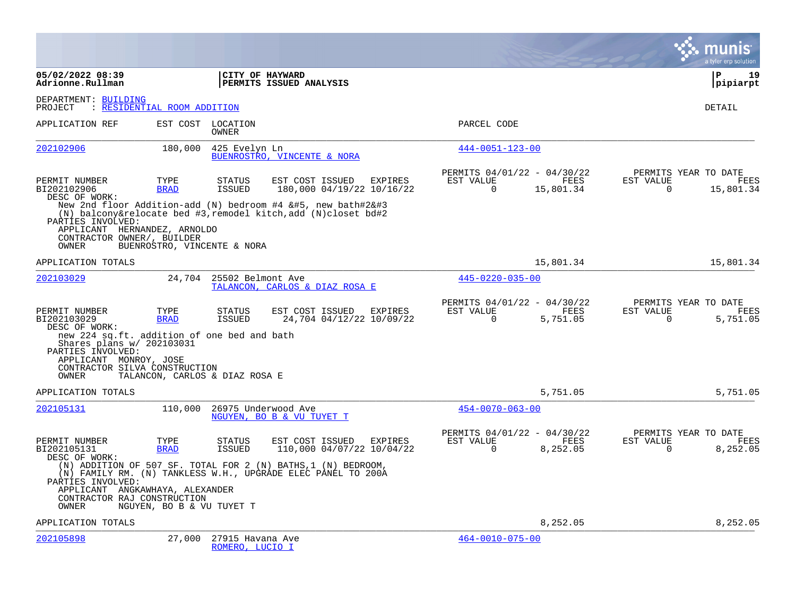|                                                                                                                                                                   |                                    |                                     |                                                                                                                                                                                              |         |                                                      |                         |                       | a tyler erp solution                      |
|-------------------------------------------------------------------------------------------------------------------------------------------------------------------|------------------------------------|-------------------------------------|----------------------------------------------------------------------------------------------------------------------------------------------------------------------------------------------|---------|------------------------------------------------------|-------------------------|-----------------------|-------------------------------------------|
| 05/02/2022 08:39<br>Adrionne.Rullman                                                                                                                              |                                    | CITY OF HAYWARD                     | PERMITS ISSUED ANALYSIS                                                                                                                                                                      |         |                                                      |                         |                       | P<br>19<br> pipiarpt                      |
| DEPARTMENT: BUILDING<br>PROJECT                                                                                                                                   | <u>: RESIDENTIAL ROOM ADDITION</u> |                                     |                                                                                                                                                                                              |         |                                                      |                         |                       | <b>DETAIL</b>                             |
| APPLICATION REF                                                                                                                                                   |                                    | EST COST LOCATION<br>OWNER          |                                                                                                                                                                                              |         | PARCEL CODE                                          |                         |                       |                                           |
| 202102906                                                                                                                                                         | 180,000                            | 425 Evelyn Ln                       | BUENROSTRO, VINCENTE & NORA                                                                                                                                                                  |         | $444 - 0051 - 123 - 00$                              |                         |                       |                                           |
| PERMIT NUMBER<br>BI202102906<br>DESC OF WORK:<br>PARTIES INVOLVED:<br>APPLICANT HERNANDEZ, ARNOLDO                                                                | TYPE<br><b>BRAD</b>                | <b>STATUS</b><br><b>ISSUED</b>      | EST COST ISSUED<br>180,000 04/19/22 10/16/22<br>New 2nd floor Addition-add (N) bedroom #4 $\&$ #5, new bath#2 $\&$ #3<br>$(N)$ balcony&relocate bed #3, remodel kitch, add $(N)$ closet bd#2 | EXPIRES | PERMITS 04/01/22 - 04/30/22<br>EST VALUE<br>$\Omega$ | FEES<br>15,801.34       | EST VALUE<br>$\Omega$ | PERMITS YEAR TO DATE<br>FEES<br>15,801.34 |
| CONTRACTOR OWNER/, BUILDER<br>OWNER                                                                                                                               | BUENROSTRO, VINCENTE & NORA        |                                     |                                                                                                                                                                                              |         |                                                      |                         |                       |                                           |
| APPLICATION TOTALS                                                                                                                                                |                                    |                                     |                                                                                                                                                                                              |         |                                                      | 15,801.34               |                       | 15,801.34                                 |
| 202103029                                                                                                                                                         | 24,704                             | 25502 Belmont Ave                   | TALANCON, CARLOS & DIAZ ROSA E                                                                                                                                                               |         | $445 - 0220 - 035 - 00$                              |                         |                       |                                           |
| PERMIT NUMBER<br>BI202103029<br>DESC OF WORK:                                                                                                                     | TYPE<br><b>BRAD</b>                | <b>STATUS</b><br><b>ISSUED</b>      | EST COST ISSUED<br>EXPIRES<br>24,704 04/12/22 10/09/22                                                                                                                                       |         | PERMITS 04/01/22 - 04/30/22<br>EST VALUE<br>$\Omega$ | <b>FEES</b><br>5,751.05 | EST VALUE<br>$\Omega$ | PERMITS YEAR TO DATE<br>FEES<br>5,751.05  |
| new 224 sq.ft. addition of one bed and bath<br>Shares plans w/ 202103031<br>PARTIES INVOLVED:<br>APPLICANT MONROY, JOSE<br>CONTRACTOR SILVA CONSTRUCTION<br>OWNER | TALANCON, CARLOS & DIAZ ROSA E     |                                     |                                                                                                                                                                                              |         |                                                      |                         |                       |                                           |
| APPLICATION TOTALS                                                                                                                                                |                                    |                                     |                                                                                                                                                                                              |         |                                                      | 5,751.05                |                       | 5,751.05                                  |
| 202105131                                                                                                                                                         | 110,000                            | 26975 Underwood Ave                 | NGUYEN, BO B & VU TUYET T                                                                                                                                                                    |         | $454 - 0070 - 063 - 00$                              |                         |                       |                                           |
| PERMIT NUMBER<br>BI202105131<br>DESC OF WORK:                                                                                                                     | TYPE<br><b>BRAD</b>                | <b>STATUS</b><br><b>ISSUED</b>      | EST COST ISSUED<br><b>EXPIRES</b><br>110,000 04/07/22 10/04/22                                                                                                                               |         | PERMITS 04/01/22 - 04/30/22<br>EST VALUE<br>$\Omega$ | FEES<br>8,252.05        | EST VALUE<br>$\Omega$ | PERMITS YEAR TO DATE<br>FEES<br>8,252.05  |
| PARTIES INVOLVED:<br>APPLICANT ANGKAWHAYA, ALEXANDER<br>CONTRACTOR RAJ CONSTRUCTION                                                                               |                                    |                                     | (N) ADDITION OF 507 SF. TOTAL FOR 2 (N) BATHS, 1 (N) BEDROOM,<br>(N) FAMILY RM. (N) TANKLESS W.H., UPGRADE ELEC PANEL TO 200A                                                                |         |                                                      |                         |                       |                                           |
| OWNER                                                                                                                                                             | NGUYEN, BO B & VU TUYET T          |                                     |                                                                                                                                                                                              |         |                                                      |                         |                       |                                           |
| APPLICATION TOTALS                                                                                                                                                |                                    |                                     |                                                                                                                                                                                              |         |                                                      | 8,252.05                |                       | 8,252.05                                  |
| 202105898                                                                                                                                                         | 27,000                             | 27915 Havana Ave<br>ROMERO, LUCIO I |                                                                                                                                                                                              |         | $464 - 0010 - 075 - 00$                              |                         |                       |                                           |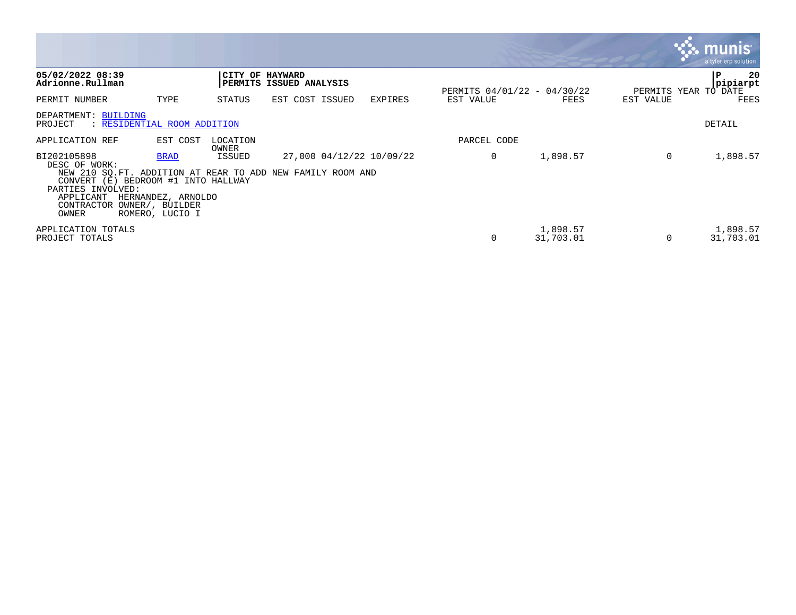|                                                                                                                              |                                                                         |                   |                                                                                        |         |                                          |                       |                                   | munis<br>a tyler erp solution |
|------------------------------------------------------------------------------------------------------------------------------|-------------------------------------------------------------------------|-------------------|----------------------------------------------------------------------------------------|---------|------------------------------------------|-----------------------|-----------------------------------|-------------------------------|
| 05/02/2022 08:39<br>Adrionne.Rullman                                                                                         |                                                                         | CITY OF HAYWARD   | PERMITS ISSUED ANALYSIS                                                                |         |                                          |                       |                                   | 20<br>P<br>pipiarpt           |
| PERMIT NUMBER                                                                                                                | TYPE                                                                    | STATUS            | EST COST ISSUED                                                                        | EXPIRES | PERMITS 04/01/22 - 04/30/22<br>EST VALUE | FEES                  | PERMITS YEAR TO DATE<br>EST VALUE | FEES                          |
| DEPARTMENT: BUILDING<br>PROJECT                                                                                              | : RESIDENTIAL ROOM ADDITION                                             |                   |                                                                                        |         |                                          |                       |                                   | DETAIL                        |
| APPLICATION REF                                                                                                              | EST COST                                                                | LOCATION<br>OWNER |                                                                                        |         | PARCEL CODE                              |                       |                                   |                               |
| BI202105898<br>DESC OF WORK:<br>CONVERT (E) BEDROOM #1 INTO HALLWAY<br>PARTIES INVOLVED:<br>APPLICANT<br>CONTRACTOR<br>OWNER | <b>BRAD</b><br>HERNANDEZ, ARNOLDO<br>OWNER/, BUILDER<br>ROMERO, LUCIO I | ISSUED            | 27,000 04/12/22 10/09/22<br>NEW 210 SQ.FT. ADDITION AT REAR TO ADD NEW FAMILY ROOM AND |         | 0                                        | 1,898.57              | 0                                 | 1,898.57                      |
| APPLICATION TOTALS<br>PROJECT TOTALS                                                                                         |                                                                         |                   |                                                                                        |         | 0                                        | 1,898.57<br>31,703.01 | $\mathbf 0$                       | 1,898.57<br>31,703.01         |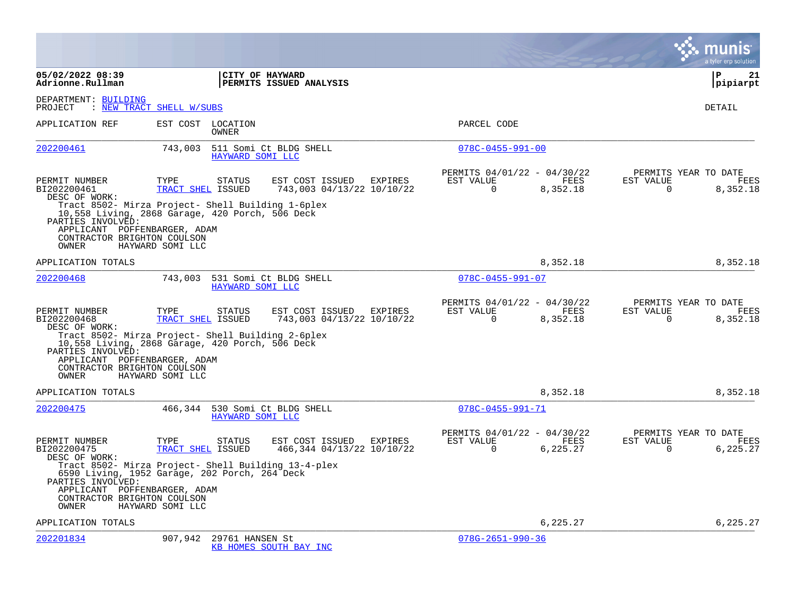|                                                                                                                                                                                                                                                                                                     |                                                                          |                                                                  | a tyler erp solution                                                      |
|-----------------------------------------------------------------------------------------------------------------------------------------------------------------------------------------------------------------------------------------------------------------------------------------------------|--------------------------------------------------------------------------|------------------------------------------------------------------|---------------------------------------------------------------------------|
| 05/02/2022 08:39<br>Adrionne.Rullman                                                                                                                                                                                                                                                                | CITY OF HAYWARD<br>PERMITS ISSUED ANALYSIS                               |                                                                  | P<br>21<br> pipiarpt                                                      |
| DEPARTMENT: BUILDING<br>: NEW TRACT SHELL W/SUBS<br>PROJECT                                                                                                                                                                                                                                         |                                                                          |                                                                  | DETAIL                                                                    |
| APPLICATION REF                                                                                                                                                                                                                                                                                     | EST COST LOCATION<br>OWNER                                               | PARCEL CODE                                                      |                                                                           |
| 202200461<br>743,003                                                                                                                                                                                                                                                                                | 511 Somi Ct BLDG SHELL<br>HAYWARD SOMI LLC                               | $078C - 0455 - 991 - 00$                                         |                                                                           |
| PERMIT NUMBER<br>TYPE<br>BI202200461<br>TRACT SHEL ISSUED<br>DESC OF WORK:<br>Tract 8502- Mirza Project- Shell Building 1-6plex<br>10,558 Living, 2868 Garage, 420 Porch, 506 Deck<br>PARTIES INVOLVED:<br>APPLICANT POFFENBARGER, ADAM<br>CONTRACTOR BRIGHTON COULSON<br>OWNER<br>HAYWARD SOMI LLC | <b>STATUS</b><br>EST COST ISSUED EXPIRES<br>743,003 04/13/22 10/10/22    | PERMITS 04/01/22 - 04/30/22<br>EST VALUE<br>$\Omega$<br>8,352.18 | PERMITS YEAR TO DATE<br>FEES<br>EST VALUE<br>FEES<br>$\Omega$<br>8,352.18 |
| APPLICATION TOTALS                                                                                                                                                                                                                                                                                  |                                                                          | 8,352.18                                                         | 8,352.18                                                                  |
| 202200468<br>743,003                                                                                                                                                                                                                                                                                | 531 Somi Ct BLDG SHELL<br>HAYWARD SOMI LLC                               | $078C - 0455 - 991 - 07$                                         |                                                                           |
| PERMIT NUMBER<br>TYPE<br>BI202200468<br>TRACT SHEL ISSUED<br>DESC OF WORK:<br>Tract 8502- Mirza Project- Shell Building 2-6plex<br>10,558 Living, 2868 Garage, 420 Porch, 506 Deck<br>PARTIES INVOLVED:<br>APPLICANT POFFENBARGER, ADAM<br>CONTRACTOR BRIGHTON COULSON                              | EST COST ISSUED<br><b>STATUS</b><br>EXPIRES<br>743,003 04/13/22 10/10/22 | PERMITS 04/01/22 - 04/30/22<br>EST VALUE<br>$\Omega$<br>8,352.18 | PERMITS YEAR TO DATE<br>FEES<br>EST VALUE<br>FEES<br>$\Omega$<br>8,352.18 |
| OWNER<br>HAYWARD SOMI LLC<br>APPLICATION TOTALS                                                                                                                                                                                                                                                     |                                                                          | 8,352.18                                                         | 8,352.18                                                                  |
| 202200475<br>466,344                                                                                                                                                                                                                                                                                | 530 Somi Ct BLDG SHELL<br>HAYWARD SOMI LLC                               | 078C-0455-991-71                                                 |                                                                           |
| PERMIT NUMBER<br>TYPE<br>BI202200475<br>TRACT SHEL ISSUED<br>DESC OF WORK:<br>Tract 8502- Mirza Project- Shell Building 13-4-plex<br>6590 Living, 1952 Garage, 202 Porch, 264 Deck<br>PARTIES INVOLVED:<br>APPLICANT POFFENBARGER, ADAM                                                             | <b>STATUS</b><br>EST COST ISSUED EXPIRES<br>466,344 04/13/22 10/10/22    | PERMITS 04/01/22 - 04/30/22<br>EST VALUE<br>$\Omega$<br>6,225.27 | PERMITS YEAR TO DATE<br>FEES<br>EST VALUE<br>FEES<br>$\Omega$<br>6,225.27 |
| CONTRACTOR BRIGHTON COULSON<br>HAYWARD SOMI LLC<br>OWNER<br>APPLICATION TOTALS                                                                                                                                                                                                                      |                                                                          | 6,225.27                                                         | 6,225.27                                                                  |
| 202201834<br>907,942                                                                                                                                                                                                                                                                                | 29761 HANSEN St<br>KB HOMES SOUTH BAY INC                                | $078G - 2651 - 990 - 36$                                         |                                                                           |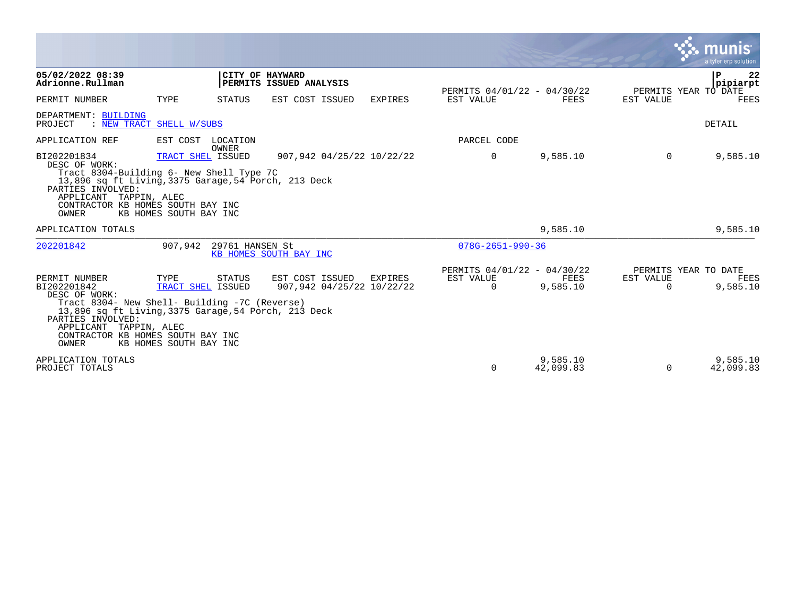|                                                                                                                                                                                                                                                     |                                                     |                          |                                              |         |                                                         |                       |                | a tyler erp solution                        |
|-----------------------------------------------------------------------------------------------------------------------------------------------------------------------------------------------------------------------------------------------------|-----------------------------------------------------|--------------------------|----------------------------------------------|---------|---------------------------------------------------------|-----------------------|----------------|---------------------------------------------|
| 05/02/2022 08:39<br>Adrionne.Rullman                                                                                                                                                                                                                |                                                     | CITY OF HAYWARD          | PERMITS ISSUED ANALYSIS                      |         | PERMITS 04/01/22 - 04/30/22                             |                       |                | P<br>22<br>pipiarpt<br>PERMITS YEAR TO DATE |
| PERMIT NUMBER                                                                                                                                                                                                                                       | TYPE                                                | STATUS                   | EST COST ISSUED                              | EXPIRES | EST VALUE                                               | FEES                  | EST VALUE      | FEES                                        |
| DEPARTMENT: BUILDING<br>: NEW TRACT SHELL W/SUBS<br>PROJECT                                                                                                                                                                                         |                                                     |                          |                                              |         |                                                         |                       |                | DETAIL                                      |
| APPLICATION REF                                                                                                                                                                                                                                     | EST COST                                            | LOCATION<br><b>OWNER</b> |                                              |         | PARCEL CODE                                             |                       |                |                                             |
| BI202201834<br>DESC OF WORK:<br>Tract 8304-Building 6- New Shell Type 7C<br>13,896 sq ft Living, 3375 Garage, 54 Porch, 213 Deck<br>PARTIES INVOLVED:<br>APPLICANT TAPPIN, ALEC<br>CONTRACTOR KB HOMES SOUTH BAY INC<br>OWNER                       | TRACT SHEL ISSUED<br>KB HOMES SOUTH BAY INC         |                          | 907,942 04/25/22 10/22/22                    |         | $\mathbf 0$                                             | 9,585.10              | $\Omega$       | 9,585.10                                    |
| APPLICATION TOTALS                                                                                                                                                                                                                                  |                                                     |                          |                                              |         |                                                         | 9,585.10              |                | 9,585.10                                    |
| 202201842                                                                                                                                                                                                                                           | 907,942                                             | 29761 HANSEN St          | KB HOMES SOUTH BAY INC                       |         | $078G - 2651 - 990 - 36$                                |                       |                |                                             |
| PERMIT NUMBER<br>BI202201842<br>DESC OF WORK:<br>Tract 8304- New Shell- Building -7C (Reverse)<br>13,896 sq ft Living, 3375 Garage, 54 Porch, 213 Deck<br>PARTIES INVOLVED:<br>APPLICANT TAPPIN, ALEC<br>CONTRACTOR KB HOMES SOUTH BAY INC<br>OWNER | TYPE<br>TRACT SHEL ISSUED<br>KB HOMES SOUTH BAY INC | STATUS                   | EST COST ISSUED<br>907,942 04/25/22 10/22/22 | EXPIRES | PERMITS 04/01/22 - 04/30/22<br>EST VALUE<br>$\mathbf 0$ | FEES<br>9,585.10      | EST VALUE<br>0 | PERMITS YEAR TO DATE<br>FEES<br>9,585.10    |
| APPLICATION TOTALS<br>PROJECT TOTALS                                                                                                                                                                                                                |                                                     |                          |                                              |         | $\Omega$                                                | 9,585.10<br>42,099.83 | $\Omega$       | 9,585.10<br>42,099.83                       |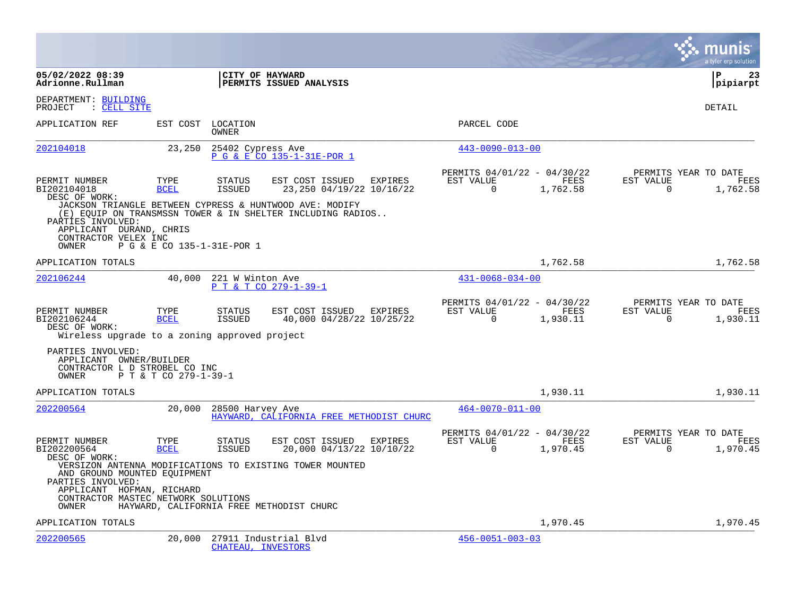|                                                                                                                                |                                                   |                         |                                                                                                                                                                      |                |                                                         |                         |                          | munis<br>a tyler erp solution                   |
|--------------------------------------------------------------------------------------------------------------------------------|---------------------------------------------------|-------------------------|----------------------------------------------------------------------------------------------------------------------------------------------------------------------|----------------|---------------------------------------------------------|-------------------------|--------------------------|-------------------------------------------------|
| 05/02/2022 08:39<br>Adrionne.Rullman                                                                                           |                                                   |                         | CITY OF HAYWARD<br>PERMITS ISSUED ANALYSIS                                                                                                                           |                |                                                         |                         |                          | l P<br>23<br> pipiarpt                          |
| DEPARTMENT: BUILDING<br>PROJECT<br>: CELL SITE                                                                                 |                                                   |                         |                                                                                                                                                                      |                |                                                         |                         |                          | DETAIL                                          |
| APPLICATION REF                                                                                                                | EST COST                                          | LOCATION<br>OWNER       |                                                                                                                                                                      |                | PARCEL CODE                                             |                         |                          |                                                 |
| 202104018                                                                                                                      | 23,250                                            | 25402 Cypress Ave       | P G & E CO 135-1-31E-POR 1                                                                                                                                           |                | $443 - 0090 - 013 - 00$                                 |                         |                          |                                                 |
| PERMIT NUMBER<br>BI202104018<br>DESC OF WORK:<br>PARTIES INVOLVED:<br>APPLICANT DURAND, CHRIS<br>CONTRACTOR VELEX INC<br>OWNER | TYPE<br><b>BCEL</b><br>P G & E CO 135-1-31E-POR 1 | <b>STATUS</b><br>ISSUED | EST COST ISSUED<br>23,250 04/19/22 10/16/22<br>JACKSON TRIANGLE BETWEEN CYPRESS & HUNTWOOD AVE: MODIFY<br>(E) EOUIP ON TRANSMSSN TOWER & IN SHELTER INCLUDING RADIOS | EXPIRES        | PERMITS 04/01/22 - 04/30/22<br>EST VALUE<br>$\mathbf 0$ | FEES<br>1,762.58        | EST VALUE<br>$\mathbf 0$ | PERMITS YEAR TO DATE<br>FEES<br>1,762.58        |
| APPLICATION TOTALS                                                                                                             |                                                   |                         |                                                                                                                                                                      |                |                                                         | 1,762.58                |                          | 1,762.58                                        |
| 202106244                                                                                                                      | 40,000                                            | 221 W Winton Ave        | P T & T CO 279-1-39-1                                                                                                                                                |                | $431 - 0068 - 034 - 00$                                 |                         |                          |                                                 |
| PERMIT NUMBER<br>BI202106244<br>DESC OF WORK:<br>Wireless upgrade to a zoning approved project                                 | TYPE<br><b>BCEL</b>                               | <b>STATUS</b><br>ISSUED | EST COST ISSUED<br>40,000 04/28/22 10/25/22                                                                                                                          | <b>EXPIRES</b> | PERMITS 04/01/22 - 04/30/22<br>EST VALUE<br>$\Omega$    | <b>FEES</b><br>1,930.11 | EST VALUE<br>$\Omega$    | PERMITS YEAR TO DATE<br><b>FEES</b><br>1,930.11 |
| PARTIES INVOLVED:<br>APPLICANT OWNER/BUILDER<br>CONTRACTOR L D STROBEL CO INC<br>OWNER                                         | P T & T CO 279-1-39-1                             |                         |                                                                                                                                                                      |                |                                                         |                         |                          |                                                 |
| APPLICATION TOTALS                                                                                                             |                                                   |                         |                                                                                                                                                                      |                |                                                         | 1,930.11                |                          | 1,930.11                                        |
| 202200564                                                                                                                      | 20,000                                            | 28500 Harvey Ave        | HAYWARD, CALIFORNIA FREE METHODIST CHURC                                                                                                                             |                | $464 - 0070 - 011 - 00$                                 |                         |                          |                                                 |
| PERMIT NUMBER<br>BI202200564<br>DESC OF WORK:                                                                                  | TYPE<br><b>BCEL</b>                               | <b>STATUS</b><br>ISSUED | EST COST ISSUED<br>20,000 04/13/22 10/10/22                                                                                                                          | EXPIRES        | PERMITS 04/01/22 - 04/30/22<br>EST VALUE<br>$\Omega$    | FEES<br>1,970.45        | EST VALUE<br>$\Omega$    | PERMITS YEAR TO DATE<br>FEES<br>1,970.45        |
| AND GROUND MOUNTED EQUIPMENT<br>PARTIES INVOLVED:<br>APPLICANT HOFMAN, RICHARD<br>CONTRACTOR MASTEC NETWORK SOLUTIONS<br>OWNER |                                                   |                         | VERSIZON ANTENNA MODIFICATIONS TO EXISTING TOWER MOUNTED<br>HAYWARD, CALIFORNIA FREE METHODIST CHURC                                                                 |                |                                                         |                         |                          |                                                 |
| APPLICATION TOTALS                                                                                                             |                                                   |                         |                                                                                                                                                                      |                |                                                         | 1,970.45                |                          | 1,970.45                                        |
| 202200565                                                                                                                      | 20,000                                            | CHATEAU, INVESTORS      | 27911 Industrial Blvd                                                                                                                                                |                | $456 - 0051 - 003 - 03$                                 |                         |                          |                                                 |

**College**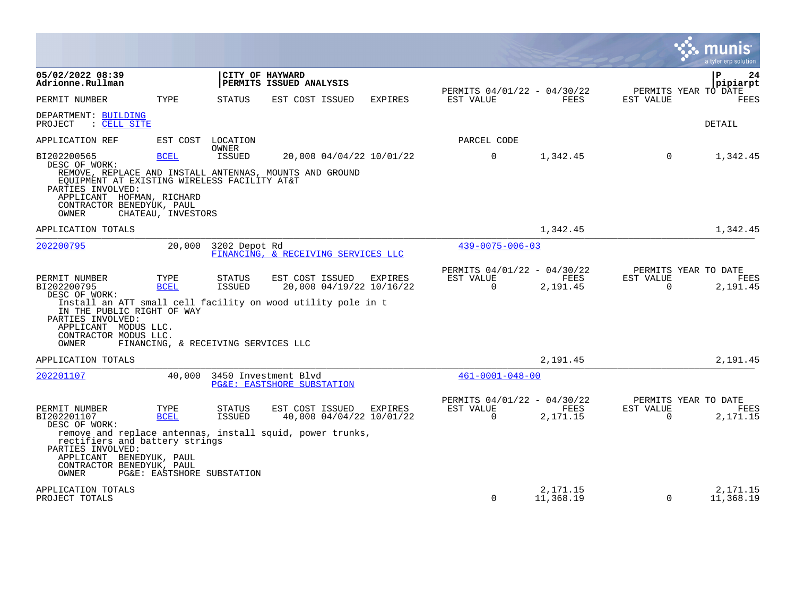|                                                                                                                                                                        |                                                            |                         |                                                                                                             |                |                                                      |                       |                       | munis<br>a tyler erp solution                   |
|------------------------------------------------------------------------------------------------------------------------------------------------------------------------|------------------------------------------------------------|-------------------------|-------------------------------------------------------------------------------------------------------------|----------------|------------------------------------------------------|-----------------------|-----------------------|-------------------------------------------------|
| 05/02/2022 08:39<br>Adrionne.Rullman                                                                                                                                   |                                                            |                         | CITY OF HAYWARD<br>PERMITS ISSUED ANALYSIS                                                                  |                | PERMITS 04/01/22 - 04/30/22                          |                       |                       | ۱P<br>24<br>pipiarpt<br>PERMITS YEAR TO DATE    |
| PERMIT NUMBER                                                                                                                                                          | TYPE                                                       | <b>STATUS</b>           | EST COST ISSUED                                                                                             | <b>EXPIRES</b> | EST VALUE                                            | FEES                  | EST VALUE             | FEES                                            |
| DEPARTMENT: BUILDING<br>PROJECT<br>: CELL SITE                                                                                                                         |                                                            |                         |                                                                                                             |                |                                                      |                       |                       | DETAIL                                          |
| APPLICATION REF                                                                                                                                                        | EST COST LOCATION                                          |                         |                                                                                                             |                | PARCEL CODE                                          |                       |                       |                                                 |
| BI202200565<br>DESC OF WORK:<br>EQUIPMENT AT EXISTING WIRELESS FACILITY AT&T<br>PARTIES INVOLVED:<br>APPLICANT HOFMAN, RICHARD<br>CONTRACTOR BENEDYUK, PAUL<br>OWNER   | BCEL<br>CHATEAU, INVESTORS                                 | <b>OWNER</b><br>ISSUED  | 20,000 04/04/22 10/01/22<br>REMOVE, REPLACE AND INSTALL ANTENNAS, MOUNTS AND GROUND                         |                | $\overline{0}$                                       | 1,342.45              | $\overline{0}$        | 1,342.45                                        |
| APPLICATION TOTALS                                                                                                                                                     |                                                            |                         |                                                                                                             |                |                                                      | 1,342.45              |                       | 1,342.45                                        |
| 202200795                                                                                                                                                              |                                                            | 20,000 3202 Depot Rd    | FINANCING, & RECEIVING SERVICES LLC                                                                         |                | $439 - 0075 - 006 - 03$                              |                       |                       |                                                 |
| PERMIT NUMBER<br>BI202200795<br>DESC OF WORK:<br>IN THE PUBLIC RIGHT OF WAY<br>PARTIES INVOLVED:<br>APPLICANT MODUS LLC.<br>CONTRACTOR MODUS LLC.<br>OWNER             | TYPE<br><b>BCEL</b><br>FINANCING, & RECEIVING SERVICES LLC | STATUS<br>ISSUED        | EST COST ISSUED<br>20,000 04/19/22 10/16/22<br>Install an ATT small cell facility on wood utility pole in t | EXPIRES        | PERMITS 04/01/22 - 04/30/22<br>EST VALUE<br>$\Omega$ | FEES<br>2,191.45      | EST VALUE<br>0        | PERMITS YEAR TO DATE<br>FEES<br>2,191.45        |
| APPLICATION TOTALS                                                                                                                                                     |                                                            |                         |                                                                                                             |                |                                                      | 2,191.45              |                       | 2,191.45                                        |
| 202201107                                                                                                                                                              | 40,000                                                     |                         | 3450 Investment Blvd<br><b>PG&amp;E: EASTSHORE SUBSTATION</b>                                               |                | $461 - 0001 - 048 - 00$                              |                       |                       |                                                 |
| PERMIT NUMBER<br>BI202201107<br>DESC OF WORK:<br>rectifiers and battery strings<br>PARTIES INVOLVED:<br>APPLICANT BENEDYUK, PAUL<br>CONTRACTOR BENEDYUK, PAUL<br>OWNER | TYPE<br><b>BCEL</b><br>PG&E: EASTSHORE SUBSTATION          | <b>STATUS</b><br>ISSUED | EST COST ISSUED<br>40,000 04/04/22 10/01/22<br>remove and replace antennas, install squid, power trunks,    | EXPIRES        | PERMITS 04/01/22 - 04/30/22<br>EST VALUE<br>$\Omega$ | FEES<br>2,171.15      | EST VALUE<br>$\Omega$ | PERMITS YEAR TO DATE<br><b>FEES</b><br>2,171.15 |
| APPLICATION TOTALS<br>PROJECT TOTALS                                                                                                                                   |                                                            |                         |                                                                                                             |                | $\Omega$                                             | 2,171.15<br>11,368.19 | $\Omega$              | 2,171.15<br>11,368.19                           |

**The State**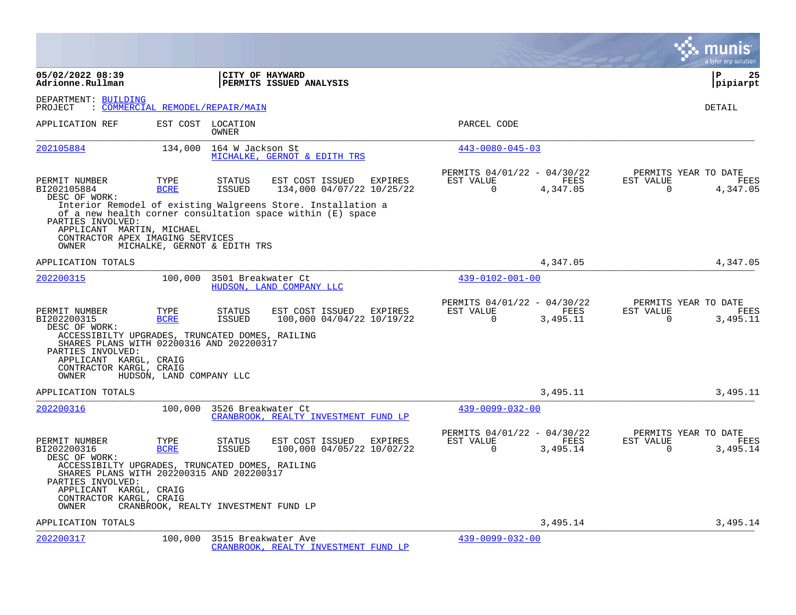|                                                                                                                                             |                          |                                      |                                                                                                                                                                            |         |                                                      |                  |                                               | a tyler erp solution   |
|---------------------------------------------------------------------------------------------------------------------------------------------|--------------------------|--------------------------------------|----------------------------------------------------------------------------------------------------------------------------------------------------------------------------|---------|------------------------------------------------------|------------------|-----------------------------------------------|------------------------|
| 05/02/2022 08:39<br>Adrionne.Rullman                                                                                                        |                          |                                      | CITY OF HAYWARD<br>PERMITS ISSUED ANALYSIS                                                                                                                                 |         |                                                      |                  |                                               | l P<br>25<br> pipiarpt |
| DEPARTMENT: BUILDING<br>PROJECT                                                                                                             |                          | : COMMERCIAL REMODEL/REPAIR/MAIN     |                                                                                                                                                                            |         |                                                      |                  |                                               | <b>DETAIL</b>          |
| APPLICATION REF                                                                                                                             |                          | EST COST LOCATION<br><b>OWNER</b>    |                                                                                                                                                                            |         | PARCEL CODE                                          |                  |                                               |                        |
| 202105884                                                                                                                                   | 134,000                  | 164 W Jackson St                     | MICHALKE, GERNOT & EDITH TRS                                                                                                                                               |         | $443 - 0080 - 045 - 03$                              |                  |                                               |                        |
| PERMIT NUMBER<br>BI202105884<br>DESC OF WORK:<br>PARTIES INVOLVED:                                                                          | TYPE<br><b>BCRE</b>      | STATUS<br><b>ISSUED</b>              | EST COST ISSUED<br>134,000 04/07/22 10/25/22<br>Interior Remodel of existing Walgreens Store. Installation a<br>of a new health corner consultation space within (E) space | EXPIRES | PERMITS 04/01/22 - 04/30/22<br>EST VALUE<br>$\Omega$ | FEES<br>4,347.05 | PERMITS YEAR TO DATE<br>EST VALUE<br>$\Omega$ | FEES<br>4,347.05       |
| APPLICANT MARTIN, MICHAEL<br>CONTRACTOR APEX IMAGING SERVICES<br>OWNER                                                                      |                          | MICHALKE, GERNOT & EDITH TRS         |                                                                                                                                                                            |         |                                                      |                  |                                               |                        |
| APPLICATION TOTALS                                                                                                                          |                          |                                      |                                                                                                                                                                            |         |                                                      | 4,347.05         |                                               | 4,347.05               |
| 202200315                                                                                                                                   | 100,000                  | 3501 Breakwater Ct                   | HUDSON, LAND COMPANY LLC                                                                                                                                                   |         | $439 - 0102 - 001 - 00$                              |                  |                                               |                        |
| PERMIT NUMBER<br>BI202200315<br>DESC OF WORK:<br>ACCESSIBILTY UPGRADES, TRUNCATED DOMES, RAILING                                            | TYPE<br><b>BCRE</b>      | <b>STATUS</b><br><b>ISSUED</b>       | EST COST ISSUED<br>100,000 04/04/22 10/19/22                                                                                                                               | EXPIRES | PERMITS 04/01/22 - 04/30/22<br>EST VALUE<br>$\Omega$ | FEES<br>3,495.11 | PERMITS YEAR TO DATE<br>EST VALUE<br>$\Omega$ | FEES<br>3,495.11       |
| SHARES PLANS WITH 02200316 AND 202200317<br>PARTIES INVOLVED:<br>APPLICANT KARGL, CRAIG<br>CONTRACTOR KARGL, CRAIG<br>OWNER                 | HUDSON, LAND COMPANY LLC |                                      |                                                                                                                                                                            |         |                                                      |                  |                                               |                        |
| APPLICATION TOTALS                                                                                                                          |                          |                                      |                                                                                                                                                                            |         |                                                      | 3,495.11         |                                               | 3,495.11               |
| 202200316                                                                                                                                   | 100,000                  | 3526 Breakwater Ct                   | CRANBROOK, REALTY INVESTMENT FUND LP                                                                                                                                       |         | $439 - 0099 - 032 - 00$                              |                  |                                               |                        |
| PERMIT NUMBER<br>BI202200316<br>DESC OF WORK:                                                                                               | TYPE<br><b>BCRE</b>      | <b>STATUS</b><br><b>ISSUED</b>       | EST COST ISSUED EXPIRES<br>100,000 04/05/22 10/02/22                                                                                                                       |         | PERMITS 04/01/22 - 04/30/22<br>EST VALUE<br>$\Omega$ | FEES<br>3,495.14 | PERMITS YEAR TO DATE<br>EST VALUE<br>$\Omega$ | FEES<br>3,495.14       |
| ACCESSIBILTY UPGRADES, TRUNCATED DOMES, RAILING<br>SHARES PLANS WITH 202200315 AND 202200317<br>PARTIES INVOLVED:<br>APPLICANT KARGL, CRAIG |                          |                                      |                                                                                                                                                                            |         |                                                      |                  |                                               |                        |
| CONTRACTOR KARGL, CRAIG<br>OWNER                                                                                                            |                          | CRANBROOK, REALTY INVESTMENT FUND LP |                                                                                                                                                                            |         |                                                      |                  |                                               |                        |
| APPLICATION TOTALS                                                                                                                          |                          |                                      |                                                                                                                                                                            |         |                                                      | 3,495.14         |                                               | 3,495.14               |
| 202200317                                                                                                                                   | 100,000                  |                                      | 3515 Breakwater Ave<br>CRANBROOK, REALTY INVESTMENT FUND LP                                                                                                                |         | $439 - 0099 - 032 - 00$                              |                  |                                               |                        |

**College**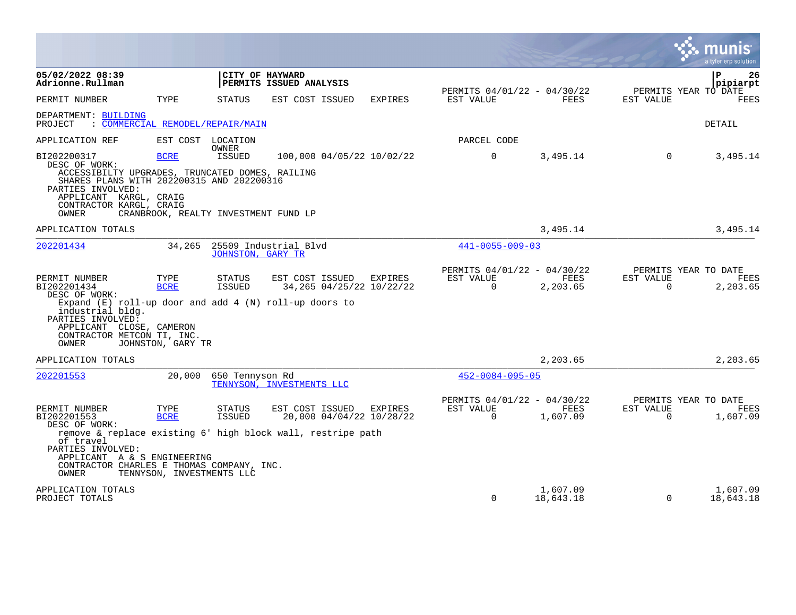|                                                                                                                                                           |                                          |                          |                                                                                                           |                |                                                      |                       |                       | munis<br>a tyler erp solution            |
|-----------------------------------------------------------------------------------------------------------------------------------------------------------|------------------------------------------|--------------------------|-----------------------------------------------------------------------------------------------------------|----------------|------------------------------------------------------|-----------------------|-----------------------|------------------------------------------|
| 05/02/2022 08:39<br>Adrionne.Rullman                                                                                                                      |                                          | <b>CITY OF HAYWARD</b>   | PERMITS ISSUED ANALYSIS                                                                                   |                |                                                      |                       |                       | ÞΡ<br>26<br>pipiarpt                     |
| PERMIT NUMBER                                                                                                                                             | TYPE                                     | <b>STATUS</b>            | EST COST ISSUED                                                                                           | <b>EXPIRES</b> | PERMITS 04/01/22 - 04/30/22<br>EST VALUE             | FEES                  | EST VALUE             | PERMITS YEAR TO DATE<br>FEES             |
| DEPARTMENT: BUILDING<br>: COMMERCIAL REMODEL/REPAIR/MAIN<br>PROJECT                                                                                       |                                          |                          |                                                                                                           |                |                                                      |                       |                       | DETAIL                                   |
| APPLICATION REF                                                                                                                                           |                                          | EST COST LOCATION        |                                                                                                           |                | PARCEL CODE                                          |                       |                       |                                          |
| BI202200317<br>DESC OF WORK:<br>ACCESSIBILTY UPGRADES, TRUNCATED DOMES, RAILING<br>SHARES PLANS WITH 202200315 AND 202200316<br>PARTIES INVOLVED:         | <b>BCRE</b>                              | OWNER<br>ISSUED          | 100,000 04/05/22 10/02/22                                                                                 |                | $\mathbf 0$                                          | 3,495.14              | $\overline{0}$        | 3,495.14                                 |
| APPLICANT KARGL, CRAIG<br>CONTRACTOR KARGL, CRAIG<br>OWNER                                                                                                | CRANBROOK, REALTY INVESTMENT FUND LP     |                          |                                                                                                           |                |                                                      |                       |                       |                                          |
| APPLICATION TOTALS                                                                                                                                        |                                          |                          |                                                                                                           |                |                                                      | 3,495.14              |                       | 3,495.14                                 |
| 202201434                                                                                                                                                 | 34,265                                   | <b>JOHNSTON, GARY TR</b> | 25509 Industrial Blvd                                                                                     |                | $441 - 0055 - 009 - 03$                              |                       |                       |                                          |
| PERMIT NUMBER<br>BI202201434<br>DESC OF WORK:<br>industrial bldg.<br>PARTIES INVOLVED:<br>APPLICANT CLOSE, CAMERON<br>CONTRACTOR METCON TI, INC.<br>OWNER | TYPE<br><b>BCRE</b><br>JOHNSTON, GARY TR | STATUS<br>ISSUED         | EST COST ISSUED<br>34,265 04/25/22 10/22/22<br>Expand $(E)$ roll-up door and add 4 $(N)$ roll-up doors to | EXPIRES        | PERMITS 04/01/22 - 04/30/22<br>EST VALUE<br>0        | FEES<br>2,203.65      | EST VALUE<br>0        | PERMITS YEAR TO DATE<br>FEES<br>2,203.65 |
| APPLICATION TOTALS                                                                                                                                        |                                          |                          |                                                                                                           |                |                                                      | 2,203.65              |                       | 2,203.65                                 |
| 202201553                                                                                                                                                 | 20,000                                   | 650 Tennyson Rd          | TENNYSON, INVESTMENTS LLC                                                                                 |                | $452 - 0084 - 095 - 05$                              |                       |                       |                                          |
| PERMIT NUMBER<br>BI202201553<br>DESC OF WORK:                                                                                                             | TYPE<br><b>BCRE</b>                      | STATUS<br><b>ISSUED</b>  | EST COST ISSUED<br>20,000 04/04/22 10/28/22                                                               | EXPIRES        | PERMITS 04/01/22 - 04/30/22<br>EST VALUE<br>$\Omega$ | FEES<br>1,607.09      | EST VALUE<br>$\Omega$ | PERMITS YEAR TO DATE<br>FEES<br>1,607.09 |
| of travel<br>PARTIES INVOLVED:<br>APPLICANT A & S ENGINEERING<br>CONTRACTOR CHARLES E THOMAS COMPANY, INC.<br>OWNER                                       | TENNYSON, INVESTMENTS LLC                |                          | remove & replace existing 6' high block wall, restripe path                                               |                |                                                      |                       |                       |                                          |
| APPLICATION TOTALS<br>PROJECT TOTALS                                                                                                                      |                                          |                          |                                                                                                           |                | $\Omega$                                             | 1,607.09<br>18,643.18 | $\Omega$              | 1,607.09<br>18,643.18                    |

a sa mga magaalang na mga magaalang ng mga magaalang ng mga magaalang ng mga magaalang ng mga magaalang ng mga

the property of the control of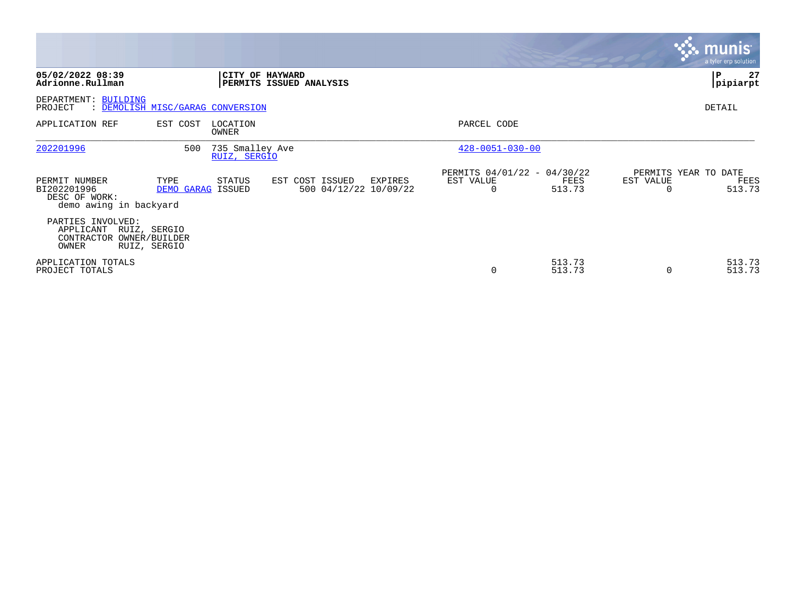|                                                                                                     |                           |                                 |                                          |         |                                                      |                  |                       | <b>munis</b><br>a tyler erp solution   |
|-----------------------------------------------------------------------------------------------------|---------------------------|---------------------------------|------------------------------------------|---------|------------------------------------------------------|------------------|-----------------------|----------------------------------------|
| 05/02/2022 08:39<br>Adrionne.Rullman                                                                |                           | <b>CITY OF HAYWARD</b>          | PERMITS ISSUED ANALYSIS                  |         |                                                      |                  |                       | 27<br>ΙP<br>pipiarpt                   |
| DEPARTMENT: BUILDING<br>: DEMOLISH MISC/GARAG CONVERSION<br>PROJECT                                 |                           |                                 |                                          |         |                                                      |                  |                       | DETAIL                                 |
| APPLICATION REF                                                                                     | EST COST                  | LOCATION<br>OWNER               |                                          |         | PARCEL CODE                                          |                  |                       |                                        |
| 202201996                                                                                           | 500                       | 735 Smalley Ave<br>RUIZ, SERGIO |                                          |         | $428 - 0051 - 030 - 00$                              |                  |                       |                                        |
| PERMIT NUMBER<br>BI202201996<br>DESC OF WORK:<br>demo awing in backyard                             | TYPE<br>DEMO GARAG ISSUED | STATUS                          | EST COST ISSUED<br>500 04/12/22 10/09/22 | EXPIRES | PERMITS 04/01/22 - 04/30/22<br>EST VALUE<br>$\Omega$ | FEES<br>513.73   | EST VALUE<br>$\Omega$ | PERMITS YEAR TO DATE<br>FEES<br>513.73 |
| PARTIES INVOLVED:<br>APPLICANT<br>RUIZ, SERGIO<br>CONTRACTOR OWNER/BUILDER<br>OWNER<br>RUIZ, SERGIO |                           |                                 |                                          |         |                                                      |                  |                       |                                        |
| APPLICATION TOTALS<br>PROJECT TOTALS                                                                |                           |                                 |                                          |         | 0                                                    | 513.73<br>513.73 | $\Omega$              | 513.73<br>513.73                       |

the property of the control of

a sa mga magaalang na mga magaalang ng mga magaalang ng mga magaalang ng mga magaalang ng mga magaalang ng mga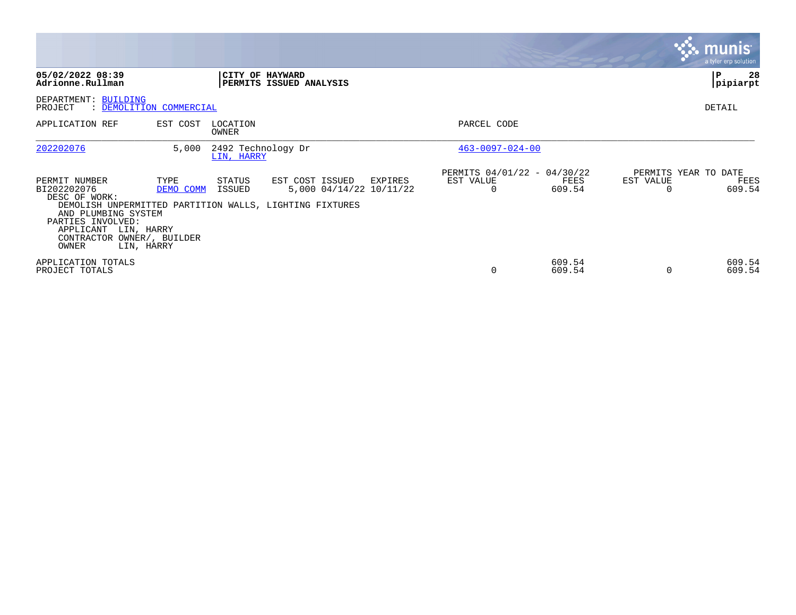|                                                                                                                                                                        |                   |                                  |                                                                                                       |         |                                                      |                  |                       | <b>munis</b><br>a tyler erp solution   |
|------------------------------------------------------------------------------------------------------------------------------------------------------------------------|-------------------|----------------------------------|-------------------------------------------------------------------------------------------------------|---------|------------------------------------------------------|------------------|-----------------------|----------------------------------------|
| 05/02/2022 08:39<br>Adrionne.Rullman                                                                                                                                   |                   | CITY OF HAYWARD                  | PERMITS ISSUED ANALYSIS                                                                               |         |                                                      |                  |                       | 28<br>ΙP<br> pipiarpt                  |
| DEPARTMENT: BUILDING<br>: DEMOLITION COMMERCIAL<br>PROJECT                                                                                                             |                   |                                  |                                                                                                       |         |                                                      |                  |                       | DETAIL                                 |
| APPLICATION REF                                                                                                                                                        | EST COST          | LOCATION<br>OWNER                |                                                                                                       |         | PARCEL CODE                                          |                  |                       |                                        |
| 202202076                                                                                                                                                              | 5,000             | 2492 Technology Dr<br>LIN, HARRY |                                                                                                       |         | $463 - 0097 - 024 - 00$                              |                  |                       |                                        |
| PERMIT NUMBER<br>BI202202076<br>DESC OF WORK:<br>AND PLUMBING SYSTEM<br>PARTIES INVOLVED:<br>APPLICANT LIN, HARRY<br>CONTRACTOR OWNER/, BUILDER<br>OWNER<br>LIN, HARRY | TYPE<br>DEMO COMM | STATUS<br>ISSUED                 | EST COST ISSUED<br>5,000 04/14/22 10/11/22<br>DEMOLISH UNPERMITTED PARTITION WALLS, LIGHTING FIXTURES | EXPIRES | PERMITS 04/01/22 - 04/30/22<br>EST VALUE<br>$\Omega$ | FEES<br>609.54   | EST VALUE<br>$\Omega$ | PERMITS YEAR TO DATE<br>FEES<br>609.54 |
| APPLICATION TOTALS<br>PROJECT TOTALS                                                                                                                                   |                   |                                  |                                                                                                       |         | $\Omega$                                             | 609.54<br>609.54 | $\Omega$              | 609.54<br>609.54                       |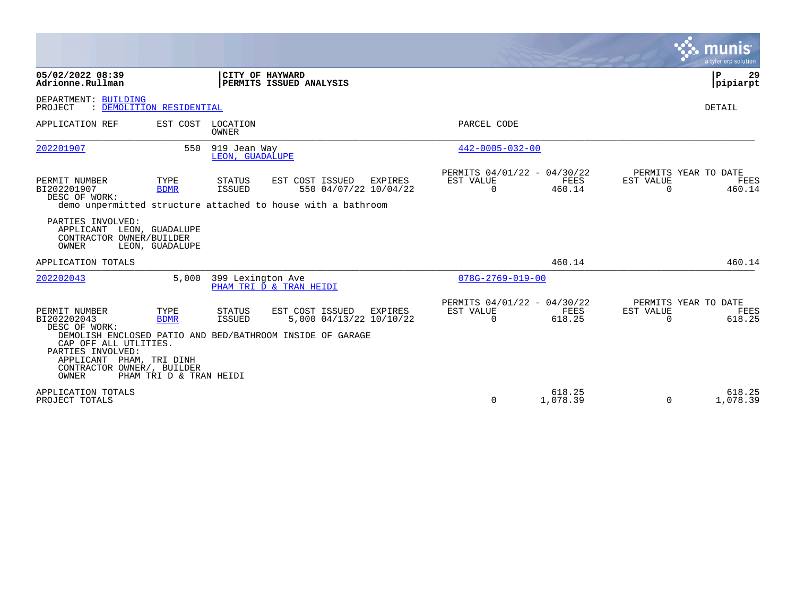|                                                                                                                                                                       |                                                |                                 |                                                                                                                            |                                                      |                       |                       | <b>munis</b><br>a tyler erp solution   |
|-----------------------------------------------------------------------------------------------------------------------------------------------------------------------|------------------------------------------------|---------------------------------|----------------------------------------------------------------------------------------------------------------------------|------------------------------------------------------|-----------------------|-----------------------|----------------------------------------|
| 05/02/2022 08:39<br>Adrionne.Rullman                                                                                                                                  |                                                |                                 | CITY OF HAYWARD<br>PERMITS ISSUED ANALYSIS                                                                                 |                                                      |                       |                       | 29<br>ΙP<br> pipiarpt                  |
| DEPARTMENT: BUILDING<br>PROJECT                                                                                                                                       | : DEMOLITION RESIDENTIAL                       |                                 |                                                                                                                            |                                                      |                       |                       | DETAIL                                 |
| APPLICATION REF                                                                                                                                                       | EST COST                                       | LOCATION<br><b>OWNER</b>        |                                                                                                                            | PARCEL CODE                                          |                       |                       |                                        |
| 202201907                                                                                                                                                             | 550                                            | 919 Jean Way<br>LEON, GUADALUPE |                                                                                                                            | $442 - 0005 - 032 - 00$                              |                       |                       |                                        |
| PERMIT NUMBER<br>BI202201907<br>DESC OF WORK:                                                                                                                         | TYPE<br><b>BDMR</b>                            | STATUS<br><b>ISSUED</b>         | EST COST ISSUED<br><b>EXPIRES</b><br>550 04/07/22 10/04/22<br>demo unpermitted structure attached to house with a bathroom | PERMITS 04/01/22 - 04/30/22<br>EST VALUE<br>$\Omega$ | <b>FEES</b><br>460.14 | EST VALUE<br>$\Omega$ | PERMITS YEAR TO DATE<br>FEES<br>460.14 |
| PARTIES INVOLVED:<br>APPLICANT LEON, GUADALUPE<br>CONTRACTOR OWNER/BUILDER<br>OWNER                                                                                   | LEON, GUADALUPE                                |                                 |                                                                                                                            |                                                      |                       |                       |                                        |
| APPLICATION TOTALS                                                                                                                                                    |                                                |                                 |                                                                                                                            |                                                      | 460.14                |                       | 460.14                                 |
| 202202043                                                                                                                                                             |                                                | 5,000 399 Lexington Ave         | PHAM TRI D & TRAN HEIDI                                                                                                    | $078G - 2769 - 019 - 00$                             |                       |                       |                                        |
| PERMIT NUMBER<br>BI202202043<br>DESC OF WORK:<br>CAP OFF ALL UTLITIES.<br>PARTIES INVOLVED:<br>APPLICANT PHAM, TRI DINH<br>CONTRACTOR OWNER/, BUILDER<br><b>OWNER</b> | TYPE<br><b>BDMR</b><br>PHAM TRI D & TRAN HEIDI | <b>STATUS</b><br><b>ISSUED</b>  | EST COST ISSUED<br>EXPIRES<br>5,000 04/13/22 10/10/22<br>DEMOLISH ENCLOSED PATIO AND BED/BATHROOM INSIDE OF GARAGE         | PERMITS 04/01/22 - 04/30/22<br>EST VALUE<br>$\Omega$ | FEES<br>618.25        | EST VALUE<br>$\Omega$ | PERMITS YEAR TO DATE<br>FEES<br>618.25 |
| APPLICATION TOTALS<br>PROJECT TOTALS                                                                                                                                  |                                                |                                 |                                                                                                                            | $\Omega$                                             | 618.25<br>1,078.39    | $\Omega$              | 618.25<br>1,078.39                     |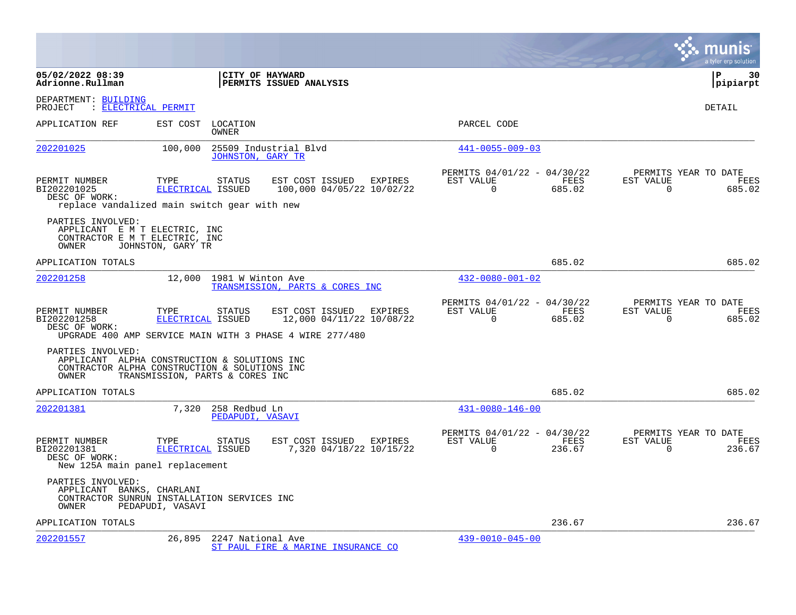|                                                                                                                                    |                                 |                                         |                                                                                                         |         |                                                      |                |                       | a tyler erp solution                          |
|------------------------------------------------------------------------------------------------------------------------------------|---------------------------------|-----------------------------------------|---------------------------------------------------------------------------------------------------------|---------|------------------------------------------------------|----------------|-----------------------|-----------------------------------------------|
| 05/02/2022 08:39<br>Adrionne.Rullman                                                                                               |                                 | CITY OF HAYWARD                         | <b>PERMITS ISSUED ANALYSIS</b>                                                                          |         |                                                      |                |                       | l P<br>30<br> pipiarpt                        |
| DEPARTMENT: BUILDING<br>PROJECT                                                                                                    | : ELECTRICAL PERMIT             |                                         |                                                                                                         |         |                                                      |                |                       | DETAIL                                        |
| APPLICATION REF                                                                                                                    | EST COST                        | LOCATION<br>OWNER                       |                                                                                                         |         | PARCEL CODE                                          |                |                       |                                               |
| 202201025                                                                                                                          | 100,000                         | JOHNSTON, GARY TR                       | 25509 Industrial Blvd                                                                                   |         | $441 - 0055 - 009 - 03$                              |                |                       |                                               |
| PERMIT NUMBER<br>BI202201025<br>DESC OF WORK:<br>replace vandalized main switch gear with new                                      | TYPE<br>ELECTRICAL ISSUED       | <b>STATUS</b>                           | EST COST ISSUED EXPIRES<br>100,000 04/05/22 10/02/22                                                    |         | PERMITS 04/01/22 - 04/30/22<br>EST VALUE<br>$\Omega$ | FEES<br>685.02 | EST VALUE<br>$\Omega$ | PERMITS YEAR TO DATE<br>FEES<br>685.02        |
| PARTIES INVOLVED:<br>APPLICANT E M T ELECTRIC, INC<br>CONTRACTOR E M T ELECTRIC, INC<br>OWNER                                      | JOHNSTON, GARY TR               |                                         |                                                                                                         |         |                                                      |                |                       |                                               |
| APPLICATION TOTALS                                                                                                                 |                                 |                                         |                                                                                                         |         |                                                      | 685.02         |                       | 685.02                                        |
| 202201258                                                                                                                          |                                 | 12,000 1981 W Winton Ave                | TRANSMISSION, PARTS & CORES INC                                                                         |         | $432 - 0080 - 001 - 02$                              |                |                       |                                               |
| PERMIT NUMBER<br>BI202201258<br>DESC OF WORK:                                                                                      | TYPE<br>ELECTRICAL ISSUED       | <b>STATUS</b>                           | EST COST ISSUED<br>12,000 04/11/22 10/08/22<br>UPGRADE 400 AMP SERVICE MAIN WITH 3 PHASE 4 WIRE 277/480 | EXPIRES | PERMITS 04/01/22 - 04/30/22<br>EST VALUE<br>$\Omega$ | FEES<br>685.02 | EST VALUE<br>$\Omega$ | PERMITS YEAR TO DATE<br><b>FEES</b><br>685.02 |
| PARTIES INVOLVED:<br>APPLICANT ALPHA CONSTRUCTION & SOLUTIONS INC<br>CONTRACTOR ALPHA CONSTRUCTION & SOLUTIONS INC<br><b>OWNER</b> | TRANSMISSION, PARTS & CORES INC |                                         |                                                                                                         |         |                                                      |                |                       |                                               |
| APPLICATION TOTALS                                                                                                                 |                                 |                                         |                                                                                                         |         |                                                      | 685.02         |                       | 685.02                                        |
| 202201381                                                                                                                          |                                 | 7,320 258 Redbud Ln<br>PEDAPUDI, VASAVI |                                                                                                         |         | $431 - 0080 - 146 - 00$                              |                |                       |                                               |
| PERMIT NUMBER<br>BI202201381<br>DESC OF WORK:<br>New 125A main panel replacement                                                   | TYPE<br>ELECTRICAL ISSUED       | <b>STATUS</b>                           | EST COST ISSUED EXPIRES<br>7,320 04/18/22 10/15/22                                                      |         | PERMITS 04/01/22 - 04/30/22<br>EST VALUE<br>$\Omega$ | FEES<br>236.67 | EST VALUE<br>$\Omega$ | PERMITS YEAR TO DATE<br>FEES<br>236.67        |
| PARTIES INVOLVED:<br>APPLICANT BANKS, CHARLANI<br>CONTRACTOR SUNRUN INSTALLATION SERVICES INC<br>OWNER                             | PEDAPUDI, VASAVI                |                                         |                                                                                                         |         |                                                      |                |                       |                                               |
| APPLICATION TOTALS                                                                                                                 |                                 |                                         |                                                                                                         |         |                                                      | 236.67         |                       | 236.67                                        |
| 202201557                                                                                                                          | 26,895                          | 2247 National Ave                       | ST PAUL FIRE & MARINE INSURANCE CO                                                                      |         | $439 - 0010 - 045 - 00$                              |                |                       |                                               |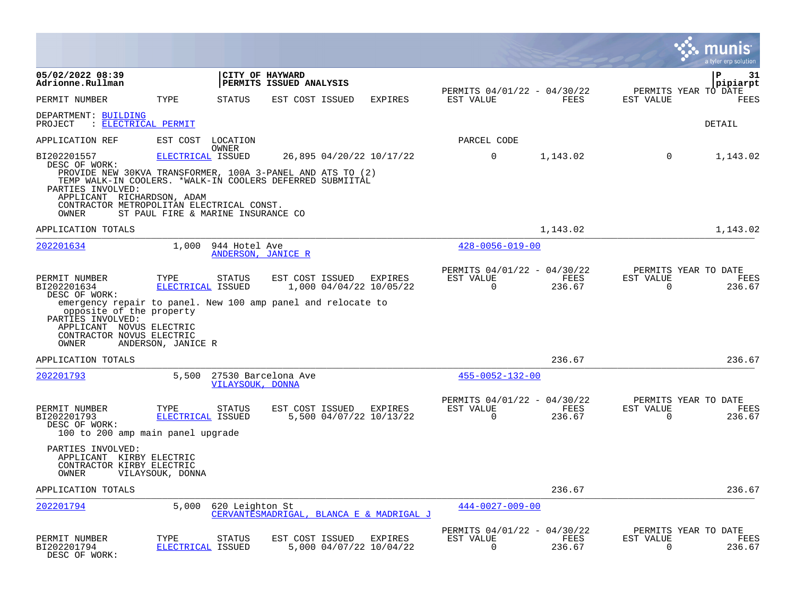|                                                                                                                                                                                                                                                                  |                                                         |                                     |                         |                                          |                                                         |                |                          | IIS<br>a tyler erp solution            |
|------------------------------------------------------------------------------------------------------------------------------------------------------------------------------------------------------------------------------------------------------------------|---------------------------------------------------------|-------------------------------------|-------------------------|------------------------------------------|---------------------------------------------------------|----------------|--------------------------|----------------------------------------|
| 05/02/2022 08:39<br>Adrionne.Rullman                                                                                                                                                                                                                             |                                                         | CITY OF HAYWARD                     | PERMITS ISSUED ANALYSIS |                                          |                                                         |                |                          | $\mathbf{P}$<br>31<br>pipiarpt         |
| PERMIT NUMBER                                                                                                                                                                                                                                                    | TYPE                                                    | <b>STATUS</b>                       | EST COST ISSUED         | <b>EXPIRES</b>                           | PERMITS 04/01/22 - 04/30/22<br>EST VALUE                | FEES           | EST VALUE                | PERMITS YEAR TO DATE<br>FEES           |
| DEPARTMENT: BUILDING<br>: ELECTRICAL PERMIT<br>PROJECT                                                                                                                                                                                                           |                                                         |                                     |                         |                                          |                                                         |                |                          | <b>DETAIL</b>                          |
| APPLICATION REF                                                                                                                                                                                                                                                  | EST COST                                                | LOCATION<br>OWNER                   |                         |                                          | PARCEL CODE                                             |                |                          |                                        |
| BI202201557<br>DESC OF WORK:<br>PROVIDE NEW 30KVA TRANSFORMER, 100A 3-PANEL AND ATS TO (2)<br>TEMP WALK-IN COOLERS. *WALK-IN COOLERS DEFERRED SUBMIITAL<br>PARTIES INVOLVED:<br>APPLICANT RICHARDSON, ADAM<br>CONTRACTOR METROPOLITAN ELECTRICAL CONST.<br>OWNER | ELECTRICAL ISSUED<br>ST PAUL FIRE & MARINE INSURANCE CO |                                     |                         | 26,895 04/20/22 10/17/22                 | $\mathbf 0$                                             | 1,143.02       | $\overline{0}$           | 1,143.02                               |
| APPLICATION TOTALS                                                                                                                                                                                                                                               |                                                         |                                     |                         |                                          |                                                         | 1,143.02       |                          | 1,143.02                               |
| 202201634                                                                                                                                                                                                                                                        | 1,000                                                   | 944 Hotel Ave<br>ANDERSON, JANICE R |                         |                                          | $428 - 0056 - 019 - 00$                                 |                |                          |                                        |
| PERMIT NUMBER<br>BI202201634<br>DESC OF WORK:<br>emergency repair to panel. New 100 amp panel and relocate to<br>opposite of the property<br>PARTIES INVOLVED:<br>APPLICANT NOVUS ELECTRIC<br>CONTRACTOR NOVUS ELECTRIC<br>OWNER                                 | TYPE<br>ELECTRICAL ISSUED<br>ANDERSON, JANICE R         | <b>STATUS</b>                       | EST COST ISSUED         | EXPIRES<br>1,000 04/04/22 10/05/22       | PERMITS 04/01/22 - 04/30/22<br>EST VALUE<br>$\mathbf 0$ | FEES<br>236.67 | EST VALUE<br>$\mathbf 0$ | PERMITS YEAR TO DATE<br>FEES<br>236.67 |
| APPLICATION TOTALS                                                                                                                                                                                                                                               |                                                         |                                     |                         |                                          |                                                         | 236.67         |                          | 236.67                                 |
| 202201793                                                                                                                                                                                                                                                        | 5,500                                                   | VILAYSOUK, DONNA                    | 27530 Barcelona Ave     |                                          | $455 - 0052 - 132 - 00$                                 |                |                          |                                        |
| PERMIT NUMBER<br>BI202201793<br>DESC OF WORK:<br>100 to 200 amp main panel upgrade                                                                                                                                                                               | TYPE<br>ELECTRICAL ISSUED                               | <b>STATUS</b>                       | EST COST ISSUED EXPIRES | 5,500 04/07/22 10/13/22                  | PERMITS 04/01/22 - 04/30/22<br>EST VALUE<br>$\Omega$    | FEES<br>236.67 | EST VALUE<br>$\Omega$    | PERMITS YEAR TO DATE<br>FEES<br>236.67 |
| PARTIES INVOLVED:<br>APPLICANT KIRBY ELECTRIC<br>CONTRACTOR KIRBY ELECTRIC<br>OWNER                                                                                                                                                                              | VILAYSOUK, DONNA                                        |                                     |                         |                                          |                                                         |                |                          |                                        |
| APPLICATION TOTALS                                                                                                                                                                                                                                               |                                                         |                                     |                         |                                          |                                                         | 236.67         |                          | 236.67                                 |
| 202201794                                                                                                                                                                                                                                                        | 5,000                                                   | 620 Leighton St                     |                         | CERVANTESMADRIGAL, BLANCA E & MADRIGAL J | $444 - 0027 - 009 - 00$                                 |                |                          |                                        |
| PERMIT NUMBER<br>BI202201794<br>DESC OF WORK:                                                                                                                                                                                                                    | TYPE<br>ELECTRICAL ISSUED                               | STATUS                              | EST COST ISSUED         | EXPIRES<br>5,000 04/07/22 10/04/22       | PERMITS 04/01/22 - 04/30/22<br>EST VALUE<br>$\Omega$    | FEES<br>236.67 | EST VALUE<br>$\Omega$    | PERMITS YEAR TO DATE<br>FEES<br>236.67 |

 $\mathcal{L}$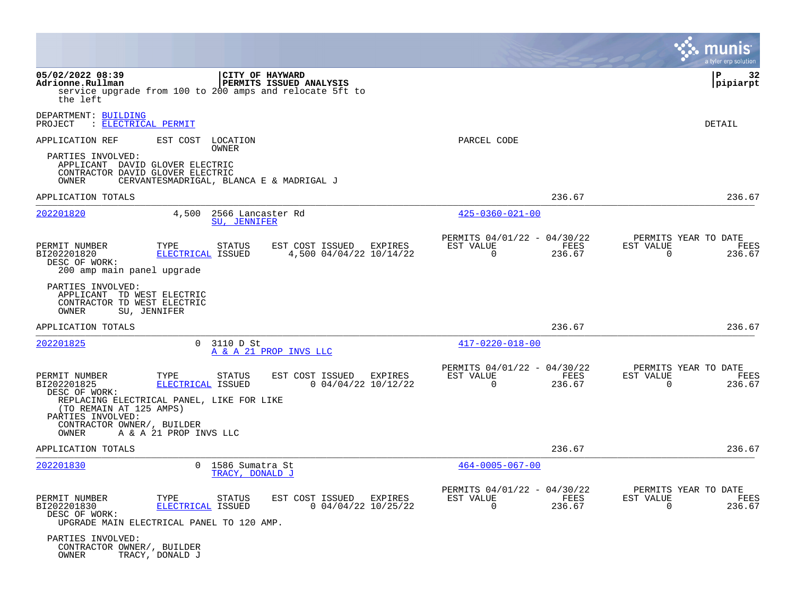|                                                                                                                                                                          |                                          |                                         |                                            |         |                                                            |                |                          | a tyler erp solution                          |
|--------------------------------------------------------------------------------------------------------------------------------------------------------------------------|------------------------------------------|-----------------------------------------|--------------------------------------------|---------|------------------------------------------------------------|----------------|--------------------------|-----------------------------------------------|
| 05/02/2022 08:39<br>Adrionne.Rullman<br>service upgrade from 100 to 200 amps and relocate 5ft to<br>the left                                                             |                                          | CITY OF HAYWARD                         | PERMITS ISSUED ANALYSIS                    |         |                                                            |                |                          | l P<br>32<br> pipiarpt                        |
| DEPARTMENT: BUILDING<br>: ELECTRICAL PERMIT<br>PROJECT                                                                                                                   |                                          |                                         |                                            |         |                                                            |                |                          | DETAIL                                        |
| APPLICATION REF                                                                                                                                                          | EST COST LOCATION                        | <b>OWNER</b>                            |                                            |         | PARCEL CODE                                                |                |                          |                                               |
| PARTIES INVOLVED:<br>APPLICANT DAVID GLOVER ELECTRIC<br>CONTRACTOR DAVID GLOVER ELECTRIC<br>OWNER                                                                        | CERVANTESMADRIGAL, BLANCA E & MADRIGAL J |                                         |                                            |         |                                                            |                |                          |                                               |
| APPLICATION TOTALS                                                                                                                                                       |                                          |                                         |                                            |         |                                                            | 236.67         |                          | 236.67                                        |
| 202201820                                                                                                                                                                | 4,500                                    | 2566 Lancaster Rd<br>SU, JENNIFER       |                                            |         | $425 - 0360 - 021 - 00$                                    |                |                          |                                               |
| PERMIT NUMBER<br>BI202201820<br>DESC OF WORK:<br>200 amp main panel upgrade                                                                                              | TYPE<br>ELECTRICAL ISSUED                | <b>STATUS</b>                           | EST COST ISSUED<br>4,500 04/04/22 10/14/22 | EXPIRES | PERMITS 04/01/22 - 04/30/22<br>EST VALUE<br>$\overline{0}$ | FEES<br>236.67 | EST VALUE<br>$\mathbf 0$ | PERMITS YEAR TO DATE<br><b>FEES</b><br>236.67 |
| PARTIES INVOLVED:<br>APPLICANT TD WEST ELECTRIC<br>CONTRACTOR TD WEST ELECTRIC<br>OWNER<br>SU, JENNIFER                                                                  |                                          |                                         |                                            |         |                                                            |                |                          |                                               |
| APPLICATION TOTALS                                                                                                                                                       |                                          |                                         |                                            |         |                                                            | 236.67         |                          | 236.67                                        |
| 202201825                                                                                                                                                                |                                          | $0$ 3110 D St<br>A & A 21 PROP INVS LLC |                                            |         | $417 - 0220 - 018 - 00$                                    |                |                          |                                               |
| PERMIT NUMBER<br>BI202201825<br>DESC OF WORK:<br>REPLACING ELECTRICAL PANEL, LIKE FOR LIKE<br>(TO REMAIN AT 125 AMPS)<br>PARTIES INVOLVED:<br>CONTRACTOR OWNER/, BUILDER | TYPE<br>ELECTRICAL ISSUED                | STATUS                                  | EST COST ISSUED<br>$0$ 04/04/22 10/12/22   | EXPIRES | PERMITS 04/01/22 - 04/30/22<br>EST VALUE<br>$\overline{0}$ | FEES<br>236.67 | EST VALUE<br>$\Omega$    | PERMITS YEAR TO DATE<br>FEES<br>236.67        |
| OWNER                                                                                                                                                                    | A & A 21 PROP INVS LLC                   |                                         |                                            |         |                                                            |                |                          |                                               |
| APPLICATION TOTALS                                                                                                                                                       |                                          |                                         |                                            |         |                                                            | 236.67         |                          | 236.67                                        |
| 202201830                                                                                                                                                                |                                          | 0 1586 Sumatra St<br>TRACY, DONALD J    |                                            |         | $464 - 0005 - 067 - 00$                                    |                |                          |                                               |
| PERMIT NUMBER<br>BI202201830<br>DESC OF WORK:<br>UPGRADE MAIN ELECTRICAL PANEL TO 120 AMP.                                                                               | TYPE<br>ELECTRICAL ISSUED                | <b>STATUS</b>                           | EST COST ISSUED<br>$0$ 04/04/22 10/25/22   | EXPIRES | PERMITS 04/01/22 - 04/30/22<br>EST VALUE<br>$\Omega$       | FEES<br>236.67 | EST VALUE<br>$\Omega$    | PERMITS YEAR TO DATE<br><b>FEES</b><br>236.67 |
| PARTIES INVOLVED:<br>CONTRACTOR OWNER/, BUILDER<br>OWNER                                                                                                                 | TRACY, DONALD J                          |                                         |                                            |         |                                                            |                |                          |                                               |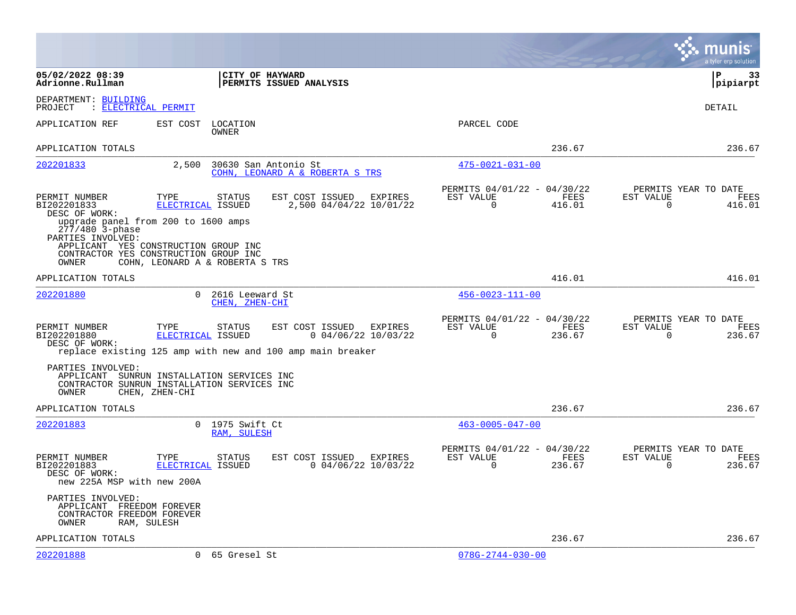|                                                                                       |                                                                                                                  |                                                         |                                                      |                |                       | a tyler erp solution                   |
|---------------------------------------------------------------------------------------|------------------------------------------------------------------------------------------------------------------|---------------------------------------------------------|------------------------------------------------------|----------------|-----------------------|----------------------------------------|
| 05/02/2022 08:39<br>Adrionne.Rullman                                                  | CITY OF HAYWARD                                                                                                  | PERMITS ISSUED ANALYSIS                                 |                                                      |                |                       | l P<br>33<br> pipiarpt                 |
| DEPARTMENT: BUILDING<br>PROJECT<br>: ELECTRICAL PERMIT                                |                                                                                                                  |                                                         |                                                      |                |                       | DETAIL                                 |
| APPLICATION REF                                                                       | EST COST<br>LOCATION<br>OWNER                                                                                    |                                                         | PARCEL CODE                                          |                |                       |                                        |
| APPLICATION TOTALS                                                                    |                                                                                                                  |                                                         |                                                      | 236.67         |                       | 236.67                                 |
| 202201833                                                                             | 2,500                                                                                                            | 30630 San Antonio St<br>COHN, LEONARD A & ROBERTA S TRS | $475 - 0021 - 031 - 00$                              |                |                       |                                        |
| PERMIT NUMBER<br>BI202201833<br>DESC OF WORK:<br>277/480 3-phase                      | TYPE<br>STATUS<br>ELECTRICAL ISSUED<br>upgrade panel from 200 to 1600 amps                                       | EST COST ISSUED EXPIRES<br>2,500 04/04/22 10/01/22      | PERMITS 04/01/22 - 04/30/22<br>EST VALUE<br>$\Omega$ | FEES<br>416.01 | EST VALUE<br>$\Omega$ | PERMITS YEAR TO DATE<br>FEES<br>416.01 |
| PARTIES INVOLVED:<br>OWNER                                                            | APPLICANT YES CONSTRUCTION GROUP INC<br>CONTRACTOR YES CONSTRUCTION GROUP INC<br>COHN, LEONARD A & ROBERTA S TRS |                                                         |                                                      |                |                       |                                        |
| APPLICATION TOTALS                                                                    |                                                                                                                  |                                                         |                                                      | 416.01         |                       | 416.01                                 |
| 202201880                                                                             | 0 2616 Leeward St<br>CHEN, ZHEN-CHI                                                                              |                                                         | $456 - 0023 - 111 - 00$                              |                |                       |                                        |
| PERMIT NUMBER<br>BI202201880<br>DESC OF WORK:                                         | TYPE<br><b>STATUS</b><br>ELECTRICAL ISSUED<br>replace existing 125 amp with new and 100 amp main breaker         | EST COST ISSUED<br>EXPIRES<br>$0$ 04/06/22 10/03/22     | PERMITS 04/01/22 - 04/30/22<br>EST VALUE<br>$\Omega$ | FEES<br>236.67 | EST VALUE<br>$\Omega$ | PERMITS YEAR TO DATE<br>FEES<br>236.67 |
| PARTIES INVOLVED:<br>OWNER                                                            | APPLICANT SUNRUN INSTALLATION SERVICES INC<br>CONTRACTOR SUNRUN INSTALLATION SERVICES INC<br>CHEN, ZHEN-CHI      |                                                         |                                                      |                |                       |                                        |
| APPLICATION TOTALS                                                                    |                                                                                                                  |                                                         |                                                      | 236.67         |                       | 236.67                                 |
| 202201883                                                                             | 0 1975 Swift Ct<br>RAM, SULESH                                                                                   |                                                         | $463 - 0005 - 047 - 00$                              |                |                       |                                        |
| PERMIT NUMBER<br>BI202201883<br>DESC OF WORK:<br>new 225A MSP with new 200A           | TYPE<br>STATUS<br>ELECTRICAL ISSUED                                                                              | EST COST ISSUED EXPIRES<br>$0$ 04/06/22 10/03/22        | PERMITS 04/01/22 - 04/30/22<br>EST VALUE<br>$\Omega$ | FEES<br>236.67 | EST VALUE<br>$\Omega$ | PERMITS YEAR TO DATE<br>FEES<br>236.67 |
| PARTIES INVOLVED:<br>APPLICANT FREEDOM FOREVER<br>CONTRACTOR FREEDOM FOREVER<br>OWNER | RAM, SULESH                                                                                                      |                                                         |                                                      |                |                       |                                        |
| APPLICATION TOTALS                                                                    |                                                                                                                  |                                                         |                                                      | 236.67         |                       | 236.67                                 |
| 202201888                                                                             | 0 65 Gresel St                                                                                                   |                                                         | $078G - 2744 - 030 - 00$                             |                |                       |                                        |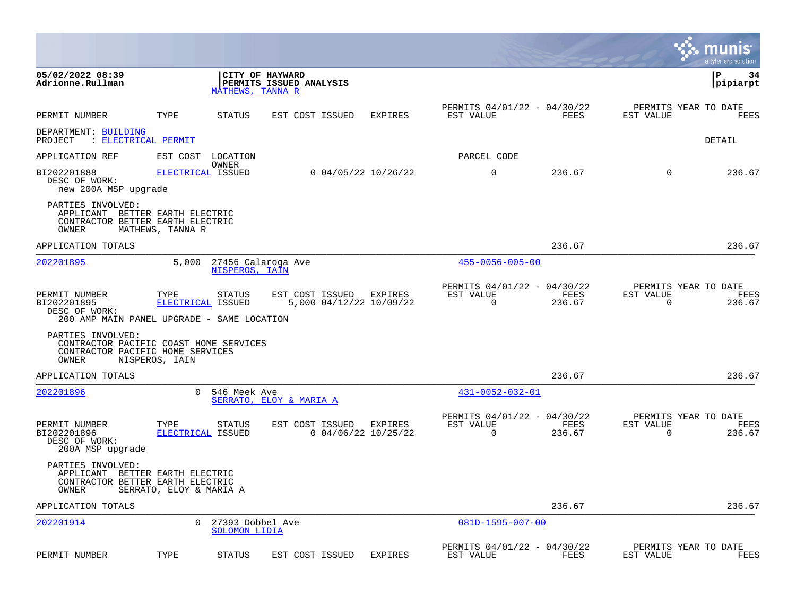|                                                                                                          |                           |                                            |                                                    |                       |                                                      |                |                       | munıs<br>a tyler erp solution          |
|----------------------------------------------------------------------------------------------------------|---------------------------|--------------------------------------------|----------------------------------------------------|-----------------------|------------------------------------------------------|----------------|-----------------------|----------------------------------------|
| 05/02/2022 08:39<br>Adrionne.Rullman                                                                     |                           | MATHEWS, TANNA R                           | CITY OF HAYWARD<br>PERMITS ISSUED ANALYSIS         |                       |                                                      |                |                       | ΙP<br>34<br>pipiarpt                   |
| PERMIT NUMBER                                                                                            | TYPE                      | STATUS                                     | EST COST ISSUED                                    | EXPIRES               | PERMITS 04/01/22 - 04/30/22<br>EST VALUE             | FEES           | EST VALUE             | PERMITS YEAR TO DATE<br>FEES           |
| DEPARTMENT: BUILDING<br>: ELECTRICAL PERMIT<br>PROJECT                                                   |                           |                                            |                                                    |                       |                                                      |                |                       | DETAIL                                 |
| APPLICATION REF                                                                                          |                           | EST COST LOCATION                          |                                                    |                       | PARCEL CODE                                          |                |                       |                                        |
| BI202201888<br>DESC OF WORK:<br>new 200A MSP upgrade                                                     | ELECTRICAL ISSUED         | OWNER                                      |                                                    | $0$ 04/05/22 10/26/22 | $\mathbf 0$                                          | 236.67         | $\mathbf 0$           | 236.67                                 |
| PARTIES INVOLVED:<br>APPLICANT BETTER EARTH ELECTRIC<br>CONTRACTOR BETTER EARTH ELECTRIC<br>OWNER        | MATHEWS, TANNA R          |                                            |                                                    |                       |                                                      |                |                       |                                        |
| APPLICATION TOTALS                                                                                       |                           |                                            |                                                    |                       |                                                      | 236.67         |                       | 236.67                                 |
| 202201895                                                                                                |                           | 5,000 27456 Calaroga Ave<br>NISPEROS, IAIN |                                                    |                       | $455 - 0056 - 005 - 00$                              |                |                       |                                        |
| PERMIT NUMBER<br>BI202201895<br>DESC OF WORK:<br>200 AMP MAIN PANEL UPGRADE - SAME LOCATION              | TYPE<br>ELECTRICAL ISSUED | STATUS                                     | EST COST ISSUED EXPIRES<br>5,000 04/12/22 10/09/22 |                       | PERMITS 04/01/22 - 04/30/22<br>EST VALUE<br>$\Omega$ | FEES<br>236.67 | EST VALUE<br>$\Omega$ | PERMITS YEAR TO DATE<br>FEES<br>236.67 |
| PARTIES INVOLVED:<br>CONTRACTOR PACIFIC COAST HOME SERVICES<br>CONTRACTOR PACIFIC HOME SERVICES<br>OWNER | NISPEROS, IAIN            |                                            |                                                    |                       |                                                      |                |                       |                                        |
| APPLICATION TOTALS                                                                                       |                           |                                            |                                                    |                       |                                                      | 236.67         |                       | 236.67                                 |
| 202201896                                                                                                | $\Omega$                  | 546 Meek Ave                               | SERRATO, ELOY & MARIA A                            |                       | 431-0052-032-01                                      |                |                       |                                        |
| PERMIT NUMBER<br>BI202201896<br>DESC OF WORK:<br>200A MSP upgrade                                        | TYPE<br>ELECTRICAL ISSUED | STATUS                                     | EST COST ISSUED EXPIRES                            | $0$ 04/06/22 10/25/22 | PERMITS 04/01/22 - 04/30/22<br>EST VALUE<br>$\Omega$ | FEES<br>236.67 | EST VALUE<br>$\Omega$ | PERMITS YEAR TO DATE<br>FEES<br>236.67 |
| PARTIES INVOLVED:<br>APPLICANT BETTER EARTH ELECTRIC<br>CONTRACTOR BETTER EARTH ELECTRIC<br>OWNER        | SERRATO, ELOY & MARIA A   |                                            |                                                    |                       |                                                      |                |                       |                                        |
| APPLICATION TOTALS                                                                                       |                           |                                            |                                                    |                       |                                                      | 236.67         |                       | 236.67                                 |
| 202201914                                                                                                |                           | 0 27393 Dobbel Ave<br>SOLOMON LIDIA        |                                                    |                       | $081D-1595-007-00$                                   |                |                       |                                        |
| PERMIT NUMBER                                                                                            | TYPE                      | <b>STATUS</b>                              | EST COST ISSUED                                    | EXPIRES               | PERMITS 04/01/22 - 04/30/22<br>EST VALUE             | FEES           | EST VALUE             | PERMITS YEAR TO DATE<br>FEES           |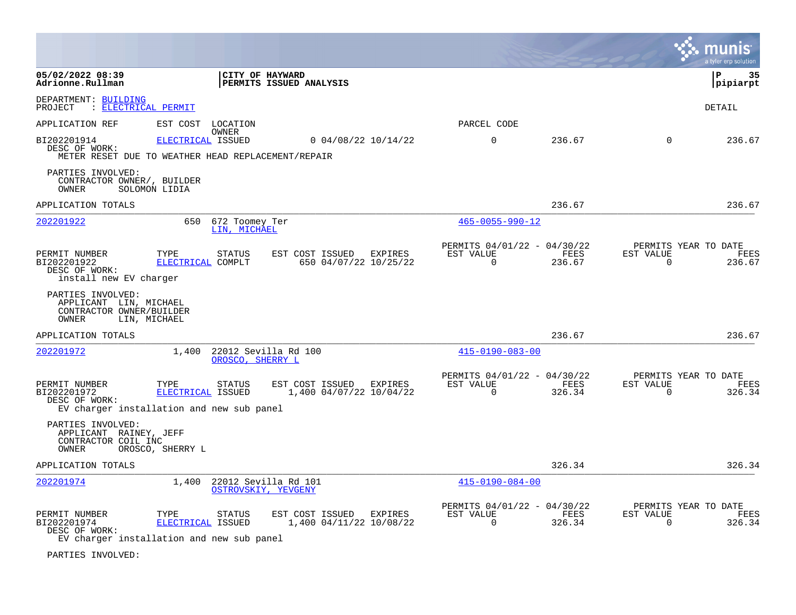|                                                                                  |                                                                                         |                                                       |                                                      |                |                       | a tyler erp solution                   |
|----------------------------------------------------------------------------------|-----------------------------------------------------------------------------------------|-------------------------------------------------------|------------------------------------------------------|----------------|-----------------------|----------------------------------------|
| 05/02/2022 08:39<br>Adrionne.Rullman                                             |                                                                                         | CITY OF HAYWARD<br>PERMITS ISSUED ANALYSIS            |                                                      |                |                       | 35<br>l P<br> pipiarpt                 |
| DEPARTMENT: BUILDING<br>: ELECTRICAL PERMIT<br>PROJECT                           |                                                                                         |                                                       |                                                      |                |                       | <b>DETAIL</b>                          |
| APPLICATION REF                                                                  | EST COST LOCATION<br>OWNER                                                              |                                                       | PARCEL CODE                                          |                |                       |                                        |
| BI202201914<br>DESC OF WORK:                                                     | ELECTRICAL ISSUED<br>METER RESET DUE TO WEATHER HEAD REPLACEMENT/REPAIR                 | $0$ 04/08/22 10/14/22                                 | $\Omega$                                             | 236.67         | $\Omega$              | 236.67                                 |
| PARTIES INVOLVED:<br>CONTRACTOR OWNER/, BUILDER<br>OWNER                         | SOLOMON LIDIA                                                                           |                                                       |                                                      |                |                       |                                        |
| APPLICATION TOTALS                                                               |                                                                                         |                                                       |                                                      | 236.67         |                       | 236.67                                 |
| 202201922                                                                        | 650<br>LIN, MICHAEL                                                                     | 672 Toomey Ter                                        | $465 - 0055 - 990 - 12$                              |                |                       |                                        |
| PERMIT NUMBER<br>BI202201922<br>DESC OF WORK:<br>install new EV charger          | TYPE<br><b>STATUS</b><br>ELECTRICAL COMPLT                                              | EST COST ISSUED EXPIRES<br>650 04/07/22 10/25/22      | PERMITS 04/01/22 - 04/30/22<br>EST VALUE<br>$\Omega$ | FEES<br>236.67 | EST VALUE<br>$\Omega$ | PERMITS YEAR TO DATE<br>FEES<br>236.67 |
| PARTIES INVOLVED:<br>APPLICANT LIN, MICHAEL<br>CONTRACTOR OWNER/BUILDER<br>OWNER | LIN, MICHAEL                                                                            |                                                       |                                                      |                |                       |                                        |
| APPLICATION TOTALS                                                               |                                                                                         |                                                       |                                                      | 236.67         |                       | 236.67                                 |
| 202201972                                                                        | 1,400                                                                                   | 22012 Sevilla Rd 100<br>OROSCO, SHERRY L              | $415 - 0190 - 083 - 00$                              |                |                       |                                        |
| PERMIT NUMBER<br>BI202201972<br>DESC OF WORK:                                    | <b>STATUS</b><br>TYPE<br>ELECTRICAL ISSUED<br>EV charger installation and new sub panel | EST COST ISSUED EXPIRES<br>1,400 04/07/22 10/04/22    | PERMITS 04/01/22 - 04/30/22<br>EST VALUE<br>$\Omega$ | FEES<br>326.34 | EST VALUE<br>$\Omega$ | PERMITS YEAR TO DATE<br>FEES<br>326.34 |
| PARTIES INVOLVED:<br>APPLICANT RAINEY, JEFF<br>CONTRACTOR COIL INC<br>OWNER      | OROSCO, SHERRY L                                                                        |                                                       |                                                      |                |                       |                                        |
| APPLICATION TOTALS                                                               |                                                                                         |                                                       |                                                      | 326.34         |                       | 326.34                                 |
| 202201974                                                                        |                                                                                         | 1,400 22012 Sevilla Rd 101<br>OSTROVSKIY, YEVGENY     | $415 - 0190 - 084 - 00$                              |                |                       |                                        |
| PERMIT NUMBER<br>BI202201974<br>DESC OF WORK:                                    | TYPE<br>STATUS<br>ELECTRICAL ISSUED<br>EV charger installation and new sub panel        | EST COST ISSUED<br>EXPIRES<br>1,400 04/11/22 10/08/22 | PERMITS 04/01/22 - 04/30/22<br>EST VALUE<br>$\Omega$ | FEES<br>326.34 | EST VALUE<br>$\Omega$ | PERMITS YEAR TO DATE<br>FEES<br>326.34 |

PARTIES INVOLVED: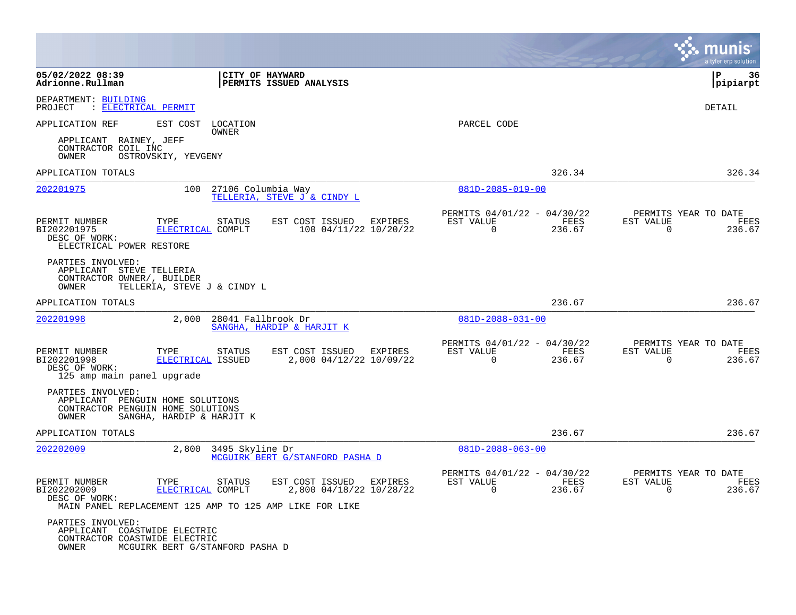|                                                                                                                                  |                                                          |                                            |         |                                                         |                |                                                     | a tyler erp solution  |
|----------------------------------------------------------------------------------------------------------------------------------|----------------------------------------------------------|--------------------------------------------|---------|---------------------------------------------------------|----------------|-----------------------------------------------------|-----------------------|
| 05/02/2022 08:39<br>Adrionne.Rullman                                                                                             | CITY OF HAYWARD                                          | PERMITS ISSUED ANALYSIS                    |         |                                                         |                |                                                     | P<br>36<br> pipiarpt  |
| DEPARTMENT: BUILDING<br>PROJECT<br>: ELECTRICAL PERMIT                                                                           |                                                          |                                            |         |                                                         |                |                                                     | <b>DETAIL</b>         |
| APPLICATION REF<br>EST COST                                                                                                      | LOCATION<br>OWNER                                        |                                            |         | PARCEL CODE                                             |                |                                                     |                       |
| APPLICANT RAINEY, JEFF<br>CONTRACTOR COIL INC<br>OWNER<br>OSTROVSKIY, YEVGENY                                                    |                                                          |                                            |         |                                                         |                |                                                     |                       |
| APPLICATION TOTALS                                                                                                               |                                                          |                                            |         |                                                         | 326.34         |                                                     | 326.34                |
| 202201975                                                                                                                        | 100<br>27106 Columbia Way                                | TELLERIA, STEVE J & CINDY L                |         | $081D - 2085 - 019 - 00$                                |                |                                                     |                       |
| PERMIT NUMBER<br>TYPE<br>BI202201975<br>DESC OF WORK:<br>ELECTRICAL POWER RESTORE                                                | <b>STATUS</b><br>ELECTRICAL COMPLT                       | EST COST ISSUED<br>100 04/11/22 10/20/22   | EXPIRES | PERMITS 04/01/22 - 04/30/22<br>EST VALUE<br>0           | FEES<br>236.67 | PERMITS YEAR TO DATE<br>EST VALUE<br>0              | FEES<br>236.67        |
| PARTIES INVOLVED:<br>APPLICANT STEVE TELLERIA<br>CONTRACTOR OWNER/, BUILDER<br>OWNER                                             | TELLERIA, STEVE J & CINDY L                              |                                            |         |                                                         |                |                                                     |                       |
| APPLICATION TOTALS                                                                                                               |                                                          |                                            |         |                                                         | 236.67         |                                                     | 236.67                |
| 202201998                                                                                                                        | 2,000<br>28041 Fallbrook Dr<br>SANGHA, HARDIP & HARJIT K |                                            |         | $081D - 2088 - 031 - 00$                                |                |                                                     |                       |
| PERMIT NUMBER<br>TYPE<br>BI202201998<br>DESC OF WORK:<br>125 amp main panel upgrade                                              | STATUS<br>ELECTRICAL ISSUED                              | EST COST ISSUED<br>2,000 04/12/22 10/09/22 | EXPIRES | PERMITS 04/01/22 - 04/30/22<br>EST VALUE<br>$\mathbf 0$ | FEES<br>236.67 | PERMITS YEAR TO DATE<br>EST VALUE<br>$\overline{0}$ | <b>FEES</b><br>236.67 |
| PARTIES INVOLVED:<br>APPLICANT PENGUIN HOME SOLUTIONS<br>CONTRACTOR PENGUIN HOME SOLUTIONS<br>OWNER<br>SANGHA, HARDIP & HARJIT K |                                                          |                                            |         |                                                         |                |                                                     |                       |
| APPLICATION TOTALS                                                                                                               |                                                          |                                            |         |                                                         | 236.67         |                                                     | 236.67                |
| 202202009                                                                                                                        | 2,800<br>3495 Skyline Dr                                 | MCGUIRK BERT G/STANFORD PASHA D            |         | $081D - 2088 - 063 - 00$                                |                |                                                     |                       |
| PERMIT NUMBER<br>TYPE<br>BI202202009<br>DESC OF WORK:<br>MAIN PANEL REPLACEMENT 125 AMP TO 125 AMP LIKE FOR LIKE                 | STATUS<br>ELECTRICAL COMPLT                              | EST COST ISSUED<br>2,800 04/18/22 10/28/22 | EXPIRES | PERMITS 04/01/22 - 04/30/22<br>EST VALUE<br>$\mathbf 0$ | FEES<br>236.67 | PERMITS YEAR TO DATE<br>EST VALUE<br>$\mathbf 0$    | <b>FEES</b><br>236.67 |
| PARTIES INVOLVED:<br>APPLICANT<br>COASTWIDE ELECTRIC<br>CONTRACTOR COASTWIDE ELECTRIC<br>OWNER                                   | MCGUIRK BERT G/STANFORD PASHA D                          |                                            |         |                                                         |                |                                                     |                       |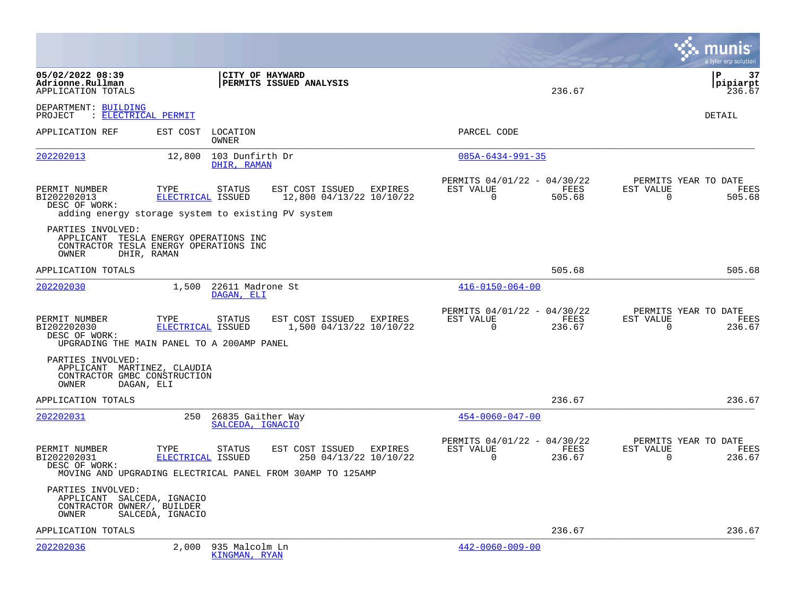|                                                                                                               |                           |                                       |                                                                                                                |                                                         |                | munis<br>a tyler erp solution                                          |
|---------------------------------------------------------------------------------------------------------------|---------------------------|---------------------------------------|----------------------------------------------------------------------------------------------------------------|---------------------------------------------------------|----------------|------------------------------------------------------------------------|
| 05/02/2022 08:39<br>Adrionne.Rullman<br>APPLICATION TOTALS                                                    |                           | CITY OF HAYWARD                       | PERMITS ISSUED ANALYSIS                                                                                        |                                                         | 236.67         | l P<br>37<br> pipiarpt<br>236.67                                       |
| DEPARTMENT: BUILDING<br>PROJECT : ELECTRICAL PERMIT                                                           |                           |                                       |                                                                                                                |                                                         |                | <b>DETAIL</b>                                                          |
| APPLICATION REF                                                                                               | EST COST                  | LOCATION<br>OWNER                     |                                                                                                                | PARCEL CODE                                             |                |                                                                        |
| 202202013                                                                                                     | 12,800                    | 103 Dunfirth Dr<br>DHIR, RAMAN        |                                                                                                                | $085A - 6434 - 991 - 35$                                |                |                                                                        |
| PERMIT NUMBER<br>BI202202013<br>DESC OF WORK:<br>adding energy storage system to existing PV system           | TYPE<br>ELECTRICAL ISSUED | <b>STATUS</b>                         | EST COST ISSUED EXPIRES<br>12,800 04/13/22 10/10/22                                                            | PERMITS 04/01/22 - 04/30/22<br>EST VALUE<br>$\Omega$    | FEES<br>505.68 | PERMITS YEAR TO DATE<br>EST VALUE<br><b>FEES</b><br>$\Omega$<br>505.68 |
| PARTIES INVOLVED:<br>APPLICANT TESLA ENERGY OPERATIONS INC<br>CONTRACTOR TESLA ENERGY OPERATIONS INC<br>OWNER | DHIR, RAMAN               |                                       |                                                                                                                |                                                         |                |                                                                        |
| APPLICATION TOTALS                                                                                            |                           |                                       |                                                                                                                |                                                         | 505.68         | 505.68                                                                 |
| 202202030                                                                                                     |                           | 1,500 22611 Madrone St<br>DAGAN, ELI  |                                                                                                                | $416 - 0150 - 064 - 00$                                 |                |                                                                        |
| PERMIT NUMBER<br>BI202202030<br>DESC OF WORK:<br>UPGRADING THE MAIN PANEL TO A 200AMP PANEL                   | TYPE<br>ELECTRICAL ISSUED | STATUS                                | EST COST ISSUED EXPIRES<br>1,500 04/13/22 10/10/22                                                             | PERMITS 04/01/22 - 04/30/22<br>EST VALUE<br>$\Omega$    | FEES<br>236.67 | PERMITS YEAR TO DATE<br>EST VALUE<br>FEES<br>$\Omega$<br>236.67        |
| PARTIES INVOLVED:<br>APPLICANT MARTINEZ, CLAUDIA<br>CONTRACTOR GMBC CONSTRUCTION<br>OWNER<br>DAGAN, ELI       |                           |                                       |                                                                                                                |                                                         |                |                                                                        |
| APPLICATION TOTALS                                                                                            |                           |                                       |                                                                                                                |                                                         | 236.67         | 236.67                                                                 |
| 202202031                                                                                                     | 250                       | 26835 Gaither Way<br>SALCEDA, IGNACIO |                                                                                                                | $454 - 0060 - 047 - 00$                                 |                |                                                                        |
| PERMIT NUMBER<br>BI202202031<br>DESC OF WORK:                                                                 | TYPE<br>ELECTRICAL ISSUED | <b>STATUS</b>                         | EST COST ISSUED EXPIRES<br>250 04/13/22 10/10/22<br>MOVING AND UPGRADING ELECTRICAL PANEL FROM 30AMP TO 125AMP | PERMITS 04/01/22 - 04/30/22<br>EST VALUE<br>$\mathbf 0$ | FEES<br>236.67 | PERMITS YEAR TO DATE<br>FEES<br>EST VALUE<br>$\mathbf 0$<br>236.67     |
| PARTIES INVOLVED:<br>APPLICANT SALCEDA, IGNACIO<br>CONTRACTOR OWNER/, BUILDER<br>OWNER                        | SALCEDA, IGNACIO          |                                       |                                                                                                                |                                                         |                |                                                                        |
| APPLICATION TOTALS                                                                                            |                           |                                       |                                                                                                                |                                                         | 236.67         | 236.67                                                                 |
| 202202036                                                                                                     | 2,000                     | 935 Malcolm Ln<br>KINGMAN, RYAN       |                                                                                                                | $442 - 0060 - 009 - 00$                                 |                |                                                                        |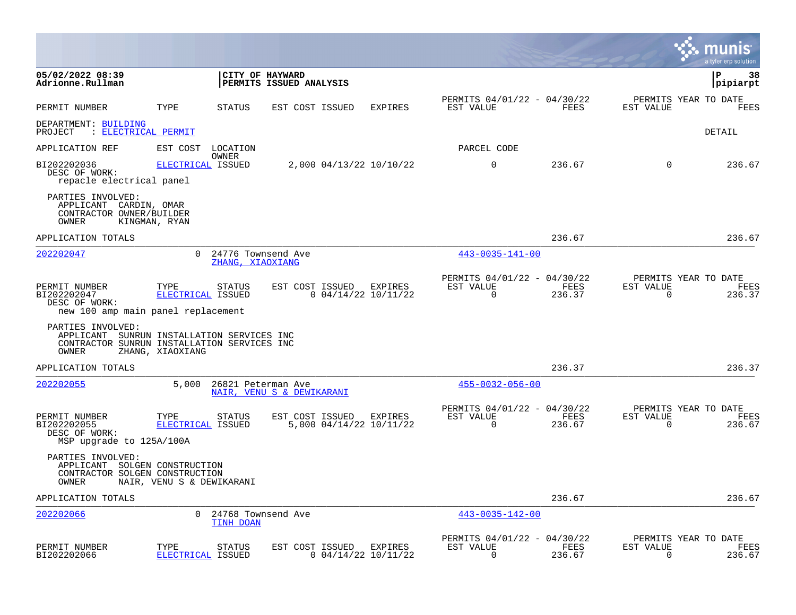|                                                                                                                                |                           |                                        |                                            |                                    |                                                         |                |                       | munis<br>a tyler erp solution          |
|--------------------------------------------------------------------------------------------------------------------------------|---------------------------|----------------------------------------|--------------------------------------------|------------------------------------|---------------------------------------------------------|----------------|-----------------------|----------------------------------------|
| 05/02/2022 08:39<br>Adrionne.Rullman                                                                                           |                           |                                        | CITY OF HAYWARD<br>PERMITS ISSUED ANALYSIS |                                    |                                                         |                |                       | P<br>38<br> pipiarpt                   |
| PERMIT NUMBER                                                                                                                  | TYPE                      | STATUS                                 | EST COST ISSUED                            | <b>EXPIRES</b>                     | PERMITS 04/01/22 - 04/30/22<br>EST VALUE                | FEES           | EST VALUE             | PERMITS YEAR TO DATE<br>FEES           |
| DEPARTMENT: BUILDING<br>PROJECT<br>: ELECTRICAL PERMIT                                                                         |                           |                                        |                                            |                                    |                                                         |                |                       | <b>DETAIL</b>                          |
| APPLICATION REF                                                                                                                | EST COST                  | LOCATION                               |                                            |                                    | PARCEL CODE                                             |                |                       |                                        |
| BI202202036<br>DESC OF WORK:<br>repacle electrical panel                                                                       | ELECTRICAL ISSUED         | OWNER                                  |                                            | 2,000 04/13/22 10/10/22            | $\mathbf 0$                                             | 236.67         | $\mathbf 0$           | 236.67                                 |
| PARTIES INVOLVED:<br>APPLICANT CARDIN, OMAR<br>CONTRACTOR OWNER/BUILDER<br>OWNER                                               | KINGMAN, RYAN             |                                        |                                            |                                    |                                                         |                |                       |                                        |
| APPLICATION TOTALS                                                                                                             |                           |                                        |                                            |                                    |                                                         | 236.67         |                       | 236.67                                 |
| 202202047                                                                                                                      | $\Omega$                  | 24776 Townsend Ave<br>ZHANG, XIAOXIANG |                                            |                                    | $443 - 0035 - 141 - 00$                                 |                |                       |                                        |
| PERMIT NUMBER<br>BI202202047<br>DESC OF WORK:<br>new 100 amp main panel replacement                                            | TYPE<br>ELECTRICAL ISSUED | STATUS                                 | EST COST ISSUED                            | EXPIRES<br>$0$ 04/14/22 10/11/22   | PERMITS 04/01/22 - 04/30/22<br>EST VALUE<br>$\Omega$    | FEES<br>236.37 | EST VALUE<br>$\Omega$ | PERMITS YEAR TO DATE<br>FEES<br>236.37 |
| PARTIES INVOLVED:<br>APPLICANT SUNRUN INSTALLATION SERVICES INC<br>CONTRACTOR SUNRUN INSTALLATION SERVICES INC<br><b>OWNER</b> | ZHANG, XIAOXIANG          |                                        |                                            |                                    |                                                         |                |                       |                                        |
| APPLICATION TOTALS                                                                                                             |                           |                                        |                                            |                                    |                                                         | 236.37         |                       | 236.37                                 |
| 202202055                                                                                                                      | 5,000                     | 26821 Peterman Ave                     | NAIR, VENU S & DEWIKARANI                  |                                    | $455 - 0032 - 056 - 00$                                 |                |                       |                                        |
| PERMIT NUMBER<br>BI202202055<br>DESC OF WORK:<br>MSP upgrade to 125A/100A                                                      | TYPE<br>ELECTRICAL ISSUED | STATUS                                 | EST COST ISSUED                            | EXPIRES<br>5,000 04/14/22 10/11/22 | PERMITS 04/01/22 - 04/30/22<br>EST VALUE<br>0           | FEES<br>236.67 | EST VALUE<br>0        | PERMITS YEAR TO DATE<br>FEES<br>236.67 |
| PARTIES INVOLVED:<br>APPLICANT SOLGEN CONSTRUCTION<br>CONTRACTOR SOLGEN CONSTRUCTION<br>OWNER                                  | NAIR, VENU S & DEWIKARANI |                                        |                                            |                                    |                                                         |                |                       |                                        |
| APPLICATION TOTALS                                                                                                             |                           |                                        |                                            |                                    |                                                         | 236.67         |                       | 236.67                                 |
| 202202066                                                                                                                      | $\Omega$                  | 24768 Townsend Ave<br>TINH DOAN        |                                            |                                    | $443 - 0035 - 142 - 00$                                 |                |                       |                                        |
| PERMIT NUMBER<br>BI202202066                                                                                                   | TYPE<br>ELECTRICAL ISSUED | STATUS                                 | EST COST ISSUED                            | EXPIRES<br>$0$ 04/14/22 10/11/22   | PERMITS 04/01/22 - 04/30/22<br>EST VALUE<br>$\mathbf 0$ | FEES<br>236.67 | EST VALUE<br>0        | PERMITS YEAR TO DATE<br>FEES<br>236.67 |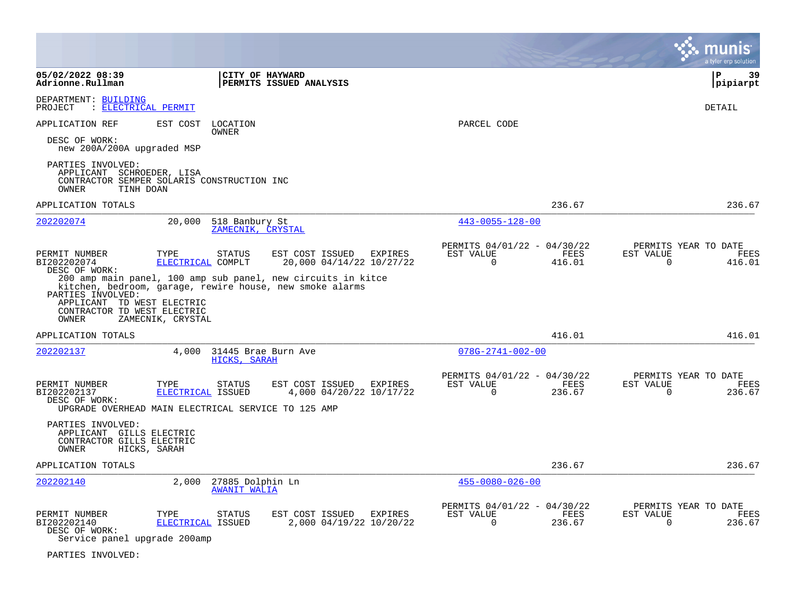|                                                                                                                                          |                                                |                                           |                                                                                                                                                                                    |                                                      |                |                       | a tyler erp solution                          |
|------------------------------------------------------------------------------------------------------------------------------------------|------------------------------------------------|-------------------------------------------|------------------------------------------------------------------------------------------------------------------------------------------------------------------------------------|------------------------------------------------------|----------------|-----------------------|-----------------------------------------------|
| 05/02/2022 08:39<br>Adrionne.Rullman                                                                                                     |                                                | CITY OF HAYWARD                           | PERMITS ISSUED ANALYSIS                                                                                                                                                            |                                                      |                |                       | l P<br>-39<br> pipiarpt                       |
| DEPARTMENT: BUILDING<br>: ELECTRICAL PERMIT<br>PROJECT                                                                                   |                                                |                                           |                                                                                                                                                                                    |                                                      |                |                       | <b>DETAIL</b>                                 |
| APPLICATION REF<br>DESC OF WORK:<br>new 200A/200A upgraded MSP                                                                           | EST COST                                       | LOCATION<br><b>OWNER</b>                  |                                                                                                                                                                                    | PARCEL CODE                                          |                |                       |                                               |
| PARTIES INVOLVED:<br>APPLICANT SCHROEDER, LISA<br>CONTRACTOR SEMPER SOLARIS CONSTRUCTION INC<br>OWNER<br>TINH DOAN                       |                                                |                                           |                                                                                                                                                                                    |                                                      |                |                       |                                               |
| APPLICATION TOTALS                                                                                                                       |                                                |                                           |                                                                                                                                                                                    |                                                      | 236.67         |                       | 236.67                                        |
| 202202074                                                                                                                                | 20,000                                         | 518 Banbury St<br>ZAMECNIK, CRYSTAL       |                                                                                                                                                                                    | $443 - 0055 - 128 - 00$                              |                |                       |                                               |
| PERMIT NUMBER<br>BI202202074<br>DESC OF WORK:<br>PARTIES INVOLVED:<br>APPLICANT TD WEST ELECTRIC<br>CONTRACTOR TD WEST ELECTRIC<br>OWNER | TYPE<br>ELECTRICAL COMPLT<br>ZAMECNIK, CRYSTAL | <b>STATUS</b>                             | EST COST ISSUED<br>EXPIRES<br>20,000 04/14/22 10/27/22<br>200 amp main panel, 100 amp sub panel, new circuits in kitce<br>kitchen, bedroom, garage, rewire house, new smoke alarms | PERMITS 04/01/22 - 04/30/22<br>EST VALUE<br>$\Omega$ | FEES<br>416.01 | EST VALUE<br>0        | PERMITS YEAR TO DATE<br><b>FEES</b><br>416.01 |
| APPLICATION TOTALS                                                                                                                       |                                                |                                           |                                                                                                                                                                                    |                                                      | 416.01         |                       | 416.01                                        |
| 202202137                                                                                                                                |                                                | 4,000 31445 Brae Burn Ave<br>HICKS, SARAH |                                                                                                                                                                                    | $078G - 2741 - 002 - 00$                             |                |                       |                                               |
| PERMIT NUMBER<br>BI202202137<br>DESC OF WORK:<br>UPGRADE OVERHEAD MAIN ELECTRICAL SERVICE TO 125 AMP<br>PARTIES INVOLVED:                | TYPE<br>ELECTRICAL ISSUED                      | <b>STATUS</b>                             | EST COST ISSUED EXPIRES<br>4,000 04/20/22 10/17/22                                                                                                                                 | PERMITS 04/01/22 - 04/30/22<br>EST VALUE<br>$\Omega$ | FEES<br>236.67 | EST VALUE<br>$\Omega$ | PERMITS YEAR TO DATE<br>FEES<br>236.67        |
| APPLICANT GILLS ELECTRIC<br>CONTRACTOR GILLS ELECTRIC<br>HICKS, SARAH<br>OWNER                                                           |                                                |                                           |                                                                                                                                                                                    |                                                      |                |                       |                                               |
| APPLICATION TOTALS                                                                                                                       |                                                |                                           |                                                                                                                                                                                    |                                                      | 236.67         |                       | 236.67                                        |
| 202202140                                                                                                                                | 2,000                                          | 27885 Dolphin Ln<br><b>AWANIT WALIA</b>   |                                                                                                                                                                                    | $455 - 0080 - 026 - 00$                              |                |                       |                                               |
| PERMIT NUMBER<br>BI202202140<br>DESC OF WORK:<br>Service panel upgrade 200amp                                                            | TYPE<br>ELECTRICAL ISSUED                      | <b>STATUS</b>                             | EST COST ISSUED<br>EXPIRES<br>2,000 04/19/22 10/20/22                                                                                                                              | PERMITS 04/01/22 - 04/30/22<br>EST VALUE<br>$\Omega$ | FEES<br>236.67 | EST VALUE<br>$\Omega$ | PERMITS YEAR TO DATE<br>FEES<br>236.67        |

PARTIES INVOLVED: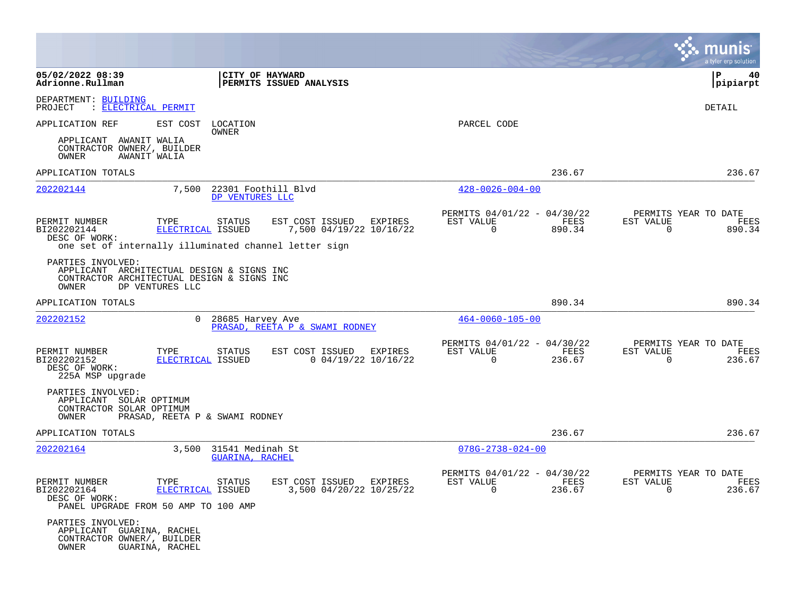|                                                                                       |                                                                                                            |                                                       |                                                            |                | a tyler erp solution                                               |
|---------------------------------------------------------------------------------------|------------------------------------------------------------------------------------------------------------|-------------------------------------------------------|------------------------------------------------------------|----------------|--------------------------------------------------------------------|
| 05/02/2022 08:39<br>Adrionne.Rullman                                                  |                                                                                                            | CITY OF HAYWARD<br>PERMITS ISSUED ANALYSIS            |                                                            |                | ΙP<br>40<br> pipiarpt                                              |
| DEPARTMENT: BUILDING<br>: ELECTRICAL PERMIT<br>PROJECT                                |                                                                                                            |                                                       |                                                            |                | DETAIL                                                             |
| APPLICATION REF                                                                       | EST COST<br>LOCATION<br>OWNER                                                                              |                                                       | PARCEL CODE                                                |                |                                                                    |
| APPLICANT AWANIT WALIA<br>CONTRACTOR OWNER/, BUILDER<br>AWANIT WALIA<br>OWNER         |                                                                                                            |                                                       |                                                            |                |                                                                    |
| APPLICATION TOTALS                                                                    |                                                                                                            |                                                       |                                                            | 236.67         | 236.67                                                             |
| 202202144                                                                             | 7,500<br>DP VENTURES LLC                                                                                   | 22301 Foothill Blvd                                   | $428 - 0026 - 004 - 00$                                    |                |                                                                    |
| PERMIT NUMBER<br>BI202202144<br>DESC OF WORK:                                         | TYPE<br>STATUS<br>ELECTRICAL ISSUED                                                                        | EST COST ISSUED<br>EXPIRES<br>7,500 04/19/22 10/16/22 | PERMITS 04/01/22 - 04/30/22<br>EST VALUE<br>$\Omega$       | FEES<br>890.34 | PERMITS YEAR TO DATE<br>EST VALUE<br>FEES<br>$\Omega$<br>890.34    |
|                                                                                       | one set of internally illuminated channel letter sign                                                      |                                                       |                                                            |                |                                                                    |
| PARTIES INVOLVED:<br>OWNER                                                            | APPLICANT ARCHITECTUAL DESIGN & SIGNS INC<br>CONTRACTOR ARCHITECTUAL DESIGN & SIGNS INC<br>DP VENTURES LLC |                                                       |                                                            |                |                                                                    |
| APPLICATION TOTALS                                                                    |                                                                                                            |                                                       |                                                            | 890.34         | 890.34                                                             |
| 202202152                                                                             | $\Omega$<br>28685 Harvey Ave                                                                               | PRASAD, REETA P & SWAMI RODNEY                        | $464 - 0060 - 105 - 00$                                    |                |                                                                    |
| PERMIT NUMBER<br>BI202202152<br>DESC OF WORK:<br>225A MSP upgrade                     | TYPE<br>STATUS<br>ELECTRICAL ISSUED                                                                        | EST COST ISSUED EXPIRES<br>$0$ 04/19/22 10/16/22      | PERMITS 04/01/22 - 04/30/22<br>EST VALUE<br>$\mathbf 0$    | FEES<br>236.67 | PERMITS YEAR TO DATE<br>EST VALUE<br>FEES<br>$\mathbf 0$<br>236.67 |
| PARTIES INVOLVED:<br>APPLICANT SOLAR OPTIMUM<br>CONTRACTOR SOLAR OPTIMUM<br>OWNER     | PRASAD, REETA P & SWAMI RODNEY                                                                             |                                                       |                                                            |                |                                                                    |
| APPLICATION TOTALS                                                                    |                                                                                                            |                                                       |                                                            | 236.67         | 236.67                                                             |
| 202202164                                                                             | 3,500 31541 Medinah St<br><b>GUARINA, RACHEL</b>                                                           |                                                       | $078G - 2738 - 024 - 00$                                   |                |                                                                    |
| PERMIT NUMBER<br>BI202202164<br>DESC OF WORK:                                         | TYPE<br><b>STATUS</b><br>ELECTRICAL ISSUED<br>PANEL UPGRADE FROM 50 AMP TO 100 AMP                         | EXPIRES<br>EST COST ISSUED<br>3,500 04/20/22 10/25/22 | PERMITS 04/01/22 - 04/30/22<br>EST VALUE<br>$\overline{0}$ | FEES<br>236.67 | PERMITS YEAR TO DATE<br>EST VALUE<br>FEES<br>$\mathbf 0$<br>236.67 |
| PARTIES INVOLVED:<br>APPLICANT GUARINA, RACHEL<br>CONTRACTOR OWNER/, BUILDER<br>OWNER | GUARINA, RACHEL                                                                                            |                                                       |                                                            |                |                                                                    |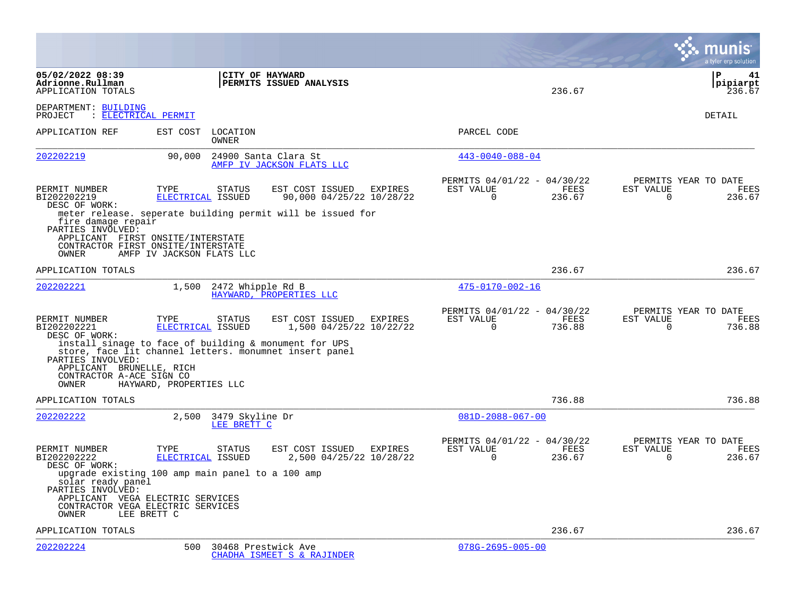|                                                                                                                            |                                                                                                                                                                    |                                                        |                                                                        | a tyler erp solution                                                           |
|----------------------------------------------------------------------------------------------------------------------------|--------------------------------------------------------------------------------------------------------------------------------------------------------------------|--------------------------------------------------------|------------------------------------------------------------------------|--------------------------------------------------------------------------------|
| 05/02/2022 08:39<br>Adrionne.Rullman<br>APPLICATION TOTALS                                                                 |                                                                                                                                                                    | CITY OF HAYWARD<br>PERMITS ISSUED ANALYSIS             | 236.67                                                                 | l P<br>41<br> pipiarpt<br>236.67                                               |
| DEPARTMENT: BUILDING<br>: ELECTRICAL PERMIT<br>PROJECT                                                                     |                                                                                                                                                                    |                                                        |                                                                        | DETAIL                                                                         |
| APPLICATION REF                                                                                                            | EST COST<br>LOCATION<br>OWNER                                                                                                                                      |                                                        | PARCEL CODE                                                            |                                                                                |
| 202202219                                                                                                                  | 90,000                                                                                                                                                             | 24900 Santa Clara St<br>AMFP IV JACKSON FLATS LLC      | $443 - 0040 - 088 - 04$                                                |                                                                                |
| PERMIT NUMBER<br>BI202202219<br>DESC OF WORK:                                                                              | TYPE<br><b>STATUS</b><br>ELECTRICAL ISSUED                                                                                                                         | EST COST ISSUED<br>EXPIRES<br>90,000 04/25/22 10/28/22 | PERMITS 04/01/22 - 04/30/22<br>EST VALUE<br>$\Omega$<br>236.67         | PERMITS YEAR TO DATE<br><b>FEES</b><br>FEES<br>EST VALUE<br>$\Omega$<br>236.67 |
| fire damage repair<br>PARTIES INVOLVED:<br>OWNER                                                                           | meter release. seperate building permit will be issued for<br>APPLICANT FIRST ONSITE/INTERSTATE<br>CONTRACTOR FIRST ONSITE/INTERSTATE<br>AMFP IV JACKSON FLATS LLC |                                                        |                                                                        |                                                                                |
| APPLICATION TOTALS                                                                                                         |                                                                                                                                                                    |                                                        | 236.67                                                                 | 236.67                                                                         |
| 202202221                                                                                                                  | 1,500<br>2472 Whipple Rd B                                                                                                                                         | HAYWARD, PROPERTIES LLC                                | $475 - 0170 - 002 - 16$                                                |                                                                                |
| PERMIT NUMBER<br>BI202202221<br>DESC OF WORK:<br>PARTIES INVOLVED:<br>APPLICANT BRUNELLE, RICH<br>CONTRACTOR A-ACE SIGN CO | TYPE<br><b>STATUS</b><br>ELECTRICAL ISSUED<br>install sinage to face of building & monument for UPS<br>store, face lit channel letters. monumnet insert panel      | EST COST ISSUED<br>EXPIRES<br>1,500 04/25/22 10/22/22  | PERMITS 04/01/22 - 04/30/22<br>EST VALUE<br>FEES<br>736.88<br>$\Omega$ | PERMITS YEAR TO DATE<br>EST VALUE<br><b>FEES</b><br>736.88<br>$\Omega$         |
| OWNER<br>APPLICATION TOTALS                                                                                                | HAYWARD, PROPERTIES LLC                                                                                                                                            |                                                        | 736.88                                                                 | 736.88                                                                         |
| 202202222                                                                                                                  | 2,500<br>3479 Skyline Dr<br>LEE BRETT C                                                                                                                            |                                                        | $081D - 2088 - 067 - 00$                                               |                                                                                |
| PERMIT NUMBER<br>BI202202222<br>DESC OF WORK:                                                                              | TYPE<br>STATUS<br>ELECTRICAL ISSUED                                                                                                                                | EST COST ISSUED<br>EXPIRES<br>2,500 04/25/22 10/28/22  | PERMITS 04/01/22 - 04/30/22<br>EST VALUE<br>0<br>236.67                | PERMITS YEAR TO DATE<br>FEES<br>FEES<br>EST VALUE<br>236.67<br>0               |
| solar ready panel<br>PARTIES INVOLVED:<br>OWNER                                                                            | upgrade existing 100 amp main panel to a 100 amp<br>APPLICANT VEGA ELECTRIC SERVICES<br>CONTRACTOR VEGA ELECTRIC SERVICES<br>LEE BRETT C                           |                                                        |                                                                        |                                                                                |
| APPLICATION TOTALS                                                                                                         |                                                                                                                                                                    |                                                        | 236.67                                                                 | 236.67                                                                         |
| 202202224                                                                                                                  | 500                                                                                                                                                                | 30468 Prestwick Ave<br>CHADHA ISMEET S & RAJINDER      | $078G - 2695 - 005 - 00$                                               |                                                                                |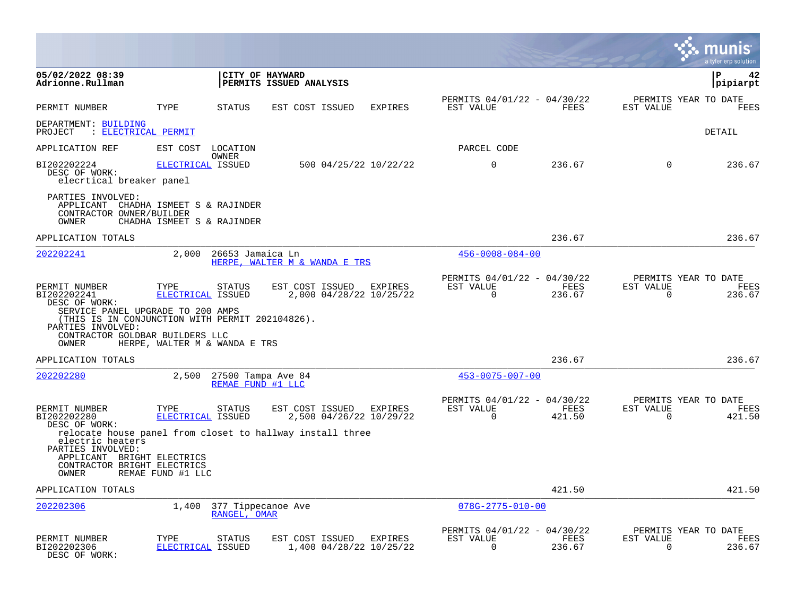|                                                                                                                                                                                                                           |                                                            |                                         |                                                    |         |                                                         |                |                                                  | a tyler erp solution |
|---------------------------------------------------------------------------------------------------------------------------------------------------------------------------------------------------------------------------|------------------------------------------------------------|-----------------------------------------|----------------------------------------------------|---------|---------------------------------------------------------|----------------|--------------------------------------------------|----------------------|
| 05/02/2022 08:39<br>Adrionne.Rullman                                                                                                                                                                                      |                                                            | <b>CITY OF HAYWARD</b>                  | <b>PERMITS ISSUED ANALYSIS</b>                     |         |                                                         |                |                                                  | P<br>42<br>pipiarpt  |
| PERMIT NUMBER                                                                                                                                                                                                             | TYPE                                                       | STATUS                                  | EST COST ISSUED                                    | EXPIRES | PERMITS 04/01/22 - 04/30/22<br>EST VALUE                | FEES           | PERMITS YEAR TO DATE<br>EST VALUE                | FEES                 |
| DEPARTMENT: BUILDING<br>: ELECTRICAL PERMIT<br>PROJECT                                                                                                                                                                    |                                                            |                                         |                                                    |         |                                                         |                |                                                  | DETAIL               |
| APPLICATION REF                                                                                                                                                                                                           | EST COST                                                   | LOCATION                                |                                                    |         | PARCEL CODE                                             |                |                                                  |                      |
| BI202202224<br>DESC OF WORK:<br>elecrtical breaker panel                                                                                                                                                                  | ELECTRICAL ISSUED                                          | OWNER                                   | 500 04/25/22 10/22/22                              |         | $\mathbf 0$                                             | 236.67         | $\Omega$                                         | 236.67               |
| PARTIES INVOLVED:<br>APPLICANT CHADHA ISMEET S & RAJINDER<br>CONTRACTOR OWNER/BUILDER<br>OWNER                                                                                                                            | CHADHA ISMEET S & RAJINDER                                 |                                         |                                                    |         |                                                         |                |                                                  |                      |
| APPLICATION TOTALS                                                                                                                                                                                                        |                                                            |                                         |                                                    |         |                                                         | 236.67         |                                                  | 236.67               |
| 202202241                                                                                                                                                                                                                 | 2,000                                                      | 26653 Jamaica Ln                        | HERPE, WALTER M & WANDA E TRS                      |         | $456 - 0008 - 084 - 00$                                 |                |                                                  |                      |
| PERMIT NUMBER<br>BI202202241<br>DESC OF WORK:<br>SERVICE PANEL UPGRADE TO 200 AMPS<br>(THIS IS IN CONJUNCTION WITH PERMIT 202104826).<br>PARTIES INVOLVED:<br>CONTRACTOR GOLDBAR BUILDERS LLC<br>OWNER                    | TYPE<br>ELECTRICAL ISSUED<br>HERPE, WALTER M & WANDA E TRS | STATUS                                  | EST COST ISSUED<br>2,000 04/28/22 10/25/22         | EXPIRES | PERMITS 04/01/22 - 04/30/22<br>EST VALUE<br>$\Omega$    | FEES<br>236.67 | PERMITS YEAR TO DATE<br>EST VALUE<br>$\Omega$    | FEES<br>236.67       |
| APPLICATION TOTALS                                                                                                                                                                                                        |                                                            |                                         |                                                    |         |                                                         | 236.67         |                                                  | 236.67               |
| 202202280                                                                                                                                                                                                                 | 2,500                                                      | 27500 Tampa Ave 84<br>REMAE FUND #1 LLC |                                                    |         | $453 - 0075 - 007 - 00$                                 |                |                                                  |                      |
| PERMIT NUMBER<br>BI202202280<br>DESC OF WORK:<br>relocate house panel from closet to hallway install three<br>electric heaters<br>PARTIES INVOLVED:<br>APPLICANT BRIGHT ELECTRICS<br>CONTRACTOR BRIGHT ELECTRICS<br>OWNER | TYPE<br>ELECTRICAL ISSUED<br>REMAE FUND #1 LLC             | <b>STATUS</b>                           | EST COST ISSUED EXPIRES<br>2,500 04/26/22 10/29/22 |         | PERMITS 04/01/22 - 04/30/22<br>EST VALUE<br>$\Omega$    | FEES<br>421.50 | PERMITS YEAR TO DATE<br>EST VALUE<br>$\Omega$    | FEES<br>421.50       |
| APPLICATION TOTALS                                                                                                                                                                                                        |                                                            |                                         |                                                    |         |                                                         | 421.50         |                                                  | 421.50               |
| 202202306                                                                                                                                                                                                                 | 1,400                                                      | 377 Tippecanoe Ave<br>RANGEL, OMAR      |                                                    |         | $078G - 2775 - 010 - 00$                                |                |                                                  |                      |
| PERMIT NUMBER<br>BI202202306<br>DESC OF WORK:                                                                                                                                                                             | TYPE<br>ELECTRICAL ISSUED                                  | <b>STATUS</b>                           | EST COST ISSUED EXPIRES<br>1,400 04/28/22 10/25/22 |         | PERMITS 04/01/22 - 04/30/22<br>EST VALUE<br>$\mathbf 0$ | FEES<br>236.67 | PERMITS YEAR TO DATE<br>EST VALUE<br>$\mathbf 0$ | FEES<br>236.67       |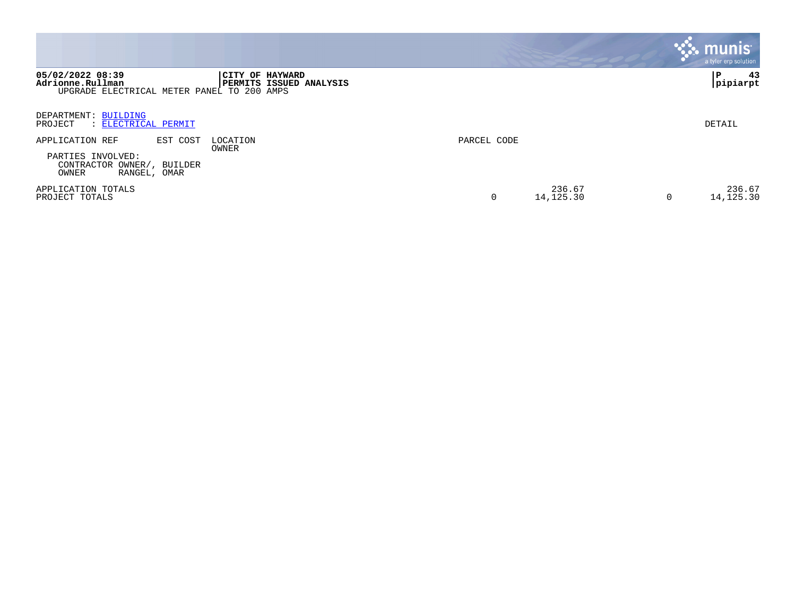|                                                                                                                                  |                      | $\boldsymbol{\ddot{\cdot}}$ . munis $\boldsymbol{\dot{\cdot}}$<br>a tyler erp solution |
|----------------------------------------------------------------------------------------------------------------------------------|----------------------|----------------------------------------------------------------------------------------|
| 05/02/2022 08:39<br>CITY OF HAYWARD<br>Adrionne.Rullman<br>PERMITS ISSUED ANALYSIS<br>UPGRADE ELECTRICAL METER PANEL TO 200 AMPS |                      | 43<br>P<br>pipiarpt                                                                    |
| DEPARTMENT: BUILDING<br>PROJECT<br>: ELECTRICAL PERMIT                                                                           |                      | DETAIL                                                                                 |
| APPLICATION REF<br>EST COST<br>LOCATION<br>OWNER<br>PARTIES INVOLVED:<br>CONTRACTOR OWNER/, BUILDER<br>OWNER<br>RANGEL, OMAR     | PARCEL CODE          |                                                                                        |
| APPLICATION TOTALS<br>PROJECT TOTALS                                                                                             | 236.67<br>14, 125.30 | 236.67<br>14, 125.30<br>0                                                              |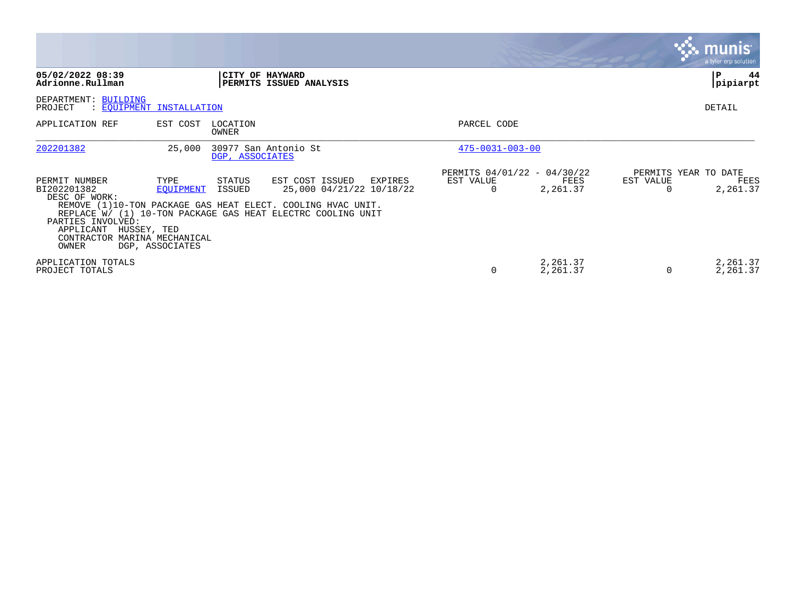|                                                                                                                                         |                                                                 |                                                                                                                                                                                      |                                                      |                      |                | <b>munis</b><br>a tyler erp solution     |
|-----------------------------------------------------------------------------------------------------------------------------------------|-----------------------------------------------------------------|--------------------------------------------------------------------------------------------------------------------------------------------------------------------------------------|------------------------------------------------------|----------------------|----------------|------------------------------------------|
| 05/02/2022 08:39<br>Adrionne.Rullman                                                                                                    |                                                                 | <b>CITY OF HAYWARD</b><br>PERMITS ISSUED ANALYSIS                                                                                                                                    |                                                      |                      |                | P<br>44<br>pipiarpt                      |
| DEPARTMENT: BUILDING<br>PROJECT                                                                                                         | : EOUIPMENT INSTALLATION                                        |                                                                                                                                                                                      |                                                      |                      |                | DETAIL                                   |
| APPLICATION REF                                                                                                                         | EST COST<br>LOCATION<br>OWNER                                   |                                                                                                                                                                                      | PARCEL CODE                                          |                      |                |                                          |
| 202201382                                                                                                                               | 25,000<br>DGP, ASSOCIATES                                       | 30977 San Antonio St                                                                                                                                                                 | $475 - 0031 - 003 - 00$                              |                      |                |                                          |
| PERMIT NUMBER<br>BI202201382<br>DESC OF WORK:<br>PARTIES INVOLVED:<br>APPLICANT<br>HUSSEY, TED<br>CONTRACTOR MARINA MECHANICAL<br>OWNER | STATUS<br>TYPE<br>ISSUED<br><b>EOUIPMENT</b><br>DGP, ASSOCIATES | EST COST ISSUED<br>EXPIRES<br>25,000 04/21/22 10/18/22<br>REMOVE (1)10-TON PACKAGE GAS HEAT ELECT. COOLING HVAC UNIT.<br>REPLACE W/ (1) 10-TON PACKAGE GAS HEAT ELECTRC COOLING UNIT | PERMITS 04/01/22 - 04/30/22<br>EST VALUE<br>$\Omega$ | FEES<br>2,261.37     | EST VALUE<br>O | PERMITS YEAR TO DATE<br>FEES<br>2,261.37 |
| APPLICATION TOTALS<br>PROJECT TOTALS                                                                                                    |                                                                 |                                                                                                                                                                                      | 0                                                    | 2,261.37<br>2,261.37 | $\Omega$       | 2,261.37<br>2,261.37                     |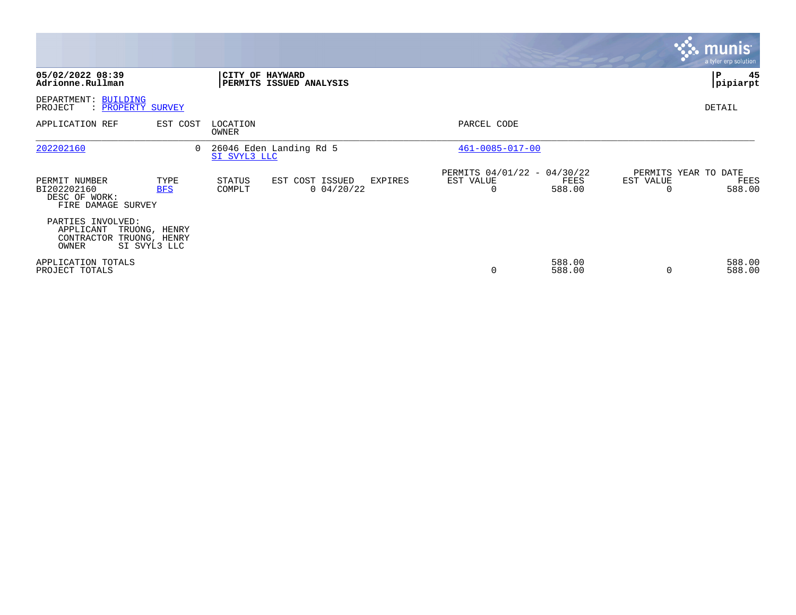|                                                                     |                               |                   |                               |         |                                               |                  |                | <b>munis</b><br>a tyler erp solution   |
|---------------------------------------------------------------------|-------------------------------|-------------------|-------------------------------|---------|-----------------------------------------------|------------------|----------------|----------------------------------------|
| 05/02/2022 08:39<br>Adrionne.Rullman                                |                               | CITY OF HAYWARD   | PERMITS ISSUED ANALYSIS       |         |                                               |                  |                | 45<br>l P<br> pipiarpt                 |
| DEPARTMENT: BUILDING<br>PROJECT<br>: PROPERTY SURVEY                |                               |                   |                               |         |                                               |                  |                | DETAIL                                 |
| APPLICATION REF                                                     | EST COST                      | LOCATION<br>OWNER |                               |         | PARCEL CODE                                   |                  |                |                                        |
| 202202160                                                           | $\overline{0}$                | SI SVYL3 LLC      | 26046 Eden Landing Rd 5       |         | $461 - 0085 - 017 - 00$                       |                  |                |                                        |
| PERMIT NUMBER<br>BI202202160<br>DESC OF WORK:<br>FIRE DAMAGE SURVEY | TYPE<br><b>BFS</b>            | STATUS<br>COMPLT  | EST COST ISSUED<br>0.04/20/22 | EXPIRES | PERMITS 04/01/22 - 04/30/22<br>EST VALUE<br>0 | FEES<br>588.00   | EST VALUE<br>0 | PERMITS YEAR TO DATE<br>FEES<br>588.00 |
| PARTIES INVOLVED:<br>APPLICANT<br>CONTRACTOR TRUONG, HENRY<br>OWNER | TRUONG, HENRY<br>SI SVYL3 LLC |                   |                               |         |                                               |                  |                |                                        |
| APPLICATION TOTALS<br>PROJECT TOTALS                                |                               |                   |                               |         | $\Omega$                                      | 588.00<br>588.00 | $\Omega$       | 588.00<br>588.00                       |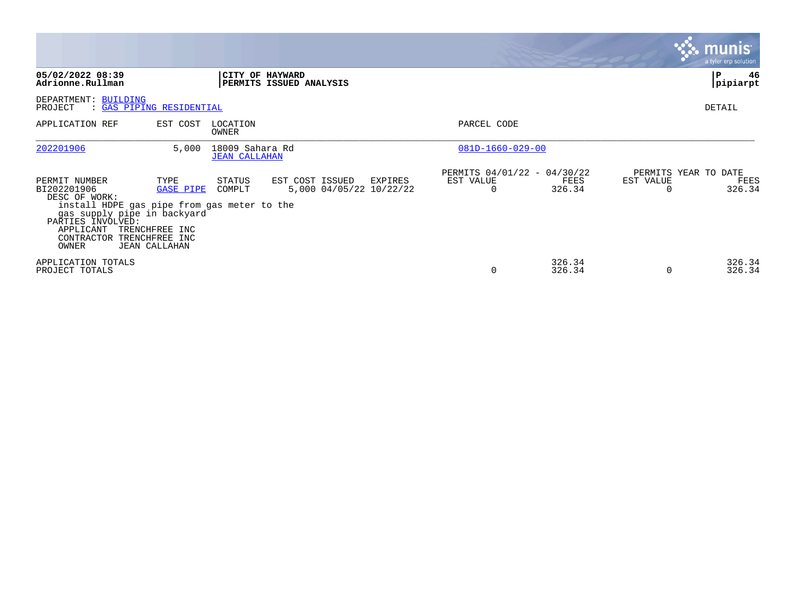|                                                                                                                                                                                      |                                                                               |                                         |                                            |         |                                               |                  |                       | <b>munis</b><br>a tyler erp solution   |
|--------------------------------------------------------------------------------------------------------------------------------------------------------------------------------------|-------------------------------------------------------------------------------|-----------------------------------------|--------------------------------------------|---------|-----------------------------------------------|------------------|-----------------------|----------------------------------------|
| 05/02/2022 08:39<br>Adrionne.Rullman                                                                                                                                                 |                                                                               |                                         | CITY OF HAYWARD<br>PERMITS ISSUED ANALYSIS |         |                                               |                  |                       | 46<br>۱P.<br> pipiarpt                 |
| DEPARTMENT: BUILDING<br>PROJECT<br>: GAS PIPING RESIDENTIAL                                                                                                                          |                                                                               |                                         |                                            |         |                                               |                  |                       | DETAIL                                 |
| APPLICATION REF                                                                                                                                                                      | EST COST                                                                      | LOCATION<br>OWNER                       |                                            |         | PARCEL CODE                                   |                  |                       |                                        |
| 202201906                                                                                                                                                                            | 5,000                                                                         | 18009 Sahara Rd<br><b>JEAN CALLAHAN</b> |                                            |         | $081D-1660-029-00$                            |                  |                       |                                        |
| PERMIT NUMBER<br>BI202201906<br>DESC OF WORK:<br>install HDPE gas pipe from gas meter to the<br>gas supply pipe in backyard<br>PARTIES INVOLVED:<br>APPLICANT<br>CONTRACTOR<br>OWNER | TYPE<br><b>GASE PIPE</b><br>TRENCHFREE INC<br>TRENCHFREE INC<br>JEAN CALLAHAN | STATUS<br>COMPLT                        | EST COST ISSUED<br>5,000 04/05/22 10/22/22 | EXPIRES | PERMITS 04/01/22 - 04/30/22<br>EST VALUE<br>0 | FEES<br>326.34   | EST VALUE<br>$\Omega$ | PERMITS YEAR TO DATE<br>FEES<br>326.34 |
| APPLICATION TOTALS<br>PROJECT TOTALS                                                                                                                                                 |                                                                               |                                         |                                            |         | $\Omega$                                      | 326.34<br>326.34 | 0                     | 326.34<br>326.34                       |

the contract of the contract of

and the contract of the contract of the contract of the contract of the contract of the contract of the contract of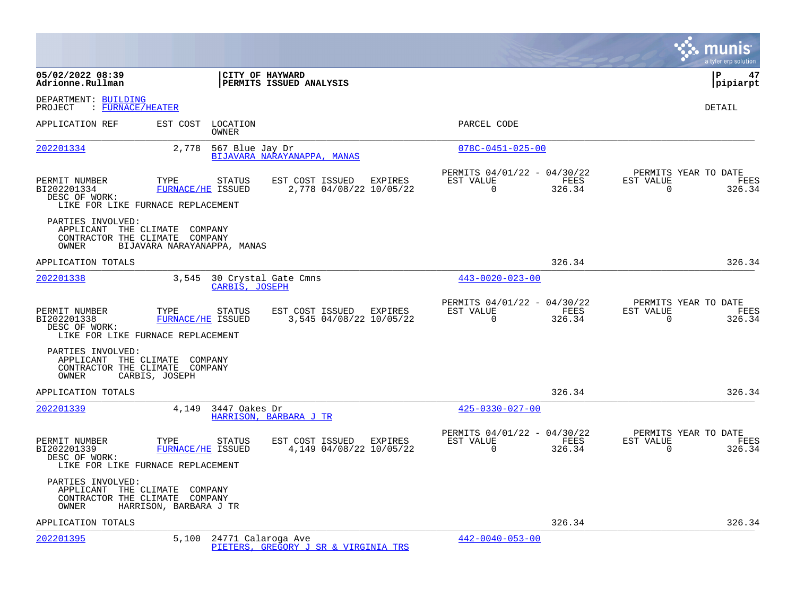|                                                     |                                                                                                |                                                    |                                                      |                |                       | a tyler erp solution                   |
|-----------------------------------------------------|------------------------------------------------------------------------------------------------|----------------------------------------------------|------------------------------------------------------|----------------|-----------------------|----------------------------------------|
| 05/02/2022 08:39<br>Adrionne.Rullman                | CITY OF HAYWARD                                                                                | PERMITS ISSUED ANALYSIS                            |                                                      |                |                       | l P<br>47<br> pipiarpt                 |
| DEPARTMENT: BUILDING<br>: FURNACE/HEATER<br>PROJECT |                                                                                                |                                                    |                                                      |                |                       | DETAIL                                 |
| APPLICATION REF                                     | EST COST LOCATION<br>OWNER                                                                     |                                                    | PARCEL CODE                                          |                |                       |                                        |
| 202201334                                           | 2,778<br>567 Blue Jay Dr                                                                       | BIJAVARA NARAYANAPPA, MANAS                        | $078C - 0451 - 025 - 00$                             |                |                       |                                        |
| PERMIT NUMBER<br>BI202201334<br>DESC OF WORK:       | TYPE<br><b>STATUS</b><br><b>FURNACE/HE ISSUED</b><br>LIKE FOR LIKE FURNACE REPLACEMENT         | EST COST ISSUED EXPIRES<br>2,778 04/08/22 10/05/22 | PERMITS 04/01/22 - 04/30/22<br>EST VALUE<br>$\Omega$ | FEES<br>326.34 | EST VALUE<br>$\Omega$ | PERMITS YEAR TO DATE<br>FEES<br>326.34 |
| PARTIES INVOLVED:<br>OWNER                          | APPLICANT THE CLIMATE COMPANY<br>CONTRACTOR THE CLIMATE COMPANY<br>BIJAVARA NARAYANAPPA, MANAS |                                                    |                                                      |                |                       |                                        |
| APPLICATION TOTALS                                  |                                                                                                |                                                    |                                                      | 326.34         |                       | 326.34                                 |
| 202201338                                           | 3,545<br>CARBIS, JOSEPH                                                                        | 30 Crystal Gate Cmns                               | $443 - 0020 - 023 - 00$                              |                |                       |                                        |
| PERMIT NUMBER<br>BI202201338<br>DESC OF WORK:       | TYPE<br><b>STATUS</b><br>FURNACE/HE ISSUED<br>LIKE FOR LIKE FURNACE REPLACEMENT                | EST COST ISSUED EXPIRES<br>3,545 04/08/22 10/05/22 | PERMITS 04/01/22 - 04/30/22<br>EST VALUE<br>$\Omega$ | FEES<br>326.34 | EST VALUE<br>$\Omega$ | PERMITS YEAR TO DATE<br>FEES<br>326.34 |
| PARTIES INVOLVED:<br>OWNER                          | APPLICANT THE CLIMATE COMPANY<br>CONTRACTOR THE CLIMATE COMPANY<br>CARBIS, JOSEPH              |                                                    |                                                      |                |                       |                                        |
| APPLICATION TOTALS                                  |                                                                                                |                                                    |                                                      | 326.34         |                       | 326.34                                 |
| 202201339                                           | 4,149 3447 Oakes Dr                                                                            | HARRISON, BARBARA J TR                             | $425 - 0330 - 027 - 00$                              |                |                       |                                        |
| PERMIT NUMBER<br>BI202201339<br>DESC OF WORK:       | TYPE<br><b>STATUS</b><br>FURNACE/HE ISSUED<br>LIKE FOR LIKE FURNACE REPLACEMENT                | EST COST ISSUED EXPIRES<br>4,149 04/08/22 10/05/22 | PERMITS 04/01/22 - 04/30/22<br>EST VALUE<br>$\Omega$ | FEES<br>326.34 | EST VALUE<br>$\Omega$ | PERMITS YEAR TO DATE<br>FEES<br>326.34 |
| PARTIES INVOLVED:<br>OWNER                          | APPLICANT THE CLIMATE COMPANY<br>CONTRACTOR THE CLIMATE COMPANY<br>HARRISON, BARBARA J TR      |                                                    |                                                      |                |                       |                                        |
| APPLICATION TOTALS                                  |                                                                                                |                                                    |                                                      | 326.34         |                       | 326.34                                 |
| 202201395                                           | 5,100<br>24771 Calaroga Ave                                                                    | PIETERS, GREGORY J SR & VIRGINIA TRS               | $442 - 0040 - 053 - 00$                              |                |                       |                                        |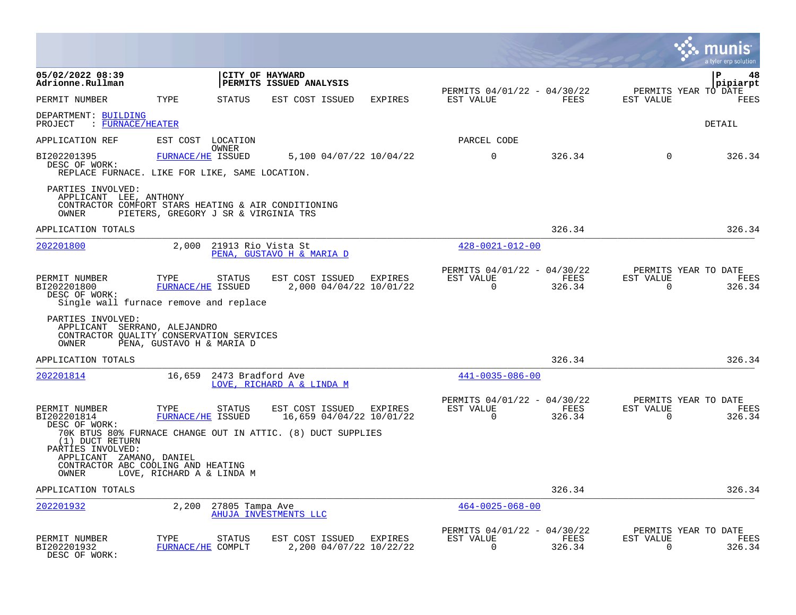|                                                                                                                                                                                |                                      |                          |                                             |                                    |                                                         |                |                          | lunis<br>a tyler erp solution          |
|--------------------------------------------------------------------------------------------------------------------------------------------------------------------------------|--------------------------------------|--------------------------|---------------------------------------------|------------------------------------|---------------------------------------------------------|----------------|--------------------------|----------------------------------------|
| 05/02/2022 08:39<br>Adrionne.Rullman                                                                                                                                           |                                      | CITY OF HAYWARD          | PERMITS ISSUED ANALYSIS                     |                                    |                                                         |                |                          | 48<br>P<br>pipiarpt                    |
| PERMIT NUMBER                                                                                                                                                                  | TYPE                                 | <b>STATUS</b>            | EST COST ISSUED                             | EXPIRES                            | PERMITS 04/01/22 - 04/30/22<br>EST VALUE                | FEES           | EST VALUE                | PERMITS YEAR TO DATE<br><b>FEES</b>    |
| DEPARTMENT: BUILDING<br>: FURNACE/HEATER<br>PROJECT                                                                                                                            |                                      |                          |                                             |                                    |                                                         |                |                          | DETAIL                                 |
| APPLICATION REF                                                                                                                                                                | EST COST LOCATION                    |                          |                                             |                                    | PARCEL CODE                                             |                |                          |                                        |
| BI202201395<br>DESC OF WORK:<br>REPLACE FURNACE. LIKE FOR LIKE, SAME LOCATION.                                                                                                 | FURNACE/HE ISSUED                    | OWNER                    |                                             | 5,100 04/07/22 10/04/22            | $\mathbf 0$                                             | 326.34         | $\Omega$                 | 326.34                                 |
| PARTIES INVOLVED:<br>APPLICANT LEE, ANTHONY<br>CONTRACTOR COMFORT STARS HEATING & AIR CONDITIONING<br>OWNER                                                                    | PIETERS, GREGORY J SR & VIRGINIA TRS |                          |                                             |                                    |                                                         |                |                          |                                        |
| APPLICATION TOTALS                                                                                                                                                             |                                      |                          |                                             |                                    |                                                         | 326.34         |                          | 326.34                                 |
| 202201800                                                                                                                                                                      |                                      | 2,000 21913 Rio Vista St | PENA, GUSTAVO H & MARIA D                   |                                    | $428 - 0021 - 012 - 00$                                 |                |                          |                                        |
| PERMIT NUMBER<br>BI202201800<br>DESC OF WORK:<br>Single wall furnace remove and replace                                                                                        | TYPE<br><b>FURNACE/HE ISSUED</b>     | <b>STATUS</b>            | EST COST ISSUED                             | EXPIRES<br>2,000 04/04/22 10/01/22 | PERMITS 04/01/22 - 04/30/22<br>EST VALUE<br>$\Omega$    | FEES<br>326.34 | EST VALUE<br>$\Omega$    | PERMITS YEAR TO DATE<br>FEES<br>326.34 |
| PARTIES INVOLVED:<br>APPLICANT SERRANO, ALEJANDRO<br>CONTRACTOR OUALITY CONSERVATION SERVICES<br>OWNER                                                                         | PENA, GUSTAVO H & MARIA D            |                          |                                             |                                    |                                                         |                |                          |                                        |
| APPLICATION TOTALS                                                                                                                                                             |                                      |                          |                                             |                                    |                                                         | 326.34         |                          | 326.34                                 |
| 202201814                                                                                                                                                                      | 16,659                               | 2473 Bradford Ave        | LOVE, RICHARD A & LINDA M                   |                                    | $441 - 0035 - 086 - 00$                                 |                |                          |                                        |
| PERMIT NUMBER<br>BI202201814<br>DESC OF WORK:                                                                                                                                  | TYPE<br>FURNACE/HE ISSUED            | <b>STATUS</b>            | EST COST ISSUED<br>16,659 04/04/22 10/01/22 | EXPIRES                            | PERMITS 04/01/22 - 04/30/22<br>EST VALUE<br>$\mathbf 0$ | FEES<br>326.34 | EST VALUE<br>$\mathbf 0$ | PERMITS YEAR TO DATE<br>FEES<br>326.34 |
| 70K BTUS 80% FURNACE CHANGE OUT IN ATTIC. (8) DUCT SUPPLIES<br>(1) DUCT RETURN<br>PARTIES INVOLVED:<br>APPLICANT ZAMANO, DANIEL<br>CONTRACTOR ABC COOLING AND HEATING<br>OWNER | LOVE, RICHARD A & LINDA M            |                          |                                             |                                    |                                                         |                |                          |                                        |
| APPLICATION TOTALS                                                                                                                                                             |                                      |                          |                                             |                                    |                                                         | 326.34         |                          | 326.34                                 |
| 202201932                                                                                                                                                                      | 2,200                                | 27805 Tampa Ave          | <b>AHUJA INVESTMENTS LLC</b>                |                                    | $464 - 0025 - 068 - 00$                                 |                |                          |                                        |
| PERMIT NUMBER<br>BI202201932<br>DESC OF WORK:                                                                                                                                  | TYPE<br>FURNACE/HE COMPLT            | STATUS                   | EST COST ISSUED EXPIRES                     | 2,200 04/07/22 10/22/22            | PERMITS 04/01/22 - 04/30/22<br>EST VALUE<br>$\Omega$    | FEES<br>326.34 | EST VALUE<br>$\Omega$    | PERMITS YEAR TO DATE<br>FEES<br>326.34 |

 $\bullet$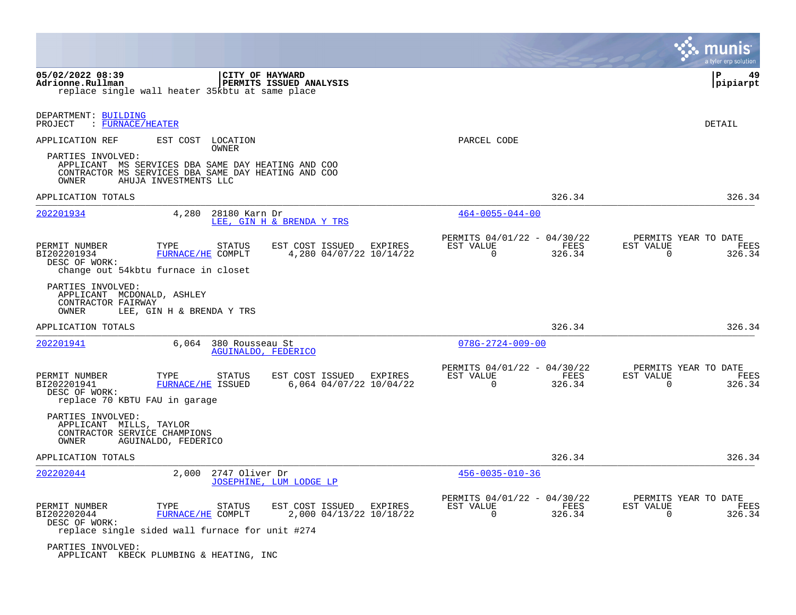|                                                                                                                                                                                                  | a tyler erp solution                                                                                                                            |
|--------------------------------------------------------------------------------------------------------------------------------------------------------------------------------------------------|-------------------------------------------------------------------------------------------------------------------------------------------------|
| 05/02/2022 08:39<br>CITY OF HAYWARD<br>Adrionne.Rullman<br>PERMITS ISSUED ANALYSIS<br>replace single wall heater 35kbtu at same place                                                            | Р<br>49<br>pipiarpt                                                                                                                             |
| DEPARTMENT: BUILDING<br>: FURNACE/HEATER<br>PROJECT                                                                                                                                              | DETAIL                                                                                                                                          |
| APPLICATION REF<br>EST COST LOCATION<br>OWNER                                                                                                                                                    | PARCEL CODE                                                                                                                                     |
| PARTIES INVOLVED:<br>APPLICANT MS SERVICES DBA SAME DAY HEATING AND COO<br>CONTRACTOR MS SERVICES DBA SAME DAY HEATING AND COO<br><b>OWNER</b><br>AHUJA INVESTMENTS LLC                          |                                                                                                                                                 |
| APPLICATION TOTALS                                                                                                                                                                               | 326.34<br>326.34                                                                                                                                |
| 202201934<br>4,280<br>28180 Karn Dr<br>LEE, GIN H & BRENDA Y TRS                                                                                                                                 | $464 - 0055 - 044 - 00$                                                                                                                         |
| TYPE<br><b>STATUS</b><br>EST COST ISSUED<br>EXPIRES<br>PERMIT NUMBER<br>4,280 04/07/22 10/14/22<br>BI202201934<br>FURNACE/HE COMPLT<br>DESC OF WORK:<br>change out 54 kbtu furnace in closet     | PERMITS 04/01/22 - 04/30/22<br>PERMITS YEAR TO DATE<br>EST VALUE<br>FEES<br>EST VALUE<br>FEES<br>$\mathbf 0$<br>326.34<br>$\mathbf 0$<br>326.34 |
| PARTIES INVOLVED:<br>APPLICANT MCDONALD, ASHLEY<br>CONTRACTOR FAIRWAY<br>OWNER<br>LEE, GIN H & BRENDA Y TRS                                                                                      |                                                                                                                                                 |
| APPLICATION TOTALS                                                                                                                                                                               | 326.34<br>326.34                                                                                                                                |
| 202201941<br>6,064 380 Rousseau St<br>AGUINALDO, FEDERICO                                                                                                                                        | $078G - 2724 - 009 - 00$                                                                                                                        |
| PERMIT NUMBER<br>TYPE<br>EST COST ISSUED<br>EXPIRES<br>STATUS<br>6,064 04/07/22 10/04/22<br>BI202201941<br>FURNACE/HE ISSUED<br>DESC OF WORK:<br>replace 70 KBTU FAU in garage                   | PERMITS 04/01/22 - 04/30/22<br>PERMITS YEAR TO DATE<br>EST VALUE<br>FEES<br>EST VALUE<br>FEES<br>326.34<br>$\mathbf 0$<br>326.34<br>$\Omega$    |
| PARTIES INVOLVED:<br>APPLICANT MILLS, TAYLOR<br>CONTRACTOR SERVICE CHAMPIONS<br>OWNER<br>AGUINALDO, FEDERICO                                                                                     |                                                                                                                                                 |
| APPLICATION TOTALS                                                                                                                                                                               | 326.34<br>326.34                                                                                                                                |
| 2747 Oliver Dr<br>202202044<br>2,000<br>JOSEPHINE, LUM LODGE LP                                                                                                                                  | $456 - 0035 - 010 - 36$                                                                                                                         |
| PERMIT NUMBER<br>STATUS<br>EST COST ISSUED<br>TYPE<br>EXPIRES<br>BI202202044<br>FURNACE/HE COMPLT<br>2,000 04/13/22 10/18/22<br>DESC OF WORK:<br>replace single sided wall furnace for unit #274 | PERMITS 04/01/22 - 04/30/22<br>PERMITS YEAR TO DATE<br>EST VALUE<br>FEES<br>FEES<br>EST VALUE<br>$\Omega$<br>326.34<br>$\Omega$<br>326.34       |
| PARTIES INVOLVED:<br>APPLICANT KBECK PLUMBING & HEATING, INC                                                                                                                                     |                                                                                                                                                 |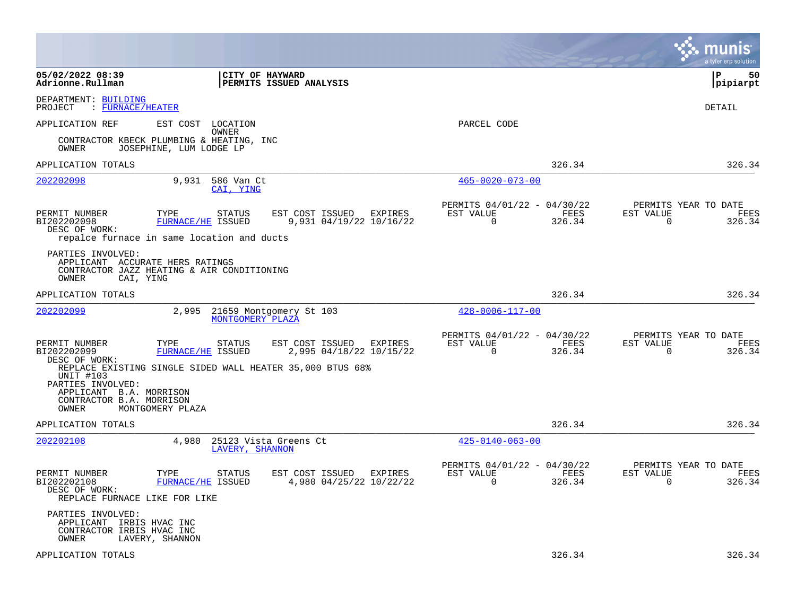|                                                                                                                                                                                                             |                                           |                                                       |                                                      |                | a tyler erp solution                                     |
|-------------------------------------------------------------------------------------------------------------------------------------------------------------------------------------------------------------|-------------------------------------------|-------------------------------------------------------|------------------------------------------------------|----------------|----------------------------------------------------------|
| 05/02/2022 08:39<br>Adrionne.Rullman                                                                                                                                                                        | CITY OF HAYWARD                           | <b>PERMITS ISSUED ANALYSIS</b>                        |                                                      |                | l P<br>50<br> pipiarpt                                   |
| DEPARTMENT: BUILDING<br>PROJECT<br>: FURNACE/HEATER                                                                                                                                                         |                                           |                                                       |                                                      |                | DETAIL                                                   |
| APPLICATION REF                                                                                                                                                                                             | EST COST<br>LOCATION<br>OWNER             |                                                       | PARCEL CODE                                          |                |                                                          |
| CONTRACTOR KBECK PLUMBING & HEATING, INC<br>OWNER                                                                                                                                                           | JOSEPHINE, LUM LODGE LP                   |                                                       |                                                      |                |                                                          |
| APPLICATION TOTALS                                                                                                                                                                                          |                                           |                                                       |                                                      | 326.34         | 326.34                                                   |
| 202202098                                                                                                                                                                                                   | 9,931 586 Van Ct<br>CAI, YING             |                                                       | $465 - 0020 - 073 - 00$                              |                |                                                          |
| PERMIT NUMBER<br>TYPE<br>BI202202098<br>DESC OF WORK:<br>repalce furnace in same location and ducts                                                                                                         | STATUS<br>FURNACE/HE ISSUED               | EST COST ISSUED<br>EXPIRES<br>9,931 04/19/22 10/16/22 | PERMITS 04/01/22 - 04/30/22<br>EST VALUE<br>$\Omega$ | FEES<br>326.34 | PERMITS YEAR TO DATE<br>EST VALUE<br>FEES<br>326.34<br>0 |
| PARTIES INVOLVED:<br>APPLICANT ACCURATE HERS RATINGS<br>CONTRACTOR JAZZ HEATING & AIR CONDITIONING<br>OWNER<br>CAI, YING                                                                                    |                                           |                                                       |                                                      |                |                                                          |
| APPLICATION TOTALS                                                                                                                                                                                          |                                           |                                                       |                                                      | 326.34         | 326.34                                                   |
| <u>202202099</u>                                                                                                                                                                                            | 2,995<br>MONTGOMERY PLAZA                 | 21659 Montgomery St 103                               | $428 - 0006 - 117 - 00$                              |                |                                                          |
| PERMIT NUMBER<br>TYPE<br>BI202202099<br>DESC OF WORK:<br>REPLACE EXISTING SINGLE SIDED WALL HEATER 35,000 BTUS 68%<br>UNIT #103<br>PARTIES INVOLVED:<br>APPLICANT B.A. MORRISON<br>CONTRACTOR B.A. MORRISON | <b>STATUS</b><br><b>FURNACE/HE ISSUED</b> | EST COST ISSUED<br>EXPIRES<br>2,995 04/18/22 10/15/22 | PERMITS 04/01/22 - 04/30/22<br>EST VALUE<br>0        | FEES<br>326.34 | PERMITS YEAR TO DATE<br>EST VALUE<br>FEES<br>326.34<br>0 |
| OWNER<br>MONTGOMERY PLAZA<br>APPLICATION TOTALS                                                                                                                                                             |                                           |                                                       |                                                      | 326.34         | 326.34                                                   |
| 202202108                                                                                                                                                                                                   | 4,980<br>LAVERY, SHANNON                  | 25123 Vista Greens Ct                                 | $425 - 0140 - 063 - 00$                              |                |                                                          |
| PERMIT NUMBER<br>TYPE<br>BI202202108<br>DESC OF WORK:<br>REPLACE FURNACE LIKE FOR LIKE                                                                                                                      | <b>STATUS</b><br>FURNACE/HE ISSUED        | EST COST ISSUED<br>EXPIRES<br>4,980 04/25/22 10/22/22 | PERMITS 04/01/22 - 04/30/22<br>EST VALUE<br>0        | FEES<br>326.34 | PERMITS YEAR TO DATE<br>EST VALUE<br>FEES<br>0<br>326.34 |
| PARTIES INVOLVED:<br>APPLICANT IRBIS HVAC INC<br>CONTRACTOR IRBIS HVAC INC<br>OWNER<br>LAVERY, SHANNON                                                                                                      |                                           |                                                       |                                                      |                |                                                          |
| APPLICATION TOTALS                                                                                                                                                                                          |                                           |                                                       |                                                      | 326.34         | 326.34                                                   |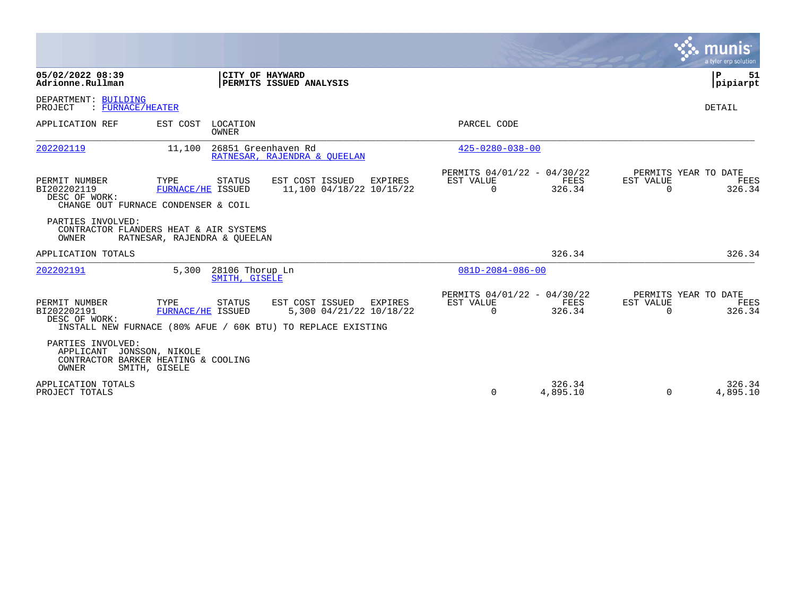|                                                                                      |                                  |                                  |                                                                                                                              |                                                      |                          |                       |                       | <b>munis</b><br>a tyler erp solution          |
|--------------------------------------------------------------------------------------|----------------------------------|----------------------------------|------------------------------------------------------------------------------------------------------------------------------|------------------------------------------------------|--------------------------|-----------------------|-----------------------|-----------------------------------------------|
| 05/02/2022 08:39<br>Adrionne.Rullman                                                 |                                  | CITY OF HAYWARD                  | PERMITS ISSUED ANALYSIS                                                                                                      |                                                      |                          |                       |                       | l P<br>-51<br> pipiarpt                       |
| DEPARTMENT: BUILDING<br>$:$ FURNACE/HEATER<br>PROJECT                                |                                  |                                  |                                                                                                                              |                                                      |                          |                       |                       | DETAIL                                        |
| APPLICATION REF                                                                      | EST COST                         | LOCATION<br>OWNER                |                                                                                                                              | PARCEL CODE                                          |                          |                       |                       |                                               |
| 202202119                                                                            | 11,100                           | 26851 Greenhaven Rd              | RATNESAR, RAJENDRA & OUEELAN                                                                                                 | $425 - 0280 - 038 - 00$                              |                          |                       |                       |                                               |
| PERMIT NUMBER<br>BI202202119<br>DESC OF WORK:<br>CHANGE OUT FURNACE CONDENSER & COIL | TYPE<br><b>FURNACE/HE ISSUED</b> | <b>STATUS</b>                    | EST COST ISSUED<br><b>EXPIRES</b><br>11,100 04/18/22 10/15/22                                                                | PERMITS 04/01/22 - 04/30/22<br>EST VALUE<br>$\Omega$ |                          | FEES<br>326.34        | EST VALUE<br>$\Omega$ | PERMITS YEAR TO DATE<br><b>FEES</b><br>326.34 |
| PARTIES INVOLVED:<br>CONTRACTOR FLANDERS HEAT & AIR SYSTEMS<br>OWNER                 | RATNESAR, RAJENDRA & QUEELAN     |                                  |                                                                                                                              |                                                      |                          |                       |                       |                                               |
| APPLICATION TOTALS                                                                   |                                  |                                  |                                                                                                                              |                                                      |                          | 326.34                |                       | 326.34                                        |
| 202202191                                                                            | 5,300                            | 28106 Thorup Ln<br>SMITH, GISELE |                                                                                                                              |                                                      | $081D - 2084 - 086 - 00$ |                       |                       |                                               |
| PERMIT NUMBER<br>BI202202191<br>DESC OF WORK:                                        | TYPE<br>FURNACE/HE ISSUED        | STATUS                           | EST COST ISSUED<br><b>EXPIRES</b><br>5,300 04/21/22 10/18/22<br>INSTALL NEW FURNACE (80% AFUE / 60K BTU) TO REPLACE EXISTING | PERMITS 04/01/22 - 04/30/22<br>EST VALUE<br>$\Omega$ |                          | <b>FEES</b><br>326.34 | EST VALUE<br>$\Omega$ | PERMITS YEAR TO DATE<br><b>FEES</b><br>326.34 |
| PARTIES INVOLVED:<br>APPLICANT<br>CONTRACTOR BARKER HEATING & COOLING<br>OWNER       | JONSSON, NIKOLE<br>SMITH, GISELE |                                  |                                                                                                                              |                                                      |                          |                       |                       |                                               |
| APPLICATION TOTALS<br>PROJECT TOTALS                                                 |                                  |                                  |                                                                                                                              | 0                                                    |                          | 326.34<br>4,895.10    | $\mathbf 0$           | 326.34<br>4,895.10                            |

 $\mathcal{L}^{\text{max}}$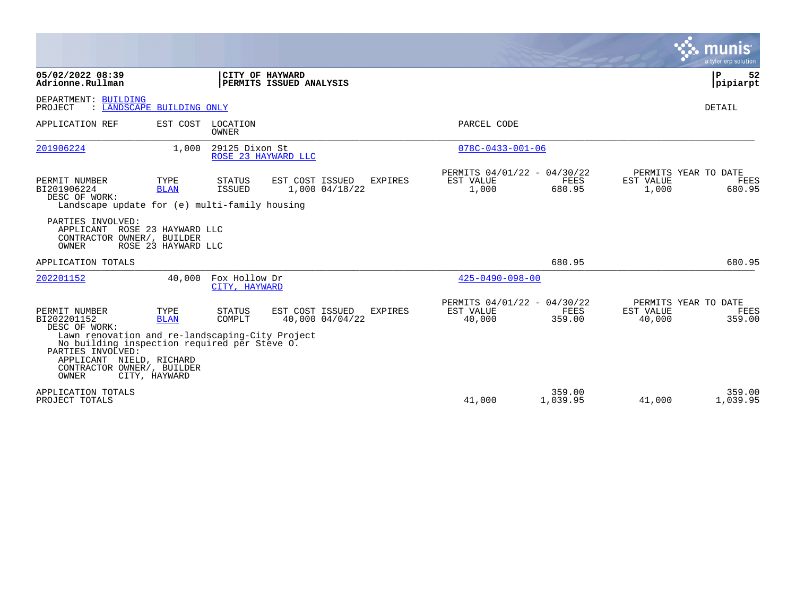|                                                                                                                                                                       |                           |                                |                                            |                |                                                    |                       |                     | <b>munis</b><br>a tyler erp solution   |
|-----------------------------------------------------------------------------------------------------------------------------------------------------------------------|---------------------------|--------------------------------|--------------------------------------------|----------------|----------------------------------------------------|-----------------------|---------------------|----------------------------------------|
| 05/02/2022 08:39<br>Adrionne.Rullman                                                                                                                                  |                           |                                | CITY OF HAYWARD<br>PERMITS ISSUED ANALYSIS |                |                                                    |                       |                     | P<br>52<br> pipiarpt                   |
| DEPARTMENT: BUILDING<br>PROJECT                                                                                                                                       | : LANDSCAPE BUILDING ONLY |                                |                                            |                |                                                    |                       |                     | DETAIL                                 |
| APPLICATION REF                                                                                                                                                       | EST COST                  | LOCATION<br>OWNER              |                                            |                | PARCEL CODE                                        |                       |                     |                                        |
| 201906224                                                                                                                                                             | 1,000                     | 29125 Dixon St                 | ROSE 23 HAYWARD LLC                        |                | $078C - 0433 - 001 - 06$                           |                       |                     |                                        |
| PERMIT NUMBER<br>BI201906224<br>DESC OF WORK:<br>Landscape update for (e) multi-family housing                                                                        | TYPE<br><b>BLAN</b>       | STATUS<br><b>ISSUED</b>        | EST COST ISSUED<br>1,000 04/18/22          | <b>EXPIRES</b> | PERMITS 04/01/22 - 04/30/22<br>EST VALUE<br>1,000  | <b>FEES</b><br>680.95 | EST VALUE<br>1,000  | PERMITS YEAR TO DATE<br>FEES<br>680.95 |
| PARTIES INVOLVED:<br>APPLICANT ROSE 23 HAYWARD LLC<br>CONTRACTOR OWNER/, BUILDER<br><b>OWNER</b>                                                                      | ROSE 23 HAYWARD LLC       |                                |                                            |                |                                                    |                       |                     |                                        |
| APPLICATION TOTALS                                                                                                                                                    |                           |                                |                                            |                |                                                    | 680.95                |                     | 680.95                                 |
| 202201152                                                                                                                                                             | 40,000                    | Fox Hollow Dr<br>CITY, HAYWARD |                                            |                | $425 - 0490 - 098 - 00$                            |                       |                     |                                        |
| PERMIT NUMBER<br>BI202201152<br>DESC OF WORK:<br>Lawn renovation and re-landscaping-City Project<br>No building inspection required per Steve 0.<br>PARTIES INVOLVED: | TYPE<br><b>BLAN</b>       | <b>STATUS</b><br>COMPLT        | EST COST ISSUED<br>40,000 04/04/22         | <b>EXPIRES</b> | PERMITS 04/01/22 - 04/30/22<br>EST VALUE<br>40,000 | FEES<br>359.00        | EST VALUE<br>40,000 | PERMITS YEAR TO DATE<br>FEES<br>359.00 |
| APPLICANT NIELD, RICHARD<br>CONTRACTOR OWNER/, BUILDER<br><b>OWNER</b><br>APPLICATION TOTALS<br>PROJECT TOTALS                                                        | CITY, HAYWARD             |                                |                                            |                | 41,000                                             | 359.00<br>1,039.95    | 41,000              | 359.00<br>1,039.95                     |

 $\mathcal{L}^{\text{max}}$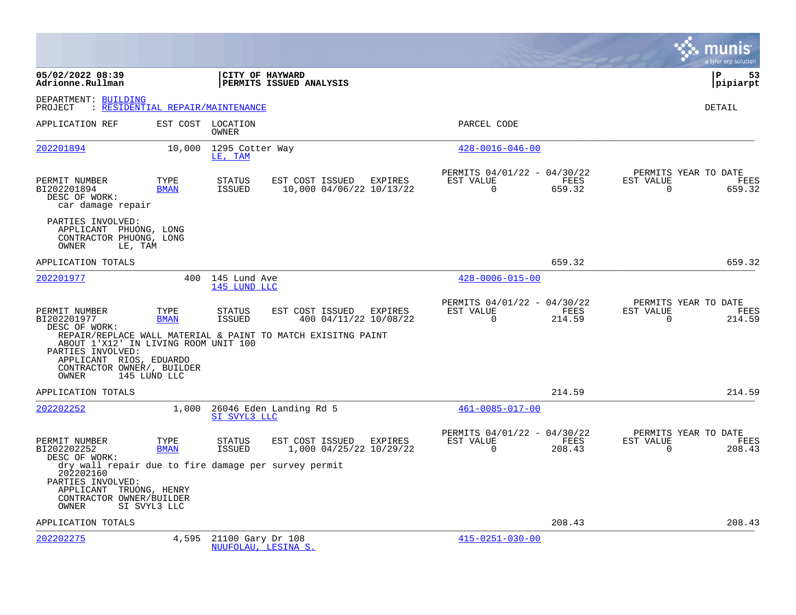|                                                                                                                                                        |                                  |                                  |                                                                                                          |                |                                                      |                |                          | a tyler erp solution                   |
|--------------------------------------------------------------------------------------------------------------------------------------------------------|----------------------------------|----------------------------------|----------------------------------------------------------------------------------------------------------|----------------|------------------------------------------------------|----------------|--------------------------|----------------------------------------|
| 05/02/2022 08:39<br>Adrionne.Rullman                                                                                                                   |                                  |                                  | CITY OF HAYWARD<br>PERMITS ISSUED ANALYSIS                                                               |                |                                                      |                |                          | l P<br>53<br>pipiarpt                  |
| DEPARTMENT: BUILDING<br>PROJECT                                                                                                                        | : RESIDENTIAL REPAIR/MAINTENANCE |                                  |                                                                                                          |                |                                                      |                |                          | DETAIL                                 |
| APPLICATION REF                                                                                                                                        |                                  | EST COST LOCATION<br>OWNER       |                                                                                                          |                | PARCEL CODE                                          |                |                          |                                        |
| 202201894                                                                                                                                              | 10,000                           | 1295 Cotter Way<br>LE, TAM       |                                                                                                          |                | $428 - 0016 - 046 - 00$                              |                |                          |                                        |
| PERMIT NUMBER<br>BI202201894<br>DESC OF WORK:<br>car damage repair                                                                                     | TYPE<br><b>BMAN</b>              | <b>STATUS</b><br><b>ISSUED</b>   | EST COST ISSUED EXPIRES<br>10,000 04/06/22 10/13/22                                                      |                | PERMITS 04/01/22 - 04/30/22<br>EST VALUE<br>$\Omega$ | FEES<br>659.32 | EST VALUE<br>$\mathbf 0$ | PERMITS YEAR TO DATE<br>FEES<br>659.32 |
| PARTIES INVOLVED:<br>APPLICANT PHUONG, LONG<br>CONTRACTOR PHUONG, LONG<br>OWNER<br>LE, TAM                                                             |                                  |                                  |                                                                                                          |                |                                                      |                |                          |                                        |
| APPLICATION TOTALS                                                                                                                                     |                                  |                                  |                                                                                                          |                |                                                      | 659.32         |                          | 659.32                                 |
| 202201977                                                                                                                                              |                                  | 400 145 Lund Ave<br>145 LUND LLC |                                                                                                          |                | $428 - 0006 - 015 - 00$                              |                |                          |                                        |
| PERMIT NUMBER<br>BI202201977<br>DESC OF WORK:<br>ABOUT 1'X12' IN LIVING ROOM UNIT 100                                                                  | TYPE<br><b>BMAN</b>              | <b>STATUS</b><br>ISSUED          | EST COST ISSUED<br>400 04/11/22 10/08/22<br>REPAIR/REPLACE WALL MATERIAL & PAINT TO MATCH EXISITNG PAINT | <b>EXPIRES</b> | PERMITS 04/01/22 - 04/30/22<br>EST VALUE<br>$\Omega$ | FEES<br>214.59 | EST VALUE<br>$\Omega$    | PERMITS YEAR TO DATE<br>FEES<br>214.59 |
| PARTIES INVOLVED:<br>APPLICANT RIOS, EDUARDO<br>CONTRACTOR OWNER/, BUILDER<br><b>OWNER</b>                                                             | 145 LUND LLC                     |                                  |                                                                                                          |                |                                                      |                |                          |                                        |
| APPLICATION TOTALS                                                                                                                                     |                                  |                                  |                                                                                                          |                |                                                      | 214.59         |                          | 214.59                                 |
| 202202252                                                                                                                                              | 1,000                            | SI SVYL3 LLC                     | 26046 Eden Landing Rd 5                                                                                  |                | $461 - 0085 - 017 - 00$                              |                |                          |                                        |
| PERMIT NUMBER<br>BI202202252<br>DESC OF WORK:                                                                                                          | TYPE<br><b>BMAN</b>              | STATUS<br>ISSUED                 | EST COST ISSUED EXPIRES<br>1,000 04/25/22 10/29/22                                                       |                | PERMITS 04/01/22 - 04/30/22<br>EST VALUE<br>$\Omega$ | FEES<br>208.43 | EST VALUE<br>$\Omega$    | PERMITS YEAR TO DATE<br>FEES<br>208.43 |
| dry wall repair due to fire damage per survey permit<br>202202160<br>PARTIES INVOLVED:<br>APPLICANT TRUONG, HENRY<br>CONTRACTOR OWNER/BUILDER<br>OWNER | SI SVYL3 LLC                     |                                  |                                                                                                          |                |                                                      |                |                          |                                        |
| APPLICATION TOTALS                                                                                                                                     |                                  |                                  |                                                                                                          |                |                                                      | 208.43         |                          | 208.43                                 |
| 202202275                                                                                                                                              | 4,595                            | 21100 Gary Dr 108                | NUUFOLAU, LESINA S.                                                                                      |                | $415 - 0251 - 030 - 00$                              |                |                          |                                        |

**College**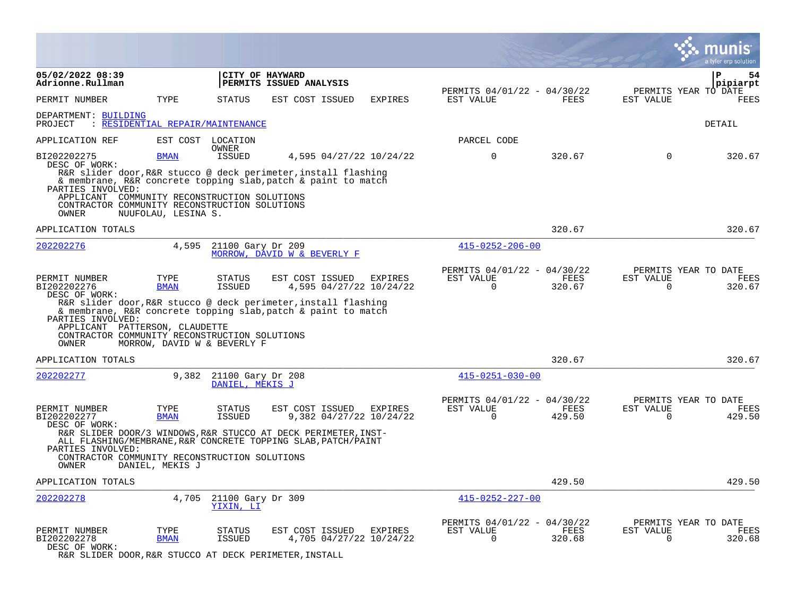|                                                                                                                                                                                                                                                  |                     |                                                  |                         |                                           |                                                      |                       |                       | munis<br>a tyler erp solution                |
|--------------------------------------------------------------------------------------------------------------------------------------------------------------------------------------------------------------------------------------------------|---------------------|--------------------------------------------------|-------------------------|-------------------------------------------|------------------------------------------------------|-----------------------|-----------------------|----------------------------------------------|
| 05/02/2022 08:39<br>Adrionne.Rullman                                                                                                                                                                                                             |                     | CITY OF HAYWARD                                  | PERMITS ISSUED ANALYSIS |                                           | PERMITS 04/01/22 - 04/30/22                          |                       |                       | ΙP<br>54<br>pipiarpt<br>PERMITS YEAR TO DATE |
| PERMIT NUMBER                                                                                                                                                                                                                                    | TYPE                | <b>STATUS</b>                                    | EST COST ISSUED         | <b>EXPIRES</b>                            | EST VALUE                                            | FEES                  | EST VALUE             | FEES                                         |
| DEPARTMENT: BUILDING<br>PROJECT                                                                                                                                                                                                                  |                     | : RESIDENTIAL REPAIR/MAINTENANCE                 |                         |                                           |                                                      |                       |                       | <b>DETAIL</b>                                |
| APPLICATION REF                                                                                                                                                                                                                                  |                     | EST COST LOCATION<br>OWNER                       |                         |                                           | PARCEL CODE                                          |                       |                       |                                              |
| BI202202275<br>DESC OF WORK:                                                                                                                                                                                                                     | <b>BMAN</b>         | <b>ISSUED</b>                                    |                         | 4,595 04/27/22 10/24/22                   | $\mathbf 0$                                          | 320.67                | $\Omega$              | 320.67                                       |
| R&R slider door, R&R stucco @ deck perimeter, install flashing<br>& membrane, R&R concrete topping slab, patch & paint to match<br>PARTIES INVOLVED:                                                                                             |                     |                                                  |                         |                                           |                                                      |                       |                       |                                              |
| APPLICANT COMMUNITY RECONSTRUCTION SOLUTIONS<br>CONTRACTOR COMMUNITY RECONSTRUCTION SOLUTIONS<br>OWNER                                                                                                                                           | NUUFOLAU, LESINA S. |                                                  |                         |                                           |                                                      |                       |                       |                                              |
| APPLICATION TOTALS                                                                                                                                                                                                                               |                     |                                                  |                         |                                           |                                                      | 320.67                |                       | 320.67                                       |
| 202202276                                                                                                                                                                                                                                        | 4,595               | 21100 Gary Dr 209<br>MORROW, DAVID W & BEVERLY F |                         |                                           | $415 - 0252 - 206 - 00$                              |                       |                       |                                              |
| PERMIT NUMBER<br>BI202202276<br>DESC OF WORK:                                                                                                                                                                                                    | TYPE<br><b>BMAN</b> | <b>STATUS</b><br><b>ISSUED</b>                   | EST COST ISSUED         | EXPIRES<br>4,595 04/27/22 10/24/22        | PERMITS 04/01/22 - 04/30/22<br>EST VALUE<br>$\Omega$ | FEES<br>320.67        | EST VALUE<br>$\Omega$ | PERMITS YEAR TO DATE<br>FEES<br>320.67       |
| R&R slider door, R&R stucco @ deck perimeter, install flashing<br>& membrane, R&R concrete topping slab, patch & paint to match<br>PARTIES INVOLVED:<br>APPLICANT PATTERSON, CLAUDETTE<br>CONTRACTOR COMMUNITY RECONSTRUCTION SOLUTIONS<br>OWNER |                     | MORROW, DAVID W & BEVERLY F                      |                         |                                           |                                                      |                       |                       |                                              |
| APPLICATION TOTALS                                                                                                                                                                                                                               |                     |                                                  |                         |                                           |                                                      | 320.67                |                       | 320.67                                       |
| 202202277                                                                                                                                                                                                                                        | 9,382               | 21100 Gary Dr 208<br>DANIEL, MEKIS J             |                         |                                           | $415 - 0251 - 030 - 00$                              |                       |                       |                                              |
| PERMIT NUMBER<br>BI202202277<br>DESC OF WORK:                                                                                                                                                                                                    | TYPE<br><b>BMAN</b> | <b>STATUS</b><br><b>ISSUED</b>                   | EST COST ISSUED         | <b>EXPIRES</b><br>9,382 04/27/22 10/24/22 | PERMITS 04/01/22 - 04/30/22<br>EST VALUE<br>$\Omega$ | <b>FEES</b><br>429.50 | EST VALUE<br>$\Omega$ | PERMITS YEAR TO DATE<br>FEES<br>429.50       |
| R&R SLIDER DOOR/3 WINDOWS, R&R STUCCO AT DECK PERIMETER, INST-<br>ALL FLASHING/MEMBRANE, R&R CONCRETE TOPPING SLAB, PATCH/PAINT<br>PARTIES INVOLVED:                                                                                             |                     |                                                  |                         |                                           |                                                      |                       |                       |                                              |
| CONTRACTOR COMMUNITY RECONSTRUCTION SOLUTIONS<br>OWNER                                                                                                                                                                                           | DANIEL, MEKIS J     |                                                  |                         |                                           |                                                      |                       |                       |                                              |
| APPLICATION TOTALS                                                                                                                                                                                                                               |                     |                                                  |                         |                                           |                                                      | 429.50                |                       | 429.50                                       |
| 202202278                                                                                                                                                                                                                                        | 4,705               | 21100 Gary Dr 309<br>YIXIN, LI                   |                         |                                           | $415 - 0252 - 227 - 00$                              |                       |                       |                                              |
| PERMIT NUMBER<br>BI202202278<br>DESC OF WORK:                                                                                                                                                                                                    | TYPE<br><b>BMAN</b> | <b>STATUS</b><br><b>ISSUED</b>                   | EST COST ISSUED         | <b>EXPIRES</b><br>4,705 04/27/22 10/24/22 | PERMITS 04/01/22 - 04/30/22<br>EST VALUE<br>$\Omega$ | <b>FEES</b><br>320.68 | EST VALUE<br>$\Omega$ | PERMITS YEAR TO DATE<br>FEES<br>320.68       |

 $\bullet$ 

R&R SLIDER DOOR,R&R STUCCO AT DECK PERIMETER,INSTALL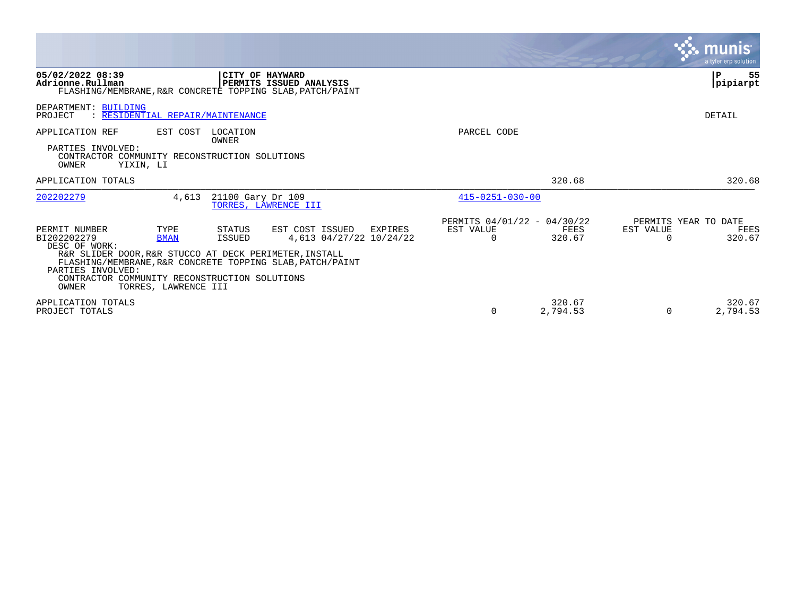|                                                                                                                                                                                        |                                             |                   |                                                                                                                    |                                                      |                    |                       | $\mathbf{\mathcal{C}}$ munis<br>a tyler erp solution |
|----------------------------------------------------------------------------------------------------------------------------------------------------------------------------------------|---------------------------------------------|-------------------|--------------------------------------------------------------------------------------------------------------------|------------------------------------------------------|--------------------|-----------------------|------------------------------------------------------|
| 05/02/2022 08:39<br>Adrionne.Rullman                                                                                                                                                   |                                             |                   | CITY OF HAYWARD<br>PERMITS ISSUED ANALYSIS<br>FLASHING/MEMBRANE, R&R CONCRETE TOPPING SLAB, PATCH/PAINT            |                                                      |                    |                       | 55<br>P<br>pipiarpt                                  |
| DEPARTMENT: BUILDING<br>PROJECT                                                                                                                                                        | : RESIDENTIAL REPAIR/MAINTENANCE            |                   |                                                                                                                    |                                                      |                    |                       | <b>DETAIL</b>                                        |
| APPLICATION REF                                                                                                                                                                        | EST COST                                    | LOCATION<br>OWNER |                                                                                                                    | PARCEL CODE                                          |                    |                       |                                                      |
| PARTIES INVOLVED:<br>CONTRACTOR COMMUNITY RECONSTRUCTION SOLUTIONS<br>OWNER                                                                                                            | YIXIN, LI                                   |                   |                                                                                                                    |                                                      |                    |                       |                                                      |
| APPLICATION TOTALS                                                                                                                                                                     |                                             |                   |                                                                                                                    |                                                      | 320.68             |                       | 320.68                                               |
| 202202279                                                                                                                                                                              | 4,613                                       | 21100 Gary Dr 109 | TORRES, LAWRENCE III                                                                                               | $415 - 0251 - 030 - 00$                              |                    |                       |                                                      |
| PERMIT NUMBER<br>BI202202279<br>DESC OF WORK:<br>R&R SLIDER DOOR, R&R STUCCO AT DECK PERIMETER, INSTALL<br>PARTIES INVOLVED:<br>CONTRACTOR COMMUNITY RECONSTRUCTION SOLUTIONS<br>OWNER | TYPE<br><b>BMAN</b><br>TORRES, LAWRENCE III | STATUS<br>ISSUED  | EST COST ISSUED<br>EXPIRES<br>4,613 04/27/22 10/24/22<br>FLASHING/MEMBRANE, R&R CONCRETE TOPPING SLAB, PATCH/PAINT | PERMITS 04/01/22 - 04/30/22<br>EST VALUE<br>$\Omega$ | FEES<br>320.67     | EST VALUE<br>$\Omega$ | PERMITS YEAR TO DATE<br>FEES<br>320.67               |
| APPLICATION TOTALS<br>PROJECT TOTALS                                                                                                                                                   |                                             |                   |                                                                                                                    | $\Omega$                                             | 320.67<br>2,794.53 | $\Omega$              | 320.67<br>2,794.53                                   |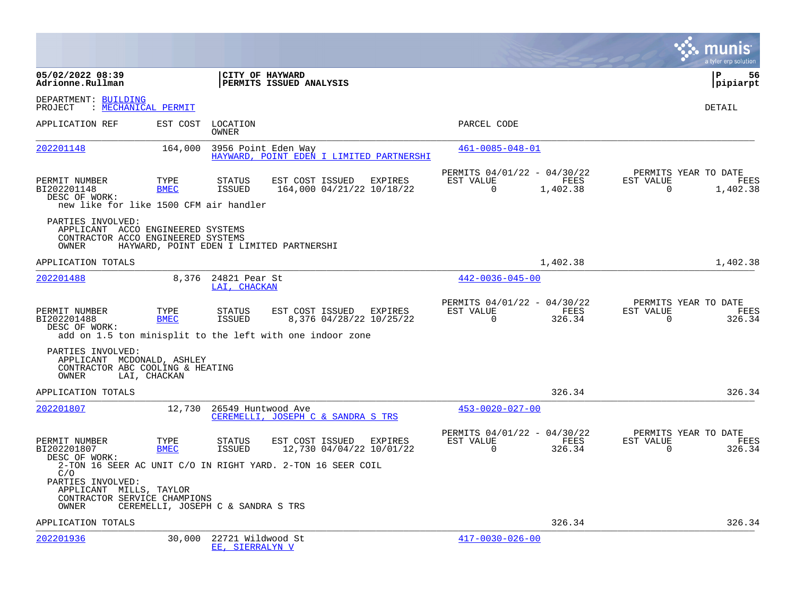|                                                                                                       |                                    |                                      |                                                                                                                 |                                                      |                  |                       | munis<br>a tyler erp solution            |
|-------------------------------------------------------------------------------------------------------|------------------------------------|--------------------------------------|-----------------------------------------------------------------------------------------------------------------|------------------------------------------------------|------------------|-----------------------|------------------------------------------|
| 05/02/2022 08:39<br>Adrionne.Rullman                                                                  |                                    | CITY OF HAYWARD                      | <b>PERMITS ISSUED ANALYSIS</b>                                                                                  |                                                      |                  |                       | l P<br>56<br> pipiarpt                   |
| DEPARTMENT: BUILDING<br>PROJECT                                                                       | : MECHANICAL PERMIT                |                                      |                                                                                                                 |                                                      |                  |                       | DETAIL                                   |
| APPLICATION REF                                                                                       | EST COST                           | LOCATION<br>OWNER                    |                                                                                                                 | PARCEL CODE                                          |                  |                       |                                          |
| 202201148                                                                                             | 164,000                            | 3956 Point Eden Way                  | HAYWARD, POINT EDEN I LIMITED PARTNERSHI                                                                        | $461 - 0085 - 048 - 01$                              |                  |                       |                                          |
| PERMIT NUMBER<br>BI202201148<br>DESC OF WORK:<br>new like for like 1500 CFM air handler               | TYPE<br><b>BMEC</b>                | STATUS<br>ISSUED                     | EST COST ISSUED EXPIRES<br>164,000 04/21/22 10/18/22                                                            | PERMITS 04/01/22 - 04/30/22<br>EST VALUE<br>$\Omega$ | FEES<br>1,402.38 | EST VALUE<br>$\Omega$ | PERMITS YEAR TO DATE<br>FEES<br>1,402.38 |
| PARTIES INVOLVED:<br>APPLICANT ACCO ENGINEERED SYSTEMS<br>CONTRACTOR ACCO ENGINEERED SYSTEMS<br>OWNER |                                    |                                      | HAYWARD, POINT EDEN I LIMITED PARTNERSHI                                                                        |                                                      |                  |                       |                                          |
| APPLICATION TOTALS                                                                                    |                                    |                                      |                                                                                                                 |                                                      | 1,402.38         |                       | 1,402.38                                 |
| 202201488                                                                                             |                                    | 8,376 24821 Pear St<br>LAI, CHACKAN  |                                                                                                                 | $442 - 0036 - 045 - 00$                              |                  |                       |                                          |
| PERMIT NUMBER<br>BI202201488<br>DESC OF WORK:                                                         | TYPE<br><b>BMEC</b>                | STATUS<br>ISSUED                     | EST COST ISSUED EXPIRES<br>8,376 04/28/22 10/25/22<br>add on 1.5 ton minisplit to the left with one indoor zone | PERMITS 04/01/22 - 04/30/22<br>EST VALUE<br>$\Omega$ | FEES<br>326.34   | EST VALUE<br>$\Omega$ | PERMITS YEAR TO DATE<br>FEES<br>326.34   |
| PARTIES INVOLVED:<br>APPLICANT MCDONALD, ASHLEY<br>CONTRACTOR ABC COOLING & HEATING<br>OWNER          | LAI, CHACKAN                       |                                      |                                                                                                                 |                                                      |                  |                       |                                          |
| APPLICATION TOTALS                                                                                    |                                    |                                      |                                                                                                                 |                                                      | 326.34           |                       | 326.34                                   |
| 202201807                                                                                             | 12,730                             | 26549 Huntwood Ave                   | CEREMELLI, JOSEPH C & SANDRA S TRS                                                                              | $453 - 0020 - 027 - 00$                              |                  |                       |                                          |
| PERMIT NUMBER<br>BI202201807<br>DESC OF WORK:                                                         | TYPE<br><b>BMEC</b>                | <b>STATUS</b><br>ISSUED              | EST COST ISSUED EXPIRES<br>12,730 04/04/22 10/01/22                                                             | PERMITS 04/01/22 - 04/30/22<br>EST VALUE<br>$\Omega$ | FEES<br>326.34   | EST VALUE<br>$\Omega$ | PERMITS YEAR TO DATE<br>FEES<br>326.34   |
| C/O<br>PARTIES INVOLVED:<br>APPLICANT MILLS, TAYLOR<br>CONTRACTOR SERVICE CHAMPIONS<br>OWNER          | CEREMELLI, JOSEPH C & SANDRA S TRS |                                      | 2-TON 16 SEER AC UNIT C/O IN RIGHT YARD. 2-TON 16 SEER COIL                                                     |                                                      |                  |                       |                                          |
| APPLICATION TOTALS                                                                                    |                                    |                                      |                                                                                                                 |                                                      | 326.34           |                       | 326.34                                   |
| 202201936                                                                                             | 30,000                             | 22721 Wildwood St<br>EE, SIERRALYN V |                                                                                                                 | $417 - 0030 - 026 - 00$                              |                  |                       |                                          |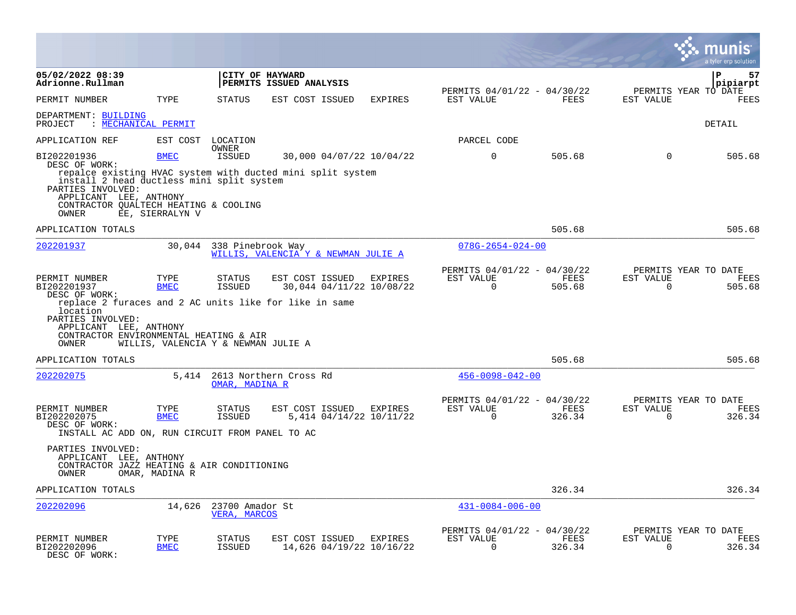|                                                                                                                                                                                                 |                                     |                                 |                                            |                                     |                                                      |                |                          | a tyler erp solution                   |
|-------------------------------------------------------------------------------------------------------------------------------------------------------------------------------------------------|-------------------------------------|---------------------------------|--------------------------------------------|-------------------------------------|------------------------------------------------------|----------------|--------------------------|----------------------------------------|
| 05/02/2022 08:39<br>Adrionne.Rullman                                                                                                                                                            |                                     |                                 | CITY OF HAYWARD<br>PERMITS ISSUED ANALYSIS |                                     |                                                      |                |                          | $\mathbf{P}$<br>57<br>pipiarpt         |
| PERMIT NUMBER                                                                                                                                                                                   | TYPE                                | <b>STATUS</b>                   | EST COST ISSUED                            | <b>EXPIRES</b>                      | PERMITS 04/01/22 - 04/30/22<br>EST VALUE             | FEES           | EST VALUE                | PERMITS YEAR TO DATE<br><b>FEES</b>    |
| DEPARTMENT: BUILDING<br>: MECHANICAL PERMIT<br>PROJECT                                                                                                                                          |                                     |                                 |                                            |                                     |                                                      |                |                          | <b>DETAIL</b>                          |
| APPLICATION REF                                                                                                                                                                                 | EST COST                            | LOCATION<br>OWNER               |                                            |                                     | PARCEL CODE                                          |                |                          |                                        |
| BI202201936<br>DESC OF WORK:                                                                                                                                                                    | <b>BMEC</b>                         | <b>ISSUED</b>                   |                                            | 30,000 04/07/22 10/04/22            | $\mathbf 0$                                          | 505.68         | $\mathbf 0$              | 505.68                                 |
| repalce existing HVAC system with ducted mini split system<br>install 2 head ductless mini split system<br>PARTIES INVOLVED:<br>APPLICANT LEE, ANTHONY<br>CONTRACTOR QUALTECH HEATING & COOLING |                                     |                                 |                                            |                                     |                                                      |                |                          |                                        |
| <b>OWNER</b>                                                                                                                                                                                    | EE, SIERRALYN V                     |                                 |                                            |                                     |                                                      |                |                          |                                        |
| APPLICATION TOTALS                                                                                                                                                                              |                                     |                                 |                                            |                                     |                                                      | 505.68         |                          | 505.68                                 |
| 202201937                                                                                                                                                                                       | 30,044                              | 338 Pinebrook Way               | WILLIS, VALENCIA Y & NEWMAN JULIE A        |                                     | $078G - 2654 - 024 - 00$                             |                |                          |                                        |
| PERMIT NUMBER<br>BI202201937<br>DESC OF WORK:                                                                                                                                                   | TYPE<br><b>BMEC</b>                 | <b>STATUS</b><br><b>ISSUED</b>  | EST COST ISSUED                            | EXPIRES<br>30,044 04/11/22 10/08/22 | PERMITS 04/01/22 - 04/30/22<br>EST VALUE<br>$\Omega$ | FEES<br>505.68 | EST VALUE<br>$\Omega$    | PERMITS YEAR TO DATE<br>FEES<br>505.68 |
| replace 2 furaces and 2 AC units like for like in same<br>location<br>PARTIES INVOLVED:<br>APPLICANT LEE, ANTHONY<br>CONTRACTOR ENVIRONMENTAL HEATING & AIR<br>OWNER                            | WILLIS, VALENCIA Y & NEWMAN JULIE A |                                 |                                            |                                     |                                                      |                |                          |                                        |
| APPLICATION TOTALS                                                                                                                                                                              |                                     |                                 |                                            |                                     |                                                      | 505.68         |                          | 505.68                                 |
| 202202075                                                                                                                                                                                       | 5,414                               | OMAR, MADINA R                  | 2613 Northern Cross Rd                     |                                     | $456 - 0098 - 042 - 00$                              |                |                          |                                        |
| PERMIT NUMBER<br>BI202202075<br>DESC OF WORK:                                                                                                                                                   | TYPE<br><b>BMEC</b>                 | STATUS<br><b>ISSUED</b>         | EST COST ISSUED                            | EXPIRES<br>5,414 04/14/22 10/11/22  | PERMITS 04/01/22 - 04/30/22<br>EST VALUE<br>$\Omega$ | FEES<br>326.34 | EST VALUE<br>$\mathbf 0$ | PERMITS YEAR TO DATE<br>FEES<br>326.34 |
| INSTALL AC ADD ON, RUN CIRCUIT FROM PANEL TO AC                                                                                                                                                 |                                     |                                 |                                            |                                     |                                                      |                |                          |                                        |
| PARTIES INVOLVED:<br>APPLICANT LEE, ANTHONY<br>CONTRACTOR JAZZ HEATING & AIR CONDITIONING<br>OWNER                                                                                              | OMAR, MADINA R                      |                                 |                                            |                                     |                                                      |                |                          |                                        |
| APPLICATION TOTALS                                                                                                                                                                              |                                     |                                 |                                            |                                     |                                                      | 326.34         |                          | 326.34                                 |
| 202202096                                                                                                                                                                                       | 14,626                              | 23700 Amador St<br>VERA, MARCOS |                                            |                                     | $431 - 0084 - 006 - 00$                              |                |                          |                                        |
| PERMIT NUMBER<br>BI202202096<br>DESC OF WORK:                                                                                                                                                   | TYPE<br><b>BMEC</b>                 | STATUS<br><b>ISSUED</b>         | EST COST ISSUED                            | EXPIRES<br>14,626 04/19/22 10/16/22 | PERMITS 04/01/22 - 04/30/22<br>EST VALUE<br>$\Omega$ | FEES<br>326.34 | EST VALUE<br>$\Omega$    | PERMITS YEAR TO DATE<br>FEES<br>326.34 |

 $\bullet$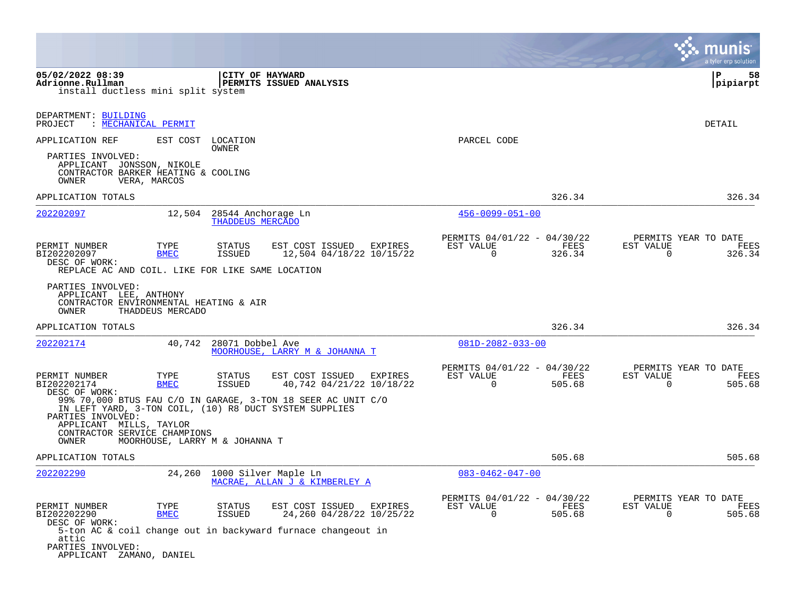|                                                                                                       |                     |                                        |                                                                                                                        |                                                         |                | munis<br>a tyler erp solution                                      |
|-------------------------------------------------------------------------------------------------------|---------------------|----------------------------------------|------------------------------------------------------------------------------------------------------------------------|---------------------------------------------------------|----------------|--------------------------------------------------------------------|
| 05/02/2022 08:39<br>Adrionne.Rullman<br>install ductless mini split system                            |                     |                                        | CITY OF HAYWARD<br>PERMITS ISSUED ANALYSIS                                                                             |                                                         |                | l P<br>58<br> pipiarpt                                             |
| DEPARTMENT: BUILDING<br>: MECHANICAL PERMIT<br>PROJECT                                                |                     |                                        |                                                                                                                        |                                                         |                | DETAIL                                                             |
| APPLICATION REF                                                                                       | EST COST            | LOCATION<br>OWNER                      |                                                                                                                        | PARCEL CODE                                             |                |                                                                    |
| PARTIES INVOLVED:<br>APPLICANT JONSSON, NIKOLE<br>CONTRACTOR BARKER HEATING & COOLING<br>OWNER        | VERA, MARCOS        |                                        |                                                                                                                        |                                                         |                |                                                                    |
| APPLICATION TOTALS                                                                                    |                     |                                        |                                                                                                                        |                                                         | 326.34         | 326.34                                                             |
| 202202097                                                                                             | 12,504              | 28544 Anchorage Ln<br>THADDEUS MERCADO |                                                                                                                        | $456 - 0099 - 051 - 00$                                 |                |                                                                    |
| PERMIT NUMBER<br>BI202202097<br>DESC OF WORK:<br>REPLACE AC AND COIL. LIKE FOR LIKE SAME LOCATION     | TYPE<br><b>BMEC</b> | STATUS<br><b>ISSUED</b>                | EST COST ISSUED<br>EXPIRES<br>12,504 04/18/22 10/15/22                                                                 | PERMITS 04/01/22 - 04/30/22<br>EST VALUE<br>$\Omega$    | FEES<br>326.34 | PERMITS YEAR TO DATE<br>EST VALUE<br>FEES<br>$\Omega$<br>326.34    |
| PARTIES INVOLVED:<br>APPLICANT LEE, ANTHONY<br>CONTRACTOR ENVIRONMENTAL HEATING & AIR<br><b>OWNER</b> | THADDEUS MERCADO    |                                        |                                                                                                                        |                                                         |                |                                                                    |
| APPLICATION TOTALS                                                                                    |                     |                                        |                                                                                                                        |                                                         | 326.34         | 326.34                                                             |
| 202202174                                                                                             | 40,742              | 28071 Dobbel Ave                       | MOORHOUSE, LARRY M & JOHANNA T                                                                                         | $081D - 2082 - 033 - 00$                                |                |                                                                    |
| PERMIT NUMBER<br>BI202202174<br>DESC OF WORK:                                                         | TYPE<br><b>BMEC</b> | <b>STATUS</b><br>ISSUED                | EST COST ISSUED<br>EXPIRES<br>40,742 04/21/22 10/18/22                                                                 | PERMITS 04/01/22 - 04/30/22<br>EST VALUE<br>0           | FEES<br>505.68 | PERMITS YEAR TO DATE<br>EST VALUE<br>FEES<br>505.68<br>0           |
| PARTIES INVOLVED:<br>APPLICANT MILLS, TAYLOR                                                          |                     |                                        | 99% 70,000 BTUS FAU C/O IN GARAGE, 3-TON 18 SEER AC UNIT C/O<br>IN LEFT YARD, 3-TON COIL, (10) R8 DUCT SYSTEM SUPPLIES |                                                         |                |                                                                    |
| CONTRACTOR SERVICE CHAMPIONS<br>OWNER                                                                 |                     | MOORHOUSE, LARRY M & JOHANNA T         |                                                                                                                        |                                                         |                |                                                                    |
| APPLICATION TOTALS                                                                                    |                     |                                        |                                                                                                                        |                                                         | 505.68         | 505.68                                                             |
| 202202290                                                                                             | 24,260              |                                        | 1000 Silver Maple Ln<br>MACRAE, ALLAN J & KIMBERLEY A                                                                  | $083 - 0462 - 047 - 00$                                 |                |                                                                    |
| PERMIT NUMBER<br>BI202202290<br>DESC OF WORK:<br>attic                                                | TYPE<br><b>BMEC</b> | STATUS<br><b>ISSUED</b>                | EST COST ISSUED<br>EXPIRES<br>24,260 04/28/22 10/25/22<br>5-ton AC & coil change out in backyward furnace changeout in | PERMITS 04/01/22 - 04/30/22<br>EST VALUE<br>$\mathbf 0$ | FEES<br>505.68 | PERMITS YEAR TO DATE<br>EST VALUE<br>FEES<br>$\mathbf 0$<br>505.68 |
| PARTIES INVOLVED:<br>APPLICANT ZAMANO, DANIEL                                                         |                     |                                        |                                                                                                                        |                                                         |                |                                                                    |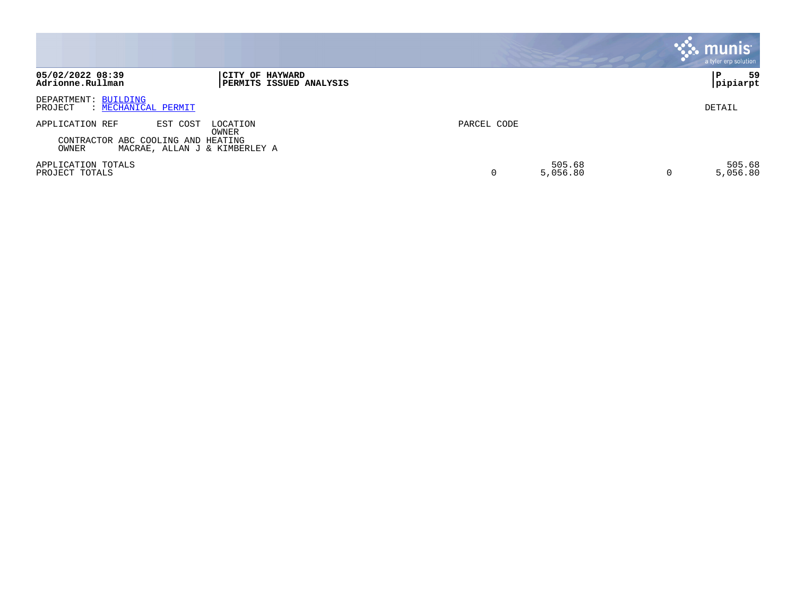|                                                                                                             |                                            |             |                    | <b>: munis</b><br>a tyler erp solution |
|-------------------------------------------------------------------------------------------------------------|--------------------------------------------|-------------|--------------------|----------------------------------------|
| 05/02/2022 08:39<br>Adrionne.Rullman                                                                        | CITY OF HAYWARD<br>PERMITS ISSUED ANALYSIS |             |                    | 59<br>l P<br> pipiarpt                 |
| DEPARTMENT: BUILDING<br>: MECHANICAL PERMIT<br>PROJECT                                                      |                                            |             |                    | DETAIL                                 |
| APPLICATION REF<br>EST COST<br>CONTRACTOR ABC COOLING AND HEATING<br>OWNER<br>MACRAE, ALLAN J & KIMBERLEY A | LOCATION<br>OWNER                          | PARCEL CODE |                    |                                        |
| APPLICATION TOTALS<br>PROJECT TOTALS                                                                        |                                            |             | 505.68<br>5,056.80 | 505.68<br>5,056.80                     |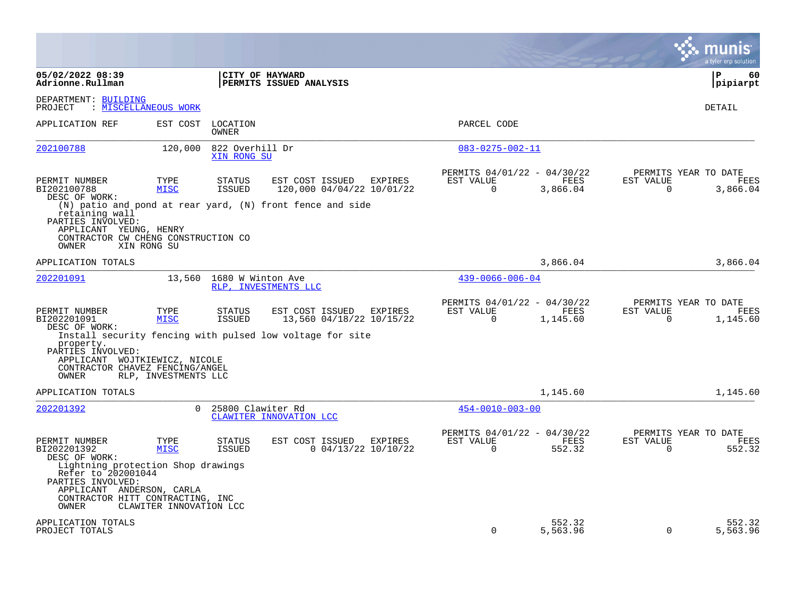|                                                                                                                                                                                                 |                                             |                                |                                                                                                                     |                                                      |                    |                | munis<br>a tyler erp solution            |
|-------------------------------------------------------------------------------------------------------------------------------------------------------------------------------------------------|---------------------------------------------|--------------------------------|---------------------------------------------------------------------------------------------------------------------|------------------------------------------------------|--------------------|----------------|------------------------------------------|
| 05/02/2022 08:39<br>Adrionne.Rullman                                                                                                                                                            |                                             |                                | CITY OF HAYWARD<br>PERMITS ISSUED ANALYSIS                                                                          |                                                      |                    |                | l P<br>60<br> pipiarpt                   |
| DEPARTMENT: BUILDING<br>PROJECT                                                                                                                                                                 | : MISCELLANEOUS WORK                        |                                |                                                                                                                     |                                                      |                    |                | DETAIL                                   |
| APPLICATION REF                                                                                                                                                                                 | EST COST                                    | LOCATION<br>OWNER              |                                                                                                                     | PARCEL CODE                                          |                    |                |                                          |
| 202100788                                                                                                                                                                                       | 120,000                                     | 822 Overhill Dr<br>XIN RONG SU |                                                                                                                     | $083 - 0275 - 002 - 11$                              |                    |                |                                          |
| PERMIT NUMBER<br>BI202100788<br>DESC OF WORK:                                                                                                                                                   | TYPE<br><b>MISC</b>                         | <b>STATUS</b><br>ISSUED        | EST COST ISSUED<br>EXPIRES<br>120,000 04/04/22 10/01/22                                                             | PERMITS 04/01/22 - 04/30/22<br>EST VALUE<br>$\Omega$ | FEES<br>3,866.04   | EST VALUE<br>0 | PERMITS YEAR TO DATE<br>FEES<br>3,866.04 |
| retaining wall<br>PARTIES INVOLVED:<br>APPLICANT YEUNG, HENRY<br>CONTRACTOR CW CHENG CONSTRUCTION CO<br>OWNER                                                                                   | XIN RONG SU                                 |                                | (N) patio and pond at rear yard, (N) front fence and side                                                           |                                                      |                    |                |                                          |
| APPLICATION TOTALS                                                                                                                                                                              |                                             |                                |                                                                                                                     |                                                      | 3,866.04           |                | 3,866.04                                 |
| 202201091                                                                                                                                                                                       | 13,560                                      | 1680 W Winton Ave              | RLP, INVESTMENTS LLC                                                                                                | $439 - 0066 - 006 - 04$                              |                    |                |                                          |
| PERMIT NUMBER<br>BI202201091<br>DESC OF WORK:<br>property.<br>PARTIES INVOLVED:<br>APPLICANT WOJTKIEWICZ, NICOLE<br>CONTRACTOR CHAVEZ FENCING/ANGEL<br>OWNER                                    | TYPE<br><b>MISC</b><br>RLP, INVESTMENTS LLC | <b>STATUS</b><br>ISSUED        | EST COST ISSUED<br>EXPIRES<br>13,560 04/18/22 10/15/22<br>Install security fencing with pulsed low voltage for site | PERMITS 04/01/22 - 04/30/22<br>EST VALUE<br>$\Omega$ | FEES<br>1,145.60   | EST VALUE<br>0 | PERMITS YEAR TO DATE<br>FEES<br>1,145.60 |
| APPLICATION TOTALS                                                                                                                                                                              |                                             |                                |                                                                                                                     |                                                      | 1,145.60           |                | 1,145.60                                 |
| 202201392                                                                                                                                                                                       | $\Omega$                                    | 25800 Clawiter Rd              | CLAWITER INNOVATION LCC                                                                                             | $454 - 0010 - 003 - 00$                              |                    |                |                                          |
| PERMIT NUMBER<br>BI202201392<br>DESC OF WORK:<br>Lightning protection Shop drawings<br>Refer to 202001044<br>PARTIES INVOLVED:<br>APPLICANT ANDERSON, CARLA<br>CONTRACTOR HITT CONTRACTING, INC | TYPE<br><b>MISC</b>                         | <b>STATUS</b><br><b>ISSUED</b> | EST COST ISSUED<br>EXPIRES<br>$0$ 04/13/22 10/10/22                                                                 | PERMITS 04/01/22 - 04/30/22<br>EST VALUE<br>0        | FEES<br>552.32     | EST VALUE<br>0 | PERMITS YEAR TO DATE<br>FEES<br>552.32   |
| OWNER<br>APPLICATION TOTALS<br>PROJECT TOTALS                                                                                                                                                   | CLAWITER INNOVATION LCC                     |                                |                                                                                                                     | $\Omega$                                             | 552.32<br>5,563.96 | $\mathbf 0$    | 552.32<br>5,563.96                       |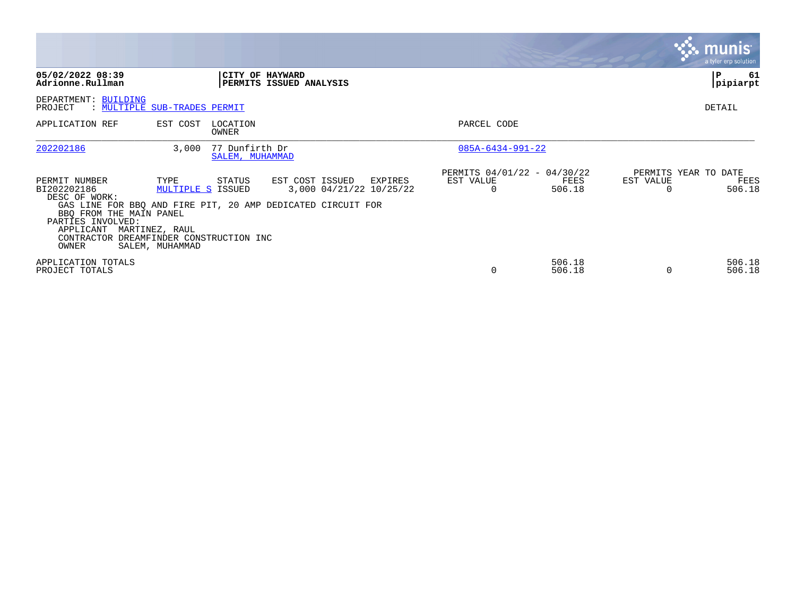|                                                                                                                                                  |                                                                                               |                                                                                                                      |                                                      |                  |                           | <b>munis</b><br>a tyler erp solution   |
|--------------------------------------------------------------------------------------------------------------------------------------------------|-----------------------------------------------------------------------------------------------|----------------------------------------------------------------------------------------------------------------------|------------------------------------------------------|------------------|---------------------------|----------------------------------------|
| 05/02/2022 08:39<br>Adrionne.Rullman                                                                                                             |                                                                                               | CITY OF HAYWARD<br>PERMITS ISSUED ANALYSIS                                                                           |                                                      |                  |                           | l P<br>61<br> pipiarpt                 |
| DEPARTMENT: BUILDING<br>PROJECT                                                                                                                  | : MULTIPLE SUB-TRADES PERMIT                                                                  |                                                                                                                      |                                                      |                  |                           | DETAIL                                 |
| APPLICATION REF                                                                                                                                  | EST COST<br>LOCATION<br>OWNER                                                                 |                                                                                                                      | PARCEL CODE                                          |                  |                           |                                        |
| 202202186                                                                                                                                        | 77 Dunfirth Dr<br>3,000<br>SALEM, MUHAMMAD                                                    |                                                                                                                      | $085A-6434-991-22$                                   |                  |                           |                                        |
| PERMIT NUMBER<br>BI202202186<br>DESC OF WORK:<br>BBO FROM THE MAIN PANEL<br>PARTIES INVOLVED:<br>APPLICANT MARTINEZ, RAUL<br>CONTRACTOR<br>OWNER | TYPE<br>STATUS<br><b>MULTIPLE S ISSUED</b><br>DREAMFINDER CONSTRUCTION INC<br>SALEM, MUHAMMAD | EST COST ISSUED<br>EXPIRES<br>3,000 04/21/22 10/25/22<br>GAS LINE FOR BBQ AND FIRE PIT, 20 AMP DEDICATED CIRCUIT FOR | PERMITS 04/01/22 - 04/30/22<br>EST VALUE<br>$\Omega$ | FEES<br>506.18   | EST VALUE<br><sup>0</sup> | PERMITS YEAR TO DATE<br>FEES<br>506.18 |
| APPLICATION TOTALS<br>PROJECT TOTALS                                                                                                             |                                                                                               |                                                                                                                      | $\Omega$                                             | 506.18<br>506.18 | 0                         | 506.18<br>506.18                       |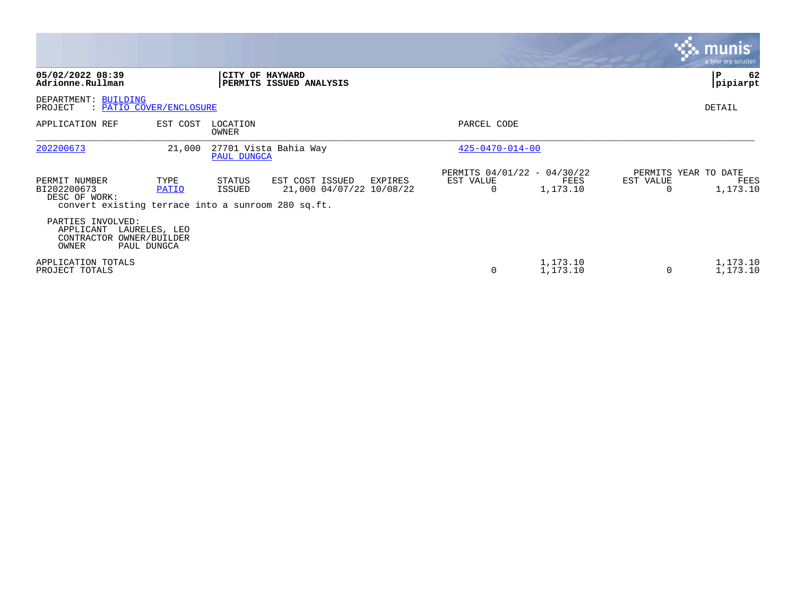|                                                                                                     |               |                   |                                                        |                                                      |                      |                       | munis<br>a tyler erp solution            |
|-----------------------------------------------------------------------------------------------------|---------------|-------------------|--------------------------------------------------------|------------------------------------------------------|----------------------|-----------------------|------------------------------------------|
| 05/02/2022 08:39<br>Adrionne.Rullman                                                                |               |                   | CITY OF HAYWARD<br>PERMITS ISSUED ANALYSIS             |                                                      |                      |                       | 62<br>P<br>pipiarpt                      |
| DEPARTMENT: BUILDING<br>PROJECT<br>: PATIO COVER/ENCLOSURE                                          |               |                   |                                                        |                                                      |                      |                       | DETAIL                                   |
| APPLICATION REF                                                                                     | EST COST      | LOCATION<br>OWNER |                                                        | PARCEL CODE                                          |                      |                       |                                          |
| 202200673                                                                                           | 21,000        | PAUL DUNGCA       | 27701 Vista Bahia Way                                  | $425 - 0470 - 014 - 00$                              |                      |                       |                                          |
| PERMIT NUMBER<br>BI202200673<br>DESC OF WORK:<br>convert existing terrace into a sunroom 280 sq.ft. | TYPE<br>PATIO | STATUS<br>ISSUED  | EST COST ISSUED<br>EXPIRES<br>21,000 04/07/22 10/08/22 | PERMITS 04/01/22 - 04/30/22<br>EST VALUE<br>$\Omega$ | FEES<br>1,173.10     | EST VALUE<br>$\Omega$ | PERMITS YEAR TO DATE<br>FEES<br>1,173.10 |
| PARTIES INVOLVED:<br>APPLICANT<br>CONTRACTOR OWNER/BUILDER<br>PAUL DUNGCA<br>OWNER                  | LAURELES, LEO |                   |                                                        |                                                      |                      |                       |                                          |
| APPLICATION TOTALS<br>PROJECT TOTALS                                                                |               |                   |                                                        | 0                                                    | 1,173.10<br>1,173.10 | 0                     | 1,173.10<br>1,173.10                     |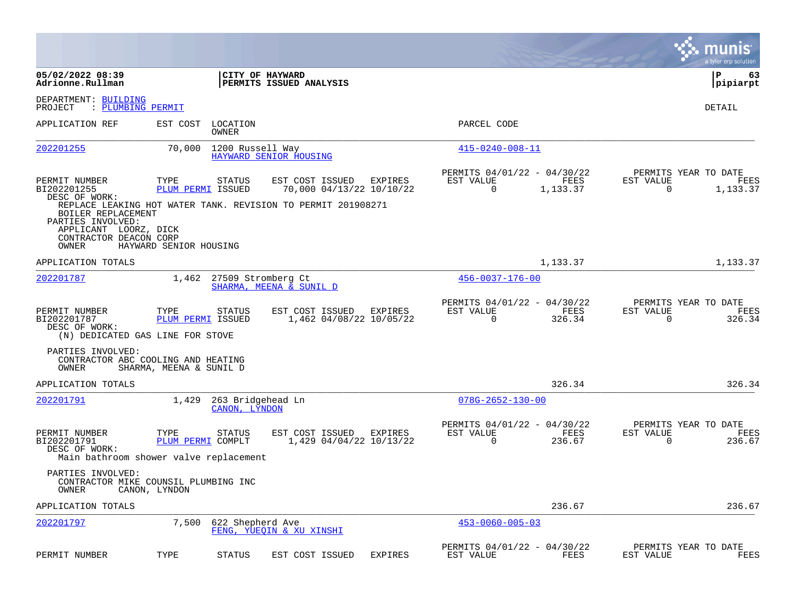|                                                                                                     |                         |                                    |                                                              |         |                                                            |                  |                          | munis<br>a tyler erp solution            |
|-----------------------------------------------------------------------------------------------------|-------------------------|------------------------------------|--------------------------------------------------------------|---------|------------------------------------------------------------|------------------|--------------------------|------------------------------------------|
| 05/02/2022 08:39<br>Adrionne.Rullman                                                                |                         |                                    | CITY OF HAYWARD<br>PERMITS ISSUED ANALYSIS                   |         |                                                            |                  |                          | P<br>63<br> pipiarpt                     |
| DEPARTMENT: BUILDING<br>: PLUMBING PERMIT<br>PROJECT                                                |                         |                                    |                                                              |         |                                                            |                  |                          | DETAIL                                   |
| APPLICATION REF                                                                                     | EST COST                | LOCATION<br><b>OWNER</b>           |                                                              |         | PARCEL CODE                                                |                  |                          |                                          |
| 202201255                                                                                           | 70,000                  | 1200 Russell Way                   | HAYWARD SENIOR HOUSING                                       |         | $415 - 0240 - 008 - 11$                                    |                  |                          |                                          |
| PERMIT NUMBER<br>BI202201255<br>DESC OF WORK:                                                       | TYPE                    | STATUS<br><b>PLUM PERMI ISSUED</b> | EST COST ISSUED<br>70,000 04/13/22 10/10/22                  | EXPIRES | PERMITS 04/01/22 - 04/30/22<br>EST VALUE<br>0              | FEES<br>1,133.37 | EST VALUE<br>0           | PERMITS YEAR TO DATE<br>FEES<br>1,133.37 |
| BOILER REPLACEMENT<br>PARTIES INVOLVED:<br>APPLICANT LOORZ, DICK<br>CONTRACTOR DEACON CORP<br>OWNER | HAYWARD SENIOR HOUSING  |                                    | REPLACE LEAKING HOT WATER TANK. REVISION TO PERMIT 201908271 |         |                                                            |                  |                          |                                          |
| APPLICATION TOTALS                                                                                  |                         |                                    |                                                              |         |                                                            | 1,133.37         |                          | 1,133.37                                 |
| 202201787                                                                                           | 1,462                   |                                    | 27509 Stromberg Ct<br>SHARMA, MEENA & SUNIL D                |         | $456 - 0037 - 176 - 00$                                    |                  |                          |                                          |
| PERMIT NUMBER<br>BI202201787<br>DESC OF WORK:<br>(N) DEDICATED GAS LINE FOR STOVE                   | TYPE                    | STATUS<br>PLUM PERMI ISSUED        | EST COST ISSUED<br>1,462 04/08/22 10/05/22                   | EXPIRES | PERMITS 04/01/22 - 04/30/22<br>EST VALUE<br>$\overline{0}$ | FEES<br>326.34   | EST VALUE<br>$\mathbf 0$ | PERMITS YEAR TO DATE<br>FEES<br>326.34   |
| PARTIES INVOLVED:<br>CONTRACTOR ABC COOLING AND HEATING<br>OWNER                                    | SHARMA, MEENA & SUNIL D |                                    |                                                              |         |                                                            |                  |                          |                                          |
| APPLICATION TOTALS                                                                                  |                         |                                    |                                                              |         |                                                            | 326.34           |                          | 326.34                                   |
| 202201791                                                                                           | 1,429                   | 263 Bridgehead Ln<br>CANON, LYNDON |                                                              |         | $078G - 2652 - 130 - 00$                                   |                  |                          |                                          |
| PERMIT NUMBER<br>BI202201791<br>DESC OF WORK:<br>Main bathroom shower valve replacement             | TYPE                    | <b>STATUS</b><br>PLUM PERMI COMPLT | EST COST ISSUED<br>1,429 04/04/22 10/13/22                   | EXPIRES | PERMITS 04/01/22 - 04/30/22<br>EST VALUE<br>$\overline{0}$ | FEES<br>236.67   | EST VALUE<br>$\mathbf 0$ | PERMITS YEAR TO DATE<br>FEES<br>236.67   |
| PARTIES INVOLVED:<br>CONTRACTOR MIKE COUNSIL PLUMBING INC<br>OWNER                                  | CANON, LYNDON           |                                    |                                                              |         |                                                            |                  |                          |                                          |
| APPLICATION TOTALS                                                                                  |                         |                                    |                                                              |         |                                                            | 236.67           |                          | 236.67                                   |
| 202201797                                                                                           | 7,500                   | 622 Shepherd Ave                   | FENG, YUEOIN & XU XINSHI                                     |         | $453 - 0060 - 005 - 03$                                    |                  |                          |                                          |
| PERMIT NUMBER                                                                                       | TYPE                    | <b>STATUS</b>                      | EST COST ISSUED                                              | EXPIRES | PERMITS 04/01/22 - 04/30/22<br>EST VALUE                   | FEES             | EST VALUE                | PERMITS YEAR TO DATE<br>FEES             |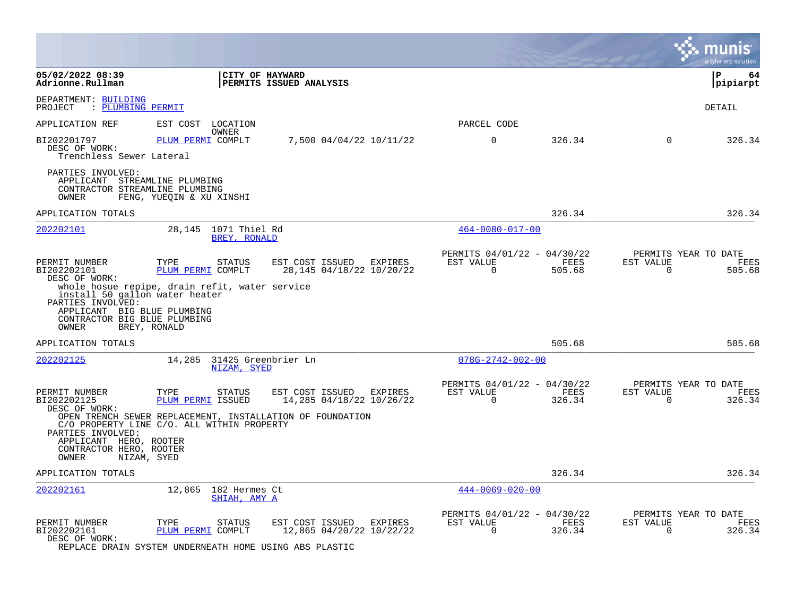|                                                                                                                                                                              |                                                                                                                                                                      |                                                     |                                                      |                |                       | a tyler erp solution                   |
|------------------------------------------------------------------------------------------------------------------------------------------------------------------------------|----------------------------------------------------------------------------------------------------------------------------------------------------------------------|-----------------------------------------------------|------------------------------------------------------|----------------|-----------------------|----------------------------------------|
| 05/02/2022 08:39<br>Adrionne.Rullman                                                                                                                                         |                                                                                                                                                                      | CITY OF HAYWARD<br>PERMITS ISSUED ANALYSIS          |                                                      |                |                       | l P<br>-64<br> pipiarpt                |
| DEPARTMENT: BUILDING<br>: PLUMBING PERMIT<br>PROJECT                                                                                                                         |                                                                                                                                                                      |                                                     |                                                      |                |                       | <b>DETAIL</b>                          |
| APPLICATION REF                                                                                                                                                              | EST COST LOCATION                                                                                                                                                    |                                                     | PARCEL CODE                                          |                |                       |                                        |
| BI202201797<br>DESC OF WORK:<br>Trenchless Sewer Lateral                                                                                                                     | OWNER<br>PLUM PERMI COMPLT                                                                                                                                           | 7,500 04/04/22 10/11/22                             | $\mathbf 0$                                          | 326.34         | $\mathbf 0$           | 326.34                                 |
| PARTIES INVOLVED:<br>APPLICANT STREAMLINE PLUMBING<br>CONTRACTOR STREAMLINE PLUMBING<br>OWNER                                                                                | FENG, YUEQIN & XU XINSHI                                                                                                                                             |                                                     |                                                      |                |                       |                                        |
| APPLICATION TOTALS                                                                                                                                                           |                                                                                                                                                                      |                                                     |                                                      | 326.34         |                       | 326.34                                 |
| 202202101                                                                                                                                                                    | 28,145 1071 Thiel Rd<br>BREY, RONALD                                                                                                                                 |                                                     | $464 - 0080 - 017 - 00$                              |                |                       |                                        |
| PERMIT NUMBER<br>BI202202101<br>DESC OF WORK:<br>install 50 gallon water heater<br>PARTIES INVOLVED:<br>APPLICANT BIG BLUE PLUMBING<br>CONTRACTOR BIG BLUE PLUMBING<br>OWNER | TYPE<br><b>STATUS</b><br>PLUM PERMI COMPLT<br>whole hosue repipe, drain refit, water service<br>BREY, RONALD                                                         | EST COST ISSUED EXPIRES<br>28,145 04/18/22 10/20/22 | PERMITS 04/01/22 - 04/30/22<br>EST VALUE<br>$\Omega$ | FEES<br>505.68 | EST VALUE<br>$\Omega$ | PERMITS YEAR TO DATE<br>FEES<br>505.68 |
| APPLICATION TOTALS                                                                                                                                                           |                                                                                                                                                                      |                                                     |                                                      | 505.68         |                       | 505.68                                 |
| 202202125                                                                                                                                                                    | 14,285 31425 Greenbrier Ln<br>NIZAM, SYED                                                                                                                            |                                                     | $078G - 2742 - 002 - 00$                             |                |                       |                                        |
| PERMIT NUMBER<br>BI202202125<br>DESC OF WORK:<br>PARTIES INVOLVED:<br>APPLICANT HERO, ROOTER<br>CONTRACTOR HERO, ROOTER<br>OWNER                                             | TYPE<br><b>STATUS</b><br>PLUM PERMI ISSUED<br>OPEN TRENCH SEWER REPLACEMENT, INSTALLATION OF FOUNDATION<br>C/O PROPERTY LINE C/O. ALL WITHIN PROPERTY<br>NIZAM, SYED | EST COST ISSUED EXPIRES<br>14,285 04/18/22 10/26/22 | PERMITS 04/01/22 - 04/30/22<br>EST VALUE<br>$\Omega$ | FEES<br>326.34 | EST VALUE<br>$\Omega$ | PERMITS YEAR TO DATE<br>FEES<br>326.34 |
| APPLICATION TOTALS                                                                                                                                                           |                                                                                                                                                                      |                                                     |                                                      | 326.34         |                       | 326.34                                 |
| 202202161                                                                                                                                                                    | 12,865 182 Hermes Ct<br>SHIAH, AMY A                                                                                                                                 |                                                     | $444 - 0069 - 020 - 00$                              |                |                       |                                        |
| PERMIT NUMBER<br>BI202202161<br>DESC OF WORK:                                                                                                                                | TYPE<br><b>STATUS</b><br>PLUM PERMI COMPLT<br>REPLACE DRAIN SYSTEM UNDERNEATH HOME USING ABS PLASTIC                                                                 | EST COST ISSUED EXPIRES<br>12,865 04/20/22 10/22/22 | PERMITS 04/01/22 - 04/30/22<br>EST VALUE<br>$\Omega$ | FEES<br>326.34 | EST VALUE<br>$\Omega$ | PERMITS YEAR TO DATE<br>FEES<br>326.34 |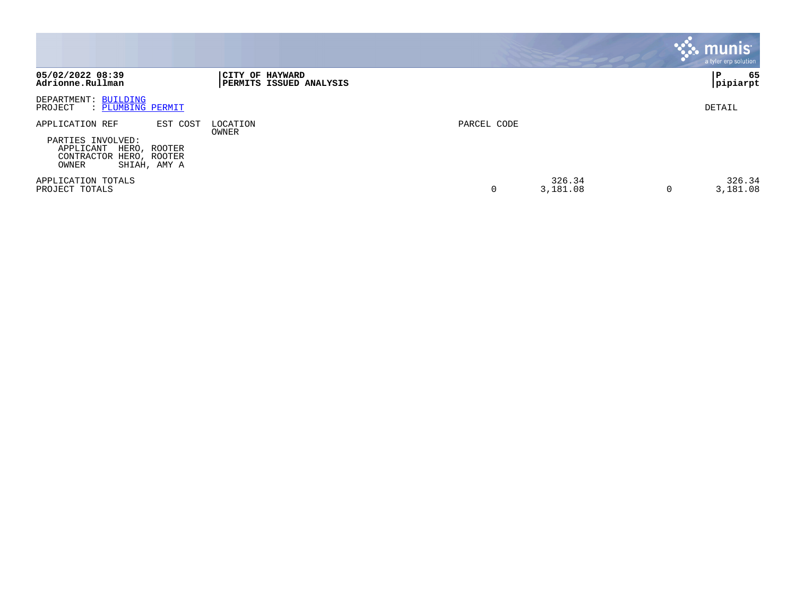|                                                                                                                                   |                                            |                         | <u>ः munis </u><br>a tyler erp solution |
|-----------------------------------------------------------------------------------------------------------------------------------|--------------------------------------------|-------------------------|-----------------------------------------|
| 05/02/2022 08:39<br>Adrionne.Rullman                                                                                              | CITY OF HAYWARD<br>PERMITS ISSUED ANALYSIS |                         | 65<br>P<br> pipiarpt                    |
| DEPARTMENT: BUILDING<br>PROJECT<br>PLUMBING PERMIT<br>$\ddot{\cdot}$                                                              |                                            |                         | DETAIL                                  |
| APPLICATION REF<br>EST COST<br>PARTIES INVOLVED:<br>APPLICANT<br>HERO, ROOTER<br>CONTRACTOR HERO, ROOTER<br>SHIAH, AMY A<br>OWNER | LOCATION<br>OWNER                          | PARCEL CODE             |                                         |
| APPLICATION TOTALS<br>PROJECT TOTALS                                                                                              |                                            | 326.34<br>3,181.08<br>0 | 326.34<br>3,181.08                      |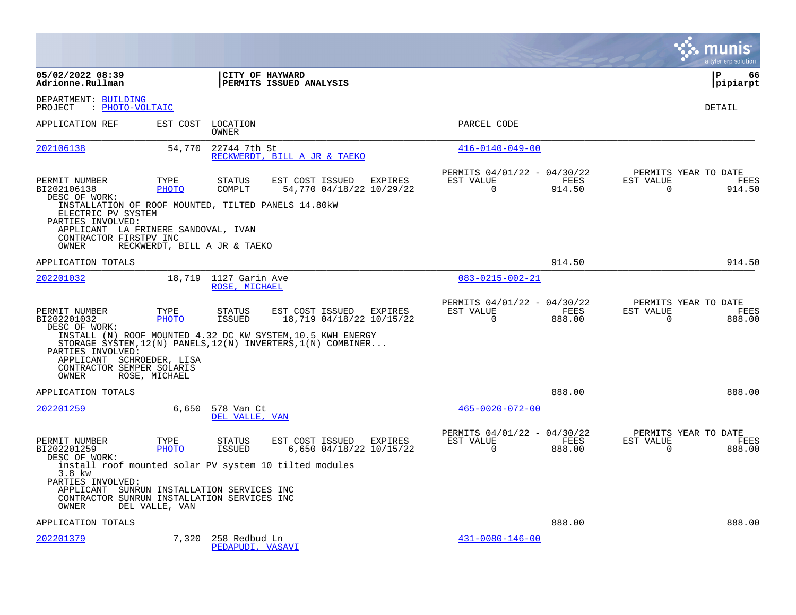|                                                                                                                                                                                                                  |                              |                                        |                                                                                                                                                                                    |                                                      |                |                       | a tyler erp solution                          |
|------------------------------------------------------------------------------------------------------------------------------------------------------------------------------------------------------------------|------------------------------|----------------------------------------|------------------------------------------------------------------------------------------------------------------------------------------------------------------------------------|------------------------------------------------------|----------------|-----------------------|-----------------------------------------------|
| 05/02/2022 08:39<br>Adrionne.Rullman                                                                                                                                                                             |                              |                                        | CITY OF HAYWARD<br>PERMITS ISSUED ANALYSIS                                                                                                                                         |                                                      |                |                       | ΙP<br>66<br> pipiarpt                         |
| DEPARTMENT: BUILDING<br>: PHOTO-VOLTAIC<br>PROJECT                                                                                                                                                               |                              |                                        |                                                                                                                                                                                    |                                                      |                |                       | DETAIL                                        |
| APPLICATION REF                                                                                                                                                                                                  | EST COST                     | LOCATION<br>OWNER                      |                                                                                                                                                                                    | PARCEL CODE                                          |                |                       |                                               |
| 202106138                                                                                                                                                                                                        | 54,770                       | 22744 7th St                           | RECKWERDT, BILL A JR & TAEKO                                                                                                                                                       | $416 - 0140 - 049 - 00$                              |                |                       |                                               |
| PERMIT NUMBER<br>BI202106138<br>DESC OF WORK:<br>INSTALLATION OF ROOF MOUNTED, TILTED PANELS 14.80kW<br>ELECTRIC PV SYSTEM<br>PARTIES INVOLVED:<br>APPLICANT LA FRINERE SANDOVAL, IVAN<br>CONTRACTOR FIRSTPV INC | TYPE<br><b>PHOTO</b>         | <b>STATUS</b><br>COMPLT                | EST COST ISSUED EXPIRES<br>54,770 04/18/22 10/29/22                                                                                                                                | PERMITS 04/01/22 - 04/30/22<br>EST VALUE<br>$\Omega$ | FEES<br>914.50 | EST VALUE<br>$\Omega$ | PERMITS YEAR TO DATE<br>FEES<br>914.50        |
| OWNER<br>APPLICATION TOTALS                                                                                                                                                                                      | RECKWERDT, BILL A JR & TAEKO |                                        |                                                                                                                                                                                    |                                                      | 914.50         |                       | 914.50                                        |
| 202201032                                                                                                                                                                                                        |                              | 18,719 1127 Garin Ave<br>ROSE, MICHAEL |                                                                                                                                                                                    | $083 - 0215 - 002 - 21$                              |                |                       |                                               |
| PERMIT NUMBER<br>BI202201032<br>DESC OF WORK:<br>PARTIES INVOLVED:<br>APPLICANT SCHROEDER, LISA<br>CONTRACTOR SEMPER SOLARIS                                                                                     | TYPE<br><b>PHOTO</b>         | <b>STATUS</b><br>ISSUED                | EST COST ISSUED EXPIRES<br>18,719 04/18/22 10/15/22<br>INSTALL (N) ROOF MOUNTED 4.32 DC KW SYSTEM, 10.5 KWH ENERGY<br>STORAGE SYSTEM, 12(N) PANELS, 12(N) INVERTERS, 1(N) COMBINER | PERMITS 04/01/22 - 04/30/22<br>EST VALUE<br>$\Omega$ | FEES<br>888.00 | EST VALUE<br>$\Omega$ | PERMITS YEAR TO DATE<br><b>FEES</b><br>888.00 |
| <b>OWNER</b>                                                                                                                                                                                                     | ROSE, MICHAEL                |                                        |                                                                                                                                                                                    |                                                      |                |                       |                                               |
| APPLICATION TOTALS<br>202201259                                                                                                                                                                                  | 6,650                        | 578 Van Ct                             |                                                                                                                                                                                    | $465 - 0020 - 072 - 00$                              | 888.00         |                       | 888.00                                        |
|                                                                                                                                                                                                                  |                              | DEL VALLE, VAN                         |                                                                                                                                                                                    |                                                      |                |                       |                                               |
| PERMIT NUMBER<br>BI202201259<br>DESC OF WORK:<br>3.8 kw<br>PARTIES INVOLVED:<br>APPLICANT SUNRUN INSTALLATION SERVICES INC<br>CONTRACTOR SUNRUN INSTALLATION SERVICES INC                                        | TYPE<br><b>PHOTO</b>         | <b>STATUS</b><br><b>ISSUED</b>         | EST COST ISSUED EXPIRES<br>6,650 04/18/22 10/15/22<br>install roof mounted solar PV system 10 tilted modules                                                                       | PERMITS 04/01/22 - 04/30/22<br>EST VALUE<br>$\Omega$ | FEES<br>888.00 | EST VALUE<br>$\Omega$ | PERMITS YEAR TO DATE<br>FEES<br>888.00        |
| OWNER<br>APPLICATION TOTALS                                                                                                                                                                                      | DEL VALLE, VAN               |                                        |                                                                                                                                                                                    |                                                      | 888.00         |                       | 888.00                                        |
| 202201379                                                                                                                                                                                                        | 7,320                        | 258 Redbud Ln<br>PEDAPUDI, VASAVI      |                                                                                                                                                                                    | $431 - 0080 - 146 - 00$                              |                |                       |                                               |

**College**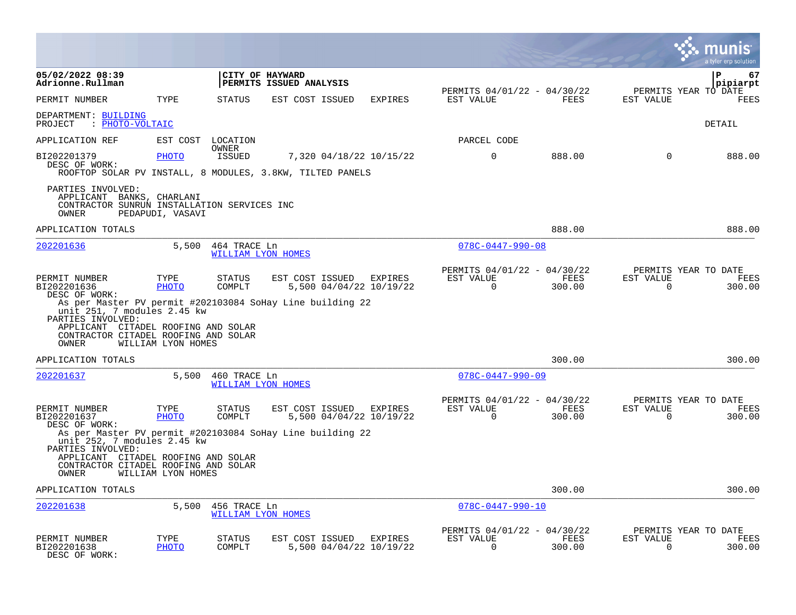|                                                                                                                                          |                      |                                           |                                            |                                    |                                                         |                       |                          | a tyler erp solution                   |
|------------------------------------------------------------------------------------------------------------------------------------------|----------------------|-------------------------------------------|--------------------------------------------|------------------------------------|---------------------------------------------------------|-----------------------|--------------------------|----------------------------------------|
| 05/02/2022 08:39<br>Adrionne.Rullman                                                                                                     |                      |                                           | CITY OF HAYWARD<br>PERMITS ISSUED ANALYSIS |                                    |                                                         |                       |                          | ${\bf P}$<br>67<br>pipiarpt            |
| PERMIT NUMBER                                                                                                                            | TYPE                 | STATUS                                    | EST COST ISSUED                            | EXPIRES                            | PERMITS 04/01/22 - 04/30/22<br>EST VALUE                | FEES                  | EST VALUE                | PERMITS YEAR TO DATE<br><b>FEES</b>    |
| DEPARTMENT: BUILDING<br>: PHOTO-VOLTAIC<br>PROJECT                                                                                       |                      |                                           |                                            |                                    |                                                         |                       |                          | DETAIL                                 |
| APPLICATION REF                                                                                                                          | EST COST             | LOCATION                                  |                                            |                                    | PARCEL CODE                                             |                       |                          |                                        |
| BI202201379<br>DESC OF WORK:<br>ROOFTOP SOLAR PV INSTALL, 8 MODULES, 3.8KW, TILTED PANELS                                                | PHOTO                | OWNER<br><b>ISSUED</b>                    |                                            | 7,320 04/18/22 10/15/22            | $\mathbf 0$                                             | 888.00                | $\Omega$                 | 888.00                                 |
| PARTIES INVOLVED:<br>APPLICANT BANKS, CHARLANI<br>CONTRACTOR SUNRUN INSTALLATION SERVICES INC<br>OWNER                                   | PEDAPUDI, VASAVI     |                                           |                                            |                                    |                                                         |                       |                          |                                        |
| APPLICATION TOTALS                                                                                                                       |                      |                                           |                                            |                                    |                                                         | 888.00                |                          | 888.00                                 |
| 202201636                                                                                                                                | 5,500                | 464 TRACE Ln<br><b>WILLIAM LYON HOMES</b> |                                            |                                    | $078C - 0447 - 990 - 08$                                |                       |                          |                                        |
| PERMIT NUMBER<br>BI202201636<br>DESC OF WORK:<br>As per Master PV permit #202103084 SoHay Line building 22                               | TYPE<br><b>PHOTO</b> | STATUS<br>COMPLT                          | EST COST ISSUED                            | EXPIRES<br>5,500 04/04/22 10/19/22 | PERMITS 04/01/22 - 04/30/22<br>EST VALUE<br>$\mathbf 0$ | FEES<br>300.00        | EST VALUE<br>$\mathbf 0$ | PERMITS YEAR TO DATE<br>FEES<br>300.00 |
| unit 251, 7 modules 2.45 kw<br>PARTIES INVOLVED:<br>APPLICANT CITADEL ROOFING AND SOLAR<br>CONTRACTOR CITADEL ROOFING AND SOLAR<br>OWNER | WILLIAM LYON HOMES   |                                           |                                            |                                    |                                                         |                       |                          |                                        |
| APPLICATION TOTALS                                                                                                                       |                      |                                           |                                            |                                    |                                                         | 300.00                |                          | 300.00                                 |
| 202201637                                                                                                                                | 5,500                | 460 TRACE Ln<br>WILLIAM LYON HOMES        |                                            |                                    | $078C - 0447 - 990 - 09$                                |                       |                          |                                        |
| PERMIT NUMBER<br>BI202201637<br>DESC OF WORK:                                                                                            | TYPE<br><b>PHOTO</b> | STATUS<br>COMPLT                          | EST COST ISSUED                            | EXPIRES<br>5,500 04/04/22 10/19/22 | PERMITS 04/01/22 - 04/30/22<br>EST VALUE<br>$\Omega$    | FEES<br>300.00        | EST VALUE<br>$\Omega$    | PERMITS YEAR TO DATE<br>FEES<br>300.00 |
| As per Master PV permit #202103084 SoHay Line building 22<br>unit 252, 7 modules 2.45 kw<br>PARTIES INVOLVED:                            |                      |                                           |                                            |                                    |                                                         |                       |                          |                                        |
| APPLICANT CITADEL ROOFING AND SOLAR<br>CONTRACTOR CITADEL ROOFING AND SOLAR<br>OWNER                                                     | WILLIAM LYON HOMES   |                                           |                                            |                                    |                                                         |                       |                          |                                        |
| APPLICATION TOTALS                                                                                                                       |                      |                                           |                                            |                                    |                                                         | 300.00                |                          | 300.00                                 |
| 202201638                                                                                                                                | 5,500                | 456 TRACE Ln<br><b>WILLIAM LYON HOMES</b> |                                            |                                    | $078C - 0447 - 990 - 10$                                |                       |                          |                                        |
| PERMIT NUMBER<br>BI202201638<br>DESC OF WORK:                                                                                            | TYPE<br><b>PHOTO</b> | <b>STATUS</b><br>COMPLT                   | EST COST ISSUED                            | EXPIRES<br>5,500 04/04/22 10/19/22 | PERMITS 04/01/22 - 04/30/22<br>EST VALUE<br>$\mathbf 0$ | <b>FEES</b><br>300.00 | EST VALUE<br>$\mathbf 0$ | PERMITS YEAR TO DATE<br>FEES<br>300.00 |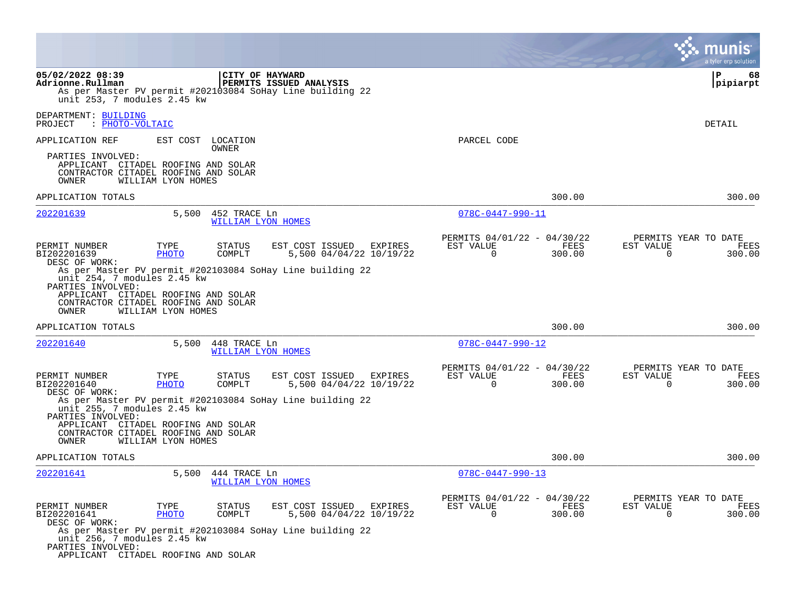|                                                                                                                                          |                      |                                           |                                                                                                                    |                                                         |                | munis<br>a tyler erp solution                                      |
|------------------------------------------------------------------------------------------------------------------------------------------|----------------------|-------------------------------------------|--------------------------------------------------------------------------------------------------------------------|---------------------------------------------------------|----------------|--------------------------------------------------------------------|
| 05/02/2022 08:39<br>Adrionne.Rullman<br>unit 253, 7 modules 2.45 kw                                                                      |                      |                                           | CITY OF HAYWARD<br>PERMITS ISSUED ANALYSIS<br>As per Master PV permit #202103084 SoHay Line building 22            |                                                         |                | ΙP<br>68<br> pipiarpt                                              |
| DEPARTMENT: BUILDING<br>: PHOTO-VOLTAIC<br>PROJECT                                                                                       |                      |                                           |                                                                                                                    |                                                         |                | DETAIL                                                             |
| APPLICATION REF                                                                                                                          | EST COST             | LOCATION<br>OWNER                         |                                                                                                                    | PARCEL CODE                                             |                |                                                                    |
| PARTIES INVOLVED:<br>APPLICANT CITADEL ROOFING AND SOLAR<br>CONTRACTOR CITADEL ROOFING AND SOLAR<br>OWNER                                | WILLIAM LYON HOMES   |                                           |                                                                                                                    |                                                         |                |                                                                    |
| APPLICATION TOTALS                                                                                                                       |                      |                                           |                                                                                                                    |                                                         | 300.00         | 300.00                                                             |
| 202201639                                                                                                                                | 5,500                | 452 TRACE Ln<br>WILLIAM LYON HOMES        |                                                                                                                    | 078C-0447-990-11                                        |                |                                                                    |
| PERMIT NUMBER<br>BI202201639<br>DESC OF WORK:                                                                                            | TYPE<br>PHOTO        | STATUS<br>COMPLT                          | EST COST ISSUED<br>EXPIRES<br>5,500 04/04/22 10/19/22                                                              | PERMITS 04/01/22 - 04/30/22<br>EST VALUE<br>$\Omega$    | FEES<br>300.00 | PERMITS YEAR TO DATE<br>EST VALUE<br>FEES<br>$\Omega$<br>300.00    |
| unit 254, 7 modules 2.45 kw<br>PARTIES INVOLVED:<br>APPLICANT CITADEL ROOFING AND SOLAR<br>CONTRACTOR CITADEL ROOFING AND SOLAR<br>OWNER | WILLIAM LYON HOMES   |                                           | As per Master PV permit #202103084 SoHay Line building 22                                                          |                                                         |                |                                                                    |
| APPLICATION TOTALS                                                                                                                       |                      |                                           |                                                                                                                    |                                                         | 300.00         | 300.00                                                             |
| 202201640                                                                                                                                | 5,500                | 448 TRACE Ln<br><b>WILLIAM LYON HOMES</b> |                                                                                                                    | $078C - 0447 - 990 - 12$                                |                |                                                                    |
| PERMIT NUMBER<br>BI202201640<br>DESC OF WORK:                                                                                            | TYPE<br><b>PHOTO</b> | STATUS<br>COMPLT                          | EST COST ISSUED<br><b>EXPIRES</b><br>5,500 04/04/22 10/19/22                                                       | PERMITS 04/01/22 - 04/30/22<br>EST VALUE<br>$\Omega$    | FEES<br>300.00 | PERMITS YEAR TO DATE<br>EST VALUE<br><b>FEES</b><br>300.00<br>0    |
| unit 255, 7 modules 2.45 kw<br>PARTIES INVOLVED:<br>APPLICANT CITADEL ROOFING AND SOLAR<br>CONTRACTOR CITADEL ROOFING AND SOLAR          |                      |                                           | As per Master PV permit #202103084 SoHay Line building 22                                                          |                                                         |                |                                                                    |
| OWNER                                                                                                                                    | WILLIAM LYON HOMES   |                                           |                                                                                                                    |                                                         |                |                                                                    |
| APPLICATION TOTALS                                                                                                                       |                      |                                           |                                                                                                                    |                                                         | 300.00         | 300.00                                                             |
| 202201641                                                                                                                                | 5,500                | 444 TRACE Ln<br>WILLIAM LYON HOMES        |                                                                                                                    | $078C - 0447 - 990 - 13$                                |                |                                                                    |
| PERMIT NUMBER<br>BI202201641<br>DESC OF WORK:<br>unit 256, 7 modules 2.45 kw                                                             | TYPE<br><b>PHOTO</b> | <b>STATUS</b><br>COMPLT                   | EST COST ISSUED<br>EXPIRES<br>5,500 04/04/22 10/19/22<br>As per Master PV permit #202103084 SoHay Line building 22 | PERMITS 04/01/22 - 04/30/22<br>EST VALUE<br>$\mathbf 0$ | FEES<br>300.00 | PERMITS YEAR TO DATE<br>EST VALUE<br>FEES<br>$\mathbf 0$<br>300.00 |
| PARTIES INVOLVED:<br>APPLICANT CITADEL ROOFING AND SOLAR                                                                                 |                      |                                           |                                                                                                                    |                                                         |                |                                                                    |

**Contract**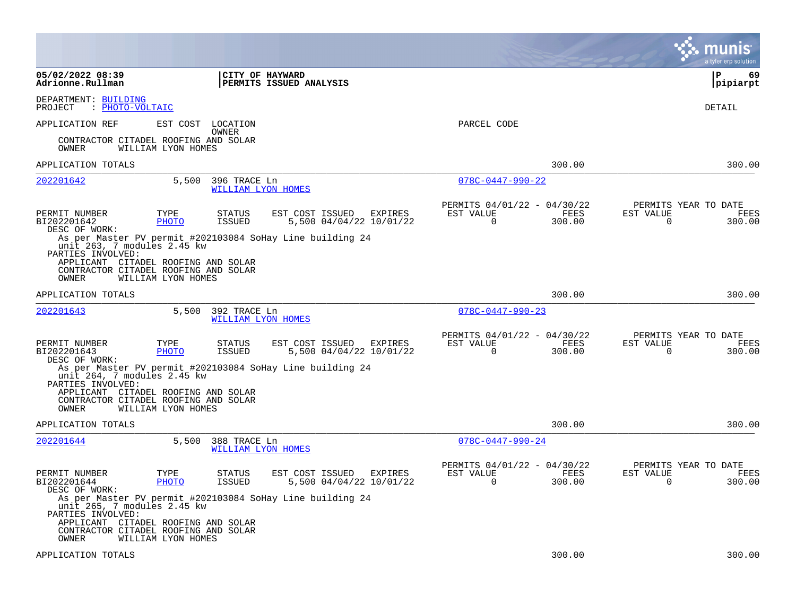|                                                                                                                                 |                      |                                           |                                                           |                                                         |                | munis<br>a tyler erp solution                                      |
|---------------------------------------------------------------------------------------------------------------------------------|----------------------|-------------------------------------------|-----------------------------------------------------------|---------------------------------------------------------|----------------|--------------------------------------------------------------------|
| 05/02/2022 08:39<br>Adrionne.Rullman                                                                                            |                      | CITY OF HAYWARD                           | PERMITS ISSUED ANALYSIS                                   |                                                         |                | l P<br>69<br> pipiarpt                                             |
| DEPARTMENT: BUILDING<br>: PHOTO-VOLTAIC<br>PROJECT                                                                              |                      |                                           |                                                           |                                                         |                | DETAIL                                                             |
| APPLICATION REF                                                                                                                 | EST COST             | LOCATION                                  |                                                           | PARCEL CODE                                             |                |                                                                    |
| CONTRACTOR CITADEL ROOFING AND SOLAR<br>OWNER                                                                                   | WILLIAM LYON HOMES   | OWNER                                     |                                                           |                                                         |                |                                                                    |
| APPLICATION TOTALS                                                                                                              |                      |                                           |                                                           |                                                         | 300.00         | 300.00                                                             |
| 202201642                                                                                                                       | 5,500                | 396 TRACE Ln<br><b>WILLIAM LYON HOMES</b> |                                                           | $078C - 0447 - 990 - 22$                                |                |                                                                    |
| PERMIT NUMBER<br>BI202201642<br>DESC OF WORK:                                                                                   | TYPE<br><b>PHOTO</b> | <b>STATUS</b><br>ISSUED                   | EST COST ISSUED<br>EXPIRES<br>5,500 04/04/22 10/01/22     | PERMITS 04/01/22 - 04/30/22<br>EST VALUE<br>$\mathbf 0$ | FEES<br>300.00 | PERMITS YEAR TO DATE<br>EST VALUE<br>FEES<br>$\mathbf 0$<br>300.00 |
| unit 263, 7 modules 2.45 kw<br>PARTIES INVOLVED:<br>APPLICANT CITADEL ROOFING AND SOLAR<br>CONTRACTOR CITADEL ROOFING AND SOLAR |                      |                                           | As per Master PV permit #202103084 SoHay Line building 24 |                                                         |                |                                                                    |
| OWNER                                                                                                                           | WILLIAM LYON HOMES   |                                           |                                                           |                                                         |                | 300.00                                                             |
| APPLICATION TOTALS                                                                                                              |                      |                                           |                                                           |                                                         | 300.00         |                                                                    |
| 202201643                                                                                                                       | 5,500                | 392 TRACE Ln<br>WILLIAM LYON HOMES        |                                                           | $078C - 0447 - 990 - 23$                                |                |                                                                    |
| PERMIT NUMBER<br>BI202201643<br>DESC OF WORK:                                                                                   | TYPE<br><b>PHOTO</b> | STATUS<br><b>ISSUED</b>                   | EST COST ISSUED<br>EXPIRES<br>5,500 04/04/22 10/01/22     | PERMITS 04/01/22 - 04/30/22<br>EST VALUE<br>$\mathbf 0$ | FEES<br>300.00 | PERMITS YEAR TO DATE<br>EST VALUE<br>FEES<br>$\mathbf 0$<br>300.00 |
| unit 264, 7 modules 2.45 kw<br>PARTIES INVOLVED:                                                                                |                      |                                           | As per Master PV permit #202103084 SoHay Line building 24 |                                                         |                |                                                                    |
| APPLICANT CITADEL ROOFING AND SOLAR<br>CONTRACTOR CITADEL ROOFING AND SOLAR<br>OWNER                                            | WILLIAM LYON HOMES   |                                           |                                                           |                                                         |                |                                                                    |
| APPLICATION TOTALS                                                                                                              |                      |                                           |                                                           |                                                         | 300.00         | 300.00                                                             |
| 202201644                                                                                                                       | 5,500                | 388 TRACE Ln<br><b>WILLIAM LYON HOMES</b> |                                                           | $078C - 0447 - 990 - 24$                                |                |                                                                    |
| PERMIT NUMBER<br>BI202201644<br>DESC OF WORK:                                                                                   | TYPE<br>PHOTO        | STATUS<br>ISSUED                          | EST COST ISSUED<br>EXPIRES<br>5,500 04/04/22 10/01/22     | PERMITS 04/01/22 - 04/30/22<br>EST VALUE<br>$\Omega$    | FEES<br>300.00 | PERMITS YEAR TO DATE<br>EST VALUE<br>FEES<br>$\Omega$<br>300.00    |
| unit 265, 7 modules 2.45 kw<br>PARTIES INVOLVED:                                                                                |                      |                                           | As per Master PV permit #202103084 SoHay Line building 24 |                                                         |                |                                                                    |
| APPLICANT CITADEL ROOFING AND SOLAR<br>CONTRACTOR CITADEL ROOFING AND SOLAR<br>OWNER                                            | WILLIAM LYON HOMES   |                                           |                                                           |                                                         |                |                                                                    |
| APPLICATION TOTALS                                                                                                              |                      |                                           |                                                           |                                                         | 300.00         | 300.00                                                             |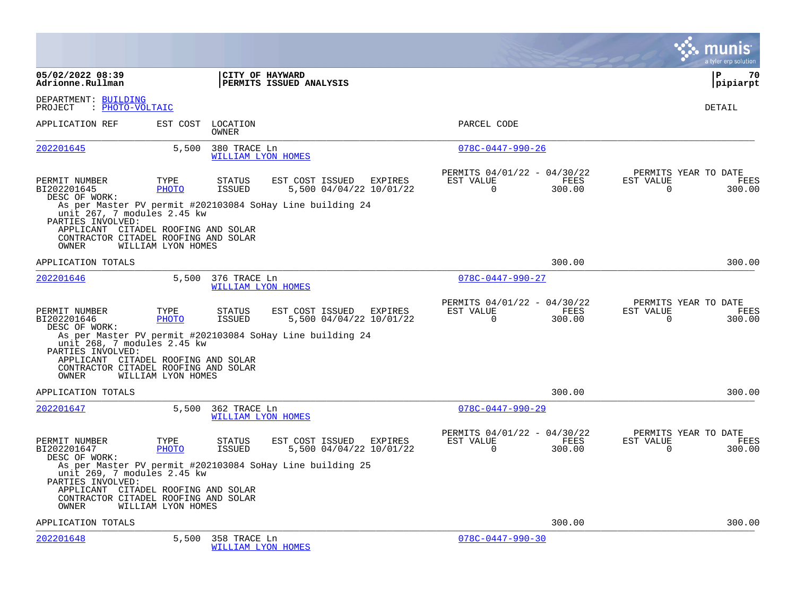|                                                                                                                                          |                      |                                           |                                                           |                |                                                         |                |                          | a tyler erp solution                          |
|------------------------------------------------------------------------------------------------------------------------------------------|----------------------|-------------------------------------------|-----------------------------------------------------------|----------------|---------------------------------------------------------|----------------|--------------------------|-----------------------------------------------|
| 05/02/2022 08:39<br>Adrionne.Rullman                                                                                                     |                      | CITY OF HAYWARD                           | PERMITS ISSUED ANALYSIS                                   |                |                                                         |                |                          | l P<br>70<br> pipiarpt                        |
| DEPARTMENT: BUILDING<br>: PHOTO-VOLTAIC<br>PROJECT                                                                                       |                      |                                           |                                                           |                |                                                         |                |                          | DETAIL                                        |
| APPLICATION REF                                                                                                                          | EST COST             | LOCATION<br>OWNER                         |                                                           |                | PARCEL CODE                                             |                |                          |                                               |
| 202201645                                                                                                                                | 5,500                | 380 TRACE Ln<br>WILLIAM LYON HOMES        |                                                           |                | $078C - 0447 - 990 - 26$                                |                |                          |                                               |
| PERMIT NUMBER<br>BI202201645<br>DESC OF WORK:                                                                                            | TYPE<br><b>PHOTO</b> | <b>STATUS</b><br>ISSUED                   | EST COST ISSUED<br>5,500 04/04/22 10/01/22                | EXPIRES        | PERMITS 04/01/22 - 04/30/22<br>EST VALUE<br>$\Omega$    | FEES<br>300.00 | EST VALUE<br>$\Omega$    | PERMITS YEAR TO DATE<br>FEES<br>300.00        |
| unit 267, 7 modules 2.45 kw<br>PARTIES INVOLVED:<br>APPLICANT CITADEL ROOFING AND SOLAR<br>CONTRACTOR CITADEL ROOFING AND SOLAR<br>OWNER | WILLIAM LYON HOMES   |                                           | As per Master PV permit #202103084 SoHay Line building 24 |                |                                                         |                |                          |                                               |
| APPLICATION TOTALS                                                                                                                       |                      |                                           |                                                           |                |                                                         | 300.00         |                          | 300.00                                        |
| 202201646                                                                                                                                | 5,500                | 376 TRACE Ln<br>WILLIAM LYON HOMES        |                                                           |                | 078C-0447-990-27                                        |                |                          |                                               |
| PERMIT NUMBER<br>BI202201646<br>DESC OF WORK:                                                                                            | TYPE<br><b>PHOTO</b> | <b>STATUS</b><br><b>ISSUED</b>            | EST COST ISSUED<br>5,500 04/04/22 10/01/22                | EXPIRES        | PERMITS 04/01/22 - 04/30/22<br>EST VALUE<br>$\mathbf 0$ | FEES<br>300.00 | EST VALUE<br>$\mathbf 0$ | PERMITS YEAR TO DATE<br>FEES<br>300.00        |
| unit 268, 7 modules 2.45 kw<br>PARTIES INVOLVED:<br>APPLICANT CITADEL ROOFING AND SOLAR<br>CONTRACTOR CITADEL ROOFING AND SOLAR<br>OWNER | WILLIAM LYON HOMES   |                                           | As per Master PV permit #202103084 SoHay Line building 24 |                |                                                         |                |                          |                                               |
| APPLICATION TOTALS                                                                                                                       |                      |                                           |                                                           |                |                                                         | 300.00         |                          | 300.00                                        |
| 202201647                                                                                                                                | 5,500                | 362 TRACE Ln<br>WILLIAM LYON HOMES        |                                                           |                | 078C-0447-990-29                                        |                |                          |                                               |
| PERMIT NUMBER<br>BI202201647<br>DESC OF WORK:                                                                                            | TYPE<br><b>PHOTO</b> | <b>STATUS</b><br><b>ISSUED</b>            | EST COST ISSUED<br>5,500 04/04/22 10/01/22                | <b>EXPIRES</b> | PERMITS 04/01/22 - 04/30/22<br>EST VALUE<br>0           | FEES<br>300.00 | EST VALUE<br>0           | PERMITS YEAR TO DATE<br><b>FEES</b><br>300.00 |
| unit 269, 7 modules 2.45 kw<br>PARTIES INVOLVED:<br>APPLICANT CITADEL ROOFING AND SOLAR<br>CONTRACTOR CITADEL ROOFING AND SOLAR          |                      |                                           | As per Master PV permit #202103084 SoHay Line building 25 |                |                                                         |                |                          |                                               |
| OWNER<br>APPLICATION TOTALS                                                                                                              | WILLIAM LYON HOMES   |                                           |                                                           |                |                                                         | 300.00         |                          | 300.00                                        |
|                                                                                                                                          |                      |                                           |                                                           |                |                                                         |                |                          |                                               |
| 202201648                                                                                                                                | 5,500                | 358 TRACE Ln<br><b>WILLIAM LYON HOMES</b> |                                                           |                | $078C - 0447 - 990 - 30$                                |                |                          |                                               |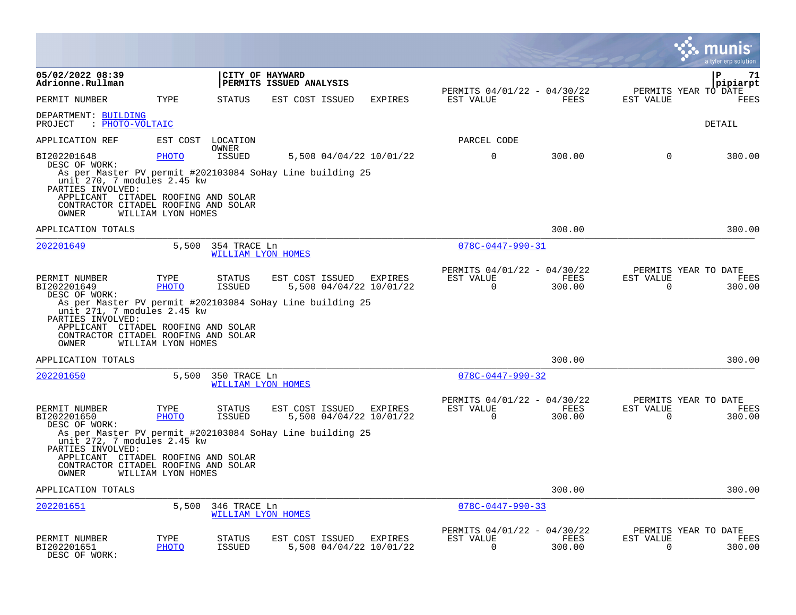|                                                                                                                                                                                      |                      |                                    |                         |                                    |                                                         |                |                          | a tyler erp solution                   |
|--------------------------------------------------------------------------------------------------------------------------------------------------------------------------------------|----------------------|------------------------------------|-------------------------|------------------------------------|---------------------------------------------------------|----------------|--------------------------|----------------------------------------|
| 05/02/2022 08:39<br>Adrionne.Rullman                                                                                                                                                 |                      | CITY OF HAYWARD                    | PERMITS ISSUED ANALYSIS |                                    |                                                         |                |                          | P<br>71<br>pipiarpt                    |
| PERMIT NUMBER                                                                                                                                                                        | TYPE                 | <b>STATUS</b>                      | EST COST ISSUED         | <b>EXPIRES</b>                     | PERMITS 04/01/22 - 04/30/22<br>EST VALUE                | FEES           | EST VALUE                | PERMITS YEAR TO DATE<br>FEES           |
| DEPARTMENT: BUILDING<br>: PHOTO-VOLTAIC<br>PROJECT                                                                                                                                   |                      |                                    |                         |                                    |                                                         |                |                          | DETAIL                                 |
| APPLICATION REF                                                                                                                                                                      | EST COST             | LOCATION<br><b>OWNER</b>           |                         |                                    | PARCEL CODE                                             |                |                          |                                        |
| BI202201648<br>DESC OF WORK:<br>As per Master PV permit #202103084 SoHay Line building 25<br>unit 270, 7 modules 2.45 kw<br>PARTIES INVOLVED:<br>APPLICANT CITADEL ROOFING AND SOLAR | <b>PHOTO</b>         | <b>ISSUED</b>                      |                         | 5,500 04/04/22 10/01/22            | $\mathbf 0$                                             | 300.00         | $\Omega$                 | 300.00                                 |
| CONTRACTOR CITADEL ROOFING AND SOLAR<br>OWNER                                                                                                                                        | WILLIAM LYON HOMES   |                                    |                         |                                    |                                                         |                |                          |                                        |
| APPLICATION TOTALS                                                                                                                                                                   |                      |                                    |                         |                                    |                                                         | 300.00         |                          | 300.00                                 |
| 202201649                                                                                                                                                                            | 5,500                | 354 TRACE Ln<br>WILLIAM LYON HOMES |                         |                                    | $078C - 0447 - 990 - 31$                                |                |                          |                                        |
| PERMIT NUMBER<br>BI202201649<br>DESC OF WORK:<br>As per Master PV permit #202103084 SoHay Line building 25                                                                           | TYPE<br>PHOTO        | STATUS<br><b>ISSUED</b>            | EST COST ISSUED         | EXPIRES<br>5,500 04/04/22 10/01/22 | PERMITS 04/01/22 - 04/30/22<br>EST VALUE<br>$\Omega$    | FEES<br>300.00 | EST VALUE<br>$\Omega$    | PERMITS YEAR TO DATE<br>FEES<br>300.00 |
| unit 271, 7 modules 2.45 kw<br>PARTIES INVOLVED:<br>APPLICANT CITADEL ROOFING AND SOLAR<br>CONTRACTOR CITADEL ROOFING AND SOLAR<br>OWNER                                             | WILLIAM LYON HOMES   |                                    |                         |                                    |                                                         |                |                          |                                        |
| APPLICATION TOTALS                                                                                                                                                                   |                      |                                    |                         |                                    |                                                         | 300.00         |                          | 300.00                                 |
| 202201650                                                                                                                                                                            | 5,500                | 350 TRACE Ln<br>WILLIAM LYON HOMES |                         |                                    | $078C - 0447 - 990 - 32$                                |                |                          |                                        |
| PERMIT NUMBER<br>BI202201650<br>DESC OF WORK:                                                                                                                                        | TYPE<br><b>PHOTO</b> | STATUS<br><b>ISSUED</b>            | EST COST ISSUED         | EXPIRES<br>5,500 04/04/22 10/01/22 | PERMITS 04/01/22 - 04/30/22<br>EST VALUE<br>$\mathbf 0$ | FEES<br>300.00 | EST VALUE<br>$\mathbf 0$ | PERMITS YEAR TO DATE<br>FEES<br>300.00 |
| As per Master PV permit #202103084 SoHay Line building 25<br>unit 272, 7 modules 2.45 kw<br>PARTIES INVOLVED:                                                                        |                      |                                    |                         |                                    |                                                         |                |                          |                                        |
| APPLICANT CITADEL ROOFING AND SOLAR<br>CONTRACTOR CITADEL ROOFING AND SOLAR<br>OWNER                                                                                                 | WILLIAM LYON HOMES   |                                    |                         |                                    |                                                         |                |                          |                                        |
| APPLICATION TOTALS                                                                                                                                                                   |                      |                                    |                         |                                    |                                                         | 300.00         |                          | 300.00                                 |
| 202201651                                                                                                                                                                            | 5,500                | 346 TRACE Ln<br>WILLIAM LYON HOMES |                         |                                    | $078C - 0447 - 990 - 33$                                |                |                          |                                        |
| PERMIT NUMBER<br>BI202201651<br>DESC OF WORK:                                                                                                                                        | TYPE<br><b>PHOTO</b> | STATUS<br><b>ISSUED</b>            | EST COST ISSUED         | EXPIRES<br>5,500 04/04/22 10/01/22 | PERMITS 04/01/22 - 04/30/22<br>EST VALUE<br>$\mathbf 0$ | FEES<br>300.00 | EST VALUE<br>$\mathbf 0$ | PERMITS YEAR TO DATE<br>FEES<br>300.00 |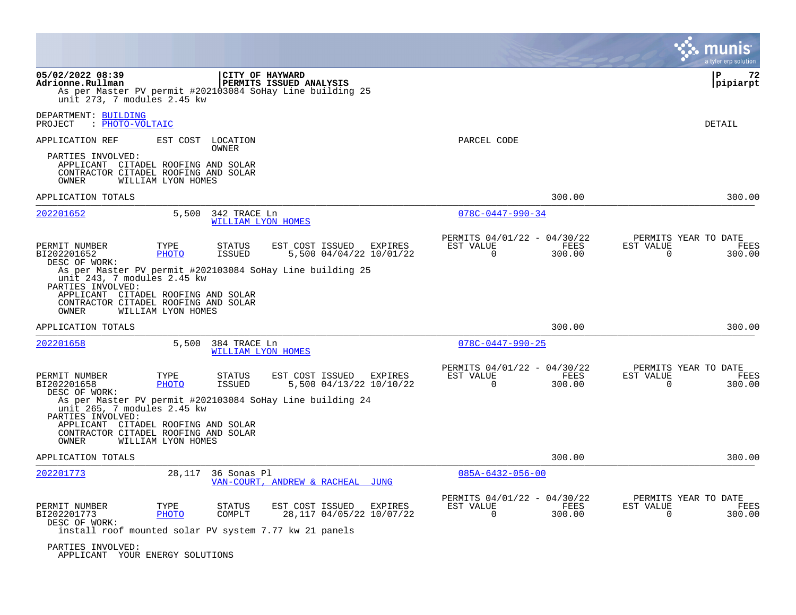|                                                                                                                                          |                      |                                    |                                                                                                         |             |                                                            |                |                       | a tyler erp solution                          |
|------------------------------------------------------------------------------------------------------------------------------------------|----------------------|------------------------------------|---------------------------------------------------------------------------------------------------------|-------------|------------------------------------------------------------|----------------|-----------------------|-----------------------------------------------|
| 05/02/2022 08:39<br>Adrionne.Rullman<br>unit 273, 7 modules 2.45 kw                                                                      |                      |                                    | CITY OF HAYWARD<br>PERMITS ISSUED ANALYSIS<br>As per Master PV permit #202103084 SoHay Line building 25 |             |                                                            |                |                       | ${\bf P}$<br>72<br>pipiarpt                   |
| DEPARTMENT: BUILDING<br>: PHOTO-VOLTAIC<br>PROJECT                                                                                       |                      |                                    |                                                                                                         |             |                                                            |                |                       | DETAIL                                        |
| APPLICATION REF                                                                                                                          |                      | EST COST LOCATION                  |                                                                                                         |             | PARCEL CODE                                                |                |                       |                                               |
| PARTIES INVOLVED:<br>APPLICANT CITADEL ROOFING AND SOLAR<br>CONTRACTOR CITADEL ROOFING AND SOLAR<br>OWNER                                | WILLIAM LYON HOMES   | OWNER                              |                                                                                                         |             |                                                            |                |                       |                                               |
| APPLICATION TOTALS                                                                                                                       |                      |                                    |                                                                                                         |             |                                                            | 300.00         |                       | 300.00                                        |
| 202201652                                                                                                                                | 5,500                | 342 TRACE Ln<br>WILLIAM LYON HOMES |                                                                                                         |             | $078C - 0447 - 990 - 34$                                   |                |                       |                                               |
| PERMIT NUMBER<br>BI202201652<br>DESC OF WORK:                                                                                            | TYPE<br><b>PHOTO</b> | <b>STATUS</b><br><b>ISSUED</b>     | EST COST ISSUED<br>5,500 04/04/22 10/01/22                                                              | EXPIRES     | PERMITS 04/01/22 - 04/30/22<br>EST VALUE<br>$\Omega$       | FEES<br>300.00 | EST VALUE<br>$\Omega$ | PERMITS YEAR TO DATE<br>FEES<br>300.00        |
| unit 243, 7 modules 2.45 kw<br>PARTIES INVOLVED:<br>APPLICANT CITADEL ROOFING AND SOLAR<br>CONTRACTOR CITADEL ROOFING AND SOLAR<br>OWNER | WILLIAM LYON HOMES   |                                    | As per Master PV permit #202103084 SoHay Line building 25                                               |             |                                                            |                |                       |                                               |
| APPLICATION TOTALS                                                                                                                       |                      |                                    |                                                                                                         |             |                                                            | 300.00         |                       | 300.00                                        |
| 202201658                                                                                                                                | 5,500                | 384 TRACE Ln<br>WILLIAM LYON HOMES |                                                                                                         |             | $078C - 0447 - 990 - 25$                                   |                |                       |                                               |
| PERMIT NUMBER<br>BI202201658<br>DESC OF WORK:                                                                                            | TYPE<br>PHOTO        | <b>STATUS</b><br><b>ISSUED</b>     | EST COST ISSUED<br>5,500 04/13/22 10/10/22                                                              | EXPIRES     | PERMITS 04/01/22 - 04/30/22<br>EST VALUE<br>$\overline{0}$ | FEES<br>300.00 | EST VALUE<br>0        | PERMITS YEAR TO DATE<br><b>FEES</b><br>300.00 |
| unit 265, 7 modules 2.45 kw<br>PARTIES INVOLVED:                                                                                         |                      |                                    | As per Master PV permit #202103084 SoHay Line building 24                                               |             |                                                            |                |                       |                                               |
| APPLICANT CITADEL ROOFING AND SOLAR<br>CONTRACTOR CITADEL ROOFING AND SOLAR<br>OWNER                                                     | WILLIAM LYON HOMES   |                                    |                                                                                                         |             |                                                            |                |                       |                                               |
| APPLICATION TOTALS                                                                                                                       |                      |                                    |                                                                                                         |             |                                                            | 300.00         |                       | 300.00                                        |
| 202201773                                                                                                                                | 28,117               | 36 Sonas Pl                        | VAN-COURT, ANDREW & RACHEAL                                                                             | <b>JUNG</b> | $085A - 6432 - 056 - 00$                                   |                |                       |                                               |
| PERMIT NUMBER<br>BI202201773<br>DESC OF WORK:                                                                                            | TYPE<br><b>PHOTO</b> | <b>STATUS</b><br>COMPLT            | EST COST ISSUED<br>28,117 04/05/22 10/07/22<br>install roof mounted solar PV system 7.77 kw 21 panels   | EXPIRES     | PERMITS 04/01/22 - 04/30/22<br>EST VALUE<br>$\Omega$       | FEES<br>300.00 | EST VALUE<br>$\Omega$ | PERMITS YEAR TO DATE<br>FEES<br>300.00        |
| PARTIES INVOLVED:                                                                                                                        |                      |                                    |                                                                                                         |             |                                                            |                |                       |                                               |

APPLICANT YOUR ENERGY SOLUTIONS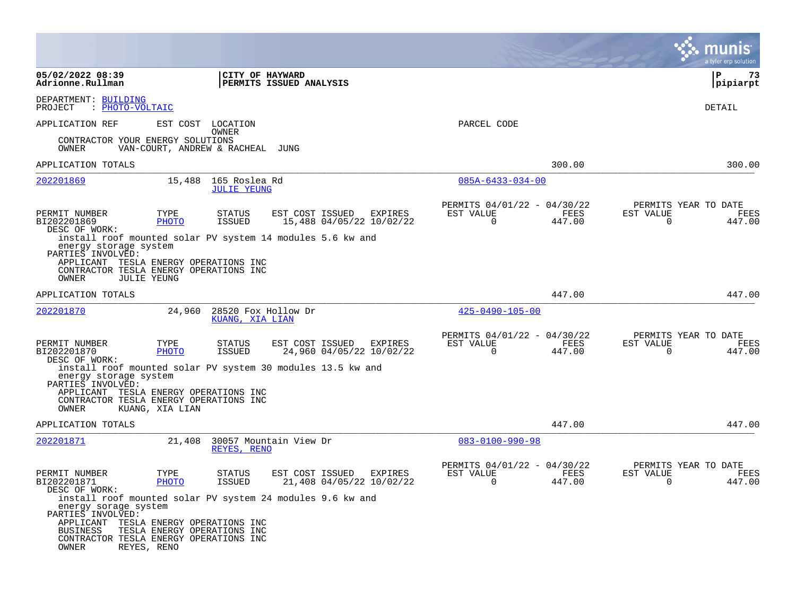|                                                                                                                                                                                                                                       |                      |                                        |                         |                                                     |         |                                                         |                |                          | a tyler erp solution                   |
|---------------------------------------------------------------------------------------------------------------------------------------------------------------------------------------------------------------------------------------|----------------------|----------------------------------------|-------------------------|-----------------------------------------------------|---------|---------------------------------------------------------|----------------|--------------------------|----------------------------------------|
| 05/02/2022 08:39<br>Adrionne.Rullman                                                                                                                                                                                                  |                      | <b>CITY OF HAYWARD</b>                 | PERMITS ISSUED ANALYSIS |                                                     |         |                                                         |                |                          | l P<br>73<br> pipiarpt                 |
| DEPARTMENT: BUILDING<br>: PHOTO-VOLTAIC<br>PROJECT                                                                                                                                                                                    |                      |                                        |                         |                                                     |         |                                                         |                |                          | DETAIL                                 |
| APPLICATION REF<br>CONTRACTOR YOUR ENERGY SOLUTIONS                                                                                                                                                                                   |                      | EST COST LOCATION<br>OWNER             |                         |                                                     |         | PARCEL CODE                                             |                |                          |                                        |
| OWNER<br>APPLICATION TOTALS                                                                                                                                                                                                           |                      | VAN-COURT, ANDREW & RACHEAL JUNG       |                         |                                                     |         |                                                         | 300.00         |                          | 300.00                                 |
| 202201869                                                                                                                                                                                                                             | 15,488               | 165 Roslea Rd<br><b>JULIE YEUNG</b>    |                         |                                                     |         | $085A - 6433 - 034 - 00$                                |                |                          |                                        |
| PERMIT NUMBER<br>BI202201869<br>DESC OF WORK:                                                                                                                                                                                         | TYPE<br>PHOTO        | <b>STATUS</b><br>ISSUED                | EST COST ISSUED         | EXPIRES<br>15,488 04/05/22 10/02/22                 |         | PERMITS 04/01/22 - 04/30/22<br>EST VALUE<br>$\mathbf 0$ | FEES<br>447.00 | EST VALUE<br>0           | PERMITS YEAR TO DATE<br>FEES<br>447.00 |
| install roof mounted solar PV system 14 modules 5.6 kw and<br>energy storage system<br>PARTIES INVOLVED:<br>APPLICANT TESLA ENERGY OPERATIONS INC<br>CONTRACTOR TESLA ENERGY OPERATIONS INC<br>OWNER<br><b>JULIE YEUNG</b>            |                      |                                        |                         |                                                     |         |                                                         |                |                          |                                        |
| APPLICATION TOTALS                                                                                                                                                                                                                    |                      |                                        |                         |                                                     |         |                                                         | 447.00         |                          | 447.00                                 |
| 202201870                                                                                                                                                                                                                             | 24,960               | 28520 Fox Hollow Dr<br>KUANG, XIA LIAN |                         |                                                     |         | $425 - 0490 - 105 - 00$                                 |                |                          |                                        |
| PERMIT NUMBER<br>BI202201870<br>DESC OF WORK:                                                                                                                                                                                         | TYPE<br>PHOTO        | STATUS<br>ISSUED                       |                         | EST COST ISSUED<br>24,960 04/05/22 10/02/22         | EXPIRES | PERMITS 04/01/22 - 04/30/22<br>EST VALUE<br>$\Omega$    | FEES<br>447.00 | EST VALUE<br>$\Omega$    | PERMITS YEAR TO DATE<br>FEES<br>447.00 |
| install roof mounted solar PV system 30 modules 13.5 kw and<br>energy storage system<br>PARTIES INVOLVED:                                                                                                                             |                      |                                        |                         |                                                     |         |                                                         |                |                          |                                        |
| APPLICANT TESLA ENERGY OPERATIONS INC<br>CONTRACTOR TESLA ENERGY OPERATIONS INC<br>OWNER                                                                                                                                              | KUANG, XIA LIAN      |                                        |                         |                                                     |         |                                                         |                |                          |                                        |
| APPLICATION TOTALS                                                                                                                                                                                                                    |                      |                                        |                         |                                                     |         |                                                         | 447.00         |                          | 447.00                                 |
| 202201871                                                                                                                                                                                                                             | 21,408               | 30057 Mountain View Dr<br>REYES, RENO  |                         |                                                     |         | $083 - 0100 - 990 - 98$                                 |                |                          |                                        |
| PERMIT NUMBER<br>BI202201871<br>DESC OF WORK:                                                                                                                                                                                         | TYPE<br><b>PHOTO</b> | <b>STATUS</b><br>ISSUED                |                         | EST COST ISSUED EXPIRES<br>21,408 04/05/22 10/02/22 |         | PERMITS 04/01/22 - 04/30/22<br>EST VALUE<br>$\mathbf 0$ | FEES<br>447.00 | EST VALUE<br>$\mathbf 0$ | PERMITS YEAR TO DATE<br>FEES<br>447.00 |
| install roof mounted solar PV system 24 modules 9.6 kw and<br>energy sorage system<br>PARTIES INVOLVED:<br>APPLICANT TESLA ENERGY OPERATIONS INC<br><b>BUSINESS</b><br>CONTRACTOR TESLA ENERGY OPERATIONS INC<br>OWNER<br>REYES, RENO |                      | TESLA ENERGY OPERATIONS INC            |                         |                                                     |         |                                                         |                |                          |                                        |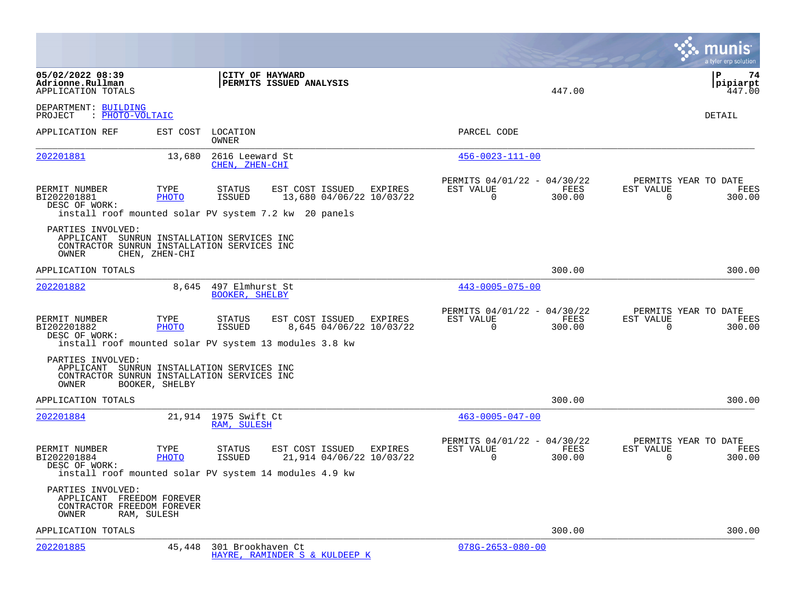|                                                                                                                         |                |                                                                                                             |                                                     |                                                      |                | a tyler erp solution                                                   |
|-------------------------------------------------------------------------------------------------------------------------|----------------|-------------------------------------------------------------------------------------------------------------|-----------------------------------------------------|------------------------------------------------------|----------------|------------------------------------------------------------------------|
| 05/02/2022 08:39<br>Adrionne.Rullman<br>APPLICATION TOTALS                                                              |                | CITY OF HAYWARD<br><b>PERMITS ISSUED ANALYSIS</b>                                                           |                                                     |                                                      | 447.00         | l P<br>74<br> pipiarpt<br>447.00                                       |
| DEPARTMENT: BUILDING<br>PROJECT : PHOTO-VOLTAIC                                                                         |                |                                                                                                             |                                                     |                                                      |                | <b>DETAIL</b>                                                          |
| APPLICATION REF                                                                                                         |                | EST COST LOCATION<br>OWNER                                                                                  |                                                     | PARCEL CODE                                          |                |                                                                        |
| 202201881                                                                                                               | 13,680         | 2616 Leeward St<br>CHEN, ZHEN-CHI                                                                           |                                                     | $456 - 0023 - 111 - 00$                              |                |                                                                        |
| PERMIT NUMBER<br>BI202201881<br>DESC OF WORK:                                                                           | TYPE<br>PHOTO  | <b>STATUS</b><br>EST COST ISSUED<br><b>ISSUED</b><br>install roof mounted solar PV system 7.2 kw 20 panels  | EXPIRES<br>13,680 04/06/22 10/03/22                 | PERMITS 04/01/22 - 04/30/22<br>EST VALUE<br>$\Omega$ | FEES<br>300.00 | PERMITS YEAR TO DATE<br>EST VALUE<br>FEES<br>$\Omega$<br>300.00        |
| PARTIES INVOLVED:<br>APPLICANT SUNRUN INSTALLATION SERVICES INC<br>CONTRACTOR SUNRUN INSTALLATION SERVICES INC<br>OWNER | CHEN, ZHEN-CHI |                                                                                                             |                                                     |                                                      |                |                                                                        |
| APPLICATION TOTALS                                                                                                      |                |                                                                                                             |                                                     |                                                      | 300.00         | 300.00                                                                 |
| 202201882                                                                                                               | 8,645          | 497 Elmhurst St<br><b>BOOKER, SHELBY</b>                                                                    |                                                     | $443 - 0005 - 075 - 00$                              |                |                                                                        |
| PERMIT NUMBER<br>BI202201882<br>DESC OF WORK:                                                                           | TYPE<br>PHOTO  | <b>STATUS</b><br>EST COST ISSUED<br><b>ISSUED</b><br>install roof mounted solar PV system 13 modules 3.8 kw | EXPIRES<br>8,645 04/06/22 10/03/22                  | PERMITS 04/01/22 - 04/30/22<br>EST VALUE<br>$\Omega$ | FEES<br>300.00 | PERMITS YEAR TO DATE<br>EST VALUE<br>FEES<br>$\Omega$<br>300.00        |
| PARTIES INVOLVED:<br>APPLICANT SUNRUN INSTALLATION SERVICES INC<br>CONTRACTOR SUNRUN INSTALLATION SERVICES INC<br>OWNER | BOOKER, SHELBY |                                                                                                             |                                                     |                                                      |                |                                                                        |
| APPLICATION TOTALS                                                                                                      |                |                                                                                                             |                                                     |                                                      | 300.00         | 300.00                                                                 |
| 202201884                                                                                                               |                | 21,914 1975 Swift Ct<br>RAM, SULESH                                                                         |                                                     | $463 - 0005 - 047 - 00$                              |                |                                                                        |
| PERMIT NUMBER<br>BI202201884<br>DESC OF WORK:                                                                           | TYPE<br>PHOTO  | STATUS<br>ISSUED<br>install roof mounted solar PV system 14 modules 4.9 kw                                  | EST COST ISSUED EXPIRES<br>21,914 04/06/22 10/03/22 | PERMITS 04/01/22 - 04/30/22<br>EST VALUE<br>$\Omega$ | FEES<br>300.00 | PERMITS YEAR TO DATE<br>EST VALUE<br><b>FEES</b><br>$\Omega$<br>300.00 |
| PARTIES INVOLVED:<br>APPLICANT FREEDOM FOREVER<br>CONTRACTOR FREEDOM FOREVER<br>RAM, SULESH<br>OWNER                    |                |                                                                                                             |                                                     |                                                      |                |                                                                        |
| APPLICATION TOTALS                                                                                                      |                |                                                                                                             |                                                     |                                                      | 300.00         | 300.00                                                                 |
| 202201885                                                                                                               | 45,448         | 301 Brookhaven Ct<br>HAYRE, RAMINDER S & KULDEEP K                                                          |                                                     | $078G - 2653 - 080 - 00$                             |                |                                                                        |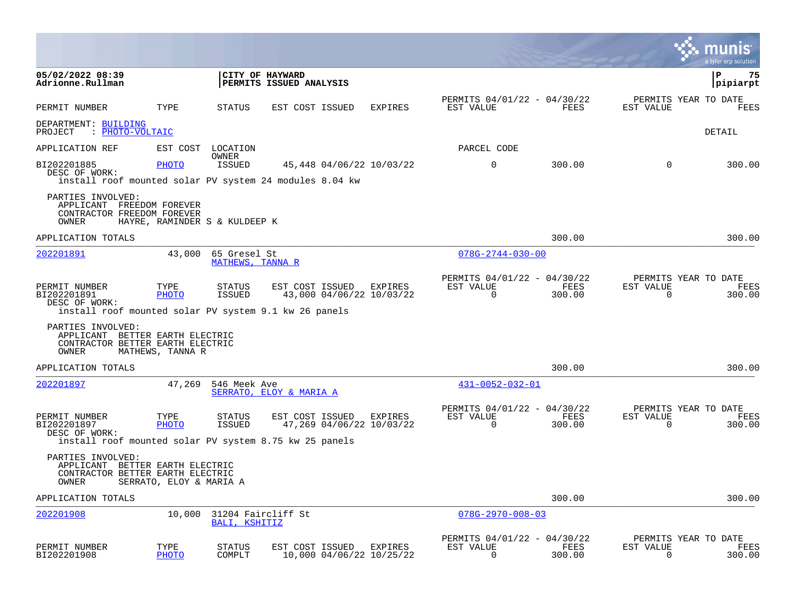|                                                                                                         |                               |                                  |                                            |                                     |                                                            |                |                          | munis<br>a tyler erp solution          |
|---------------------------------------------------------------------------------------------------------|-------------------------------|----------------------------------|--------------------------------------------|-------------------------------------|------------------------------------------------------------|----------------|--------------------------|----------------------------------------|
| 05/02/2022 08:39<br>Adrionne.Rullman                                                                    |                               |                                  | CITY OF HAYWARD<br>PERMITS ISSUED ANALYSIS |                                     |                                                            |                |                          | ∣P<br>75<br>pipiarpt                   |
| PERMIT NUMBER                                                                                           | TYPE                          | STATUS                           | EST COST ISSUED                            | EXPIRES                             | PERMITS 04/01/22 - 04/30/22<br>EST VALUE                   | FEES           | EST VALUE                | PERMITS YEAR TO DATE<br>FEES           |
| DEPARTMENT: BUILDING<br>: PHOTO-VOLTAIC<br>PROJECT                                                      |                               |                                  |                                            |                                     |                                                            |                |                          | DETAIL                                 |
| APPLICATION REF                                                                                         |                               | EST COST LOCATION                |                                            |                                     | PARCEL CODE                                                |                |                          |                                        |
| BI202201885<br>DESC OF WORK:<br>install roof mounted solar PV system 24 modules 8.04 kw                 | PHOTO                         | OWNER<br>ISSUED                  |                                            | 45,448 04/06/22 10/03/22            | $\mathbf 0$                                                | 300.00         | 0                        | 300.00                                 |
| PARTIES INVOLVED:<br>APPLICANT FREEDOM FOREVER<br>CONTRACTOR FREEDOM FOREVER<br>OWNER                   | HAYRE, RAMINDER S & KULDEEP K |                                  |                                            |                                     |                                                            |                |                          |                                        |
| APPLICATION TOTALS                                                                                      |                               |                                  |                                            |                                     |                                                            | 300.00         |                          | 300.00                                 |
| 202201891                                                                                               | 43,000                        | 65 Gresel St<br>MATHEWS, TANNA R |                                            |                                     | $078G - 2744 - 030 - 00$                                   |                |                          |                                        |
| PERMIT NUMBER<br>BI202201891<br>DESC OF WORK:<br>install roof mounted solar PV system 9.1 kw 26 panels  | TYPE<br><b>PHOTO</b>          | STATUS<br>ISSUED                 | EST COST ISSUED                            | EXPIRES<br>43,000 04/06/22 10/03/22 | PERMITS 04/01/22 - 04/30/22<br>EST VALUE<br>$\overline{0}$ | FEES<br>300.00 | EST VALUE<br>$\mathbf 0$ | PERMITS YEAR TO DATE<br>FEES<br>300.00 |
| PARTIES INVOLVED:<br>APPLICANT BETTER EARTH ELECTRIC<br>CONTRACTOR BETTER EARTH ELECTRIC<br>OWNER       | MATHEWS, TANNA R              |                                  |                                            |                                     |                                                            |                |                          |                                        |
| APPLICATION TOTALS                                                                                      |                               |                                  |                                            |                                     |                                                            | 300.00         |                          | 300.00                                 |
| 202201897                                                                                               | 47,269                        | 546 Meek Ave                     | SERRATO, ELOY & MARIA A                    |                                     | 431-0052-032-01                                            |                |                          |                                        |
| PERMIT NUMBER<br>BI202201897<br>DESC OF WORK:<br>install roof mounted solar PV system 8.75 kw 25 panels | TYPE<br><b>PHOTO</b>          | <b>STATUS</b><br><b>ISSUED</b>   | EST COST ISSUED                            | EXPIRES<br>47,269 04/06/22 10/03/22 | PERMITS 04/01/22 - 04/30/22<br>EST VALUE<br>0              | FEES<br>300.00 | EST VALUE<br>0           | PERMITS YEAR TO DATE<br>FEES<br>300.00 |
| PARTIES INVOLVED:<br>APPLICANT BETTER EARTH ELECTRIC<br>CONTRACTOR BETTER EARTH ELECTRIC<br>OWNER       | SERRATO, ELOY & MARIA A       |                                  |                                            |                                     |                                                            |                |                          |                                        |
| APPLICATION TOTALS                                                                                      |                               |                                  |                                            |                                     |                                                            | 300.00         |                          | 300.00                                 |
| 202201908                                                                                               | 10,000                        | BALI, KSHITIZ                    | 31204 Faircliff St                         |                                     | $078G - 2970 - 008 - 03$                                   |                |                          |                                        |
| PERMIT NUMBER<br>BI202201908                                                                            | TYPE<br>PHOTO                 | <b>STATUS</b><br>COMPLT          | EST COST ISSUED                            | EXPIRES<br>10,000 04/06/22 10/25/22 | PERMITS 04/01/22 - 04/30/22<br>EST VALUE<br>$\Omega$       | FEES<br>300.00 | EST VALUE<br>0           | PERMITS YEAR TO DATE<br>FEES<br>300.00 |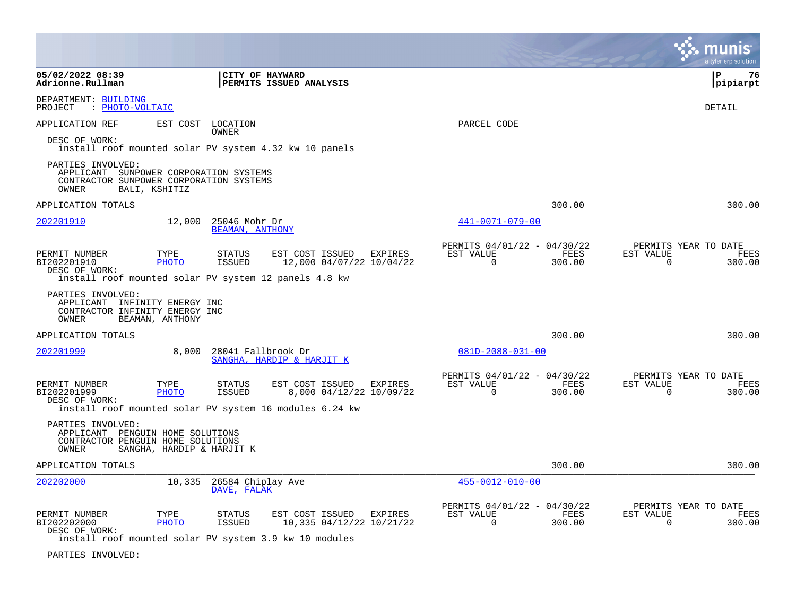|                                                                                                                 |                           |                                         |                                                         |                |                                                      |                       |                          | a tyler erp solutior                          |
|-----------------------------------------------------------------------------------------------------------------|---------------------------|-----------------------------------------|---------------------------------------------------------|----------------|------------------------------------------------------|-----------------------|--------------------------|-----------------------------------------------|
| 05/02/2022 08:39<br>Adrionne.Rullman                                                                            |                           | CITY OF HAYWARD                         | PERMITS ISSUED ANALYSIS                                 |                |                                                      |                       |                          | l P<br>76<br> pipiarpt                        |
| DEPARTMENT: BUILDING<br>PROJECT<br>: PHOTO-VOLTAIC                                                              |                           |                                         |                                                         |                |                                                      |                       |                          | DETAIL                                        |
| APPLICATION REF<br>DESC OF WORK:<br>install roof mounted solar PV system 4.32 kw 10 panels                      |                           | EST COST LOCATION<br>OWNER              |                                                         |                | PARCEL CODE                                          |                       |                          |                                               |
| PARTIES INVOLVED:<br>APPLICANT SUNPOWER CORPORATION SYSTEMS<br>CONTRACTOR SUNPOWER CORPORATION SYSTEMS<br>OWNER | BALI, KSHITIZ             |                                         |                                                         |                |                                                      |                       |                          |                                               |
| APPLICATION TOTALS                                                                                              |                           |                                         |                                                         |                |                                                      | 300.00                |                          | 300.00                                        |
| 202201910                                                                                                       | 12,000                    | 25046 Mohr Dr<br><b>BEAMAN, ANTHONY</b> |                                                         |                | $441 - 0071 - 079 - 00$                              |                       |                          |                                               |
| PERMIT NUMBER<br>BI202201910<br>DESC OF WORK:<br>install roof mounted solar PV system 12 panels 4.8 kw          | TYPE<br>PHOTO             | <b>STATUS</b><br><b>ISSUED</b>          | EST COST ISSUED<br>12,000 04/07/22 10/04/22             | EXPIRES        | PERMITS 04/01/22 - 04/30/22<br>EST VALUE<br>$\Omega$ | FEES<br>300.00        | EST VALUE<br>$\Omega$    | PERMITS YEAR TO DATE<br><b>FEES</b><br>300.00 |
| PARTIES INVOLVED:<br>APPLICANT INFINITY ENERGY INC<br>CONTRACTOR INFINITY ENERGY INC<br>OWNER                   | BEAMAN, ANTHONY           |                                         |                                                         |                |                                                      |                       |                          |                                               |
| APPLICATION TOTALS                                                                                              |                           |                                         |                                                         |                |                                                      | 300.00                |                          | 300.00                                        |
| 202201999                                                                                                       | 8,000                     | 28041 Fallbrook Dr                      | SANGHA, HARDIP & HARJIT K                               |                | $081D - 2088 - 031 - 00$                             |                       |                          |                                               |
| PERMIT NUMBER<br>BI202201999<br>DESC OF WORK:                                                                   | TYPE<br><b>PHOTO</b>      | STATUS<br><b>ISSUED</b>                 | EST COST ISSUED<br>8,000 04/12/22 10/09/22              | <b>EXPIRES</b> | PERMITS 04/01/22 - 04/30/22<br>EST VALUE<br>$\Omega$ | FEES<br>300.00        | EST VALUE<br>$\mathbf 0$ | PERMITS YEAR TO DATE<br><b>FEES</b><br>300.00 |
|                                                                                                                 |                           |                                         | install roof mounted solar PV system 16 modules 6.24 kw |                |                                                      |                       |                          |                                               |
| PARTIES INVOLVED:<br>APPLICANT PENGUIN HOME SOLUTIONS<br>CONTRACTOR PENGUIN HOME SOLUTIONS<br>OWNER             | SANGHA, HARDIP & HARJIT K |                                         |                                                         |                |                                                      |                       |                          |                                               |
| APPLICATION TOTALS                                                                                              |                           |                                         |                                                         |                |                                                      | 300.00                |                          | 300.00                                        |
| 202202000                                                                                                       | 10,335                    | 26584 Chiplay Ave<br>DAVE, FALAK        |                                                         |                | $455 - 0012 - 010 - 00$                              |                       |                          |                                               |
| PERMIT NUMBER<br>BI202202000<br>DESC OF WORK:<br>install roof mounted solar PV system 3.9 kw 10 modules         | TYPE<br>PHOTO             | <b>STATUS</b><br><b>ISSUED</b>          | EST COST ISSUED<br>10,335 04/12/22 10/21/22             | EXPIRES        | PERMITS 04/01/22 - 04/30/22<br>EST VALUE<br>$\Omega$ | <b>FEES</b><br>300.00 | EST VALUE<br>$\Omega$    | PERMITS YEAR TO DATE<br>FEES<br>300.00        |

PARTIES INVOLVED: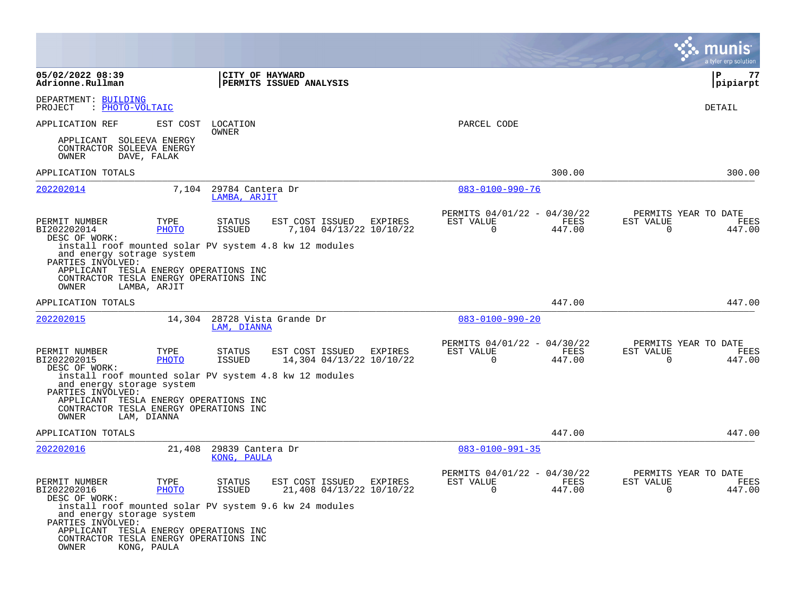|                                                                                                                                                                                                                     |                      |                                  |                                                    |         |                                                         |                | a tyler erp solution                                               |
|---------------------------------------------------------------------------------------------------------------------------------------------------------------------------------------------------------------------|----------------------|----------------------------------|----------------------------------------------------|---------|---------------------------------------------------------|----------------|--------------------------------------------------------------------|
| 05/02/2022 08:39<br>Adrionne.Rullman                                                                                                                                                                                |                      | <b>CITY OF HAYWARD</b>           | PERMITS ISSUED ANALYSIS                            |         |                                                         |                | l P<br>77<br> pipiarpt                                             |
| DEPARTMENT: BUILDING<br>: PHOTO-VOLTAIC<br>PROJECT                                                                                                                                                                  |                      |                                  |                                                    |         |                                                         |                | <b>DETAIL</b>                                                      |
| APPLICATION REF                                                                                                                                                                                                     | EST COST             | LOCATION<br>OWNER                |                                                    |         | PARCEL CODE                                             |                |                                                                    |
| APPLICANT<br>CONTRACTOR SOLEEVA ENERGY<br>OWNER<br>DAVE, FALAK                                                                                                                                                      | SOLEEVA ENERGY       |                                  |                                                    |         |                                                         |                |                                                                    |
| APPLICATION TOTALS                                                                                                                                                                                                  |                      |                                  |                                                    |         |                                                         | 300.00         | 300.00                                                             |
| 202202014                                                                                                                                                                                                           | 7,104                | 29784 Cantera Dr<br>LAMBA, ARJIT |                                                    |         | $083 - 0100 - 990 - 76$                                 |                |                                                                    |
| PERMIT NUMBER<br>BI202202014<br>DESC OF WORK:                                                                                                                                                                       | TYPE<br><b>PHOTO</b> | <b>STATUS</b><br>ISSUED          | EST COST ISSUED EXPIRES<br>7,104 04/13/22 10/10/22 |         | PERMITS 04/01/22 - 04/30/22<br>EST VALUE<br>$\Omega$    | FEES<br>447.00 | PERMITS YEAR TO DATE<br>EST VALUE<br>FEES<br>$\Omega$<br>447.00    |
| install roof mounted solar PV system 4.8 kw 12 modules<br>and energy sotrage system<br>PARTIES INVOLVED:<br>APPLICANT TESLA ENERGY OPERATIONS INC<br>CONTRACTOR TESLA ENERGY OPERATIONS INC<br>OWNER                | LAMBA, ARJIT         |                                  |                                                    |         |                                                         |                |                                                                    |
| APPLICATION TOTALS                                                                                                                                                                                                  |                      |                                  |                                                    |         |                                                         | 447.00         | 447.00                                                             |
| 202202015                                                                                                                                                                                                           | 14,304               | LAM, DIANNA                      | 28728 Vista Grande Dr                              |         | $083 - 0100 - 990 - 20$                                 |                |                                                                    |
| PERMIT NUMBER<br>BI202202015<br>DESC OF WORK:                                                                                                                                                                       | TYPE<br><b>PHOTO</b> | <b>STATUS</b><br>ISSUED          | EST COST ISSUED<br>14,304 04/13/22 10/10/22        | EXPIRES | PERMITS 04/01/22 - 04/30/22<br>EST VALUE<br>$\mathbf 0$ | FEES<br>447.00 | PERMITS YEAR TO DATE<br>EST VALUE<br>FEES<br>$\mathbf 0$<br>447.00 |
| install roof mounted solar PV system 4.8 kw 12 modules<br>and energy storage system<br>PARTIES INVOLVED:<br>APPLICANT TESLA ENERGY OPERATIONS INC<br>CONTRACTOR TESLA ENERGY OPERATIONS INC<br>OWNER<br>LAM, DIANNA |                      |                                  |                                                    |         |                                                         |                |                                                                    |
| APPLICATION TOTALS                                                                                                                                                                                                  |                      |                                  |                                                    |         |                                                         | 447.00         | 447.00                                                             |
| 202202016                                                                                                                                                                                                           | 21,408               | 29839 Cantera Dr<br>KONG, PAULA  |                                                    |         | $083 - 0100 - 991 - 35$                                 |                |                                                                    |
| PERMIT NUMBER<br>BI202202016<br>DESC OF WORK:<br>install roof mounted solar PV system 9.6 kw 24 modules<br>and energy storage system                                                                                | TYPE<br>PHOTO        | <b>STATUS</b><br><b>ISSUED</b>   | EST COST ISSUED<br>21,408 04/13/22 10/10/22        | EXPIRES | PERMITS 04/01/22 - 04/30/22<br>EST VALUE<br>$\Omega$    | FEES<br>447.00 | PERMITS YEAR TO DATE<br>EST VALUE<br>FEES<br>$\Omega$<br>447.00    |
| PARTIES INVOLVED:<br>APPLICANT TESLA ENERGY OPERATIONS INC<br>CONTRACTOR TESLA ENERGY OPERATIONS INC<br>OWNER<br>KONG, PAULA                                                                                        |                      |                                  |                                                    |         |                                                         |                |                                                                    |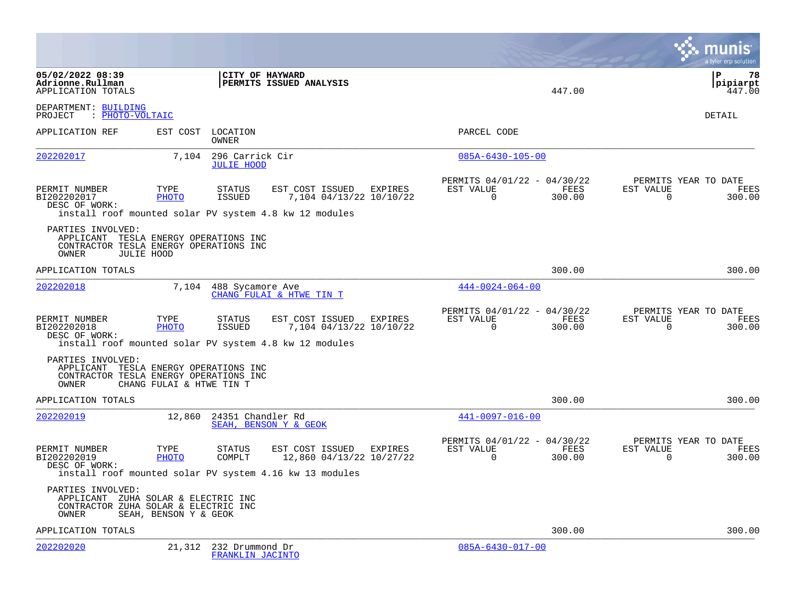|                                                                                                                             |                          |                                      |                                                                                                        |         |                                                         |                |                                               | a tyler erp solution      |
|-----------------------------------------------------------------------------------------------------------------------------|--------------------------|--------------------------------------|--------------------------------------------------------------------------------------------------------|---------|---------------------------------------------------------|----------------|-----------------------------------------------|---------------------------|
| 05/02/2022 08:39<br>Adrionne.Rullman<br>APPLICATION TOTALS                                                                  |                          | CITY OF HAYWARD                      | PERMITS ISSUED ANALYSIS                                                                                |         |                                                         | 447.00         | <b>P</b>                                      | 78<br> pipiarpt<br>447.00 |
| DEPARTMENT: BUILDING<br>PROJECT : PHOTO-VOLTAIC                                                                             |                          |                                      |                                                                                                        |         |                                                         |                | <b>DETAIL</b>                                 |                           |
| APPLICATION REF                                                                                                             |                          | EST COST LOCATION<br>OWNER           |                                                                                                        |         | PARCEL CODE                                             |                |                                               |                           |
| 202202017                                                                                                                   | 7,104                    | 296 Carrick Cir<br><b>JULIE HOOD</b> |                                                                                                        |         | $085A - 6430 - 105 - 00$                                |                |                                               |                           |
| PERMIT NUMBER<br>BI202202017<br>DESC OF WORK:<br>install roof mounted solar PV system 4.8 kw 12 modules                     | TYPE<br>PHOTO            | <b>STATUS</b><br>ISSUED              | EST COST ISSUED<br>7,104 04/13/22 10/10/22                                                             | EXPIRES | PERMITS 04/01/22 - 04/30/22<br>EST VALUE<br>$\Omega$    | FEES<br>300.00 | PERMITS YEAR TO DATE<br>EST VALUE<br>$\Omega$ | FEES<br>300.00            |
| PARTIES INVOLVED:<br>APPLICANT TESLA ENERGY OPERATIONS INC<br>CONTRACTOR TESLA ENERGY OPERATIONS INC<br>OWNER<br>JULIE HOOD |                          |                                      |                                                                                                        |         |                                                         |                |                                               |                           |
| APPLICATION TOTALS                                                                                                          |                          |                                      |                                                                                                        |         |                                                         | 300.00         |                                               | 300.00                    |
| 202202018                                                                                                                   |                          | 7,104 488 Sycamore Ave               | CHANG FULAI & HTWE TIN T                                                                               |         | $444 - 0024 - 064 - 00$                                 |                |                                               |                           |
| PERMIT NUMBER<br>BI202202018<br>DESC OF WORK:<br>install roof mounted solar PV system 4.8 kw 12 modules                     | TYPE<br>PHOTO            | <b>STATUS</b><br><b>ISSUED</b>       | EST COST ISSUED<br>7,104 04/13/22 10/10/22                                                             | EXPIRES | PERMITS 04/01/22 - 04/30/22<br>EST VALUE<br>$\Omega$    | FEES<br>300.00 | PERMITS YEAR TO DATE<br>EST VALUE<br>$\Omega$ | FEES<br>300.00            |
| PARTIES INVOLVED:<br>APPLICANT TESLA ENERGY OPERATIONS INC<br>CONTRACTOR TESLA ENERGY OPERATIONS INC<br>OWNER               | CHANG FULAI & HTWE TIN T |                                      |                                                                                                        |         |                                                         |                |                                               |                           |
| APPLICATION TOTALS                                                                                                          |                          |                                      |                                                                                                        |         |                                                         | 300.00         |                                               | 300.00                    |
| 202202019                                                                                                                   | 12,860                   | 24351 Chandler Rd                    | SEAH, BENSON Y & GEOK                                                                                  |         | $441 - 0097 - 016 - 00$                                 |                |                                               |                           |
| PERMIT NUMBER<br>BI202202019<br>DESC OF WORK:                                                                               | TYPE<br>PHOTO            | <b>STATUS</b><br>COMPLT              | EST COST ISSUED<br>12,860 04/13/22 10/27/22<br>install roof mounted solar PV system 4.16 kw 13 modules | EXPIRES | PERMITS 04/01/22 - 04/30/22<br>EST VALUE<br>$\mathbf 0$ | FEES<br>300.00 | PERMITS YEAR TO DATE<br>EST VALUE<br>0        | FEES<br>300.00            |
| PARTIES INVOLVED:<br>APPLICANT ZUHA SOLAR & ELECTRIC INC<br>CONTRACTOR ZUHA SOLAR & ELECTRIC INC<br>OWNER                   | SEAH, BENSON Y & GEOK    |                                      |                                                                                                        |         |                                                         |                |                                               |                           |
| APPLICATION TOTALS                                                                                                          |                          |                                      |                                                                                                        |         |                                                         | 300.00         |                                               | 300.00                    |
| 202202020                                                                                                                   | 21,312                   | 232 Drummond Dr<br>FRANKLIN JACINTO  |                                                                                                        |         | $085A - 6430 - 017 - 00$                                |                |                                               |                           |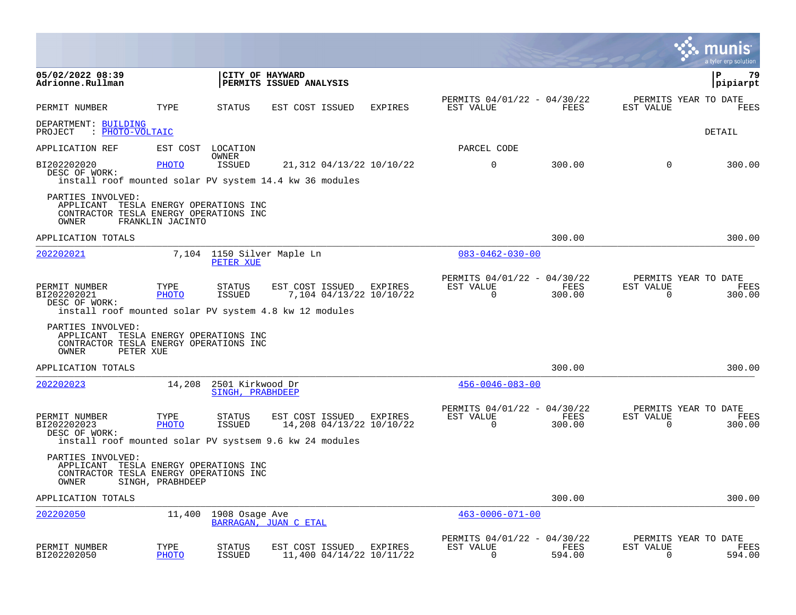|                                                                                                                            |                      |                                         |                                            |                                            |                                                            |                |                       | munis<br>a tyler erp solution          |
|----------------------------------------------------------------------------------------------------------------------------|----------------------|-----------------------------------------|--------------------------------------------|--------------------------------------------|------------------------------------------------------------|----------------|-----------------------|----------------------------------------|
| 05/02/2022 08:39<br>Adrionne.Rullman                                                                                       |                      |                                         | CITY OF HAYWARD<br>PERMITS ISSUED ANALYSIS |                                            |                                                            |                |                       | ΙP<br>79<br>pipiarpt                   |
| PERMIT NUMBER                                                                                                              | TYPE                 | STATUS                                  | EST COST ISSUED                            | <b>EXPIRES</b>                             | PERMITS 04/01/22 - 04/30/22<br>EST VALUE                   | FEES           | EST VALUE             | PERMITS YEAR TO DATE<br>FEES           |
| DEPARTMENT: BUILDING<br>PROJECT<br>: <u>PHOTO-VOLTAIC</u>                                                                  |                      |                                         |                                            |                                            |                                                            |                |                       | DETAIL                                 |
| APPLICATION REF                                                                                                            | EST COST             | LOCATION                                |                                            |                                            | PARCEL CODE                                                |                |                       |                                        |
| BI202202020<br>DESC OF WORK:<br>install roof mounted solar PV system 14.4 kw 36 modules                                    | PHOTO                | OWNER<br>ISSUED                         |                                            | 21,312 04/13/22 10/10/22                   | $\mathbf 0$                                                | 300.00         | $\mathbf 0$           | 300.00                                 |
| PARTIES INVOLVED:<br>APPLICANT TESLA ENERGY OPERATIONS INC<br>CONTRACTOR TESLA ENERGY OPERATIONS INC<br>OWNER              | FRANKLIN JACINTO     |                                         |                                            |                                            |                                                            |                |                       |                                        |
| APPLICATION TOTALS                                                                                                         |                      |                                         |                                            |                                            |                                                            | 300.00         |                       | 300.00                                 |
| 202202021                                                                                                                  |                      | 7,104 1150 Silver Maple Ln<br>PETER XUE |                                            |                                            | $083 - 0462 - 030 - 00$                                    |                |                       |                                        |
| PERMIT NUMBER<br>BI202202021<br>DESC OF WORK:<br>install roof mounted solar PV system 4.8 kw 12 modules                    | TYPE<br>PHOTO        | <b>STATUS</b><br>ISSUED                 | EST COST ISSUED                            | EXPIRES<br>7,104 04/13/22 10/10/22         | PERMITS 04/01/22 - 04/30/22<br>EST VALUE<br>$\overline{0}$ | FEES<br>300.00 | EST VALUE<br>$\Omega$ | PERMITS YEAR TO DATE<br>FEES<br>300.00 |
| PARTIES INVOLVED:<br>APPLICANT TESLA ENERGY OPERATIONS INC<br>CONTRACTOR TESLA ENERGY OPERATIONS INC<br>OWNER<br>PETER XUE |                      |                                         |                                            |                                            |                                                            |                |                       |                                        |
| APPLICATION TOTALS                                                                                                         |                      |                                         |                                            |                                            |                                                            | 300.00         |                       | 300.00                                 |
| 202202023                                                                                                                  | 14,208               | 2501 Kirkwood Dr<br>SINGH, PRABHDEEP    |                                            |                                            | $456 - 0046 - 083 - 00$                                    |                |                       |                                        |
| PERMIT NUMBER<br>BI202202023<br>DESC OF WORK:<br>install roof mounted solar PV systsem 9.6 kw 24 modules                   | TYPE<br>PHOTO        | <b>STATUS</b><br>ISSUED                 | EST COST ISSUED                            | EXPIRES<br>14,208 04/13/22 10/10/22        | PERMITS 04/01/22 - 04/30/22<br>EST VALUE<br>$\Omega$       | FEES<br>300.00 | EST VALUE<br>0        | PERMITS YEAR TO DATE<br>FEES<br>300.00 |
| PARTIES INVOLVED:<br>APPLICANT TESLA ENERGY OPERATIONS INC<br>CONTRACTOR TESLA ENERGY OPERATIONS INC<br>OWNER              | SINGH, PRABHDEEP     |                                         |                                            |                                            |                                                            |                |                       |                                        |
| APPLICATION TOTALS                                                                                                         |                      |                                         |                                            |                                            |                                                            | 300.00         |                       | 300.00                                 |
| 202202050                                                                                                                  | 11,400               | 1908 Osage Ave                          | BARRAGAN, JUAN C ETAL                      |                                            | $463 - 0006 - 071 - 00$                                    |                |                       |                                        |
| PERMIT NUMBER<br>BI202202050                                                                                               | TYPE<br><b>PHOTO</b> | <b>STATUS</b><br><b>ISSUED</b>          | EST COST ISSUED                            | <b>EXPIRES</b><br>11,400 04/14/22 10/11/22 | PERMITS 04/01/22 - 04/30/22<br>EST VALUE<br>$\Omega$       | FEES<br>594.00 | EST VALUE<br>$\Omega$ | PERMITS YEAR TO DATE<br>FEES<br>594.00 |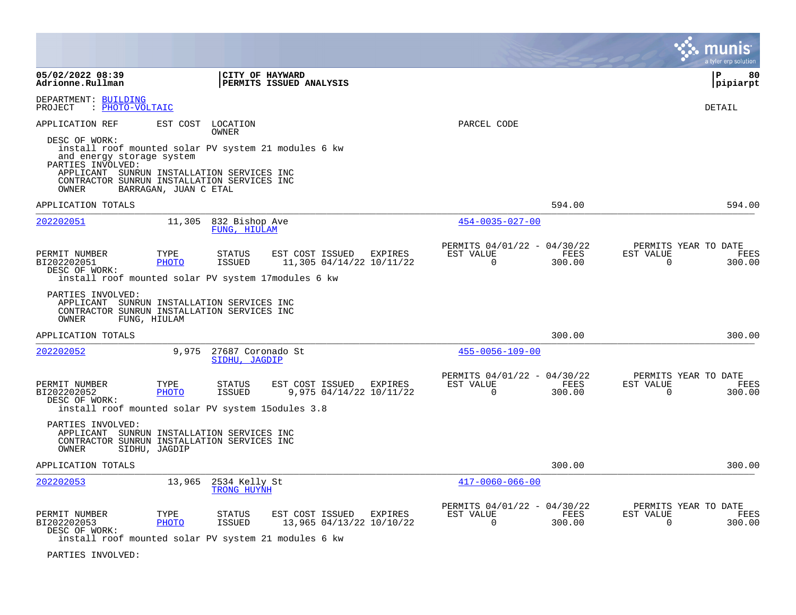|                                                                                                                                                                               |                                                                                          |                                                      |                | a tyler erp solutior                                               |
|-------------------------------------------------------------------------------------------------------------------------------------------------------------------------------|------------------------------------------------------------------------------------------|------------------------------------------------------|----------------|--------------------------------------------------------------------|
| 05/02/2022 08:39<br>Adrionne.Rullman                                                                                                                                          | CITY OF HAYWARD<br>PERMITS ISSUED ANALYSIS                                               |                                                      |                | l P<br>80<br> pipiarpt                                             |
| DEPARTMENT: BUILDING<br>PROJECT<br>: PHOTO-VOLTAIC                                                                                                                            |                                                                                          |                                                      |                | DETAIL                                                             |
| APPLICATION REF<br>EST COST LOCATION<br>DESC OF WORK:<br>install roof mounted solar PV system 21 modules 6 kw                                                                 | OWNER                                                                                    | PARCEL CODE                                          |                |                                                                    |
| and energy storage system<br>PARTIES INVOLVED:<br>APPLICANT SUNRUN INSTALLATION SERVICES INC<br>CONTRACTOR SUNRUN INSTALLATION SERVICES INC<br>BARRAGAN, JUAN C ETAL<br>OWNER |                                                                                          |                                                      |                |                                                                    |
| APPLICATION TOTALS                                                                                                                                                            |                                                                                          |                                                      | 594.00         | 594.00                                                             |
| 202202051<br>11,305                                                                                                                                                           | 832 Bishop Ave<br>FUNG, HIULAM                                                           | $454 - 0035 - 027 - 00$                              |                |                                                                    |
| TYPE<br>PERMIT NUMBER<br>BI202202051<br>PHOTO<br>DESC OF WORK:<br>install roof mounted solar PV system 17modules 6 kw                                                         | EST COST ISSUED<br><b>STATUS</b><br>EXPIRES<br><b>ISSUED</b><br>11,305 04/14/22 10/11/22 | PERMITS 04/01/22 - 04/30/22<br>EST VALUE<br>$\Omega$ | FEES<br>300.00 | PERMITS YEAR TO DATE<br>EST VALUE<br>FEES<br>$\Omega$<br>300.00    |
| PARTIES INVOLVED:<br>APPLICANT SUNRUN INSTALLATION SERVICES INC<br>CONTRACTOR SUNRUN INSTALLATION SERVICES INC<br>OWNER<br>FUNG, HIULAM                                       |                                                                                          |                                                      |                |                                                                    |
| APPLICATION TOTALS                                                                                                                                                            |                                                                                          |                                                      | 300.00         | 300.00                                                             |
| 202202052<br>9,975                                                                                                                                                            | 27687 Coronado St<br>SIDHU, JAGDIP                                                       | $455 - 0056 - 109 - 00$                              |                |                                                                    |
| PERMIT NUMBER<br>TYPE<br>BI202202052<br><b>PHOTO</b><br>DESC OF WORK:                                                                                                         | <b>STATUS</b><br>EST COST ISSUED EXPIRES<br>9,975 04/14/22 10/11/22<br><b>ISSUED</b>     | PERMITS 04/01/22 - 04/30/22<br>EST VALUE<br>$\Omega$ | FEES<br>300.00 | PERMITS YEAR TO DATE<br>EST VALUE<br>FEES<br>$\mathbf 0$<br>300.00 |
| install roof mounted solar PV system 15odules 3.8                                                                                                                             |                                                                                          |                                                      |                |                                                                    |
| PARTIES INVOLVED:<br>APPLICANT SUNRUN INSTALLATION SERVICES INC<br>CONTRACTOR SUNRUN INSTALLATION SERVICES INC<br>OWNER<br>SIDHU, JAGDIP                                      |                                                                                          |                                                      |                |                                                                    |
| APPLICATION TOTALS                                                                                                                                                            |                                                                                          |                                                      | 300.00         | 300.00                                                             |
| 202202053<br>13,965                                                                                                                                                           | 2534 Kelly St<br>TRONG HUYNH                                                             | $417 - 0060 - 066 - 00$                              |                |                                                                    |
| TYPE<br>PERMIT NUMBER<br>BI202202053<br>PHOTO<br>DESC OF WORK:<br>install roof mounted solar PV system 21 modules 6 kw                                                        | EST COST ISSUED<br><b>STATUS</b><br>EXPIRES<br><b>ISSUED</b><br>13,965 04/13/22 10/10/22 | PERMITS 04/01/22 - 04/30/22<br>EST VALUE<br>$\Omega$ | FEES<br>300.00 | PERMITS YEAR TO DATE<br>EST VALUE<br>FEES<br>$\Omega$<br>300.00    |

PARTIES INVOLVED: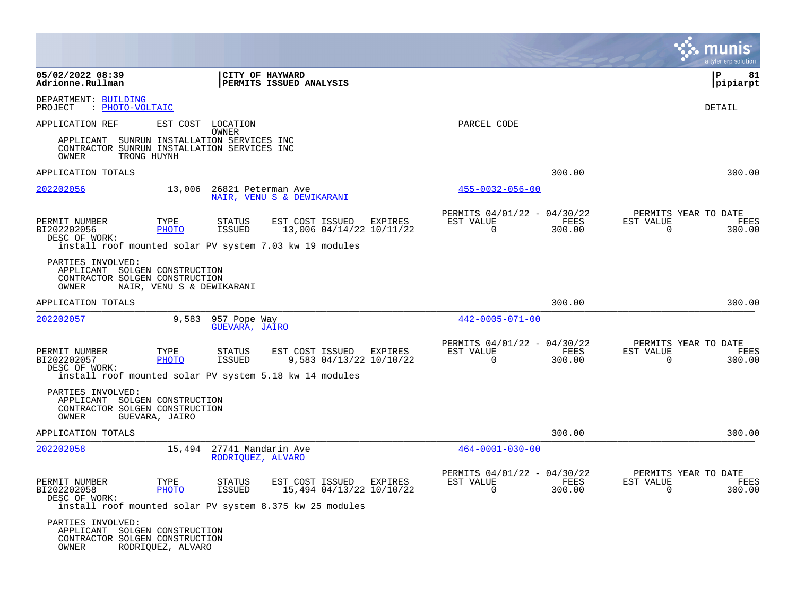|                                                                                               |                           |                                         |                                                                                                       |         |                                                            |                | a tyler erp solution                                               |
|-----------------------------------------------------------------------------------------------|---------------------------|-----------------------------------------|-------------------------------------------------------------------------------------------------------|---------|------------------------------------------------------------|----------------|--------------------------------------------------------------------|
| 05/02/2022 08:39<br>Adrionne.Rullman                                                          |                           |                                         | CITY OF HAYWARD<br>PERMITS ISSUED ANALYSIS                                                            |         |                                                            |                | ΙP<br>81<br> pipiarpt                                              |
| DEPARTMENT: BUILDING<br>: PHOTO-VOLTAIC<br>PROJECT                                            |                           |                                         |                                                                                                       |         |                                                            |                | DETAIL                                                             |
| APPLICATION REF                                                                               |                           | EST COST LOCATION<br>OWNER              |                                                                                                       |         | PARCEL CODE                                                |                |                                                                    |
| APPLICANT<br>CONTRACTOR SUNRUN INSTALLATION SERVICES INC<br>TRONG HUYNH<br>OWNER              |                           | SUNRUN INSTALLATION SERVICES INC        |                                                                                                       |         |                                                            |                |                                                                    |
| APPLICATION TOTALS                                                                            |                           |                                         |                                                                                                       |         |                                                            | 300.00         | 300.00                                                             |
| 202202056                                                                                     | 13,006                    | 26821 Peterman Ave                      | NAIR, VENU S & DEWIKARANI                                                                             |         | $455 - 0032 - 056 - 00$                                    |                |                                                                    |
| PERMIT NUMBER<br>BI202202056<br>DESC OF WORK:                                                 | TYPE<br><b>PHOTO</b>      | STATUS<br><b>ISSUED</b>                 | EST COST ISSUED<br>13,006 04/14/22 10/11/22                                                           | EXPIRES | PERMITS 04/01/22 - 04/30/22<br>EST VALUE<br>$\Omega$       | FEES<br>300.00 | PERMITS YEAR TO DATE<br>EST VALUE<br>FEES<br>$\mathbf 0$<br>300.00 |
| PARTIES INVOLVED:<br>APPLICANT SOLGEN CONSTRUCTION<br>CONTRACTOR SOLGEN CONSTRUCTION<br>OWNER | NAIR, VENU S & DEWIKARANI |                                         | install roof mounted solar PV system 7.03 kw 19 modules                                               |         |                                                            |                |                                                                    |
| APPLICATION TOTALS                                                                            |                           |                                         |                                                                                                       |         |                                                            | 300.00         | 300.00                                                             |
| 202202057                                                                                     | 9,583                     | 957 Pope Way<br>GUEVARA, JAIRO          |                                                                                                       |         | $442 - 0005 - 071 - 00$                                    |                |                                                                    |
| PERMIT NUMBER<br>BI202202057<br>DESC OF WORK:                                                 | TYPE<br><b>PHOTO</b>      | <b>STATUS</b><br><b>ISSUED</b>          | EST COST ISSUED<br>9,583 04/13/22 10/10/22<br>install roof mounted solar PV system 5.18 kw 14 modules | EXPIRES | PERMITS 04/01/22 - 04/30/22<br>EST VALUE<br>$\overline{0}$ | FEES<br>300.00 | PERMITS YEAR TO DATE<br>EST VALUE<br>FEES<br>$\mathbf 0$<br>300.00 |
| PARTIES INVOLVED:<br>APPLICANT SOLGEN CONSTRUCTION<br>CONTRACTOR SOLGEN CONSTRUCTION<br>OWNER | GUEVARA, JAIRO            |                                         |                                                                                                       |         |                                                            |                |                                                                    |
| APPLICATION TOTALS                                                                            |                           |                                         |                                                                                                       |         |                                                            | 300.00         | 300.00                                                             |
| 202202058                                                                                     | 15,494                    | 27741 Mandarin Ave<br>RODRIOUEZ, ALVARO |                                                                                                       |         | $464 - 0001 - 030 - 00$                                    |                |                                                                    |
| PERMIT NUMBER<br>BI202202058<br>DESC OF WORK:                                                 | TYPE<br><b>PHOTO</b>      | <b>STATUS</b><br><b>ISSUED</b>          | EST COST ISSUED<br>15,494 04/13/22 10/10/22                                                           | EXPIRES | PERMITS 04/01/22 - 04/30/22<br>EST VALUE<br>$\Omega$       | FEES<br>300.00 | PERMITS YEAR TO DATE<br>EST VALUE<br>FEES<br>$\Omega$<br>300.00    |
| PARTIES INVOLVED:<br>APPLICANT SOLGEN CONSTRUCTION<br>CONTRACTOR SOLGEN CONSTRUCTION<br>OWNER | RODRIQUEZ, ALVARO         |                                         | install roof mounted solar PV system 8.375 kw 25 modules                                              |         |                                                            |                |                                                                    |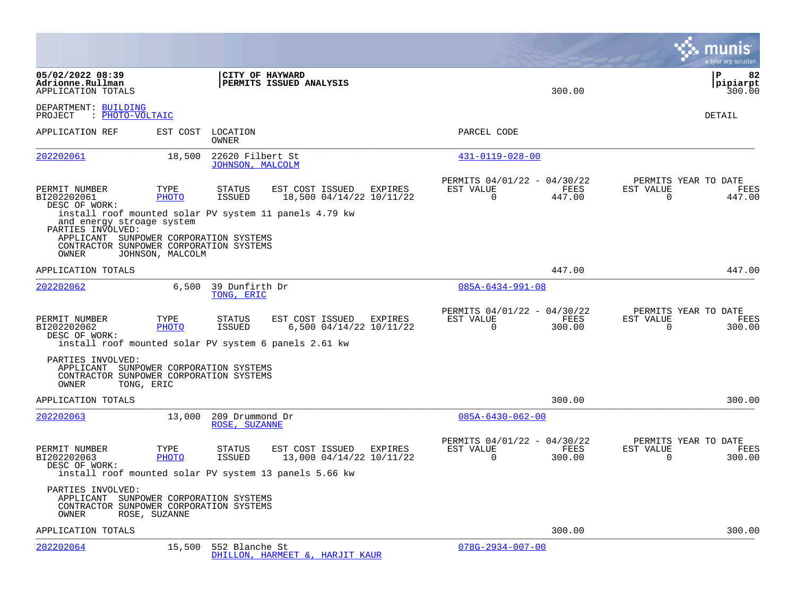|                                                                                                                                              |                      |                                      |                                                                                                       |         |                                                         |                | munis<br>a tyler erp solution                                             |
|----------------------------------------------------------------------------------------------------------------------------------------------|----------------------|--------------------------------------|-------------------------------------------------------------------------------------------------------|---------|---------------------------------------------------------|----------------|---------------------------------------------------------------------------|
| 05/02/2022 08:39<br>Adrionne.Rullman<br>APPLICATION TOTALS                                                                                   |                      | CITY OF HAYWARD                      | PERMITS ISSUED ANALYSIS                                                                               |         |                                                         | 300.00         | l P<br>82<br> pipiarpt<br>300.00                                          |
| DEPARTMENT: BUILDING<br>PROJECT : PHOTO-VOLTAIC                                                                                              |                      |                                      |                                                                                                       |         |                                                         |                | DETAIL                                                                    |
| APPLICATION REF                                                                                                                              |                      | EST COST LOCATION<br>OWNER           |                                                                                                       |         | PARCEL CODE                                             |                |                                                                           |
| 202202061                                                                                                                                    | 18,500               | 22620 Filbert St<br>JOHNSON, MALCOLM |                                                                                                       |         | $431 - 0119 - 028 - 00$                                 |                |                                                                           |
| PERMIT NUMBER<br>BI202202061<br>DESC OF WORK:                                                                                                | TYPE<br>PHOTO        | <b>STATUS</b><br>ISSUED              | EST COST ISSUED<br>18,500 04/14/22 10/11/22<br>install roof mounted solar PV system 11 panels 4.79 kw | EXPIRES | PERMITS 04/01/22 - 04/30/22<br>EST VALUE<br>$\Omega$    | FEES<br>447.00 | PERMITS YEAR TO DATE<br>FEES<br>EST VALUE<br>$\Omega$<br>447.00           |
| and energy stroage system<br>PARTIES INVOLVED:<br>APPLICANT SUNPOWER CORPORATION SYSTEMS<br>CONTRACTOR SUNPOWER CORPORATION SYSTEMS<br>OWNER | JOHNSON, MALCOLM     |                                      |                                                                                                       |         |                                                         |                |                                                                           |
| APPLICATION TOTALS                                                                                                                           |                      |                                      |                                                                                                       |         |                                                         | 447.00         | 447.00                                                                    |
| 202202062                                                                                                                                    | 6,500                | 39 Dunfirth Dr<br>TONG, ERIC         |                                                                                                       |         | $085A-6434-991-08$                                      |                |                                                                           |
| PERMIT NUMBER<br>BI202202062<br>DESC OF WORK:<br>install roof mounted solar PV system 6 panels 2.61 kw                                       | TYPE<br><b>PHOTO</b> | <b>STATUS</b><br>ISSUED              | EST COST ISSUED<br>6,500 04/14/22 10/11/22                                                            | EXPIRES | PERMITS 04/01/22 - 04/30/22<br>EST VALUE<br>$\Omega$    | FEES<br>300.00 | PERMITS YEAR TO DATE<br>EST VALUE<br>FEES<br>300.00<br>$\Omega$           |
| PARTIES INVOLVED:<br>APPLICANT SUNPOWER CORPORATION SYSTEMS<br>CONTRACTOR SUNPOWER CORPORATION SYSTEMS<br>OWNER<br>TONG, ERIC                |                      |                                      |                                                                                                       |         |                                                         |                |                                                                           |
| APPLICATION TOTALS                                                                                                                           |                      |                                      |                                                                                                       |         |                                                         | 300.00         | 300.00                                                                    |
| 202202063                                                                                                                                    | 13,000               | 209 Drummond Dr<br>ROSE, SUZANNE     |                                                                                                       |         | $085A - 6430 - 062 - 00$                                |                |                                                                           |
| PERMIT NUMBER<br>BI202202063<br>DESC OF WORK:                                                                                                | TYPE<br>PHOTO        | <b>STATUS</b><br>ISSUED              | EST COST ISSUED<br>13,000 04/14/22 10/11/22<br>install roof mounted solar PV system 13 panels 5.66 kw | EXPIRES | PERMITS 04/01/22 - 04/30/22<br>EST VALUE<br>$\mathbf 0$ | FEES<br>300.00 | PERMITS YEAR TO DATE<br>EST VALUE<br><b>FEES</b><br>$\mathbf 0$<br>300.00 |
| PARTIES INVOLVED:<br>APPLICANT SUNPOWER CORPORATION SYSTEMS<br>CONTRACTOR SUNPOWER CORPORATION SYSTEMS<br>OWNER                              | ROSE, SUZANNE        |                                      |                                                                                                       |         |                                                         |                |                                                                           |
| APPLICATION TOTALS                                                                                                                           |                      |                                      |                                                                                                       |         |                                                         | 300.00         | 300.00                                                                    |
| 202202064                                                                                                                                    | 15,500               | 552 Blanche St                       | DHILLON, HARMEET &, HARJIT KAUR                                                                       |         | $078G - 2934 - 007 - 00$                                |                |                                                                           |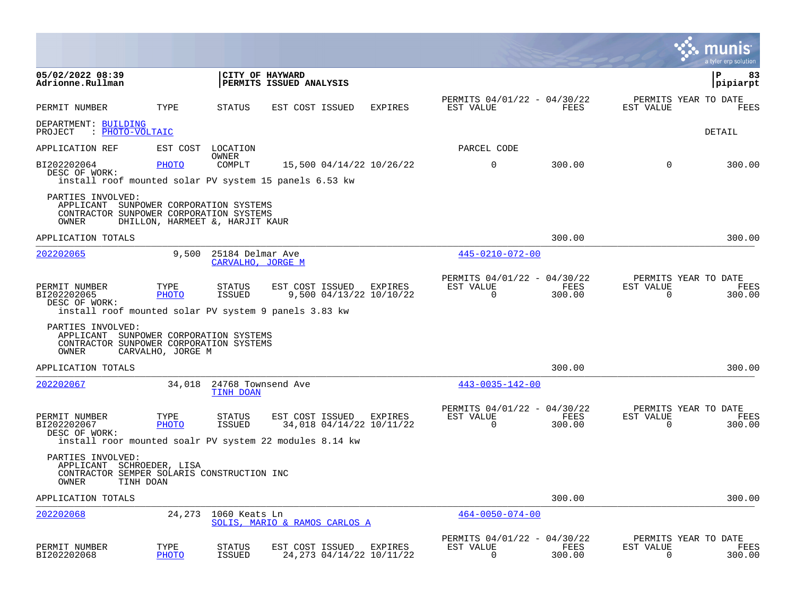|                                                                                                                 |                                 |                                       |                                                                                                        |         |                                                         |                |                          | munis<br>a tyler erp solution          |
|-----------------------------------------------------------------------------------------------------------------|---------------------------------|---------------------------------------|--------------------------------------------------------------------------------------------------------|---------|---------------------------------------------------------|----------------|--------------------------|----------------------------------------|
| 05/02/2022 08:39<br>Adrionne.Rullman                                                                            |                                 |                                       | CITY OF HAYWARD<br>PERMITS ISSUED ANALYSIS                                                             |         |                                                         |                |                          | ΙP<br>83<br>pipiarpt                   |
| PERMIT NUMBER                                                                                                   | TYPE                            | STATUS                                | EST COST ISSUED                                                                                        | EXPIRES | PERMITS 04/01/22 - 04/30/22<br>EST VALUE                | FEES           | EST VALUE                | PERMITS YEAR TO DATE<br><b>FEES</b>    |
| DEPARTMENT: BUILDING<br>: PHOTO-VOLTAIC<br>PROJECT                                                              |                                 |                                       |                                                                                                        |         |                                                         |                |                          | DETAIL                                 |
| APPLICATION REF                                                                                                 |                                 | EST COST LOCATION                     |                                                                                                        |         | PARCEL CODE                                             |                |                          |                                        |
| BI202202064<br>DESC OF WORK:                                                                                    | <b>PHOTO</b>                    | OWNER<br>COMPLT                       | 15,500 04/14/22 10/26/22<br>install roof mounted solar PV system 15 panels 6.53 kw                     |         | $\mathsf{O}$                                            | 300.00         | $\mathbf 0$              | 300.00                                 |
| PARTIES INVOLVED:<br>APPLICANT SUNPOWER CORPORATION SYSTEMS<br>CONTRACTOR SUNPOWER CORPORATION SYSTEMS<br>OWNER | DHILLON, HARMEET &, HARJIT KAUR |                                       |                                                                                                        |         |                                                         |                |                          |                                        |
| APPLICATION TOTALS                                                                                              |                                 |                                       |                                                                                                        |         |                                                         | 300.00         |                          | 300.00                                 |
| 202202065                                                                                                       | 9,500                           | 25184 Delmar Ave<br>CARVALHO, JORGE M |                                                                                                        |         | 445-0210-072-00                                         |                |                          |                                        |
| PERMIT NUMBER<br>BI202202065<br>DESC OF WORK:                                                                   | TYPE<br>PHOTO                   | STATUS<br><b>ISSUED</b>               | EST COST ISSUED<br>9,500 04/13/22 10/10/22<br>install roof mounted solar PV system 9 panels 3.83 kw    | EXPIRES | PERMITS 04/01/22 - 04/30/22<br>EST VALUE<br>$\mathbf 0$ | FEES<br>300.00 | EST VALUE<br>$\mathbf 0$ | PERMITS YEAR TO DATE<br>FEES<br>300.00 |
| PARTIES INVOLVED:<br>APPLICANT SUNPOWER CORPORATION SYSTEMS<br>CONTRACTOR SUNPOWER CORPORATION SYSTEMS<br>OWNER | CARVALHO, JORGE M               |                                       |                                                                                                        |         |                                                         |                |                          |                                        |
| APPLICATION TOTALS                                                                                              |                                 |                                       |                                                                                                        |         |                                                         | 300.00         |                          | 300.00                                 |
| 202202067                                                                                                       | 34,018                          | TINH DOAN                             | 24768 Townsend Ave                                                                                     |         | $443 - 0035 - 142 - 00$                                 |                |                          |                                        |
| PERMIT NUMBER<br>BI202202067<br>DESC OF WORK:                                                                   | TYPE<br>PHOTO                   | STATUS<br><b>ISSUED</b>               | EST COST ISSUED<br>34,018 04/14/22 10/11/22<br>install roor mounted soalr PV system 22 modules 8.14 kw | EXPIRES | PERMITS 04/01/22 - 04/30/22<br>EST VALUE<br>$\Omega$    | FEES<br>300.00 | EST VALUE<br>$\Omega$    | PERMITS YEAR TO DATE<br>FEES<br>300.00 |
| PARTIES INVOLVED:<br>APPLICANT SCHROEDER, LISA<br>CONTRACTOR SEMPER SOLARIS CONSTRUCTION INC<br>OWNER           | TINH DOAN                       |                                       |                                                                                                        |         |                                                         |                |                          |                                        |
| APPLICATION TOTALS                                                                                              |                                 |                                       |                                                                                                        |         |                                                         | 300.00         |                          | 300.00                                 |
| 202202068                                                                                                       | 24,273                          | 1060 Keats Ln                         | SOLIS, MARIO & RAMOS CARLOS A                                                                          |         | $464 - 0050 - 074 - 00$                                 |                |                          |                                        |
| PERMIT NUMBER<br>BI202202068                                                                                    | TYPE<br><b>PHOTO</b>            | <b>STATUS</b><br><b>ISSUED</b>        | EST COST ISSUED<br>24, 273 04/14/22 10/11/22                                                           | EXPIRES | PERMITS 04/01/22 - 04/30/22<br>EST VALUE<br>$\Omega$    | FEES<br>300.00 | EST VALUE<br>0           | PERMITS YEAR TO DATE<br>FEES<br>300.00 |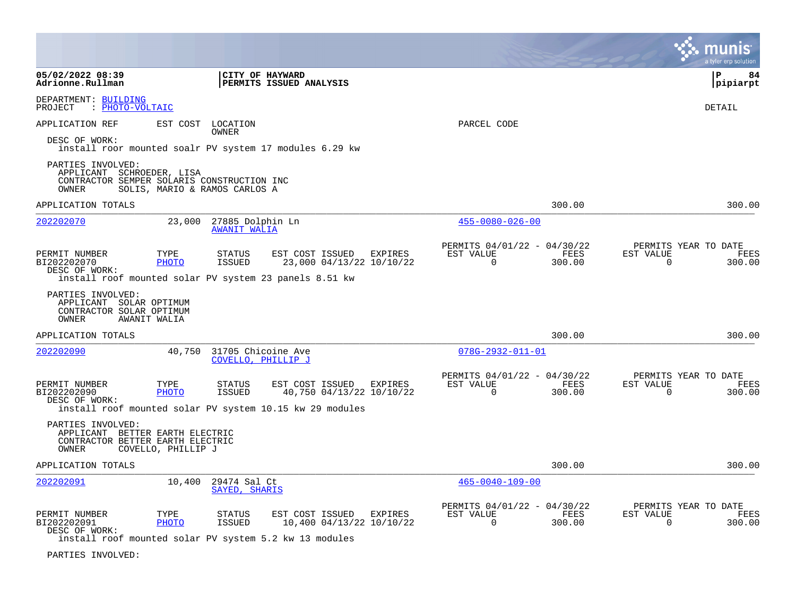|                                                                                                                                                                  |                      |                                          |                                             |                |                                                         |                |                          | a tyler erp solutior                          |
|------------------------------------------------------------------------------------------------------------------------------------------------------------------|----------------------|------------------------------------------|---------------------------------------------|----------------|---------------------------------------------------------|----------------|--------------------------|-----------------------------------------------|
| 05/02/2022 08:39<br>Adrionne.Rullman                                                                                                                             |                      | CITY OF HAYWARD                          | PERMITS ISSUED ANALYSIS                     |                |                                                         |                |                          | P<br>84<br> pipiarpt                          |
| DEPARTMENT: BUILDING<br>PROJECT<br>: PHOTO-VOLTAIC                                                                                                               |                      |                                          |                                             |                |                                                         |                |                          | <b>DETAIL</b>                                 |
| APPLICATION REF<br>DESC OF WORK:                                                                                                                                 | EST COST LOCATION    | OWNER                                    |                                             |                | PARCEL CODE                                             |                |                          |                                               |
| install roor mounted soalr PV system 17 modules 6.29 kw<br>PARTIES INVOLVED:<br>APPLICANT SCHROEDER, LISA<br>CONTRACTOR SEMPER SOLARIS CONSTRUCTION INC<br>OWNER |                      | SOLIS, MARIO & RAMOS CARLOS A            |                                             |                |                                                         |                |                          |                                               |
| APPLICATION TOTALS                                                                                                                                               |                      |                                          |                                             |                |                                                         | 300.00         |                          | 300.00                                        |
| 202202070                                                                                                                                                        | 23,000               | 27885 Dolphin Ln<br><b>AWANIT WALIA</b>  |                                             |                | $455 - 0080 - 026 - 00$                                 |                |                          |                                               |
| PERMIT NUMBER<br>BI202202070<br>DESC OF WORK:<br>install roof mounted solar PV system 23 panels 8.51 kw                                                          | TYPE<br>PHOTO        | <b>STATUS</b><br>ISSUED                  | EST COST ISSUED<br>23,000 04/13/22 10/10/22 | EXPIRES        | PERMITS 04/01/22 - 04/30/22<br>EST VALUE<br>$\Omega$    | FEES<br>300.00 | EST VALUE<br>$\Omega$    | PERMITS YEAR TO DATE<br>FEES<br>300.00        |
| PARTIES INVOLVED:<br>APPLICANT SOLAR OPTIMUM<br>CONTRACTOR SOLAR OPTIMUM<br>OWNER<br>AWANIT WALIA                                                                |                      |                                          |                                             |                |                                                         |                |                          |                                               |
| APPLICATION TOTALS                                                                                                                                               |                      |                                          |                                             |                |                                                         | 300.00         |                          | 300.00                                        |
| 202202090                                                                                                                                                        | 40,750               | 31705 Chicoine Ave<br>COVELLO, PHILLIP J |                                             |                | $078G - 2932 - 011 - 01$                                |                |                          |                                               |
| PERMIT NUMBER<br>BI202202090<br>DESC OF WORK:                                                                                                                    | TYPE<br>PHOTO        | <b>STATUS</b><br>ISSUED                  | EST COST ISSUED<br>40,750 04/13/22 10/10/22 | <b>EXPIRES</b> | PERMITS 04/01/22 - 04/30/22<br>EST VALUE<br>$\mathbf 0$ | FEES<br>300.00 | EST VALUE<br>$\mathbf 0$ | PERMITS YEAR TO DATE<br><b>FEES</b><br>300.00 |
| install roof mounted solar PV system 10.15 kw 29 modules                                                                                                         |                      |                                          |                                             |                |                                                         |                |                          |                                               |
| PARTIES INVOLVED:<br>APPLICANT BETTER EARTH ELECTRIC<br>CONTRACTOR BETTER EARTH ELECTRIC<br>OWNER                                                                | COVELLO, PHILLIP J   |                                          |                                             |                |                                                         |                |                          |                                               |
| APPLICATION TOTALS                                                                                                                                               |                      |                                          |                                             |                |                                                         | 300.00         |                          | 300.00                                        |
| 202202091                                                                                                                                                        | 10,400               | 29474 Sal Ct<br>SAYED, SHARIS            |                                             |                | $465 - 0040 - 109 - 00$                                 |                |                          |                                               |
| PERMIT NUMBER<br>BI202202091<br>DESC OF WORK:<br>install roof mounted solar PV system 5.2 kw 13 modules                                                          | TYPE<br><b>PHOTO</b> | <b>STATUS</b><br>ISSUED                  | EST COST ISSUED<br>10,400 04/13/22 10/10/22 | EXPIRES        | PERMITS 04/01/22 - 04/30/22<br>EST VALUE<br>$\Omega$    | FEES<br>300.00 | EST VALUE<br>$\Omega$    | PERMITS YEAR TO DATE<br>FEES<br>300.00        |

PARTIES INVOLVED: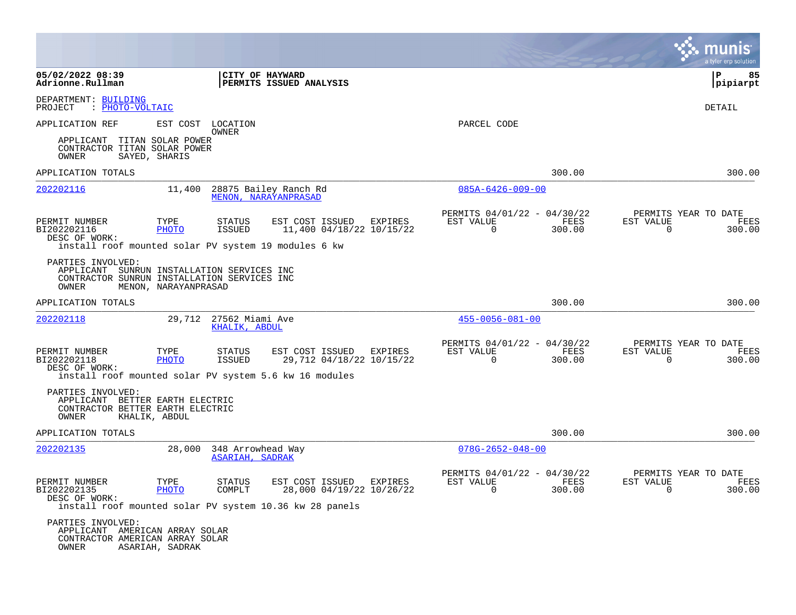|                                                                                                                                                                                 |                                    |                                      |                                                                                                                |         |                                                         |                | munis<br>a tyler erp solution                                      |
|---------------------------------------------------------------------------------------------------------------------------------------------------------------------------------|------------------------------------|--------------------------------------|----------------------------------------------------------------------------------------------------------------|---------|---------------------------------------------------------|----------------|--------------------------------------------------------------------|
| 05/02/2022 08:39<br>Adrionne.Rullman                                                                                                                                            |                                    | CITY OF HAYWARD                      | PERMITS ISSUED ANALYSIS                                                                                        |         |                                                         |                | ∣P<br>85<br>pipiarpt                                               |
| DEPARTMENT: BUILDING<br>: PHOTO-VOLTAIC<br>PROJECT                                                                                                                              |                                    |                                      |                                                                                                                |         |                                                         |                | <b>DETAIL</b>                                                      |
| APPLICATION REF                                                                                                                                                                 |                                    | EST COST LOCATION<br>OWNER           |                                                                                                                |         | PARCEL CODE                                             |                |                                                                    |
| APPLICANT<br>CONTRACTOR TITAN SOLAR POWER<br>OWNER                                                                                                                              | TITAN SOLAR POWER<br>SAYED, SHARIS |                                      |                                                                                                                |         |                                                         |                |                                                                    |
| APPLICATION TOTALS                                                                                                                                                              |                                    |                                      |                                                                                                                |         |                                                         | 300.00         | 300.00                                                             |
| 202202116                                                                                                                                                                       | 11,400                             |                                      | 28875 Bailey Ranch Rd<br>MENON, NARAYANPRASAD                                                                  |         | $085A - 6426 - 009 - 00$                                |                |                                                                    |
| PERMIT NUMBER<br>BI202202116<br>DESC OF WORK:                                                                                                                                   | TYPE<br><b>PHOTO</b>               | <b>STATUS</b><br><b>ISSUED</b>       | EST COST ISSUED<br>11,400 04/18/22 10/15/22                                                                    | EXPIRES | PERMITS 04/01/22 - 04/30/22<br>EST VALUE<br>$\Omega$    | FEES<br>300.00 | PERMITS YEAR TO DATE<br>EST VALUE<br>FEES<br>$\Omega$<br>300.00    |
| install roof mounted solar PV system 19 modules 6 kw<br>PARTIES INVOLVED:<br>APPLICANT SUNRUN INSTALLATION SERVICES INC<br>CONTRACTOR SUNRUN INSTALLATION SERVICES INC<br>OWNER | MENON, NARAYANPRASAD               |                                      |                                                                                                                |         |                                                         |                |                                                                    |
| APPLICATION TOTALS                                                                                                                                                              |                                    |                                      |                                                                                                                |         |                                                         | 300.00         | 300.00                                                             |
| 202202118                                                                                                                                                                       | 29,712                             | 27562 Miami Ave<br>KHALIK, ABDUL     |                                                                                                                |         | $455 - 0056 - 081 - 00$                                 |                |                                                                    |
| PERMIT NUMBER<br>BI202202118<br>DESC OF WORK:<br>install roof mounted solar PV system 5.6 kw 16 modules                                                                         | TYPE<br><b>PHOTO</b>               | <b>STATUS</b><br><b>ISSUED</b>       | EST COST ISSUED<br>29,712 04/18/22 10/15/22                                                                    | EXPIRES | PERMITS 04/01/22 - 04/30/22<br>EST VALUE<br>$\mathbf 0$ | FEES<br>300.00 | PERMITS YEAR TO DATE<br>EST VALUE<br>FEES<br>$\mathbf 0$<br>300.00 |
| PARTIES INVOLVED:<br>APPLICANT BETTER EARTH ELECTRIC<br>CONTRACTOR BETTER EARTH ELECTRIC<br>OWNER                                                                               | KHALIK, ABDUL                      |                                      |                                                                                                                |         |                                                         |                |                                                                    |
| APPLICATION TOTALS                                                                                                                                                              |                                    |                                      |                                                                                                                |         |                                                         | 300.00         | 300.00                                                             |
| 202202135                                                                                                                                                                       | 28,000                             | 348 Arrowhead Way<br>ASARIAH, SADRAK |                                                                                                                |         | $078G - 2652 - 048 - 00$                                |                |                                                                    |
| PERMIT NUMBER<br>BI202202135<br>DESC OF WORK:                                                                                                                                   | TYPE<br><b>PHOTO</b>               | STATUS<br>COMPLT                     | EST COST ISSUED EXPIRES<br>28,000 04/19/22 10/26/22<br>install roof mounted solar PV system 10.36 kw 28 panels |         | PERMITS 04/01/22 - 04/30/22<br>EST VALUE<br>$\mathbf 0$ | FEES<br>300.00 | PERMITS YEAR TO DATE<br>EST VALUE<br>FEES<br>$\Omega$<br>300.00    |
| PARTIES INVOLVED:<br>APPLICANT AMERICAN ARRAY SOLAR<br>CONTRACTOR AMERICAN ARRAY SOLAR<br>OWNER                                                                                 | ASARIAH, SADRAK                    |                                      |                                                                                                                |         |                                                         |                |                                                                    |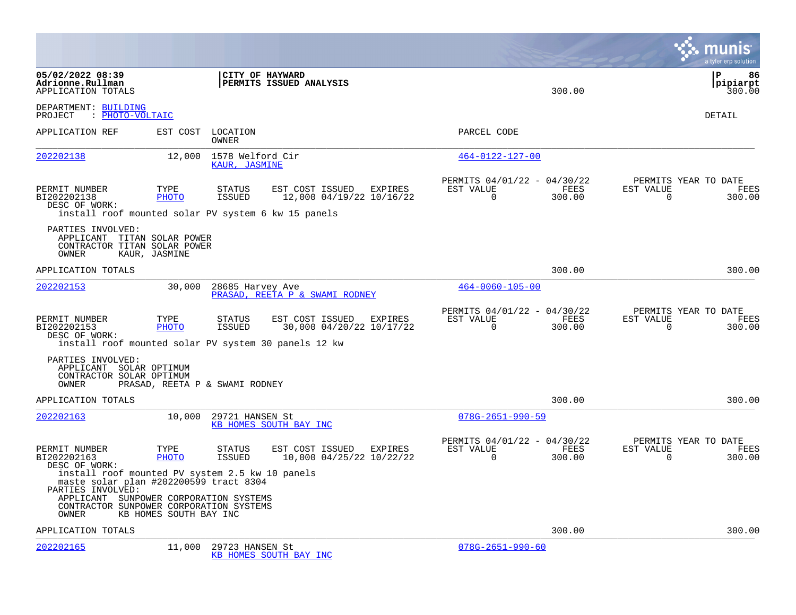|                                                                                                                                                                                                              |                        |                                   |                                                        |                                                      |                | munis<br>a tyler erp solution                                      |
|--------------------------------------------------------------------------------------------------------------------------------------------------------------------------------------------------------------|------------------------|-----------------------------------|--------------------------------------------------------|------------------------------------------------------|----------------|--------------------------------------------------------------------|
| 05/02/2022 08:39<br>Adrionne.Rullman<br>APPLICATION TOTALS                                                                                                                                                   |                        | CITY OF HAYWARD                   | PERMITS ISSUED ANALYSIS                                |                                                      | 300.00         | l P<br>86<br> pipiarpt<br>300.00                                   |
| DEPARTMENT: BUILDING<br>PROJECT : PHOTO-VOLTAIC                                                                                                                                                              |                        |                                   |                                                        |                                                      |                | DETAIL                                                             |
| APPLICATION REF                                                                                                                                                                                              |                        | EST COST LOCATION<br>OWNER        |                                                        | PARCEL CODE                                          |                |                                                                    |
| 202202138                                                                                                                                                                                                    | 12,000                 | 1578 Welford Cir<br>KAUR, JASMINE |                                                        | 464-0122-127-00                                      |                |                                                                    |
| PERMIT NUMBER<br>BI202202138<br>DESC OF WORK:<br>install roof mounted solar PV system 6 kw 15 panels                                                                                                         | TYPE<br><b>PHOTO</b>   | STATUS<br><b>ISSUED</b>           | EST COST ISSUED<br>EXPIRES<br>12,000 04/19/22 10/16/22 | PERMITS 04/01/22 - 04/30/22<br>EST VALUE<br>$\Omega$ | FEES<br>300.00 | PERMITS YEAR TO DATE<br>EST VALUE<br>FEES<br>$\Omega$<br>300.00    |
| PARTIES INVOLVED:<br>APPLICANT TITAN SOLAR POWER<br>CONTRACTOR TITAN SOLAR POWER<br>OWNER                                                                                                                    | KAUR, JASMINE          |                                   |                                                        |                                                      |                |                                                                    |
| APPLICATION TOTALS                                                                                                                                                                                           |                        |                                   |                                                        |                                                      | 300.00         | 300.00                                                             |
| 202202153                                                                                                                                                                                                    | 30,000                 | 28685 Harvey Ave                  | PRASAD, REETA P & SWAMI RODNEY                         | $464 - 0060 - 105 - 00$                              |                |                                                                    |
| PERMIT NUMBER<br>BI202202153<br>DESC OF WORK:<br>install roof mounted solar PV system 30 panels 12 kw                                                                                                        | TYPE<br>PHOTO          | <b>STATUS</b><br><b>ISSUED</b>    | EST COST ISSUED<br>EXPIRES<br>30,000 04/20/22 10/17/22 | PERMITS 04/01/22 - 04/30/22<br>EST VALUE<br>$\Omega$ | FEES<br>300.00 | PERMITS YEAR TO DATE<br>EST VALUE<br>FEES<br>$\Omega$<br>300.00    |
| PARTIES INVOLVED:<br>APPLICANT SOLAR OPTIMUM<br>CONTRACTOR SOLAR OPTIMUM<br>OWNER                                                                                                                            |                        | PRASAD, REETA P & SWAMI RODNEY    |                                                        |                                                      |                |                                                                    |
| APPLICATION TOTALS                                                                                                                                                                                           |                        |                                   |                                                        |                                                      | 300.00         | 300.00                                                             |
| 202202163                                                                                                                                                                                                    | 10,000                 | 29721 HANSEN St                   | KB HOMES SOUTH BAY INC                                 | $078G - 2651 - 990 - 59$                             |                |                                                                    |
| PERMIT NUMBER<br>BI202202163<br>DESC OF WORK:                                                                                                                                                                | TYPE<br>PHOTO          | <b>STATUS</b><br><b>ISSUED</b>    | EST COST ISSUED<br>EXPIRES<br>10,000 04/25/22 10/22/22 | PERMITS 04/01/22 - 04/30/22<br>EST VALUE<br>$\Omega$ | FEES<br>300.00 | PERMITS YEAR TO DATE<br>FEES<br>EST VALUE<br>$\mathbf 0$<br>300.00 |
| install roof mounted PV system 2.5 kw 10 panels<br>maste solar plan #202200599 tract 8304<br>PARTIES INVOLVED:<br>APPLICANT SUNPOWER CORPORATION SYSTEMS<br>CONTRACTOR SUNPOWER CORPORATION SYSTEMS<br>OWNER | KB HOMES SOUTH BAY INC |                                   |                                                        |                                                      |                |                                                                    |
| APPLICATION TOTALS                                                                                                                                                                                           |                        |                                   |                                                        |                                                      | 300.00         | 300.00                                                             |
| 202202165                                                                                                                                                                                                    | 11,000                 | 29723 HANSEN St                   | KB HOMES SOUTH BAY INC                                 | $078G - 2651 - 990 - 60$                             |                |                                                                    |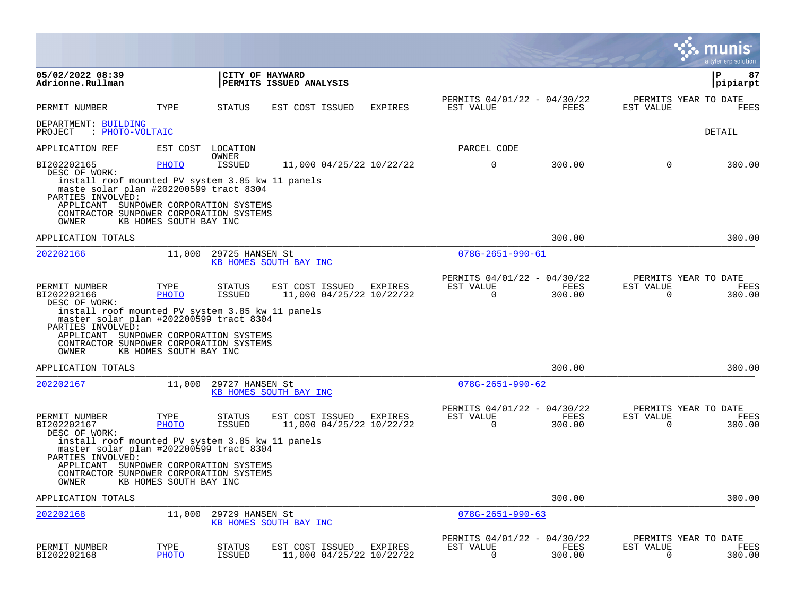|                                                                                                                                                                                                                                                                 |                                         |                                |                                             |                |                                                         |                |                          | munıs<br>a tyler erp solution                 |
|-----------------------------------------------------------------------------------------------------------------------------------------------------------------------------------------------------------------------------------------------------------------|-----------------------------------------|--------------------------------|---------------------------------------------|----------------|---------------------------------------------------------|----------------|--------------------------|-----------------------------------------------|
| 05/02/2022 08:39<br>Adrionne.Rullman                                                                                                                                                                                                                            |                                         |                                | CITY OF HAYWARD<br>PERMITS ISSUED ANALYSIS  |                |                                                         |                |                          | 87<br>l P<br> pipiarpt                        |
| PERMIT NUMBER                                                                                                                                                                                                                                                   | TYPE                                    | STATUS                         | EST COST ISSUED                             | <b>EXPIRES</b> | PERMITS 04/01/22 - 04/30/22<br>EST VALUE                | FEES           | EST VALUE                | PERMITS YEAR TO DATE<br>FEES                  |
| DEPARTMENT: BUILDING<br>: PHOTO-VOLTAIC<br>PROJECT                                                                                                                                                                                                              |                                         |                                |                                             |                |                                                         |                |                          | DETAIL                                        |
| APPLICATION REF                                                                                                                                                                                                                                                 | EST COST                                | LOCATION                       |                                             |                | PARCEL CODE                                             |                |                          |                                               |
| BI202202165<br>DESC OF WORK:<br>install roof mounted PV system 3.85 kw 11 panels<br>maste solar plan #202200599 tract 8304<br>PARTIES INVOLVED:<br>APPLICANT SUNPOWER CORPORATION SYSTEMS<br>CONTRACTOR SUNPOWER CORPORATION SYSTEMS<br>OWNER                   | PHOTO<br>KB HOMES SOUTH BAY INC         | OWNER<br>ISSUED                | 11,000 04/25/22 10/22/22                    |                | $\Omega$                                                | 300.00         | $\Omega$                 | 300.00                                        |
| APPLICATION TOTALS                                                                                                                                                                                                                                              |                                         |                                |                                             |                |                                                         | 300.00         |                          | 300.00                                        |
| 202202166                                                                                                                                                                                                                                                       | 11,000                                  | 29725 HANSEN St                | KB HOMES SOUTH BAY INC                      |                | $078G - 2651 - 990 - 61$                                |                |                          |                                               |
| PERMIT NUMBER<br>BI202202166<br>DESC OF WORK:<br>install roof mounted PV system 3.85 kw 11 panels<br>master solar plan #202200599 tract 8304<br>PARTIES INVOLVED:<br>APPLICANT SUNPOWER CORPORATION SYSTEMS<br>CONTRACTOR SUNPOWER CORPORATION SYSTEMS<br>OWNER | TYPE<br>PHOTO<br>KB HOMES SOUTH BAY INC | STATUS<br>ISSUED               | EST COST ISSUED<br>11,000 04/25/22 10/22/22 | EXPIRES        | PERMITS 04/01/22 - 04/30/22<br>EST VALUE<br>$\Omega$    | FEES<br>300.00 | EST VALUE<br>$\Omega$    | PERMITS YEAR TO DATE<br>FEES<br>300.00        |
| APPLICATION TOTALS                                                                                                                                                                                                                                              |                                         |                                |                                             |                |                                                         | 300.00         |                          | 300.00                                        |
| 202202167                                                                                                                                                                                                                                                       | 11,000                                  | 29727 HANSEN St                | KB HOMES SOUTH BAY INC                      |                | $078G - 2651 - 990 - 62$                                |                |                          |                                               |
| PERMIT NUMBER<br>BI202202167<br>DESC OF WORK:<br>install roof mounted PV system 3.85 kw 11 panels<br>master solar plan #202200599 tract 8304<br>PARTIES INVOLVED:<br>APPLICANT SUNPOWER CORPORATION SYSTEMS<br>CONTRACTOR SUNPOWER CORPORATION SYSTEMS<br>OWNER | TYPE<br>PHOTO<br>KB HOMES SOUTH BAY INC | <b>STATUS</b><br>ISSUED        | EST COST ISSUED<br>11,000 04/25/22 10/22/22 | EXPIRES        | PERMITS 04/01/22 - 04/30/22<br>EST VALUE<br>$\Omega$    | FEES<br>300.00 | EST VALUE<br>$\Omega$    | PERMITS YEAR TO DATE<br>FEES<br>300.00        |
| APPLICATION TOTALS                                                                                                                                                                                                                                              |                                         |                                |                                             |                |                                                         | 300.00         |                          | 300.00                                        |
| 202202168                                                                                                                                                                                                                                                       | 11,000                                  | 29729 HANSEN St                | KB HOMES SOUTH BAY INC                      |                | $078G - 2651 - 990 - 63$                                |                |                          |                                               |
| PERMIT NUMBER<br>BI202202168                                                                                                                                                                                                                                    | TYPE<br>PHOTO                           | <b>STATUS</b><br><b>ISSUED</b> | EST COST ISSUED<br>11,000 04/25/22 10/22/22 | <b>EXPIRES</b> | PERMITS 04/01/22 - 04/30/22<br>EST VALUE<br>$\mathbf 0$ | FEES<br>300.00 | EST VALUE<br>$\mathbf 0$ | PERMITS YEAR TO DATE<br><b>FEES</b><br>300.00 |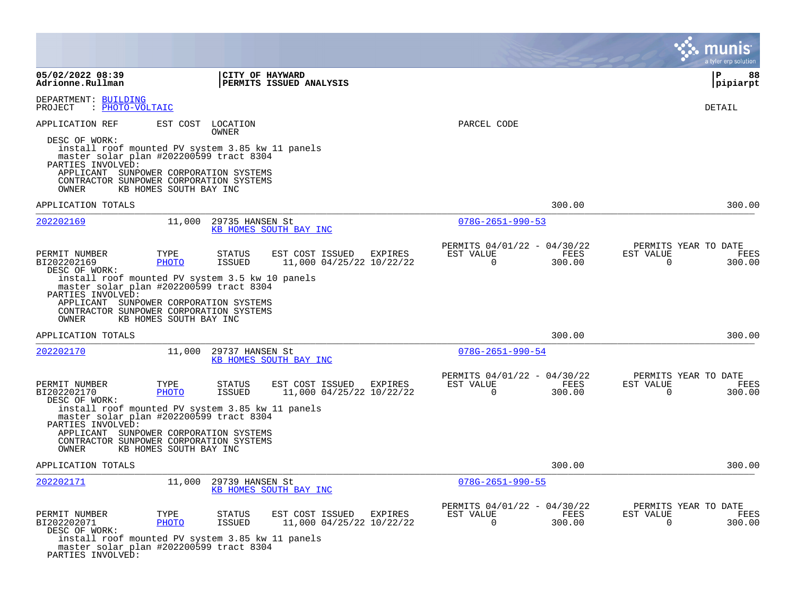|                                                                                                                                                            |                        |                              |                                             |         |                                                      |                |                          | a tyler erp solution                   |
|------------------------------------------------------------------------------------------------------------------------------------------------------------|------------------------|------------------------------|---------------------------------------------|---------|------------------------------------------------------|----------------|--------------------------|----------------------------------------|
| 05/02/2022 08:39<br>Adrionne.Rullman                                                                                                                       |                        | CITY OF HAYWARD              | PERMITS ISSUED ANALYSIS                     |         |                                                      |                |                          | l P<br>88<br> pipiarpt                 |
| DEPARTMENT: BUILDING<br>: PHOTO-VOLTAIC<br>PROJECT                                                                                                         |                        |                              |                                             |         |                                                      |                |                          | <b>DETAIL</b>                          |
| APPLICATION REF<br>DESC OF WORK:<br>install roof mounted PV system 3.85 kw 11 panels<br>master solar plan #202200599 tract 8304<br>PARTIES INVOLVED:       |                        | EST COST LOCATION<br>OWNER   |                                             |         | PARCEL CODE                                          |                |                          |                                        |
| APPLICANT SUNPOWER CORPORATION SYSTEMS<br>CONTRACTOR SUNPOWER CORPORATION SYSTEMS<br>OWNER                                                                 | KB HOMES SOUTH BAY INC |                              |                                             |         |                                                      |                |                          |                                        |
| APPLICATION TOTALS                                                                                                                                         |                        |                              |                                             |         |                                                      | 300.00         |                          | 300.00                                 |
| 202202169                                                                                                                                                  | 11,000                 | 29735 HANSEN St              | KB HOMES SOUTH BAY INC                      |         | $078G - 2651 - 990 - 53$                             |                |                          |                                        |
| PERMIT NUMBER<br>BI202202169<br>DESC OF WORK:<br>install roof mounted PV system 3.5 kw 10 panels                                                           | TYPE<br>PHOTO          | STATUS<br>ISSUED             | EST COST ISSUED<br>11,000 04/25/22 10/22/22 | EXPIRES | PERMITS 04/01/22 - 04/30/22<br>EST VALUE<br>0        | FEES<br>300.00 | EST VALUE<br>0           | PERMITS YEAR TO DATE<br>FEES<br>300.00 |
| master solar plan #202200599 tract 8304<br>PARTIES INVOLVED:<br>APPLICANT SUNPOWER CORPORATION SYSTEMS<br>CONTRACTOR SUNPOWER CORPORATION SYSTEMS<br>OWNER | KB HOMES SOUTH BAY INC |                              |                                             |         |                                                      |                |                          |                                        |
| APPLICATION TOTALS                                                                                                                                         |                        |                              |                                             |         |                                                      | 300.00         |                          | 300.00                                 |
| 202202170                                                                                                                                                  | 11,000                 | 29737 HANSEN St              | KB HOMES SOUTH BAY INC                      |         | $078G - 2651 - 990 - 54$                             |                |                          |                                        |
| PERMIT NUMBER<br>BI202202170<br>DESC OF WORK:                                                                                                              | TYPE<br>PHOTO          | STATUS<br><b>ISSUED</b>      | EST COST ISSUED<br>11,000 04/25/22 10/22/22 | EXPIRES | PERMITS 04/01/22 - 04/30/22<br>EST VALUE<br>$\Omega$ | FEES<br>300.00 | EST VALUE<br>$\mathbf 0$ | PERMITS YEAR TO DATE<br>FEES<br>300.00 |
| install roof mounted PV system 3.85 kw 11 panels<br>master solar plan #202200599 tract 8304<br>PARTIES INVOLVED:                                           |                        |                              |                                             |         |                                                      |                |                          |                                        |
| APPLICANT<br>CONTRACTOR SUNPOWER CORPORATION SYSTEMS<br>OWNER                                                                                              | KB HOMES SOUTH BAY INC | SUNPOWER CORPORATION SYSTEMS |                                             |         |                                                      |                |                          |                                        |
| APPLICATION TOTALS                                                                                                                                         |                        |                              |                                             |         |                                                      | 300.00         |                          | 300.00                                 |
| 202202171                                                                                                                                                  | 11,000                 | 29739 HANSEN St              | KB HOMES SOUTH BAY INC                      |         | $078G - 2651 - 990 - 55$                             |                |                          |                                        |
| PERMIT NUMBER<br>BI202202071<br>DESC OF WORK:                                                                                                              | TYPE<br>PHOTO          | <b>STATUS</b><br>ISSUED      | EST COST ISSUED<br>11,000 04/25/22 10/22/22 | EXPIRES | PERMITS 04/01/22 - 04/30/22<br>EST VALUE<br>0        | FEES<br>300.00 | EST VALUE<br>0           | PERMITS YEAR TO DATE<br>FEES<br>300.00 |
| install roof mounted PV system 3.85 kw 11 panels<br>master solar plan #202200599 tract 8304<br>PARTIES INVOLVED:                                           |                        |                              |                                             |         |                                                      |                |                          |                                        |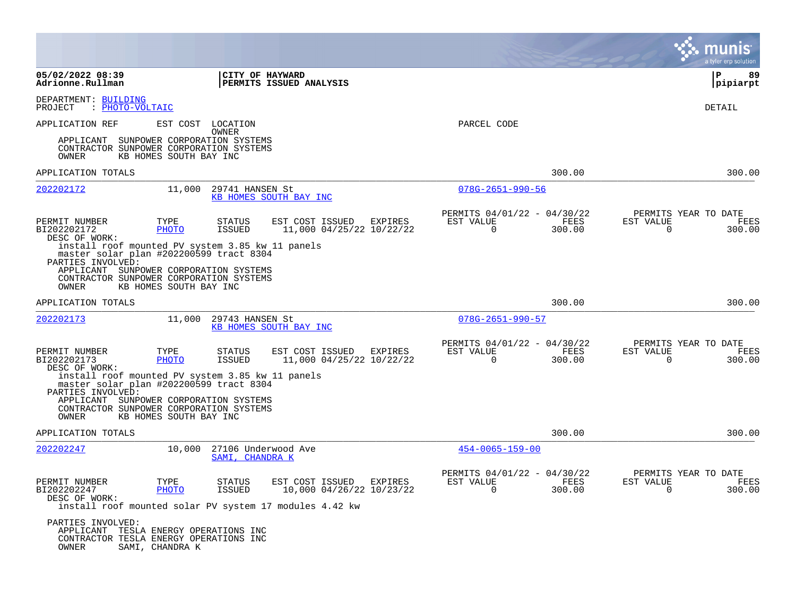|                                                                                                                                                                                                                |                        |                                        |                                                                                                        |         |                                                         |                | a tyler erp solution                                               |
|----------------------------------------------------------------------------------------------------------------------------------------------------------------------------------------------------------------|------------------------|----------------------------------------|--------------------------------------------------------------------------------------------------------|---------|---------------------------------------------------------|----------------|--------------------------------------------------------------------|
| 05/02/2022 08:39<br>Adrionne.Rullman                                                                                                                                                                           |                        | CITY OF HAYWARD                        | PERMITS ISSUED ANALYSIS                                                                                |         |                                                         |                | ΙP<br>89<br> pipiarpt                                              |
| DEPARTMENT: BUILDING<br>: PHOTO-VOLTAIC<br>PROJECT                                                                                                                                                             |                        |                                        |                                                                                                        |         |                                                         |                | <b>DETAIL</b>                                                      |
| APPLICATION REF                                                                                                                                                                                                |                        | EST COST LOCATION<br><b>OWNER</b>      |                                                                                                        |         | PARCEL CODE                                             |                |                                                                    |
| APPLICANT<br>CONTRACTOR SUNPOWER CORPORATION SYSTEMS<br>OWNER                                                                                                                                                  | KB HOMES SOUTH BAY INC | SUNPOWER CORPORATION SYSTEMS           |                                                                                                        |         |                                                         |                |                                                                    |
| APPLICATION TOTALS                                                                                                                                                                                             |                        |                                        |                                                                                                        |         |                                                         | 300.00         | 300.00                                                             |
| 202202172                                                                                                                                                                                                      | 11,000                 | 29741 HANSEN St                        | KB HOMES SOUTH BAY INC                                                                                 |         | $078G - 2651 - 990 - 56$                                |                |                                                                    |
| PERMIT NUMBER<br>BI202202172<br>DESC OF WORK:                                                                                                                                                                  | TYPE<br><b>PHOTO</b>   | <b>STATUS</b><br>ISSUED                | EST COST ISSUED<br>11,000 04/25/22 10/22/22                                                            | EXPIRES | PERMITS 04/01/22 - 04/30/22<br>EST VALUE<br>0           | FEES<br>300.00 | PERMITS YEAR TO DATE<br>EST VALUE<br>FEES<br>$\mathbf 0$<br>300.00 |
| install roof mounted PV system 3.85 kw 11 panels<br>master solar plan #202200599 tract 8304<br>PARTIES INVOLVED:<br>APPLICANT SUNPOWER CORPORATION SYSTEMS<br>CONTRACTOR SUNPOWER CORPORATION SYSTEMS<br>OWNER | KB HOMES SOUTH BAY INC |                                        |                                                                                                        |         |                                                         |                |                                                                    |
| APPLICATION TOTALS                                                                                                                                                                                             |                        |                                        |                                                                                                        |         |                                                         | 300.00         | 300.00                                                             |
| 202202173                                                                                                                                                                                                      | 11,000                 | 29743 HANSEN St                        | KB HOMES SOUTH BAY INC                                                                                 |         | $078G - 2651 - 990 - 57$                                |                |                                                                    |
| PERMIT NUMBER<br>BI202202173<br>DESC OF WORK:                                                                                                                                                                  | TYPE<br>PHOTO          | <b>STATUS</b><br>ISSUED                | EST COST ISSUED<br>11,000 04/25/22 10/22/22                                                            | EXPIRES | PERMITS 04/01/22 - 04/30/22<br>EST VALUE<br>$\mathbf 0$ | FEES<br>300.00 | PERMITS YEAR TO DATE<br>EST VALUE<br>FEES<br>$\mathbf 0$<br>300.00 |
| install roof mounted PV system 3.85 kw 11 panels<br>master solar plan #202200599 tract 8304<br>PARTIES INVOLVED:<br>APPLICANT SUNPOWER CORPORATION SYSTEMS<br>CONTRACTOR SUNPOWER CORPORATION SYSTEMS<br>OWNER | KB HOMES SOUTH BAY INC |                                        |                                                                                                        |         |                                                         |                |                                                                    |
| APPLICATION TOTALS                                                                                                                                                                                             |                        |                                        |                                                                                                        |         |                                                         | 300.00         | 300.00                                                             |
| 202202247                                                                                                                                                                                                      | 10,000                 | 27106 Underwood Ave<br>SAMI, CHANDRA K |                                                                                                        |         | $454 - 0065 - 159 - 00$                                 |                |                                                                    |
| PERMIT NUMBER<br>BI202202247<br>DESC OF WORK:                                                                                                                                                                  | TYPE<br><b>PHOTO</b>   | <b>STATUS</b><br>ISSUED                | EST COST ISSUED<br>10,000 04/26/22 10/23/22<br>install roof mounted solar PV system 17 modules 4.42 kw | EXPIRES | PERMITS 04/01/22 - 04/30/22<br>EST VALUE<br>$\mathbf 0$ | FEES<br>300.00 | PERMITS YEAR TO DATE<br>EST VALUE<br>FEES<br>$\mathbf 0$<br>300.00 |
| PARTIES INVOLVED:<br>APPLICANT TESLA ENERGY OPERATIONS INC<br>CONTRACTOR TESLA ENERGY OPERATIONS INC<br>OWNER                                                                                                  | SAMI, CHANDRA K        |                                        |                                                                                                        |         |                                                         |                |                                                                    |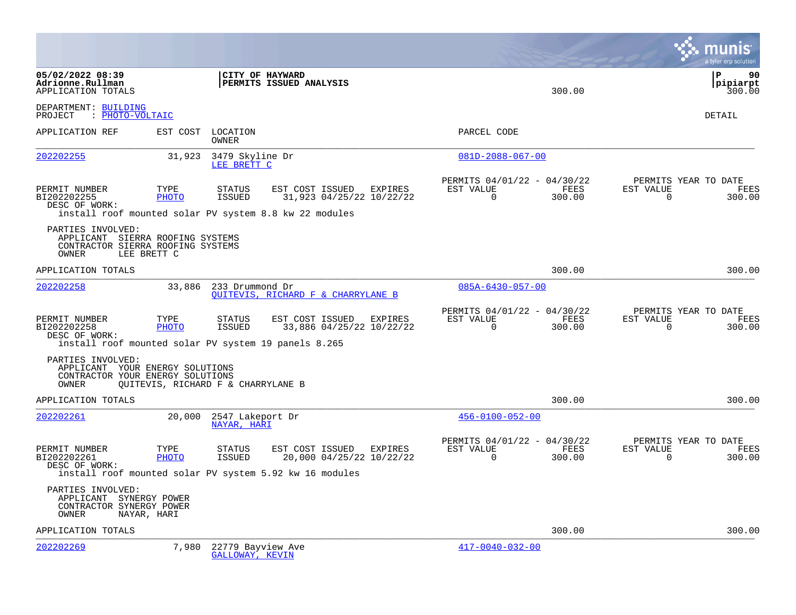|                                                                                                                    |                      |                                                                                                                                       |         |                                                         |                | a tyler erp solution                                            |
|--------------------------------------------------------------------------------------------------------------------|----------------------|---------------------------------------------------------------------------------------------------------------------------------------|---------|---------------------------------------------------------|----------------|-----------------------------------------------------------------|
| 05/02/2022 08:39<br>Adrionne.Rullman<br>APPLICATION TOTALS                                                         |                      | CITY OF HAYWARD<br>PERMITS ISSUED ANALYSIS                                                                                            |         |                                                         | 300.00         | <b>P</b><br>90<br> pipiarpt<br>300.00                           |
| DEPARTMENT: BUILDING<br>: PHOTO-VOLTAIC<br>PROJECT                                                                 |                      |                                                                                                                                       |         |                                                         |                | <b>DETAIL</b>                                                   |
| APPLICATION REF                                                                                                    | EST COST             | LOCATION<br>OWNER                                                                                                                     |         | PARCEL CODE                                             |                |                                                                 |
| 202202255                                                                                                          | 31,923               | 3479 Skyline Dr<br>LEE BRETT C                                                                                                        |         | $081D - 2088 - 067 - 00$                                |                |                                                                 |
| PERMIT NUMBER<br>BI202202255<br>DESC OF WORK:                                                                      | TYPE<br><b>PHOTO</b> | EST COST ISSUED<br><b>STATUS</b><br>31,923 04/25/22 10/22/22<br>ISSUED<br>install roof mounted solar PV system 8.8 kw 22 modules      | EXPIRES | PERMITS 04/01/22 - 04/30/22<br>EST VALUE<br>$\Omega$    | FEES<br>300.00 | PERMITS YEAR TO DATE<br>EST VALUE<br>FEES<br>$\Omega$<br>300.00 |
| PARTIES INVOLVED:<br>APPLICANT SIERRA ROOFING SYSTEMS<br>CONTRACTOR SIERRA ROOFING SYSTEMS<br>OWNER<br>LEE BRETT C |                      |                                                                                                                                       |         |                                                         |                |                                                                 |
| APPLICATION TOTALS                                                                                                 |                      |                                                                                                                                       |         |                                                         | 300.00         | 300.00                                                          |
| 202202258                                                                                                          | 33,886               | 233 Drummond Dr<br>OUITEVIS, RICHARD F & CHARRYLANE B                                                                                 |         | $085A - 6430 - 057 - 00$                                |                |                                                                 |
| PERMIT NUMBER<br>BI202202258<br>DESC OF WORK:                                                                      | TYPE<br>PHOTO        | <b>STATUS</b><br>EST COST ISSUED<br><b>ISSUED</b><br>33,886 04/25/22 10/22/22<br>install roof mounted solar PV system 19 panels 8.265 | EXPIRES | PERMITS 04/01/22 - 04/30/22<br>EST VALUE<br>$\Omega$    | FEES<br>300.00 | PERMITS YEAR TO DATE<br>EST VALUE<br>FEES<br>300.00<br>$\Omega$ |
| PARTIES INVOLVED:<br>APPLICANT YOUR ENERGY SOLUTIONS<br>CONTRACTOR YOUR ENERGY SOLUTIONS<br>OWNER                  |                      | QUITEVIS, RICHARD F & CHARRYLANE B                                                                                                    |         |                                                         |                |                                                                 |
| APPLICATION TOTALS                                                                                                 |                      |                                                                                                                                       |         |                                                         | 300.00         | 300.00                                                          |
| 202202261                                                                                                          | 20,000               | 2547 Lakeport Dr<br>NAYAR, HARI                                                                                                       |         | $456 - 0100 - 052 - 00$                                 |                |                                                                 |
| PERMIT NUMBER<br>BI202202261<br>DESC OF WORK:                                                                      | TYPE<br><b>PHOTO</b> | <b>STATUS</b><br>EST COST ISSUED<br>20,000 04/25/22 10/22/22<br>ISSUED<br>install roof mounted solar PV system 5.92 kw 16 modules     | EXPIRES | PERMITS 04/01/22 - 04/30/22<br>EST VALUE<br>$\mathbf 0$ | FEES<br>300.00 | PERMITS YEAR TO DATE<br><b>FEES</b><br>EST VALUE<br>300.00<br>0 |
| PARTIES INVOLVED:<br>APPLICANT SYNERGY POWER<br>CONTRACTOR SYNERGY POWER<br>OWNER<br>NAYAR, HARI                   |                      |                                                                                                                                       |         |                                                         |                |                                                                 |
| APPLICATION TOTALS                                                                                                 |                      |                                                                                                                                       |         |                                                         | 300.00         | 300.00                                                          |
| 202202269                                                                                                          | 7,980                | 22779 Bayview Ave<br><b>GALLOWAY, KEVIN</b>                                                                                           |         | $417 - 0040 - 032 - 00$                                 |                |                                                                 |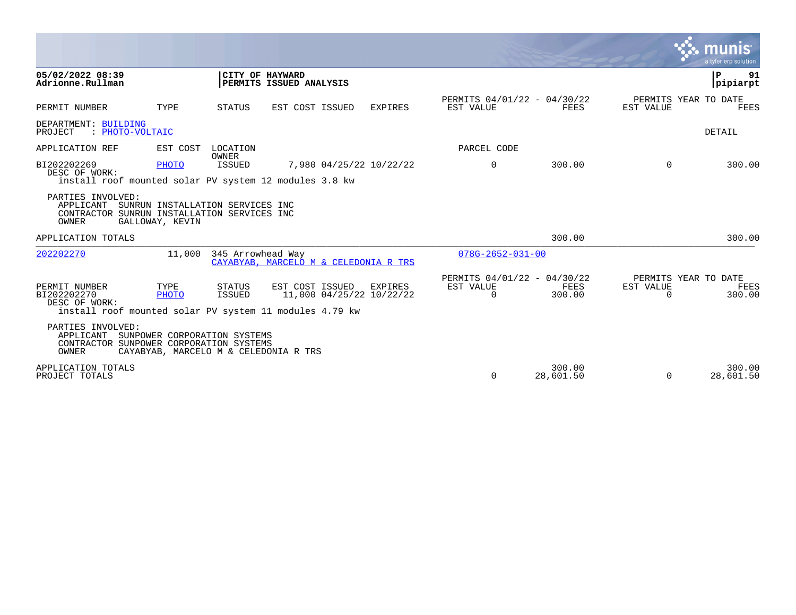|                                                                                        |                                                     |                         |                                                                                                        |         |                                                      |                     |                       | munis<br>a tyler erp solution          |
|----------------------------------------------------------------------------------------|-----------------------------------------------------|-------------------------|--------------------------------------------------------------------------------------------------------|---------|------------------------------------------------------|---------------------|-----------------------|----------------------------------------|
| 05/02/2022 08:39<br>Adrionne.Rullman                                                   |                                                     |                         | CITY OF HAYWARD<br>PERMITS ISSUED ANALYSIS                                                             |         |                                                      |                     |                       | P<br>91<br>pipiarpt                    |
| PERMIT NUMBER                                                                          | TYPE                                                | STATUS                  | EST COST ISSUED                                                                                        | EXPIRES | PERMITS 04/01/22 - 04/30/22<br>EST VALUE             | FEES                | EST VALUE             | PERMITS YEAR TO DATE<br>FEES           |
| DEPARTMENT: BUILDING<br>: PHOTO-VOLTAIC<br>PROJECT                                     |                                                     |                         |                                                                                                        |         |                                                      |                     |                       | <b>DETAIL</b>                          |
| APPLICATION REF                                                                        | EST COST                                            | LOCATION<br>OWNER       |                                                                                                        |         | PARCEL CODE                                          |                     |                       |                                        |
| BI202202269<br>DESC OF WORK:                                                           | PHOTO                                               | <b>ISSUED</b>           | 7,980 04/25/22 10/22/22<br>install roof mounted solar PV system 12 modules 3.8 kw                      |         | $\mathbf 0$                                          | 300.00              | $\Omega$              | 300.00                                 |
| PARTIES INVOLVED:<br>APPLICANT<br>CONTRACTOR SUNRUN INSTALLATION SERVICES INC<br>OWNER | SUNRUN INSTALLATION SERVICES INC<br>GALLOWAY, KEVIN |                         |                                                                                                        |         |                                                      |                     |                       |                                        |
| APPLICATION TOTALS                                                                     |                                                     |                         |                                                                                                        |         |                                                      | 300.00              |                       | 300.00                                 |
| 202202270                                                                              | 11,000                                              | 345 Arrowhead Way       | CAYABYAB, MARCELO M & CELEDONIA R TRS                                                                  |         | $078G - 2652 - 031 - 00$                             |                     |                       |                                        |
| PERMIT NUMBER<br>BI202202270<br>DESC OF WORK:                                          | TYPE<br>PHOTO                                       | <b>STATUS</b><br>ISSUED | EST COST ISSUED<br>11,000 04/25/22 10/22/22<br>install roof mounted solar PV system 11 modules 4.79 kw | EXPIRES | PERMITS 04/01/22 - 04/30/22<br>EST VALUE<br>$\Omega$ | FEES<br>300.00      | EST VALUE<br>$\Omega$ | PERMITS YEAR TO DATE<br>FEES<br>300.00 |
| PARTIES INVOLVED:<br>APPLICANT<br>CONTRACTOR SUNPOWER CORPORATION SYSTEMS<br>OWNER     | SUNPOWER CORPORATION SYSTEMS                        |                         | CAYABYAB, MARCELO M & CELEDONIA R TRS                                                                  |         |                                                      |                     |                       |                                        |
| APPLICATION TOTALS<br>PROJECT TOTALS                                                   |                                                     |                         |                                                                                                        |         | $\Omega$                                             | 300.00<br>28,601.50 | $\Omega$              | 300.00<br>28,601.50                    |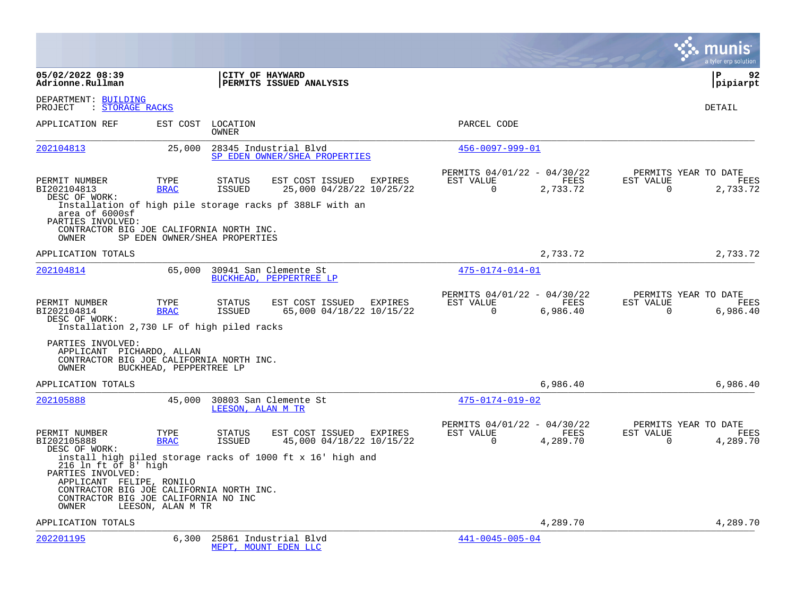|                                                                                                                                                                        |                               |                          |                                                            |                                                      |                  |                                               | a tyler erp solution   |
|------------------------------------------------------------------------------------------------------------------------------------------------------------------------|-------------------------------|--------------------------|------------------------------------------------------------|------------------------------------------------------|------------------|-----------------------------------------------|------------------------|
| 05/02/2022 08:39<br>Adrionne.Rullman                                                                                                                                   |                               |                          | CITY OF HAYWARD<br>PERMITS ISSUED ANALYSIS                 |                                                      |                  |                                               | l P<br>92<br> pipiarpt |
| DEPARTMENT: BUILDING<br>PROJECT<br>: STORAGE RACKS                                                                                                                     |                               |                          |                                                            |                                                      |                  |                                               | DETAIL                 |
| APPLICATION REF                                                                                                                                                        | EST COST                      | LOCATION<br><b>OWNER</b> |                                                            | PARCEL CODE                                          |                  |                                               |                        |
| 202104813                                                                                                                                                              | 25,000                        |                          | 28345 Industrial Blvd<br>SP EDEN OWNER/SHEA PROPERTIES     | $456 - 0097 - 999 - 01$                              |                  |                                               |                        |
| PERMIT NUMBER<br>BI202104813<br>DESC OF WORK:                                                                                                                          | TYPE<br><b>BRAC</b>           | STATUS<br>ISSUED         | EST COST ISSUED EXPIRES<br>25,000 04/28/22 10/25/22        | PERMITS 04/01/22 - 04/30/22<br>EST VALUE<br>$\Omega$ | FEES<br>2,733.72 | PERMITS YEAR TO DATE<br>EST VALUE<br>$\Omega$ | FEES<br>2,733.72       |
| area of 6000sf<br>PARTIES INVOLVED:<br>CONTRACTOR BIG JOE CALIFORNIA NORTH INC.<br>OWNER                                                                               | SP EDEN OWNER/SHEA PROPERTIES |                          | Installation of high pile storage racks pf 388LF with an   |                                                      |                  |                                               |                        |
| APPLICATION TOTALS                                                                                                                                                     |                               |                          |                                                            |                                                      | 2,733.72         |                                               | 2,733.72               |
| 202104814                                                                                                                                                              | 65,000                        |                          | 30941 San Clemente St<br>BUCKHEAD, PEPPERTREE LP           | $475 - 0174 - 014 - 01$                              |                  |                                               |                        |
| PERMIT NUMBER<br>BI202104814<br>DESC OF WORK:<br>Installation 2,730 LF of high piled racks                                                                             | TYPE<br><b>BRAC</b>           | STATUS<br>ISSUED         | EST COST ISSUED EXPIRES<br>65,000 04/18/22 10/15/22        | PERMITS 04/01/22 - 04/30/22<br>EST VALUE<br>$\Omega$ | FEES<br>6,986.40 | PERMITS YEAR TO DATE<br>EST VALUE<br>$\Omega$ | FEES<br>6,986.40       |
| PARTIES INVOLVED:<br>APPLICANT PICHARDO, ALLAN<br>CONTRACTOR BIG JOE CALIFORNIA NORTH INC.<br>OWNER                                                                    | BUCKHEAD, PEPPERTREE LP       |                          |                                                            |                                                      |                  |                                               |                        |
| APPLICATION TOTALS                                                                                                                                                     |                               |                          |                                                            |                                                      | 6,986.40         |                                               | 6,986.40               |
| 202105888                                                                                                                                                              | 45,000                        | LEESON, ALAN M TR        | 30803 San Clemente St                                      | $475 - 0174 - 019 - 02$                              |                  |                                               |                        |
| PERMIT NUMBER<br>BI202105888<br>DESC OF WORK:                                                                                                                          | TYPE<br><b>BRAC</b>           | <b>STATUS</b><br>ISSUED  | EST COST ISSUED EXPIRES<br>45,000 04/18/22 10/15/22        | PERMITS 04/01/22 - 04/30/22<br>EST VALUE<br>$\Omega$ | FEES<br>4,289.70 | PERMITS YEAR TO DATE<br>EST VALUE<br>$\Omega$ | FEES<br>4,289.70       |
| $216$ ln ft of $8'$ high<br>PARTIES INVOLVED:<br>APPLICANT FELIPE, RONILO<br>CONTRACTOR BIG JOE CALIFORNIA NORTH INC.<br>CONTRACTOR BIG JOE CALIFORNIA NO INC<br>OWNER | LEESON, ALAN M TR             |                          | install high piled storage racks of 1000 ft x 16' high and |                                                      |                  |                                               |                        |
| APPLICATION TOTALS                                                                                                                                                     |                               |                          |                                                            |                                                      | 4,289.70         |                                               | 4,289.70               |
| 202201195                                                                                                                                                              | 6,300                         |                          | 25861 Industrial Blvd<br>MEPT, MOUNT EDEN LLC              | 441-0045-005-04                                      |                  |                                               |                        |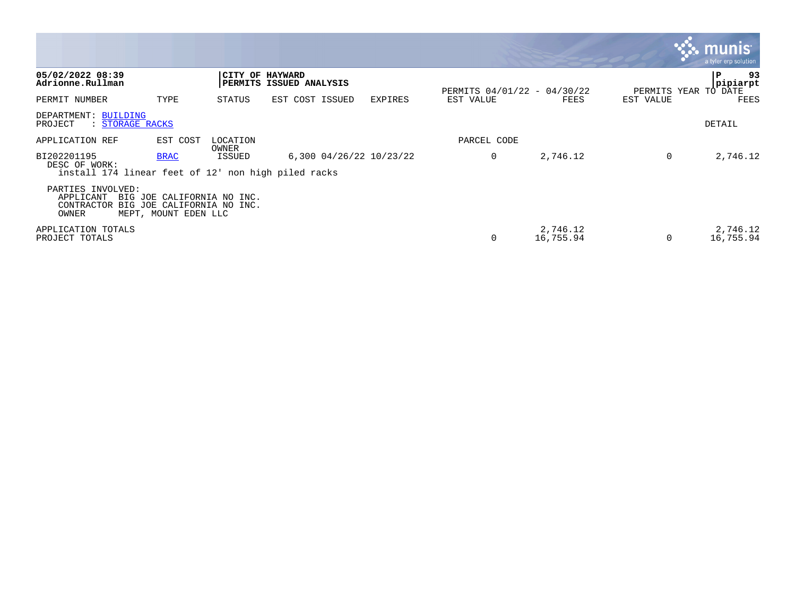|                                                                                     |                                                                                  |                   |                         |         |                                          |                       |           | a tyler erp solution         |
|-------------------------------------------------------------------------------------|----------------------------------------------------------------------------------|-------------------|-------------------------|---------|------------------------------------------|-----------------------|-----------|------------------------------|
| 05/02/2022 08:39<br>Adrionne.Rullman                                                |                                                                                  | CITY OF HAYWARD   | PERMITS ISSUED ANALYSIS |         |                                          |                       |           | 93<br>P<br>pipiarpt          |
| PERMIT NUMBER                                                                       | TYPE                                                                             | STATUS            | EST COST ISSUED         | EXPIRES | PERMITS 04/01/22 - 04/30/22<br>EST VALUE | FEES                  | EST VALUE | PERMITS YEAR TO DATE<br>FEES |
| DEPARTMENT: BUILDING<br>: STORAGE RACKS<br>PROJECT                                  |                                                                                  |                   |                         |         |                                          |                       |           | DETAIL                       |
| APPLICATION REF                                                                     | EST COST                                                                         | LOCATION<br>OWNER |                         |         | PARCEL CODE                              |                       |           |                              |
| BI202201195<br>DESC OF WORK:<br>install 174 linear feet of 12' non high piled racks | <b>BRAC</b>                                                                      | ISSUED            | 6,300 04/26/22 10/23/22 |         | 0                                        | 2,746.12              | 0         | 2,746.12                     |
| PARTIES INVOLVED:<br>APPLICANT<br>CONTRACTOR<br>OWNER                               | BIG JOE CALIFORNIA NO INC.<br>BIG JOE CALIFORNIA NO INC.<br>MEPT, MOUNT EDEN LLC |                   |                         |         |                                          |                       |           |                              |
| APPLICATION TOTALS<br>PROJECT TOTALS                                                |                                                                                  |                   |                         |         | $\Omega$                                 | 2,746.12<br>16,755.94 | $\Omega$  | 2,746.12<br>16,755.94        |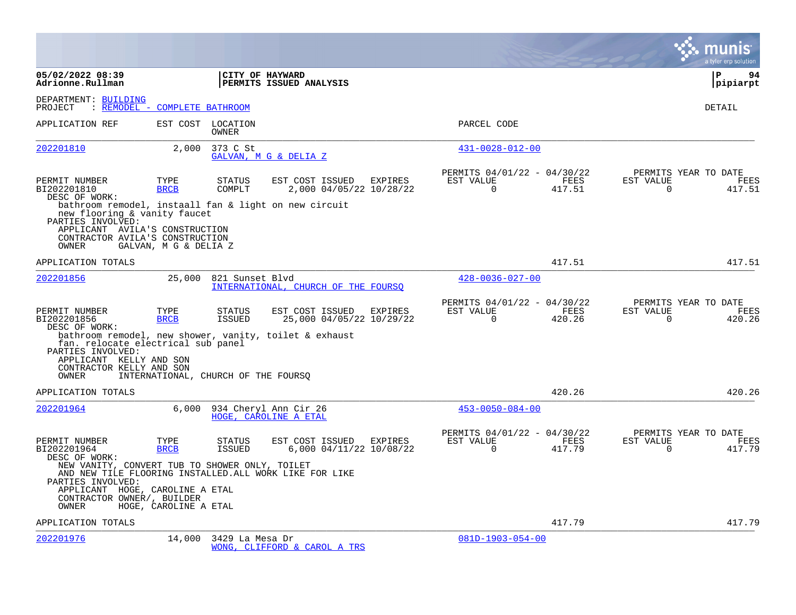|                                                                                                                                                                                                                                  |                                     |                                   |                                                                                                       |         |                                                      |                |                       | a tyler erp solution                   |
|----------------------------------------------------------------------------------------------------------------------------------------------------------------------------------------------------------------------------------|-------------------------------------|-----------------------------------|-------------------------------------------------------------------------------------------------------|---------|------------------------------------------------------|----------------|-----------------------|----------------------------------------|
| 05/02/2022 08:39<br>Adrionne.Rullman                                                                                                                                                                                             |                                     | CITY OF HAYWARD                   | <b>PERMITS ISSUED ANALYSIS</b>                                                                        |         |                                                      |                |                       | l P<br>94<br>pipiarpt                  |
| DEPARTMENT: BUILDING<br>PROJECT                                                                                                                                                                                                  | : REMODEL - COMPLETE BATHROOM       |                                   |                                                                                                       |         |                                                      |                |                       | DETAIL                                 |
| APPLICATION REF                                                                                                                                                                                                                  |                                     | EST COST LOCATION<br><b>OWNER</b> |                                                                                                       |         | PARCEL CODE                                          |                |                       |                                        |
| 202201810                                                                                                                                                                                                                        | 2,000                               | 373 C St                          | GALVAN, M G & DELIA Z                                                                                 |         | $431 - 0028 - 012 - 00$                              |                |                       |                                        |
| PERMIT NUMBER<br>BI202201810<br>DESC OF WORK:<br>bathroom remodel, instaall fan & light on new circuit<br>new flooring & vanity faucet<br>PARTIES INVOLVED:<br>APPLICANT AVILA'S CONSTRUCTION<br>CONTRACTOR AVILA'S CONSTRUCTION | TYPE<br><b>BRCB</b>                 | <b>STATUS</b><br>COMPLT           | EST COST ISSUED<br>2,000 04/05/22 10/28/22                                                            | EXPIRES | PERMITS 04/01/22 - 04/30/22<br>EST VALUE<br>$\Omega$ | FEES<br>417.51 | EST VALUE<br>$\Omega$ | PERMITS YEAR TO DATE<br>FEES<br>417.51 |
| OWNER                                                                                                                                                                                                                            | GALVAN, M G & DELIA Z               |                                   |                                                                                                       |         |                                                      |                |                       | 417.51                                 |
| APPLICATION TOTALS                                                                                                                                                                                                               |                                     |                                   |                                                                                                       |         |                                                      | 417.51         |                       |                                        |
| 202201856                                                                                                                                                                                                                        | 25,000                              | 821 Sunset Blvd                   | INTERNATIONAL, CHURCH OF THE FOURSO                                                                   |         | $428 - 0036 - 027 - 00$                              |                |                       |                                        |
| PERMIT NUMBER<br>BI202201856<br>DESC OF WORK:<br>fan. relocate electrical sub panel<br>PARTIES INVOLVED:<br>APPLICANT KELLY AND SON                                                                                              | TYPE<br><b>BRCB</b>                 | <b>STATUS</b><br><b>ISSUED</b>    | EST COST ISSUED<br>25,000 04/05/22 10/29/22<br>bathroom remodel, new shower, vanity, toilet & exhaust | EXPIRES | PERMITS 04/01/22 - 04/30/22<br>EST VALUE<br>$\Omega$ | FEES<br>420.26 | EST VALUE<br>$\Omega$ | PERMITS YEAR TO DATE<br>FEES<br>420.26 |
| CONTRACTOR KELLY AND SON<br>OWNER                                                                                                                                                                                                | INTERNATIONAL, CHURCH OF THE FOURSQ |                                   |                                                                                                       |         |                                                      |                |                       |                                        |
| APPLICATION TOTALS                                                                                                                                                                                                               |                                     |                                   |                                                                                                       |         |                                                      | 420.26         |                       | 420.26                                 |
| 202201964                                                                                                                                                                                                                        | 6,000                               |                                   | 934 Cheryl Ann Cir 26<br>HOGE, CAROLINE A ETAL                                                        |         | $453 - 0050 - 084 - 00$                              |                |                       |                                        |
| PERMIT NUMBER<br>BI202201964<br>DESC OF WORK:<br>NEW VANITY, CONVERT TUB TO SHOWER ONLY, TOILET<br>PARTIES INVOLVED:<br>APPLICANT HOGE, CAROLINE A ETAL                                                                          | TYPE<br><b>BRCB</b>                 | STATUS<br><b>ISSUED</b>           | EST COST ISSUED<br>6,000 04/11/22 10/08/22<br>AND NEW TILE FLOORING INSTALLED. ALL WORK LIKE FOR LIKE | EXPIRES | PERMITS 04/01/22 - 04/30/22<br>EST VALUE<br>$\Omega$ | FEES<br>417.79 | EST VALUE<br>$\Omega$ | PERMITS YEAR TO DATE<br>FEES<br>417.79 |
| CONTRACTOR OWNER/, BUILDER<br>OWNER                                                                                                                                                                                              | HOGE, CAROLINE A ETAL               |                                   |                                                                                                       |         |                                                      |                |                       |                                        |
| APPLICATION TOTALS                                                                                                                                                                                                               |                                     |                                   |                                                                                                       |         |                                                      | 417.79         |                       | 417.79                                 |
| 202201976                                                                                                                                                                                                                        | 14,000                              | 3429 La Mesa Dr                   | WONG, CLIFFORD & CAROL A TRS                                                                          |         | $081D-1903-054-00$                                   |                |                       |                                        |

**College**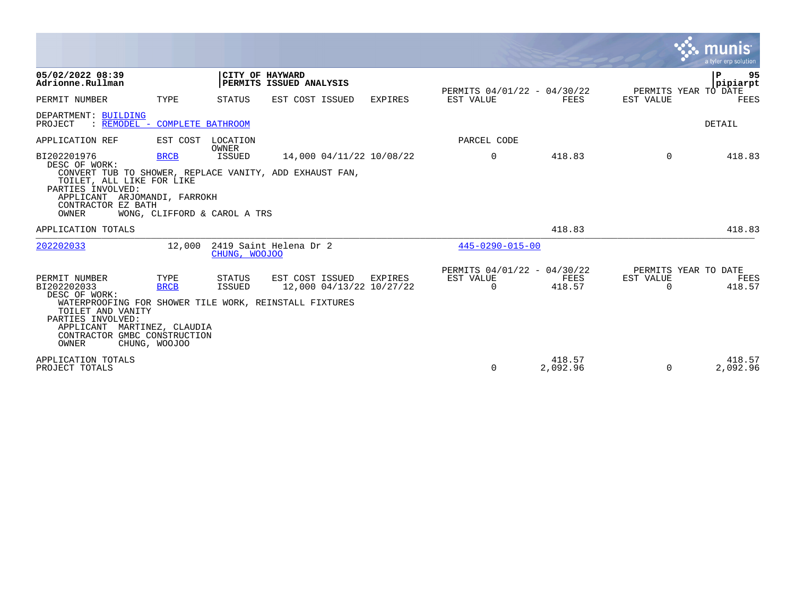|                                                                                                  |                                                                                                          |                   |                                                                                                       |                |                                                      |                    |                       | munis<br>a tyler erp solution               |
|--------------------------------------------------------------------------------------------------|----------------------------------------------------------------------------------------------------------|-------------------|-------------------------------------------------------------------------------------------------------|----------------|------------------------------------------------------|--------------------|-----------------------|---------------------------------------------|
| 05/02/2022 08:39<br>Adrionne.Rullman                                                             |                                                                                                          |                   | CITY OF HAYWARD<br><b>PERMITS ISSUED ANALYSIS</b>                                                     |                | PERMITS 04/01/22 - 04/30/22                          |                    |                       | P<br>95<br>pipiarpt<br>PERMITS YEAR TO DATE |
| PERMIT NUMBER                                                                                    | TYPE                                                                                                     | STATUS            | EST COST ISSUED                                                                                       | <b>EXPIRES</b> | EST VALUE                                            | FEES               | EST VALUE             | <b>FEES</b>                                 |
| DEPARTMENT: BUILDING<br>PROJECT                                                                  | : REMODEL - COMPLETE BATHROOM                                                                            |                   |                                                                                                       |                |                                                      |                    |                       | DETAIL                                      |
| APPLICATION REF                                                                                  | EST COST                                                                                                 | LOCATION<br>OWNER |                                                                                                       |                | PARCEL CODE                                          |                    |                       |                                             |
| BI202201976<br>DESC OF WORK:<br>PARTIES INVOLVED:<br>CONTRACTOR EZ BATH<br>OWNER                 | <b>BRCB</b><br>TOILET, ALL LIKE FOR LIKE<br>APPLICANT ARJOMANDI, FARROKH<br>WONG, CLIFFORD & CAROL A TRS | ISSUED            | 14,000 04/11/22 10/08/22<br>CONVERT TUB TO SHOWER, REPLACE VANITY, ADD EXHAUST FAN,                   |                | $\Omega$                                             | 418.83             | $\Omega$              | 418.83                                      |
| APPLICATION TOTALS                                                                               |                                                                                                          |                   |                                                                                                       |                |                                                      | 418.83             |                       | 418.83                                      |
| 202202033                                                                                        | 12,000                                                                                                   | CHUNG, WOOJOO     | 2419 Saint Helena Dr 2                                                                                |                | $445 - 0290 - 015 - 00$                              |                    |                       |                                             |
| PERMIT NUMBER<br>BI202202033<br>DESC OF WORK:<br>TOILET AND VANITY<br>PARTIES INVOLVED:<br>OWNER | TYPE<br><b>BRCB</b><br>APPLICANT MARTINEZ, CLAUDIA<br>CONTRACTOR GMBC CONSTRUCTION<br>CHUNG, WOOJOO      | STATUS<br>ISSUED  | EST COST ISSUED<br>12,000 04/13/22 10/27/22<br>WATERPROOFING FOR SHOWER TILE WORK, REINSTALL FIXTURES | EXPIRES        | PERMITS 04/01/22 - 04/30/22<br>EST VALUE<br>$\Omega$ | FEES<br>418.57     | EST VALUE<br>$\Omega$ | PERMITS YEAR TO DATE<br>FEES<br>418.57      |
| APPLICATION TOTALS<br>PROJECT TOTALS                                                             |                                                                                                          |                   |                                                                                                       |                | $\Omega$                                             | 418.57<br>2,092.96 | $\Omega$              | 418.57<br>2,092.96                          |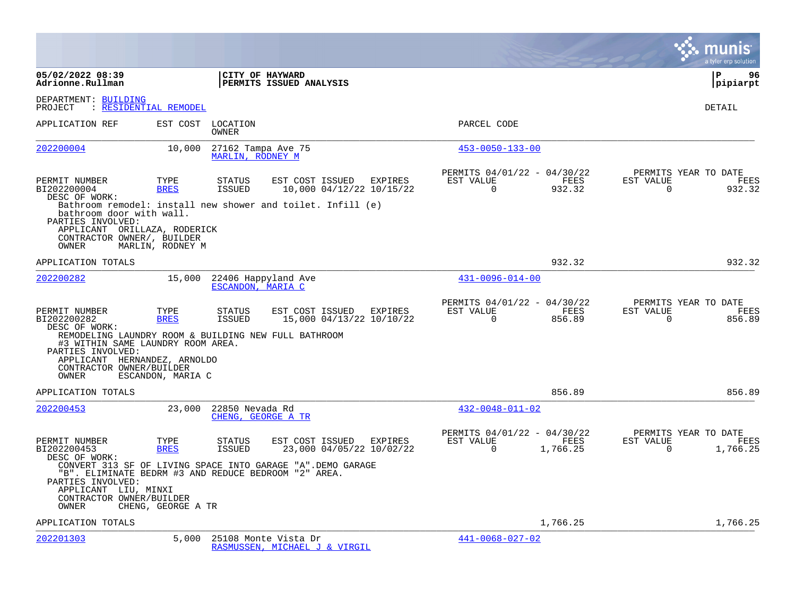|                                                                                                                                            |                       |                                          |                                                             |         |                                                      |                  |                       | a tyler erp solution                     |
|--------------------------------------------------------------------------------------------------------------------------------------------|-----------------------|------------------------------------------|-------------------------------------------------------------|---------|------------------------------------------------------|------------------|-----------------------|------------------------------------------|
| 05/02/2022 08:39<br>Adrionne.Rullman                                                                                                       |                       | CITY OF HAYWARD                          | PERMITS ISSUED ANALYSIS                                     |         |                                                      |                  |                       | ΙP<br>96<br> pipiarpt                    |
| DEPARTMENT: BUILDING<br>PROJECT                                                                                                            | : RESIDENTIAL REMODEL |                                          |                                                             |         |                                                      |                  |                       | <b>DETAIL</b>                            |
| APPLICATION REF                                                                                                                            | EST COST              | LOCATION<br>OWNER                        |                                                             |         | PARCEL CODE                                          |                  |                       |                                          |
| 202200004                                                                                                                                  | 10,000                | 27162 Tampa Ave 75<br>MARLIN, RODNEY M   |                                                             |         | $453 - 0050 - 133 - 00$                              |                  |                       |                                          |
| PERMIT NUMBER<br>BI202200004<br>DESC OF WORK:                                                                                              | TYPE<br><b>BRES</b>   | <b>STATUS</b><br>ISSUED                  | EST COST ISSUED EXPIRES<br>10,000 04/12/22 10/15/22         |         | PERMITS 04/01/22 - 04/30/22<br>EST VALUE<br>$\Omega$ | FEES<br>932.32   | EST VALUE<br>$\Omega$ | PERMITS YEAR TO DATE<br>FEES<br>932.32   |
| bathroom door with wall.<br>PARTIES INVOLVED:<br>APPLICANT ORILLAZA, RODERICK<br>CONTRACTOR OWNER/, BUILDER<br>OWNER                       | MARLIN, RODNEY M      |                                          | Bathroom remodel: install new shower and toilet. Infill (e) |         |                                                      |                  |                       |                                          |
| APPLICATION TOTALS                                                                                                                         |                       |                                          |                                                             |         |                                                      | 932.32           |                       | 932.32                                   |
| 202200282                                                                                                                                  | 15,000                | 22406 Happyland Ave<br>ESCANDON, MARIA C |                                                             |         | $431 - 0096 - 014 - 00$                              |                  |                       |                                          |
| PERMIT NUMBER<br>BI202200282<br>DESC OF WORK:<br>REMODELING LAUNDRY ROOM & BUILDING NEW FULL BATHROOM<br>#3 WITHIN SAME LAUNDRY ROOM AREA. | TYPE<br><b>BRES</b>   | <b>STATUS</b><br><b>ISSUED</b>           | EST COST ISSUED<br>15,000 04/13/22 10/10/22                 | EXPIRES | PERMITS 04/01/22 - 04/30/22<br>EST VALUE<br>$\Omega$ | FEES<br>856.89   | EST VALUE<br>$\Omega$ | PERMITS YEAR TO DATE<br>FEES<br>856.89   |
| PARTIES INVOLVED:<br>APPLICANT HERNANDEZ, ARNOLDO<br>CONTRACTOR OWNER/BUILDER<br>OWNER                                                     | ESCANDON, MARIA C     |                                          |                                                             |         |                                                      |                  |                       |                                          |
| APPLICATION TOTALS                                                                                                                         |                       |                                          |                                                             |         |                                                      | 856.89           |                       | 856.89                                   |
| 202200453                                                                                                                                  | 23,000                | 22850 Nevada Rd<br>CHENG, GEORGE A TR    |                                                             |         | $432 - 0048 - 011 - 02$                              |                  |                       |                                          |
| PERMIT NUMBER<br>BI202200453<br>DESC OF WORK:                                                                                              | TYPE<br><b>BRES</b>   | STATUS<br><b>ISSUED</b>                  | EST COST ISSUED EXPIRES<br>23,000 04/05/22 10/02/22         |         | PERMITS 04/01/22 - 04/30/22<br>EST VALUE<br>$\Omega$ | FEES<br>1,766.25 | EST VALUE<br>$\Omega$ | PERMITS YEAR TO DATE<br>FEES<br>1,766.25 |
| "B". ELIMINATE BEDRM #3 AND REDUCE BEDROOM "2" AREA.<br>PARTIES INVOLVED:<br>APPLICANT LIU, MINXI<br>CONTRACTOR OWNER/BUILDER<br>OWNER     | CHENG, GEORGE A TR    |                                          | CONVERT 313 SF OF LIVING SPACE INTO GARAGE "A". DEMO GARAGE |         |                                                      |                  |                       |                                          |
| APPLICATION TOTALS                                                                                                                         |                       |                                          |                                                             |         |                                                      | 1,766.25         |                       | 1,766.25                                 |
| 202201303                                                                                                                                  | 5,000                 |                                          | 25108 Monte Vista Dr<br>RASMUSSEN, MICHAEL J & VIRGIL       |         | $441 - 0068 - 027 - 02$                              |                  |                       |                                          |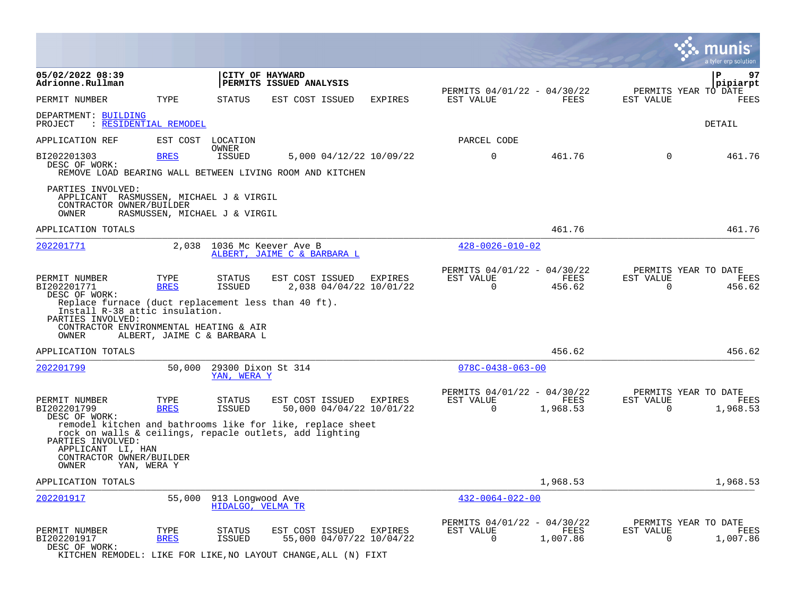|                                                                                                                                                               |                               |                                       |                                                                                                                       |                |                                                      |                  |                                   | munis<br>a tyler erp solution            |
|---------------------------------------------------------------------------------------------------------------------------------------------------------------|-------------------------------|---------------------------------------|-----------------------------------------------------------------------------------------------------------------------|----------------|------------------------------------------------------|------------------|-----------------------------------|------------------------------------------|
| 05/02/2022 08:39<br>Adrionne.Rullman                                                                                                                          |                               |                                       | CITY OF HAYWARD<br>PERMITS ISSUED ANALYSIS                                                                            |                |                                                      |                  |                                   | $\mathbf{P}$<br>97<br>pipiarpt           |
| PERMIT NUMBER                                                                                                                                                 | TYPE                          | STATUS                                | EST COST ISSUED                                                                                                       | <b>EXPIRES</b> | PERMITS 04/01/22 - 04/30/22<br>EST VALUE             | FEES             | PERMITS YEAR TO DATE<br>EST VALUE | FEES                                     |
| DEPARTMENT: BUILDING<br>PROJECT                                                                                                                               | : RESIDENTIAL REMODEL         |                                       |                                                                                                                       |                |                                                      |                  |                                   | DETAIL                                   |
| APPLICATION REF                                                                                                                                               | EST COST                      | LOCATION                              |                                                                                                                       |                | PARCEL CODE                                          |                  |                                   |                                          |
| BI202201303<br>DESC OF WORK:                                                                                                                                  | <b>BRES</b>                   | OWNER<br><b>ISSUED</b>                | 5,000 04/12/22 10/09/22<br>REMOVE LOAD BEARING WALL BETWEEN LIVING ROOM AND KITCHEN                                   |                | $\mathbf 0$                                          | 461.76           | $\Omega$                          | 461.76                                   |
| PARTIES INVOLVED:<br>APPLICANT RASMUSSEN, MICHAEL J & VIRGIL<br>CONTRACTOR OWNER/BUILDER<br>OWNER                                                             | RASMUSSEN, MICHAEL J & VIRGIL |                                       |                                                                                                                       |                |                                                      |                  |                                   |                                          |
| APPLICATION TOTALS                                                                                                                                            |                               |                                       |                                                                                                                       |                |                                                      | 461.76           |                                   | 461.76                                   |
| 202201771                                                                                                                                                     | 2,038                         |                                       | 1036 Mc Keever Ave B<br>ALBERT, JAIME C & BARBARA L                                                                   |                | $428 - 0026 - 010 - 02$                              |                  |                                   |                                          |
| PERMIT NUMBER<br>BI202201771<br>DESC OF WORK:                                                                                                                 | TYPE<br><b>BRES</b>           | STATUS<br><b>ISSUED</b>               | EST COST ISSUED<br>2,038 04/04/22 10/01/22                                                                            | EXPIRES        | PERMITS 04/01/22 - 04/30/22<br>EST VALUE<br>$\Omega$ | FEES<br>456.62   | EST VALUE<br>$\Omega$             | PERMITS YEAR TO DATE<br>FEES<br>456.62   |
| Replace furnace (duct replacement less than 40 ft).<br>Install R-38 attic insulation.<br>PARTIES INVOLVED:<br>CONTRACTOR ENVIRONMENTAL HEATING & AIR<br>OWNER | ALBERT, JAIME C & BARBARA L   |                                       |                                                                                                                       |                |                                                      |                  |                                   |                                          |
| APPLICATION TOTALS                                                                                                                                            |                               |                                       |                                                                                                                       |                |                                                      | 456.62           |                                   | 456.62                                   |
| 202201799                                                                                                                                                     | 50,000                        | 29300 Dixon St 314<br>YAN, WERA Y     |                                                                                                                       |                | $078C - 0438 - 063 - 00$                             |                  |                                   |                                          |
| PERMIT NUMBER<br>BI202201799<br>DESC OF WORK:                                                                                                                 | TYPE<br><b>BRES</b>           | <b>STATUS</b><br><b>ISSUED</b>        | EST COST ISSUED EXPIRES<br>50,000 04/04/22 10/01/22                                                                   |                | PERMITS 04/01/22 - 04/30/22<br>EST VALUE<br>$\Omega$ | FEES<br>1,968.53 | EST VALUE<br>$\Omega$             | PERMITS YEAR TO DATE<br>FEES<br>1,968.53 |
| PARTIES INVOLVED:<br>APPLICANT LI, HAN                                                                                                                        |                               |                                       | remodel kitchen and bathrooms like for like, replace sheet<br>rock on walls & ceilings, repacle outlets, add lighting |                |                                                      |                  |                                   |                                          |
| CONTRACTOR OWNER/BUILDER<br>OWNER                                                                                                                             | YAN, WERA Y                   |                                       |                                                                                                                       |                |                                                      |                  |                                   |                                          |
| APPLICATION TOTALS                                                                                                                                            |                               |                                       |                                                                                                                       |                |                                                      | 1,968.53         |                                   | 1,968.53                                 |
| 202201917                                                                                                                                                     | 55,000                        | 913 Longwood Ave<br>HIDALGO, VELMA TR |                                                                                                                       |                | $432 - 0064 - 022 - 00$                              |                  |                                   |                                          |
| PERMIT NUMBER<br>BI202201917<br>DESC OF WORK:                                                                                                                 | TYPE<br><b>BRES</b>           | <b>STATUS</b><br><b>ISSUED</b>        | EST COST ISSUED<br>55,000 04/07/22 10/04/22<br>KITCHEN REMODEL: LIKE FOR LIKE, NO LAYOUT CHANGE, ALL (N) FIXT         | EXPIRES        | PERMITS 04/01/22 - 04/30/22<br>EST VALUE<br>$\Omega$ | FEES<br>1,007.86 | EST VALUE<br>$\Omega$             | PERMITS YEAR TO DATE<br>FEES<br>1,007.86 |

**COL**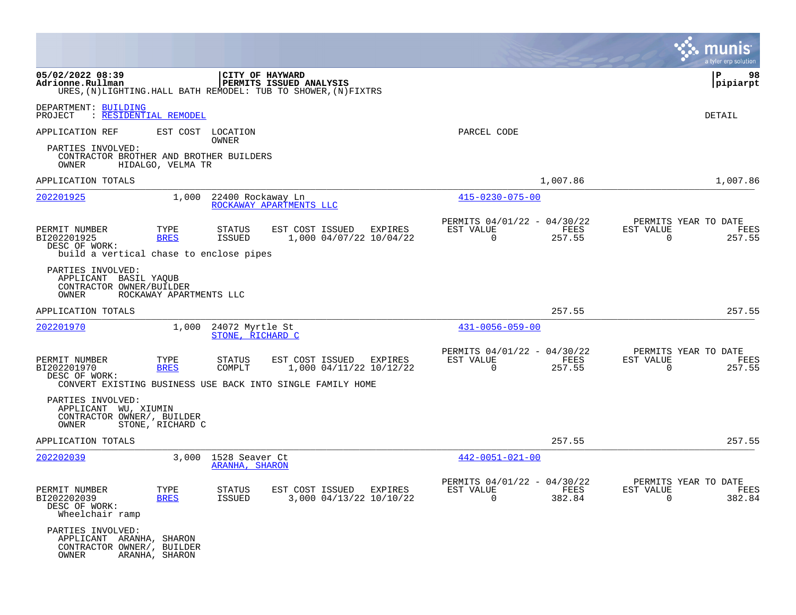|                                                                                          |                         |                                         |                                                                                             |                                                      |                | munis<br>a tyler erp solution                                   |
|------------------------------------------------------------------------------------------|-------------------------|-----------------------------------------|---------------------------------------------------------------------------------------------|------------------------------------------------------|----------------|-----------------------------------------------------------------|
| 05/02/2022 08:39<br>Adrionne.Rullman                                                     |                         | CITY OF HAYWARD                         | PERMITS ISSUED ANALYSIS<br>URES, (N) LIGHTING. HALL BATH REMODEL: TUB TO SHOWER, (N) FIXTRS |                                                      |                | 98<br>Р<br>pipiarpt                                             |
| DEPARTMENT: BUILDING<br>: RESIDENTIAL REMODEL<br>PROJECT                                 |                         |                                         |                                                                                             |                                                      |                | DETAIL                                                          |
| APPLICATION REF                                                                          | EST COST                | LOCATION<br>OWNER                       |                                                                                             | PARCEL CODE                                          |                |                                                                 |
| PARTIES INVOLVED:<br>CONTRACTOR BROTHER AND BROTHER BUILDERS<br>OWNER                    | HIDALGO, VELMA TR       |                                         |                                                                                             |                                                      |                |                                                                 |
| APPLICATION TOTALS                                                                       |                         |                                         |                                                                                             |                                                      | 1,007.86       | 1,007.86                                                        |
| 202201925                                                                                | 1,000                   | 22400 Rockaway Ln                       | ROCKAWAY APARTMENTS LLC                                                                     | 415-0230-075-00                                      |                |                                                                 |
| PERMIT NUMBER<br>BI202201925<br>DESC OF WORK:<br>build a vertical chase to enclose pipes | TYPE<br><b>BRES</b>     | STATUS<br><b>ISSUED</b>                 | EXPIRES<br>EST COST ISSUED<br>1,000 04/07/22 10/04/22                                       | PERMITS 04/01/22 - 04/30/22<br>EST VALUE<br>0        | FEES<br>257.55 | PERMITS YEAR TO DATE<br>EST VALUE<br>FEES<br>257.55<br>0        |
| PARTIES INVOLVED:<br>APPLICANT BASIL YAQUB<br>CONTRACTOR OWNER/BUILDER<br>OWNER          | ROCKAWAY APARTMENTS LLC |                                         |                                                                                             |                                                      |                |                                                                 |
| APPLICATION TOTALS                                                                       |                         |                                         |                                                                                             |                                                      | 257.55         | 257.55                                                          |
| 202201970                                                                                | 1,000                   | 24072 Myrtle St<br>STONE, RICHARD C     |                                                                                             | $431 - 0056 - 059 - 00$                              |                |                                                                 |
| PERMIT NUMBER<br>BI202201970<br>DESC OF WORK:                                            | TYPE<br><b>BRES</b>     | STATUS<br>COMPLT                        | EST COST ISSUED<br>EXPIRES<br>1,000 04/11/22 10/12/22                                       | PERMITS 04/01/22 - 04/30/22<br>EST VALUE<br>$\Omega$ | FEES<br>257.55 | PERMITS YEAR TO DATE<br>EST VALUE<br>FEES<br>257.55<br>$\Omega$ |
|                                                                                          |                         |                                         | CONVERT EXISTING BUSINESS USE BACK INTO SINGLE FAMILY HOME                                  |                                                      |                |                                                                 |
| PARTIES INVOLVED:<br>APPLICANT WU, XIUMIN<br>CONTRACTOR OWNER/, BUILDER<br>OWNER         | STONE, RICHARD C        |                                         |                                                                                             |                                                      |                |                                                                 |
| APPLICATION TOTALS                                                                       |                         |                                         |                                                                                             |                                                      | 257.55         | 257.55                                                          |
| 202202039                                                                                | 3,000                   | 1528 Seaver Ct<br><b>ARANHA, SHARON</b> |                                                                                             | $442 - 0051 - 021 - 00$                              |                |                                                                 |
| PERMIT NUMBER<br>BI202202039<br>DESC OF WORK:<br>Wheelchair ramp                         | TYPE<br><b>BRES</b>     | STATUS<br>ISSUED                        | EST COST ISSUED EXPIRES<br>3,000 04/13/22 10/10/22                                          | PERMITS 04/01/22 - 04/30/22<br>EST VALUE<br>$\Omega$ | FEES<br>382.84 | PERMITS YEAR TO DATE<br>EST VALUE<br>FEES<br>382.84<br>$\Omega$ |
| PARTIES INVOLVED:<br>APPLICANT ARANHA, SHARON<br>CONTRACTOR OWNER/, BUILDER<br>OWNER     | ARANHA, SHARON          |                                         |                                                                                             |                                                      |                |                                                                 |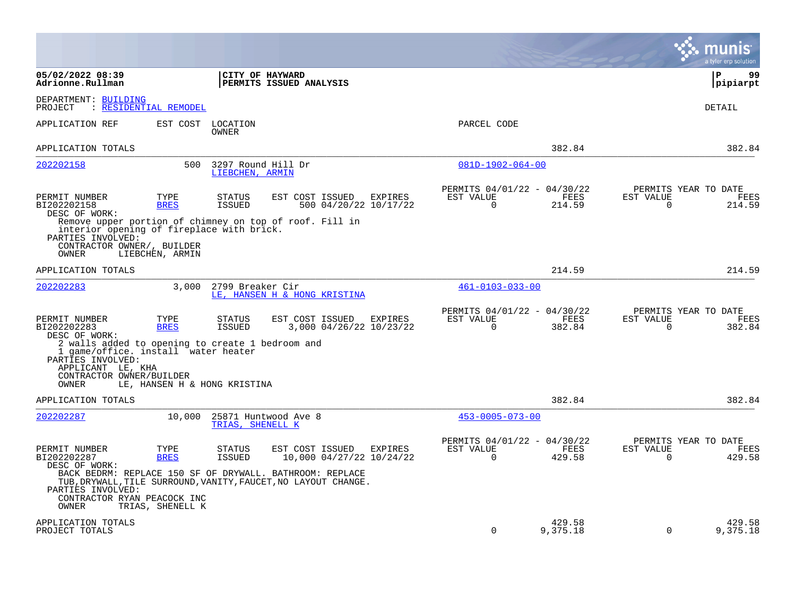|                                                                                                                                                                                                                         |                                         |                                                                |                                                                                                                                                                           |                                  |                                                         |                       |                             | a tyler erp solution                   |
|-------------------------------------------------------------------------------------------------------------------------------------------------------------------------------------------------------------------------|-----------------------------------------|----------------------------------------------------------------|---------------------------------------------------------------------------------------------------------------------------------------------------------------------------|----------------------------------|---------------------------------------------------------|-----------------------|-----------------------------|----------------------------------------|
| 05/02/2022 08:39<br>Adrionne.Rullman                                                                                                                                                                                    |                                         |                                                                | CITY OF HAYWARD<br>PERMITS ISSUED ANALYSIS                                                                                                                                |                                  |                                                         |                       |                             | l P<br>99<br> pipiarpt                 |
| DEPARTMENT: BUILDING<br>PROJECT<br>: RESIDENTIAL REMODEL                                                                                                                                                                |                                         |                                                                |                                                                                                                                                                           |                                  |                                                         |                       |                             | <b>DETAIL</b>                          |
| APPLICATION REF                                                                                                                                                                                                         | EST COST                                | LOCATION<br>OWNER                                              |                                                                                                                                                                           |                                  | PARCEL CODE                                             |                       |                             |                                        |
| APPLICATION TOTALS                                                                                                                                                                                                      |                                         |                                                                |                                                                                                                                                                           |                                  |                                                         | 382.84                |                             | 382.84                                 |
| 202202158                                                                                                                                                                                                               | 500                                     | 3297 Round Hill Dr<br>LIEBCHEN, ARMIN                          |                                                                                                                                                                           |                                  | $081D-1902-064-00$                                      |                       |                             |                                        |
| PERMIT NUMBER<br>BI202202158<br>DESC OF WORK:<br>interior opening of fireplace with brick.<br>PARTIES INVOLVED:<br>CONTRACTOR OWNER/, BUILDER<br>OWNER                                                                  | TYPE<br><b>BRES</b><br>LIEBCHEN, ARMIN  | <b>STATUS</b><br><b>ISSUED</b>                                 | EST COST ISSUED<br>Remove upper portion of chimney on top of roof. Fill in                                                                                                | EXPIRES<br>500 04/20/22 10/17/22 | PERMITS 04/01/22 - 04/30/22<br>EST VALUE<br>$\mathbf 0$ | FEES<br>214.59        | EST VALUE<br>$\overline{0}$ | PERMITS YEAR TO DATE<br>FEES<br>214.59 |
| APPLICATION TOTALS                                                                                                                                                                                                      |                                         |                                                                |                                                                                                                                                                           |                                  |                                                         | 214.59                |                             | 214.59                                 |
| 202202283                                                                                                                                                                                                               | 3.000                                   | 2799 Breaker Cir                                               | LE, HANSEN H & HONG KRISTINA                                                                                                                                              |                                  | $461 - 0103 - 033 - 00$                                 |                       |                             |                                        |
| PERMIT NUMBER<br>BI202202283<br>DESC OF WORK:<br>2 walls added to opening to create 1 bedroom and<br>1 game/office. install water heater<br>PARTIES INVOLVED:<br>APPLICANT LE, KHA<br>CONTRACTOR OWNER/BUILDER<br>OWNER | TYPE<br><b>BRES</b>                     | <b>STATUS</b><br><b>ISSUED</b><br>LE, HANSEN H & HONG KRISTINA | EST COST ISSUED<br>3,000 04/26/22 10/23/22                                                                                                                                | <b>EXPIRES</b>                   | PERMITS 04/01/22 - 04/30/22<br>EST VALUE<br>$\Omega$    | <b>FEES</b><br>382.84 | EST VALUE<br>$\Omega$       | PERMITS YEAR TO DATE<br>FEES<br>382.84 |
| APPLICATION TOTALS                                                                                                                                                                                                      |                                         |                                                                |                                                                                                                                                                           |                                  |                                                         | 382.84                |                             | 382.84                                 |
| 202202287                                                                                                                                                                                                               | 10,000                                  | TRIAS, SHENELL K                                               | 25871 Huntwood Ave 8                                                                                                                                                      |                                  | $453 - 0005 - 073 - 00$                                 |                       |                             |                                        |
| PERMIT NUMBER<br>BI202202287<br>DESC OF WORK:<br>PARTIES INVOLVED:<br>CONTRACTOR RYAN PEACOCK INC<br>OWNER                                                                                                              | TYPE<br><b>BRES</b><br>TRIAS, SHENELL K | STATUS<br><b>ISSUED</b>                                        | EST COST ISSUED<br>10,000 04/27/22 10/24/22<br>BACK BEDRM: REPLACE 150 SF OF DRYWALL. BATHROOM: REPLACE<br>TUB, DRYWALL, TILE SURROUND, VANITY, FAUCET, NO LAYOUT CHANGE. | EXPIRES                          | PERMITS 04/01/22 - 04/30/22<br>EST VALUE<br>$\Omega$    | FEES<br>429.58        | EST VALUE<br>$\Omega$       | PERMITS YEAR TO DATE<br>FEES<br>429.58 |
| APPLICATION TOTALS<br>PROJECT TOTALS                                                                                                                                                                                    |                                         |                                                                |                                                                                                                                                                           |                                  | $\Omega$                                                | 429.58<br>9,375.18    | $\Omega$                    | 429.58<br>9,375.18                     |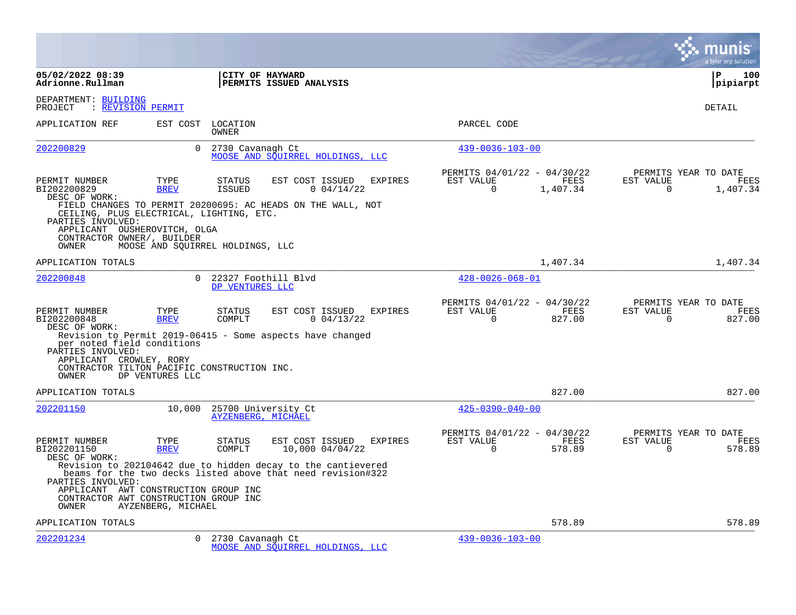|                                                                                                                                      |                                  |                          |                                                                                                                             |                |                                                      |                  |                       | a tyler erp solution                     |
|--------------------------------------------------------------------------------------------------------------------------------------|----------------------------------|--------------------------|-----------------------------------------------------------------------------------------------------------------------------|----------------|------------------------------------------------------|------------------|-----------------------|------------------------------------------|
| 05/02/2022 08:39<br>Adrionne.Rullman                                                                                                 |                                  |                          | CITY OF HAYWARD<br>PERMITS ISSUED ANALYSIS                                                                                  |                |                                                      |                  |                       | $\mathbf{P}$<br>100<br> pipiarpt         |
| DEPARTMENT: BUILDING<br>: REVISION PERMIT<br>PROJECT                                                                                 |                                  |                          |                                                                                                                             |                |                                                      |                  |                       | <b>DETAIL</b>                            |
| APPLICATION REF                                                                                                                      | EST COST                         | LOCATION<br><b>OWNER</b> |                                                                                                                             |                | PARCEL CODE                                          |                  |                       |                                          |
| 202200829                                                                                                                            | $\Omega$                         | 2730 Cavanagh Ct         | MOOSE AND SQUIRREL HOLDINGS, LLC                                                                                            |                | $439 - 0036 - 103 - 00$                              |                  |                       |                                          |
| PERMIT NUMBER<br>BI202200829<br>DESC OF WORK:                                                                                        | TYPE<br><b>BREV</b>              | <b>STATUS</b><br>ISSUED  | EST COST ISSUED<br>0.04/14/22                                                                                               | <b>EXPIRES</b> | PERMITS 04/01/22 - 04/30/22<br>EST VALUE<br>$\Omega$ | FEES<br>1,407.34 | EST VALUE<br>$\Omega$ | PERMITS YEAR TO DATE<br>FEES<br>1,407.34 |
| CEILING, PLUS ELECTRICAL, LIGHTING, ETC.<br>PARTIES INVOLVED:<br>APPLICANT OUSHEROVITCH, OLGA<br>CONTRACTOR OWNER/, BUILDER<br>OWNER | MOOSE AND SQUIRREL HOLDINGS, LLC |                          | FIELD CHANGES TO PERMIT 20200695: AC HEADS ON THE WALL, NOT                                                                 |                |                                                      |                  |                       |                                          |
| APPLICATION TOTALS                                                                                                                   |                                  |                          |                                                                                                                             |                |                                                      | 1,407.34         |                       | 1,407.34                                 |
| 202200848                                                                                                                            | $\Omega$                         | DP VENTURES LLC          | 22327 Foothill Blvd                                                                                                         |                | $428 - 0026 - 068 - 01$                              |                  |                       |                                          |
| PERMIT NUMBER<br>BI202200848<br>DESC OF WORK:                                                                                        | TYPE<br><b>BREV</b>              | STATUS<br>COMPLT         | EST COST ISSUED<br>0.04/13/22                                                                                               | <b>EXPIRES</b> | PERMITS 04/01/22 - 04/30/22<br>EST VALUE<br>$\Omega$ | FEES<br>827.00   | EST VALUE<br>$\Omega$ | PERMITS YEAR TO DATE<br>FEES<br>827.00   |
| per noted field conditions<br>PARTIES INVOLVED:<br>APPLICANT CROWLEY, RORY<br>CONTRACTOR TILTON PACIFIC CONSTRUCTION INC.<br>OWNER   | DP VENTURES LLC                  |                          | Revision to Permit 2019-06415 - Some aspects have changed                                                                   |                |                                                      |                  |                       |                                          |
| APPLICATION TOTALS                                                                                                                   |                                  |                          |                                                                                                                             |                |                                                      | 827.00           |                       | 827.00                                   |
| 202201150                                                                                                                            | 10,000                           | AYZENBERG, MICHAEL       | 25700 University Ct                                                                                                         |                | $425 - 0390 - 040 - 00$                              |                  |                       |                                          |
| PERMIT NUMBER<br>BI202201150<br>DESC OF WORK:                                                                                        | TYPE<br><b>BREV</b>              | STATUS<br>COMPLT         | EST COST ISSUED<br>$10,000$ $04/04/22$                                                                                      | <b>EXPIRES</b> | PERMITS 04/01/22 - 04/30/22<br>EST VALUE<br>$\Omega$ | FEES<br>578.89   | EST VALUE<br>$\Omega$ | PERMITS YEAR TO DATE<br>FEES<br>578.89   |
| PARTIES INVOLVED:<br>APPLICANT AWT CONSTRUCTION GROUP INC                                                                            |                                  |                          | Revision to 202104642 due to hidden decay to the cantievered<br>beams for the two decks listed above that need revision#322 |                |                                                      |                  |                       |                                          |
| CONTRACTOR AWT CONSTRUCTION GROUP INC<br>OWNER                                                                                       | AYZENBERG, MICHAEL               |                          |                                                                                                                             |                |                                                      |                  |                       |                                          |
| APPLICATION TOTALS                                                                                                                   |                                  |                          |                                                                                                                             |                |                                                      | 578.89           |                       | 578.89                                   |
| 202201234                                                                                                                            | $\Omega$                         | 2730 Cavanagh Ct         | MOOSE AND SQUIRREL HOLDINGS, LLC                                                                                            |                | $439 - 0036 - 103 - 00$                              |                  |                       |                                          |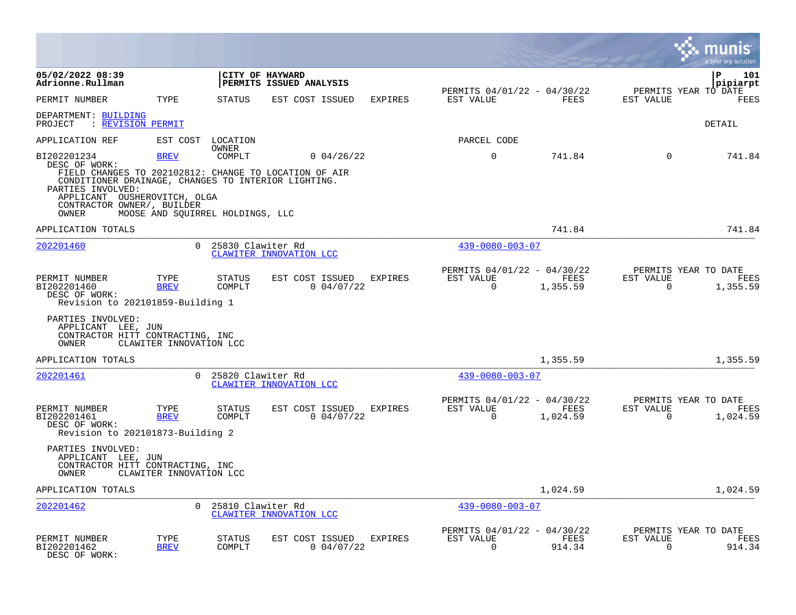|                                                                                                                                                                                                                                 |                                  |                         |                                            |                |                                                         |                  |                             | mun<br>IIS<br>a tyler erp solution              |
|---------------------------------------------------------------------------------------------------------------------------------------------------------------------------------------------------------------------------------|----------------------------------|-------------------------|--------------------------------------------|----------------|---------------------------------------------------------|------------------|-----------------------------|-------------------------------------------------|
| 05/02/2022 08:39<br>Adrionne.Rullman                                                                                                                                                                                            |                                  |                         | CITY OF HAYWARD<br>PERMITS ISSUED ANALYSIS |                |                                                         |                  |                             | 101<br>P<br>pipiarpt                            |
| PERMIT NUMBER                                                                                                                                                                                                                   | TYPE                             | <b>STATUS</b>           | EST COST ISSUED                            | <b>EXPIRES</b> | PERMITS 04/01/22 - 04/30/22<br>EST VALUE                | FEES             | EST VALUE                   | PERMITS YEAR TO DATE<br><b>FEES</b>             |
| DEPARTMENT: BUILDING<br>PROJECT<br>: REVISION PERMIT                                                                                                                                                                            |                                  |                         |                                            |                |                                                         |                  |                             | <b>DETAIL</b>                                   |
| APPLICATION REF                                                                                                                                                                                                                 | EST COST                         | LOCATION                |                                            |                | PARCEL CODE                                             |                  |                             |                                                 |
| BI202201234<br>DESC OF WORK:<br>FIELD CHANGES TO 202102812: CHANGE TO LOCATION OF AIR<br>CONDITIONER DRAINAGE, CHANGES TO INTERIOR LIGHTING.<br>PARTIES INVOLVED:<br>APPLICANT OUSHEROVITCH, OLGA<br>CONTRACTOR OWNER/, BUILDER | <b>BREV</b>                      | OWNER<br>COMPLT         | 0.04/26/22                                 |                | $\mathbf 0$                                             | 741.84           | $\mathbf 0$                 | 741.84                                          |
| <b>OWNER</b>                                                                                                                                                                                                                    | MOOSE AND SOUIRREL HOLDINGS, LLC |                         |                                            |                |                                                         |                  |                             |                                                 |
| APPLICATION TOTALS                                                                                                                                                                                                              |                                  |                         |                                            |                |                                                         | 741.84           |                             | 741.84                                          |
| 202201460                                                                                                                                                                                                                       | $\Omega$                         | 25830 Clawiter Rd       | CLAWITER INNOVATION LCC                    |                | $439 - 0080 - 003 - 07$                                 |                  |                             |                                                 |
| PERMIT NUMBER<br>BI202201460<br>DESC OF WORK:<br>Revision to 202101859-Building 1                                                                                                                                               | TYPE<br><b>BREV</b>              | <b>STATUS</b><br>COMPLT | EST COST ISSUED<br>0.04/07/22              | EXPIRES        | PERMITS 04/01/22 - 04/30/22<br>EST VALUE<br>$\Omega$    | FEES<br>1,355.59 | EST VALUE<br>$\Omega$       | PERMITS YEAR TO DATE<br>FEES<br>1,355.59        |
| PARTIES INVOLVED:<br>APPLICANT LEE, JUN<br>CONTRACTOR HITT CONTRACTING, INC<br>OWNER                                                                                                                                            | CLAWITER INNOVATION LCC          |                         |                                            |                |                                                         |                  |                             |                                                 |
| APPLICATION TOTALS                                                                                                                                                                                                              |                                  |                         |                                            |                |                                                         | 1,355.59         |                             | 1,355.59                                        |
| 202201461                                                                                                                                                                                                                       | $\Omega$                         | 25820 Clawiter Rd       | CLAWITER INNOVATION LCC                    |                | $439 - 0080 - 003 - 07$                                 |                  |                             |                                                 |
| PERMIT NUMBER<br>BI202201461<br>DESC OF WORK:<br>Revision to 202101873-Building 2                                                                                                                                               | TYPE<br><b>BREV</b>              | STATUS<br>COMPLT        | EST COST ISSUED<br>0.04/07/22              | EXPIRES        | PERMITS 04/01/22 - 04/30/22<br>EST VALUE<br>$\mathbf 0$ | FEES<br>1,024.59 | EST VALUE<br>$\overline{0}$ | PERMITS YEAR TO DATE<br><b>FEES</b><br>1,024.59 |
| PARTIES INVOLVED:<br>APPLICANT LEE, JUN<br>CONTRACTOR HITT CONTRACTING, INC<br>OWNER                                                                                                                                            | CLAWITER INNOVATION LCC          |                         |                                            |                |                                                         |                  |                             |                                                 |
| APPLICATION TOTALS                                                                                                                                                                                                              |                                  |                         |                                            |                |                                                         | 1,024.59         |                             | 1,024.59                                        |
| 202201462                                                                                                                                                                                                                       | $\Omega$                         | 25810 Clawiter Rd       | CLAWITER INNOVATION LCC                    |                | $439 - 0080 - 003 - 07$                                 |                  |                             |                                                 |
| PERMIT NUMBER<br>BI202201462<br>DESC OF WORK:                                                                                                                                                                                   | TYPE<br><b>BREV</b>              | STATUS<br>COMPLT        | EST COST ISSUED<br>0.04/07/22              | EXPIRES        | PERMITS 04/01/22 - 04/30/22<br>EST VALUE<br>$\Omega$    | FEES<br>914.34   | EST VALUE<br>$\Omega$       | PERMITS YEAR TO DATE<br>FEES<br>914.34          |

 $\bullet$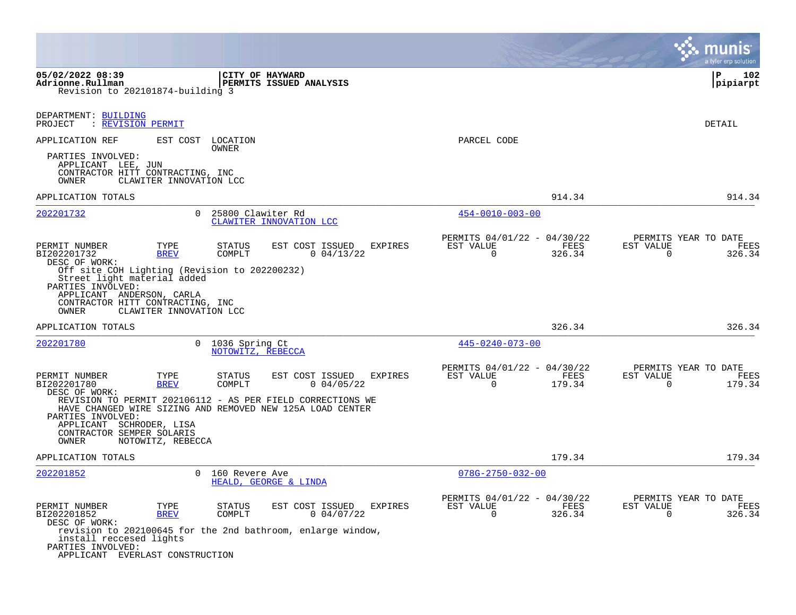|                                                                                                                                                                                                                                                                                                             |                                                       |                                                 |                                                         |                | munis<br>a tyler erp solution                                      |
|-------------------------------------------------------------------------------------------------------------------------------------------------------------------------------------------------------------------------------------------------------------------------------------------------------------|-------------------------------------------------------|-------------------------------------------------|---------------------------------------------------------|----------------|--------------------------------------------------------------------|
| 05/02/2022 08:39<br>Adrionne.Rullman<br>Revision to 202101874-building 3                                                                                                                                                                                                                                    |                                                       | CITY OF HAYWARD<br>PERMITS ISSUED ANALYSIS      |                                                         |                | ΙP<br>102<br> pipiarpt                                             |
| DEPARTMENT: BUILDING<br>PROJECT<br>: REVISION PERMIT                                                                                                                                                                                                                                                        |                                                       |                                                 |                                                         |                | DETAIL                                                             |
| APPLICATION REF<br>EST COST                                                                                                                                                                                                                                                                                 | LOCATION<br>OWNER                                     |                                                 | PARCEL CODE                                             |                |                                                                    |
| PARTIES INVOLVED:<br>APPLICANT LEE, JUN<br>CONTRACTOR HITT CONTRACTING, INC<br>CLAWITER INNOVATION LCC<br>OWNER                                                                                                                                                                                             |                                                       |                                                 |                                                         |                |                                                                    |
| APPLICATION TOTALS                                                                                                                                                                                                                                                                                          |                                                       |                                                 |                                                         | 914.34         | 914.34                                                             |
| 202201732                                                                                                                                                                                                                                                                                                   | $\Omega$<br>25800 Clawiter Rd                         | CLAWITER INNOVATION LCC                         | $454 - 0010 - 003 - 00$                                 |                |                                                                    |
| PERMIT NUMBER<br>TYPE<br>BI202201732<br><b>BREV</b><br>DESC OF WORK:<br>Off site COH Lighting (Revision to 202200232)<br>Street light material added<br>PARTIES INVOLVED:<br>APPLICANT ANDERSON, CARLA<br>CONTRACTOR HITT CONTRACTING, INC<br><b>OWNER</b><br>CLAWITER INNOVATION LCC                       | STATUS<br>COMPLT                                      | EST COST ISSUED<br>EXPIRES<br>0.04/13/22        | PERMITS 04/01/22 - 04/30/22<br>EST VALUE<br>$\Omega$    | FEES<br>326.34 | PERMITS YEAR TO DATE<br>EST VALUE<br>FEES<br>$\Omega$<br>326.34    |
| APPLICATION TOTALS                                                                                                                                                                                                                                                                                          |                                                       |                                                 |                                                         | 326.34         | 326.34                                                             |
| 202201780                                                                                                                                                                                                                                                                                                   | $\overline{0}$<br>1036 Spring Ct<br>NOTOWITZ, REBECCA |                                                 | $445 - 0240 - 073 - 00$                                 |                |                                                                    |
| PERMIT NUMBER<br>TYPE<br>BI202201780<br><b>BREV</b><br>DESC OF WORK:<br>REVISION TO PERMIT 202106112 - AS PER FIELD CORRECTIONS WE<br>HAVE CHANGED WIRE SIZING AND REMOVED NEW 125A LOAD CENTER<br>PARTIES INVOLVED:<br>APPLICANT SCHRODER, LISA<br>CONTRACTOR SEMPER SOLARIS<br>OWNER<br>NOTOWITZ, REBECCA | <b>STATUS</b><br>COMPLT                               | EST COST ISSUED<br>EXPIRES<br>0.04/05/22        | PERMITS 04/01/22 - 04/30/22<br>EST VALUE<br>$\Omega$    | FEES<br>179.34 | PERMITS YEAR TO DATE<br>EST VALUE<br>FEES<br>0<br>179.34           |
| APPLICATION TOTALS                                                                                                                                                                                                                                                                                          |                                                       |                                                 |                                                         | 179.34         | 179.34                                                             |
| 202201852                                                                                                                                                                                                                                                                                                   | $\Omega$<br>160 Revere Ave                            | HEALD, GEORGE & LINDA                           | $078G - 2750 - 032 - 00$                                |                |                                                                    |
| PERMIT NUMBER<br>TYPE<br>BI202201852<br><b>BREV</b><br>DESC OF WORK:<br>revision to 202100645 for the 2nd bathroom, enlarge window,<br>install reccesed lights<br>PARTIES INVOLVED:<br>APPLICANT EVERLAST CONSTRUCTION                                                                                      | STATUS<br>COMPLT                                      | EST COST ISSUED<br><b>EXPIRES</b><br>0.04/07/22 | PERMITS 04/01/22 - 04/30/22<br>EST VALUE<br>$\mathbf 0$ | FEES<br>326.34 | PERMITS YEAR TO DATE<br>EST VALUE<br>FEES<br>$\mathbf 0$<br>326.34 |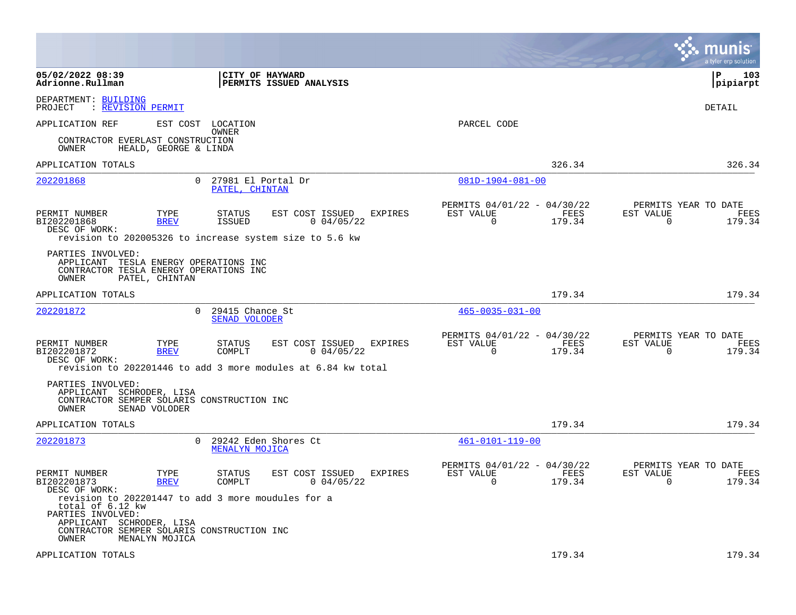|                                                                                                                                                                                                  |                                                        |                                                                                                          |                                                         |                | munis<br>a tyler erp solution                                      |
|--------------------------------------------------------------------------------------------------------------------------------------------------------------------------------------------------|--------------------------------------------------------|----------------------------------------------------------------------------------------------------------|---------------------------------------------------------|----------------|--------------------------------------------------------------------|
| 05/02/2022 08:39<br>Adrionne.Rullman                                                                                                                                                             | CITY OF HAYWARD                                        | <b>PERMITS ISSUED ANALYSIS</b>                                                                           |                                                         |                | l P<br>103<br> pipiarpt                                            |
| DEPARTMENT: BUILDING<br>PROJECT<br>: REVISION PERMIT                                                                                                                                             |                                                        |                                                                                                          |                                                         |                | DETAIL                                                             |
| APPLICATION REF<br>CONTRACTOR EVERLAST CONSTRUCTION<br>OWNER                                                                                                                                     | EST COST<br>LOCATION<br>OWNER<br>HEALD, GEORGE & LINDA |                                                                                                          | PARCEL CODE                                             |                |                                                                    |
| APPLICATION TOTALS                                                                                                                                                                               |                                                        |                                                                                                          |                                                         | 326.34         | 326.34                                                             |
| 202201868                                                                                                                                                                                        | $\overline{0}$<br>27981 El Portal Dr<br>PATEL, CHINTAN |                                                                                                          | $081D-1904-081-00$                                      |                |                                                                    |
| PERMIT NUMBER<br>BI202201868<br>DESC OF WORK:<br>revision to 202005326 to increase system size to 5.6 kw                                                                                         | TYPE<br><b>STATUS</b><br><b>BREV</b><br>ISSUED         | EST COST ISSUED<br><b>EXPIRES</b><br>0.04/05/22                                                          | PERMITS 04/01/22 - 04/30/22<br>EST VALUE<br>$\Omega$    | FEES<br>179.34 | PERMITS YEAR TO DATE<br>EST VALUE<br>FEES<br>$\Omega$<br>179.34    |
| PARTIES INVOLVED:<br>APPLICANT TESLA ENERGY OPERATIONS INC<br>CONTRACTOR TESLA ENERGY OPERATIONS INC<br>OWNER<br>PATEL, CHINTAN                                                                  |                                                        |                                                                                                          |                                                         |                |                                                                    |
| APPLICATION TOTALS                                                                                                                                                                               |                                                        |                                                                                                          |                                                         | 179.34         | 179.34                                                             |
| 202201872                                                                                                                                                                                        | 29415 Chance St<br>0<br><b>SENAD VOLODER</b>           |                                                                                                          | $465 - 0035 - 031 - 00$                                 |                |                                                                    |
| PERMIT NUMBER<br>BI202201872<br>DESC OF WORK:                                                                                                                                                    | TYPE<br>STATUS<br><b>BREV</b><br>COMPLT                | EST COST ISSUED<br>EXPIRES<br>0.04/05/22<br>revision to 202201446 to add 3 more modules at 6.84 kw total | PERMITS 04/01/22 - 04/30/22<br>EST VALUE<br>$\mathbf 0$ | FEES<br>179.34 | PERMITS YEAR TO DATE<br>EST VALUE<br>FEES<br>$\mathbf 0$<br>179.34 |
| PARTIES INVOLVED:<br>APPLICANT SCHRODER, LISA<br>CONTRACTOR SEMPER SOLARIS CONSTRUCTION INC<br>OWNER<br>SENAD VOLODER                                                                            |                                                        |                                                                                                          |                                                         |                |                                                                    |
| APPLICATION TOTALS                                                                                                                                                                               |                                                        |                                                                                                          |                                                         | 179.34         | 179.34                                                             |
| 202201873                                                                                                                                                                                        | 0<br>MENALYN MOJICA                                    | 29242 Eden Shores Ct                                                                                     | 461-0101-119-00                                         |                |                                                                    |
| PERMIT NUMBER<br>BI202201873<br>DESC OF WORK:                                                                                                                                                    | TYPE<br>STATUS<br><b>BREV</b><br>COMPLT                | EST COST ISSUED<br>EXPIRES<br>0.04/05/22                                                                 | PERMITS 04/01/22 - 04/30/22<br>EST VALUE<br>$\mathbf 0$ | FEES<br>179.34 | PERMITS YEAR TO DATE<br>EST VALUE<br>FEES<br>179.34<br>$\mathbf 0$ |
| revision to 202201447 to add 3 more moudules for a<br>total of 6.12 kw<br>PARTIES INVOLVED:<br>APPLICANT SCHRODER, LISA<br>CONTRACTOR SEMPER SOLARIS CONSTRUCTION INC<br>OWNER<br>MENALYN MOJICA |                                                        |                                                                                                          |                                                         |                |                                                                    |
| APPLICATION TOTALS                                                                                                                                                                               |                                                        |                                                                                                          |                                                         | 179.34         | 179.34                                                             |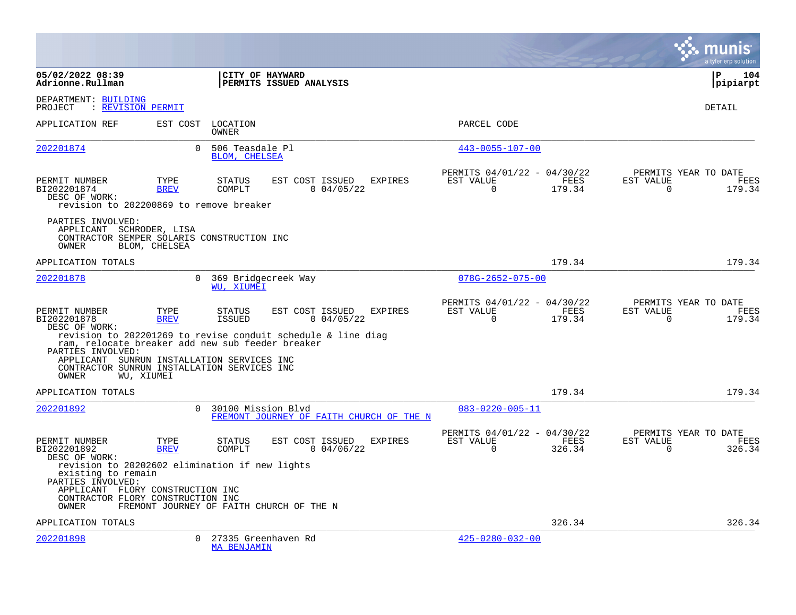|                                                                                                                                                                             |                     |                                    |                                                                                               |                |                                                      |                       |                       | a tyler erp solution                   |
|-----------------------------------------------------------------------------------------------------------------------------------------------------------------------------|---------------------|------------------------------------|-----------------------------------------------------------------------------------------------|----------------|------------------------------------------------------|-----------------------|-----------------------|----------------------------------------|
| 05/02/2022 08:39<br>Adrionne.Rullman                                                                                                                                        |                     | CITY OF HAYWARD                    | PERMITS ISSUED ANALYSIS                                                                       |                |                                                      |                       |                       | l P<br>104<br> pipiarpt                |
| DEPARTMENT: BUILDING<br>PROJECT<br>: REVISION PERMIT                                                                                                                        |                     |                                    |                                                                                               |                |                                                      |                       |                       | DETAIL                                 |
| APPLICATION REF                                                                                                                                                             | EST COST            | LOCATION<br>OWNER                  |                                                                                               |                | PARCEL CODE                                          |                       |                       |                                        |
| 202201874                                                                                                                                                                   | 0                   | 506 Teasdale Pl<br>BLOM, CHELSEA   |                                                                                               |                | $443 - 0055 - 107 - 00$                              |                       |                       |                                        |
| PERMIT NUMBER<br>BI202201874<br>DESC OF WORK:<br>revision to 202200869 to remove breaker                                                                                    | TYPE<br><b>BREV</b> | <b>STATUS</b><br>COMPLT            | EST COST ISSUED<br>0.04/05/22                                                                 | EXPIRES        | PERMITS 04/01/22 - 04/30/22<br>EST VALUE<br>$\Omega$ | FEES<br>179.34        | EST VALUE<br>$\Omega$ | PERMITS YEAR TO DATE<br>FEES<br>179.34 |
| PARTIES INVOLVED:<br>APPLICANT SCHRODER, LISA<br>CONTRACTOR SEMPER SOLARIS CONSTRUCTION INC<br>OWNER                                                                        | BLOM, CHELSEA       |                                    |                                                                                               |                |                                                      |                       |                       |                                        |
| APPLICATION TOTALS                                                                                                                                                          |                     |                                    |                                                                                               |                |                                                      | 179.34                |                       | 179.34                                 |
| 202201878                                                                                                                                                                   | $\overline{0}$      | 369 Bridgecreek Way<br>WU, XIUMEI  |                                                                                               |                | $078G - 2652 - 075 - 00$                             |                       |                       |                                        |
| PERMIT NUMBER<br>BI202201878<br>DESC OF WORK:<br>ram, relocate breaker add new sub feeder breaker                                                                           | TYPE<br><b>BREV</b> | <b>STATUS</b><br>ISSUED            | EST COST ISSUED<br>0.04/05/22<br>revision to 202201269 to revise conduit schedule & line diag | <b>EXPIRES</b> | PERMITS 04/01/22 - 04/30/22<br>EST VALUE<br>$\Omega$ | <b>FEES</b><br>179.34 | EST VALUE<br>$\Omega$ | PERMITS YEAR TO DATE<br>FEES<br>179.34 |
| PARTIES INVOLVED:<br>APPLICANT SUNRUN INSTALLATION SERVICES INC<br>CONTRACTOR SUNRUN INSTALLATION SERVICES INC<br>OWNER<br>WU, XIUMEI                                       |                     |                                    |                                                                                               |                |                                                      |                       |                       |                                        |
| APPLICATION TOTALS                                                                                                                                                          |                     |                                    |                                                                                               |                |                                                      | 179.34                |                       | 179.34                                 |
| 202201892                                                                                                                                                                   | $\Omega$            | 30100 Mission Blvd                 | FREMONT JOURNEY OF FAITH CHURCH OF THE N                                                      |                | $083 - 0220 - 005 - 11$                              |                       |                       |                                        |
| PERMIT NUMBER<br>BI202201892<br>DESC OF WORK:                                                                                                                               | TYPE<br><b>BREV</b> | <b>STATUS</b><br>COMPLT            | EST COST ISSUED<br>0.04/06/22                                                                 | <b>EXPIRES</b> | PERMITS 04/01/22 - 04/30/22<br>EST VALUE<br>$\Omega$ | FEES<br>326.34        | EST VALUE<br>$\Omega$ | PERMITS YEAR TO DATE<br>FEES<br>326.34 |
| revision to 20202602 elimination if new lights<br>existing to remain<br>PARTIES INVOLVED:<br>APPLICANT FLORY CONSTRUCTION INC<br>CONTRACTOR FLORY CONSTRUCTION INC<br>OWNER |                     |                                    | FREMONT JOURNEY OF FAITH CHURCH OF THE N                                                      |                |                                                      |                       |                       |                                        |
| APPLICATION TOTALS                                                                                                                                                          |                     |                                    |                                                                                               |                |                                                      | 326.34                |                       | 326.34                                 |
| 202201898                                                                                                                                                                   | $\Omega$            | 27335 Greenhaven Rd<br>MA BENJAMIN |                                                                                               |                | $425 - 0280 - 032 - 00$                              |                       |                       |                                        |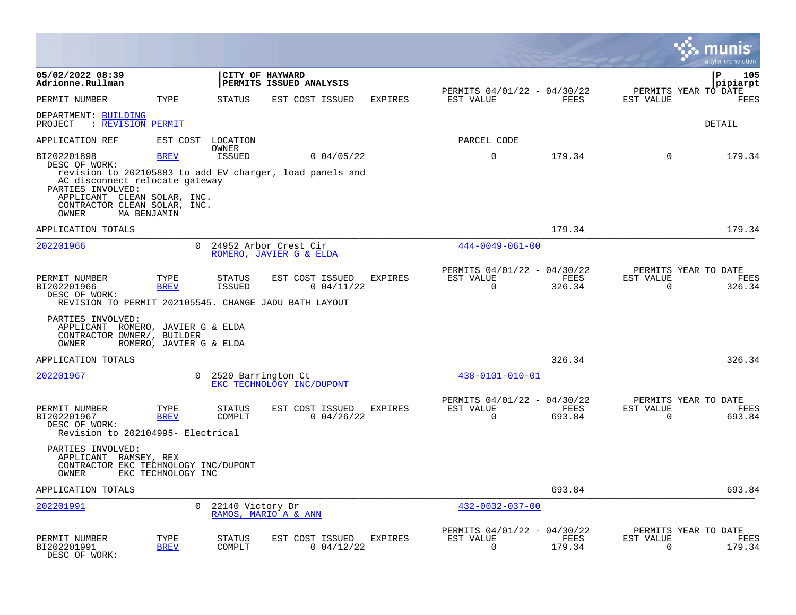|                                                                                                                    |                         |                         |                                                                        |                |                                                         |                |                                                  | lunis<br>a tyler erp solution |
|--------------------------------------------------------------------------------------------------------------------|-------------------------|-------------------------|------------------------------------------------------------------------|----------------|---------------------------------------------------------|----------------|--------------------------------------------------|-------------------------------|
| 05/02/2022 08:39<br>Adrionne.Rullman                                                                               |                         |                         | CITY OF HAYWARD<br>PERMITS ISSUED ANALYSIS                             |                |                                                         |                |                                                  | 105<br>P<br>pipiarpt          |
| PERMIT NUMBER                                                                                                      | TYPE                    | STATUS                  | EST COST ISSUED                                                        | EXPIRES        | PERMITS 04/01/22 - 04/30/22<br>EST VALUE                | FEES           | PERMITS YEAR TO DATE<br>EST VALUE                | <b>FEES</b>                   |
| DEPARTMENT: BUILDING<br>: REVISION PERMIT<br>PROJECT                                                               |                         |                         |                                                                        |                |                                                         |                |                                                  | DETAIL                        |
| APPLICATION REF                                                                                                    | EST COST                | LOCATION                |                                                                        |                | PARCEL CODE                                             |                |                                                  |                               |
| BI202201898<br>DESC OF WORK:<br>AC disconnect relocate gateway<br>PARTIES INVOLVED:<br>APPLICANT CLEAN SOLAR, INC. | <b>BREV</b>             | OWNER<br>ISSUED         | 0.04/05/22<br>revision to 202105883 to add EV charger, load panels and |                | $\mathbf 0$                                             | 179.34         | $\Omega$                                         | 179.34                        |
| CONTRACTOR CLEAN SOLAR, INC.<br>OWNER                                                                              | MA BENJAMIN             |                         |                                                                        |                |                                                         |                |                                                  |                               |
| APPLICATION TOTALS                                                                                                 |                         |                         |                                                                        |                |                                                         | 179.34         |                                                  | 179.34                        |
| 202201966                                                                                                          | $\overline{0}$          |                         | 24952 Arbor Crest Cir<br>ROMERO, JAVIER G & ELDA                       |                | $444 - 0049 - 061 - 00$                                 |                |                                                  |                               |
| PERMIT NUMBER<br>BI202201966<br>DESC OF WORK:<br>REVISION TO PERMIT 202105545. CHANGE JADU BATH LAYOUT             | TYPE<br><b>BREV</b>     | STATUS<br><b>ISSUED</b> | EST COST ISSUED<br>0.04/11/22                                          | <b>EXPIRES</b> | PERMITS 04/01/22 - 04/30/22<br>EST VALUE<br>$\Omega$    | FEES<br>326.34 | PERMITS YEAR TO DATE<br>EST VALUE<br>$\Omega$    | FEES<br>326.34                |
| PARTIES INVOLVED:<br>APPLICANT ROMERO, JAVIER G & ELDA<br>CONTRACTOR OWNER/, BUILDER<br>OWNER                      | ROMERO, JAVIER G & ELDA |                         |                                                                        |                |                                                         |                |                                                  |                               |
| APPLICATION TOTALS                                                                                                 |                         |                         |                                                                        |                |                                                         | 326.34         |                                                  | 326.34                        |
| 202201967                                                                                                          | $\cap$                  | 2520 Barrington Ct      | EKC TECHNOLOGY INC/DUPONT                                              |                | $438 - 0101 - 010 - 01$                                 |                |                                                  |                               |
| PERMIT NUMBER<br>BI202201967<br>DESC OF WORK:<br>Revision to 202104995- Electrical                                 | TYPE<br><b>BREV</b>     | STATUS<br>COMPLT        | EST COST ISSUED<br>0.04/26/22                                          | EXPIRES        | PERMITS 04/01/22 - 04/30/22<br>EST VALUE<br>$\mathbf 0$ | FEES<br>693.84 | PERMITS YEAR TO DATE<br>EST VALUE<br>$\mathbf 0$ | FEES<br>693.84                |
| PARTIES INVOLVED:<br>APPLICANT RAMSEY, REX<br>CONTRACTOR EKC TECHNOLOGY INC/DUPONT<br>OWNER                        | EKC TECHNOLOGY INC      |                         |                                                                        |                |                                                         |                |                                                  |                               |
| APPLICATION TOTALS                                                                                                 |                         |                         |                                                                        |                |                                                         | 693.84         |                                                  | 693.84                        |
| 202201991                                                                                                          | $\Omega$                | 22140 Victory Dr        | RAMOS, MARIO A & ANN                                                   |                | $432 - 0032 - 037 - 00$                                 |                |                                                  |                               |
| PERMIT NUMBER<br>BI202201991<br>DESC OF WORK:                                                                      | TYPE<br><b>BREV</b>     | STATUS<br>COMPLT        | EST COST ISSUED<br>0.04/12/22                                          | <b>EXPIRES</b> | PERMITS 04/01/22 - 04/30/22<br>EST VALUE<br>$\Omega$    | FEES<br>179.34 | PERMITS YEAR TO DATE<br>EST VALUE<br>$\mathbf 0$ | FEES<br>179.34                |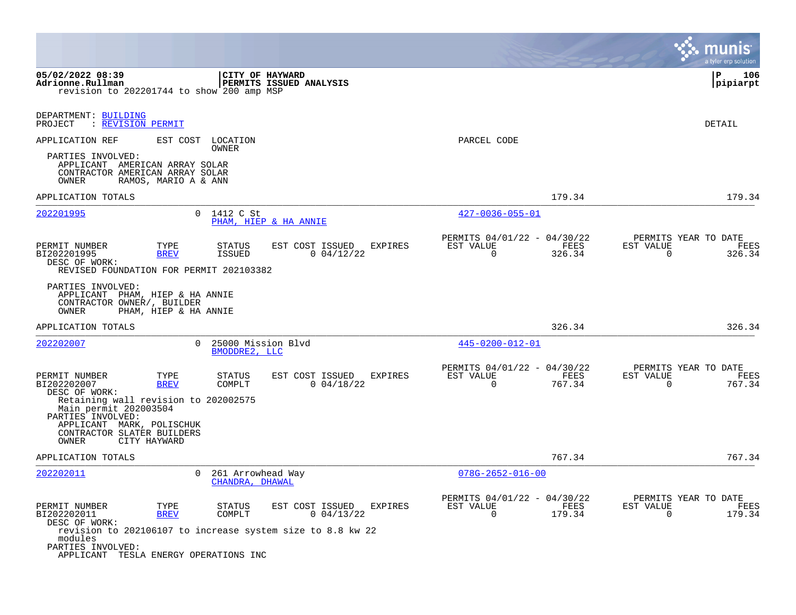| 05/02/2022 08:39<br>CITY OF HAYWARD<br>PERMITS ISSUED ANALYSIS<br>Adrionne.Rullman<br>revision to 202201744 to show 200 amp MSP<br>DEPARTMENT: BUILDING<br>PROJECT<br>: REVISION PERMIT<br>PARCEL CODE<br>APPLICATION REF<br>EST COST<br>LOCATION<br>OWNER<br>PARTIES INVOLVED:<br>APPLICANT AMERICAN ARRAY SOLAR<br>CONTRACTOR AMERICAN ARRAY SOLAR<br>RAMOS, MARIO A & ANN<br>OWNER<br>APPLICATION TOTALS<br>179.34<br>202201995<br>0 1412 C St<br>$427 - 0036 - 055 - 01$<br>PHAM, HIEP & HA ANNIE<br>PERMITS 04/01/22 - 04/30/22<br>PERMITS YEAR TO DATE | a tyler erp solution   |
|--------------------------------------------------------------------------------------------------------------------------------------------------------------------------------------------------------------------------------------------------------------------------------------------------------------------------------------------------------------------------------------------------------------------------------------------------------------------------------------------------------------------------------------------------------------|------------------------|
|                                                                                                                                                                                                                                                                                                                                                                                                                                                                                                                                                              | ΙP<br>106<br> pipiarpt |
|                                                                                                                                                                                                                                                                                                                                                                                                                                                                                                                                                              | DETAIL                 |
|                                                                                                                                                                                                                                                                                                                                                                                                                                                                                                                                                              |                        |
|                                                                                                                                                                                                                                                                                                                                                                                                                                                                                                                                                              |                        |
|                                                                                                                                                                                                                                                                                                                                                                                                                                                                                                                                                              | 179.34                 |
|                                                                                                                                                                                                                                                                                                                                                                                                                                                                                                                                                              |                        |
| EST COST ISSUED<br>FEES<br>EST VALUE<br>PERMIT NUMBER<br>TYPE<br>STATUS<br><b>EXPIRES</b><br>EST VALUE<br>$\Omega$<br>BI202201995<br>$0$ 04/12/22<br>326.34<br>$\Omega$<br><b>BREV</b><br><b>ISSUED</b><br>DESC OF WORK:<br>REVISED FOUNDATION FOR PERMIT 202103382                                                                                                                                                                                                                                                                                          | FEES<br>326.34         |
| PARTIES INVOLVED:<br>APPLICANT PHAM, HIEP & HA ANNIE<br>CONTRACTOR OWNER/, BUILDER<br>OWNER<br>PHAM, HIEP & HA ANNIE                                                                                                                                                                                                                                                                                                                                                                                                                                         |                        |
| APPLICATION TOTALS<br>326.34                                                                                                                                                                                                                                                                                                                                                                                                                                                                                                                                 | 326.34                 |
| 202202007<br>25000 Mission Blvd<br>445-0200-012-01<br>$\mathbf{0}$<br>BMODDRE2, LLC                                                                                                                                                                                                                                                                                                                                                                                                                                                                          |                        |
| PERMITS 04/01/22 - 04/30/22<br>PERMITS YEAR TO DATE<br>EST COST ISSUED<br>PERMIT NUMBER<br>TYPE<br><b>STATUS</b><br><b>EXPIRES</b><br>EST VALUE<br>FEES<br>EST VALUE<br>BI202202007<br><b>BREV</b><br>COMPLT<br>0.04/18/22<br>0<br>767.34<br>$\Omega$<br>DESC OF WORK:<br>Retaining wall revision to 202002575<br>Main permit 202003504<br>PARTIES INVOLVED:                                                                                                                                                                                                 | FEES<br>767.34         |
| APPLICANT MARK, POLISCHUK<br>CONTRACTOR SLATER BUILDERS<br>OWNER<br>CITY HAYWARD                                                                                                                                                                                                                                                                                                                                                                                                                                                                             |                        |
| 767.34<br>APPLICATION TOTALS                                                                                                                                                                                                                                                                                                                                                                                                                                                                                                                                 | 767.34                 |
| 202202011<br>$\Omega$<br>261 Arrowhead Way<br>$078G - 2652 - 016 - 00$<br>CHANDRA, DHAWAL                                                                                                                                                                                                                                                                                                                                                                                                                                                                    |                        |
| PERMITS 04/01/22 - 04/30/22<br>PERMITS YEAR TO DATE<br>PERMIT NUMBER<br>TYPE<br>STATUS<br>EST COST ISSUED<br>EXPIRES<br>EST VALUE<br>FEES<br>EST VALUE<br>$0$ 04/13/22<br>$\Omega$<br>179.34<br>$\mathbf 0$<br>BI202202011<br><b>BREV</b><br>COMPLT<br>DESC OF WORK:<br>revision to 202106107 to increase system size to 8.8 kw 22<br>modules<br>PARTIES INVOLVED:<br>APPLICANT TESLA ENERGY OPERATIONS INC                                                                                                                                                  | FEES<br>179.34         |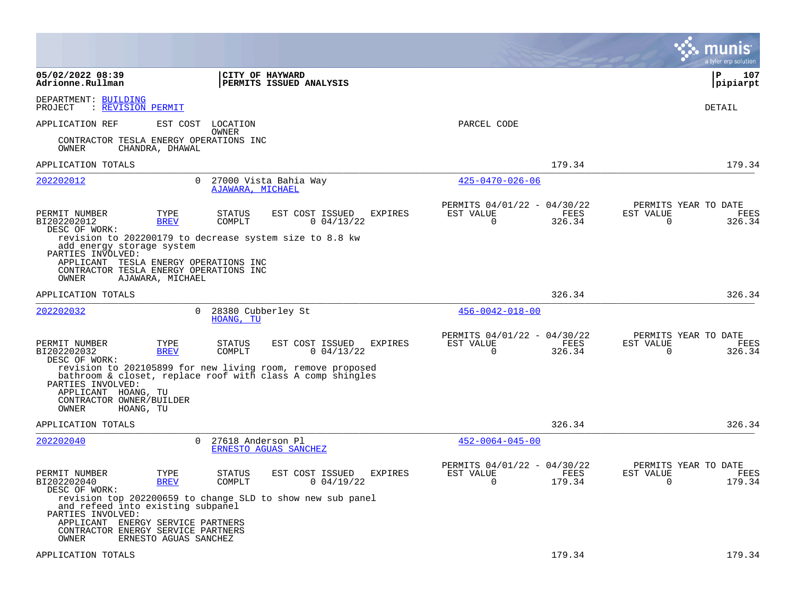|                                                                                                                                                                                                                           |                                                |                                                                                                               |                                                                               | a tyler erp solution                                                   |
|---------------------------------------------------------------------------------------------------------------------------------------------------------------------------------------------------------------------------|------------------------------------------------|---------------------------------------------------------------------------------------------------------------|-------------------------------------------------------------------------------|------------------------------------------------------------------------|
| 05/02/2022 08:39<br>Adrionne.Rullman                                                                                                                                                                                      | <b>CITY OF HAYWARD</b>                         | <b>PERMITS ISSUED ANALYSIS</b>                                                                                |                                                                               | l P<br>107<br> pipiarpt                                                |
| DEPARTMENT: BUILDING<br>PROJECT<br>: REVISION PERMIT                                                                                                                                                                      |                                                |                                                                                                               |                                                                               | DETAIL                                                                 |
| APPLICATION REF                                                                                                                                                                                                           | EST COST<br>LOCATION                           |                                                                                                               | PARCEL CODE                                                                   |                                                                        |
| CONTRACTOR TESLA ENERGY OPERATIONS INC<br>CHANDRA, DHAWAL<br>OWNER                                                                                                                                                        | OWNER                                          |                                                                                                               |                                                                               |                                                                        |
| APPLICATION TOTALS                                                                                                                                                                                                        |                                                |                                                                                                               | 179.34                                                                        | 179.34                                                                 |
| 202202012                                                                                                                                                                                                                 | $\overline{0}$<br>AJAWARA, MICHAEL             | 27000 Vista Bahia Way                                                                                         | $425 - 0470 - 026 - 06$                                                       |                                                                        |
| PERMIT NUMBER<br>BI202202012<br>DESC OF WORK:                                                                                                                                                                             | TYPE<br><b>STATUS</b><br><b>BREV</b><br>COMPLT | EST COST ISSUED<br>EXPIRES<br>0.04/13/22                                                                      | PERMITS 04/01/22 - 04/30/22<br>EST VALUE<br>FEES<br>$\mathbf 0$<br>326.34     | PERMITS YEAR TO DATE<br>EST VALUE<br>FEES<br>326.34<br>0               |
| revision to 202200179 to decrease system size to 8.8 kw<br>add energy storage system<br>PARTIES INVOLVED:<br>APPLICANT TESLA ENERGY OPERATIONS INC<br>CONTRACTOR TESLA ENERGY OPERATIONS INC<br>OWNER<br>AJAWARA, MICHAEL |                                                |                                                                                                               |                                                                               |                                                                        |
| APPLICATION TOTALS                                                                                                                                                                                                        |                                                |                                                                                                               | 326.34                                                                        | 326.34                                                                 |
| 202202032                                                                                                                                                                                                                 | $\Omega$<br>28380 Cubberley St<br>HOANG, TU    |                                                                                                               | $456 - 0042 - 018 - 00$                                                       |                                                                        |
| PERMIT NUMBER<br>BI202202032<br>DESC OF WORK:                                                                                                                                                                             | TYPE<br><b>STATUS</b><br><b>BREV</b><br>COMPLT | EST COST ISSUED<br><b>EXPIRES</b><br>0.04/13/22<br>revision to 202105899 for new living room, remove proposed | PERMITS 04/01/22 - 04/30/22<br><b>FEES</b><br>EST VALUE<br>$\Omega$<br>326.34 | PERMITS YEAR TO DATE<br>EST VALUE<br>FEES<br>$\Omega$<br>326.34        |
| PARTIES INVOLVED:<br>APPLICANT HOANG, TU<br>CONTRACTOR OWNER/BUILDER<br>OWNER<br>HOANG, TU                                                                                                                                |                                                | bathroom & closet, replace roof with class A comp shingles                                                    |                                                                               |                                                                        |
| APPLICATION TOTALS                                                                                                                                                                                                        |                                                |                                                                                                               | 326.34                                                                        | 326.34                                                                 |
| 202202040                                                                                                                                                                                                                 | 0<br>27618 Anderson Pl                         | ERNESTO AGUAS SANCHEZ                                                                                         | $452 - 0064 - 045 - 00$                                                       |                                                                        |
| PERMIT NUMBER<br>BI202202040<br>DESC OF WORK:                                                                                                                                                                             | TYPE<br>STATUS<br><b>BREV</b><br>COMPLT        | EST COST ISSUED<br><b>EXPIRES</b><br>0.04/19/22                                                               | PERMITS 04/01/22 - 04/30/22<br>EST VALUE<br>FEES<br>$\Omega$<br>179.34        | PERMITS YEAR TO DATE<br><b>FEES</b><br>EST VALUE<br>179.34<br>$\Omega$ |
| and refeed into existing subpanel<br>PARTIES INVOLVED:<br>APPLICANT ENERGY SERVICE PARTNERS<br>CONTRACTOR ENERGY SERVICE PARTNERS<br>OWNER                                                                                | ERNESTO AGUAS SANCHEZ                          | revision top 202200659 to change SLD to show new sub panel                                                    |                                                                               |                                                                        |
| APPLICATION TOTALS                                                                                                                                                                                                        |                                                |                                                                                                               | 179.34                                                                        | 179.34                                                                 |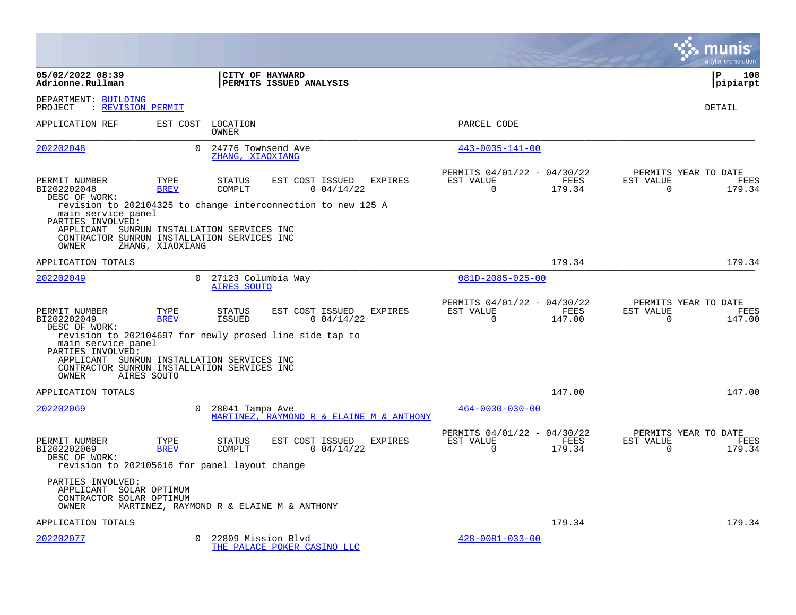|                                                                                                                                                                                                                 |                     |                                            |                             |            |                                          |                          |                                               |                       | a tyler erp solution                          |
|-----------------------------------------------------------------------------------------------------------------------------------------------------------------------------------------------------------------|---------------------|--------------------------------------------|-----------------------------|------------|------------------------------------------|--------------------------|-----------------------------------------------|-----------------------|-----------------------------------------------|
| 05/02/2022 08:39<br>Adrionne.Rullman                                                                                                                                                                            |                     | <b>CITY OF HAYWARD</b>                     | PERMITS ISSUED ANALYSIS     |            |                                          |                          |                                               |                       | l P<br>108<br> pipiarpt                       |
| DEPARTMENT: BUILDING<br>: REVISION PERMIT<br>PROJECT                                                                                                                                                            |                     |                                            |                             |            |                                          |                          |                                               |                       | DETAIL                                        |
| APPLICATION REF                                                                                                                                                                                                 |                     | EST COST LOCATION<br>OWNER                 |                             |            |                                          | PARCEL CODE              |                                               |                       |                                               |
| 202202048                                                                                                                                                                                                       | $\Omega$            | 24776 Townsend Ave<br>ZHANG, XIAOXIANG     |                             |            |                                          | $443 - 0035 - 141 - 00$  |                                               |                       |                                               |
| PERMIT NUMBER<br>BI202202048<br>DESC OF WORK:<br>revision to 202104325 to change interconnection to new 125 A<br>main service panel<br>PARTIES INVOLVED:                                                        | TYPE<br><b>BREV</b> | STATUS<br>COMPLT                           | EST COST ISSUED EXPIRES     | 0.04/14/22 |                                          | EST VALUE<br>$\Omega$    | PERMITS 04/01/22 - 04/30/22<br>FEES<br>179.34 | EST VALUE<br>$\Omega$ | PERMITS YEAR TO DATE<br>FEES<br>179.34        |
| APPLICANT SUNRUN INSTALLATION SERVICES INC<br>CONTRACTOR SUNRUN INSTALLATION SERVICES INC<br><b>OWNER</b>                                                                                                       | ZHANG, XIAOXIANG    |                                            |                             |            |                                          |                          |                                               |                       |                                               |
| APPLICATION TOTALS                                                                                                                                                                                              |                     |                                            |                             |            |                                          |                          | 179.34                                        |                       | 179.34                                        |
| 202202049                                                                                                                                                                                                       |                     | 0 27123 Columbia Way<br><b>AIRES SOUTO</b> |                             |            |                                          | $081D - 2085 - 025 - 00$ |                                               |                       |                                               |
| PERMIT NUMBER<br>BI202202049<br>DESC OF WORK:                                                                                                                                                                   | TYPE<br><b>BREV</b> | <b>STATUS</b><br><b>ISSUED</b>             | EST COST ISSUED             | 0.04/14/22 | <b>EXPIRES</b>                           | EST VALUE<br>$\Omega$    | PERMITS 04/01/22 - 04/30/22<br>FEES<br>147.00 | EST VALUE<br>$\Omega$ | PERMITS YEAR TO DATE<br><b>FEES</b><br>147.00 |
| revision to 202104697 for newly prosed line side tap to<br>main service panel<br>PARTIES INVOLVED:<br>APPLICANT SUNRUN INSTALLATION SERVICES INC<br>CONTRACTOR SUNRUN INSTALLATION SERVICES INC<br><b>OWNER</b> | AIRES SOUTO         |                                            |                             |            |                                          |                          |                                               |                       |                                               |
| APPLICATION TOTALS                                                                                                                                                                                              |                     |                                            |                             |            |                                          |                          | 147.00                                        |                       | 147.00                                        |
| 202202069                                                                                                                                                                                                       | $\Omega$            | 28041 Tampa Ave                            |                             |            | MARTINEZ, RAYMOND R & ELAINE M & ANTHONY | $464 - 0030 - 030 - 00$  |                                               |                       |                                               |
| PERMIT NUMBER<br>BI202202069<br>DESC OF WORK:<br>revision to 202105616 for panel layout change                                                                                                                  | TYPE<br><b>BREV</b> | STATUS<br>COMPLT                           | EST COST ISSUED             | 0.04/14/22 | <b>EXPIRES</b>                           | EST VALUE<br>$\Omega$    | PERMITS 04/01/22 - 04/30/22<br>FEES<br>179.34 | EST VALUE<br>$\Omega$ | PERMITS YEAR TO DATE<br>FEES<br>179.34        |
| PARTIES INVOLVED:<br>APPLICANT SOLAR OPTIMUM<br>CONTRACTOR SOLAR OPTIMUM<br>OWNER                                                                                                                               |                     | MARTINEZ, RAYMOND R & ELAINE M & ANTHONY   |                             |            |                                          |                          |                                               |                       |                                               |
| APPLICATION TOTALS                                                                                                                                                                                              |                     |                                            |                             |            |                                          |                          | 179.34                                        |                       | 179.34                                        |
| 202202077                                                                                                                                                                                                       | $\Omega$            | 22809 Mission Blvd                         | THE PALACE POKER CASINO LLC |            |                                          | $428 - 0081 - 033 - 00$  |                                               |                       |                                               |

**College**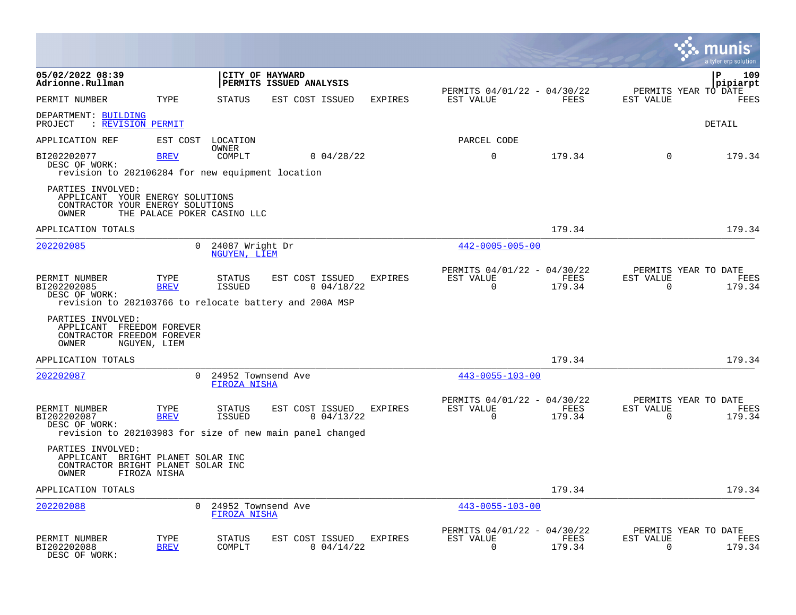|                                                                                                           |                     |                                           |                                            |                               |                |                                                         |                |                          | lunis<br>a tyler erp solution          |
|-----------------------------------------------------------------------------------------------------------|---------------------|-------------------------------------------|--------------------------------------------|-------------------------------|----------------|---------------------------------------------------------|----------------|--------------------------|----------------------------------------|
| 05/02/2022 08:39<br>Adrionne.Rullman                                                                      |                     |                                           | CITY OF HAYWARD<br>PERMITS ISSUED ANALYSIS |                               |                |                                                         |                |                          | 109<br>P<br>pipiarpt                   |
| PERMIT NUMBER                                                                                             | TYPE                | STATUS                                    | EST COST ISSUED                            |                               | EXPIRES        | PERMITS 04/01/22 - 04/30/22<br>EST VALUE                | FEES           | EST VALUE                | PERMITS YEAR TO DATE<br><b>FEES</b>    |
| DEPARTMENT: BUILDING<br>PROJECT<br>: REVISION PERMIT                                                      |                     |                                           |                                            |                               |                |                                                         |                |                          | DETAIL                                 |
| APPLICATION REF                                                                                           |                     | EST COST LOCATION                         |                                            |                               |                | PARCEL CODE                                             |                |                          |                                        |
| BI202202077<br>DESC OF WORK:<br>revision to 202106284 for new equipment location                          | <b>BREV</b>         | OWNER<br>COMPLT                           |                                            | 0.04/28/22                    |                | $\mathbf 0$                                             | 179.34         | $\Omega$                 | 179.34                                 |
| PARTIES INVOLVED:<br>APPLICANT YOUR ENERGY SOLUTIONS<br>CONTRACTOR YOUR ENERGY SOLUTIONS<br>OWNER         |                     | THE PALACE POKER CASINO LLC               |                                            |                               |                |                                                         |                |                          |                                        |
| APPLICATION TOTALS                                                                                        |                     |                                           |                                            |                               |                |                                                         | 179.34         |                          | 179.34                                 |
| 202202085                                                                                                 | $\overline{0}$      | 24087 Wright Dr<br>NGUYEN, LIEM           |                                            |                               |                | $442 - 0005 - 005 - 00$                                 |                |                          |                                        |
| PERMIT NUMBER<br>BI202202085<br>DESC OF WORK:<br>revision to 202103766 to relocate battery and 200A MSP   | TYPE<br><b>BREV</b> | STATUS<br><b>ISSUED</b>                   | EST COST ISSUED                            | 0.04/18/22                    | <b>EXPIRES</b> | PERMITS 04/01/22 - 04/30/22<br>EST VALUE<br>$\Omega$    | FEES<br>179.34 | EST VALUE<br>$\Omega$    | PERMITS YEAR TO DATE<br>FEES<br>179.34 |
| PARTIES INVOLVED:<br>APPLICANT FREEDOM FOREVER<br>CONTRACTOR FREEDOM FOREVER<br>OWNER                     | NGUYEN, LIEM        |                                           |                                            |                               |                |                                                         |                |                          |                                        |
| APPLICATION TOTALS                                                                                        |                     |                                           |                                            |                               |                |                                                         | 179.34         |                          | 179.34                                 |
| 202202087                                                                                                 | $\cap$              | 24952 Townsend Ave<br>FIROZA NISHA        |                                            |                               |                | $443 - 0055 - 103 - 00$                                 |                |                          |                                        |
| PERMIT NUMBER<br>BI202202087<br>DESC OF WORK:<br>revision to 202103983 for size of new main panel changed | TYPE<br><b>BREV</b> | STATUS<br><b>ISSUED</b>                   |                                            | EST COST ISSUED<br>0.04/13/22 | EXPIRES        | PERMITS 04/01/22 - 04/30/22<br>EST VALUE<br>$\mathbf 0$ | FEES<br>179.34 | EST VALUE<br>$\mathbf 0$ | PERMITS YEAR TO DATE<br>FEES<br>179.34 |
| PARTIES INVOLVED:<br>APPLICANT BRIGHT PLANET SOLAR INC<br>CONTRACTOR BRIGHT PLANET SOLAR INC<br>OWNER     | FIROZA NISHA        |                                           |                                            |                               |                |                                                         |                |                          |                                        |
| APPLICATION TOTALS                                                                                        |                     |                                           |                                            |                               |                |                                                         | 179.34         |                          | 179.34                                 |
| 202202088                                                                                                 | $\Omega$            | 24952 Townsend Ave<br><b>FIROZA NISHA</b> |                                            |                               |                | $443 - 0055 - 103 - 00$                                 |                |                          |                                        |
| PERMIT NUMBER<br>BI202202088<br>DESC OF WORK:                                                             | TYPE<br><b>BREV</b> | STATUS<br>COMPLT                          | EST COST ISSUED                            | 0.04/14/22                    | <b>EXPIRES</b> | PERMITS 04/01/22 - 04/30/22<br>EST VALUE<br>$\Omega$    | FEES<br>179.34 | EST VALUE<br>$\Omega$    | PERMITS YEAR TO DATE<br>FEES<br>179.34 |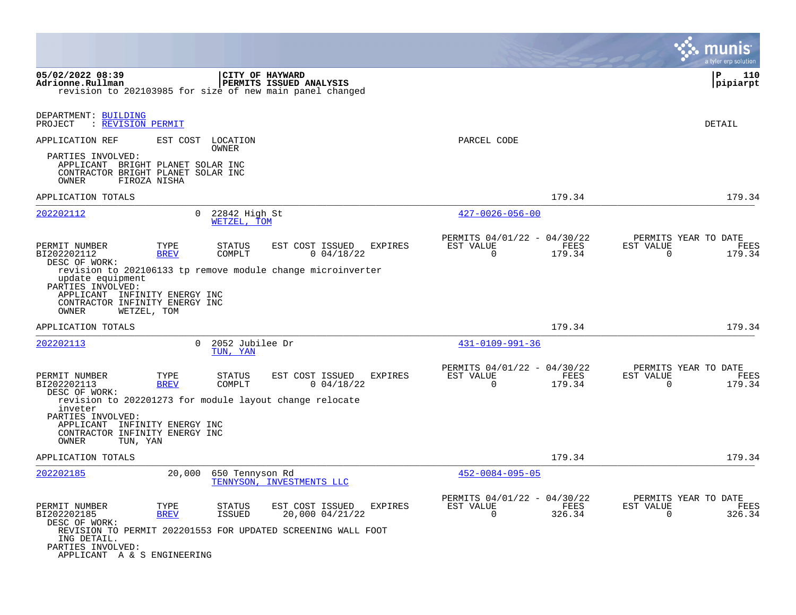|                                                                                                                  |                                            |                              |                                                                                                                      |                                               |                | a tyler erp solution                                               |
|------------------------------------------------------------------------------------------------------------------|--------------------------------------------|------------------------------|----------------------------------------------------------------------------------------------------------------------|-----------------------------------------------|----------------|--------------------------------------------------------------------|
| 05/02/2022 08:39<br>Adrionne.Rullman                                                                             |                                            | CITY OF HAYWARD              | PERMITS ISSUED ANALYSIS<br>revision to 202103985 for size of new main panel changed                                  |                                               |                | ΙP<br>110<br> pipiarpt                                             |
| DEPARTMENT: BUILDING<br>PROJECT<br>: REVISION PERMIT                                                             |                                            |                              |                                                                                                                      |                                               |                | DETAIL                                                             |
| APPLICATION REF                                                                                                  | EST COST                                   | LOCATION<br>OWNER            |                                                                                                                      | PARCEL CODE                                   |                |                                                                    |
| PARTIES INVOLVED:<br>APPLICANT BRIGHT PLANET SOLAR INC<br>CONTRACTOR BRIGHT PLANET SOLAR INC<br>OWNER            | FIROZA NISHA                               |                              |                                                                                                                      |                                               |                |                                                                    |
| APPLICATION TOTALS                                                                                               |                                            |                              |                                                                                                                      |                                               | 179.34         | 179.34                                                             |
| 202202112                                                                                                        | $\mathbf{0}$                               | 22842 High St<br>WETZEL, TOM |                                                                                                                      | $427 - 0026 - 056 - 00$                       |                |                                                                    |
| PERMIT NUMBER<br>BI202202112<br>DESC OF WORK:<br>update equipment<br>PARTIES INVOLVED:<br>APPLICANT              | TYPE<br><b>BREV</b><br>INFINITY ENERGY INC | STATUS<br>COMPLT             | EST COST ISSUED<br>EXPIRES<br>0.04/18/22<br>revision to 202106133 tp remove module change microinverter              | PERMITS 04/01/22 - 04/30/22<br>EST VALUE<br>0 | FEES<br>179.34 | PERMITS YEAR TO DATE<br>EST VALUE<br>FEES<br>$\mathbf 0$<br>179.34 |
| CONTRACTOR INFINITY ENERGY INC<br>OWNER                                                                          | WETZEL, TOM                                |                              |                                                                                                                      |                                               |                |                                                                    |
| APPLICATION TOTALS                                                                                               |                                            |                              |                                                                                                                      |                                               | 179.34         | 179.34                                                             |
| 202202113                                                                                                        | $\mathbf{0}$                               | 2052 Jubilee Dr<br>TUN, YAN  |                                                                                                                      | $431 - 0109 - 991 - 36$                       |                |                                                                    |
| PERMIT NUMBER<br>BI202202113<br>DESC OF WORK:<br>inveter                                                         | TYPE<br><b>BREV</b>                        | <b>STATUS</b><br>COMPLT      | EST COST ISSUED<br><b>EXPIRES</b><br>0.04/18/22<br>revision to 202201273 for module layout change relocate           | PERMITS 04/01/22 - 04/30/22<br>EST VALUE<br>0 | FEES<br>179.34 | PERMITS YEAR TO DATE<br>EST VALUE<br>FEES<br>179.34<br>0           |
| PARTIES INVOLVED:<br>APPLICANT INFINITY ENERGY INC<br>CONTRACTOR INFINITY ENERGY INC<br>OWNER<br>TUN, YAN        |                                            |                              |                                                                                                                      |                                               |                |                                                                    |
| APPLICATION TOTALS                                                                                               |                                            |                              |                                                                                                                      |                                               | 179.34         | 179.34                                                             |
| 202202185                                                                                                        | 20,000                                     | 650 Tennyson Rd              | TENNYSON, INVESTMENTS LLC                                                                                            | $452 - 0084 - 095 - 05$                       |                |                                                                    |
| PERMIT NUMBER<br>BI202202185<br>DESC OF WORK:<br>ING DETAIL.<br>PARTIES INVOLVED:<br>APPLICANT A & S ENGINEERING | TYPE<br><b>BREV</b>                        | <b>STATUS</b><br>ISSUED      | EST COST ISSUED<br><b>EXPIRES</b><br>20,000 04/21/22<br>REVISION TO PERMIT 202201553 FOR UPDATED SCREENING WALL FOOT | PERMITS 04/01/22 - 04/30/22<br>EST VALUE<br>0 | FEES<br>326.34 | PERMITS YEAR TO DATE<br>EST VALUE<br>FEES<br>0<br>326.34           |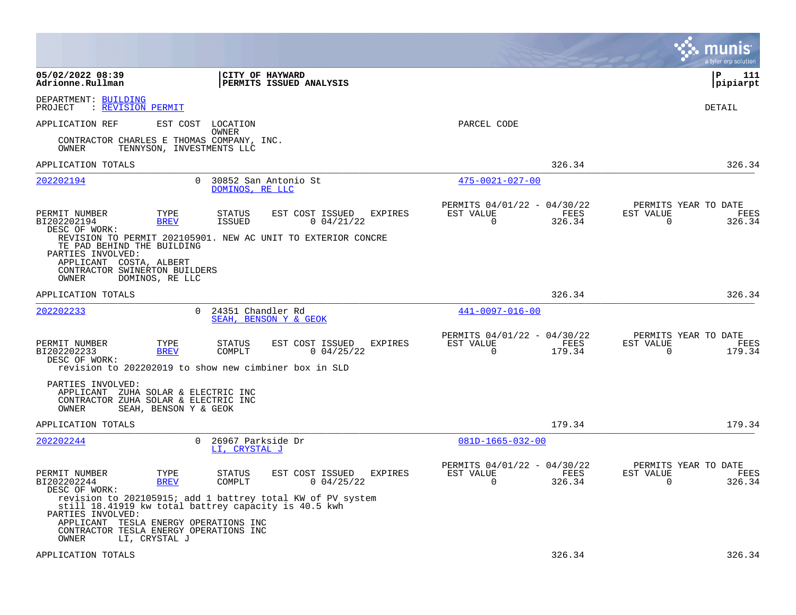|                                                                                                                                         |                                                                                                                              |                                                                        | munis<br>a tyler erp solution                                   |
|-----------------------------------------------------------------------------------------------------------------------------------------|------------------------------------------------------------------------------------------------------------------------------|------------------------------------------------------------------------|-----------------------------------------------------------------|
| 05/02/2022 08:39<br>Adrionne.Rullman                                                                                                    | <b>CITY OF HAYWARD</b><br><b>PERMITS ISSUED ANALYSIS</b>                                                                     |                                                                        | l P<br>111<br> pipiarpt                                         |
| DEPARTMENT: BUILDING<br>PROJECT<br>: REVISION PERMIT                                                                                    |                                                                                                                              |                                                                        | DETAIL                                                          |
| APPLICATION REF<br>EST COST<br>CONTRACTOR CHARLES E THOMAS COMPANY, INC.<br>OWNER                                                       | LOCATION<br>OWNER<br>TENNYSON, INVESTMENTS LLC                                                                               | PARCEL CODE                                                            |                                                                 |
| APPLICATION TOTALS                                                                                                                      |                                                                                                                              | 326.34                                                                 | 326.34                                                          |
| 202202194                                                                                                                               | 0<br>30852 San Antonio St<br>DOMINOS, RE LLC                                                                                 | $475 - 0021 - 027 - 00$                                                |                                                                 |
| PERMIT NUMBER<br>TYPE<br>BI202202194<br><b>BREV</b><br>DESC OF WORK:                                                                    | EST COST ISSUED<br><b>STATUS</b><br><b>EXPIRES</b><br>$0$ 04/21/22<br>ISSUED                                                 | PERMITS 04/01/22 - 04/30/22<br>EST VALUE<br>FEES<br>$\Omega$<br>326.34 | PERMITS YEAR TO DATE<br>EST VALUE<br>FEES<br>$\Omega$<br>326.34 |
| TE PAD BEHIND THE BUILDING<br>PARTIES INVOLVED:<br>APPLICANT COSTA, ALBERT<br>CONTRACTOR SWINERTON BUILDERS<br>OWNER<br>DOMINOS, RE LLC | REVISION TO PERMIT 202105901. NEW AC UNIT TO EXTERIOR CONCRE                                                                 |                                                                        |                                                                 |
| APPLICATION TOTALS                                                                                                                      |                                                                                                                              | 326.34                                                                 | 326.34                                                          |
| 202202233                                                                                                                               | $\Omega$<br>24351 Chandler Rd<br>SEAH, BENSON Y & GEOK                                                                       | 441-0097-016-00                                                        |                                                                 |
| PERMIT NUMBER<br>TYPE<br><b>BREV</b><br>BI202202233<br>DESC OF WORK:                                                                    | <b>STATUS</b><br>EST COST ISSUED<br>EXPIRES<br>COMPLT<br>0.04/25/22<br>revision to 202202019 to show new cimbiner box in SLD | PERMITS 04/01/22 - 04/30/22<br>EST VALUE<br>FEES<br>$\Omega$<br>179.34 | PERMITS YEAR TO DATE<br>EST VALUE<br>FEES<br>$\Omega$<br>179.34 |
| PARTIES INVOLVED:<br>APPLICANT ZUHA SOLAR & ELECTRIC INC<br>CONTRACTOR ZUHA SOLAR & ELECTRIC INC<br>SEAH, BENSON Y & GEOK<br>OWNER      |                                                                                                                              |                                                                        |                                                                 |
| APPLICATION TOTALS                                                                                                                      |                                                                                                                              | 179.34                                                                 | 179.34                                                          |
| 202202244                                                                                                                               | $\Omega$<br>26967 Parkside Dr<br>LI, CRYSTAL J                                                                               | $081D-1665-032-00$                                                     |                                                                 |
| TYPE<br>PERMIT NUMBER<br>BI202202244<br><b>BREV</b><br>DESC OF WORK:                                                                    | EST COST ISSUED<br>STATUS<br>EXPIRES<br>COMPLT<br>0.04/25/22                                                                 | PERMITS 04/01/22 - 04/30/22<br>EST VALUE<br>FEES<br>0<br>326.34        | PERMITS YEAR TO DATE<br>EST VALUE<br>FEES<br>326.34<br>$\Omega$ |
| PARTIES INVOLVED:<br>APPLICANT TESLA ENERGY OPERATIONS INC<br>CONTRACTOR TESLA ENERGY OPERATIONS INC<br>OWNER<br>LI, CRYSTAL J          | revision to 202105915; add 1 battrey total KW of PV system<br>still 18.41919 kw total battrey capacity is 40.5 kwh           |                                                                        |                                                                 |
| APPLICATION TOTALS                                                                                                                      |                                                                                                                              | 326.34                                                                 | 326.34                                                          |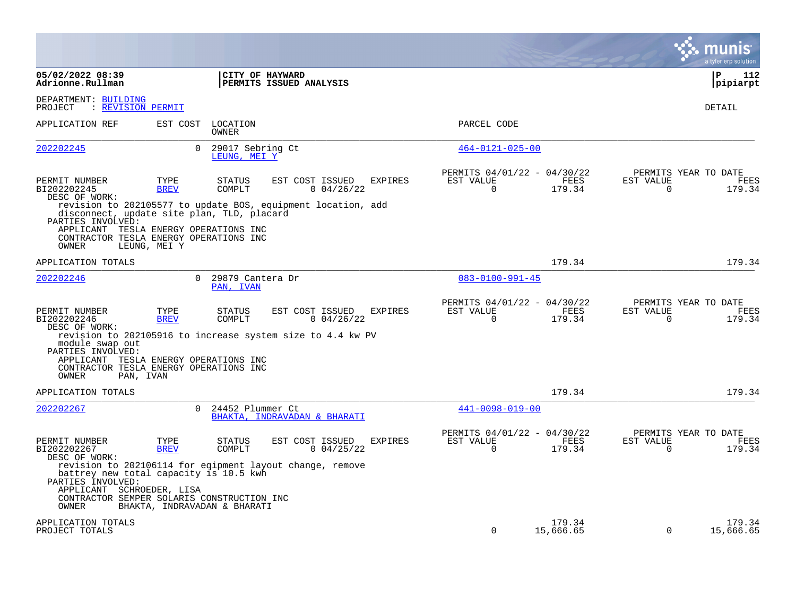|                                                                                                                                                    |                              |                                  |                                                              |                |                                                         |                     |                       | a tyler erp solution                   |
|----------------------------------------------------------------------------------------------------------------------------------------------------|------------------------------|----------------------------------|--------------------------------------------------------------|----------------|---------------------------------------------------------|---------------------|-----------------------|----------------------------------------|
| 05/02/2022 08:39<br>Adrionne.Rullman                                                                                                               |                              |                                  | CITY OF HAYWARD<br>PERMITS ISSUED ANALYSIS                   |                |                                                         |                     |                       | l P<br>112<br> pipiarpt                |
| DEPARTMENT: BUILDING<br>: REVISION PERMIT<br>PROJECT                                                                                               |                              |                                  |                                                              |                |                                                         |                     |                       | <b>DETAIL</b>                          |
| APPLICATION REF                                                                                                                                    |                              | EST COST LOCATION<br>OWNER       |                                                              |                | PARCEL CODE                                             |                     |                       |                                        |
| 202202245                                                                                                                                          | 0                            | 29017 Sebring Ct<br>LEUNG, MEI Y |                                                              |                | $464 - 0121 - 025 - 00$                                 |                     |                       |                                        |
| PERMIT NUMBER<br>BI202202245<br>DESC OF WORK:                                                                                                      | TYPE<br><b>BREV</b>          | <b>STATUS</b><br>COMPLT          | EST COST ISSUED<br>0.04/26/22                                | <b>EXPIRES</b> | PERMITS 04/01/22 - 04/30/22<br>EST VALUE<br>$\mathbf 0$ | FEES<br>179.34      | EST VALUE<br>$\Omega$ | PERMITS YEAR TO DATE<br>FEES<br>179.34 |
| disconnect, update site plan, TLD, placard<br>PARTIES INVOLVED:<br>APPLICANT TESLA ENERGY OPERATIONS INC<br>CONTRACTOR TESLA ENERGY OPERATIONS INC |                              |                                  | revision to 202105577 to update BOS, equipment location, add |                |                                                         |                     |                       |                                        |
| OWNER                                                                                                                                              | LEUNG, MEI Y                 |                                  |                                                              |                |                                                         |                     |                       |                                        |
| APPLICATION TOTALS                                                                                                                                 |                              |                                  |                                                              |                |                                                         | 179.34              |                       | 179.34                                 |
| 202202246                                                                                                                                          |                              | 0 29879 Cantera Dr<br>PAN, IVAN  |                                                              |                | $083 - 0100 - 991 - 45$                                 |                     |                       |                                        |
| PERMIT NUMBER<br>BI202202246<br>DESC OF WORK:                                                                                                      | TYPE<br><b>BREV</b>          | <b>STATUS</b><br>COMPLT          | EST COST ISSUED<br>0.04/26/22                                | <b>EXPIRES</b> | PERMITS 04/01/22 - 04/30/22<br>EST VALUE<br>$\Omega$    | FEES<br>179.34      | EST VALUE<br>0        | PERMITS YEAR TO DATE<br>FEES<br>179.34 |
| module swap out<br>PARTIES INVOLVED:<br>APPLICANT TESLA ENERGY OPERATIONS INC<br>CONTRACTOR TESLA ENERGY OPERATIONS INC<br>OWNER<br>PAN, IVAN      |                              |                                  | revision to 202105916 to increase system size to 4.4 kw PV   |                |                                                         |                     |                       |                                        |
| APPLICATION TOTALS                                                                                                                                 |                              |                                  |                                                              |                |                                                         | 179.34              |                       | 179.34                                 |
| 202202267                                                                                                                                          | $\Omega$                     | 24452 Plummer Ct                 | BHAKTA, INDRAVADAN & BHARATI                                 |                | $441 - 0098 - 019 - 00$                                 |                     |                       |                                        |
| PERMIT NUMBER<br>BI202202267<br>DESC OF WORK:                                                                                                      | TYPE<br><b>BREV</b>          | STATUS<br>COMPLT                 | EST COST ISSUED<br>0.04/25/22                                | <b>EXPIRES</b> | PERMITS 04/01/22 - 04/30/22<br>EST VALUE<br>$\Omega$    | FEES<br>179.34      | EST VALUE<br>$\Omega$ | PERMITS YEAR TO DATE<br>FEES<br>179.34 |
| battrey new total capacity is 10.5 kwh<br>PARTIES INVOLVED:<br>APPLICANT SCHROEDER, LISA<br>CONTRACTOR SEMPER SOLARIS CONSTRUCTION INC<br>OWNER    | BHAKTA, INDRAVADAN & BHARATI |                                  | revision to 202106114 for eqipment layout change, remove     |                |                                                         |                     |                       |                                        |
| APPLICATION TOTALS<br>PROJECT TOTALS                                                                                                               |                              |                                  |                                                              |                | $\Omega$                                                | 179.34<br>15,666.65 | $\Omega$              | 179.34<br>15,666.65                    |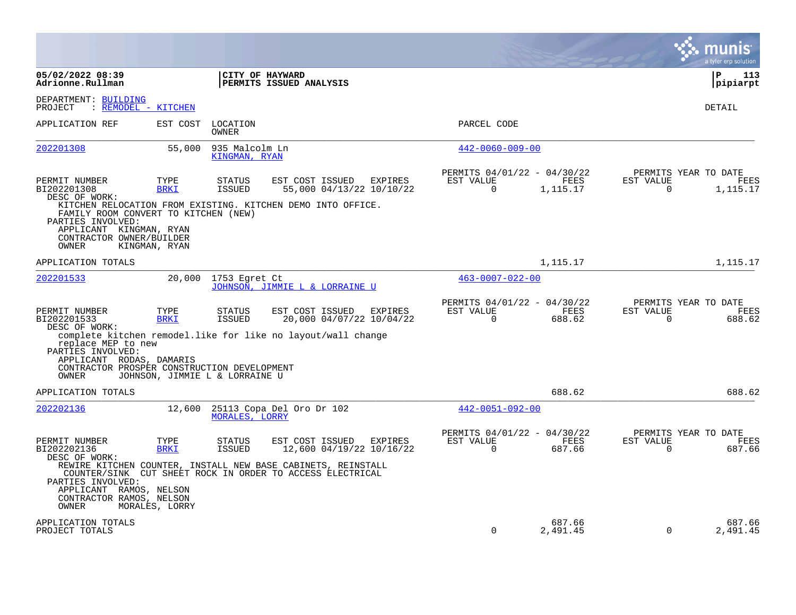|                                                                                                                             |                                |                                 |                                                                                                                     |                                                         |                    |                       | a tyler erp solution                          |
|-----------------------------------------------------------------------------------------------------------------------------|--------------------------------|---------------------------------|---------------------------------------------------------------------------------------------------------------------|---------------------------------------------------------|--------------------|-----------------------|-----------------------------------------------|
| 05/02/2022 08:39<br>Adrionne.Rullman                                                                                        |                                |                                 | CITY OF HAYWARD<br><b>PERMITS ISSUED ANALYSIS</b>                                                                   |                                                         |                    |                       | l P<br>113<br> pipiarpt                       |
| DEPARTMENT: BUILDING<br>PROJECT<br>: REMODEL - KITCHEN                                                                      |                                |                                 |                                                                                                                     |                                                         |                    |                       | DETAIL                                        |
| APPLICATION REF                                                                                                             | EST COST                       | LOCATION<br>OWNER               |                                                                                                                     | PARCEL CODE                                             |                    |                       |                                               |
| 202201308                                                                                                                   | 55,000                         | 935 Malcolm Ln<br>KINGMAN, RYAN |                                                                                                                     | $442 - 0060 - 009 - 00$                                 |                    |                       |                                               |
| PERMIT NUMBER<br>BI202201308<br>DESC OF WORK:                                                                               | TYPE<br><b>BRKI</b>            | <b>STATUS</b><br>ISSUED         | EST COST ISSUED<br>EXPIRES<br>55,000 04/13/22 10/10/22                                                              | PERMITS 04/01/22 - 04/30/22<br>EST VALUE<br>$\Omega$    | FEES<br>1,115.17   | EST VALUE<br>$\Omega$ | PERMITS YEAR TO DATE<br>FEES<br>1,115.17      |
| FAMILY ROOM CONVERT TO KITCHEN (NEW)<br>PARTIES INVOLVED:<br>APPLICANT KINGMAN, RYAN<br>CONTRACTOR OWNER/BUILDER<br>OWNER   | KINGMAN, RYAN                  |                                 | KITCHEN RELOCATION FROM EXISTING. KITCHEN DEMO INTO OFFICE.                                                         |                                                         |                    |                       |                                               |
| APPLICATION TOTALS                                                                                                          |                                |                                 |                                                                                                                     |                                                         | 1,115.17           |                       | 1,115.17                                      |
| 202201533                                                                                                                   | 20,000                         | 1753 Egret Ct                   | JOHNSON, JIMMIE L & LORRAINE U                                                                                      | $463 - 0007 - 022 - 00$                                 |                    |                       |                                               |
| PERMIT NUMBER<br>BI202201533<br>DESC OF WORK:                                                                               | TYPE<br><b>BRKI</b>            | <b>STATUS</b><br>ISSUED         | EST COST ISSUED<br>EXPIRES<br>20,000 04/07/22 10/04/22                                                              | PERMITS 04/01/22 - 04/30/22<br>EST VALUE<br>0           | FEES<br>688.62     | EST VALUE<br>0        | PERMITS YEAR TO DATE<br><b>FEES</b><br>688.62 |
| replace MEP to new<br>PARTIES INVOLVED:<br>APPLICANT RODAS, DAMARIS<br>CONTRACTOR PROSPER CONSTRUCTION DEVELOPMENT<br>OWNER | JOHNSON, JIMMIE L & LORRAINE U |                                 | complete kitchen remodel.like for like no layout/wall change                                                        |                                                         |                    |                       |                                               |
| APPLICATION TOTALS                                                                                                          |                                |                                 |                                                                                                                     |                                                         | 688.62             |                       | 688.62                                        |
| 202202136                                                                                                                   | 12,600                         | MORALES, LORRY                  | 25113 Copa Del Oro Dr 102                                                                                           | $442 - 0051 - 092 - 00$                                 |                    |                       |                                               |
| PERMIT NUMBER<br>BI202202136<br>DESC OF WORK:                                                                               | TYPE<br><b>BRKI</b>            | STATUS<br>ISSUED                | EST COST ISSUED EXPIRES<br>12,600 04/19/22 10/16/22<br>REWIRE KITCHEN COUNTER, INSTALL NEW BASE CABINETS, REINSTALL | PERMITS 04/01/22 - 04/30/22<br>EST VALUE<br>$\mathbf 0$ | FEES<br>687.66     | EST VALUE<br>0        | PERMITS YEAR TO DATE<br>FEES<br>687.66        |
| PARTIES INVOLVED:<br>APPLICANT RAMOS, NELSON<br>CONTRACTOR RAMOS, NELSON<br>OWNER                                           | MORALES, LORRY                 |                                 | COUNTER/SINK CUT SHEET ROCK IN ORDER TO ACCESS ELECTRICAL                                                           |                                                         |                    |                       |                                               |
| APPLICATION TOTALS<br>PROJECT TOTALS                                                                                        |                                |                                 |                                                                                                                     | $\Omega$                                                | 687.66<br>2,491.45 | $\Omega$              | 687.66<br>2,491.45                            |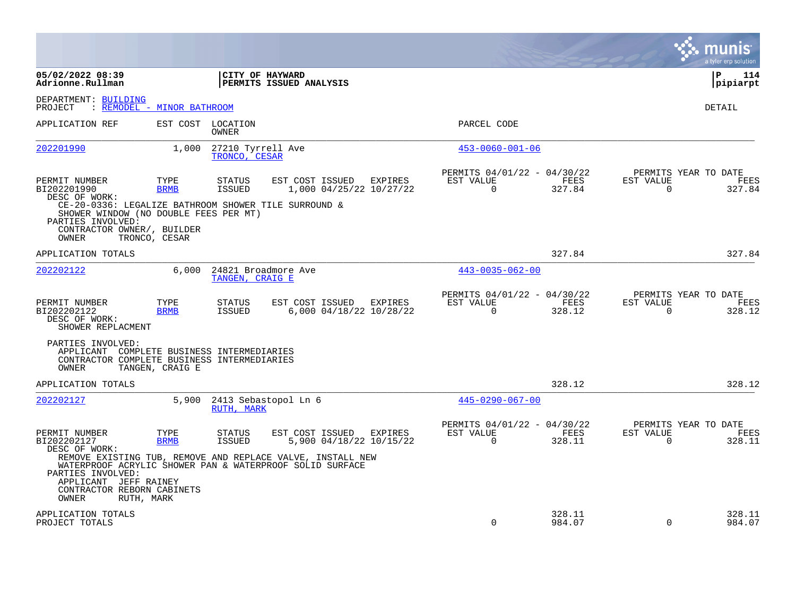|                                                                                                                           |                     |                                    |                                                                                                                                                                              |         |                                                            |                |                       | munis<br>a tyler erp solution                 |
|---------------------------------------------------------------------------------------------------------------------------|---------------------|------------------------------------|------------------------------------------------------------------------------------------------------------------------------------------------------------------------------|---------|------------------------------------------------------------|----------------|-----------------------|-----------------------------------------------|
| 05/02/2022 08:39<br>Adrionne.Rullman                                                                                      |                     |                                    | CITY OF HAYWARD<br>PERMITS ISSUED ANALYSIS                                                                                                                                   |         |                                                            |                |                       | l P<br>114<br> pipiarpt                       |
| DEPARTMENT: BUILDING<br>PROJECT<br>: REMODEL - MINOR BATHROOM                                                             |                     |                                    |                                                                                                                                                                              |         |                                                            |                |                       | DETAIL                                        |
| APPLICATION REF                                                                                                           |                     | EST COST LOCATION<br>OWNER         |                                                                                                                                                                              |         | PARCEL CODE                                                |                |                       |                                               |
| 202201990                                                                                                                 | 1,000               | 27210 Tyrrell Ave<br>TRONCO, CESAR |                                                                                                                                                                              |         | $453 - 0060 - 001 - 06$                                    |                |                       |                                               |
| PERMIT NUMBER<br>BI202201990<br>DESC OF WORK:<br>CE-20-0336: LEGALIZE BATHROOM SHOWER TILE SURROUND &                     | TYPE<br><b>BRMB</b> | <b>STATUS</b><br><b>ISSUED</b>     | EST COST ISSUED<br>1,000 04/25/22 10/27/22                                                                                                                                   | EXPIRES | PERMITS 04/01/22 - 04/30/22<br>EST VALUE<br>$\overline{0}$ | FEES<br>327.84 | EST VALUE<br>$\Omega$ | PERMITS YEAR TO DATE<br><b>FEES</b><br>327.84 |
| SHOWER WINDOW (NO DOUBLE FEES PER MT)<br>PARTIES INVOLVED:<br>CONTRACTOR OWNER/, BUILDER<br>OWNER                         | TRONCO, CESAR       |                                    |                                                                                                                                                                              |         |                                                            |                |                       |                                               |
| APPLICATION TOTALS                                                                                                        |                     |                                    |                                                                                                                                                                              |         |                                                            | 327.84         |                       | 327.84                                        |
| 202202122                                                                                                                 | 6,000               | TANGEN, CRAIG E                    | 24821 Broadmore Ave                                                                                                                                                          |         | $443 - 0035 - 062 - 00$                                    |                |                       |                                               |
| PERMIT NUMBER<br>BI202202122<br>DESC OF WORK:<br>SHOWER REPLACMENT                                                        | TYPE<br><b>BRMB</b> | <b>STATUS</b><br>ISSUED            | EST COST ISSUED<br>6,000 04/18/22 10/28/22                                                                                                                                   | EXPIRES | PERMITS 04/01/22 - 04/30/22<br>EST VALUE<br>$\mathbf 0$    | FEES<br>328.12 | EST VALUE<br>0        | PERMITS YEAR TO DATE<br>FEES<br>328.12        |
| PARTIES INVOLVED:<br>APPLICANT COMPLETE BUSINESS INTERMEDIARIES<br>CONTRACTOR COMPLETE BUSINESS INTERMEDIARIES<br>OWNER   | TANGEN, CRAIG E     |                                    |                                                                                                                                                                              |         |                                                            |                |                       |                                               |
| APPLICATION TOTALS                                                                                                        |                     |                                    |                                                                                                                                                                              |         |                                                            | 328.12         |                       | 328.12                                        |
| 202202127                                                                                                                 | 5,900               | RUTH, MARK                         | 2413 Sebastopol Ln 6                                                                                                                                                         |         | $445 - 0290 - 067 - 00$                                    |                |                       |                                               |
| PERMIT NUMBER<br>BI202202127<br>DESC OF WORK:<br>PARTIES INVOLVED:<br>APPLICANT JEFF RAINEY<br>CONTRACTOR REBORN CABINETS | TYPE<br><b>BRMB</b> | <b>STATUS</b><br>ISSUED            | EST COST ISSUED EXPIRES<br>5,900 04/18/22 10/15/22<br>REMOVE EXISTING TUB, REMOVE AND REPLACE VALVE, INSTALL NEW<br>WATERPROOF ACRYLIC SHOWER PAN & WATERPROOF SOLID SURFACE |         | PERMITS 04/01/22 - 04/30/22<br>EST VALUE<br>$\Omega$       | FEES<br>328.11 | EST VALUE<br>$\Omega$ | PERMITS YEAR TO DATE<br><b>FEES</b><br>328.11 |
| OWNER<br>APPLICATION TOTALS                                                                                               | RUTH, MARK          |                                    |                                                                                                                                                                              |         |                                                            | 328.11         |                       | 328.11                                        |
| PROJECT TOTALS                                                                                                            |                     |                                    |                                                                                                                                                                              |         | $\Omega$                                                   | 984.07         | $\Omega$              | 984.07                                        |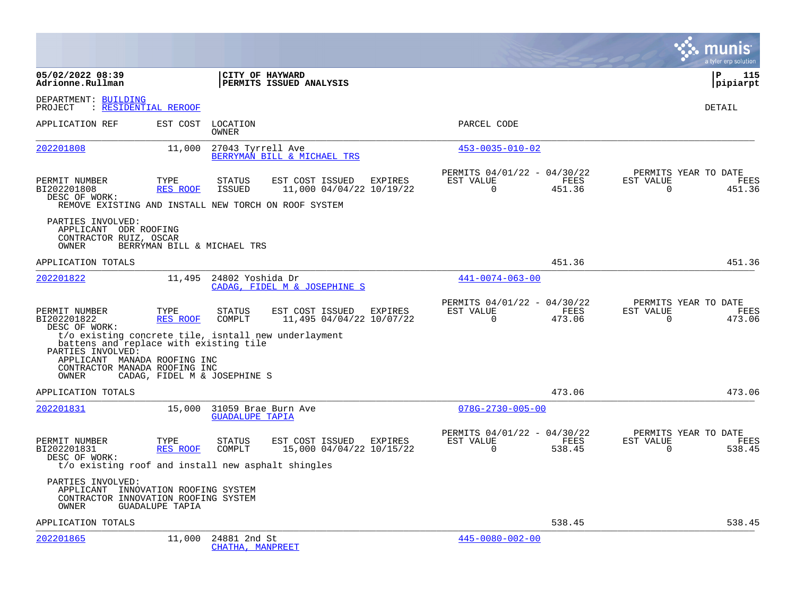|                                                                                                                                       |                              |                                  |                                             |         |                                                      |                |                       | a tyler erp solution                          |
|---------------------------------------------------------------------------------------------------------------------------------------|------------------------------|----------------------------------|---------------------------------------------|---------|------------------------------------------------------|----------------|-----------------------|-----------------------------------------------|
| 05/02/2022 08:39<br>Adrionne.Rullman                                                                                                  |                              |                                  | CITY OF HAYWARD<br>PERMITS ISSUED ANALYSIS  |         |                                                      |                |                       | l P<br>115<br> pipiarpt                       |
| DEPARTMENT: BUILDING<br>PROJECT                                                                                                       | : RESIDENTIAL REROOF         |                                  |                                             |         |                                                      |                |                       | <b>DETAIL</b>                                 |
| APPLICATION REF                                                                                                                       | EST COST                     | LOCATION<br><b>OWNER</b>         |                                             |         | PARCEL CODE                                          |                |                       |                                               |
| 202201808                                                                                                                             | 11,000                       | 27043 Tyrrell Ave                | BERRYMAN BILL & MICHAEL TRS                 |         | $453 - 0035 - 010 - 02$                              |                |                       |                                               |
| PERMIT NUMBER<br>BI202201808<br>DESC OF WORK:<br>REMOVE EXISTING AND INSTALL NEW TORCH ON ROOF SYSTEM                                 | TYPE<br><b>RES ROOF</b>      | <b>STATUS</b><br><b>ISSUED</b>   | EST COST ISSUED<br>11,000 04/04/22 10/19/22 | EXPIRES | PERMITS 04/01/22 - 04/30/22<br>EST VALUE<br>$\Omega$ | FEES<br>451.36 | EST VALUE<br>$\Omega$ | PERMITS YEAR TO DATE<br>FEES<br>451.36        |
| PARTIES INVOLVED:<br>APPLICANT ODR ROOFING<br>CONTRACTOR RUIZ, OSCAR<br>OWNER                                                         | BERRYMAN BILL & MICHAEL TRS  |                                  |                                             |         |                                                      |                |                       |                                               |
| APPLICATION TOTALS                                                                                                                    |                              |                                  |                                             |         |                                                      | 451.36         |                       | 451.36                                        |
| 202201822                                                                                                                             | 11,495                       | 24802 Yoshida Dr                 | CADAG, FIDEL M & JOSEPHINE S                |         | $441 - 0074 - 063 - 00$                              |                |                       |                                               |
| PERMIT NUMBER<br>BI202201822<br>DESC OF WORK:<br>t/o existing concrete tile, isntall new underlayment                                 | TYPE<br><b>RES ROOF</b>      | <b>STATUS</b><br>COMPLT          | EST COST ISSUED<br>11,495 04/04/22 10/07/22 | EXPIRES | PERMITS 04/01/22 - 04/30/22<br>EST VALUE<br>$\Omega$ | FEES<br>473.06 | EST VALUE<br>$\Omega$ | PERMITS YEAR TO DATE<br><b>FEES</b><br>473.06 |
| battens and replace with existing tile<br>PARTIES INVOLVED:<br>APPLICANT MANADA ROOFING INC<br>CONTRACTOR MANADA ROOFING INC<br>OWNER | CADAG, FIDEL M & JOSEPHINE S |                                  |                                             |         |                                                      |                |                       |                                               |
| APPLICATION TOTALS                                                                                                                    |                              |                                  |                                             |         |                                                      | 473.06         |                       | 473.06                                        |
| 202201831                                                                                                                             | 15,000                       | <b>GUADALUPE TAPIA</b>           | 31059 Brae Burn Ave                         |         | $078G - 2730 - 005 - 00$                             |                |                       |                                               |
| PERMIT NUMBER<br>BI202201831<br>DESC OF WORK:<br>t/o existing roof and install new asphalt shingles                                   | TYPE<br>RES ROOF             | <b>STATUS</b><br>COMPLT          | EST COST ISSUED<br>15,000 04/04/22 10/15/22 | EXPIRES | PERMITS 04/01/22 - 04/30/22<br>EST VALUE<br>$\Omega$ | FEES<br>538.45 | EST VALUE<br>$\Omega$ | PERMITS YEAR TO DATE<br>FEES<br>538.45        |
| PARTIES INVOLVED:<br>APPLICANT INNOVATION ROOFING SYSTEM<br>CONTRACTOR INNOVATION ROOFING SYSTEM<br>OWNER                             | GUADALUPE TAPIA              |                                  |                                             |         |                                                      |                |                       |                                               |
| APPLICATION TOTALS                                                                                                                    |                              |                                  |                                             |         |                                                      | 538.45         |                       | 538.45                                        |
| 202201865                                                                                                                             | 11,000                       | 24881 2nd St<br>CHATHA, MANPREET |                                             |         | $445 - 0080 - 002 - 00$                              |                |                       |                                               |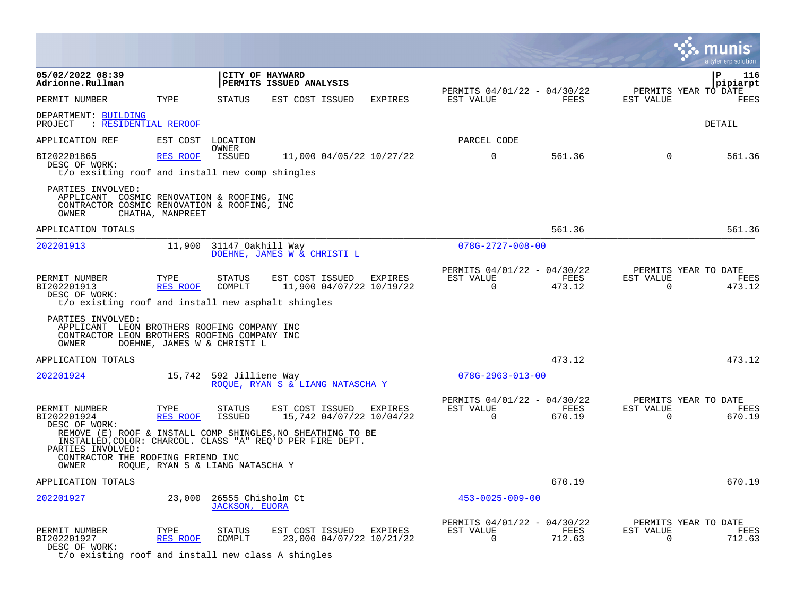|                                                                                                                                               |                         |                                            |                                                     |                |                                                      |                |                       | a tyler erp solution                   |
|-----------------------------------------------------------------------------------------------------------------------------------------------|-------------------------|--------------------------------------------|-----------------------------------------------------|----------------|------------------------------------------------------|----------------|-----------------------|----------------------------------------|
| 05/02/2022 08:39<br>Adrionne.Rullman                                                                                                          |                         | CITY OF HAYWARD                            | PERMITS ISSUED ANALYSIS                             |                |                                                      |                |                       | ∣P<br>116<br>pipiarpt                  |
| PERMIT NUMBER                                                                                                                                 | TYPE                    | <b>STATUS</b>                              | EST COST ISSUED                                     | <b>EXPIRES</b> | PERMITS 04/01/22 - 04/30/22<br>EST VALUE             | FEES           | EST VALUE             | PERMITS YEAR TO DATE<br>FEES           |
| DEPARTMENT: BUILDING<br>PROJECT<br>: RESIDENTIAL REROOF                                                                                       |                         |                                            |                                                     |                |                                                      |                |                       | DETAIL                                 |
| APPLICATION REF                                                                                                                               | EST COST                | LOCATION                                   |                                                     |                | PARCEL CODE                                          |                |                       |                                        |
| BI202201865<br>DESC OF WORK:<br>t/o exsiting roof and install new comp shingles                                                               | RES ROOF                | <b>OWNER</b><br>ISSUED                     | 11,000 04/05/22 10/27/22                            |                | $\Omega$                                             | 561.36         | $\Omega$              | 561.36                                 |
| PARTIES INVOLVED:<br>APPLICANT COSMIC RENOVATION & ROOFING, INC<br>CONTRACTOR COSMIC RENOVATION & ROOFING, INC<br>OWNER                       | CHATHA, MANPREET        |                                            |                                                     |                |                                                      |                |                       |                                        |
| APPLICATION TOTALS                                                                                                                            |                         |                                            |                                                     |                |                                                      | 561.36         |                       | 561.36                                 |
| 202201913                                                                                                                                     | 11,900                  | 31147 Oakhill Way                          | DOEHNE, JAMES W & CHRISTI L                         |                | $078G - 2727 - 008 - 00$                             |                |                       |                                        |
| PERMIT NUMBER<br>BI202201913<br>DESC OF WORK:<br>t/o existing roof and install new asphalt shingles                                           | TYPE<br>RES ROOF        | <b>STATUS</b><br>COMPLT                    | EST COST ISSUED EXPIRES<br>11,900 04/07/22 10/19/22 |                | PERMITS 04/01/22 - 04/30/22<br>EST VALUE<br>$\Omega$ | FEES<br>473.12 | EST VALUE<br>$\Omega$ | PERMITS YEAR TO DATE<br>FEES<br>473.12 |
| PARTIES INVOLVED:<br>APPLICANT LEON BROTHERS ROOFING COMPANY INC<br>CONTRACTOR LEON BROTHERS ROOFING COMPANY INC<br>OWNER                     |                         | DOEHNE, JAMES W & CHRISTI L                |                                                     |                |                                                      |                |                       |                                        |
| APPLICATION TOTALS                                                                                                                            |                         |                                            |                                                     |                |                                                      | 473.12         |                       | 473.12                                 |
| 202201924                                                                                                                                     | 15,742                  | 592 Jilliene Way                           | ROOUE, RYAN S & LIANG NATASCHA Y                    |                | $078G - 2963 - 013 - 00$                             |                |                       |                                        |
| PERMIT NUMBER<br>BI202201924<br>DESC OF WORK:                                                                                                 | TYPE<br>RES ROOF        | <b>STATUS</b><br><b>ISSUED</b>             | EST COST ISSUED<br>15,742 04/07/22 10/04/22         | EXPIRES        | PERMITS 04/01/22 - 04/30/22<br>EST VALUE<br>$\Omega$ | FEES<br>670.19 | EST VALUE<br>$\Omega$ | PERMITS YEAR TO DATE<br>FEES<br>670.19 |
| REMOVE (E) ROOF & INSTALL COMP SHINGLES, NO SHEATHING TO BE<br>INSTALLED, COLOR: CHARCOL. CLASS "A" REO'D PER FIRE DEPT.<br>PARTIES INVOLVED: |                         |                                            |                                                     |                |                                                      |                |                       |                                        |
| CONTRACTOR THE ROOFING FRIEND INC<br>OWNER                                                                                                    |                         | ROQUE, RYAN S & LIANG NATASCHA Y           |                                                     |                |                                                      |                |                       |                                        |
| APPLICATION TOTALS                                                                                                                            |                         |                                            |                                                     |                |                                                      | 670.19         |                       | 670.19                                 |
| 202201927                                                                                                                                     | 23,000                  | 26555 Chisholm Ct<br><b>JACKSON, EUORA</b> |                                                     |                | $453 - 0025 - 009 - 00$                              |                |                       |                                        |
| PERMIT NUMBER<br>BI202201927<br>DESC OF WORK:                                                                                                 | TYPE<br><b>RES ROOF</b> | <b>STATUS</b><br>COMPLT                    | EST COST ISSUED<br>23,000 04/07/22 10/21/22         | EXPIRES        | PERMITS 04/01/22 - 04/30/22<br>EST VALUE<br>$\Omega$ | FEES<br>712.63 | EST VALUE<br>$\Omega$ | PERMITS YEAR TO DATE<br>FEES<br>712.63 |

t/o existing roof and install new class A shingles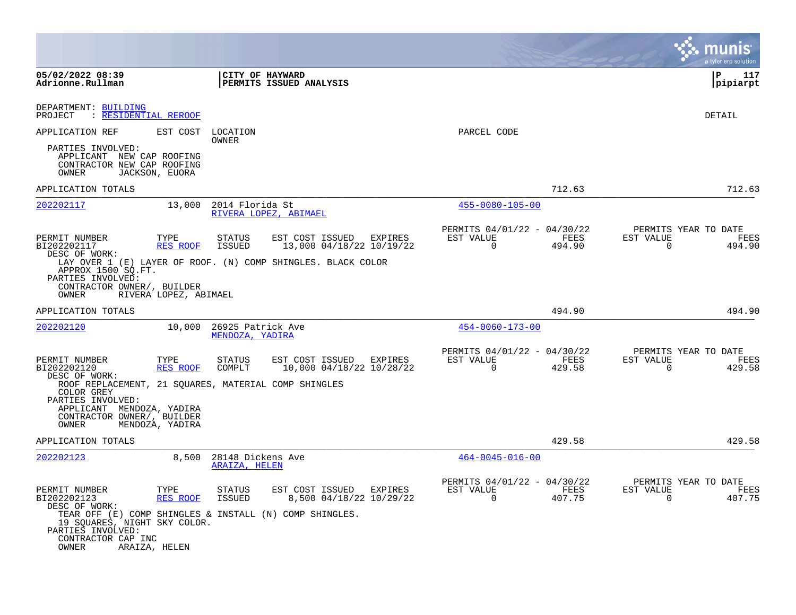|                                                                                                                                                                                |                                                  |                                      |                                                                                                                        |                                                         |                | a tyler erp solution                                               |
|--------------------------------------------------------------------------------------------------------------------------------------------------------------------------------|--------------------------------------------------|--------------------------------------|------------------------------------------------------------------------------------------------------------------------|---------------------------------------------------------|----------------|--------------------------------------------------------------------|
| 05/02/2022 08:39<br>Adrionne.Rullman                                                                                                                                           |                                                  | CITY OF HAYWARD                      | PERMITS ISSUED ANALYSIS                                                                                                |                                                         |                | $\mathbf{P}$<br>117<br>pipiarpt                                    |
| DEPARTMENT: BUILDING<br>: RESIDENTIAL REROOF<br>PROJECT                                                                                                                        |                                                  |                                      |                                                                                                                        |                                                         |                | <b>DETAIL</b>                                                      |
| APPLICATION REF                                                                                                                                                                | EST COST                                         | LOCATION<br>OWNER                    |                                                                                                                        | PARCEL CODE                                             |                |                                                                    |
| PARTIES INVOLVED:<br>APPLICANT NEW CAP ROOFING<br>CONTRACTOR NEW CAP ROOFING<br>OWNER<br>JACKSON, EUORA                                                                        |                                                  |                                      |                                                                                                                        |                                                         |                |                                                                    |
| APPLICATION TOTALS                                                                                                                                                             |                                                  |                                      |                                                                                                                        |                                                         | 712.63         | 712.63                                                             |
| 202202117                                                                                                                                                                      | 13,000                                           | 2014 Florida St                      | RIVERA LOPEZ, ABIMAEL                                                                                                  | $455 - 0080 - 105 - 00$                                 |                |                                                                    |
| PERMIT NUMBER<br>BI202202117<br>DESC OF WORK:<br>APPROX 1500 SQ.FT.<br>PARTIES INVOLVED:<br>CONTRACTOR OWNER/, BUILDER<br>OWNER                                                | TYPE<br><b>RES ROOF</b><br>RIVERA LOPEZ, ABIMAEL | <b>STATUS</b><br>ISSUED              | EST COST ISSUED<br>EXPIRES<br>13,000 04/18/22 10/19/22<br>LAY OVER 1 (E) LAYER OF ROOF. (N) COMP SHINGLES. BLACK COLOR | PERMITS 04/01/22 - 04/30/22<br>EST VALUE<br>$\mathbf 0$ | FEES<br>494.90 | PERMITS YEAR TO DATE<br>EST VALUE<br>FEES<br>$\mathbf 0$<br>494.90 |
| APPLICATION TOTALS                                                                                                                                                             |                                                  |                                      |                                                                                                                        |                                                         | 494.90         | 494.90                                                             |
| 202202120                                                                                                                                                                      | 10,000                                           | 26925 Patrick Ave<br>MENDOZA, YADIRA |                                                                                                                        | $454 - 0060 - 173 - 00$                                 |                |                                                                    |
| PERMIT NUMBER<br>BI202202120<br>DESC OF WORK:                                                                                                                                  | TYPE<br>RES ROOF                                 | <b>STATUS</b><br>COMPLT              | EST COST ISSUED<br>EXPIRES<br>10,000 04/18/22 10/28/22                                                                 | PERMITS 04/01/22 - 04/30/22<br>EST VALUE<br>0           | FEES<br>429.58 | PERMITS YEAR TO DATE<br>EST VALUE<br>FEES<br>429.58<br>0           |
| ROOF REPLACEMENT, 21 SQUARES, MATERIAL COMP SHINGLES<br>COLOR GREY<br>PARTIES INVOLVED:<br>APPLICANT MENDOZA, YADIRA<br>CONTRACTOR OWNER/, BUILDER<br>MENDOZA, YADIRA<br>OWNER |                                                  |                                      |                                                                                                                        |                                                         |                |                                                                    |
| APPLICATION TOTALS                                                                                                                                                             |                                                  |                                      |                                                                                                                        |                                                         | 429.58         | 429.58                                                             |
| 202202123                                                                                                                                                                      | 8,500                                            | 28148 Dickens Ave<br>ARAIZA, HELEN   |                                                                                                                        | $464 - 0045 - 016 - 00$                                 |                |                                                                    |
| PERMIT NUMBER<br>BI202202123<br>DESC OF WORK:                                                                                                                                  | TYPE<br><b>RES ROOF</b>                          | <b>STATUS</b><br>ISSUED              | EST COST ISSUED<br>EXPIRES<br>8,500 04/18/22 10/29/22                                                                  | PERMITS 04/01/22 - 04/30/22<br>EST VALUE<br>$\mathbf 0$ | FEES<br>407.75 | PERMITS YEAR TO DATE<br>EST VALUE<br>FEES<br>$\mathbf 0$<br>407.75 |
| TEAR OFF (E) COMP SHINGLES & INSTALL (N) COMP SHINGLES.<br>19 SQUARES, NIGHT SKY COLOR.<br>PARTIES INVOLVED:<br>CONTRACTOR CAP INC<br>OWNER<br>ARAIZA, HELEN                   |                                                  |                                      |                                                                                                                        |                                                         |                |                                                                    |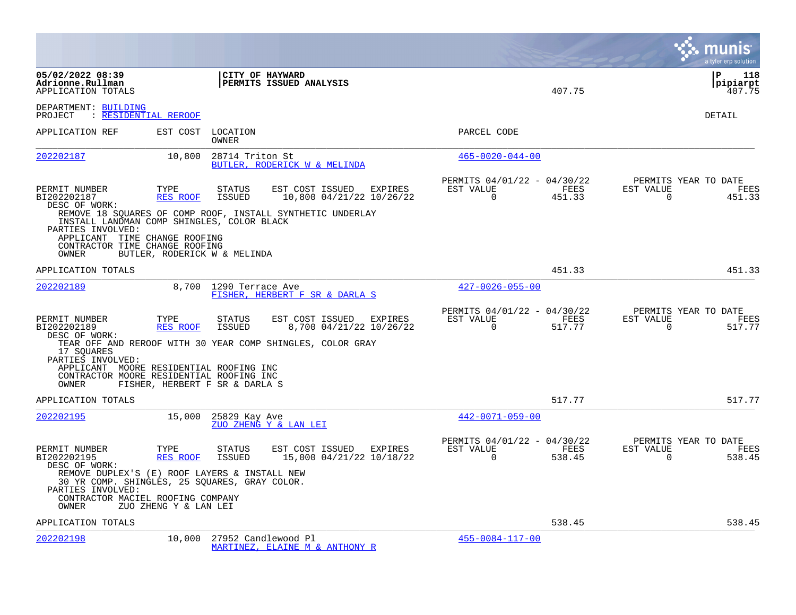|                                                                                                                                                                   |                       |                                |                                                                                                                  |                                                         |                |                          | munis<br>a tyler erp solution          |
|-------------------------------------------------------------------------------------------------------------------------------------------------------------------|-----------------------|--------------------------------|------------------------------------------------------------------------------------------------------------------|---------------------------------------------------------|----------------|--------------------------|----------------------------------------|
| 05/02/2022 08:39<br>Adrionne.Rullman<br>APPLICATION TOTALS                                                                                                        |                       |                                | CITY OF HAYWARD<br>PERMITS ISSUED ANALYSIS                                                                       |                                                         | 407.75         |                          | Þ<br>118<br> pipiarpt<br>407.75        |
| DEPARTMENT: BUILDING<br>PROJECT : RESIDENTIAL REROOF                                                                                                              |                       |                                |                                                                                                                  |                                                         |                |                          | DETAIL                                 |
| APPLICATION REF                                                                                                                                                   |                       | EST COST LOCATION<br>OWNER     |                                                                                                                  | PARCEL CODE                                             |                |                          |                                        |
| 202202187                                                                                                                                                         | 10,800                | 28714 Triton St                | BUTLER, RODERICK W & MELINDA                                                                                     | $465 - 0020 - 044 - 00$                                 |                |                          |                                        |
| PERMIT NUMBER<br>BI202202187<br>DESC OF WORK:                                                                                                                     | TYPE<br>RES ROOF      | <b>STATUS</b><br><b>ISSUED</b> | EST COST ISSUED<br>EXPIRES<br>10,800 04/21/22 10/26/22                                                           | PERMITS 04/01/22 - 04/30/22<br>EST VALUE<br>$\Omega$    | FEES<br>451.33 | EST VALUE<br>$\mathbf 0$ | PERMITS YEAR TO DATE<br>FEES<br>451.33 |
| INSTALL LANDMAN COMP SHINGLES, COLOR BLACK<br>PARTIES INVOLVED:<br>APPLICANT TIME CHANGE ROOFING                                                                  |                       |                                | REMOVE 18 SQUARES OF COMP ROOF, INSTALL SYNTHETIC UNDERLAY                                                       |                                                         |                |                          |                                        |
| CONTRACTOR TIME CHANGE ROOFING<br>OWNER                                                                                                                           |                       | BUTLER, RODERICK W & MELINDA   |                                                                                                                  |                                                         |                |                          |                                        |
| APPLICATION TOTALS                                                                                                                                                |                       |                                |                                                                                                                  |                                                         | 451.33         |                          | 451.33                                 |
| 202202189                                                                                                                                                         | 8,700                 | 1290 Terrace Ave               | FISHER, HERBERT F SR & DARLA S                                                                                   | $427 - 0026 - 055 - 00$                                 |                |                          |                                        |
| PERMIT NUMBER<br>BI202202189<br>DESC OF WORK:                                                                                                                     | TYPE<br>RES ROOF      | <b>STATUS</b><br><b>ISSUED</b> | EST COST ISSUED EXPIRES<br>8,700 04/21/22 10/26/22<br>TEAR OFF AND REROOF WITH 30 YEAR COMP SHINGLES, COLOR GRAY | PERMITS 04/01/22 - 04/30/22<br>EST VALUE<br>$\mathbf 0$ | FEES<br>517.77 | EST VALUE<br>$\mathbf 0$ | PERMITS YEAR TO DATE<br>FEES<br>517.77 |
| 17 SOUARES<br>PARTIES INVOLVED:<br>APPLICANT MOORE RESIDENTIAL ROOFING INC<br>CONTRACTOR MOORE RESIDENTIAL ROOFING INC<br>OWNER                                   |                       | FISHER, HERBERT F SR & DARLA S |                                                                                                                  |                                                         |                |                          |                                        |
| APPLICATION TOTALS                                                                                                                                                |                       |                                |                                                                                                                  |                                                         | 517.77         |                          | 517.77                                 |
| 202202195                                                                                                                                                         | 15,000                | 25829 Kay Ave                  | ZUO ZHENG Y & LAN LEI                                                                                            | $442 - 0071 - 059 - 00$                                 |                |                          |                                        |
| PERMIT NUMBER<br>BI202202195<br>DESC OF WORK:                                                                                                                     | TYPE<br>RES ROOF      | <b>STATUS</b><br><b>ISSUED</b> | EST COST ISSUED EXPIRES<br>15,000 04/21/22 10/18/22                                                              | PERMITS 04/01/22 - 04/30/22<br>EST VALUE<br>$\mathbf 0$ | FEES<br>538.45 | EST VALUE<br>$\mathbf 0$ | PERMITS YEAR TO DATE<br>FEES<br>538.45 |
| REMOVE DUPLEX'S (E) ROOF LAYERS & INSTALL NEW<br>30 YR COMP. SHINGLES, 25 SQUARES, GRAY COLOR.<br>PARTIES INVOLVED:<br>CONTRACTOR MACIEL ROOFING COMPANY<br>OWNER | ZUO ZHENG Y & LAN LEI |                                |                                                                                                                  |                                                         |                |                          |                                        |
| APPLICATION TOTALS                                                                                                                                                |                       |                                |                                                                                                                  |                                                         | 538.45         |                          | 538.45                                 |
| 202202198                                                                                                                                                         | 10,000                |                                | 27952 Candlewood Pl<br>MARTINEZ, ELAINE M & ANTHONY R                                                            | $455 - 0084 - 117 - 00$                                 |                |                          |                                        |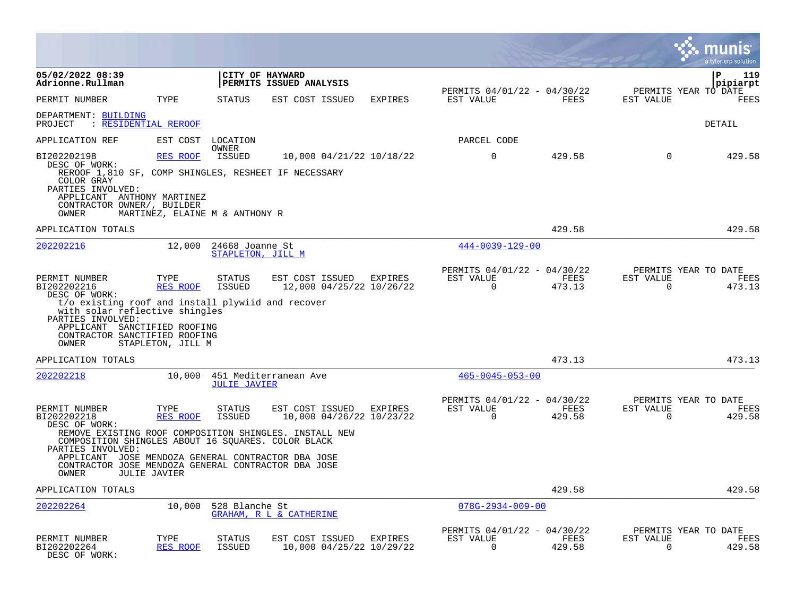|                                                                                                                                                              |                                |                                      |                                             |                |                                                         |                |                                                  | munis<br>a tyler erp solution |
|--------------------------------------------------------------------------------------------------------------------------------------------------------------|--------------------------------|--------------------------------------|---------------------------------------------|----------------|---------------------------------------------------------|----------------|--------------------------------------------------|-------------------------------|
| 05/02/2022 08:39<br>Adrionne.Rullman                                                                                                                         |                                |                                      | CITY OF HAYWARD<br>PERMITS ISSUED ANALYSIS  |                |                                                         |                |                                                  | 119<br>l P<br>pipiarpt        |
| PERMIT NUMBER                                                                                                                                                | TYPE                           | <b>STATUS</b>                        | EST COST ISSUED                             | <b>EXPIRES</b> | PERMITS 04/01/22 - 04/30/22<br>EST VALUE                | FEES           | PERMITS YEAR TO DATE<br>EST VALUE                | <b>FEES</b>                   |
| DEPARTMENT: BUILDING<br>: RESIDENTIAL REROOF<br>PROJECT                                                                                                      |                                |                                      |                                             |                |                                                         |                |                                                  | DETAIL                        |
| APPLICATION REF                                                                                                                                              |                                | EST COST LOCATION                    |                                             |                | PARCEL CODE                                             |                |                                                  |                               |
| BI202202198<br>DESC OF WORK:                                                                                                                                 | RES ROOF                       | OWNER<br>ISSUED                      | 10,000 04/21/22 10/18/22                    |                | $\mathbf 0$                                             | 429.58         | $\mathbf 0$                                      | 429.58                        |
| REROOF 1,810 SF, COMP SHINGLES, RESHEET IF NECESSARY<br>COLOR GRAY<br>PARTIES INVOLVED:<br>APPLICANT ANTHONY MARTINEZ<br>CONTRACTOR OWNER/, BUILDER<br>OWNER | MARTINEZ, ELAINE M & ANTHONY R |                                      |                                             |                |                                                         |                |                                                  |                               |
| APPLICATION TOTALS                                                                                                                                           |                                |                                      |                                             |                |                                                         | 429.58         |                                                  | 429.58                        |
| 202202216                                                                                                                                                    | 12,000                         | 24668 Joanne St<br>STAPLETON, JILL M |                                             |                | $444 - 0039 - 129 - 00$                                 |                |                                                  |                               |
| PERMIT NUMBER<br>BI202202216<br>DESC OF WORK:<br>t/o existing roof and install plywiid and recover<br>with solar reflective shingles<br>PARTIES INVOLVED:    | TYPE<br>RES ROOF               | <b>STATUS</b><br><b>ISSUED</b>       | EST COST ISSUED<br>12,000 04/25/22 10/26/22 | EXPIRES        | PERMITS 04/01/22 - 04/30/22<br>EST VALUE<br>$\Omega$    | FEES<br>473.13 | PERMITS YEAR TO DATE<br>EST VALUE<br>$\Omega$    | FEES<br>473.13                |
| APPLICANT SANCTIFIED ROOFING<br>CONTRACTOR SANCTIFIED ROOFING<br>OWNER                                                                                       | STAPLETON, JILL M              |                                      |                                             |                |                                                         |                |                                                  |                               |
| APPLICATION TOTALS                                                                                                                                           |                                |                                      |                                             |                |                                                         | 473.13         |                                                  | 473.13                        |
| 202202218                                                                                                                                                    | 10,000                         | <b>JULIE JAVIER</b>                  | 451 Mediterranean Ave                       |                | $465 - 0045 - 053 - 00$                                 |                |                                                  |                               |
| PERMIT NUMBER<br>BI202202218<br>DESC OF WORK:                                                                                                                | TYPE<br>RES ROOF               | <b>STATUS</b><br><b>ISSUED</b>       | EST COST ISSUED<br>10,000 04/26/22 10/23/22 | EXPIRES        | PERMITS 04/01/22 - 04/30/22<br>EST VALUE<br>$\mathbf 0$ | FEES<br>429.58 | PERMITS YEAR TO DATE<br>EST VALUE<br>$\mathbf 0$ | <b>FEES</b><br>429.58         |
| REMOVE EXISTING ROOF COMPOSITION SHINGLES. INSTALL NEW<br>COMPOSITION SHINGLES ABOUT 16 SOUARES. COLOR BLACK<br>PARTIES INVOLVED:                            |                                |                                      |                                             |                |                                                         |                |                                                  |                               |
| APPLICANT JOSE MENDOZA GENERAL CONTRACTOR DBA JOSE<br>CONTRACTOR JOSE MENDOZA GENERAL CONTRACTOR DBA JOSE<br>OWNER                                           | <b>JULIE JAVIER</b>            |                                      |                                             |                |                                                         |                |                                                  |                               |
| APPLICATION TOTALS                                                                                                                                           |                                |                                      |                                             |                |                                                         | 429.58         |                                                  | 429.58                        |
| 202202264                                                                                                                                                    | 10,000                         | 528 Blanche St                       | GRAHAM, R L & CATHERINE                     |                | $078G - 2934 - 009 - 00$                                |                |                                                  |                               |
| PERMIT NUMBER<br>BI202202264<br>DESC OF WORK:                                                                                                                | TYPE<br><b>RES ROOF</b>        | STATUS<br><b>ISSUED</b>              | EST COST ISSUED<br>10,000 04/25/22 10/29/22 | EXPIRES        | PERMITS 04/01/22 - 04/30/22<br>EST VALUE<br>$\Omega$    | FEES<br>429.58 | PERMITS YEAR TO DATE<br>EST VALUE<br>$\Omega$    | FEES<br>429.58                |

 $\bullet$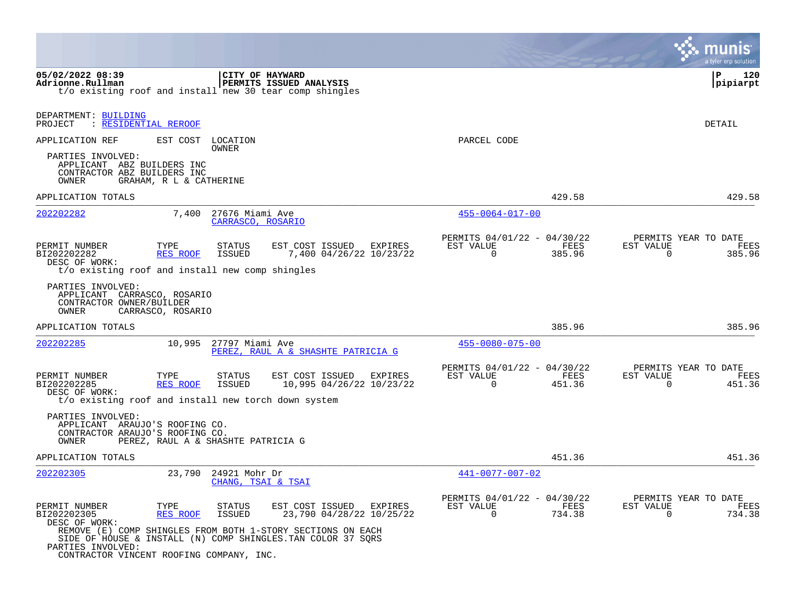|                                                                                                                |                                              |                                      |                                                                                                                                                                                       |                                                            |                | munis<br>a tyler erp solution                                      |
|----------------------------------------------------------------------------------------------------------------|----------------------------------------------|--------------------------------------|---------------------------------------------------------------------------------------------------------------------------------------------------------------------------------------|------------------------------------------------------------|----------------|--------------------------------------------------------------------|
| 05/02/2022 08:39<br>Adrionne.Rullman<br>t/o existing roof and install new 30 tear comp shingles                |                                              | CITY OF HAYWARD                      | <b>PERMITS ISSUED ANALYSIS</b>                                                                                                                                                        |                                                            |                | Р<br>120<br> pipiarpt                                              |
| DEPARTMENT: BUILDING<br><b>RESIDENTIAL REROOF</b><br>PROJECT                                                   |                                              |                                      |                                                                                                                                                                                       |                                                            |                | DETAIL                                                             |
| APPLICATION REF<br>PARTIES INVOLVED:<br>APPLICANT ABZ BUILDERS INC<br>CONTRACTOR ABZ BUILDERS INC<br>OWNER     | EST COST LOCATION<br>GRAHAM, R L & CATHERINE | OWNER                                |                                                                                                                                                                                       | PARCEL CODE                                                |                |                                                                    |
| APPLICATION TOTALS                                                                                             |                                              |                                      |                                                                                                                                                                                       |                                                            | 429.58         | 429.58                                                             |
| 202202282                                                                                                      | 7,400                                        | 27676 Miami Ave<br>CARRASCO, ROSARIO |                                                                                                                                                                                       | $455 - 0064 - 017 - 00$                                    |                |                                                                    |
| PERMIT NUMBER<br>BI202202282<br>DESC OF WORK:<br>t/o existing roof and install new comp shingles               | TYPE<br>RES ROOF                             | STATUS<br><b>ISSUED</b>              | EST COST ISSUED<br>EXPIRES<br>7,400 04/26/22 10/23/22                                                                                                                                 | PERMITS 04/01/22 - 04/30/22<br>EST VALUE<br>$\overline{0}$ | FEES<br>385.96 | PERMITS YEAR TO DATE<br>EST VALUE<br>FEES<br>$\mathbf 0$<br>385.96 |
| PARTIES INVOLVED:<br>APPLICANT CARRASCO, ROSARIO<br>CONTRACTOR OWNER/BUILDER<br>OWNER                          | CARRASCO, ROSARIO                            |                                      |                                                                                                                                                                                       |                                                            |                |                                                                    |
| APPLICATION TOTALS                                                                                             |                                              |                                      |                                                                                                                                                                                       |                                                            | 385.96         | 385.96                                                             |
| 202202285                                                                                                      | 10,995                                       | 27797 Miami Ave                      | PEREZ, RAUL A & SHASHTE PATRICIA G                                                                                                                                                    | $455 - 0080 - 075 - 00$                                    |                |                                                                    |
| PERMIT NUMBER<br>BI202202285<br>DESC OF WORK:<br>t/o existing roof and install new torch down system           | TYPE<br>RES ROOF                             | STATUS<br><b>ISSUED</b>              | EST COST ISSUED<br>EXPIRES<br>10,995 04/26/22 10/23/22                                                                                                                                | PERMITS 04/01/22 - 04/30/22<br>EST VALUE<br>0              | FEES<br>451.36 | PERMITS YEAR TO DATE<br>EST VALUE<br>FEES<br>451.36<br>0           |
| PARTIES INVOLVED:<br>APPLICANT ARAUJO'S ROOFING CO.<br>CONTRACTOR ARAUJO'S ROOFING CO.<br>OWNER                |                                              | PEREZ, RAUL A & SHASHTE PATRICIA G   |                                                                                                                                                                                       |                                                            |                |                                                                    |
| APPLICATION TOTALS                                                                                             |                                              |                                      |                                                                                                                                                                                       |                                                            | 451.36         | 451.36                                                             |
| <u>202202305</u>                                                                                               | 23,790                                       | 24921 Mohr Dr<br>CHANG, TSAI & TSAI  |                                                                                                                                                                                       | 441-0077-007-02                                            |                |                                                                    |
| PERMIT NUMBER<br>BI202202305<br>DESC OF WORK:<br>PARTIES INVOLVED:<br>CONTRACTOR VINCENT ROOFING COMPANY, INC. | TYPE<br><b>RES ROOF</b>                      | <b>STATUS</b><br>ISSUED              | EST COST ISSUED<br>EXPIRES<br>23,790 04/28/22 10/25/22<br>REMOVE (E) COMP SHINGLES FROM BOTH 1-STORY SECTIONS ON EACH<br>SIDE OF HOUSE & INSTALL (N) COMP SHINGLES. TAN COLOR 37 SQRS | PERMITS 04/01/22 - 04/30/22<br>EST VALUE<br>$\Omega$       | FEES<br>734.38 | PERMITS YEAR TO DATE<br>FEES<br>EST VALUE<br>0<br>734.38           |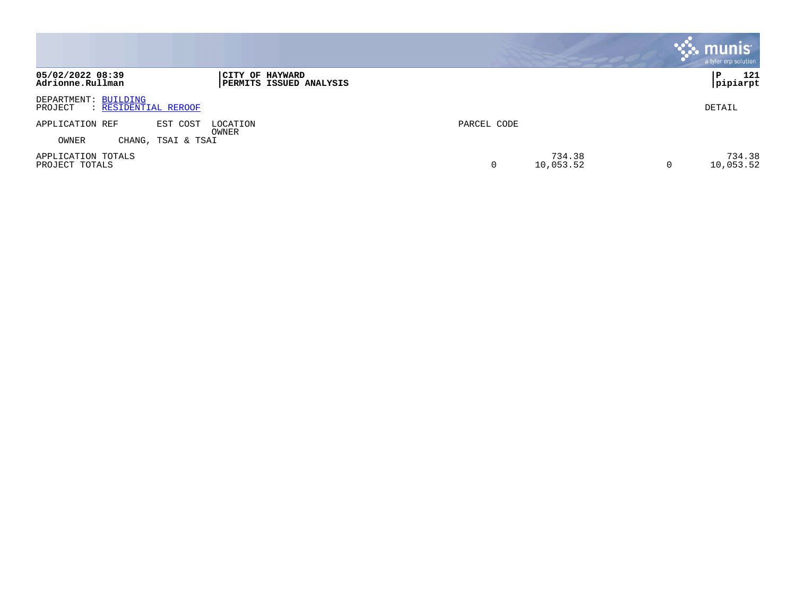|                                                         |                                            |             |                     | <b>munis</b><br>a tyler erp solution |
|---------------------------------------------------------|--------------------------------------------|-------------|---------------------|--------------------------------------|
| 05/02/2022 08:39<br>Adrionne.Rullman                    | CITY OF HAYWARD<br>PERMITS ISSUED ANALYSIS |             |                     | 121<br>l P<br> pipiarpt              |
| DEPARTMENT: BUILDING<br>: RESIDENTIAL REROOF<br>PROJECT |                                            |             |                     | DETAIL                               |
| APPLICATION REF<br>EST COST                             | LOCATION<br>OWNER                          | PARCEL CODE |                     |                                      |
| CHANG, TSAI & TSAI<br>OWNER                             |                                            |             |                     |                                      |
| APPLICATION TOTALS<br>PROJECT TOTALS                    |                                            |             | 734.38<br>10,053.52 | 734.38<br>10,053.52                  |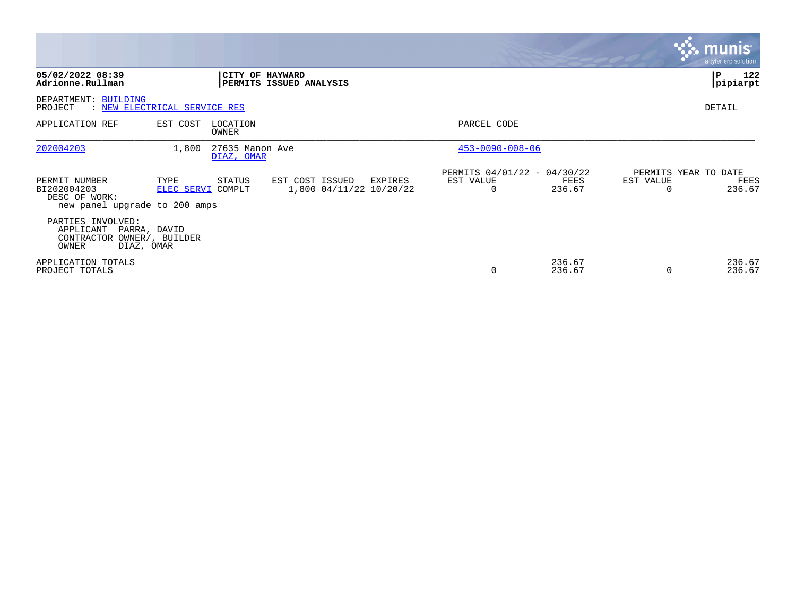|                                                                                                     |                           |                               |                                            |         |                                                      |                  |                       | <b>munis</b><br>a tyler erp solution   |
|-----------------------------------------------------------------------------------------------------|---------------------------|-------------------------------|--------------------------------------------|---------|------------------------------------------------------|------------------|-----------------------|----------------------------------------|
| 05/02/2022 08:39<br>Adrionne.Rullman                                                                |                           | <b>CITY OF HAYWARD</b>        | PERMITS ISSUED ANALYSIS                    |         |                                                      |                  |                       | 122<br>ΙP<br>pipiarpt                  |
| DEPARTMENT: BUILDING<br>: NEW ELECTRICAL SERVICE RES<br>PROJECT                                     |                           |                               |                                            |         |                                                      |                  |                       | DETAIL                                 |
| APPLICATION REF                                                                                     | EST COST                  | LOCATION<br>OWNER             |                                            |         | PARCEL CODE                                          |                  |                       |                                        |
| 202004203                                                                                           | 1,800                     | 27635 Manon Ave<br>DIAZ, OMAR |                                            |         | $453 - 0090 - 008 - 06$                              |                  |                       |                                        |
| PERMIT NUMBER<br>BI202004203<br>DESC OF WORK:<br>new panel upgrade to 200 amps                      | TYPE<br>ELEC SERVI COMPLT | STATUS                        | EST COST ISSUED<br>1,800 04/11/22 10/20/22 | EXPIRES | PERMITS 04/01/22 - 04/30/22<br>EST VALUE<br>$\Omega$ | FEES<br>236.67   | EST VALUE<br>$\Omega$ | PERMITS YEAR TO DATE<br>FEES<br>236.67 |
| PARTIES INVOLVED:<br>APPLICANT<br>PARRA, DAVID<br>CONTRACTOR OWNER/, BUILDER<br>OWNER<br>DIAZ, OMAR |                           |                               |                                            |         |                                                      |                  |                       |                                        |
| APPLICATION TOTALS<br>PROJECT TOTALS                                                                |                           |                               |                                            |         | 0                                                    | 236.67<br>236.67 | $\Omega$              | 236.67<br>236.67                       |

the contract of the contract of

and the control of the control of the control of the control of the control of the control of the control of the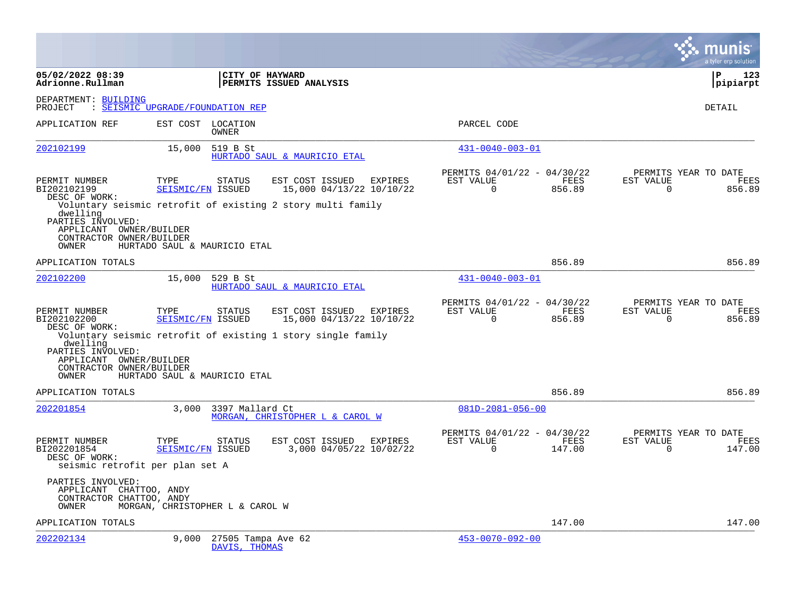|                                                                                                                                       |                                            |                                                                                                             |                                                                 |                | a tyler erp solution                                            |
|---------------------------------------------------------------------------------------------------------------------------------------|--------------------------------------------|-------------------------------------------------------------------------------------------------------------|-----------------------------------------------------------------|----------------|-----------------------------------------------------------------|
| 05/02/2022 08:39<br>Adrionne.Rullman                                                                                                  |                                            | CITY OF HAYWARD<br>PERMITS ISSUED ANALYSIS                                                                  |                                                                 |                | P<br>123<br> pipiarpt                                           |
| DEPARTMENT: BUILDING<br>PROJECT                                                                                                       | : SEISMIC UPGRADE/FOUNDATION REP           |                                                                                                             |                                                                 |                | <b>DETAIL</b>                                                   |
| APPLICATION REF                                                                                                                       | EST COST LOCATION<br>OWNER                 |                                                                                                             | PARCEL CODE                                                     |                |                                                                 |
| 202102199                                                                                                                             | 15,000<br>519 B St                         | HURTADO SAUL & MAURICIO ETAL                                                                                | $431 - 0040 - 003 - 01$                                         |                |                                                                 |
| PERMIT NUMBER<br>BI202102199<br>DESC OF WORK:                                                                                         | TYPE<br><b>STATUS</b><br>SEISMIC/FN ISSUED | EST COST ISSUED<br>15,000 04/13/22 10/10/22                                                                 | PERMITS 04/01/22 - 04/30/22<br>EXPIRES<br>EST VALUE<br>$\Omega$ | FEES<br>856.89 | PERMITS YEAR TO DATE<br>EST VALUE<br>FEES<br>$\Omega$<br>856.89 |
| dwelling<br>PARTIES INVOLVED:<br>APPLICANT OWNER/BUILDER<br>CONTRACTOR OWNER/BUILDER<br>OWNER                                         | HURTADO SAUL & MAURICIO ETAL               | Voluntary seismic retrofit of existing 2 story multi family                                                 |                                                                 |                |                                                                 |
| APPLICATION TOTALS                                                                                                                    |                                            |                                                                                                             |                                                                 | 856.89         | 856.89                                                          |
| 202102200                                                                                                                             | 15,000<br>529 B St                         | HURTADO SAUL & MAURICIO ETAL                                                                                | $431 - 0040 - 003 - 01$                                         |                |                                                                 |
| PERMIT NUMBER<br>BI202102200<br>DESC OF WORK:<br>dwelling<br>PARTIES INVOLVED:<br>APPLICANT OWNER/BUILDER<br>CONTRACTOR OWNER/BUILDER | TYPE<br><b>STATUS</b><br>SEISMIC/FN ISSUED | EST COST ISSUED<br>15,000 04/13/22 10/10/22<br>Voluntary seismic retrofit of existing 1 story single family | PERMITS 04/01/22 - 04/30/22<br>EST VALUE<br>EXPIRES<br>$\Omega$ | FEES<br>856.89 | PERMITS YEAR TO DATE<br>EST VALUE<br>FEES<br>$\Omega$<br>856.89 |
| OWNER                                                                                                                                 | HURTADO SAUL & MAURICIO ETAL               |                                                                                                             |                                                                 |                |                                                                 |
| APPLICATION TOTALS                                                                                                                    |                                            |                                                                                                             |                                                                 | 856.89         | 856.89                                                          |
| 202201854                                                                                                                             | 3,000                                      | 3397 Mallard Ct<br>MORGAN, CHRISTOPHER L & CAROL W                                                          | $081D - 2081 - 056 - 00$                                        |                |                                                                 |
| PERMIT NUMBER<br>BI202201854<br>DESC OF WORK:<br>seismic retrofit per plan set A                                                      | TYPE<br><b>STATUS</b><br>SEISMIC/FN ISSUED | EST COST ISSUED<br>3,000 04/05/22 10/02/22                                                                  | PERMITS 04/01/22 - 04/30/22<br>EXPIRES<br>EST VALUE<br>$\Omega$ | FEES<br>147.00 | PERMITS YEAR TO DATE<br>EST VALUE<br>FEES<br>$\Omega$<br>147.00 |
| PARTIES INVOLVED:<br>APPLICANT CHATTOO, ANDY<br>CONTRACTOR CHATTOO, ANDY<br>OWNER                                                     | MORGAN, CHRISTOPHER L & CAROL W            |                                                                                                             |                                                                 |                |                                                                 |
| APPLICATION TOTALS                                                                                                                    |                                            |                                                                                                             |                                                                 | 147.00         | 147.00                                                          |
| 202202134                                                                                                                             | 9,000                                      | 27505 Tampa Ave 62<br>DAVIS, THOMAS                                                                         | $453 - 0070 - 092 - 00$                                         |                |                                                                 |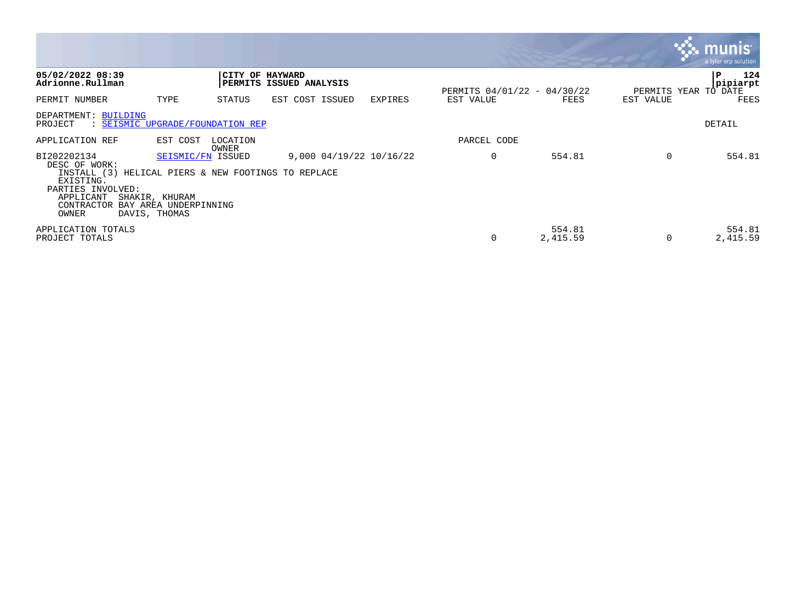|                                                                                                    |                                                                                                                                      |                   |                                                   |         |                             |                    |           | <b>munis</b><br>a tyler erp solution         |
|----------------------------------------------------------------------------------------------------|--------------------------------------------------------------------------------------------------------------------------------------|-------------------|---------------------------------------------------|---------|-----------------------------|--------------------|-----------|----------------------------------------------|
| 05/02/2022 08:39<br>Adrionne.Rullman                                                               |                                                                                                                                      |                   | CITY OF HAYWARD<br><b>PERMITS ISSUED ANALYSIS</b> |         | PERMITS 04/01/22 - 04/30/22 |                    |           | 124<br>P<br>pipiarpt<br>PERMITS YEAR TO DATE |
| PERMIT NUMBER                                                                                      | TYPE                                                                                                                                 | STATUS            | EST COST ISSUED                                   | EXPIRES | EST VALUE                   | FEES               | EST VALUE | FEES                                         |
| DEPARTMENT: BUILDING<br>PROJECT                                                                    | : SEISMIC UPGRADE/FOUNDATION REP                                                                                                     |                   |                                                   |         |                             |                    |           | DETAIL                                       |
| APPLICATION REF                                                                                    | EST COST                                                                                                                             | LOCATION<br>OWNER |                                                   |         | PARCEL CODE                 |                    |           |                                              |
| BI202202134<br>DESC OF WORK:<br>EXISTING.<br>PARTIES INVOLVED:<br>APPLICANT<br>CONTRACTOR<br>OWNER | SEISMIC/FN ISSUED<br>INSTALL (3) HELICAL PIERS & NEW FOOTINGS TO REPLACE<br>SHAKIR, KHURAM<br>BAY AREA UNDERPINNING<br>DAVIS, THOMAS |                   | $9,000$ $04/19/22$ $10/16/22$                     |         | 0                           | 554.81             | $\Omega$  | 554.81                                       |
| APPLICATION TOTALS<br>PROJECT TOTALS                                                               |                                                                                                                                      |                   |                                                   |         | 0                           | 554.81<br>2,415.59 | $\Omega$  | 554.81<br>2,415.59                           |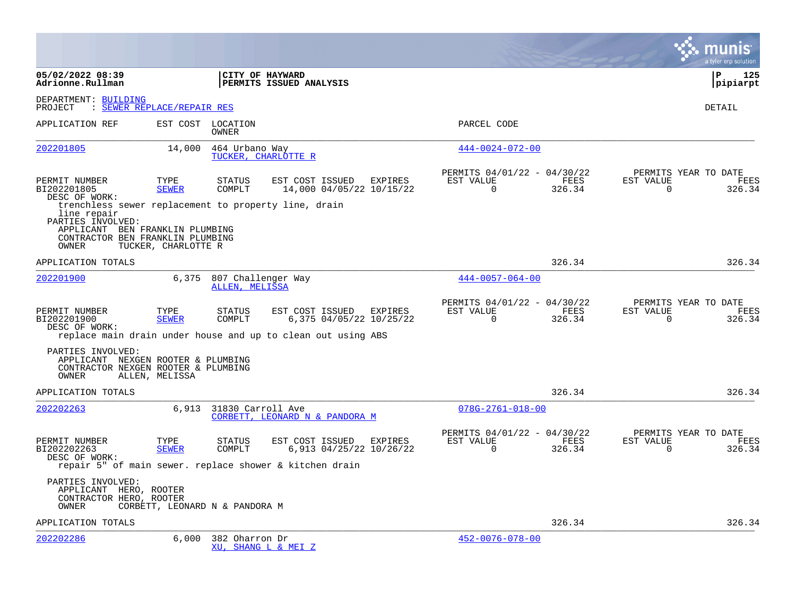|                                                                                                                                                                          |                                |                                       |                                                                                                            |         |                                                      |                |                       | a tyler erp solution                   |
|--------------------------------------------------------------------------------------------------------------------------------------------------------------------------|--------------------------------|---------------------------------------|------------------------------------------------------------------------------------------------------------|---------|------------------------------------------------------|----------------|-----------------------|----------------------------------------|
| 05/02/2022 08:39<br>Adrionne.Rullman                                                                                                                                     |                                |                                       | CITY OF HAYWARD<br>PERMITS ISSUED ANALYSIS                                                                 |         |                                                      |                |                       | ∣P<br>125<br> pipiarpt                 |
| DEPARTMENT: BUILDING<br>PROJECT                                                                                                                                          | : SEWER REPLACE/REPAIR RES     |                                       |                                                                                                            |         |                                                      |                |                       | DETAIL                                 |
| APPLICATION REF                                                                                                                                                          |                                | EST COST LOCATION<br>OWNER            |                                                                                                            |         | PARCEL CODE                                          |                |                       |                                        |
| 202201805                                                                                                                                                                | 14,000                         | 464 Urbano Way                        | TUCKER, CHARLOTTE R                                                                                        |         | $444 - 0024 - 072 - 00$                              |                |                       |                                        |
| PERMIT NUMBER<br>BI202201805<br>DESC OF WORK:                                                                                                                            | TYPE<br><b>SEWER</b>           | <b>STATUS</b><br>COMPLT               | EST COST ISSUED EXPIRES<br>14,000 04/05/22 10/15/22                                                        |         | PERMITS 04/01/22 - 04/30/22<br>EST VALUE<br>$\Omega$ | FEES<br>326.34 | EST VALUE<br>$\Omega$ | PERMITS YEAR TO DATE<br>FEES<br>326.34 |
| trenchless sewer replacement to property line, drain<br>line repair<br>PARTIES INVOLVED:<br>APPLICANT BEN FRANKLIN PLUMBING<br>CONTRACTOR BEN FRANKLIN PLUMBING<br>OWNER | TUCKER, CHARLOTTE R            |                                       |                                                                                                            |         |                                                      |                |                       |                                        |
| APPLICATION TOTALS                                                                                                                                                       |                                |                                       |                                                                                                            |         |                                                      | 326.34         |                       | 326.34                                 |
| 202201900                                                                                                                                                                | 6,375                          | 807 Challenger Way<br>ALLEN, MELISSA  |                                                                                                            |         | $444 - 0057 - 064 - 00$                              |                |                       |                                        |
| PERMIT NUMBER<br>BI202201900<br>DESC OF WORK:                                                                                                                            | TYPE<br><b>SEWER</b>           | <b>STATUS</b><br>COMPLT               | EST COST ISSUED<br>6,375 04/05/22 10/25/22<br>replace main drain under house and up to clean out using ABS | EXPIRES | PERMITS 04/01/22 - 04/30/22<br>EST VALUE<br>$\Omega$ | FEES<br>326.34 | EST VALUE<br>$\Omega$ | PERMITS YEAR TO DATE<br>FEES<br>326.34 |
| PARTIES INVOLVED:<br>APPLICANT NEXGEN ROOTER & PLUMBING<br>CONTRACTOR NEXGEN ROOTER & PLUMBING<br>OWNER                                                                  | ALLEN, MELISSA                 |                                       |                                                                                                            |         |                                                      |                |                       |                                        |
| APPLICATION TOTALS                                                                                                                                                       |                                |                                       |                                                                                                            |         |                                                      | 326.34         |                       | 326.34                                 |
| 202202263                                                                                                                                                                | 6,913                          | 31830 Carroll Ave                     | CORBETT, LEONARD N & PANDORA M                                                                             |         | $078G - 2761 - 018 - 00$                             |                |                       |                                        |
| PERMIT NUMBER<br>BI202202263<br>DESC OF WORK:                                                                                                                            | TYPE<br><b>SEWER</b>           | <b>STATUS</b><br>COMPLT               | EST COST ISSUED<br>6,913 04/25/22 10/26/22<br>repair 5" of main sewer. replace shower & kitchen drain      | EXPIRES | PERMITS 04/01/22 - 04/30/22<br>EST VALUE<br>$\Omega$ | FEES<br>326.34 | EST VALUE<br>$\Omega$ | PERMITS YEAR TO DATE<br>FEES<br>326.34 |
| PARTIES INVOLVED:<br>APPLICANT HERO, ROOTER<br>CONTRACTOR HERO, ROOTER<br>OWNER                                                                                          | CORBETT, LEONARD N & PANDORA M |                                       |                                                                                                            |         |                                                      |                |                       |                                        |
| APPLICATION TOTALS                                                                                                                                                       |                                |                                       |                                                                                                            |         |                                                      | 326.34         |                       | 326.34                                 |
| 202202286                                                                                                                                                                | 6,000                          | 382 Oharron Dr<br>XU, SHANG L & MEI Z |                                                                                                            |         | $452 - 0076 - 078 - 00$                              |                |                       |                                        |

**College**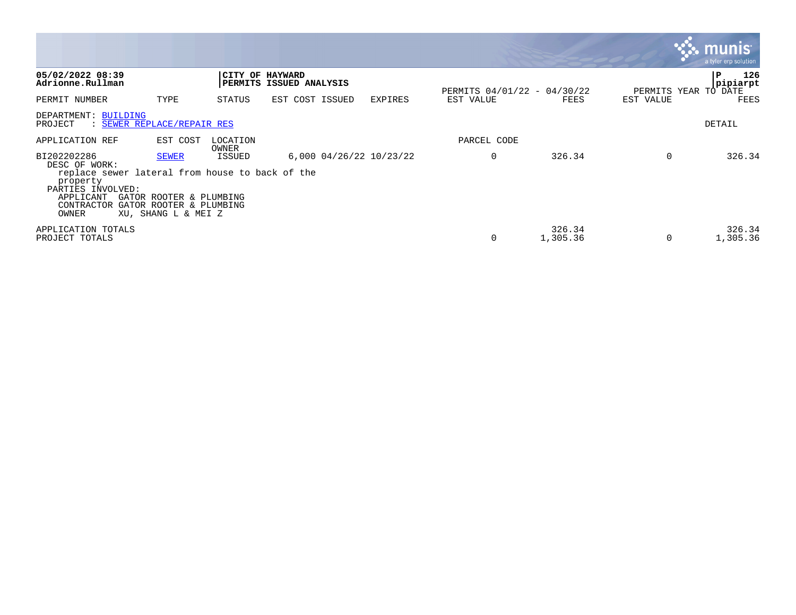|                                                                                                                                                      |                                                                                           |                   |                                |                         |                             |                    | munis<br>a tyler erp solution             |     |
|------------------------------------------------------------------------------------------------------------------------------------------------------|-------------------------------------------------------------------------------------------|-------------------|--------------------------------|-------------------------|-----------------------------|--------------------|-------------------------------------------|-----|
| 05/02/2022 08:39<br>Adrionne.Rullman                                                                                                                 |                                                                                           | CITY OF HAYWARD   | <b>PERMITS ISSUED ANALYSIS</b> |                         | PERMITS 04/01/22 - 04/30/22 |                    | P<br>pipiarpt                             | 126 |
| PERMIT NUMBER                                                                                                                                        | TYPE                                                                                      | STATUS            | EST COST ISSUED                | <b>EXPIRES</b>          | EST VALUE                   | FEES               | PERMITS YEAR TO DATE<br>FEES<br>EST VALUE |     |
| DEPARTMENT: BUILDING<br>: SEWER REPLACE/REPAIR RES<br>PROJECT                                                                                        |                                                                                           |                   |                                |                         |                             |                    | DETAIL                                    |     |
| APPLICATION REF                                                                                                                                      | EST COST                                                                                  | LOCATION<br>OWNER |                                |                         | PARCEL CODE                 |                    |                                           |     |
| BI202202286<br>DESC OF WORK:<br>replace sewer lateral from house to back of the<br>property<br>PARTIES INVOLVED:<br>APPLICANT<br>CONTRACTOR<br>OWNER | <b>SEWER</b><br>GATOR ROOTER & PLUMBING<br>GATOR ROOTER & PLUMBING<br>XU, SHANG L & MEI Z | ISSUED            |                                | 6,000 04/26/22 10/23/22 | 0                           | 326.34             | $\Omega$<br>326.34                        |     |
| APPLICATION TOTALS<br>PROJECT TOTALS                                                                                                                 |                                                                                           |                   |                                |                         | 0                           | 326.34<br>1,305.36 | 326.34<br>$\mathbf 0$<br>1,305.36         |     |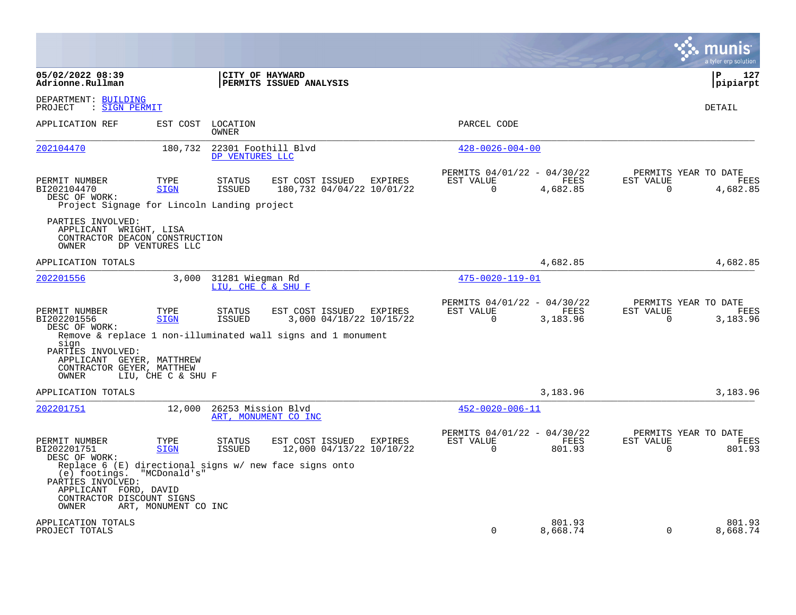|                                                                                                                                                                 |                                             |                                        |                                                                                                            |         |                                                      |                    |                       | a tyler erp solution                     |
|-----------------------------------------------------------------------------------------------------------------------------------------------------------------|---------------------------------------------|----------------------------------------|------------------------------------------------------------------------------------------------------------|---------|------------------------------------------------------|--------------------|-----------------------|------------------------------------------|
| 05/02/2022 08:39<br>Adrionne.Rullman                                                                                                                            |                                             |                                        | CITY OF HAYWARD<br>PERMITS ISSUED ANALYSIS                                                                 |         |                                                      |                    |                       | 127<br>l P<br> pipiarpt                  |
| DEPARTMENT: BUILDING<br>: SIGN PERMIT<br>PROJECT                                                                                                                |                                             |                                        |                                                                                                            |         |                                                      |                    |                       | DETAIL                                   |
| APPLICATION REF                                                                                                                                                 | EST COST                                    | LOCATION<br>OWNER                      |                                                                                                            |         | PARCEL CODE                                          |                    |                       |                                          |
| 202104470                                                                                                                                                       | 180,732                                     | DP VENTURES LLC                        | 22301 Foothill Blvd                                                                                        |         | $428 - 0026 - 004 - 00$                              |                    |                       |                                          |
| PERMIT NUMBER<br>BI202104470<br>DESC OF WORK:<br>Project Signage for Lincoln Landing project                                                                    | TYPE<br><b>SIGN</b>                         | <b>STATUS</b><br><b>ISSUED</b>         | EST COST ISSUED<br>180,732 04/04/22 10/01/22                                                               | EXPIRES | PERMITS 04/01/22 - 04/30/22<br>EST VALUE<br>$\Omega$ | FEES<br>4,682.85   | EST VALUE<br>$\Omega$ | PERMITS YEAR TO DATE<br>FEES<br>4,682.85 |
| PARTIES INVOLVED:<br>APPLICANT WRIGHT, LISA<br>CONTRACTOR DEACON CONSTRUCTION<br>OWNER                                                                          | DP VENTURES LLC                             |                                        |                                                                                                            |         |                                                      |                    |                       |                                          |
| APPLICATION TOTALS                                                                                                                                              |                                             |                                        |                                                                                                            |         |                                                      | 4,682.85           |                       | 4,682.85                                 |
| 202201556                                                                                                                                                       | 3,000                                       | 31281 Wiegman Rd<br>LIU, CHE C & SHU F |                                                                                                            |         | 475-0020-119-01                                      |                    |                       |                                          |
| PERMIT NUMBER<br>BI202201556<br>DESC OF WORK:<br>sign<br>PARTIES INVOLVED:<br>APPLICANT GEYER, MATTHREW<br>CONTRACTOR GEYER, MATTHEW                            | TYPE<br><b>SIGN</b>                         | <b>STATUS</b><br>ISSUED                | EST COST ISSUED<br>3,000 04/18/22 10/15/22<br>Remove & replace 1 non-illuminated wall signs and 1 monument | EXPIRES | PERMITS 04/01/22 - 04/30/22<br>EST VALUE<br>$\Omega$ | FEES<br>3,183.96   | EST VALUE<br>$\Omega$ | PERMITS YEAR TO DATE<br>FEES<br>3,183.96 |
| OWNER<br>APPLICATION TOTALS                                                                                                                                     | LIU, CHE C & SHU F                          |                                        |                                                                                                            |         |                                                      | 3,183.96           |                       | 3,183.96                                 |
| 202201751                                                                                                                                                       | 12,000                                      | 26253 Mission Blvd                     | ART, MONUMENT CO INC                                                                                       |         | $452 - 0020 - 006 - 11$                              |                    |                       |                                          |
| PERMIT NUMBER<br>BI202201751<br>DESC OF WORK:<br>(e) footings. "MCDonald's"<br>PARTIES INVOLVED:<br>APPLICANT FORD, DAVID<br>CONTRACTOR DISCOUNT SIGNS<br>OWNER | TYPE<br><b>SIGN</b><br>ART, MONUMENT CO INC | <b>STATUS</b><br>ISSUED                | EST COST ISSUED<br>12,000 04/13/22 10/10/22<br>Replace 6 (E) directional signs w/ new face signs onto      | EXPIRES | PERMITS 04/01/22 - 04/30/22<br>EST VALUE<br>$\Omega$ | FEES<br>801.93     | EST VALUE<br>$\Omega$ | PERMITS YEAR TO DATE<br>FEES<br>801.93   |
| APPLICATION TOTALS<br>PROJECT TOTALS                                                                                                                            |                                             |                                        |                                                                                                            |         | $\Omega$                                             | 801.93<br>8,668.74 | $\Omega$              | 801.93<br>8,668.74                       |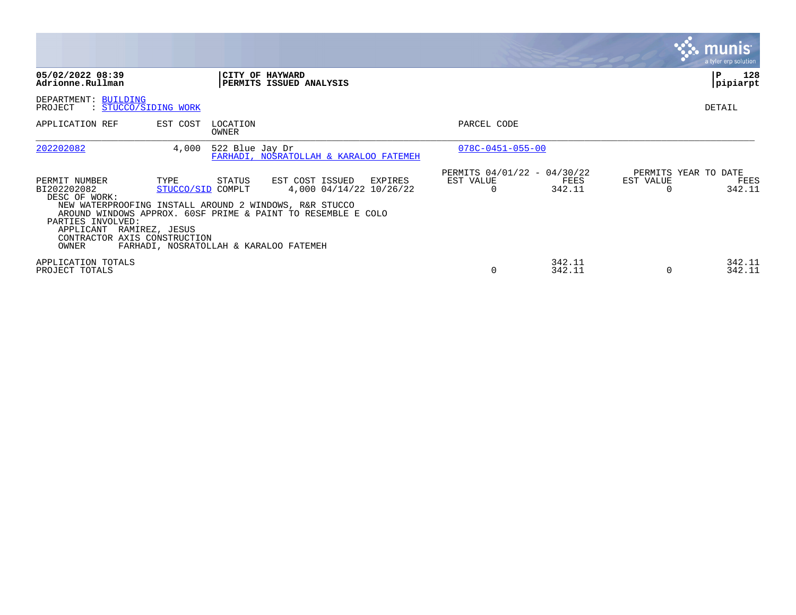|                                                                                                                          |                                             |                   |                                                                                                                                                                                                                           |                                                      |                  |                       | <b>munis</b><br>a tyler erp solution |      |
|--------------------------------------------------------------------------------------------------------------------------|---------------------------------------------|-------------------|---------------------------------------------------------------------------------------------------------------------------------------------------------------------------------------------------------------------------|------------------------------------------------------|------------------|-----------------------|--------------------------------------|------|
| 05/02/2022 08:39<br>Adrionne.Rullman                                                                                     |                                             |                   | CITY OF HAYWARD<br>PERMITS ISSUED ANALYSIS                                                                                                                                                                                |                                                      |                  |                       | ΙP<br> pipiarpt                      | 128  |
| DEPARTMENT: BUILDING<br>: STUCCO/SIDING WORK<br>PROJECT                                                                  |                                             |                   |                                                                                                                                                                                                                           |                                                      |                  |                       | DETAIL                               |      |
| APPLICATION REF                                                                                                          | EST COST                                    | LOCATION<br>OWNER |                                                                                                                                                                                                                           | PARCEL CODE                                          |                  |                       |                                      |      |
| 202202082                                                                                                                | 4,000                                       | 522 Blue Jay Dr   | FARHADI, NOSRATOLLAH & KARALOO FATEMEH                                                                                                                                                                                    | $078C - 0451 - 055 - 00$                             |                  |                       |                                      |      |
| PERMIT NUMBER<br>BI202202082<br>DESC OF WORK:<br>PARTIES INVOLVED:<br>APPLICANT<br>CONTRACTOR AXIS CONSTRUCTION<br>OWNER | TYPE<br>STUCCO/SID COMPLT<br>RAMIREZ, JESUS | STATUS            | EST COST ISSUED<br>EXPIRES<br>4,000 04/14/22 10/26/22<br>NEW WATERPROOFING INSTALL AROUND 2 WINDOWS, R&R STUCCO<br>AROUND WINDOWS APPROX, 60SF PRIME & PAINT TO RESEMBLE E COLO<br>FARHADI, NOSRATOLLAH & KARALOO FATEMEH | PERMITS 04/01/22 - 04/30/22<br>EST VALUE<br>$\Omega$ | FEES<br>342.11   | EST VALUE<br>$\Omega$ | PERMITS YEAR TO DATE<br>342.11       | FEES |
| APPLICATION TOTALS<br>PROJECT TOTALS                                                                                     |                                             |                   |                                                                                                                                                                                                                           | $\Omega$                                             | 342.11<br>342.11 | $\Omega$              | 342.11<br>342.11                     |      |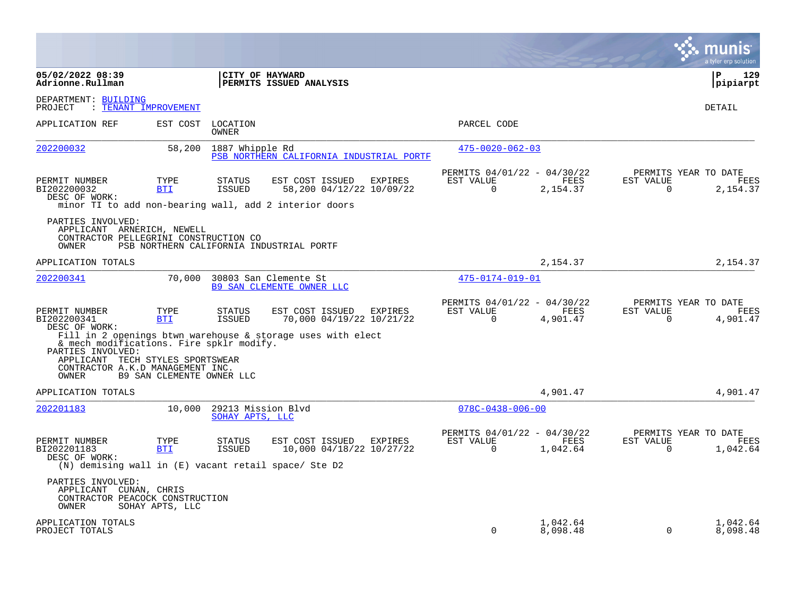|                                                                                                                                                |                           |                                       |                                                                                                                  |                                                      |                      |                          | munis<br>a tyler erp solution                   |
|------------------------------------------------------------------------------------------------------------------------------------------------|---------------------------|---------------------------------------|------------------------------------------------------------------------------------------------------------------|------------------------------------------------------|----------------------|--------------------------|-------------------------------------------------|
| 05/02/2022 08:39<br>Adrionne.Rullman                                                                                                           |                           |                                       | CITY OF HAYWARD<br>PERMITS ISSUED ANALYSIS                                                                       |                                                      |                      |                          | P<br>129<br> pipiarpt                           |
| DEPARTMENT: BUILDING<br>: TENANT IMPROVEMENT<br>PROJECT                                                                                        |                           |                                       |                                                                                                                  |                                                      |                      |                          | <b>DETAIL</b>                                   |
| APPLICATION REF                                                                                                                                | EST COST                  | LOCATION<br>OWNER                     |                                                                                                                  | PARCEL CODE                                          |                      |                          |                                                 |
| 202200032                                                                                                                                      | 58,200                    | 1887 Whipple Rd                       | PSB NORTHERN CALIFORNIA INDUSTRIAL PORTF                                                                         | $475 - 0020 - 062 - 03$                              |                      |                          |                                                 |
| PERMIT NUMBER<br>BI202200032<br>DESC OF WORK:                                                                                                  | TYPE<br><b>BTI</b>        | <b>STATUS</b><br>ISSUED               | EST COST ISSUED<br>EXPIRES<br>58,200 04/12/22 10/09/22<br>minor TI to add non-bearing wall, add 2 interior doors | PERMITS 04/01/22 - 04/30/22<br>EST VALUE<br>$\Omega$ | FEES<br>2,154.37     | EST VALUE<br>$\Omega$    | PERMITS YEAR TO DATE<br><b>FEES</b><br>2,154.37 |
| PARTIES INVOLVED:<br>APPLICANT ARNERICH, NEWELL<br>CONTRACTOR PELLEGRINI CONSTRUCTION CO<br>OWNER                                              |                           |                                       | PSB NORTHERN CALIFORNIA INDUSTRIAL PORTF                                                                         |                                                      |                      |                          |                                                 |
| APPLICATION TOTALS                                                                                                                             |                           |                                       |                                                                                                                  |                                                      | 2,154.37             |                          | 2,154.37                                        |
| 202200341                                                                                                                                      | 70,000                    |                                       | 30803 San Clemente St<br><b>B9 SAN CLEMENTE OWNER LLC</b>                                                        | 475-0174-019-01                                      |                      |                          |                                                 |
| PERMIT NUMBER<br>BI202200341<br>DESC OF WORK:                                                                                                  | TYPE<br><b>BTI</b>        | <b>STATUS</b><br><b>ISSUED</b>        | EST COST ISSUED<br>EXPIRES<br>70,000 04/19/22 10/21/22                                                           | PERMITS 04/01/22 - 04/30/22<br>EST VALUE<br>$\Omega$ | FEES<br>4,901.47     | EST VALUE<br>$\mathbf 0$ | PERMITS YEAR TO DATE<br>FEES<br>4,901.47        |
| & mech modifications. Fire spklr modify.<br>PARTIES INVOLVED:<br>APPLICANT TECH STYLES SPORTSWEAR<br>CONTRACTOR A.K.D MANAGEMENT INC.<br>OWNER | B9 SAN CLEMENTE OWNER LLC |                                       | Fill in 2 openings btwn warehouse & storage uses with elect                                                      |                                                      |                      |                          |                                                 |
| APPLICATION TOTALS                                                                                                                             |                           |                                       |                                                                                                                  |                                                      | 4,901.47             |                          | 4,901.47                                        |
| 202201183                                                                                                                                      | 10,000                    | 29213 Mission Blvd<br>SOHAY APTS, LLC |                                                                                                                  | $078C - 0438 - 006 - 00$                             |                      |                          |                                                 |
| PERMIT NUMBER<br>BI202201183<br>DESC OF WORK:<br>(N) demising wall in (E) vacant retail space/ Ste D2                                          | TYPE<br><b>BTI</b>        | <b>STATUS</b><br><b>ISSUED</b>        | EST COST ISSUED<br>EXPIRES<br>10,000 04/18/22 10/27/22                                                           | PERMITS 04/01/22 - 04/30/22<br>EST VALUE<br>$\Omega$ | FEES<br>1,042.64     | EST VALUE<br>$\Omega$    | PERMITS YEAR TO DATE<br><b>FEES</b><br>1,042.64 |
| PARTIES INVOLVED:<br>APPLICANT CUNAN, CHRIS<br>CONTRACTOR PEACOCK CONSTRUCTION<br>OWNER                                                        | SOHAY APTS, LLC           |                                       |                                                                                                                  |                                                      |                      |                          |                                                 |
| APPLICATION TOTALS<br>PROJECT TOTALS                                                                                                           |                           |                                       |                                                                                                                  | $\Omega$                                             | 1,042.64<br>8,098.48 | $\Omega$                 | 1,042.64<br>8,098.48                            |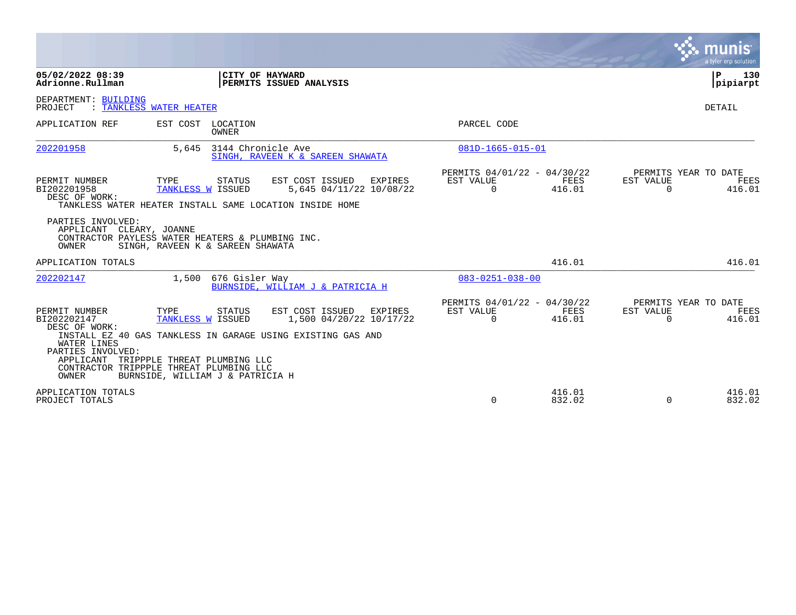|                                                                                                                |                                                                                                                                                    |                                                                                                                      |                                                      |                  |                       | a tyler erp solution                          |
|----------------------------------------------------------------------------------------------------------------|----------------------------------------------------------------------------------------------------------------------------------------------------|----------------------------------------------------------------------------------------------------------------------|------------------------------------------------------|------------------|-----------------------|-----------------------------------------------|
| 05/02/2022 08:39<br>Adrionne.Rullman                                                                           |                                                                                                                                                    | CITY OF HAYWARD<br><b>PERMITS ISSUED ANALYSIS</b>                                                                    |                                                      |                  |                       | ΙP<br>130<br> pipiarpt                        |
| DEPARTMENT: BUILDING<br>PROJECT                                                                                | : TANKLESS WATER HEATER                                                                                                                            |                                                                                                                      |                                                      |                  |                       | DETAIL                                        |
| APPLICATION REF                                                                                                | EST COST LOCATION<br>OWNER                                                                                                                         |                                                                                                                      | PARCEL CODE                                          |                  |                       |                                               |
| 202201958                                                                                                      | 5,645<br>3144 Chronicle Ave                                                                                                                        | SINGH, RAVEEN K & SAREEN SHAWATA                                                                                     | 081D-1665-015-01                                     |                  |                       |                                               |
| PERMIT NUMBER<br>BI202201958<br>DESC OF WORK:                                                                  | TYPE<br>STATUS<br><b>TANKLESS W ISSUED</b><br>TANKLESS WATER HEATER INSTALL SAME LOCATION INSIDE HOME                                              | EST COST ISSUED<br>EXPIRES<br>5,645 04/11/22 10/08/22                                                                | PERMITS 04/01/22 - 04/30/22<br>EST VALUE<br>$\Omega$ | FEES<br>416.01   | EST VALUE<br>$\Omega$ | PERMITS YEAR TO DATE<br>FEES<br>416.01        |
| PARTIES INVOLVED:<br>APPLICANT CLEARY, JOANNE<br><b>OWNER</b>                                                  | CONTRACTOR PAYLESS WATER HEATERS & PLUMBING INC.<br>SINGH, RAVEEN K & SAREEN SHAWATA                                                               |                                                                                                                      |                                                      |                  |                       |                                               |
| APPLICATION TOTALS                                                                                             |                                                                                                                                                    |                                                                                                                      |                                                      | 416.01           |                       | 416.01                                        |
| 202202147                                                                                                      | 1,500 676 Gisler Way                                                                                                                               | BURNSIDE, WILLIAM J & PATRICIA H                                                                                     | $083 - 0251 - 038 - 00$                              |                  |                       |                                               |
| PERMIT NUMBER<br>BI202202147<br>DESC OF WORK:<br>WATER LINES<br>PARTIES INVOLVED:<br>APPLICANT<br><b>OWNER</b> | TYPE<br>STATUS<br>TANKLESS W ISSUED<br>TRIPPPLE THREAT PLUMBING LLC<br>CONTRACTOR TRIPPPLE THREAT PLUMBING LLC<br>BURNSIDE, WILLIAM J & PATRICIA H | EST COST ISSUED<br>EXPIRES<br>1,500 04/20/22 10/17/22<br>INSTALL EZ 40 GAS TANKLESS IN GARAGE USING EXISTING GAS AND | PERMITS 04/01/22 - 04/30/22<br>EST VALUE<br>$\Omega$ | FEES<br>416.01   | EST VALUE<br>$\Omega$ | PERMITS YEAR TO DATE<br><b>FEES</b><br>416.01 |
| APPLICATION TOTALS<br>PROJECT TOTALS                                                                           |                                                                                                                                                    |                                                                                                                      | $\Omega$                                             | 416.01<br>832.02 | $\Omega$              | 416.01<br>832.02                              |

 $\mathcal{L}^{\text{max}}$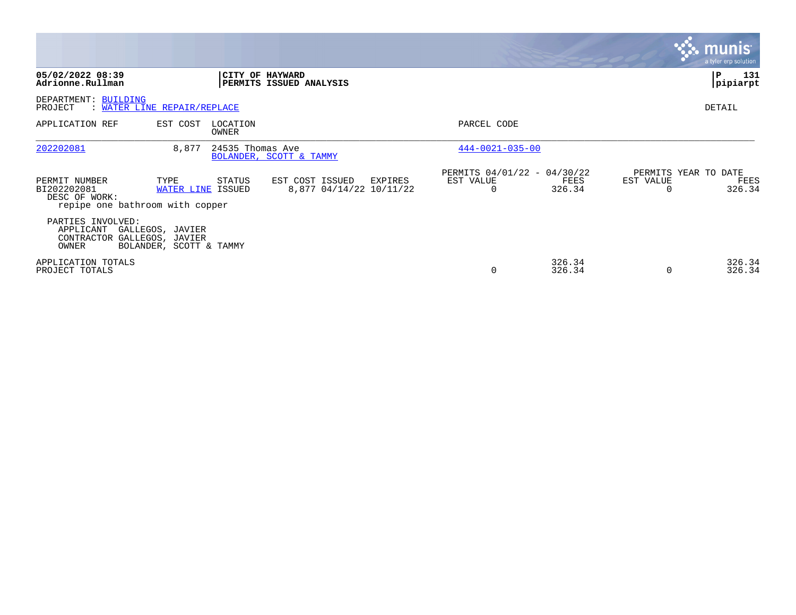|                                                                                  |                                             |                   |                                            |         |                                                      |                  |                       | <b>munis</b><br>a tyler erp solution   |
|----------------------------------------------------------------------------------|---------------------------------------------|-------------------|--------------------------------------------|---------|------------------------------------------------------|------------------|-----------------------|----------------------------------------|
| 05/02/2022 08:39<br>Adrionne.Rullman                                             |                                             | CITY OF HAYWARD   | PERMITS ISSUED ANALYSIS                    |         |                                                      |                  |                       | 131<br>P<br> pipiarpt                  |
| DEPARTMENT: BUILDING<br>PROJECT<br>WATER LINE REPAIR/REPLACE                     |                                             |                   |                                            |         |                                                      |                  |                       | DETAIL                                 |
| APPLICATION REF                                                                  | EST COST                                    | LOCATION<br>OWNER |                                            |         | PARCEL CODE                                          |                  |                       |                                        |
| 202202081                                                                        | 8,877                                       | 24535 Thomas Ave  | BOLANDER, SCOTT & TAMMY                    |         | $444 - 0021 - 035 - 00$                              |                  |                       |                                        |
| PERMIT NUMBER<br>BI202202081<br>DESC OF WORK:<br>repipe one bathroom with copper | TYPE<br>WATER LINE ISSUED                   | STATUS            | EST COST ISSUED<br>8,877 04/14/22 10/11/22 | EXPIRES | PERMITS 04/01/22 - 04/30/22<br>EST VALUE<br>$\Omega$ | FEES<br>326.34   | EST VALUE<br>$\Omega$ | PERMITS YEAR TO DATE<br>FEES<br>326.34 |
| PARTIES INVOLVED:<br>APPLICANT<br>CONTRACTOR GALLEGOS, JAVIER<br>OWNER           | GALLEGOS, JAVIER<br>BOLANDER, SCOTT & TAMMY |                   |                                            |         |                                                      |                  |                       |                                        |
| APPLICATION TOTALS<br>PROJECT TOTALS                                             |                                             |                   |                                            |         | 0                                                    | 326.34<br>326.34 | 0                     | 326.34<br>326.34                       |

the contract of the contract of

and the control of the control of the control of the control of the control of the control of the control of the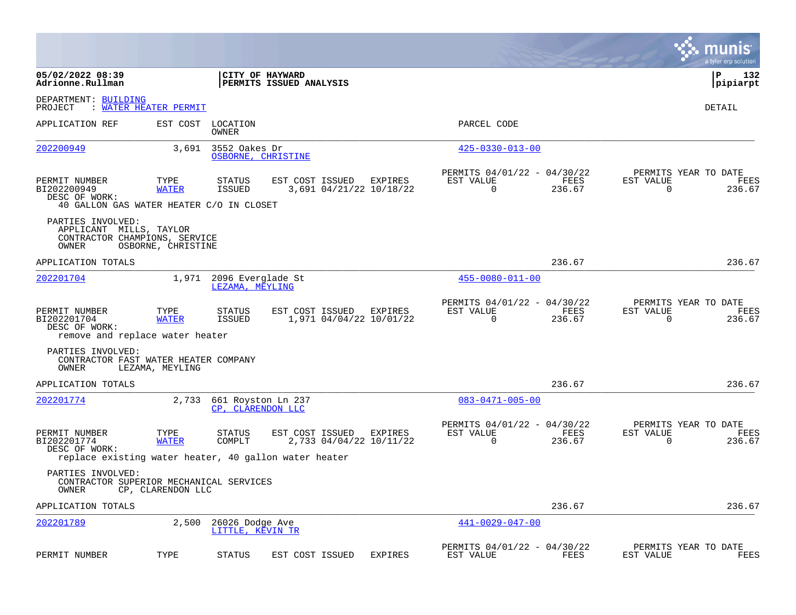|                                                                                           |                       |                                         |                                                                                                     |                |                                                         |                |                          | munis<br>a tyler erp solution          |
|-------------------------------------------------------------------------------------------|-----------------------|-----------------------------------------|-----------------------------------------------------------------------------------------------------|----------------|---------------------------------------------------------|----------------|--------------------------|----------------------------------------|
| 05/02/2022 08:39<br>Adrionne.Rullman                                                      |                       |                                         | <b>CITY OF HAYWARD</b><br><b>  PERMITS ISSUED ANALYSIS</b>                                          |                |                                                         |                |                          | lР<br>132<br> pipiarpt                 |
| DEPARTMENT: BUILDING<br>PROJECT                                                           | : WATER HEATER PERMIT |                                         |                                                                                                     |                |                                                         |                |                          | DETAIL                                 |
| APPLICATION REF                                                                           | EST COST              | LOCATION<br>OWNER                       |                                                                                                     |                | PARCEL CODE                                             |                |                          |                                        |
| 202200949                                                                                 | 3,691                 | 3552 Oakes Dr<br>OSBORNE, CHRISTINE     |                                                                                                     |                | $425 - 0330 - 013 - 00$                                 |                |                          |                                        |
| PERMIT NUMBER<br>BI202200949<br>DESC OF WORK:<br>40 GALLON GAS WATER HEATER C/O IN CLOSET | TYPE<br><b>WATER</b>  | <b>STATUS</b><br><b>ISSUED</b>          | EST COST ISSUED<br>3,691 04/21/22 10/18/22                                                          | EXPIRES        | PERMITS 04/01/22 - 04/30/22<br>EST VALUE<br>0           | FEES<br>236.67 | EST VALUE<br>0           | PERMITS YEAR TO DATE<br>FEES<br>236.67 |
| PARTIES INVOLVED:<br>APPLICANT MILLS, TAYLOR<br>CONTRACTOR CHAMPIONS, SERVICE<br>OWNER    | OSBORNE, CHRISTINE    |                                         |                                                                                                     |                |                                                         |                |                          |                                        |
| APPLICATION TOTALS                                                                        |                       |                                         |                                                                                                     |                |                                                         | 236.67         |                          | 236.67                                 |
| 202201704                                                                                 | 1,971                 | 2096 Everglade St<br>LEZAMA, MEYLING    |                                                                                                     |                | $455 - 0080 - 011 - 00$                                 |                |                          |                                        |
| PERMIT NUMBER<br>BI202201704<br>DESC OF WORK:<br>remove and replace water heater          | TYPE<br><b>WATER</b>  | <b>STATUS</b><br>ISSUED                 | EST COST ISSUED EXPIRES<br>1,971 04/04/22 10/01/22                                                  |                | PERMITS 04/01/22 - 04/30/22<br>EST VALUE<br>$\mathbf 0$ | FEES<br>236.67 | EST VALUE<br>$\mathbf 0$ | PERMITS YEAR TO DATE<br>FEES<br>236.67 |
| PARTIES INVOLVED:<br>CONTRACTOR FAST WATER HEATER COMPANY<br>OWNER                        | LEZAMA, MEYLING       |                                         |                                                                                                     |                |                                                         |                |                          |                                        |
| APPLICATION TOTALS                                                                        |                       |                                         |                                                                                                     |                |                                                         | 236.67         |                          | 236.67                                 |
| <u>202201774</u>                                                                          | 2,733                 | 661 Royston Ln 237<br>CP. CLARENDON LLC |                                                                                                     |                | $083 - 0471 - 005 - 00$                                 |                |                          |                                        |
| PERMIT NUMBER<br>BI202201774<br>DESC OF WORK:                                             | TYPE<br><b>WATER</b>  | <b>STATUS</b><br>COMPLT                 | EST COST ISSUED<br>2,733 04/04/22 10/11/22<br>replace existing water heater, 40 gallon water heater | EXPIRES        | PERMITS 04/01/22 - 04/30/22<br>EST VALUE<br>0           | FEES<br>236.67 | EST VALUE<br>0           | PERMITS YEAR TO DATE<br>FEES<br>236.67 |
| PARTIES INVOLVED:<br>CONTRACTOR SUPERIOR MECHANICAL SERVICES<br>OWNER                     | CP, CLARENDON LLC     |                                         |                                                                                                     |                |                                                         |                |                          |                                        |
| APPLICATION TOTALS                                                                        |                       |                                         |                                                                                                     |                |                                                         | 236.67         |                          | 236.67                                 |
| 202201789                                                                                 | 2,500                 | 26026 Dodge Ave<br>LITTLE, KEVIN TR     |                                                                                                     |                | $441 - 0029 - 047 - 00$                                 |                |                          |                                        |
| PERMIT NUMBER                                                                             | TYPE                  | <b>STATUS</b>                           | EST COST ISSUED                                                                                     | <b>EXPIRES</b> | PERMITS 04/01/22 - 04/30/22<br>EST VALUE                | FEES           | EST VALUE                | PERMITS YEAR TO DATE<br>FEES           |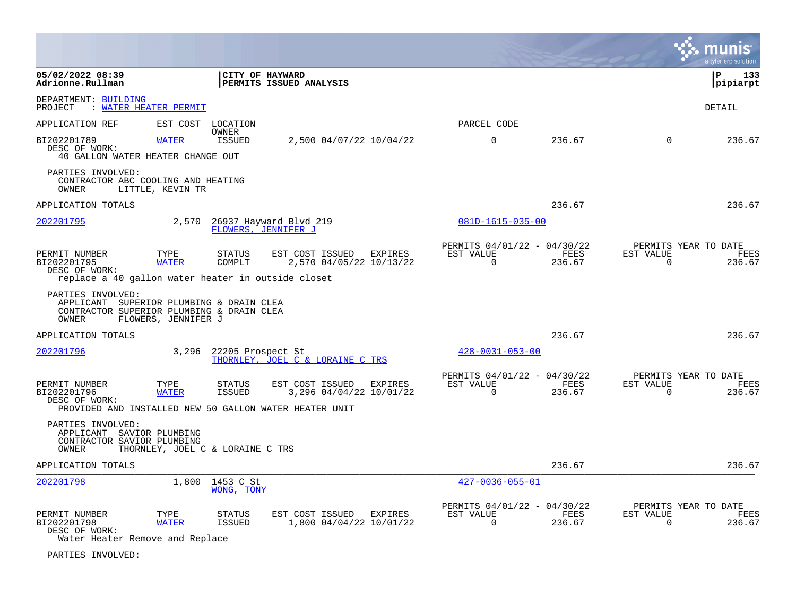|                                                                                                                     |                      |                                  |                                                    |                                                      |                |                       | a tyler erp solution                   |
|---------------------------------------------------------------------------------------------------------------------|----------------------|----------------------------------|----------------------------------------------------|------------------------------------------------------|----------------|-----------------------|----------------------------------------|
| 05/02/2022 08:39<br>Adrionne.Rullman                                                                                |                      | CITY OF HAYWARD                  | <b>PERMITS ISSUED ANALYSIS</b>                     |                                                      |                |                       | l P<br>133<br> pipiarpt                |
| DEPARTMENT: BUILDING<br>: WATER HEATER PERMIT<br>PROJECT                                                            |                      |                                  |                                                    |                                                      |                |                       | <b>DETAIL</b>                          |
| APPLICATION REF                                                                                                     | EST COST             | LOCATION                         |                                                    | PARCEL CODE                                          |                |                       |                                        |
| BI202201789<br>DESC OF WORK:<br>40 GALLON WATER HEATER CHANGE OUT                                                   | <b>WATER</b>         | OWNER<br>ISSUED                  | 2,500 04/07/22 10/04/22                            | $\mathbf 0$                                          | 236.67         | $\mathbf 0$           | 236.67                                 |
| PARTIES INVOLVED:<br>CONTRACTOR ABC COOLING AND HEATING<br>OWNER                                                    | LITTLE, KEVIN TR     |                                  |                                                    |                                                      |                |                       |                                        |
| APPLICATION TOTALS                                                                                                  |                      |                                  |                                                    |                                                      | 236.67         |                       | 236.67                                 |
| 202201795                                                                                                           | 2,570                | FLOWERS, JENNIFER J              | 26937 Hayward Blvd 219                             | $081D-1615-035-00$                                   |                |                       |                                        |
| PERMIT NUMBER<br>BI202201795<br>DESC OF WORK:<br>replace a 40 gallon water heater in outside closet                 | TYPE<br><b>WATER</b> | <b>STATUS</b><br>COMPLT          | EST COST ISSUED EXPIRES<br>2,570 04/05/22 10/13/22 | PERMITS 04/01/22 - 04/30/22<br>EST VALUE<br>$\Omega$ | FEES<br>236.67 | EST VALUE<br>$\Omega$ | PERMITS YEAR TO DATE<br>FEES<br>236.67 |
| PARTIES INVOLVED:<br>APPLICANT SUPERIOR PLUMBING & DRAIN CLEA<br>CONTRACTOR SUPERIOR PLUMBING & DRAIN CLEA<br>OWNER | FLOWERS, JENNIFER J  |                                  |                                                    |                                                      |                |                       |                                        |
| APPLICATION TOTALS                                                                                                  |                      |                                  |                                                    |                                                      | 236.67         |                       | 236.67                                 |
| 202201796                                                                                                           | 3,296                | 22205 Prospect St                | THORNLEY, JOEL C & LORAINE C TRS                   | $428 - 0031 - 053 - 00$                              |                |                       |                                        |
| PERMIT NUMBER<br>BI202201796<br>DESC OF WORK:<br>PROVIDED AND INSTALLED NEW 50 GALLON WATER HEATER UNIT             | TYPE<br><b>WATER</b> | <b>STATUS</b><br><b>ISSUED</b>   | EST COST ISSUED EXPIRES<br>3,296 04/04/22 10/01/22 | PERMITS 04/01/22 - 04/30/22<br>EST VALUE<br>$\Omega$ | FEES<br>236.67 | EST VALUE<br>$\Omega$ | PERMITS YEAR TO DATE<br>FEES<br>236.67 |
| PARTIES INVOLVED:<br>APPLICANT SAVIOR PLUMBING<br>CONTRACTOR SAVIOR PLUMBING<br>OWNER                               |                      | THORNLEY, JOEL C & LORAINE C TRS |                                                    |                                                      |                |                       |                                        |
| APPLICATION TOTALS                                                                                                  |                      |                                  |                                                    |                                                      | 236.67         |                       | 236.67                                 |
| 202201798                                                                                                           |                      | 1,800 1453 C St<br>WONG, TONY    |                                                    | $427 - 0036 - 055 - 01$                              |                |                       |                                        |
| PERMIT NUMBER<br>BI202201798<br>DESC OF WORK:<br>Water Heater Remove and Replace                                    | TYPE<br><b>WATER</b> | <b>STATUS</b><br>ISSUED          | EST COST ISSUED EXPIRES<br>1,800 04/04/22 10/01/22 | PERMITS 04/01/22 - 04/30/22<br>EST VALUE<br>$\Omega$ | FEES<br>236.67 | EST VALUE<br>$\Omega$ | PERMITS YEAR TO DATE<br>FEES<br>236.67 |

PARTIES INVOLVED: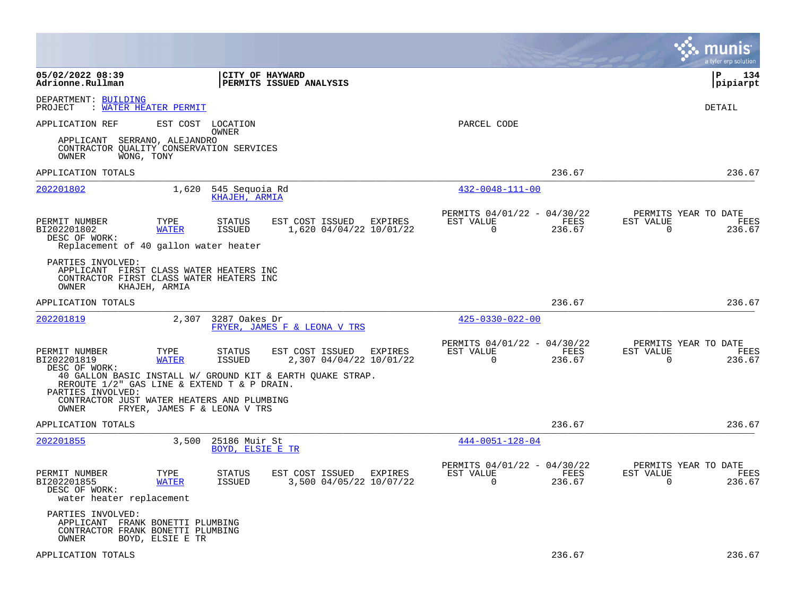|                                                                                                                   |                              |                                   |                                                            |         |                                                         |                       |                          | munis<br>a tyler erp solution          |
|-------------------------------------------------------------------------------------------------------------------|------------------------------|-----------------------------------|------------------------------------------------------------|---------|---------------------------------------------------------|-----------------------|--------------------------|----------------------------------------|
| 05/02/2022 08:39<br>Adrionne.Rullman                                                                              |                              | CITY OF HAYWARD                   | PERMITS ISSUED ANALYSIS                                    |         |                                                         |                       |                          | l P<br>134<br> pipiarpt                |
| DEPARTMENT: BUILDING<br>PROJECT<br>: WATER HEATER PERMIT                                                          |                              |                                   |                                                            |         |                                                         |                       |                          | DETAIL                                 |
| APPLICATION REF                                                                                                   | EST COST LOCATION            | OWNER                             |                                                            |         | PARCEL CODE                                             |                       |                          |                                        |
| APPLICANT<br>CONTRACTOR QUALITY CONSERVATION SERVICES<br>OWNER<br>WONG, TONY                                      | SERRANO, ALEJANDRO           |                                   |                                                            |         |                                                         |                       |                          |                                        |
| APPLICATION TOTALS                                                                                                |                              |                                   |                                                            |         |                                                         | 236.67                |                          | 236.67                                 |
| 202201802                                                                                                         | 1,620                        | 545 Sequoia Rd<br>KHAJEH, ARMIA   |                                                            |         | $432 - 0048 - 111 - 00$                                 |                       |                          |                                        |
| PERMIT NUMBER<br>BI202201802<br>DESC OF WORK:                                                                     | TYPE<br><b>WATER</b>         | STATUS<br>ISSUED                  | EST COST ISSUED<br>1,620 04/04/22 10/01/22                 | EXPIRES | PERMITS 04/01/22 - 04/30/22<br>EST VALUE<br>$\mathbf 0$ | FEES<br>236.67        | EST VALUE<br>$\mathbf 0$ | PERMITS YEAR TO DATE<br>FEES<br>236.67 |
| Replacement of 40 gallon water heater                                                                             |                              |                                   |                                                            |         |                                                         |                       |                          |                                        |
| PARTIES INVOLVED:<br>APPLICANT FIRST CLASS WATER HEATERS INC<br>CONTRACTOR FIRST CLASS WATER HEATERS INC<br>OWNER | KHAJEH, ARMIA                |                                   |                                                            |         |                                                         |                       |                          |                                        |
| APPLICATION TOTALS                                                                                                |                              |                                   |                                                            |         |                                                         | 236.67                |                          | 236.67                                 |
| 202201819                                                                                                         | 2,307                        | 3287 Oakes Dr                     | FRYER, JAMES F & LEONA V TRS                               |         | $425 - 0330 - 022 - 00$                                 |                       |                          |                                        |
| PERMIT NUMBER<br>BI202201819<br>DESC OF WORK:                                                                     | TYPE<br><b>WATER</b>         | <b>STATUS</b><br><b>ISSUED</b>    | EST COST ISSUED<br>2,307 04/04/22 10/01/22                 | EXPIRES | PERMITS 04/01/22 - 04/30/22<br>EST VALUE<br>$\Omega$    | FEES<br>236.67        | EST VALUE<br>$\Omega$    | PERMITS YEAR TO DATE<br>FEES<br>236.67 |
| REROUTE 1/2" GAS LINE & EXTEND T & P DRAIN.<br>PARTIES INVOLVED:                                                  |                              |                                   | 40 GALLON BASIC INSTALL W/ GROUND KIT & EARTH QUAKE STRAP. |         |                                                         |                       |                          |                                        |
| CONTRACTOR JUST WATER HEATERS AND PLUMBING<br>OWNER                                                               | FRYER, JAMES F & LEONA V TRS |                                   |                                                            |         |                                                         |                       |                          |                                        |
| APPLICATION TOTALS                                                                                                |                              |                                   |                                                            |         |                                                         | 236.67                |                          | 236.67                                 |
| 202201855                                                                                                         | 3,500                        | 25186 Muir St<br>BOYD, ELSIE E TR |                                                            |         | $444 - 0051 - 128 - 04$                                 |                       |                          |                                        |
| PERMIT NUMBER<br>BI202201855<br>DESC OF WORK:<br>water heater replacement                                         | TYPE<br><b>WATER</b>         | <b>STATUS</b><br><b>ISSUED</b>    | EST COST ISSUED<br>3,500 04/05/22 10/07/22                 | EXPIRES | PERMITS 04/01/22 - 04/30/22<br>EST VALUE<br>0           | <b>FEES</b><br>236.67 | EST VALUE<br>0           | PERMITS YEAR TO DATE<br>FEES<br>236.67 |
| PARTIES INVOLVED:<br>APPLICANT FRANK BONETTI PLUMBING<br>CONTRACTOR FRANK BONETTI PLUMBING<br>OWNER               | BOYD, ELSIE E TR             |                                   |                                                            |         |                                                         |                       |                          |                                        |
| APPLICATION TOTALS                                                                                                |                              |                                   |                                                            |         |                                                         | 236.67                |                          | 236.67                                 |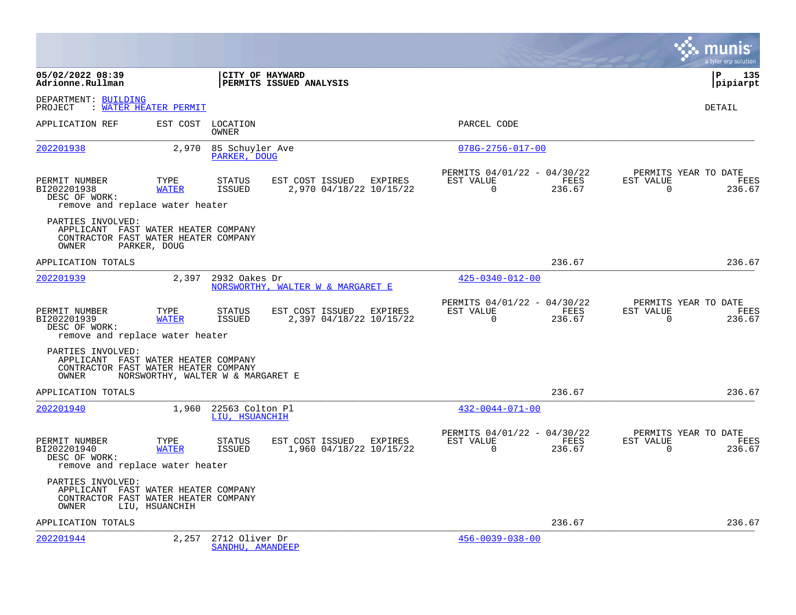|                                                                                                           |                                   |                                         |                                                       |                                                      |                |                       | a tyler erp solution                          |
|-----------------------------------------------------------------------------------------------------------|-----------------------------------|-----------------------------------------|-------------------------------------------------------|------------------------------------------------------|----------------|-----------------------|-----------------------------------------------|
| 05/02/2022 08:39<br>Adrionne.Rullman                                                                      |                                   |                                         | CITY OF HAYWARD<br>PERMITS ISSUED ANALYSIS            |                                                      |                |                       | l P<br>135<br> pipiarpt                       |
| DEPARTMENT: BUILDING<br>PROJECT                                                                           | : WATER HEATER PERMIT             |                                         |                                                       |                                                      |                |                       | DETAIL                                        |
| APPLICATION REF                                                                                           |                                   | EST COST LOCATION<br>OWNER              |                                                       | PARCEL CODE                                          |                |                       |                                               |
| 202201938                                                                                                 | 2,970                             | 85 Schuyler Ave<br>PARKER, DOUG         |                                                       | $078G - 2756 - 017 - 00$                             |                |                       |                                               |
| PERMIT NUMBER<br>BI202201938<br>DESC OF WORK:<br>remove and replace water heater                          | TYPE<br><b>WATER</b>              | <b>STATUS</b><br>ISSUED                 | EST COST ISSUED EXPIRES<br>2,970 04/18/22 10/15/22    | PERMITS 04/01/22 - 04/30/22<br>EST VALUE<br>$\Omega$ | FEES<br>236.67 | EST VALUE<br>$\Omega$ | PERMITS YEAR TO DATE<br>FEES<br>236.67        |
| PARTIES INVOLVED:<br>APPLICANT FAST WATER HEATER COMPANY<br>CONTRACTOR FAST WATER HEATER COMPANY<br>OWNER | PARKER, DOUG                      |                                         |                                                       |                                                      |                |                       |                                               |
| APPLICATION TOTALS                                                                                        |                                   |                                         |                                                       |                                                      | 236.67         |                       | 236.67                                        |
| 202201939                                                                                                 | 2,397                             | 2932 Oakes Dr                           | NORSWORTHY, WALTER W & MARGARET E                     | $425 - 0340 - 012 - 00$                              |                |                       |                                               |
| PERMIT NUMBER<br>BI202201939<br>DESC OF WORK:<br>remove and replace water heater                          | TYPE<br><b>WATER</b>              | <b>STATUS</b><br>ISSUED                 | EST COST ISSUED<br>EXPIRES<br>2,397 04/18/22 10/15/22 | PERMITS 04/01/22 - 04/30/22<br>EST VALUE<br>$\Omega$ | FEES<br>236.67 | EST VALUE<br>$\Omega$ | PERMITS YEAR TO DATE<br><b>FEES</b><br>236.67 |
| PARTIES INVOLVED:<br>APPLICANT FAST WATER HEATER COMPANY<br>CONTRACTOR FAST WATER HEATER COMPANY<br>OWNER | NORSWORTHY, WALTER W & MARGARET E |                                         |                                                       |                                                      |                |                       |                                               |
| APPLICATION TOTALS                                                                                        |                                   |                                         |                                                       |                                                      | 236.67         |                       | 236.67                                        |
| 202201940                                                                                                 |                                   | 1,960 22563 Colton Pl<br>LIU, HSUANCHIH |                                                       | $432 - 0044 - 071 - 00$                              |                |                       |                                               |
| PERMIT NUMBER<br>BI202201940<br>DESC OF WORK:<br>remove and replace water heater                          | TYPE<br><b>WATER</b>              | <b>STATUS</b><br>ISSUED                 | EST COST ISSUED EXPIRES<br>1,960 04/18/22 10/15/22    | PERMITS 04/01/22 - 04/30/22<br>EST VALUE<br>$\Omega$ | FEES<br>236.67 | EST VALUE<br>$\Omega$ | PERMITS YEAR TO DATE<br>FEES<br>236.67        |
| PARTIES INVOLVED:<br>APPLICANT FAST WATER HEATER COMPANY<br>CONTRACTOR FAST WATER HEATER COMPANY<br>OWNER | LIU, HSUANCHIH                    |                                         |                                                       |                                                      |                |                       |                                               |
| APPLICATION TOTALS                                                                                        |                                   |                                         |                                                       |                                                      | 236.67         |                       | 236.67                                        |
| 202201944                                                                                                 | 2,257                             | 2712 Oliver Dr<br>SANDHU, AMANDEEP      |                                                       | $456 - 0039 - 038 - 00$                              |                |                       |                                               |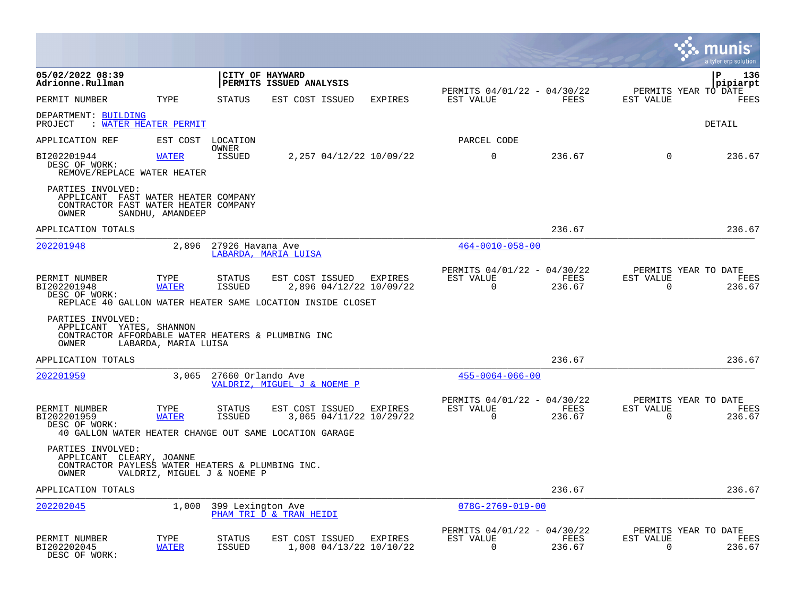|                                                                                                                                                                      |                             |                                |                                            |                                           |                                                         |                |                          | a tyler erp solution                   |
|----------------------------------------------------------------------------------------------------------------------------------------------------------------------|-----------------------------|--------------------------------|--------------------------------------------|-------------------------------------------|---------------------------------------------------------|----------------|--------------------------|----------------------------------------|
| 05/02/2022 08:39<br>Adrionne.Rullman                                                                                                                                 |                             |                                | CITY OF HAYWARD<br>PERMITS ISSUED ANALYSIS |                                           |                                                         |                |                          | Р<br>136<br>pipiarpt                   |
| PERMIT NUMBER                                                                                                                                                        | TYPE                        | <b>STATUS</b>                  | EST COST ISSUED                            | <b>EXPIRES</b>                            | PERMITS 04/01/22 - 04/30/22<br>EST VALUE                | FEES           | EST VALUE                | PERMITS YEAR TO DATE<br>FEES           |
| DEPARTMENT: BUILDING<br>PROJECT                                                                                                                                      | <u>WATER HEATER PERMIT</u>  |                                |                                            |                                           |                                                         |                |                          | DETAIL                                 |
| APPLICATION REF                                                                                                                                                      | EST COST                    | LOCATION                       |                                            |                                           | PARCEL CODE                                             |                |                          |                                        |
| BI202201944<br>DESC OF WORK:<br>REMOVE/REPLACE WATER HEATER                                                                                                          | WATER                       | OWNER<br><b>ISSUED</b>         |                                            | 2,257 04/12/22 10/09/22                   | $\Omega$                                                | 236.67         | $\Omega$                 | 236.67                                 |
| PARTIES INVOLVED:<br>APPLICANT FAST WATER HEATER COMPANY<br>CONTRACTOR FAST WATER HEATER COMPANY<br>OWNER                                                            | SANDHU, AMANDEEP            |                                |                                            |                                           |                                                         |                |                          |                                        |
| APPLICATION TOTALS                                                                                                                                                   |                             |                                |                                            |                                           |                                                         | 236.67         |                          | 236.67                                 |
| 202201948                                                                                                                                                            | 2,896                       | 27926 Havana Ave               | LABARDA, MARIA LUISA                       |                                           | $464 - 0010 - 058 - 00$                                 |                |                          |                                        |
| PERMIT NUMBER<br>BI202201948<br>DESC OF WORK:<br>REPLACE 40 GALLON WATER HEATER SAME LOCATION INSIDE CLOSET                                                          | TYPE<br><b>WATER</b>        | STATUS<br><b>ISSUED</b>        | EST COST ISSUED                            | <b>EXPIRES</b><br>2,896 04/12/22 10/09/22 | PERMITS 04/01/22 - 04/30/22<br>EST VALUE<br>$\Omega$    | FEES<br>236.67 | EST VALUE<br>$\Omega$    | PERMITS YEAR TO DATE<br>FEES<br>236.67 |
| PARTIES INVOLVED:<br>APPLICANT YATES, SHANNON<br>CONTRACTOR AFFORDABLE WATER HEATERS & PLUMBING INC<br>OWNER                                                         | LABARDA, MARIA LUISA        |                                |                                            |                                           |                                                         |                |                          |                                        |
| APPLICATION TOTALS                                                                                                                                                   |                             |                                |                                            |                                           |                                                         | 236.67         |                          | 236.67                                 |
| 202201959                                                                                                                                                            | 3,065                       | 27660 Orlando Ave              | VALDRIZ, MIGUEL J & NOEME P                |                                           | $455 - 0064 - 066 - 00$                                 |                |                          |                                        |
| PERMIT NUMBER<br>BI202201959<br>DESC OF WORK:                                                                                                                        | TYPE<br><b>WATER</b>        | <b>STATUS</b><br><b>ISSUED</b> | EST COST ISSUED                            | EXPIRES<br>3,065 04/11/22 10/29/22        | PERMITS 04/01/22 - 04/30/22<br>EST VALUE<br>$\Omega$    | FEES<br>236.67 | EST VALUE<br>$\Omega$    | PERMITS YEAR TO DATE<br>FEES<br>236.67 |
| 40 GALLON WATER HEATER CHANGE OUT SAME LOCATION GARAGE<br>PARTIES INVOLVED:<br>APPLICANT CLEARY, JOANNE<br>CONTRACTOR PAYLESS WATER HEATERS & PLUMBING INC.<br>OWNER | VALDRIZ, MIGUEL J & NOEME P |                                |                                            |                                           |                                                         |                |                          |                                        |
| APPLICATION TOTALS                                                                                                                                                   |                             |                                |                                            |                                           |                                                         | 236.67         |                          | 236.67                                 |
| 202202045                                                                                                                                                            | 1,000                       | 399 Lexington Ave              | PHAM TRI D & TRAN HEIDI                    |                                           | $078G - 2769 - 019 - 00$                                |                |                          |                                        |
| PERMIT NUMBER<br>BI202202045<br>DESC OF WORK:                                                                                                                        | TYPE<br>WATER               | <b>STATUS</b><br><b>ISSUED</b> | EST COST ISSUED                            | EXPIRES<br>1,000 04/13/22 10/10/22        | PERMITS 04/01/22 - 04/30/22<br>EST VALUE<br>$\mathbf 0$ | FEES<br>236.67 | EST VALUE<br>$\mathbf 0$ | PERMITS YEAR TO DATE<br>FEES<br>236.67 |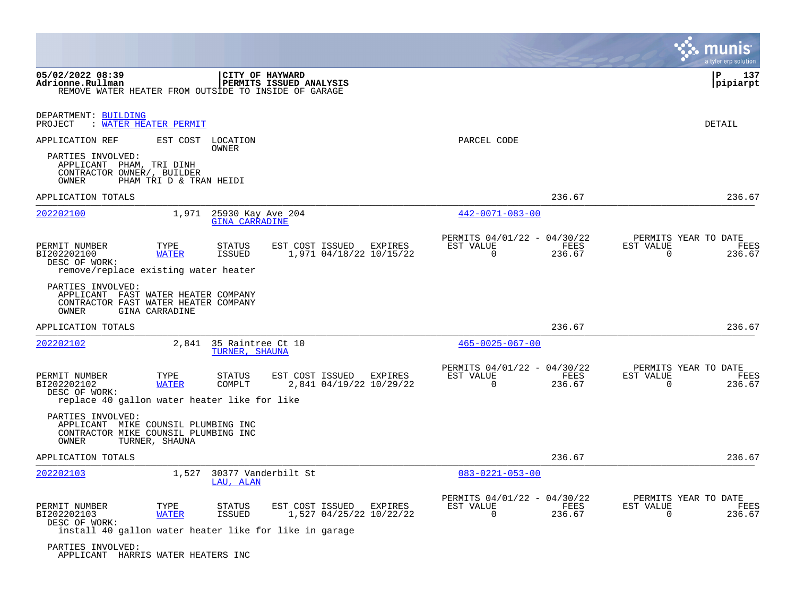|                                                                                                           |                         |                                                  |                         |                                    |                                                      |                |                       | a tyler erp solution                   |
|-----------------------------------------------------------------------------------------------------------|-------------------------|--------------------------------------------------|-------------------------|------------------------------------|------------------------------------------------------|----------------|-----------------------|----------------------------------------|
| 05/02/2022 08:39<br>Adrionne.Rullman<br>REMOVE WATER HEATER FROM OUTSIDE TO INSIDE OF GARAGE              |                         | CITY OF HAYWARD                                  | PERMITS ISSUED ANALYSIS |                                    |                                                      |                |                       | ${\bf P}$<br>137<br>pipiarpt           |
| DEPARTMENT: BUILDING<br><b>WATER HEATER PERMIT</b><br>PROJECT                                             |                         |                                                  |                         |                                    |                                                      |                |                       | DETAIL                                 |
| APPLICATION REF<br>PARTIES INVOLVED:<br>APPLICANT PHAM, TRI DINH<br>CONTRACTOR OWNER/, BUILDER<br>OWNER   | PHAM TRI D & TRAN HEIDI | EST COST LOCATION<br>OWNER                       |                         |                                    | PARCEL CODE                                          |                |                       |                                        |
| APPLICATION TOTALS                                                                                        |                         |                                                  |                         |                                    |                                                      | 236.67         |                       | 236.67                                 |
| 202202100                                                                                                 |                         | 1,971 25930 Kay Ave 204<br><b>GINA CARRADINE</b> |                         |                                    | $442 - 0071 - 083 - 00$                              |                |                       |                                        |
| PERMIT NUMBER<br>BI202202100<br>DESC OF WORK:<br>remove/replace existing water heater                     | TYPE<br><b>WATER</b>    | <b>STATUS</b><br>ISSUED                          | EST COST ISSUED         | EXPIRES<br>1,971 04/18/22 10/15/22 | PERMITS 04/01/22 - 04/30/22<br>EST VALUE<br>$\Omega$ | FEES<br>236.67 | EST VALUE<br>$\Omega$ | PERMITS YEAR TO DATE<br>FEES<br>236.67 |
| PARTIES INVOLVED:<br>APPLICANT FAST WATER HEATER COMPANY<br>CONTRACTOR FAST WATER HEATER COMPANY<br>OWNER | GINA CARRADINE          |                                                  |                         |                                    |                                                      |                |                       |                                        |
| APPLICATION TOTALS                                                                                        |                         |                                                  |                         |                                    |                                                      | 236.67         |                       | 236.67                                 |
| 202202102                                                                                                 | 2,841                   | 35 Raintree Ct 10<br>TURNER, SHAUNA              |                         |                                    | $465 - 0025 - 067 - 00$                              |                |                       |                                        |
| PERMIT NUMBER<br>BI202202102<br>DESC OF WORK:<br>replace 40 gallon water heater like for like             | TYPE<br><b>WATER</b>    | <b>STATUS</b><br>COMPLT                          | EST COST ISSUED         | EXPIRES<br>2,841 04/19/22 10/29/22 | PERMITS 04/01/22 - 04/30/22<br>EST VALUE<br>$\Omega$ | FEES<br>236.67 | EST VALUE<br>$\Omega$ | PERMITS YEAR TO DATE<br>FEES<br>236.67 |
| PARTIES INVOLVED:<br>APPLICANT MIKE COUNSIL PLUMBING INC<br>CONTRACTOR MIKE COUNSIL PLUMBING INC<br>OWNER | TURNER, SHAUNA          |                                                  |                         |                                    |                                                      |                |                       |                                        |
| APPLICATION TOTALS                                                                                        |                         |                                                  |                         |                                    |                                                      | 236.67         |                       | 236.67                                 |
| 202202103                                                                                                 | 1,527                   | 30377 Vanderbilt St<br>LAU. ALAN                 |                         |                                    | $083 - 0221 - 053 - 00$                              |                |                       |                                        |
| PERMIT NUMBER<br>BI202202103<br>DESC OF WORK:<br>install 40 gallon water heater like for like in garage   | TYPE<br><b>WATER</b>    | <b>STATUS</b><br><b>ISSUED</b>                   | EST COST ISSUED         | EXPIRES<br>1,527 04/25/22 10/22/22 | PERMITS 04/01/22 - 04/30/22<br>EST VALUE<br>$\Omega$ | FEES<br>236.67 | EST VALUE<br>$\Omega$ | PERMITS YEAR TO DATE<br>FEES<br>236.67 |
| PARTIES INVOLVED:                                                                                         |                         |                                                  |                         |                                    |                                                      |                |                       |                                        |

APPLICANT HARRIS WATER HEATERS INC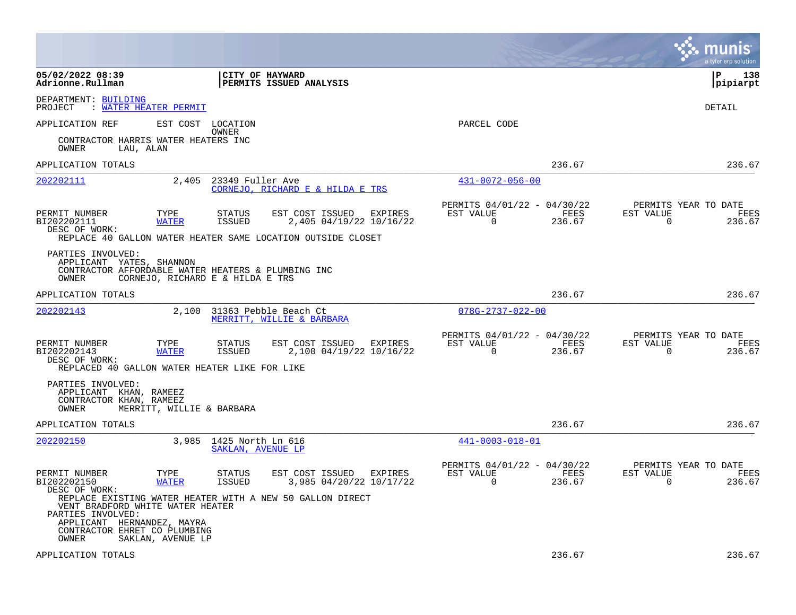|                                                                                                                              |                                  |                                              |                                                                                                                      |                                                         |                | munis<br>a tyler erp solution                                      |
|------------------------------------------------------------------------------------------------------------------------------|----------------------------------|----------------------------------------------|----------------------------------------------------------------------------------------------------------------------|---------------------------------------------------------|----------------|--------------------------------------------------------------------|
| 05/02/2022 08:39<br>Adrionne.Rullman                                                                                         |                                  | <b>CITY OF HAYWARD</b>                       | <b> PERMITS ISSUED ANALYSIS</b>                                                                                      |                                                         |                | l P<br>138<br> pipiarpt                                            |
| DEPARTMENT: BUILDING<br>PROJECT                                                                                              | : WATER HEATER PERMIT            |                                              |                                                                                                                      |                                                         |                | DETAIL                                                             |
| APPLICATION REF                                                                                                              | EST COST                         | LOCATION                                     |                                                                                                                      | PARCEL CODE                                             |                |                                                                    |
| CONTRACTOR HARRIS WATER HEATERS INC<br>OWNER                                                                                 | LAU, ALAN                        | OWNER                                        |                                                                                                                      |                                                         |                |                                                                    |
| APPLICATION TOTALS                                                                                                           |                                  |                                              |                                                                                                                      |                                                         | 236.67         | 236.67                                                             |
| 202202111                                                                                                                    | 2,405                            | 23349 Fuller Ave                             | CORNEJO, RICHARD E & HILDA E TRS                                                                                     | $431 - 0072 - 056 - 00$                                 |                |                                                                    |
| PERMIT NUMBER<br>BI202202111<br>DESC OF WORK:                                                                                | TYPE<br><b>WATER</b>             | <b>STATUS</b><br>ISSUED                      | EST COST ISSUED<br>EXPIRES<br>2,405 04/19/22 10/16/22<br>REPLACE 40 GALLON WATER HEATER SAME LOCATION OUTSIDE CLOSET | PERMITS 04/01/22 - 04/30/22<br>EST VALUE<br>$\Omega$    | FEES<br>236.67 | PERMITS YEAR TO DATE<br>EST VALUE<br>FEES<br>$\Omega$<br>236.67    |
| PARTIES INVOLVED:<br>APPLICANT YATES, SHANNON<br>CONTRACTOR AFFORDABLE WATER HEATERS & PLUMBING INC<br>OWNER                 | CORNEJO, RICHARD E & HILDA E TRS |                                              |                                                                                                                      |                                                         |                |                                                                    |
| APPLICATION TOTALS                                                                                                           |                                  |                                              |                                                                                                                      |                                                         | 236.67         | 236.67                                                             |
| 202202143                                                                                                                    | 2,100                            |                                              | 31363 Pebble Beach Ct<br>MERRITT, WILLIE & BARBARA                                                                   | $078G - 2737 - 022 - 00$                                |                |                                                                    |
| PERMIT NUMBER<br>BI202202143<br>DESC OF WORK:<br>REPLACED 40 GALLON WATER HEATER LIKE FOR LIKE                               | TYPE<br><b>WATER</b>             | STATUS<br><b>ISSUED</b>                      | EST COST ISSUED<br>EXPIRES<br>2,100 04/19/22 10/16/22                                                                | PERMITS 04/01/22 - 04/30/22<br>EST VALUE<br>$\mathbf 0$ | FEES<br>236.67 | PERMITS YEAR TO DATE<br>FEES<br>EST VALUE<br>$\mathbf 0$<br>236.67 |
| PARTIES INVOLVED:<br>APPLICANT KHAN, RAMEEZ<br>CONTRACTOR KHAN, RAMEEZ<br>OWNER                                              | MERRITT, WILLIE & BARBARA        |                                              |                                                                                                                      |                                                         |                |                                                                    |
| APPLICATION TOTALS                                                                                                           |                                  |                                              |                                                                                                                      |                                                         | 236.67         | 236.67                                                             |
| 202202150                                                                                                                    |                                  | 3,985 1425 North Ln 616<br>SAKLAN, AVENUE LP |                                                                                                                      | $441 - 0003 - 018 - 01$                                 |                |                                                                    |
| PERMIT NUMBER<br>BI202202150<br>DESC OF WORK:                                                                                | TYPE<br><b>WATER</b>             | STATUS<br>ISSUED                             | EST COST ISSUED<br>EXPIRES<br>3,985 04/20/22 10/17/22                                                                | PERMITS 04/01/22 - 04/30/22<br>EST VALUE<br>$\Omega$    | FEES<br>236.67 | PERMITS YEAR TO DATE<br>EST VALUE<br>FEES<br>$\Omega$<br>236.67    |
| VENT BRADFORD WHITE WATER HEATER<br>PARTIES INVOLVED:<br>APPLICANT HERNANDEZ, MAYRA<br>CONTRACTOR EHRET CO PLUMBING<br>OWNER | SAKLAN, AVENUE LP                |                                              | REPLACE EXISTING WATER HEATER WITH A NEW 50 GALLON DIRECT                                                            |                                                         |                |                                                                    |
| APPLICATION TOTALS                                                                                                           |                                  |                                              |                                                                                                                      |                                                         | 236.67         | 236.67                                                             |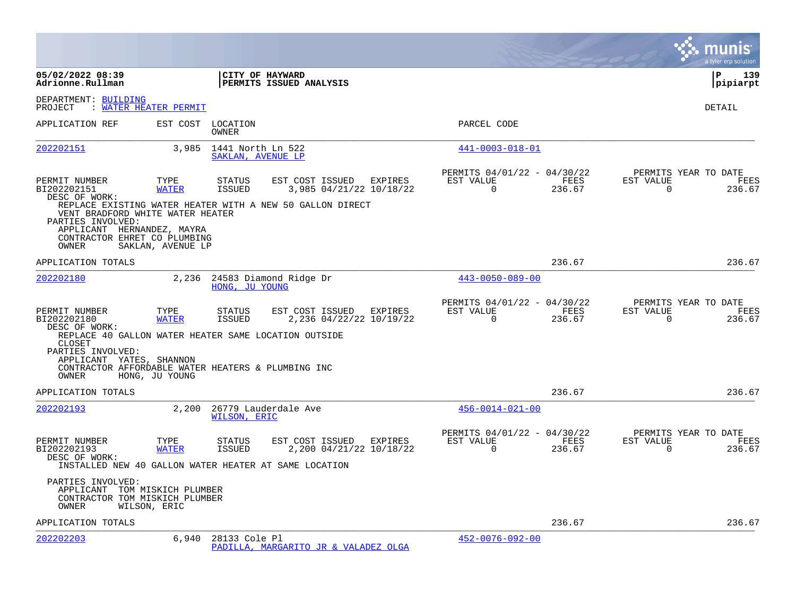|                                                                                                                                                                      |                       |                                              |                                                                                                                 |         |                                                      |                |                       | a tyler erp solution                          |
|----------------------------------------------------------------------------------------------------------------------------------------------------------------------|-----------------------|----------------------------------------------|-----------------------------------------------------------------------------------------------------------------|---------|------------------------------------------------------|----------------|-----------------------|-----------------------------------------------|
| 05/02/2022 08:39<br>Adrionne.Rullman                                                                                                                                 |                       |                                              | CITY OF HAYWARD<br><b>PERMITS ISSUED ANALYSIS</b>                                                               |         |                                                      |                |                       | l P<br>139<br> pipiarpt                       |
| DEPARTMENT: BUILDING<br>PROJECT                                                                                                                                      | : WATER HEATER PERMIT |                                              |                                                                                                                 |         |                                                      |                |                       | DETAIL                                        |
| APPLICATION REF                                                                                                                                                      |                       | EST COST LOCATION<br>OWNER                   |                                                                                                                 |         | PARCEL CODE                                          |                |                       |                                               |
| 202202151                                                                                                                                                            |                       | 3,985 1441 North Ln 522<br>SAKLAN, AVENUE LP |                                                                                                                 |         | $441 - 0003 - 018 - 01$                              |                |                       |                                               |
| PERMIT NUMBER<br>BI202202151<br>DESC OF WORK:<br>VENT BRADFORD WHITE WATER HEATER<br>PARTIES INVOLVED:<br>APPLICANT HERNANDEZ, MAYRA<br>CONTRACTOR EHRET CO PLUMBING | TYPE<br><b>WATER</b>  | STATUS<br><b>ISSUED</b>                      | EST COST ISSUED EXPIRES<br>3,985 04/21/22 10/18/22<br>REPLACE EXISTING WATER HEATER WITH A NEW 50 GALLON DIRECT |         | PERMITS 04/01/22 - 04/30/22<br>EST VALUE<br>$\Omega$ | FEES<br>236.67 | EST VALUE<br>$\Omega$ | PERMITS YEAR TO DATE<br>FEES<br>236.67        |
| OWNER                                                                                                                                                                | SAKLAN, AVENUE LP     |                                              |                                                                                                                 |         |                                                      |                |                       |                                               |
| APPLICATION TOTALS                                                                                                                                                   |                       |                                              |                                                                                                                 |         |                                                      | 236.67         |                       | 236.67                                        |
| 202202180                                                                                                                                                            | 2,236                 | HONG, JU YOUNG                               | 24583 Diamond Ridge Dr                                                                                          |         | $443 - 0050 - 089 - 00$                              |                |                       |                                               |
| PERMIT NUMBER<br>BI202202180<br>DESC OF WORK:<br>REPLACE 40 GALLON WATER HEATER SAME LOCATION OUTSIDE<br>CLOSET                                                      | TYPE<br><b>WATER</b>  | <b>STATUS</b><br>ISSUED                      | EST COST ISSUED<br>2,236 04/22/22 10/19/22                                                                      | EXPIRES | PERMITS 04/01/22 - 04/30/22<br>EST VALUE<br>$\Omega$ | FEES<br>236.67 | EST VALUE<br>$\Omega$ | PERMITS YEAR TO DATE<br><b>FEES</b><br>236.67 |
| PARTIES INVOLVED:<br>APPLICANT YATES, SHANNON<br>CONTRACTOR AFFORDABLE WATER HEATERS & PLUMBING INC<br>OWNER                                                         | HONG, JU YOUNG        |                                              |                                                                                                                 |         |                                                      |                |                       |                                               |
| APPLICATION TOTALS                                                                                                                                                   |                       |                                              |                                                                                                                 |         |                                                      | 236.67         |                       | 236.67                                        |
| 202202193                                                                                                                                                            | 2,200                 | WILSON, ERIC                                 | 26779 Lauderdale Ave                                                                                            |         | $456 - 0014 - 021 - 00$                              |                |                       |                                               |
| PERMIT NUMBER<br>BI202202193<br>DESC OF WORK:<br>INSTALLED NEW 40 GALLON WATER HEATER AT SAME LOCATION                                                               | TYPE<br><b>WATER</b>  | STATUS<br><b>ISSUED</b>                      | EST COST ISSUED EXPIRES<br>2,200 04/21/22 10/18/22                                                              |         | PERMITS 04/01/22 - 04/30/22<br>EST VALUE<br>$\Omega$ | FEES<br>236.67 | EST VALUE<br>$\Omega$ | PERMITS YEAR TO DATE<br>FEES<br>236.67        |
| PARTIES INVOLVED:<br>APPLICANT TOM MISKICH PLUMBER<br>CONTRACTOR TOM MISKICH PLUMBER<br>OWNER                                                                        | WILSON, ERIC          |                                              |                                                                                                                 |         |                                                      |                |                       |                                               |
| APPLICATION TOTALS                                                                                                                                                   |                       |                                              |                                                                                                                 |         |                                                      | 236.67         |                       | 236.67                                        |
| 202202203                                                                                                                                                            | 6,940                 | 28133 Cole Pl                                | PADILLA, MARGARITO JR & VALADEZ OLGA                                                                            |         | $452 - 0076 - 092 - 00$                              |                |                       |                                               |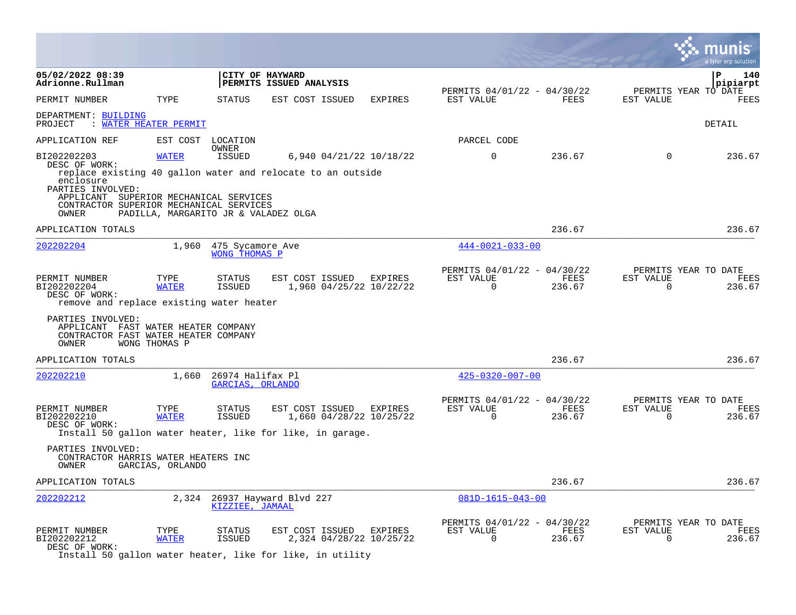|                                                                                                                 |                      |                                                |                                            |                                           |                                                      |                |                          | munıs<br>a tyler erp solution          |
|-----------------------------------------------------------------------------------------------------------------|----------------------|------------------------------------------------|--------------------------------------------|-------------------------------------------|------------------------------------------------------|----------------|--------------------------|----------------------------------------|
| 05/02/2022 08:39<br>Adrionne.Rullman                                                                            |                      |                                                | CITY OF HAYWARD<br>PERMITS ISSUED ANALYSIS |                                           |                                                      |                |                          | 140<br>ΙP<br> pipiarpt                 |
| PERMIT NUMBER                                                                                                   | TYPE                 | <b>STATUS</b>                                  | EST COST ISSUED                            | EXPIRES                                   | PERMITS 04/01/22 - 04/30/22<br>EST VALUE             | FEES           | EST VALUE                | PERMITS YEAR TO DATE<br><b>FEES</b>    |
| DEPARTMENT: BUILDING<br>: WATER HEATER PERMIT<br>PROJECT                                                        |                      |                                                |                                            |                                           |                                                      |                |                          | DETAIL                                 |
| APPLICATION REF                                                                                                 |                      | EST COST LOCATION                              |                                            |                                           | PARCEL CODE                                          |                |                          |                                        |
| BI202202203<br>DESC OF WORK:<br>replace existing 40 gallon water and relocate to an outside<br>enclosure        | <b>WATER</b>         | <b>OWNER</b><br><b>ISSUED</b>                  |                                            | 6,940 04/21/22 10/18/22                   | $\Omega$                                             | 236.67         | $\Omega$                 | 236.67                                 |
| PARTIES INVOLVED:<br>APPLICANT SUPERIOR MECHANICAL SERVICES<br>CONTRACTOR SUPERIOR MECHANICAL SERVICES<br>OWNER |                      | PADILLA, MARGARITO JR & VALADEZ OLGA           |                                            |                                           |                                                      |                |                          |                                        |
| APPLICATION TOTALS                                                                                              |                      |                                                |                                            |                                           |                                                      | 236.67         |                          | 236.67                                 |
| 202202204                                                                                                       |                      | 1,960 475 Sycamore Ave<br><b>WONG THOMAS P</b> |                                            |                                           | $444 - 0021 - 033 - 00$                              |                |                          |                                        |
| PERMIT NUMBER<br>BI202202204<br>DESC OF WORK:<br>remove and replace existing water heater                       | TYPE<br><b>WATER</b> | <b>STATUS</b><br>ISSUED                        | EST COST ISSUED EXPIRES                    | 1,960 04/25/22 10/22/22                   | PERMITS 04/01/22 - 04/30/22<br>EST VALUE<br>$\Omega$ | FEES<br>236.67 | EST VALUE<br>$\mathbf 0$ | PERMITS YEAR TO DATE<br>FEES<br>236.67 |
| PARTIES INVOLVED:<br>APPLICANT FAST WATER HEATER COMPANY<br>CONTRACTOR FAST WATER HEATER COMPANY<br>OWNER       | WONG THOMAS P        |                                                |                                            |                                           |                                                      |                |                          |                                        |
| APPLICATION TOTALS                                                                                              |                      |                                                |                                            |                                           |                                                      | 236.67         |                          | 236.67                                 |
| 202202210                                                                                                       | 1,660                | 26974 Halifax Pl<br>GARCIAS, ORLANDO           |                                            |                                           | $425 - 0320 - 007 - 00$                              |                |                          |                                        |
| PERMIT NUMBER<br>BI202202210<br>DESC OF WORK:<br>Install 50 gallon water heater, like for like, in garage.      | TYPE<br><b>WATER</b> | <b>STATUS</b><br><b>ISSUED</b>                 | EST COST ISSUED                            | EXPIRES<br>1,660 04/28/22 10/25/22        | PERMITS 04/01/22 - 04/30/22<br>EST VALUE<br>$\Omega$ | FEES<br>236.67 | EST VALUE<br>$\Omega$    | PERMITS YEAR TO DATE<br>FEES<br>236.67 |
| PARTIES INVOLVED:<br>CONTRACTOR HARRIS WATER HEATERS INC<br>OWNER                                               | GARCIAS, ORLANDO     |                                                |                                            |                                           |                                                      |                |                          |                                        |
| APPLICATION TOTALS                                                                                              |                      |                                                |                                            |                                           |                                                      | 236.67         |                          | 236.67                                 |
| 202202212                                                                                                       |                      | KIZZIEE, JAMAAL                                | 2,324 26937 Hayward Blvd 227               |                                           | $081D-1615-043-00$                                   |                |                          |                                        |
| PERMIT NUMBER<br>BI202202212<br>DESC OF WORK:                                                                   | TYPE<br><b>WATER</b> | <b>STATUS</b><br><b>ISSUED</b>                 | EST COST ISSUED                            | <b>EXPIRES</b><br>2,324 04/28/22 10/25/22 | PERMITS 04/01/22 - 04/30/22<br>EST VALUE<br>$\Omega$ | FEES<br>236.67 | EST VALUE<br>$\Omega$    | PERMITS YEAR TO DATE<br>FEES<br>236.67 |

 $\bullet$ 

Install 50 gallon water heater, like for like, in utility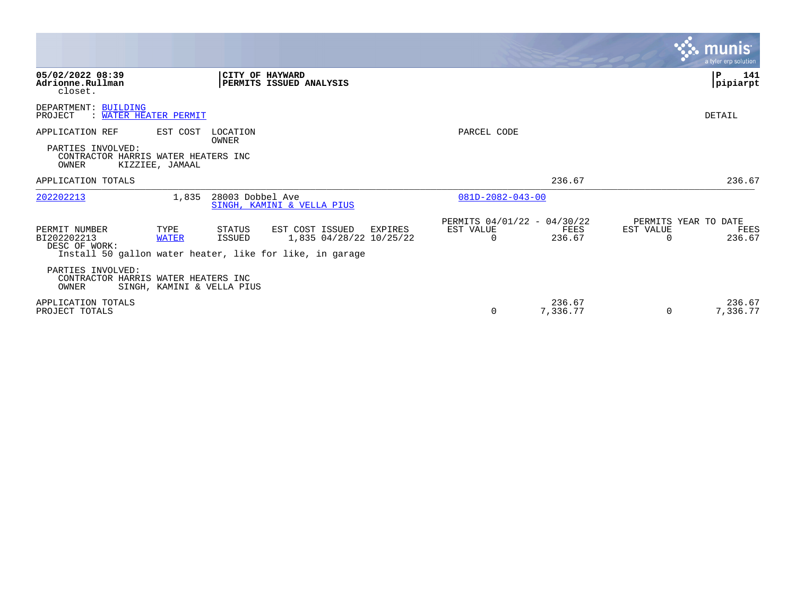|                                                                                      |                                                                                                                                                               |                                                                        | <b>munis</b><br>a tyler erp solution                            |
|--------------------------------------------------------------------------------------|---------------------------------------------------------------------------------------------------------------------------------------------------------------|------------------------------------------------------------------------|-----------------------------------------------------------------|
| 05/02/2022 08:39<br>Adrionne.Rullman<br>closet.                                      | CITY OF HAYWARD<br>PERMITS ISSUED ANALYSIS                                                                                                                    |                                                                        | 141<br>P<br> pipiarpt                                           |
| DEPARTMENT: BUILDING<br>: WATER HEATER PERMIT<br>PROJECT                             |                                                                                                                                                               |                                                                        | DETAIL                                                          |
| APPLICATION REF                                                                      | LOCATION<br>EST COST                                                                                                                                          | PARCEL CODE                                                            |                                                                 |
| PARTIES INVOLVED:<br>CONTRACTOR HARRIS WATER HEATERS INC<br>OWNER<br>KIZZIEE, JAMAAL | OWNER                                                                                                                                                         |                                                                        |                                                                 |
| APPLICATION TOTALS                                                                   |                                                                                                                                                               | 236.67                                                                 | 236.67                                                          |
| 202202213                                                                            | 1,835<br>28003 Dobbel Ave<br>SINGH, KAMINI & VELLA PIUS                                                                                                       | $081D - 2082 - 043 - 00$                                               |                                                                 |
| PERMIT NUMBER<br>BI202202213<br>DESC OF WORK:                                        | EST COST ISSUED<br>TYPE<br>STATUS<br>EXPIRES<br>1,835 04/28/22 10/25/22<br>ISSUED<br><b>WATER</b><br>Install 50 gallon water heater, like for like, in garage | PERMITS 04/01/22 - 04/30/22<br>EST VALUE<br>FEES<br>236.67<br>$\Omega$ | PERMITS YEAR TO DATE<br>EST VALUE<br>FEES<br>236.67<br>$\Omega$ |
| PARTIES INVOLVED:<br>CONTRACTOR HARRIS WATER HEATERS INC<br>OWNER                    | SINGH, KAMINI & VELLA PIUS                                                                                                                                    |                                                                        |                                                                 |
| APPLICATION TOTALS<br>PROJECT TOTALS                                                 |                                                                                                                                                               | 236.67<br>7,336.77<br>$\Omega$                                         | 236.67<br>7,336.77<br>$\Omega$                                  |

 $\mathcal{L}^{\text{max}}$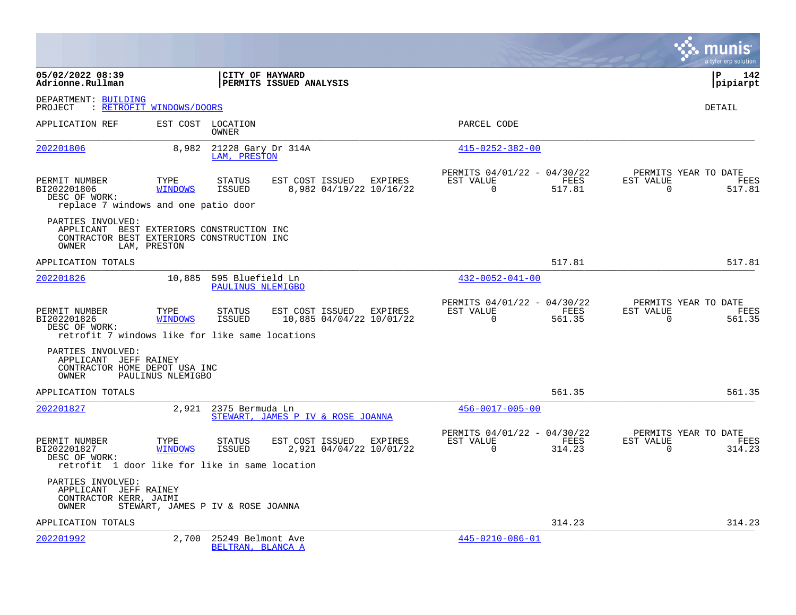|                                                                                                                       |                                   |                                        |                         |                                                     |                                                      |                |                       | a tyler erp solution                   |
|-----------------------------------------------------------------------------------------------------------------------|-----------------------------------|----------------------------------------|-------------------------|-----------------------------------------------------|------------------------------------------------------|----------------|-----------------------|----------------------------------------|
| 05/02/2022 08:39<br>Adrionne.Rullman                                                                                  |                                   | CITY OF HAYWARD                        | PERMITS ISSUED ANALYSIS |                                                     |                                                      |                |                       | l P<br>142<br> pipiarpt                |
| DEPARTMENT: BUILDING<br>PROJECT                                                                                       | : RETROFIT WINDOWS/DOORS          |                                        |                         |                                                     |                                                      |                |                       | DETAIL                                 |
| APPLICATION REF                                                                                                       |                                   | EST COST LOCATION<br>OWNER             |                         |                                                     | PARCEL CODE                                          |                |                       |                                        |
| 202201806                                                                                                             | 8,982                             | 21228 Gary Dr 314A<br>LAM, PRESTON     |                         |                                                     | $415 - 0252 - 382 - 00$                              |                |                       |                                        |
| PERMIT NUMBER<br>BI202201806<br>DESC OF WORK:<br>replace 7 windows and one patio door                                 | TYPE<br><b>WINDOWS</b>            | STATUS<br>ISSUED                       |                         | EST COST ISSUED EXPIRES<br>8,982 04/19/22 10/16/22  | PERMITS 04/01/22 - 04/30/22<br>EST VALUE<br>$\Omega$ | FEES<br>517.81 | EST VALUE<br>$\Omega$ | PERMITS YEAR TO DATE<br>FEES<br>517.81 |
| PARTIES INVOLVED:<br>APPLICANT BEST EXTERIORS CONSTRUCTION INC<br>CONTRACTOR BEST EXTERIORS CONSTRUCTION INC<br>OWNER | LAM, PRESTON                      |                                        |                         |                                                     |                                                      |                |                       |                                        |
| APPLICATION TOTALS                                                                                                    |                                   |                                        |                         |                                                     |                                                      | 517.81         |                       | 517.81                                 |
| 202201826                                                                                                             | 10,885                            | 595 Bluefield Ln<br>PAULINUS NLEMIGBO  |                         |                                                     | $432 - 0052 - 041 - 00$                              |                |                       |                                        |
| PERMIT NUMBER<br>BI202201826<br>DESC OF WORK:<br>retrofit 7 windows like for like same locations                      | TYPE<br><b>WINDOWS</b>            | <b>STATUS</b><br>ISSUED                |                         | EST COST ISSUED EXPIRES<br>10,885 04/04/22 10/01/22 | PERMITS 04/01/22 - 04/30/22<br>EST VALUE<br>$\Omega$ | FEES<br>561.35 | EST VALUE<br>$\Omega$ | PERMITS YEAR TO DATE<br>FEES<br>561.35 |
| PARTIES INVOLVED:<br>APPLICANT JEFF RAINEY<br>CONTRACTOR HOME DEPOT USA INC<br>OWNER                                  | PAULINUS NLEMIGBO                 |                                        |                         |                                                     |                                                      |                |                       |                                        |
| APPLICATION TOTALS                                                                                                    |                                   |                                        |                         |                                                     |                                                      | 561.35         |                       | 561.35                                 |
| 202201827                                                                                                             |                                   | 2,921 2375 Bermuda Ln                  |                         | STEWART, JAMES P IV & ROSE JOANNA                   | $456 - 0017 - 005 - 00$                              |                |                       |                                        |
| PERMIT NUMBER<br>BI202201827<br>DESC OF WORK:<br>retrofit 1 door like for like in same location                       | TYPE<br><b>WINDOWS</b>            | <b>STATUS</b><br>ISSUED                |                         | EST COST ISSUED EXPIRES<br>2,921 04/04/22 10/01/22  | PERMITS 04/01/22 - 04/30/22<br>EST VALUE<br>$\Omega$ | FEES<br>314.23 | EST VALUE<br>$\Omega$ | PERMITS YEAR TO DATE<br>FEES<br>314.23 |
| PARTIES INVOLVED:<br>APPLICANT JEFF RAINEY<br>CONTRACTOR KERR, JAIMI<br>OWNER                                         | STEWART, JAMES P IV & ROSE JOANNA |                                        |                         |                                                     |                                                      |                |                       |                                        |
| APPLICATION TOTALS                                                                                                    |                                   |                                        |                         |                                                     |                                                      | 314.23         |                       | 314.23                                 |
| 202201992                                                                                                             | 2,700                             | 25249 Belmont Ave<br>BELTRAN, BLANCA A |                         |                                                     | $445 - 0210 - 086 - 01$                              |                |                       |                                        |

**College**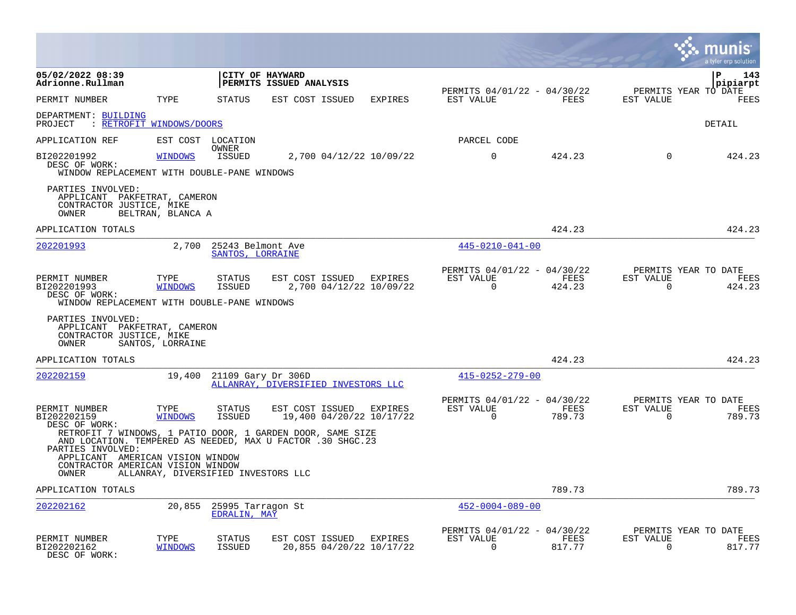|                                                                                                                                               |                                     |                                       |                                            |                         |                                           |                                                      |                |                       | <b>IIS</b><br>a tyler erp solution     |
|-----------------------------------------------------------------------------------------------------------------------------------------------|-------------------------------------|---------------------------------------|--------------------------------------------|-------------------------|-------------------------------------------|------------------------------------------------------|----------------|-----------------------|----------------------------------------|
| 05/02/2022 08:39<br>Adrionne.Rullman                                                                                                          |                                     |                                       | CITY OF HAYWARD<br>PERMITS ISSUED ANALYSIS |                         |                                           |                                                      |                |                       | P<br>143<br>pipiarpt                   |
| PERMIT NUMBER                                                                                                                                 | TYPE                                | STATUS                                | EST COST ISSUED                            |                         | EXPIRES                                   | PERMITS 04/01/22 - 04/30/22<br>EST VALUE             | FEES           | EST VALUE             | PERMITS YEAR TO DATE<br>FEES           |
| DEPARTMENT: BUILDING<br>PROJECT<br>: RETROFIT WINDOWS/DOORS                                                                                   |                                     |                                       |                                            |                         |                                           |                                                      |                |                       | DETAIL                                 |
| APPLICATION REF                                                                                                                               |                                     | EST COST LOCATION                     |                                            |                         |                                           | PARCEL CODE                                          |                |                       |                                        |
| BI202201992<br>DESC OF WORK:<br>WINDOW REPLACEMENT WITH DOUBLE-PANE WINDOWS                                                                   | <b>WINDOWS</b>                      | OWNER<br>ISSUED                       |                                            |                         | 2,700 04/12/22 10/09/22                   | $\mathbf 0$                                          | 424.23         | $\Omega$              | 424.23                                 |
| PARTIES INVOLVED:<br>APPLICANT PAKFETRAT, CAMERON<br>CONTRACTOR JUSTICE, MIKE<br>OWNER                                                        | BELTRAN, BLANCA A                   |                                       |                                            |                         |                                           |                                                      |                |                       |                                        |
| APPLICATION TOTALS                                                                                                                            |                                     |                                       |                                            |                         |                                           |                                                      | 424.23         |                       | 424.23                                 |
| 202201993                                                                                                                                     | 2,700                               | 25243 Belmont Ave<br>SANTOS, LORRAINE |                                            |                         |                                           | $445 - 0210 - 041 - 00$                              |                |                       |                                        |
| PERMIT NUMBER<br>BI202201993<br>DESC OF WORK:<br>WINDOW REPLACEMENT WITH DOUBLE-PANE WINDOWS                                                  | TYPE<br><b>WINDOWS</b>              | STATUS<br><b>ISSUED</b>               | EST COST ISSUED                            |                         | <b>EXPIRES</b><br>2,700 04/12/22 10/09/22 | PERMITS 04/01/22 - 04/30/22<br>EST VALUE<br>$\Omega$ | FEES<br>424.23 | EST VALUE<br>$\Omega$ | PERMITS YEAR TO DATE<br>FEES<br>424.23 |
| PARTIES INVOLVED:<br>APPLICANT PAKFETRAT, CAMERON<br>CONTRACTOR JUSTICE, MIKE<br>OWNER                                                        | SANTOS, LORRAINE                    |                                       |                                            |                         |                                           |                                                      |                |                       |                                        |
| APPLICATION TOTALS                                                                                                                            |                                     |                                       |                                            |                         |                                           |                                                      | 424.23         |                       | 424.23                                 |
| 202202159                                                                                                                                     | 19,400                              | 21109 Gary Dr 306D                    | ALLANRAY, DIVERSIFIED INVESTORS LLC        |                         |                                           | $415 - 0252 - 279 - 00$                              |                |                       |                                        |
| PERMIT NUMBER<br>BI202202159<br>DESC OF WORK:                                                                                                 | TYPE<br><b>WINDOWS</b>              | STATUS<br><b>ISSUED</b>               | EST COST ISSUED                            |                         | EXPIRES<br>19,400 04/20/22 10/17/22       | PERMITS 04/01/22 - 04/30/22<br>EST VALUE<br>$\Omega$ | FEES<br>789.73 | EST VALUE<br>$\Omega$ | PERMITS YEAR TO DATE<br>FEES<br>789.73 |
| RETROFIT 7 WINDOWS, 1 PATIO DOOR, 1 GARDEN DOOR, SAME SIZE<br>AND LOCATION. TEMPERED AS NEEDED, MAX U FACTOR .30 SHGC.23<br>PARTIES INVOLVED: |                                     |                                       |                                            |                         |                                           |                                                      |                |                       |                                        |
| APPLICANT AMERICAN VISION WINDOW<br>CONTRACTOR AMERICAN VISION WINDOW<br>OWNER                                                                | ALLANRAY, DIVERSIFIED INVESTORS LLC |                                       |                                            |                         |                                           |                                                      |                |                       |                                        |
| APPLICATION TOTALS                                                                                                                            |                                     |                                       |                                            |                         |                                           |                                                      | 789.73         |                       | 789.73                                 |
| 202202162                                                                                                                                     | 20,855                              | 25995 Tarragon St<br>EDRALIN, MAY     |                                            |                         |                                           | $452 - 0004 - 089 - 00$                              |                |                       |                                        |
| PERMIT NUMBER<br>BI202202162<br>DESC OF WORK:                                                                                                 | TYPE<br><b>WINDOWS</b>              | STATUS<br><b>ISSUED</b>               |                                            | EST COST ISSUED EXPIRES | 20,855 04/20/22 10/17/22                  | PERMITS 04/01/22 - 04/30/22<br>EST VALUE<br>$\Omega$ | FEES<br>817.77 | EST VALUE<br>$\Omega$ | PERMITS YEAR TO DATE<br>FEES<br>817.77 |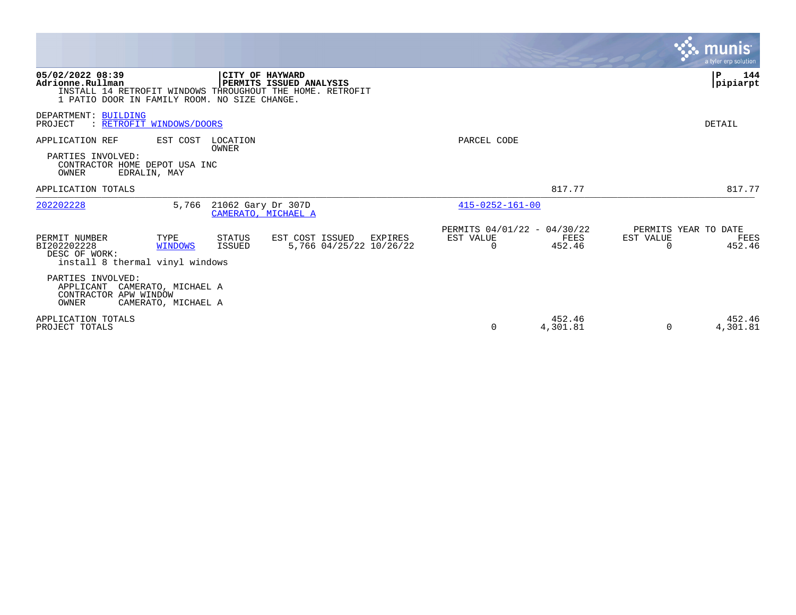|                                                                                      |                          |                    |                                                                                                         |         |                                                      |                    |                       | munis <sup>®</sup><br>a tyler erp solution |
|--------------------------------------------------------------------------------------|--------------------------|--------------------|---------------------------------------------------------------------------------------------------------|---------|------------------------------------------------------|--------------------|-----------------------|--------------------------------------------|
| 05/02/2022 08:39<br>Adrionne.Rullman<br>1 PATIO DOOR IN FAMILY ROOM. NO SIZE CHANGE. |                          |                    | CITY OF HAYWARD<br>PERMITS ISSUED ANALYSIS<br>INSTALL 14 RETROFIT WINDOWS THROUGHOUT THE HOME. RETROFIT |         |                                                      |                    |                       | $\mathbf{P}$<br>144<br>pipiarpt            |
| DEPARTMENT: BUILDING<br>PROJECT                                                      | : RETROFIT WINDOWS/DOORS |                    |                                                                                                         |         |                                                      |                    |                       | DETAIL                                     |
| APPLICATION REF<br>PARTIES INVOLVED:<br>CONTRACTOR HOME DEPOT USA INC<br>OWNER       | EST COST<br>EDRALIN, MAY | LOCATION<br>OWNER  |                                                                                                         |         | PARCEL CODE                                          |                    |                       |                                            |
| APPLICATION TOTALS                                                                   |                          |                    |                                                                                                         |         |                                                      | 817.77             |                       | 817.77                                     |
| 202202228                                                                            | 5,766                    | 21062 Gary Dr 307D | CAMERATO, MICHAEL A                                                                                     |         | $415 - 0252 - 161 - 00$                              |                    |                       |                                            |
| PERMIT NUMBER<br>BI202202228<br>DESC OF WORK:<br>install 8 thermal vinyl windows     | TYPE<br><b>WINDOWS</b>   | STATUS<br>ISSUED   | EST COST ISSUED<br>5,766 04/25/22 10/26/22                                                              | EXPIRES | PERMITS 04/01/22 - 04/30/22<br>EST VALUE<br>$\Omega$ | FEES<br>452.46     | EST VALUE<br>$\Omega$ | PERMITS YEAR TO DATE<br>FEES<br>452.46     |
| PARTIES INVOLVED:<br>APPLICANT CAMERATO, MICHAEL A<br>CONTRACTOR APW WINDOW<br>OWNER | CAMERATO, MICHAEL A      |                    |                                                                                                         |         |                                                      |                    |                       |                                            |
| APPLICATION TOTALS<br>PROJECT TOTALS                                                 |                          |                    |                                                                                                         |         | 0                                                    | 452.46<br>4,301.81 | $\Omega$              | 452.46<br>4,301.81                         |

**PERSONAL**